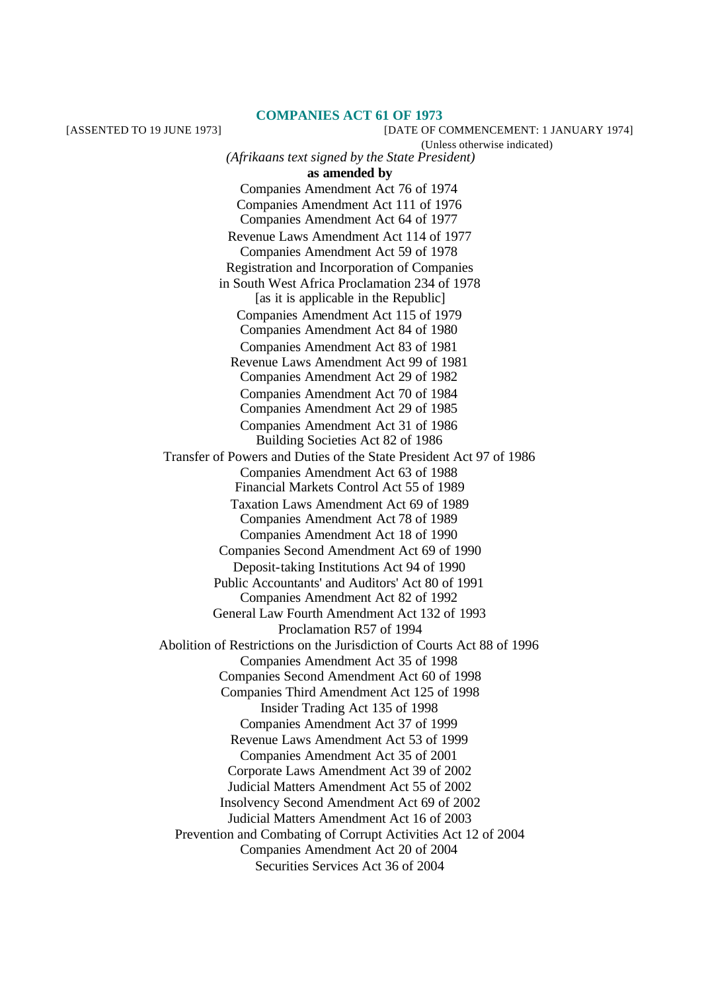#### **COMPANIES ACT 61 OF 1973**

[ASSENTED TO 19 JUNE 1973] [DATE OF COMMENCEMENT: 1 JANUARY 1974]

(Unless otherwise indicated) *(Afrikaans text signed by the State President)* **as amended by** Companies Amendment Act 76 of 1974 Companies Amendment Act 111 of 1976 Companies Amendment Act 64 of 1977 Revenue Laws Amendment Act 114 of 1977 Companies Amendment Act 59 of 1978 Registration and Incorporation of Companies in South West Africa Proclamation 234 of 1978 [as it is applicable in the Republic] Companies Amendment Act 115 of 1979 Companies Amendment Act 84 of 1980 Companies Amendment Act 83 of 1981 Revenue Laws Amendment Act 99 of 1981 Companies Amendment Act 29 of 1982 Companies Amendment Act 70 of 1984 Companies Amendment Act 29 of 1985 Companies Amendment Act 31 of 1986 Building Societies Act 82 of 1986 Transfer of Powers and Duties of the State President Act 97 of 1986 Companies Amendment Act 63 of 1988 Financial Markets Control Act 55 of 1989 Taxation Laws Amendment Act 69 of 1989 Companies Amendment Act 78 of 1989 Companies Amendment Act 18 of 1990 Companies Second Amendment Act 69 of 1990 Deposit-taking Institutions Act 94 of 1990 Public Accountants' and Auditors' Act 80 of 1991 Companies Amendment Act 82 of 1992 General Law Fourth Amendment Act 132 of 1993 Proclamation R57 of 1994 Abolition of Restrictions on the Jurisdiction of Courts Act 88 of 1996 Companies Amendment Act 35 of 1998 Companies Second Amendment Act 60 of 1998 Companies Third Amendment Act 125 of 1998 Insider Trading Act 135 of 1998 Companies Amendment Act 37 of 1999 Revenue Laws Amendment Act 53 of 1999 Companies Amendment Act 35 of 2001 Corporate Laws Amendment Act 39 of 2002 Judicial Matters Amendment Act 55 of 2002 Insolvency Second Amendment Act 69 of 2002 Judicial Matters Amendment Act 16 of 2003 Prevention and Combating of Corrupt Activities Act 12 of 2004 Companies Amendment Act 20 of 2004 Securities Services Act 36 of 2004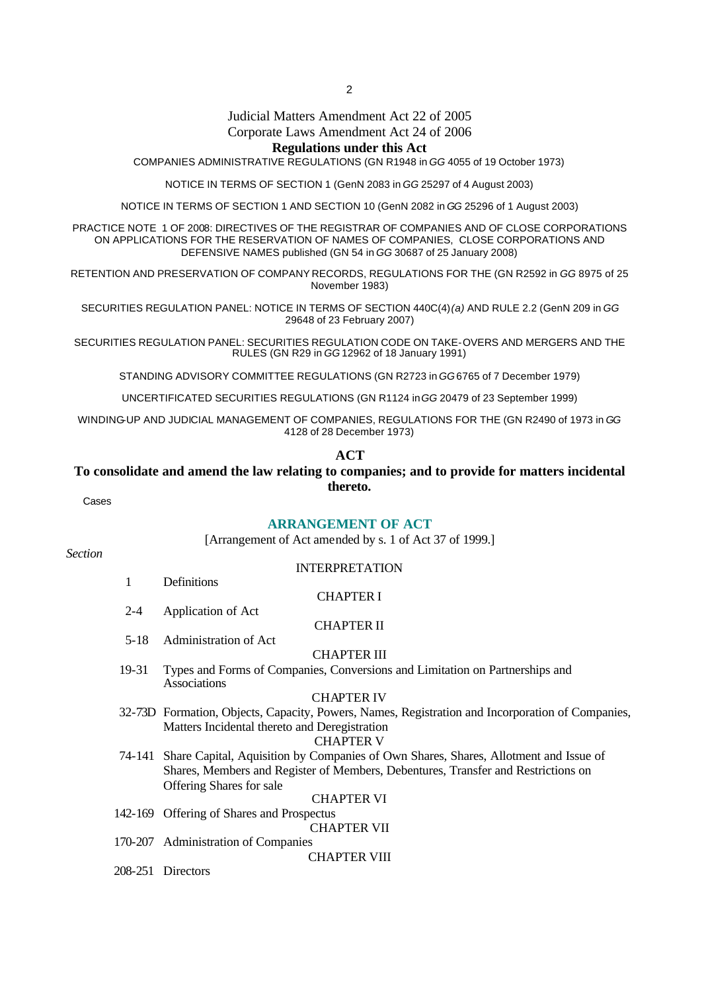# Judicial Matters Amendment Act 22 of 2005

#### Corporate Laws Amendment Act 24 of 2006

#### **Regulations under this Act**

COMPANIES ADMINISTRATIVE REGULATIONS (GN R1948 in *GG* 4055 of 19 October 1973)

NOTICE IN TERMS OF SECTION 1 (GenN 2083 in *GG* 25297 of 4 August 2003)

NOTICE IN TERMS OF SECTION 1 AND SECTION 10 (GenN 2082 in *GG* 25296 of 1 August 2003)

PRACTICE NOTE 1 OF 2008: DIRECTIVES OF THE REGISTRAR OF COMPANIES AND OF CLOSE CORPORATIONS ON APPLICATIONS FOR THE RESERVATION OF NAMES OF COMPANIES, CLOSE CORPORATIONS AND DEFENSIVE NAMES published (GN 54 in *GG* 30687 of 25 January 2008)

RETENTION AND PRESERVATION OF COMPANY RECORDS, REGULATIONS FOR THE (GN R2592 in *GG* 8975 of 25 November 1983)

SECURITIES REGULATION PANEL: NOTICE IN TERMS OF SECTION 440C(4)*(a)* AND RULE 2.2 (GenN 209 in *GG* 29648 of 23 February 2007)

SECURITIES REGULATION PANEL: SECURITIES REGULATION CODE ON TAKE-OVERS AND MERGERS AND THE RULES (GN R29 in *GG* 12962 of 18 January 1991)

STANDING ADVISORY COMMITTEE REGULATIONS (GN R2723 in *GG* 6765 of 7 December 1979)

UNCERTIFICATED SECURITIES REGULATIONS (GN R1124 in *GG* 20479 of 23 September 1999)

WINDING-UP AND JUDICIAL MANAGEMENT OF COMPANIES, REGULATIONS FOR THE (GN R2490 of 1973 in *GG* 4128 of 28 December 1973)

#### **ACT**

# **To consolidate and amend the law relating to companies; and to provide for matters incidental thereto.**

Cases

# **ARRANGEMENT OF ACT**

[Arrangement of Act amended by s. 1 of Act 37 of 1999.]

#### *Section*

#### INTERPRETATION

- CHAPTER I
- CHAPTER II
- 5-18 Administration of Act CHAPTER III

1 Definitions

2-4 Application of Act

19-31 Types and Forms of Companies, Conversions and Limitation on Partnerships and **Associations** 

#### CHAPTER IV

32-73D Formation, Objects, Capacity, Powers, Names, Registration and Incorporation of Companies, Matters Incidental thereto and Deregistration

#### CHAPTER V

74-141 Share Capital, Aquisition by Companies of Own Shares, Shares, Allotment and Issue of Shares, Members and Register of Members, Debentures, Transfer and Restrictions on Offering Shares for sale

#### CHAPTER VI

142-169 Offering of Shares and Prospectus

CHAPTER VII

170-207 Administration of Companies

CHAPTER VIII

208-251 Directors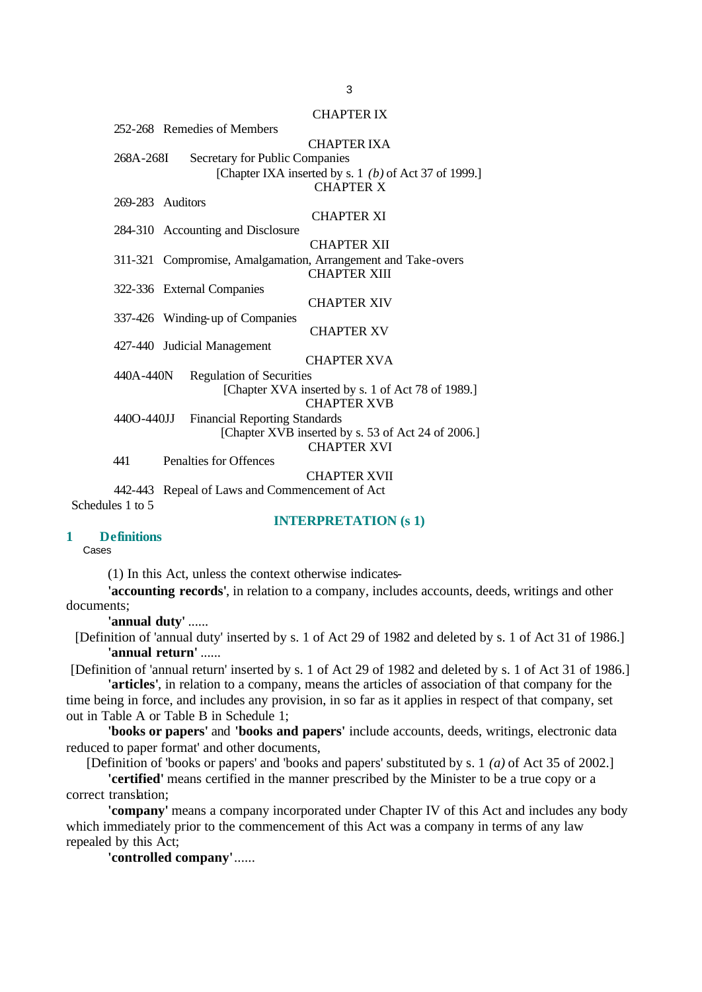3

# CHAPTER IX

| 252-268 Remedies of Members                                                         |
|-------------------------------------------------------------------------------------|
| <b>CHAPTER IXA</b>                                                                  |
| 268A-268I<br>Secretary for Public Companies                                         |
| [Chapter IXA inserted by s. 1 (b) of Act 37 of 1999.]<br><b>CHAPTER X</b>           |
| 269-283 Auditors                                                                    |
| <b>CHAPTER XI</b>                                                                   |
| 284-310 Accounting and Disclosure                                                   |
| <b>CHAPTER XII</b>                                                                  |
| 311-321 Compromise, Amalgamation, Arrangement and Take-overs<br><b>CHAPTER XIII</b> |
| 322-336 External Companies                                                          |
| <b>CHAPTER XIV</b>                                                                  |
| 337-426 Winding-up of Companies                                                     |
| <b>CHAPTER XV</b>                                                                   |
| 427-440 Judicial Management                                                         |
| <b>CHAPTER XVA</b>                                                                  |
| 440A-440N<br><b>Regulation of Securities</b>                                        |
| [Chapter XVA inserted by s. 1 of Act 78 of 1989.]<br><b>CHAPTER XVB</b>             |
| 440O-440JJ<br><b>Financial Reporting Standards</b>                                  |
| [Chapter XVB inserted by s. 53 of Act 24 of 2006.]<br><b>CHAPTER XVI</b>            |
| 441<br>Penalties for Offences                                                       |
| <b>CHAPTER XVII</b>                                                                 |
| 442-443 Repeal of Laws and Commencement of Act                                      |
| Schedules 1 to 5                                                                    |

#### **INTERPRETATION (s 1)**

# **1 Definitions**

Cases

(1) In this Act, unless the context otherwise indicates-

**'accounting records'**, in relation to a company, includes accounts, deeds, writings and other documents;

**'annual duty'** ......

[Definition of 'annual duty' inserted by s. 1 of Act 29 of 1982 and deleted by s. 1 of Act 31 of 1986.] **'annual return'** ......

[Definition of 'annual return' inserted by s. 1 of Act 29 of 1982 and deleted by s. 1 of Act 31 of 1986.] **'articles'**, in relation to a company, means the articles of association of that company for the

time being in force, and includes any provision, in so far as it applies in respect of that company, set out in Table A or Table B in Schedule 1;

**'books or papers'** and **'books and papers'** include accounts, deeds, writings, electronic data reduced to paper format' and other documents,

[Definition of 'books or papers' and 'books and papers' substituted by s. 1 *(a)* of Act 35 of 2002.]

**'certified'** means certified in the manner prescribed by the Minister to be a true copy or a correct translation;

**'company'** means a company incorporated under Chapter IV of this Act and includes any body which immediately prior to the commencement of this Act was a company in terms of any law repealed by this Act;

**'controlled company'** ......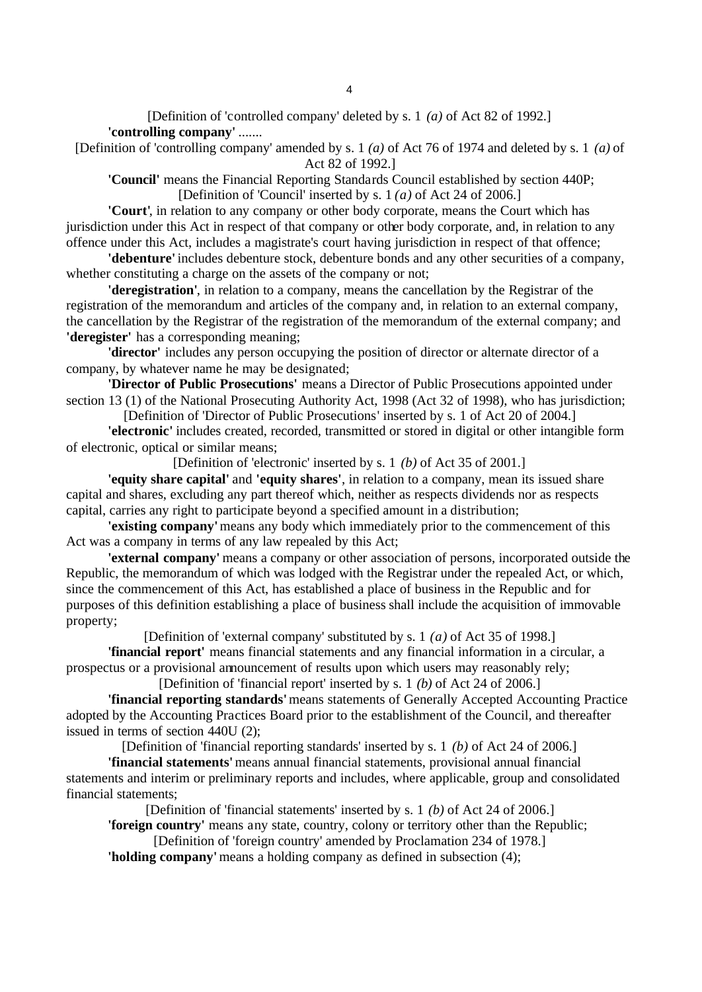[Definition of 'controlled company' deleted by s. 1 *(a)* of Act 82 of 1992.] **'controlling company'** .......

[Definition of 'controlling company' amended by s. 1 *(a)* of Act 76 of 1974 and deleted by s. 1 *(a)* of Act 82 of 1992.]

**'Council'** means the Financial Reporting Standards Council established by section 440P; [Definition of 'Council' inserted by s. 1 *(a)* of Act 24 of 2006.]

**'Court'**, in relation to any company or other body corporate, means the Court which has jurisdiction under this Act in respect of that company or other body corporate, and, in relation to any offence under this Act, includes a magistrate's court having jurisdiction in respect of that offence;

**'debenture'** includes debenture stock, debenture bonds and any other securities of a company, whether constituting a charge on the assets of the company or not;

**'deregistration'**, in relation to a company, means the cancellation by the Registrar of the registration of the memorandum and articles of the company and, in relation to an external company, the cancellation by the Registrar of the registration of the memorandum of the external company; and **'deregister'** has a corresponding meaning;

**'director'** includes any person occupying the position of director or alternate director of a company, by whatever name he may be designated;

**'Director of Public Prosecutions'** means a Director of Public Prosecutions appointed under section 13 (1) of the National Prosecuting Authority Act, 1998 (Act 32 of 1998), who has jurisdiction;

[Definition of 'Director of Public Prosecutions' inserted by s. 1 of Act 20 of 2004.]

**'electronic'** includes created, recorded, transmitted or stored in digital or other intangible form of electronic, optical or similar means;

[Definition of 'electronic' inserted by s. 1 *(b)* of Act 35 of 2001.]

**'equity share capital'** and **'equity shares'**, in relation to a company, mean its issued share capital and shares, excluding any part thereof which, neither as respects dividends nor as respects capital, carries any right to participate beyond a specified amount in a distribution;

**'existing company'** means any body which immediately prior to the commencement of this Act was a company in terms of any law repealed by this Act;

**'external company'** means a company or other association of persons, incorporated outside the Republic, the memorandum of which was lodged with the Registrar under the repealed Act, or which, since the commencement of this Act, has established a place of business in the Republic and for purposes of this definition establishing a place of business shall include the acquisition of immovable property;

[Definition of 'external company' substituted by s. 1 *(a)* of Act 35 of 1998.]

**'financial report'** means financial statements and any financial information in a circular, a prospectus or a provisional announcement of results upon which users may reasonably rely;

[Definition of 'financial report' inserted by s. 1 *(b)* of Act 24 of 2006.] **'financial reporting standards'** means statements of Generally Accepted Accounting Practice adopted by the Accounting Practices Board prior to the establishment of the Council, and thereafter issued in terms of section 440U (2);

[Definition of 'financial reporting standards' inserted by s. 1 *(b)* of Act 24 of 2006.]

**'financial statements'** means annual financial statements, provisional annual financial statements and interim or preliminary reports and includes, where applicable, group and consolidated financial statements;

[Definition of 'financial statements' inserted by s. 1 *(b)* of Act 24 of 2006.] **'foreign country'** means any state, country, colony or territory other than the Republic; [Definition of 'foreign country' amended by Proclamation 234 of 1978.]

**'holding company'** means a holding company as defined in subsection (4);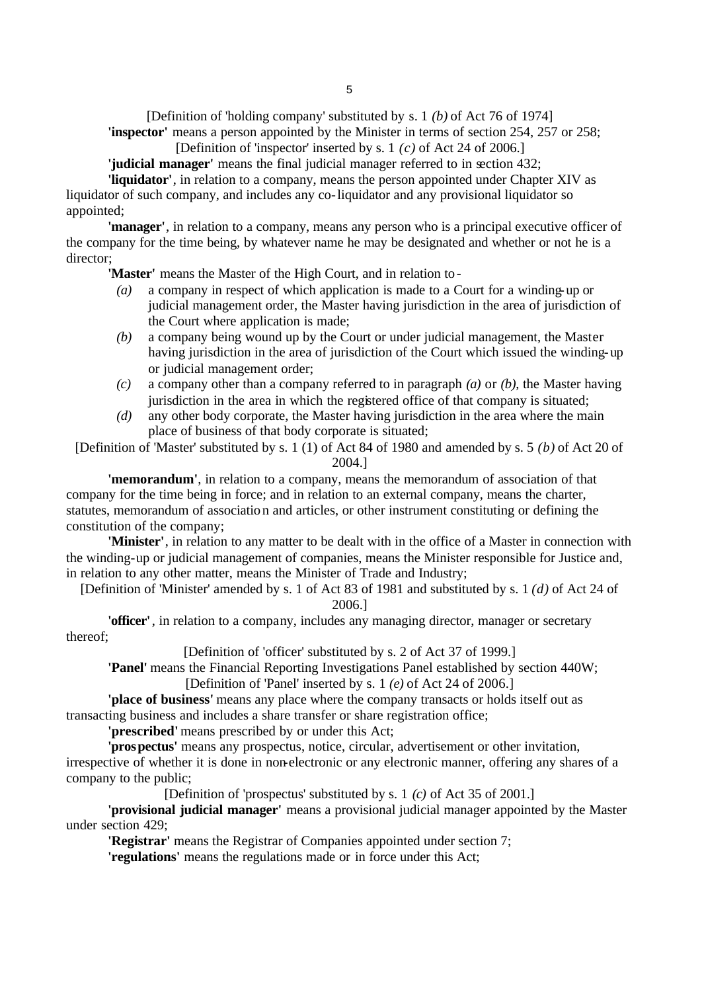[Definition of 'holding company' substituted by s. 1 *(b)* of Act 76 of 1974] **'inspector'** means a person appointed by the Minister in terms of section 254, 257 or 258;

[Definition of 'inspector' inserted by s. 1 *(c)* of Act 24 of 2006.]

**'judicial manager'** means the final judicial manager referred to in section 432;

**'liquidator'**, in relation to a company, means the person appointed under Chapter XIV as liquidator of such company, and includes any co-liquidator and any provisional liquidator so appointed;

**'manager'**, in relation to a company, means any person who is a principal executive officer of the company for the time being, by whatever name he may be designated and whether or not he is a director;

**'Master'** means the Master of the High Court, and in relation to-

- *(a)* a company in respect of which application is made to a Court for a winding-up or judicial management order, the Master having jurisdiction in the area of jurisdiction of the Court where application is made;
- *(b)* a company being wound up by the Court or under judicial management, the Master having jurisdiction in the area of jurisdiction of the Court which issued the winding-up or judicial management order;
- *(c)* a company other than a company referred to in paragraph *(a)* or *(b)*, the Master having jurisdiction in the area in which the registered office of that company is situated;
- *(d)* any other body corporate, the Master having jurisdiction in the area where the main place of business of that body corporate is situated;

[Definition of 'Master' substituted by s. 1 (1) of Act 84 of 1980 and amended by s. 5 *(b)* of Act 20 of 2004.]

**'memorandum'**, in relation to a company, means the memorandum of association of that company for the time being in force; and in relation to an external company, means the charter, statutes, memorandum of association and articles, or other instrument constituting or defining the constitution of the company;

**'Minister'**, in relation to any matter to be dealt with in the office of a Master in connection with the winding-up or judicial management of companies, means the Minister responsible for Justice and, in relation to any other matter, means the Minister of Trade and Industry;

[Definition of 'Minister' amended by s. 1 of Act 83 of 1981 and substituted by s. 1 *(d)* of Act 24 of 2006.]

**'officer'**, in relation to a company, includes any managing director, manager or secretary thereof;

[Definition of 'officer' substituted by s. 2 of Act 37 of 1999.]

**'Panel'** means the Financial Reporting Investigations Panel established by section 440W;

[Definition of 'Panel' inserted by s. 1 *(e)* of Act 24 of 2006.]

**'place of business'** means any place where the company transacts or holds itself out as transacting business and includes a share transfer or share registration office;

**'prescribed'** means prescribed by or under this Act;

**'prospectus'** means any prospectus, notice, circular, advertisement or other invitation, irrespective of whether it is done in non-electronic or any electronic manner, offering any shares of a company to the public;

[Definition of 'prospectus' substituted by s. 1 *(c)* of Act 35 of 2001.]

**'provisional judicial manager'** means a provisional judicial manager appointed by the Master under section 429;

**'Registrar'** means the Registrar of Companies appointed under section 7;

**'regulations'** means the regulations made or in force under this Act;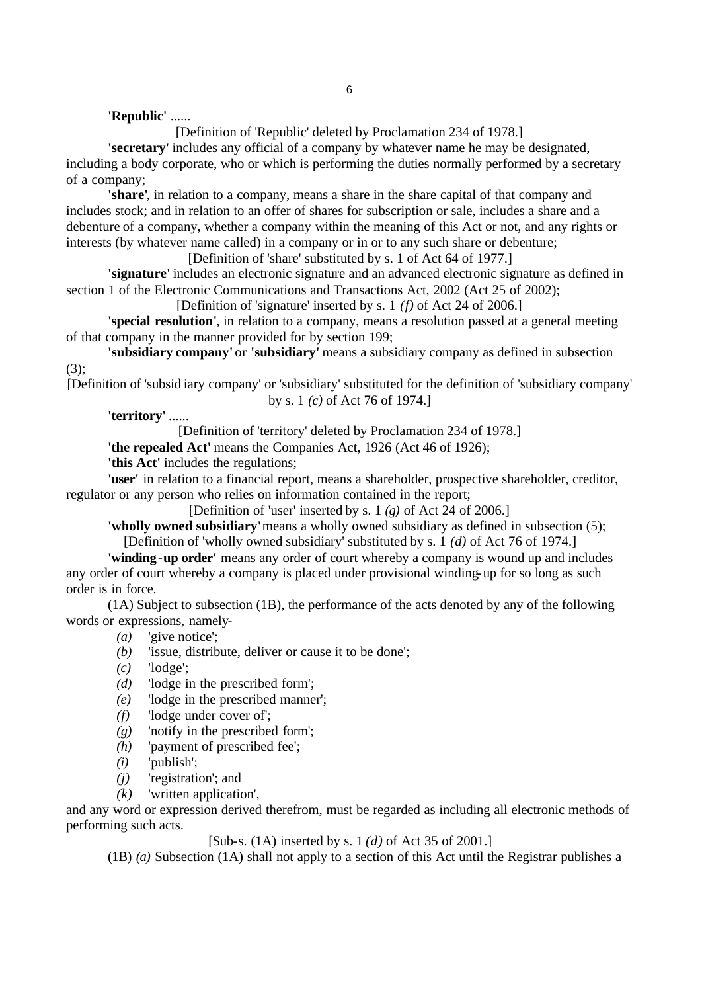# **'Republic'** ......

[Definition of 'Republic' deleted by Proclamation 234 of 1978.]

**'secretary'** includes any official of a company by whatever name he may be designated, including a body corporate, who or which is performing the duties normally performed by a secretary of a company;

**'share'**, in relation to a company, means a share in the share capital of that company and includes stock; and in relation to an offer of shares for subscription or sale, includes a share and a debenture of a company, whether a company within the meaning of this Act or not, and any rights or interests (by whatever name called) in a company or in or to any such share or debenture; [Definition of 'share' substituted by s. 1 of Act 64 of 1977.]

**'signature'** includes an electronic signature and an advanced electronic signature as defined in section 1 of the Electronic Communications and Transactions Act, 2002 (Act 25 of 2002);

[Definition of 'signature' inserted by s. 1 *(f)* of Act 24 of 2006.]

**'special resolution'**, in relation to a company, means a resolution passed at a general meeting of that company in the manner provided for by section 199;

**'subsidiary company'** or **'subsidiary'** means a subsidiary company as defined in subsection (3);

[Definition of 'subsid iary company' or 'subsidiary' substituted for the definition of 'subsidiary company' by s. 1 *(c)* of Act 76 of 1974.]

**'territory'** ......

[Definition of 'territory' deleted by Proclamation 234 of 1978.]

**'the repealed Act'** means the Companies Act, 1926 (Act 46 of 1926);

**'this Act'** includes the regulations;

**'user'** in relation to a financial report, means a shareholder, prospective shareholder, creditor, regulator or any person who relies on information contained in the report;

[Definition of 'user' inserted by s. 1 *(g)* of Act 24 of 2006.]

**'wholly owned subsidiary'** means a wholly owned subsidiary as defined in subsection (5); [Definition of 'wholly owned subsidiary' substituted by s. 1 *(d)* of Act 76 of 1974.]

**'winding-up order'** means any order of court whereby a company is wound up and includes any order of court whereby a company is placed under provisional winding-up for so long as such order is in force.

(1A) Subject to subsection (1B), the performance of the acts denoted by any of the following words or expressions, namely-

- *(a)* 'give notice';
- *(b)* 'issue, distribute, deliver or cause it to be done';

*(c)* 'lodge';

- *(d)* 'lodge in the prescribed form';
- *(e)* 'lodge in the prescribed manner';
- *(f)* 'lodge under cover of';
- *(g)* 'notify in the prescribed form';
- *(h)* 'payment of prescribed fee';
- *(i)* 'publish';
- *(j)* 'registration'; and
- *(k)* 'written application',

and any word or expression derived therefrom, must be regarded as including all electronic methods of performing such acts.

[Sub-s. (1A) inserted by s. 1 *(d)* of Act 35 of 2001.]

(1B) *(a)* Subsection (1A) shall not apply to a section of this Act until the Registrar publishes a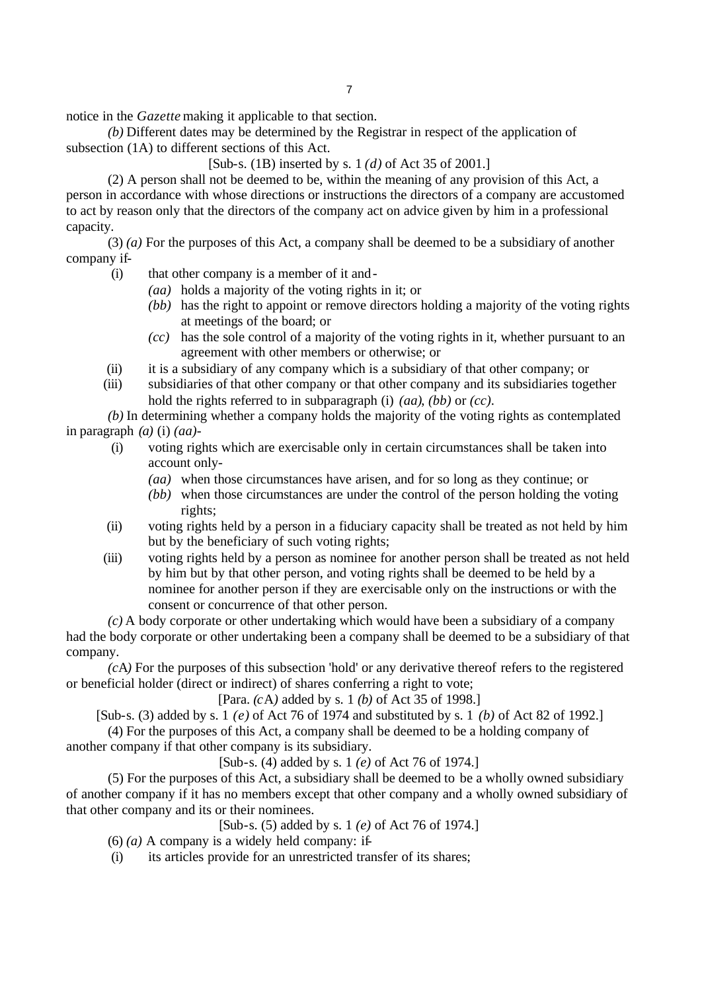notice in the *Gazette* making it applicable to that section.

*(b)* Different dates may be determined by the Registrar in respect of the application of subsection (1A) to different sections of this Act.

[Sub-s. (1B) inserted by s. 1 *(d)* of Act 35 of 2001.]

(2) A person shall not be deemed to be, within the meaning of any provision of this Act, a person in accordance with whose directions or instructions the directors of a company are accustomed to act by reason only that the directors of the company act on advice given by him in a professional capacity.

(3) *(a)* For the purposes of this Act, a company shall be deemed to be a subsidiary of another company if-

- (i) that other company is a member of it and-
	- *(aa)* holds a majority of the voting rights in it; or
	- *(bb)* has the right to appoint or remove directors holding a majority of the voting rights at meetings of the board; or
	- *(cc)* has the sole control of a majority of the voting rights in it, whether pursuant to an agreement with other members or otherwise; or
- (ii) it is a subsidiary of any company which is a subsidiary of that other company; or
- (iii) subsidiaries of that other company or that other company and its subsidiaries together hold the rights referred to in subparagraph (i) *(aa)*, *(bb)* or *(cc)*.

*(b)* In determining whether a company holds the majority of the voting rights as contemplated in paragraph *(a)* (i) *(aa)*-

- (i) voting rights which are exercisable only in certain circumstances shall be taken into account only-
	- *(aa)* when those circumstances have arisen, and for so long as they continue; or
	- *(bb)* when those circumstances are under the control of the person holding the voting rights;
- (ii) voting rights held by a person in a fiduciary capacity shall be treated as not held by him but by the beneficiary of such voting rights;
- (iii) voting rights held by a person as nominee for another person shall be treated as not held by him but by that other person, and voting rights shall be deemed to be held by a nominee for another person if they are exercisable only on the instructions or with the consent or concurrence of that other person.

*(c)* A body corporate or other undertaking which would have been a subsidiary of a company had the body corporate or other undertaking been a company shall be deemed to be a subsidiary of that company.

*(c*A*)* For the purposes of this subsection 'hold' or any derivative thereof refers to the registered or beneficial holder (direct or indirect) of shares conferring a right to vote;

[Para. *(c*A*)* added by s. 1 *(b)* of Act 35 of 1998.]

[Sub-s. (3) added by s. 1 *(e)* of Act 76 of 1974 and substituted by s. 1 *(b)* of Act 82 of 1992.]

(4) For the purposes of this Act, a company shall be deemed to be a holding company of another company if that other company is its subsidiary.

[Sub-s. (4) added by s. 1 *(e)* of Act 76 of 1974.]

(5) For the purposes of this Act, a subsidiary shall be deemed to be a wholly owned subsidiary of another company if it has no members except that other company and a wholly owned subsidiary of that other company and its or their nominees.

[Sub-s. (5) added by s. 1 *(e)* of Act 76 of 1974.]

- (6) *(a)* A company is a widely held company: if-
- (i) its articles provide for an unrestricted transfer of its shares;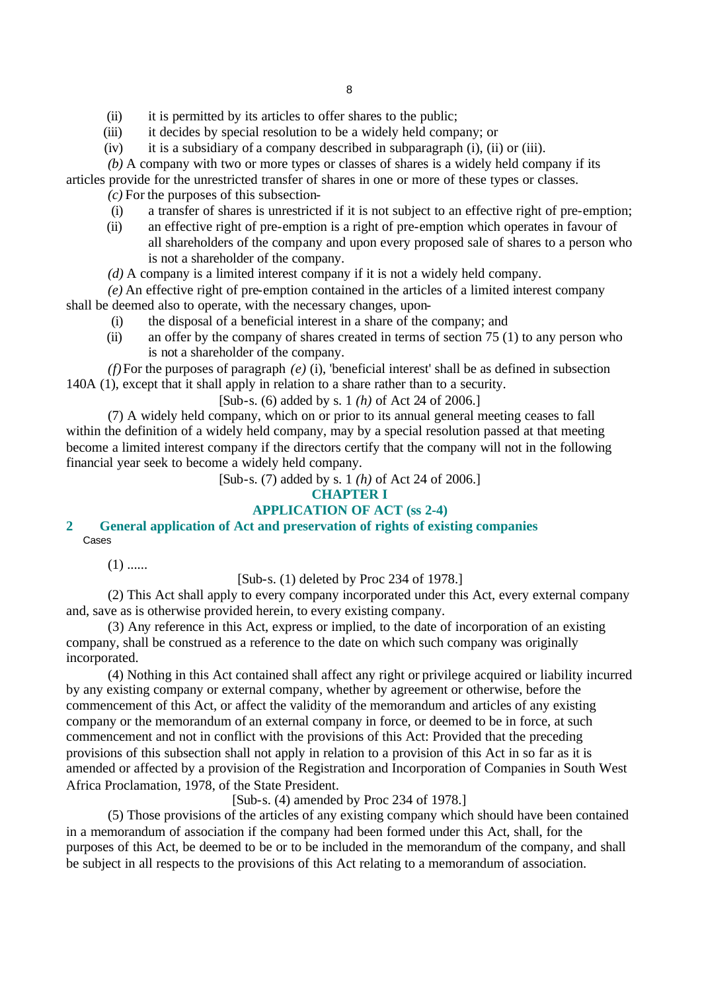- (ii) it is permitted by its articles to offer shares to the public;
- (iii) it decides by special resolution to be a widely held company; or
- (iv) it is a subsidiary of a company described in subparagraph (i), (ii) or (iii).

*(b)* A company with two or more types or classes of shares is a widely held company if its

articles provide for the unrestricted transfer of shares in one or more of these types or classes. *(c)* For the purposes of this subsection-

- (i) a transfer of shares is unrestricted if it is not subject to an effective right of pre-emption;
- (ii) an effective right of pre-emption is a right of pre-emption which operates in favour of all shareholders of the company and upon every proposed sale of shares to a person who is not a shareholder of the company.
- *(d)* A company is a limited interest company if it is not a widely held company.

*(e)* An effective right of pre-emption contained in the articles of a limited interest company shall be deemed also to operate, with the necessary changes, upon-

- (i) the disposal of a beneficial interest in a share of the company; and
- (ii) an offer by the company of shares created in terms of section 75 (1) to any person who is not a shareholder of the company.

*(f)* For the purposes of paragraph *(e)* (i), 'beneficial interest' shall be as defined in subsection 140A (1), except that it shall apply in relation to a share rather than to a security.

[Sub-s. (6) added by s. 1 *(h)* of Act 24 of 2006.]

(7) A widely held company, which on or prior to its annual general meeting ceases to fall within the definition of a widely held company, may by a special resolution passed at that meeting become a limited interest company if the directors certify that the company will not in the following financial year seek to become a widely held company.

[Sub-s. (7) added by s. 1 *(h)* of Act 24 of 2006.]

# **CHAPTER I**

# **APPLICATION OF ACT (ss 2-4)**

#### **2 General application of Act and preservation of rights of existing companies Cases**

 $(1)$  ......

# [Sub-s. (1) deleted by Proc 234 of 1978.]

(2) This Act shall apply to every company incorporated under this Act, every external company and, save as is otherwise provided herein, to every existing company.

(3) Any reference in this Act, express or implied, to the date of incorporation of an existing company, shall be construed as a reference to the date on which such company was originally incorporated.

(4) Nothing in this Act contained shall affect any right or privilege acquired or liability incurred by any existing company or external company, whether by agreement or otherwise, before the commencement of this Act, or affect the validity of the memorandum and articles of any existing company or the memorandum of an external company in force, or deemed to be in force, at such commencement and not in conflict with the provisions of this Act: Provided that the preceding provisions of this subsection shall not apply in relation to a provision of this Act in so far as it is amended or affected by a provision of the Registration and Incorporation of Companies in South West Africa Proclamation, 1978, of the State President.

[Sub-s. (4) amended by Proc 234 of 1978.]

(5) Those provisions of the articles of any existing company which should have been contained in a memorandum of association if the company had been formed under this Act, shall, for the purposes of this Act, be deemed to be or to be included in the memorandum of the company, and shall be subject in all respects to the provisions of this Act relating to a memorandum of association.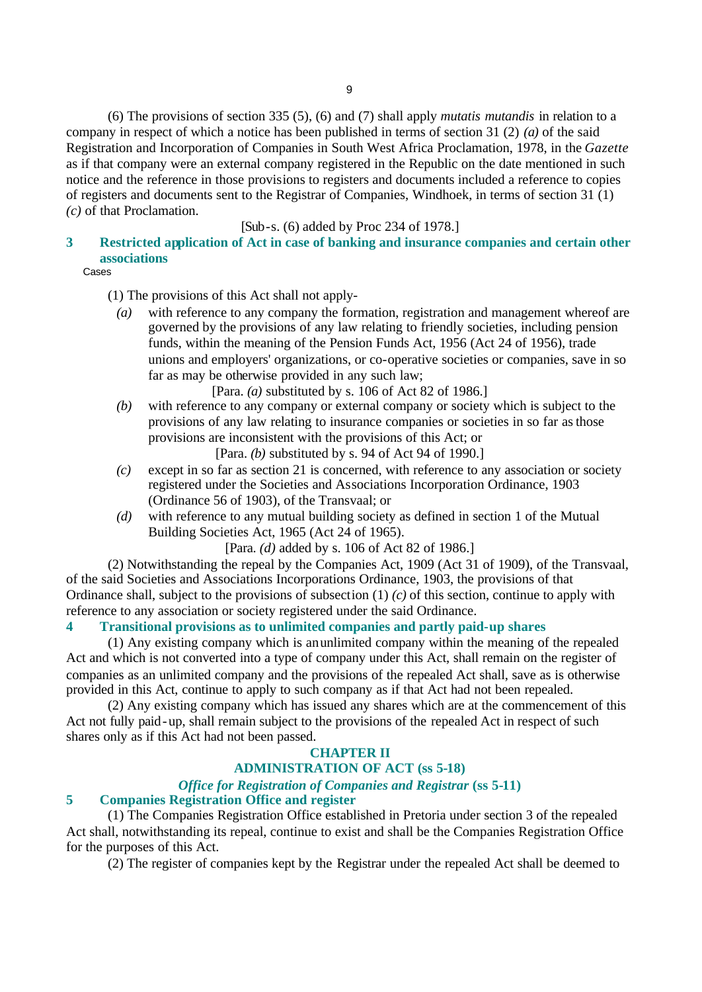(6) The provisions of section 335 (5), (6) and (7) shall apply *mutatis mutandis* in relation to a company in respect of which a notice has been published in terms of section 31 (2) *(a)* of the said Registration and Incorporation of Companies in South West Africa Proclamation, 1978, in the *Gazette* as if that company were an external company registered in the Republic on the date mentioned in such notice and the reference in those provisions to registers and documents included a reference to copies of registers and documents sent to the Registrar of Companies, Windhoek, in terms of section 31 (1) *(c)* of that Proclamation.

# [Sub-s. (6) added by Proc 234 of 1978.]

# **3 Restricted application of Act in case of banking and insurance companies and certain other associations**

Cases

(1) The provisions of this Act shall not apply-

*(a)* with reference to any company the formation, registration and management whereof are governed by the provisions of any law relating to friendly societies, including pension funds, within the meaning of the Pension Funds Act, 1956 (Act 24 of 1956), trade unions and employers' organizations, or co-operative societies or companies, save in so far as may be otherwise provided in any such law;

[Para. *(a)* substituted by s. 106 of Act 82 of 1986.]

*(b)* with reference to any company or external company or society which is subject to the provisions of any law relating to insurance companies or societies in so far as those provisions are inconsistent with the provisions of this Act; or

[Para. *(b)* substituted by s. 94 of Act 94 of 1990.]

- *(c)* except in so far as section 21 is concerned, with reference to any association or society registered under the Societies and Associations Incorporation Ordinance, 1903 (Ordinance 56 of 1903), of the Transvaal; or
- *(d)* with reference to any mutual building society as defined in section 1 of the Mutual Building Societies Act, 1965 (Act 24 of 1965).

[Para. *(d)* added by s. 106 of Act 82 of 1986.]

(2) Notwithstanding the repeal by the Companies Act, 1909 (Act 31 of 1909), of the Transvaal, of the said Societies and Associations Incorporations Ordinance, 1903, the provisions of that Ordinance shall, subject to the provisions of subsection (1) *(c)* of this section, continue to apply with reference to any association or society registered under the said Ordinance.

# **4 Transitional provisions as to unlimited companies and partly paid-up shares**

(1) Any existing company which is an unlimited company within the meaning of the repealed Act and which is not converted into a type of company under this Act, shall remain on the register of companies as an unlimited company and the provisions of the repealed Act shall, save as is otherwise provided in this Act, continue to apply to such company as if that Act had not been repealed.

(2) Any existing company which has issued any shares which are at the commencement of this Act not fully paid-up, shall remain subject to the provisions of the repealed Act in respect of such shares only as if this Act had not been passed.

#### **CHAPTER II**

# **ADMINISTRATION OF ACT (ss 5-18)**

#### *Office for Registration of Companies and Registrar* **(ss 5-11)**

#### **5 Companies Registration Office and register**

(1) The Companies Registration Office established in Pretoria under section 3 of the repealed Act shall, notwithstanding its repeal, continue to exist and shall be the Companies Registration Office for the purposes of this Act.

(2) The register of companies kept by the Registrar under the repealed Act shall be deemed to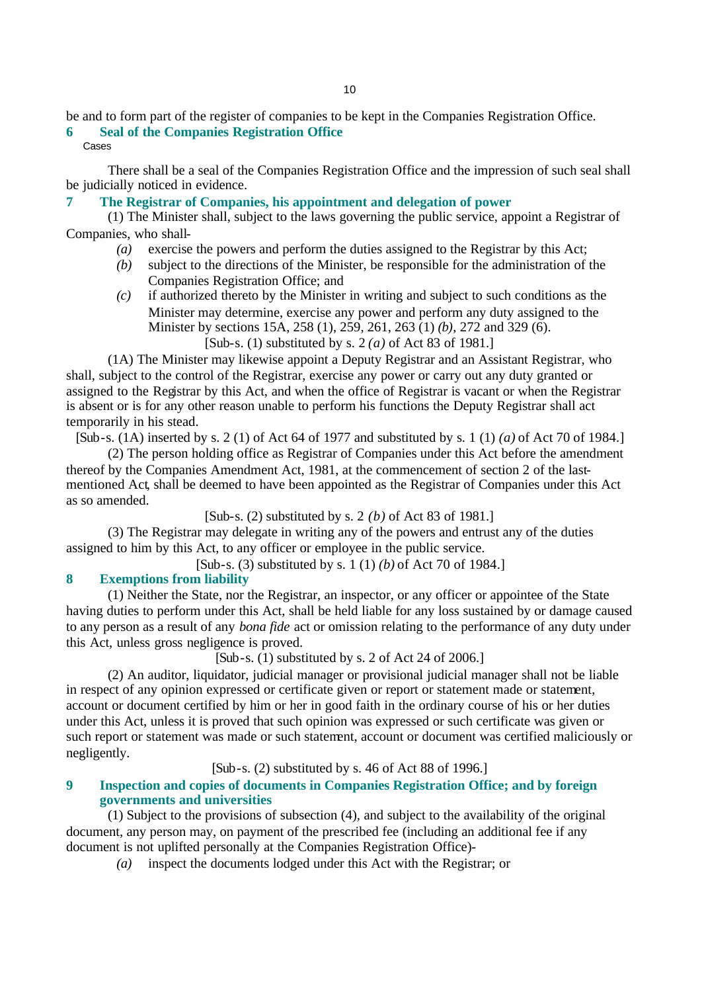be and to form part of the register of companies to be kept in the Companies Registration Office.

# **6 Seal of the Companies Registration Office**

#### Cases

There shall be a seal of the Companies Registration Office and the impression of such seal shall be judicially noticed in evidence.

# **7 The Registrar of Companies, his appointment and delegation of power**

(1) The Minister shall, subject to the laws governing the public service, appoint a Registrar of Companies, who shall-

- *(a)* exercise the powers and perform the duties assigned to the Registrar by this Act;
- *(b)* subject to the directions of the Minister, be responsible for the administration of the Companies Registration Office; and
- *(c)* if authorized thereto by the Minister in writing and subject to such conditions as the Minister may determine, exercise any power and perform any duty assigned to the Minister by sections 15A, 258 (1), 259, 261, 263 (1) *(b)*, 272 and 329 (6). [Sub-s. (1) substituted by s. 2 *(a)* of Act 83 of 1981.]

(1A) The Minister may likewise appoint a Deputy Registrar and an Assistant Registrar, who shall, subject to the control of the Registrar, exercise any power or carry out any duty granted or assigned to the Registrar by this Act, and when the office of Registrar is vacant or when the Registrar is absent or is for any other reason unable to perform his functions the Deputy Registrar shall act temporarily in his stead.

[Sub-s. (1A) inserted by s. 2 (1) of Act 64 of 1977 and substituted by s. 1 (1) *(a)* of Act 70 of 1984.]

(2) The person holding office as Registrar of Companies under this Act before the amendment thereof by the Companies Amendment Act, 1981, at the commencement of section 2 of the lastmentioned Act, shall be deemed to have been appointed as the Registrar of Companies under this Act as so amended.

[Sub-s. (2) substituted by s. 2 *(b)* of Act 83 of 1981.]

(3) The Registrar may delegate in writing any of the powers and entrust any of the duties assigned to him by this Act, to any officer or employee in the public service.

[Sub-s. (3) substituted by s. 1 (1) *(b)* of Act 70 of 1984.]

# **8 Exemptions from liability**

(1) Neither the State, nor the Registrar, an inspector, or any officer or appointee of the State having duties to perform under this Act, shall be held liable for any loss sustained by or damage caused to any person as a result of any *bona fide* act or omission relating to the performance of any duty under this Act, unless gross negligence is proved.

 $[Sub-s. (1)$  substituted by s. 2 of Act 24 of 2006.]

(2) An auditor, liquidator, judicial manager or provisional judicial manager shall not be liable in respect of any opinion expressed or certificate given or report or statement made or statement, account or document certified by him or her in good faith in the ordinary course of his or her duties under this Act, unless it is proved that such opinion was expressed or such certificate was given or such report or statement was made or such statement, account or document was certified maliciously or negligently.

[Sub-s. (2) substituted by s. 46 of Act 88 of 1996.]

# **9 Inspection and copies of documents in Companies Registration Office; and by foreign governments and universities**

(1) Subject to the provisions of subsection (4), and subject to the availability of the original document, any person may, on payment of the prescribed fee (including an additional fee if any document is not uplifted personally at the Companies Registration Office)-

*(a)* inspect the documents lodged under this Act with the Registrar; or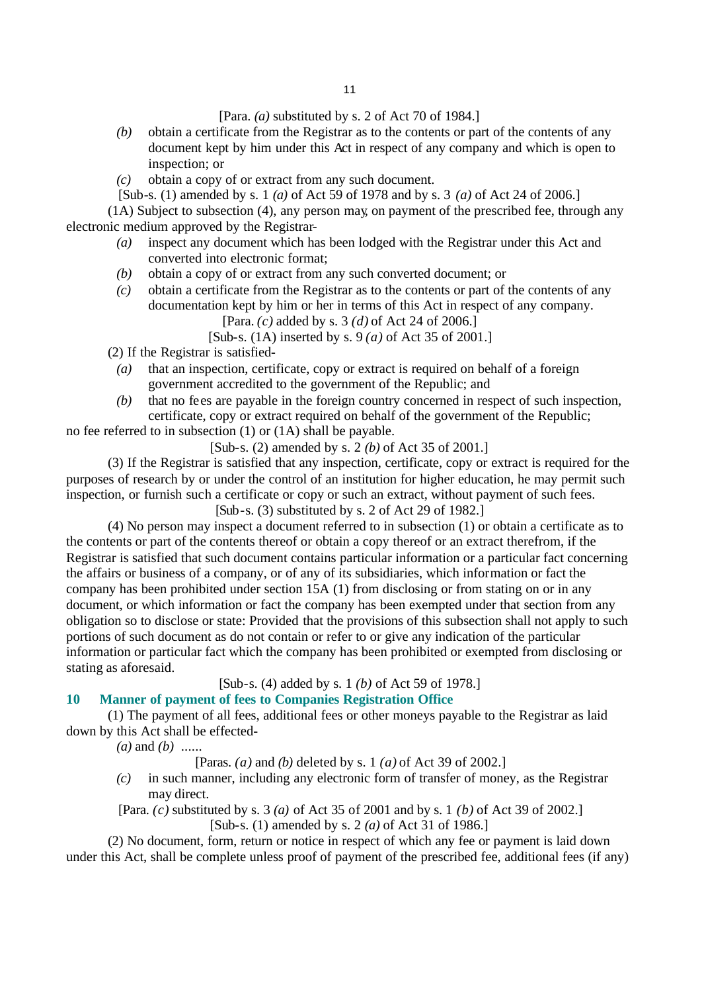[Para. *(a)* substituted by s. 2 of Act 70 of 1984.]

- *(b)* obtain a certificate from the Registrar as to the contents or part of the contents of any document kept by him under this Act in respect of any company and which is open to inspection; or
- *(c)* obtain a copy of or extract from any such document.
- [Sub-s. (1) amended by s. 1 *(a)* of Act 59 of 1978 and by s. 3 *(a)* of Act 24 of 2006.]

(1A) Subject to subsection (4), any person may, on payment of the prescribed fee, through any electronic medium approved by the Registrar-

- *(a)* inspect any document which has been lodged with the Registrar under this Act and converted into electronic format;
- *(b)* obtain a copy of or extract from any such converted document; or
- *(c)* obtain a certificate from the Registrar as to the contents or part of the contents of any documentation kept by him or her in terms of this Act in respect of any company.
	- [Para. *(c)* added by s. 3 *(d)* of Act 24 of 2006.]

[Sub-s. (1A) inserted by s. 9 *(a)* of Act 35 of 2001.]

(2) If the Registrar is satisfied-

- *(a)* that an inspection, certificate, copy or extract is required on behalf of a foreign government accredited to the government of the Republic; and
- *(b)* that no fees are payable in the foreign country concerned in respect of such inspection, certificate, copy or extract required on behalf of the government of the Republic;

no fee referred to in subsection (1) or (1A) shall be payable.

[Sub-s. (2) amended by s. 2 *(b)* of Act 35 of 2001.]

(3) If the Registrar is satisfied that any inspection, certificate, copy or extract is required for the purposes of research by or under the control of an institution for higher education, he may permit such inspection, or furnish such a certificate or copy or such an extract, without payment of such fees.

[Sub-s. (3) substituted by s. 2 of Act 29 of 1982.]

(4) No person may inspect a document referred to in subsection (1) or obtain a certificate as to the contents or part of the contents thereof or obtain a copy thereof or an extract therefrom, if the Registrar is satisfied that such document contains particular information or a particular fact concerning the affairs or business of a company, or of any of its subsidiaries, which information or fact the company has been prohibited under section 15A (1) from disclosing or from stating on or in any document, or which information or fact the company has been exempted under that section from any obligation so to disclose or state: Provided that the provisions of this subsection shall not apply to such portions of such document as do not contain or refer to or give any indication of the particular information or particular fact which the company has been prohibited or exempted from disclosing or stating as aforesaid.

[Sub-s. (4) added by s. 1 *(b)* of Act 59 of 1978.]

# **10 Manner of payment of fees to Companies Registration Office**

(1) The payment of all fees, additional fees or other moneys payable to the Registrar as laid down by this Act shall be effected-

*(a)* and *(b)* ......

[Paras. *(a)* and *(b)* deleted by s. 1 *(a)* of Act 39 of 2002.]

*(c)* in such manner, including any electronic form of transfer of money, as the Registrar may direct.

[Para. *(c)* substituted by s. 3 *(a)* of Act 35 of 2001 and by s. 1 *(b)* of Act 39 of 2002.] [Sub-s. (1) amended by s. 2 *(a)* of Act 31 of 1986.]

(2) No document, form, return or notice in respect of which any fee or payment is laid down under this Act, shall be complete unless proof of payment of the prescribed fee, additional fees (if any)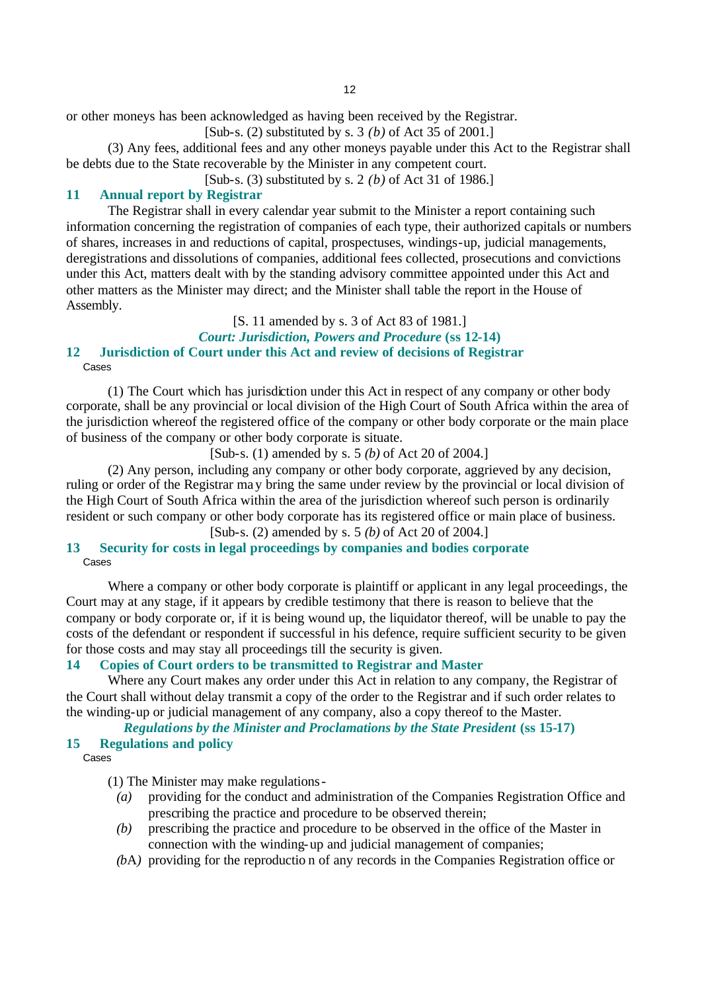12

or other moneys has been acknowledged as having been received by the Registrar.

[Sub-s. (2) substituted by s. 3 *(b)* of Act 35 of 2001.]

(3) Any fees, additional fees and any other moneys payable under this Act to the Registrar shall be debts due to the State recoverable by the Minister in any competent court.

[Sub-s. (3) substituted by s. 2 *(b)* of Act 31 of 1986.]

# **11 Annual report by Registrar**

The Registrar shall in every calendar year submit to the Minister a report containing such information concerning the registration of companies of each type, their authorized capitals or numbers of shares, increases in and reductions of capital, prospectuses, windings-up, judicial managements, deregistrations and dissolutions of companies, additional fees collected, prosecutions and convictions under this Act, matters dealt with by the standing advisory committee appointed under this Act and other matters as the Minister may direct; and the Minister shall table the report in the House of Assembly.

[S. 11 amended by s. 3 of Act 83 of 1981.]

#### *Court: Jurisdiction, Powers and Procedure* **(ss 12-14) 12 Jurisdiction of Court under this Act and review of decisions of Registrar** Cases

(1) The Court which has jurisdiction under this Act in respect of any company or other body corporate, shall be any provincial or local division of the High Court of South Africa within the area of the jurisdiction whereof the registered office of the company or other body corporate or the main place of business of the company or other body corporate is situate.

[Sub-s. (1) amended by s. 5 *(b)* of Act 20 of 2004.]

(2) Any person, including any company or other body corporate, aggrieved by any decision, ruling or order of the Registrar may bring the same under review by the provincial or local division of the High Court of South Africa within the area of the jurisdiction whereof such person is ordinarily resident or such company or other body corporate has its registered office or main place of business.

[Sub-s. (2) amended by s. 5 *(b)* of Act 20 of 2004.]

# **13 Security for costs in legal proceedings by companies and bodies corporate** Cases

Where a company or other body corporate is plaintiff or applicant in any legal proceedings, the Court may at any stage, if it appears by credible testimony that there is reason to believe that the company or body corporate or, if it is being wound up, the liquidator thereof, will be unable to pay the costs of the defendant or respondent if successful in his defence, require sufficient security to be given for those costs and may stay all proceedings till the security is given.

# **14 Copies of Court orders to be transmitted to Registrar and Master**

Where any Court makes any order under this Act in relation to any company, the Registrar of the Court shall without delay transmit a copy of the order to the Registrar and if such order relates to the winding-up or judicial management of any company, also a copy thereof to the Master.

# *Regulations by the Minister and Proclamations by the State President* **(ss 15-17)**

# **15 Regulations and policy**

Cases

(1) The Minister may make regulations-

- *(a)* providing for the conduct and administration of the Companies Registration Office and prescribing the practice and procedure to be observed therein;
- *(b)* prescribing the practice and procedure to be observed in the office of the Master in connection with the winding-up and judicial management of companies;
- *(b*A*)* providing for the reproductio n of any records in the Companies Registration office or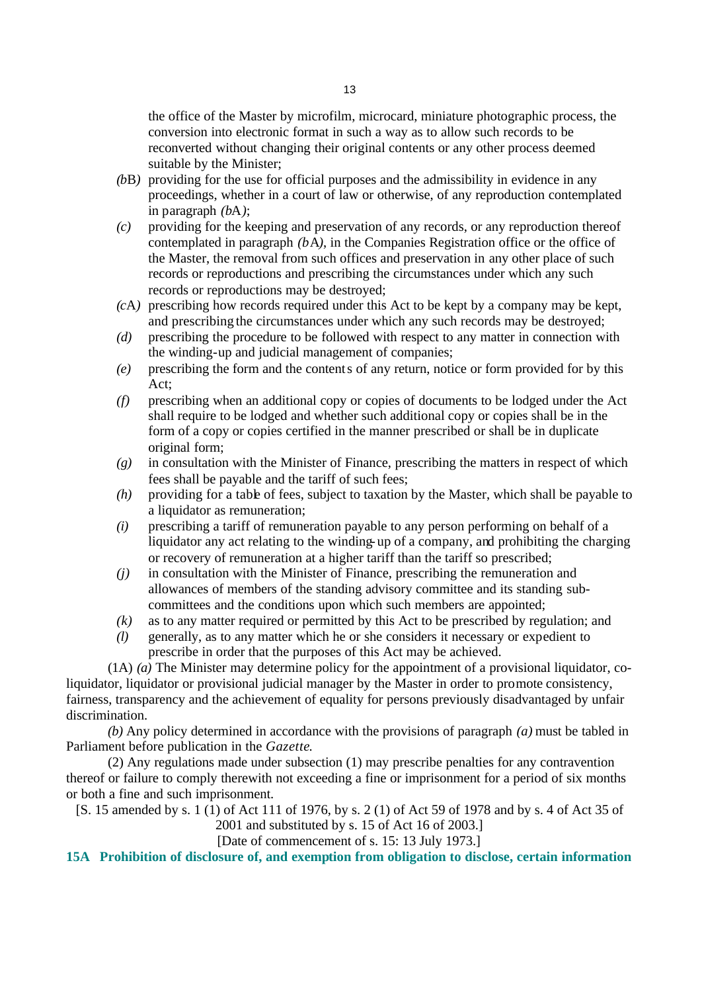the office of the Master by microfilm, microcard, miniature photographic process, the conversion into electronic format in such a way as to allow such records to be reconverted without changing their original contents or any other process deemed suitable by the Minister;

- *(b*B*)* providing for the use for official purposes and the admissibility in evidence in any proceedings, whether in a court of law or otherwise, of any reproduction contemplated in paragraph *(b*A*)*;
- *(c)* providing for the keeping and preservation of any records, or any reproduction thereof contemplated in paragraph *(b*A*)*, in the Companies Registration office or the office of the Master, the removal from such offices and preservation in any other place of such records or reproductions and prescribing the circumstances under which any such records or reproductions may be destroyed;
- *(c*A*)* prescribing how records required under this Act to be kept by a company may be kept, and prescribing the circumstances under which any such records may be destroyed;
- *(d)* prescribing the procedure to be followed with respect to any matter in connection with the winding-up and judicial management of companies;
- *(e)* prescribing the form and the contents of any return, notice or form provided for by this Act;
- *(f)* prescribing when an additional copy or copies of documents to be lodged under the Act shall require to be lodged and whether such additional copy or copies shall be in the form of a copy or copies certified in the manner prescribed or shall be in duplicate original form;
- *(g)* in consultation with the Minister of Finance, prescribing the matters in respect of which fees shall be payable and the tariff of such fees;
- *(h)* providing for a table of fees, subject to taxation by the Master, which shall be payable to a liquidator as remuneration;
- *(i)* prescribing a tariff of remuneration payable to any person performing on behalf of a liquidator any act relating to the winding-up of a company, and prohibiting the charging or recovery of remuneration at a higher tariff than the tariff so prescribed;
- *(j)* in consultation with the Minister of Finance, prescribing the remuneration and allowances of members of the standing advisory committee and its standing subcommittees and the conditions upon which such members are appointed;
- *(k)* as to any matter required or permitted by this Act to be prescribed by regulation; and
- *(l)* generally, as to any matter which he or she considers it necessary or expedient to prescribe in order that the purposes of this Act may be achieved.

(1A) *(a)* The Minister may determine policy for the appointment of a provisional liquidator, coliquidator, liquidator or provisional judicial manager by the Master in order to promote consistency, fairness, transparency and the achievement of equality for persons previously disadvantaged by unfair discrimination.

*(b)* Any policy determined in accordance with the provisions of paragraph *(a)* must be tabled in Parliament before publication in the *Gazette*.

(2) Any regulations made under subsection (1) may prescribe penalties for any contravention thereof or failure to comply therewith not exceeding a fine or imprisonment for a period of six months or both a fine and such imprisonment.

[S. 15 amended by s. 1 (1) of Act 111 of 1976, by s. 2 (1) of Act 59 of 1978 and by s. 4 of Act 35 of 2001 and substituted by s. 15 of Act 16 of 2003.]

[Date of commencement of s. 15: 13 July 1973.]

# **15A Prohibition of disclosure of, and exemption from obligation to disclose, certain information**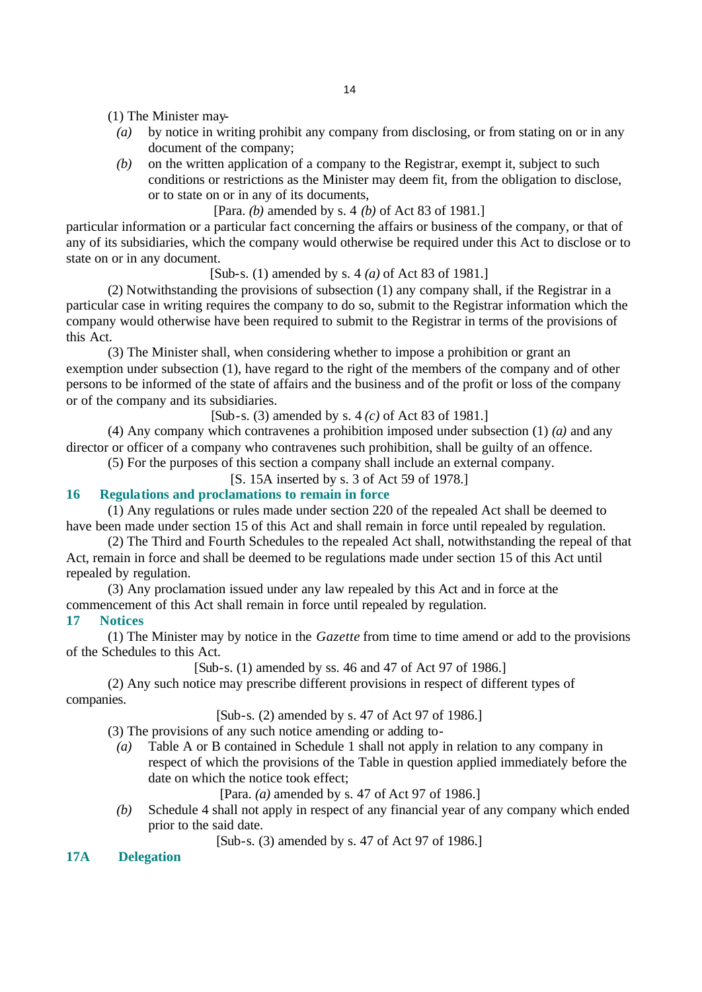(1) The Minister may-

- *(a)* by notice in writing prohibit any company from disclosing, or from stating on or in any document of the company;
- *(b)* on the written application of a company to the Registrar, exempt it, subject to such conditions or restrictions as the Minister may deem fit, from the obligation to disclose, or to state on or in any of its documents,

[Para. *(b)* amended by s. 4 *(b)* of Act 83 of 1981.]

particular information or a particular fact concerning the affairs or business of the company, or that of any of its subsidiaries, which the company would otherwise be required under this Act to disclose or to state on or in any document.

[Sub-s. (1) amended by s. 4 *(a)* of Act 83 of 1981.]

(2) Notwithstanding the provisions of subsection (1) any company shall, if the Registrar in a particular case in writing requires the company to do so, submit to the Registrar information which the company would otherwise have been required to submit to the Registrar in terms of the provisions of this Act.

(3) The Minister shall, when considering whether to impose a prohibition or grant an exemption under subsection (1), have regard to the right of the members of the company and of other persons to be informed of the state of affairs and the business and of the profit or loss of the company or of the company and its subsidiaries.

[Sub-s. (3) amended by s. 4 *(c)* of Act 83 of 1981.]

(4) Any company which contravenes a prohibition imposed under subsection (1) *(a)* and any director or officer of a company who contravenes such prohibition, shall be guilty of an offence.

(5) For the purposes of this section a company shall include an external company.

[S. 15A inserted by s. 3 of Act 59 of 1978.]

# **16 Regulations and proclamations to remain in force**

(1) Any regulations or rules made under section 220 of the repealed Act shall be deemed to have been made under section 15 of this Act and shall remain in force until repealed by regulation.

(2) The Third and Fourth Schedules to the repealed Act shall, notwithstanding the repeal of that Act, remain in force and shall be deemed to be regulations made under section 15 of this Act until repealed by regulation.

(3) Any proclamation issued under any law repealed by this Act and in force at the commencement of this Act shall remain in force until repealed by regulation.

# **17 Notices**

(1) The Minister may by notice in the *Gazette* from time to time amend or add to the provisions of the Schedules to this Act.

[Sub-s. (1) amended by ss. 46 and 47 of Act 97 of 1986.]

(2) Any such notice may prescribe different provisions in respect of different types of companies.

[Sub-s. (2) amended by s. 47 of Act 97 of 1986.]

(3) The provisions of any such notice amending or adding to-

*(a)* Table A or B contained in Schedule 1 shall not apply in relation to any company in respect of which the provisions of the Table in question applied immediately before the date on which the notice took effect;

[Para. *(a)* amended by s. 47 of Act 97 of 1986.]

*(b)* Schedule 4 shall not apply in respect of any financial year of any company which ended prior to the said date.

[Sub-s. (3) amended by s. 47 of Act 97 of 1986.]

# **17A Delegation**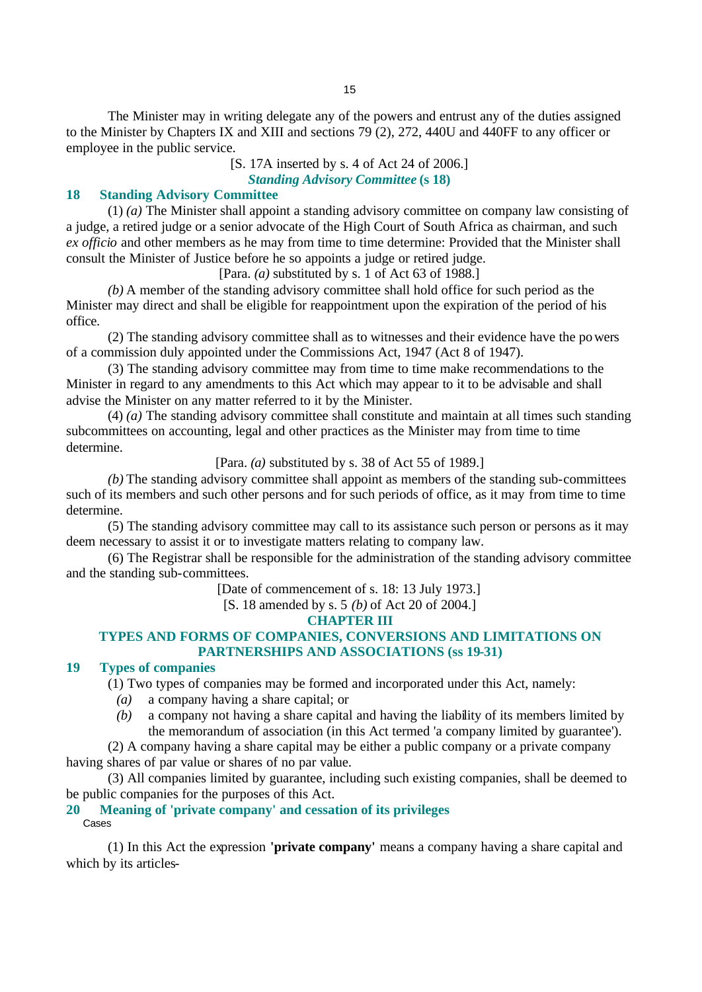The Minister may in writing delegate any of the powers and entrust any of the duties assigned to the Minister by Chapters IX and XIII and sections 79 (2), 272, 440U and 440FF to any officer or employee in the public service.

# [S. 17A inserted by s. 4 of Act 24 of 2006.] *Standing Advisory Committee* **(s 18)**

#### **18 Standing Advisory Committee**

(1) *(a)* The Minister shall appoint a standing advisory committee on company law consisting of a judge, a retired judge or a senior advocate of the High Court of South Africa as chairman, and such *ex officio* and other members as he may from time to time determine: Provided that the Minister shall consult the Minister of Justice before he so appoints a judge or retired judge.

[Para. *(a)* substituted by s. 1 of Act 63 of 1988.]

*(b)* A member of the standing advisory committee shall hold office for such period as the Minister may direct and shall be eligible for reappointment upon the expiration of the period of his office.

(2) The standing advisory committee shall as to witnesses and their evidence have the powers of a commission duly appointed under the Commissions Act, 1947 (Act 8 of 1947).

(3) The standing advisory committee may from time to time make recommendations to the Minister in regard to any amendments to this Act which may appear to it to be advisable and shall advise the Minister on any matter referred to it by the Minister.

(4) *(a)* The standing advisory committee shall constitute and maintain at all times such standing subcommittees on accounting, legal and other practices as the Minister may from time to time determine.

[Para. *(a)* substituted by s. 38 of Act 55 of 1989.]

*(b)* The standing advisory committee shall appoint as members of the standing sub-committees such of its members and such other persons and for such periods of office, as it may from time to time determine.

(5) The standing advisory committee may call to its assistance such person or persons as it may deem necessary to assist it or to investigate matters relating to company law.

(6) The Registrar shall be responsible for the administration of the standing advisory committee and the standing sub-committees.

[Date of commencement of s. 18: 13 July 1973.]

[S. 18 amended by s. 5 *(b)* of Act 20 of 2004.]

#### **CHAPTER III**

# **TYPES AND FORMS OF COMPANIES, CONVERSIONS AND LIMITATIONS ON PARTNERSHIPS AND ASSOCIATIONS (ss 19-31)**

# **19 Types of companies**

(1) Two types of companies may be formed and incorporated under this Act, namely:

- *(a)* a company having a share capital; or
- *(b)* a company not having a share capital and having the liability of its members limited by the memorandum of association (in this Act termed 'a company limited by guarantee').

(2) A company having a share capital may be either a public company or a private company having shares of par value or shares of no par value.

(3) All companies limited by guarantee, including such existing companies, shall be deemed to be public companies for the purposes of this Act.

# **20 Meaning of 'private company' and cessation of its privileges**

Cases

(1) In this Act the expression **'private company'** means a company having a share capital and which by its articles-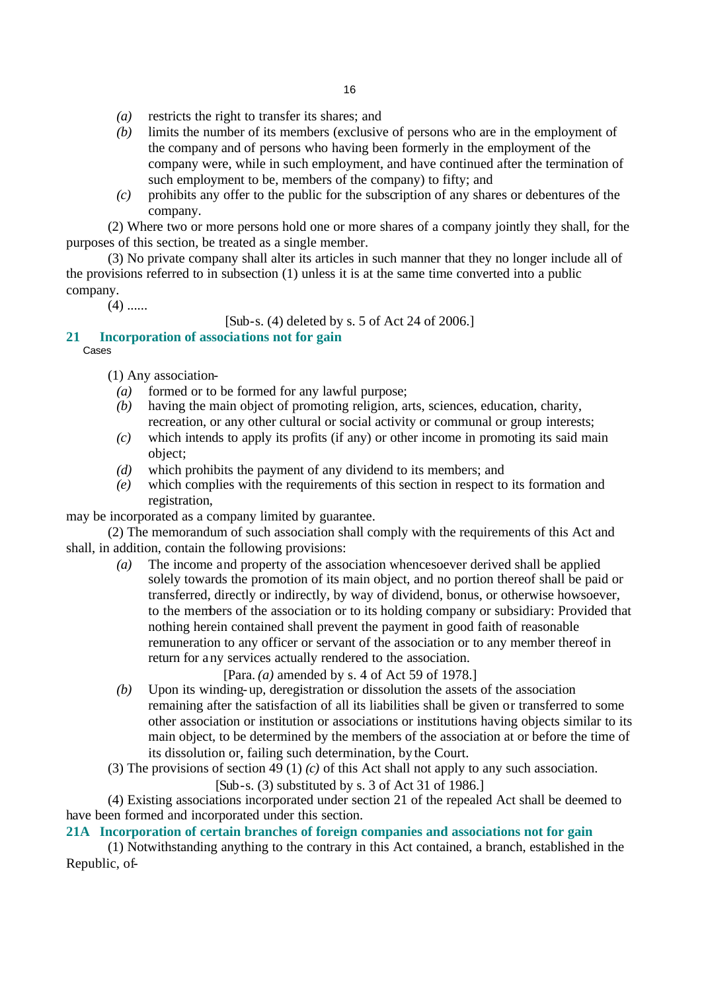- *(a)* restricts the right to transfer its shares; and
- *(b)* limits the number of its members (exclusive of persons who are in the employment of the company and of persons who having been formerly in the employment of the company were, while in such employment, and have continued after the termination of such employment to be, members of the company) to fifty; and
- *(c)* prohibits any offer to the public for the subscription of any shares or debentures of the company.

(2) Where two or more persons hold one or more shares of a company jointly they shall, for the purposes of this section, be treated as a single member.

(3) No private company shall alter its articles in such manner that they no longer include all of the provisions referred to in subsection (1) unless it is at the same time converted into a public company.

 $(4)$  ......

# [Sub-s. (4) deleted by s. 5 of Act 24 of 2006.]

#### **21 Incorporation of associations not for gain** Cases

(1) Any association-

- *(a)* formed or to be formed for any lawful purpose;
- *(b)* having the main object of promoting religion, arts, sciences, education, charity, recreation, or any other cultural or social activity or communal or group interests;
- *(c)* which intends to apply its profits (if any) or other income in promoting its said main object;
- *(d)* which prohibits the payment of any dividend to its members; and
- *(e)* which complies with the requirements of this section in respect to its formation and registration,

may be incorporated as a company limited by guarantee.

(2) The memorandum of such association shall comply with the requirements of this Act and shall, in addition, contain the following provisions:

*(a)* The income and property of the association whencesoever derived shall be applied solely towards the promotion of its main object, and no portion thereof shall be paid or transferred, directly or indirectly, by way of dividend, bonus, or otherwise howsoever, to the members of the association or to its holding company or subsidiary: Provided that nothing herein contained shall prevent the payment in good faith of reasonable remuneration to any officer or servant of the association or to any member thereof in return for any services actually rendered to the association.

[Para. *(a)* amended by s. 4 of Act 59 of 1978.]

*(b)* Upon its winding-up, deregistration or dissolution the assets of the association remaining after the satisfaction of all its liabilities shall be given or transferred to some other association or institution or associations or institutions having objects similar to its main object, to be determined by the members of the association at or before the time of its dissolution or, failing such determination, by the Court.

(3) The provisions of section  $49(1)(c)$  of this Act shall not apply to any such association.

[Sub-s. (3) substituted by s. 3 of Act 31 of 1986.]

(4) Existing associations incorporated under section 21 of the repealed Act shall be deemed to have been formed and incorporated under this section.

# **21A Incorporation of certain branches of foreign companies and associations not for gain**

(1) Notwithstanding anything to the contrary in this Act contained, a branch, established in the Republic, of-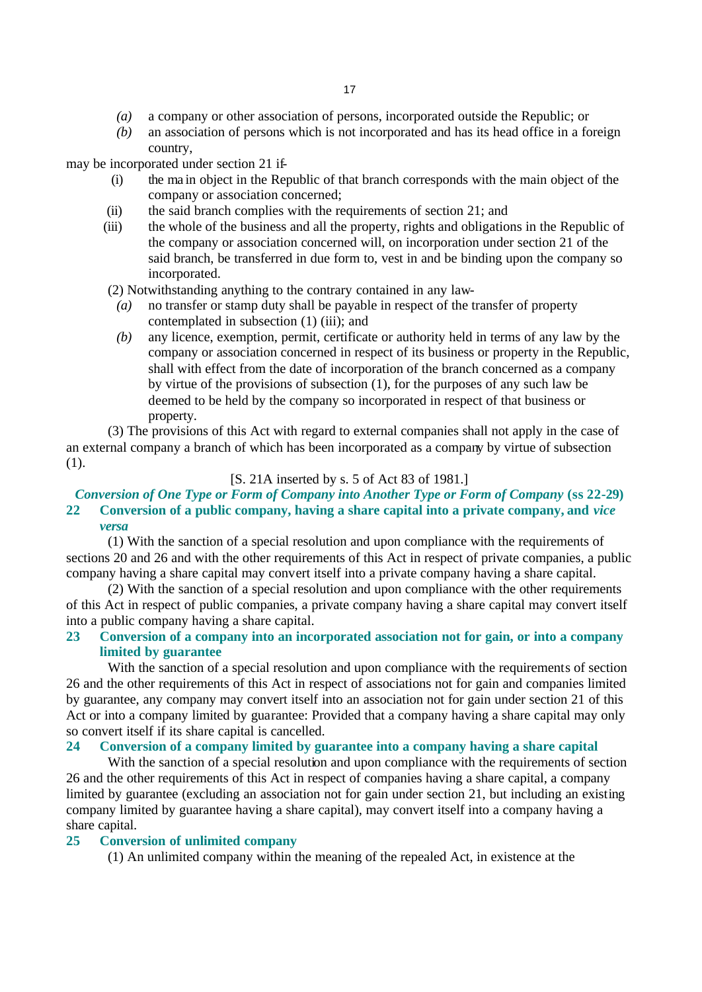- *(a)* a company or other association of persons, incorporated outside the Republic; or
- *(b)* an association of persons which is not incorporated and has its head office in a foreign country,

may be incorporated under section 21 if-

- (i) the ma in object in the Republic of that branch corresponds with the main object of the company or association concerned;
- (ii) the said branch complies with the requirements of section 21; and
- (iii) the whole of the business and all the property, rights and obligations in the Republic of the company or association concerned will, on incorporation under section 21 of the said branch, be transferred in due form to, vest in and be binding upon the company so incorporated.
- (2) Notwithstanding anything to the contrary contained in any law-
	- *(a)* no transfer or stamp duty shall be payable in respect of the transfer of property contemplated in subsection (1) (iii); and
	- *(b)* any licence, exemption, permit, certificate or authority held in terms of any law by the company or association concerned in respect of its business or property in the Republic, shall with effect from the date of incorporation of the branch concerned as a company by virtue of the provisions of subsection (1), for the purposes of any such law be deemed to be held by the company so incorporated in respect of that business or property.

(3) The provisions of this Act with regard to external companies shall not apply in the case of an external company a branch of which has been incorporated as a company by virtue of subsection (1).

#### [S. 21A inserted by s. 5 of Act 83 of 1981.]

#### *Conversion of One Type or Form of Company into Another Type or Form of Company* **(ss 22-29) 22 Conversion of a public company, having a share capital into a private company, and** *vice versa*

(1) With the sanction of a special resolution and upon compliance with the requirements of sections 20 and 26 and with the other requirements of this Act in respect of private companies, a public company having a share capital may convert itself into a private company having a share capital.

(2) With the sanction of a special resolution and upon compliance with the other requirements of this Act in respect of public companies, a private company having a share capital may convert itself into a public company having a share capital.

# **23 Conversion of a company into an incorporated association not for gain, or into a company limited by guarantee**

With the sanction of a special resolution and upon compliance with the requirements of section 26 and the other requirements of this Act in respect of associations not for gain and companies limited by guarantee, any company may convert itself into an association not for gain under section 21 of this Act or into a company limited by guarantee: Provided that a company having a share capital may only so convert itself if its share capital is cancelled.

#### **24 Conversion of a company limited by guarantee into a company having a share capital**

With the sanction of a special resolution and upon compliance with the requirements of section 26 and the other requirements of this Act in respect of companies having a share capital, a company limited by guarantee (excluding an association not for gain under section 21, but including an existing company limited by guarantee having a share capital), may convert itself into a company having a share capital.

#### **25 Conversion of unlimited company**

(1) An unlimited company within the meaning of the repealed Act, in existence at the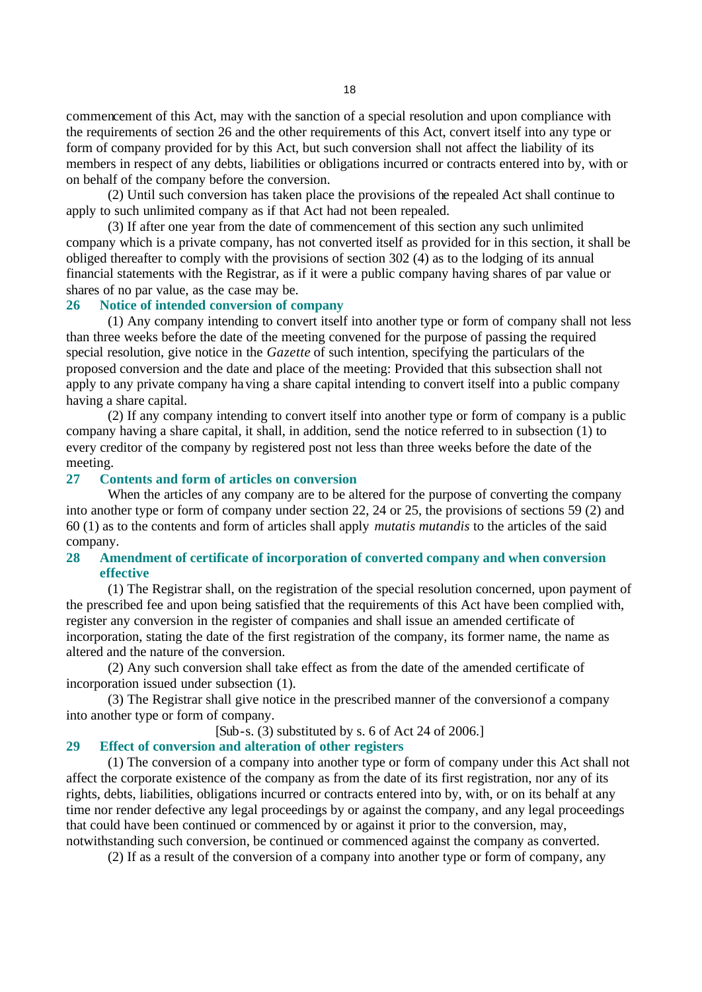commencement of this Act, may with the sanction of a special resolution and upon compliance with the requirements of section 26 and the other requirements of this Act, convert itself into any type or form of company provided for by this Act, but such conversion shall not affect the liability of its members in respect of any debts, liabilities or obligations incurred or contracts entered into by, with or on behalf of the company before the conversion.

(2) Until such conversion has taken place the provisions of the repealed Act shall continue to apply to such unlimited company as if that Act had not been repealed.

(3) If after one year from the date of commencement of this section any such unlimited company which is a private company, has not converted itself as provided for in this section, it shall be obliged thereafter to comply with the provisions of section 302 (4) as to the lodging of its annual financial statements with the Registrar, as if it were a public company having shares of par value or shares of no par value, as the case may be.

#### **26 Notice of intended conversion of company**

(1) Any company intending to convert itself into another type or form of company shall not less than three weeks before the date of the meeting convened for the purpose of passing the required special resolution, give notice in the *Gazette* of such intention, specifying the particulars of the proposed conversion and the date and place of the meeting: Provided that this subsection shall not apply to any private company having a share capital intending to convert itself into a public company having a share capital.

(2) If any company intending to convert itself into another type or form of company is a public company having a share capital, it shall, in addition, send the notice referred to in subsection (1) to every creditor of the company by registered post not less than three weeks before the date of the meeting.

# **27 Contents and form of articles on conversion**

When the articles of any company are to be altered for the purpose of converting the company into another type or form of company under section 22, 24 or 25, the provisions of sections 59 (2) and 60 (1) as to the contents and form of articles shall apply *mutatis mutandis* to the articles of the said company.

#### **28 Amendment of certificate of incorporation of converted company and when conversion effective**

(1) The Registrar shall, on the registration of the special resolution concerned, upon payment of the prescribed fee and upon being satisfied that the requirements of this Act have been complied with, register any conversion in the register of companies and shall issue an amended certificate of incorporation, stating the date of the first registration of the company, its former name, the name as altered and the nature of the conversion.

(2) Any such conversion shall take effect as from the date of the amended certificate of incorporation issued under subsection (1).

(3) The Registrar shall give notice in the prescribed manner of the conversion of a company into another type or form of company.

[Sub-s. (3) substituted by s. 6 of Act 24 of 2006.] **29 Effect of conversion and alteration of other registers**

(1) The conversion of a company into another type or form of company under this Act shall not affect the corporate existence of the company as from the date of its first registration, nor any of its rights, debts, liabilities, obligations incurred or contracts entered into by, with, or on its behalf at any time nor render defective any legal proceedings by or against the company, and any legal proceedings that could have been continued or commenced by or against it prior to the conversion, may, notwithstanding such conversion, be continued or commenced against the company as converted.

(2) If as a result of the conversion of a company into another type or form of company, any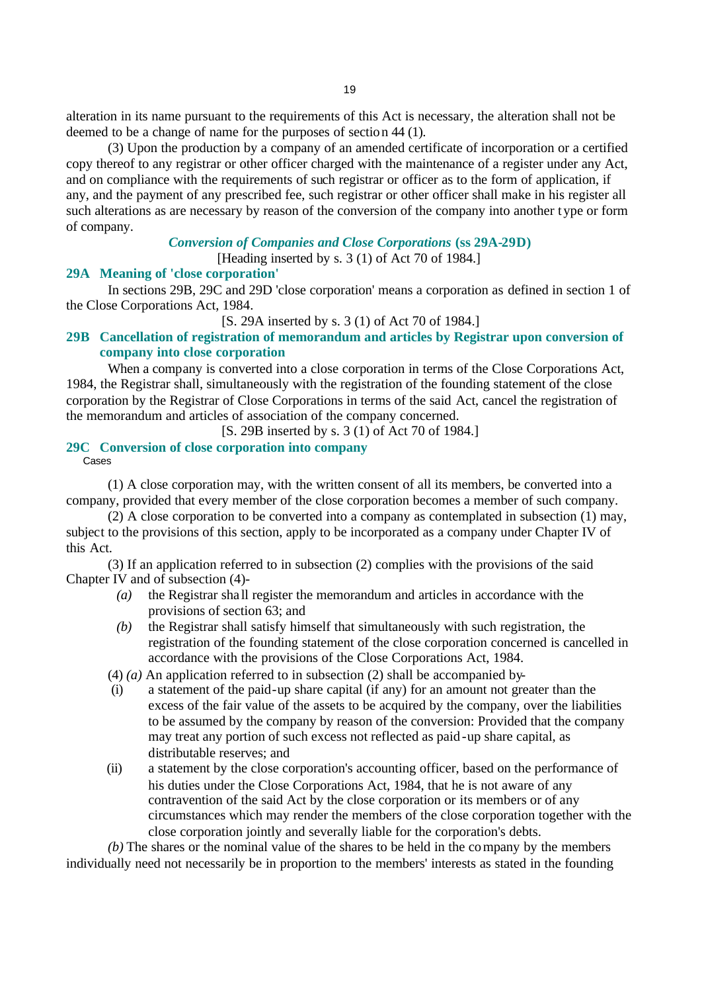alteration in its name pursuant to the requirements of this Act is necessary, the alteration shall not be deemed to be a change of name for the purposes of section 44 (1).

(3) Upon the production by a company of an amended certificate of incorporation or a certified copy thereof to any registrar or other officer charged with the maintenance of a register under any Act, and on compliance with the requirements of such registrar or officer as to the form of application, if any, and the payment of any prescribed fee, such registrar or other officer shall make in his register all such alterations as are necessary by reason of the conversion of the company into another type or form of company.

#### *Conversion of Companies and Close Corporations* **(ss 29A-29D)**

[Heading inserted by s. 3 (1) of Act 70 of 1984.]

# **29A Meaning of 'close corporation'**

In sections 29B, 29C and 29D 'close corporation' means a corporation as defined in section 1 of the Close Corporations Act, 1984.

[S. 29A inserted by s. 3 (1) of Act 70 of 1984.]

# **29B Cancellation of registration of memorandum and articles by Registrar upon conversion of company into close corporation**

When a company is converted into a close corporation in terms of the Close Corporations Act, 1984, the Registrar shall, simultaneously with the registration of the founding statement of the close corporation by the Registrar of Close Corporations in terms of the said Act, cancel the registration of the memorandum and articles of association of the company concerned.

[S. 29B inserted by s. 3 (1) of Act 70 of 1984.]

# **29C Conversion of close corporation into company** Cases

(1) A close corporation may, with the written consent of all its members, be converted into a company, provided that every member of the close corporation becomes a member of such company.

(2) A close corporation to be converted into a company as contemplated in subsection (1) may, subject to the provisions of this section, apply to be incorporated as a company under Chapter IV of this Act.

(3) If an application referred to in subsection (2) complies with the provisions of the said Chapter IV and of subsection (4)-

- *(a)* the Registrar sha ll register the memorandum and articles in accordance with the provisions of section 63; and
- *(b)* the Registrar shall satisfy himself that simultaneously with such registration, the registration of the founding statement of the close corporation concerned is cancelled in accordance with the provisions of the Close Corporations Act, 1984.
- (4) *(a)* An application referred to in subsection (2) shall be accompanied by-
- (i) a statement of the paid-up share capital (if any) for an amount not greater than the excess of the fair value of the assets to be acquired by the company, over the liabilities to be assumed by the company by reason of the conversion: Provided that the company may treat any portion of such excess not reflected as paid -up share capital, as distributable reserves; and
- (ii) a statement by the close corporation's accounting officer, based on the performance of his duties under the Close Corporations Act, 1984, that he is not aware of any contravention of the said Act by the close corporation or its members or of any circumstances which may render the members of the close corporation together with the close corporation jointly and severally liable for the corporation's debts.

*(b)* The shares or the nominal value of the shares to be held in the company by the members individually need not necessarily be in proportion to the members' interests as stated in the founding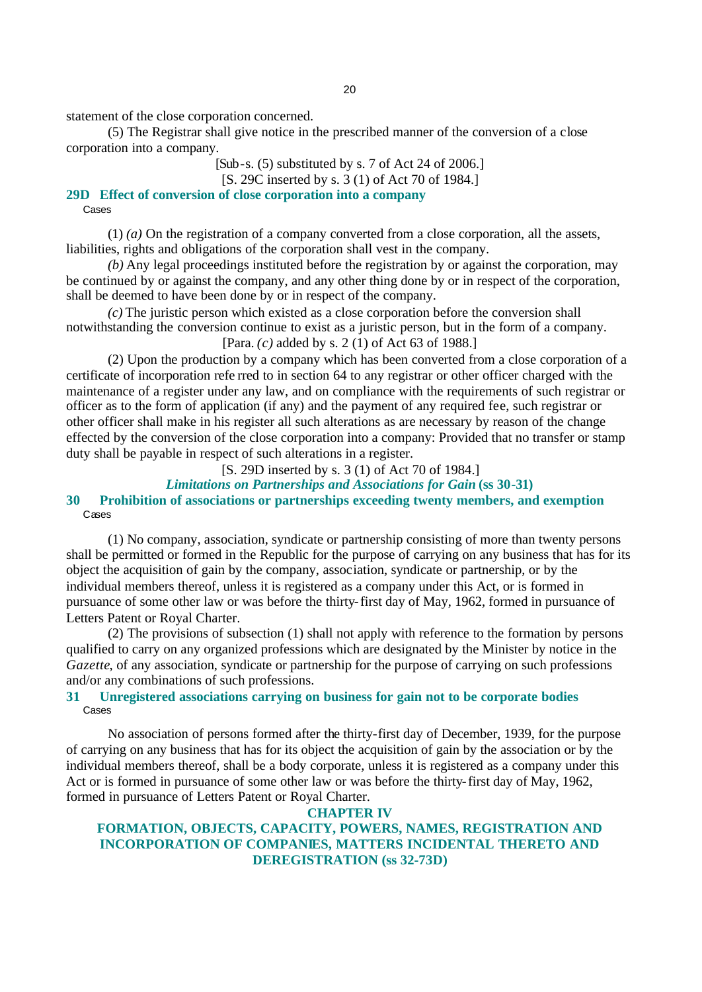statement of the close corporation concerned.

(5) The Registrar shall give notice in the prescribed manner of the conversion of a close corporation into a company.

> [Sub-s. (5) substituted by s. 7 of Act 24 of 2006.] [S. 29C inserted by s. 3 (1) of Act 70 of 1984.]

# **29D Effect of conversion of close corporation into a company**

Cases

(1) *(a)* On the registration of a company converted from a close corporation, all the assets, liabilities, rights and obligations of the corporation shall vest in the company.

*(b)* Any legal proceedings instituted before the registration by or against the corporation, may be continued by or against the company, and any other thing done by or in respect of the corporation, shall be deemed to have been done by or in respect of the company.

*(c)* The juristic person which existed as a close corporation before the conversion shall notwithstanding the conversion continue to exist as a juristic person, but in the form of a company. [Para. *(c)* added by s. 2 (1) of Act 63 of 1988.]

(2) Upon the production by a company which has been converted from a close corporation of a certificate of incorporation refe rred to in section 64 to any registrar or other officer charged with the maintenance of a register under any law, and on compliance with the requirements of such registrar or officer as to the form of application (if any) and the payment of any required fee, such registrar or other officer shall make in his register all such alterations as are necessary by reason of the change effected by the conversion of the close corporation into a company: Provided that no transfer or stamp duty shall be payable in respect of such alterations in a register.

[S. 29D inserted by s. 3 (1) of Act 70 of 1984.]

#### *Limitations on Partnerships and Associations for Gain* **(ss 30-31)**

# **30 Prohibition of associations or partnerships exceeding twenty members, and exemption** Cases

(1) No company, association, syndicate or partnership consisting of more than twenty persons shall be permitted or formed in the Republic for the purpose of carrying on any business that has for its object the acquisition of gain by the company, association, syndicate or partnership, or by the individual members thereof, unless it is registered as a company under this Act, or is formed in pursuance of some other law or was before the thirty-first day of May, 1962, formed in pursuance of Letters Patent or Royal Charter.

(2) The provisions of subsection (1) shall not apply with reference to the formation by persons qualified to carry on any organized professions which are designated by the Minister by notice in the *Gazette*, of any association, syndicate or partnership for the purpose of carrying on such professions and/or any combinations of such professions.

# **31 Unregistered associations carrying on business for gain not to be corporate bodies** Cases

No association of persons formed after the thirty-first day of December, 1939, for the purpose of carrying on any business that has for its object the acquisition of gain by the association or by the individual members thereof, shall be a body corporate, unless it is registered as a company under this Act or is formed in pursuance of some other law or was before the thirty-first day of May, 1962, formed in pursuance of Letters Patent or Royal Charter.

#### **CHAPTER IV**

# **FORMATION, OBJECTS, CAPACITY, POWERS, NAMES, REGISTRATION AND INCORPORATION OF COMPANIES, MATTERS INCIDENTAL THERETO AND DEREGISTRATION (ss 32-73D)**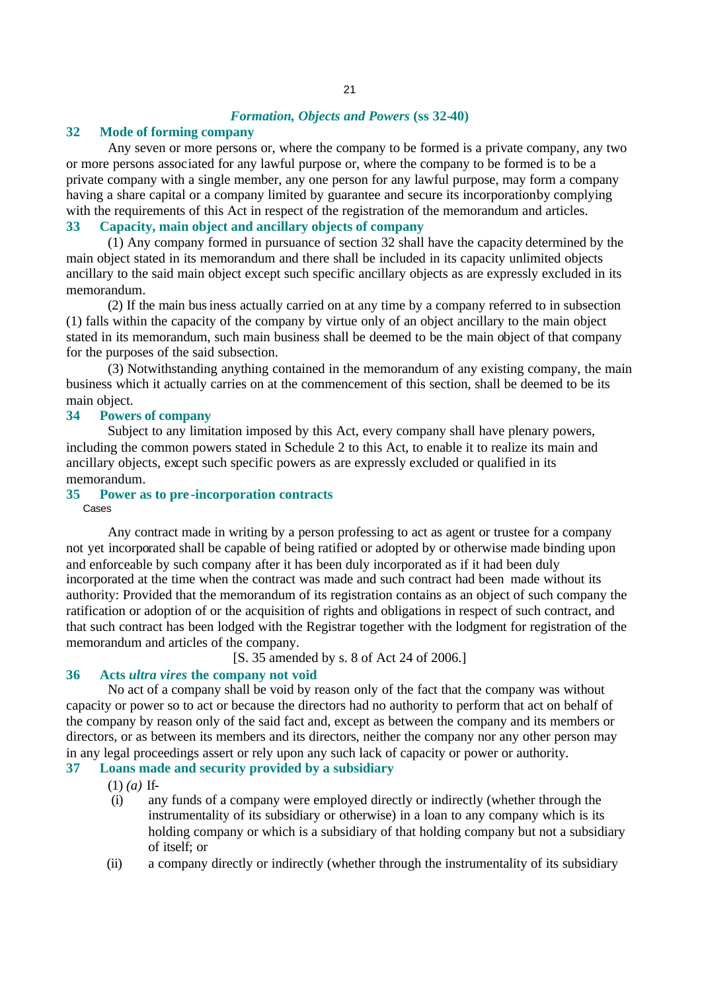# *Formation, Objects and Powers* **(ss 32-40)**

# **32 Mode of forming company**

Any seven or more persons or, where the company to be formed is a private company, any two or more persons associated for any lawful purpose or, where the company to be formed is to be a private company with a single member, any one person for any lawful purpose, may form a company having a share capital or a company limited by guarantee and secure its incorporation by complying with the requirements of this Act in respect of the registration of the memorandum and articles.

# **33 Capacity, main object and ancillary objects of company**

(1) Any company formed in pursuance of section 32 shall have the capacity determined by the main object stated in its memorandum and there shall be included in its capacity unlimited objects ancillary to the said main object except such specific ancillary objects as are expressly excluded in its memorandum.

(2) If the main business actually carried on at any time by a company referred to in subsection (1) falls within the capacity of the company by virtue only of an object ancillary to the main object stated in its memorandum, such main business shall be deemed to be the main object of that company for the purposes of the said subsection.

(3) Notwithstanding anything contained in the memorandum of any existing company, the main business which it actually carries on at the commencement of this section, shall be deemed to be its main object.

## **34 Powers of company**

Subject to any limitation imposed by this Act, every company shall have plenary powers, including the common powers stated in Schedule 2 to this Act, to enable it to realize its main and ancillary objects, except such specific powers as are expressly excluded or qualified in its memorandum.

# **35 Power as to pre -incorporation contracts**

Cases

Any contract made in writing by a person professing to act as agent or trustee for a company not yet incorporated shall be capable of being ratified or adopted by or otherwise made binding upon and enforceable by such company after it has been duly incorporated as if it had been duly incorporated at the time when the contract was made and such contract had been made without its authority: Provided that the memorandum of its registration contains as an object of such company the ratification or adoption of or the acquisition of rights and obligations in respect of such contract, and that such contract has been lodged with the Registrar together with the lodgment for registration of the memorandum and articles of the company.

[S. 35 amended by s. 8 of Act 24 of 2006.]

# **36 Acts** *ultra vires* **the company not void**

No act of a company shall be void by reason only of the fact that the company was without capacity or power so to act or because the directors had no authority to perform that act on behalf of the company by reason only of the said fact and, except as between the company and its members or directors, or as between its members and its directors, neither the company nor any other person may in any legal proceedings assert or rely upon any such lack of capacity or power or authority.

# **37 Loans made and security provided by a subsidiary**

- (1) *(a)* If-
- (i) any funds of a company were employed directly or indirectly (whether through the instrumentality of its subsidiary or otherwise) in a loan to any company which is its holding company or which is a subsidiary of that holding company but not a subsidiary of itself; or
- (ii) a company directly or indirectly (whether through the instrumentality of its subsidiary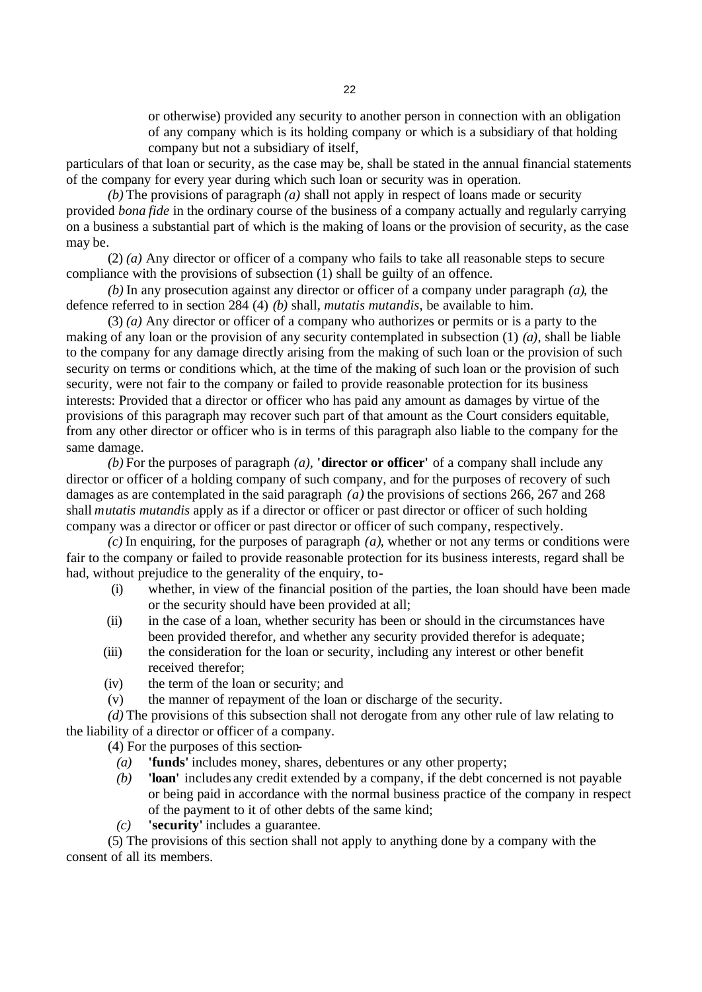or otherwise) provided any security to another person in connection with an obligation of any company which is its holding company or which is a subsidiary of that holding company but not a subsidiary of itself,

particulars of that loan or security, as the case may be, shall be stated in the annual financial statements of the company for every year during which such loan or security was in operation.

*(b)* The provisions of paragraph *(a)* shall not apply in respect of loans made or security provided *bona fide* in the ordinary course of the business of a company actually and regularly carrying on a business a substantial part of which is the making of loans or the provision of security, as the case may be.

(2) *(a)* Any director or officer of a company who fails to take all reasonable steps to secure compliance with the provisions of subsection (1) shall be guilty of an offence.

*(b)* In any prosecution against any director or officer of a company under paragraph *(a)*, the defence referred to in section 284 (4) *(b)* shall, *mutatis mutandis*, be available to him.

(3) *(a)* Any director or officer of a company who authorizes or permits or is a party to the making of any loan or the provision of any security contemplated in subsection (1) *(a)*, shall be liable to the company for any damage directly arising from the making of such loan or the provision of such security on terms or conditions which, at the time of the making of such loan or the provision of such security, were not fair to the company or failed to provide reasonable protection for its business interests: Provided that a director or officer who has paid any amount as damages by virtue of the provisions of this paragraph may recover such part of that amount as the Court considers equitable, from any other director or officer who is in terms of this paragraph also liable to the company for the same damage.

*(b)* For the purposes of paragraph *(a)*, **'director or officer'** of a company shall include any director or officer of a holding company of such company, and for the purposes of recovery of such damages as are contemplated in the said paragraph *(a)* the provisions of sections 266, 267 and 268 shall *mutatis mutandis* apply as if a director or officer or past director or officer of such holding company was a director or officer or past director or officer of such company, respectively.

*(c)* In enquiring, for the purposes of paragraph *(a)*, whether or not any terms or conditions were fair to the company or failed to provide reasonable protection for its business interests, regard shall be had, without prejudice to the generality of the enquiry, to-

- (i) whether, in view of the financial position of the parties, the loan should have been made or the security should have been provided at all;
- (ii) in the case of a loan, whether security has been or should in the circumstances have been provided therefor, and whether any security provided therefor is adequate;
- (iii) the consideration for the loan or security, including any interest or other benefit received therefor;
- (iv) the term of the loan or security; and
- (v) the manner of repayment of the loan or discharge of the security.

*(d)* The provisions of this subsection shall not derogate from any other rule of law relating to the liability of a director or officer of a company.

(4) For the purposes of this section-

- *(a)* **'funds'** includes money, shares, debentures or any other property;
- *(b)* **'loan'** includes any credit extended by a company, if the debt concerned is not payable or being paid in accordance with the normal business practice of the company in respect of the payment to it of other debts of the same kind;
- *(c)* **'security'** includes a guarantee.

(5) The provisions of this section shall not apply to anything done by a company with the consent of all its members.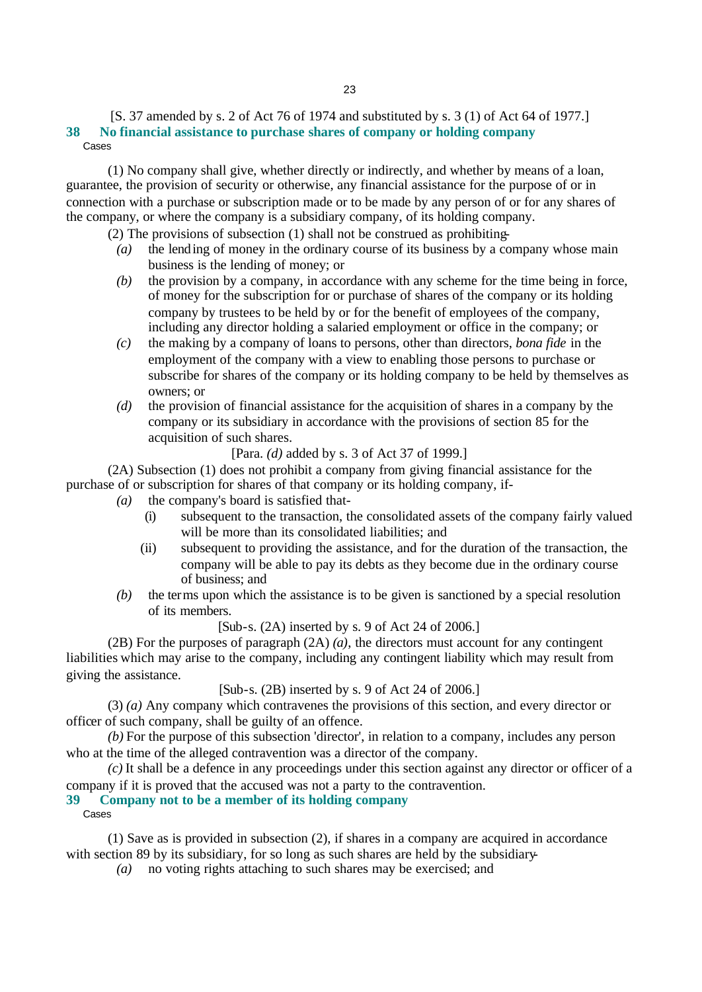#### [S. 37 amended by s. 2 of Act 76 of 1974 and substituted by s. 3 (1) of Act 64 of 1977.] **38 No financial assistance to purchase shares of company or holding company** Cases

(1) No company shall give, whether directly or indirectly, and whether by means of a loan, guarantee, the provision of security or otherwise, any financial assistance for the purpose of or in connection with a purchase or subscription made or to be made by any person of or for any shares of the company, or where the company is a subsidiary company, of its holding company.

(2) The provisions of subsection (1) shall not be construed as prohibiting-

- *(a)* the lending of money in the ordinary course of its business by a company whose main business is the lending of money; or
- *(b)* the provision by a company, in accordance with any scheme for the time being in force, of money for the subscription for or purchase of shares of the company or its holding company by trustees to be held by or for the benefit of employees of the company, including any director holding a salaried employment or office in the company; or
- *(c)* the making by a company of loans to persons, other than directors, *bona fide* in the employment of the company with a view to enabling those persons to purchase or subscribe for shares of the company or its holding company to be held by themselves as owners; or
- *(d)* the provision of financial assistance for the acquisition of shares in a company by the company or its subsidiary in accordance with the provisions of section 85 for the acquisition of such shares.

[Para. *(d)* added by s. 3 of Act 37 of 1999.]

(2A) Subsection (1) does not prohibit a company from giving financial assistance for the purchase of or subscription for shares of that company or its holding company, if-

- *(a)* the company's board is satisfied that-
	- (i) subsequent to the transaction, the consolidated assets of the company fairly valued will be more than its consolidated liabilities; and
	- (ii) subsequent to providing the assistance, and for the duration of the transaction, the company will be able to pay its debts as they become due in the ordinary course of business; and
- *(b)* the terms upon which the assistance is to be given is sanctioned by a special resolution of its members.

[Sub-s. (2A) inserted by s. 9 of Act 24 of 2006.]

(2B) For the purposes of paragraph (2A) *(a)*, the directors must account for any contingent liabilities which may arise to the company, including any contingent liability which may result from giving the assistance.

[Sub-s. (2B) inserted by s. 9 of Act 24 of 2006.]

(3) *(a)* Any company which contravenes the provisions of this section, and every director or officer of such company, shall be guilty of an offence.

*(b)* For the purpose of this subsection 'director', in relation to a company, includes any person who at the time of the alleged contravention was a director of the company.

*(c)* It shall be a defence in any proceedings under this section against any director or officer of a company if it is proved that the accused was not a party to the contravention.

# **39 Company not to be a member of its holding company**

Cases

(1) Save as is provided in subsection (2), if shares in a company are acquired in accordance with section 89 by its subsidiary, for so long as such shares are held by the subsidiary-

*(a)* no voting rights attaching to such shares may be exercised; and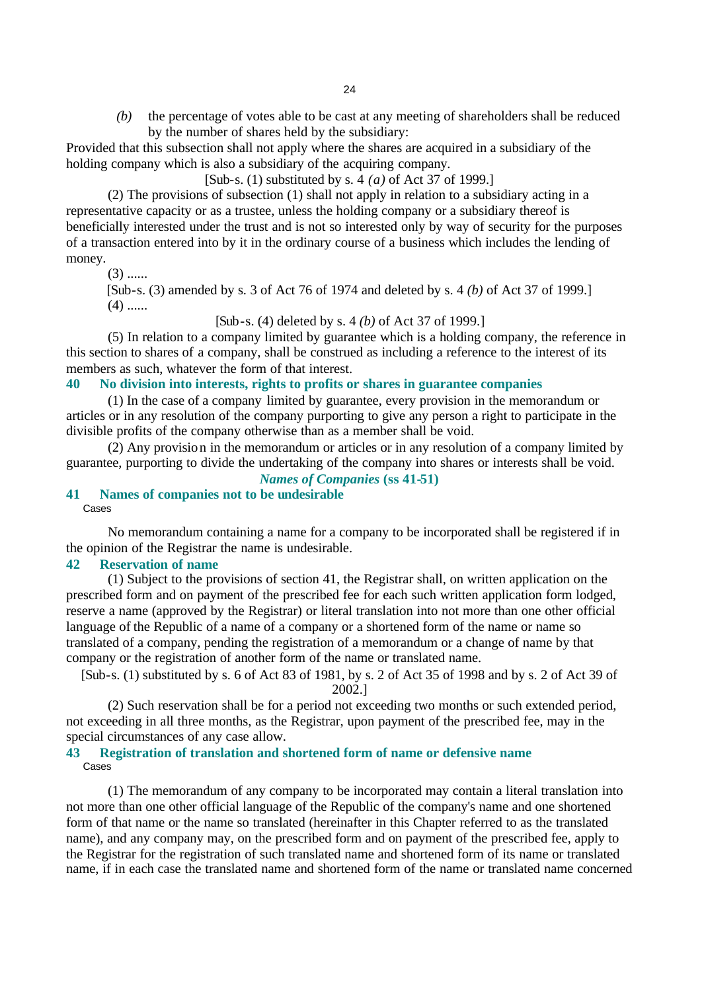*(b)* the percentage of votes able to be cast at any meeting of shareholders shall be reduced by the number of shares held by the subsidiary:

Provided that this subsection shall not apply where the shares are acquired in a subsidiary of the holding company which is also a subsidiary of the acquiring company.

[Sub-s. (1) substituted by s. 4 *(a)* of Act 37 of 1999.]

(2) The provisions of subsection (1) shall not apply in relation to a subsidiary acting in a representative capacity or as a trustee, unless the holding company or a subsidiary thereof is beneficially interested under the trust and is not so interested only by way of security for the purposes of a transaction entered into by it in the ordinary course of a business which includes the lending of money.

 $(3)$  ......

[Sub-s. (3) amended by s. 3 of Act 76 of 1974 and deleted by s. 4 *(b)* of Act 37 of 1999.]  $(4)$  ......

[Sub-s. (4) deleted by s. 4 *(b)* of Act 37 of 1999.]

(5) In relation to a company limited by guarantee which is a holding company, the reference in this section to shares of a company, shall be construed as including a reference to the interest of its members as such, whatever the form of that interest.

#### **40 No division into interests, rights to profits or shares in guarantee companies**

(1) In the case of a company limited by guarantee, every provision in the memorandum or articles or in any resolution of the company purporting to give any person a right to participate in the divisible profits of the company otherwise than as a member shall be void.

(2) Any provision in the memorandum or articles or in any resolution of a company limited by guarantee, purporting to divide the undertaking of the company into shares or interests shall be void.

*Names of Companies* **(ss 41-51)**

# **41 Names of companies not to be undesirable**

Cases

No memorandum containing a name for a company to be incorporated shall be registered if in the opinion of the Registrar the name is undesirable.

#### **42 Reservation of name**

(1) Subject to the provisions of section 41, the Registrar shall, on written application on the prescribed form and on payment of the prescribed fee for each such written application form lodged, reserve a name (approved by the Registrar) or literal translation into not more than one other official language of the Republic of a name of a company or a shortened form of the name or name so translated of a company, pending the registration of a memorandum or a change of name by that company or the registration of another form of the name or translated name.

[Sub-s. (1) substituted by s. 6 of Act 83 of 1981, by s. 2 of Act 35 of 1998 and by s. 2 of Act 39 of 2002.]

(2) Such reservation shall be for a period not exceeding two months or such extended period, not exceeding in all three months, as the Registrar, upon payment of the prescribed fee, may in the special circumstances of any case allow.

# **43 Registration of translation and shortened form of name or defensive name** Cases

(1) The memorandum of any company to be incorporated may contain a literal translation into not more than one other official language of the Republic of the company's name and one shortened form of that name or the name so translated (hereinafter in this Chapter referred to as the translated name), and any company may, on the prescribed form and on payment of the prescribed fee, apply to the Registrar for the registration of such translated name and shortened form of its name or translated name, if in each case the translated name and shortened form of the name or translated name concerned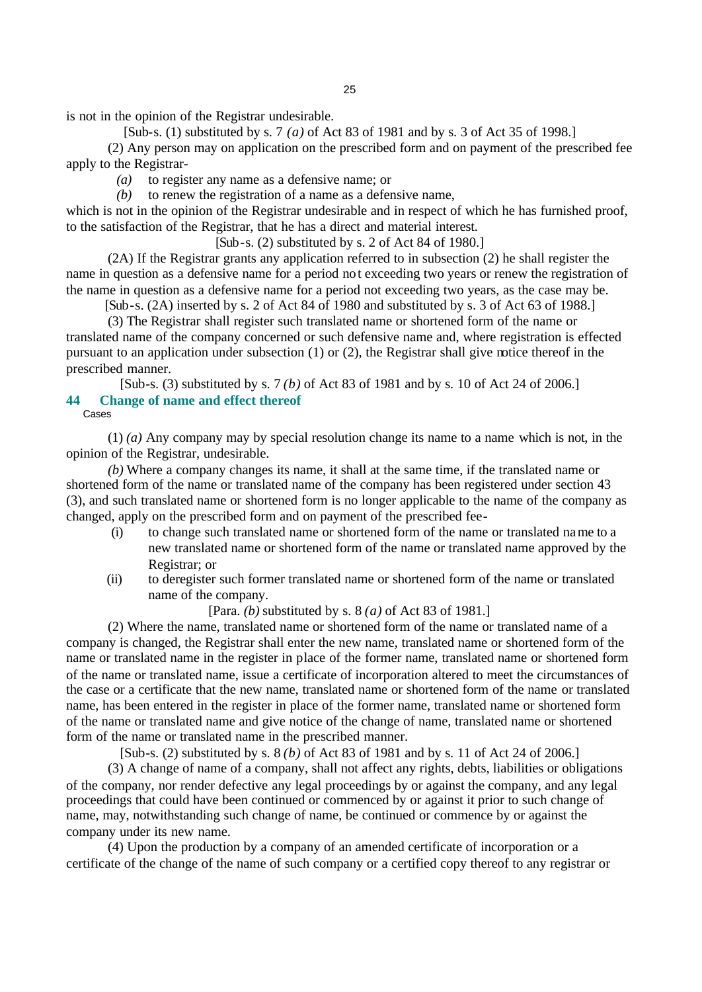is not in the opinion of the Registrar undesirable.

[Sub-s. (1) substituted by s. 7 *(a)* of Act 83 of 1981 and by s. 3 of Act 35 of 1998.]

(2) Any person may on application on the prescribed form and on payment of the prescribed fee apply to the Registrar-

*(a)* to register any name as a defensive name; or

*(b)* to renew the registration of a name as a defensive name,

which is not in the opinion of the Registrar undesirable and in respect of which he has furnished proof, to the satisfaction of the Registrar, that he has a direct and material interest.

[Sub-s. (2) substituted by s. 2 of Act 84 of 1980.]

(2A) If the Registrar grants any application referred to in subsection (2) he shall register the name in question as a defensive name for a period not exceeding two years or renew the registration of the name in question as a defensive name for a period not exceeding two years, as the case may be.

[Sub-s. (2A) inserted by s. 2 of Act 84 of 1980 and substituted by s. 3 of Act 63 of 1988.]

(3) The Registrar shall register such translated name or shortened form of the name or translated name of the company concerned or such defensive name and, where registration is effected pursuant to an application under subsection (1) or (2), the Registrar shall give notice thereof in the prescribed manner.

[Sub-s. (3) substituted by s. 7 *(b)* of Act 83 of 1981 and by s. 10 of Act 24 of 2006.] **44 Change of name and effect thereof**

Cases

(1) *(a)* Any company may by special resolution change its name to a name which is not, in the opinion of the Registrar, undesirable.

*(b)* Where a company changes its name, it shall at the same time, if the translated name or shortened form of the name or translated name of the company has been registered under section 43 (3), and such translated name or shortened form is no longer applicable to the name of the company as changed, apply on the prescribed form and on payment of the prescribed fee-

- (i) to change such translated name or shortened form of the name or translated name to a new translated name or shortened form of the name or translated name approved by the Registrar; or
- (ii) to deregister such former translated name or shortened form of the name or translated name of the company.

[Para. *(b)* substituted by s. 8 *(a)* of Act 83 of 1981.]

(2) Where the name, translated name or shortened form of the name or translated name of a company is changed, the Registrar shall enter the new name, translated name or shortened form of the name or translated name in the register in place of the former name, translated name or shortened form of the name or translated name, issue a certificate of incorporation altered to meet the circumstances of the case or a certificate that the new name, translated name or shortened form of the name or translated name, has been entered in the register in place of the former name, translated name or shortened form of the name or translated name and give notice of the change of name, translated name or shortened form of the name or translated name in the prescribed manner.

[Sub-s. (2) substituted by s. 8 *(b)* of Act 83 of 1981 and by s. 11 of Act 24 of 2006.]

(3) A change of name of a company, shall not affect any rights, debts, liabilities or obligations of the company, nor render defective any legal proceedings by or against the company, and any legal proceedings that could have been continued or commenced by or against it prior to such change of name, may, notwithstanding such change of name, be continued or commence by or against the company under its new name.

(4) Upon the production by a company of an amended certificate of incorporation or a certificate of the change of the name of such company or a certified copy thereof to any registrar or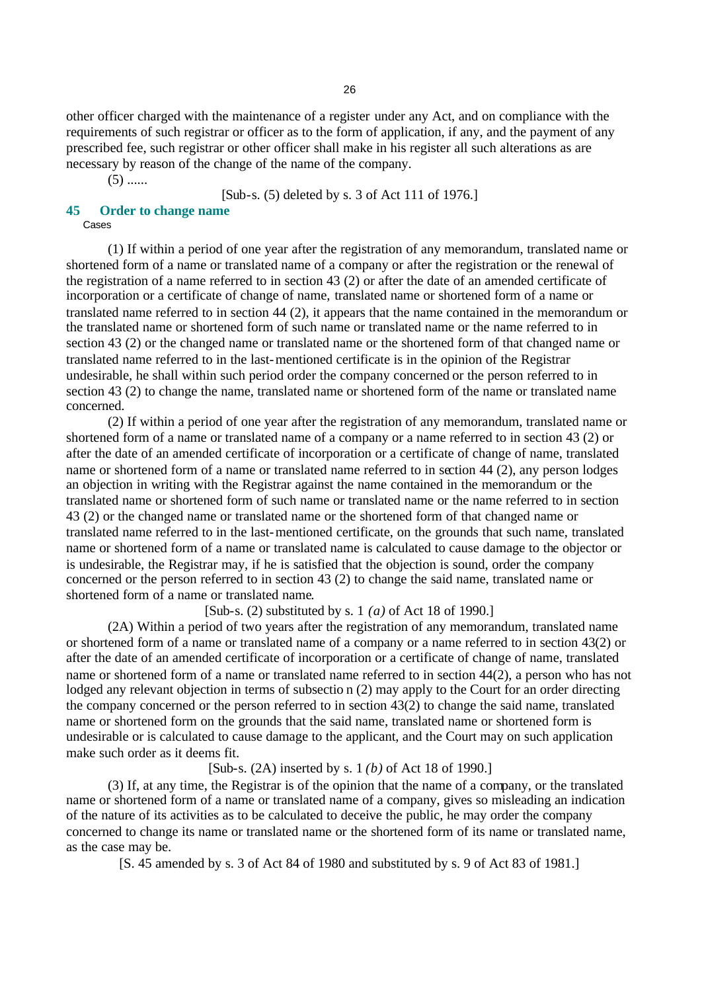other officer charged with the maintenance of a register under any Act, and on compliance with the requirements of such registrar or officer as to the form of application, if any, and the payment of any prescribed fee, such registrar or other officer shall make in his register all such alterations as are necessary by reason of the change of the name of the company.

 $(5)$  ......

[Sub-s. (5) deleted by s. 3 of Act 111 of 1976.]

# **45 Order to change name**

Cases

(1) If within a period of one year after the registration of any memorandum, translated name or shortened form of a name or translated name of a company or after the registration or the renewal of the registration of a name referred to in section 43 (2) or after the date of an amended certificate of incorporation or a certificate of change of name, translated name or shortened form of a name or translated name referred to in section 44 (2), it appears that the name contained in the memorandum or the translated name or shortened form of such name or translated name or the name referred to in section 43 (2) or the changed name or translated name or the shortened form of that changed name or translated name referred to in the last-mentioned certificate is in the opinion of the Registrar undesirable, he shall within such period order the company concerned or the person referred to in section 43 (2) to change the name, translated name or shortened form of the name or translated name concerned.

(2) If within a period of one year after the registration of any memorandum, translated name or shortened form of a name or translated name of a company or a name referred to in section 43 (2) or after the date of an amended certificate of incorporation or a certificate of change of name, translated name or shortened form of a name or translated name referred to in section 44 (2), any person lodges an objection in writing with the Registrar against the name contained in the memorandum or the translated name or shortened form of such name or translated name or the name referred to in section 43 (2) or the changed name or translated name or the shortened form of that changed name or translated name referred to in the last-mentioned certificate, on the grounds that such name, translated name or shortened form of a name or translated name is calculated to cause damage to the objector or is undesirable, the Registrar may, if he is satisfied that the objection is sound, order the company concerned or the person referred to in section 43 (2) to change the said name, translated name or shortened form of a name or translated name.

[Sub-s. (2) substituted by s. 1 *(a)* of Act 18 of 1990.]

(2A) Within a period of two years after the registration of any memorandum, translated name or shortened form of a name or translated name of a company or a name referred to in section 43(2) or after the date of an amended certificate of incorporation or a certificate of change of name, translated name or shortened form of a name or translated name referred to in section 44(2), a person who has not lodged any relevant objection in terms of subsectio n (2) may apply to the Court for an order directing the company concerned or the person referred to in section 43(2) to change the said name, translated name or shortened form on the grounds that the said name, translated name or shortened form is undesirable or is calculated to cause damage to the applicant, and the Court may on such application make such order as it deems fit.

# [Sub-s. (2A) inserted by s. 1 *(b)* of Act 18 of 1990.]

(3) If, at any time, the Registrar is of the opinion that the name of a company, or the translated name or shortened form of a name or translated name of a company, gives so misleading an indication of the nature of its activities as to be calculated to deceive the public, he may order the company concerned to change its name or translated name or the shortened form of its name or translated name, as the case may be.

[S. 45 amended by s. 3 of Act 84 of 1980 and substituted by s. 9 of Act 83 of 1981.]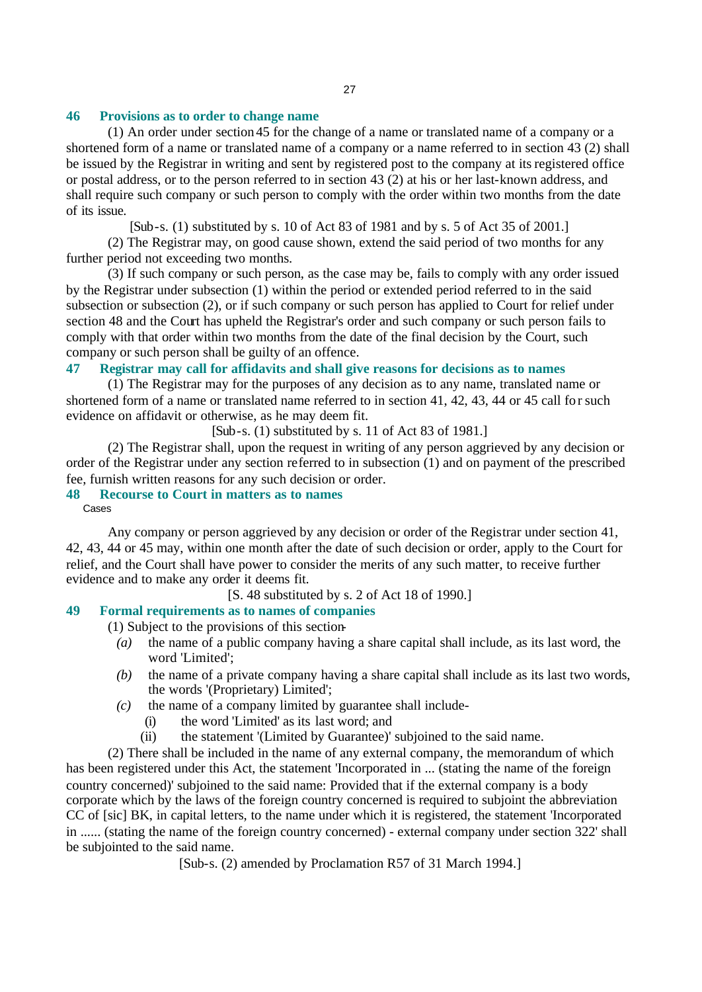## **46 Provisions as to order to change name**

(1) An order under section 45 for the change of a name or translated name of a company or a shortened form of a name or translated name of a company or a name referred to in section 43 (2) shall be issued by the Registrar in writing and sent by registered post to the company at its registered office or postal address, or to the person referred to in section 43 (2) at his or her last-known address, and shall require such company or such person to comply with the order within two months from the date of its issue.

[Sub-s. (1) substituted by s. 10 of Act 83 of 1981 and by s. 5 of Act 35 of 2001.]

(2) The Registrar may, on good cause shown, extend the said period of two months for any further period not exceeding two months.

(3) If such company or such person, as the case may be, fails to comply with any order issued by the Registrar under subsection (1) within the period or extended period referred to in the said subsection or subsection (2), or if such company or such person has applied to Court for relief under section 48 and the Court has upheld the Registrar's order and such company or such person fails to comply with that order within two months from the date of the final decision by the Court, such company or such person shall be guilty of an offence.

# **47 Registrar may call for affidavits and shall give reasons for decisions as to names**

(1) The Registrar may for the purposes of any decision as to any name, translated name or shortened form of a name or translated name referred to in section 41, 42, 43, 44 or 45 call for such evidence on affidavit or otherwise, as he may deem fit.

[Sub-s. (1) substituted by s. 11 of Act 83 of 1981.]

(2) The Registrar shall, upon the request in writing of any person aggrieved by any decision or order of the Registrar under any section referred to in subsection (1) and on payment of the prescribed fee, furnish written reasons for any such decision or order.

**48 Recourse to Court in matters as to names**

Cases

Any company or person aggrieved by any decision or order of the Registrar under section 41, 42, 43, 44 or 45 may, within one month after the date of such decision or order, apply to the Court for relief, and the Court shall have power to consider the merits of any such matter, to receive further evidence and to make any order it deems fit.

[S. 48 substituted by s. 2 of Act 18 of 1990.]

#### **49 Formal requirements as to names of companies**

(1) Subject to the provisions of this section-

- *(a)* the name of a public company having a share capital shall include, as its last word, the word 'Limited';
- *(b)* the name of a private company having a share capital shall include as its last two words, the words '(Proprietary) Limited';
- *(c)* the name of a company limited by guarantee shall include-
	- (i) the word 'Limited' as its last word; and
	- (ii) the statement '(Limited by Guarantee)' subjoined to the said name.

(2) There shall be included in the name of any external company, the memorandum of which has been registered under this Act, the statement 'Incorporated in ... (stating the name of the foreign country concerned)' subjoined to the said name: Provided that if the external company is a body corporate which by the laws of the foreign country concerned is required to subjoint the abbreviation CC of [sic] BK, in capital letters, to the name under which it is registered, the statement 'Incorporated in ...... (stating the name of the foreign country concerned) - external company under section 322' shall be subjointed to the said name.

[Sub-s. (2) amended by Proclamation R57 of 31 March 1994.]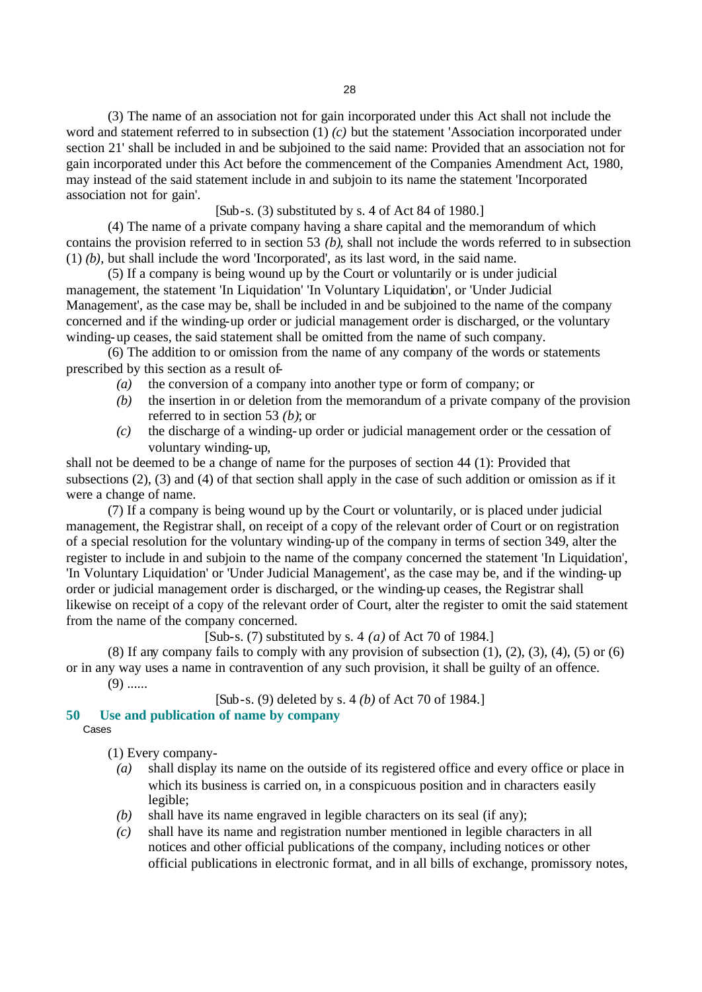(3) The name of an association not for gain incorporated under this Act shall not include the word and statement referred to in subsection (1) *(c)* but the statement 'Association incorporated under section 21' shall be included in and be subjoined to the said name: Provided that an association not for gain incorporated under this Act before the commencement of the Companies Amendment Act, 1980, may instead of the said statement include in and subjoin to its name the statement 'Incorporated association not for gain'.

# [Sub-s. (3) substituted by s. 4 of Act 84 of 1980.]

(4) The name of a private company having a share capital and the memorandum of which contains the provision referred to in section 53 *(b)*, shall not include the words referred to in subsection (1) *(b)*, but shall include the word 'Incorporated', as its last word, in the said name.

(5) If a company is being wound up by the Court or voluntarily or is under judicial management, the statement 'In Liquidation' 'In Voluntary Liquidation', or 'Under Judicial Management', as the case may be, shall be included in and be subjoined to the name of the company concerned and if the winding-up order or judicial management order is discharged, or the voluntary winding-up ceases, the said statement shall be omitted from the name of such company.

(6) The addition to or omission from the name of any company of the words or statements prescribed by this section as a result of-

- *(a)* the conversion of a company into another type or form of company; or
- *(b)* the insertion in or deletion from the memorandum of a private company of the provision referred to in section 53 *(b)*; or
- *(c)* the discharge of a winding-up order or judicial management order or the cessation of voluntary winding-up,

shall not be deemed to be a change of name for the purposes of section 44 (1): Provided that subsections (2), (3) and (4) of that section shall apply in the case of such addition or omission as if it were a change of name.

(7) If a company is being wound up by the Court or voluntarily, or is placed under judicial management, the Registrar shall, on receipt of a copy of the relevant order of Court or on registration of a special resolution for the voluntary winding-up of the company in terms of section 349, alter the register to include in and subjoin to the name of the company concerned the statement 'In Liquidation', 'In Voluntary Liquidation' or 'Under Judicial Management', as the case may be, and if the winding-up order or judicial management order is discharged, or the winding-up ceases, the Registrar shall likewise on receipt of a copy of the relevant order of Court, alter the register to omit the said statement from the name of the company concerned.

[Sub-s. (7) substituted by s. 4 *(a)* of Act 70 of 1984.]

 $(8)$  If any company fails to comply with any provision of subsection  $(1)$ ,  $(2)$ ,  $(3)$ ,  $(4)$ ,  $(5)$  or  $(6)$ or in any way uses a name in contravention of any such provision, it shall be guilty of an offence.

 $(9)$  ......

[Sub-s. (9) deleted by s. 4 *(b)* of Act 70 of 1984.]

#### **50 Use and publication of name by company** Cases

(1) Every company-

- *(a)* shall display its name on the outside of its registered office and every office or place in which its business is carried on, in a conspicuous position and in characters easily legible;
- *(b)* shall have its name engraved in legible characters on its seal (if any);
- *(c)* shall have its name and registration number mentioned in legible characters in all notices and other official publications of the company, including notices or other official publications in electronic format, and in all bills of exchange, promissory notes,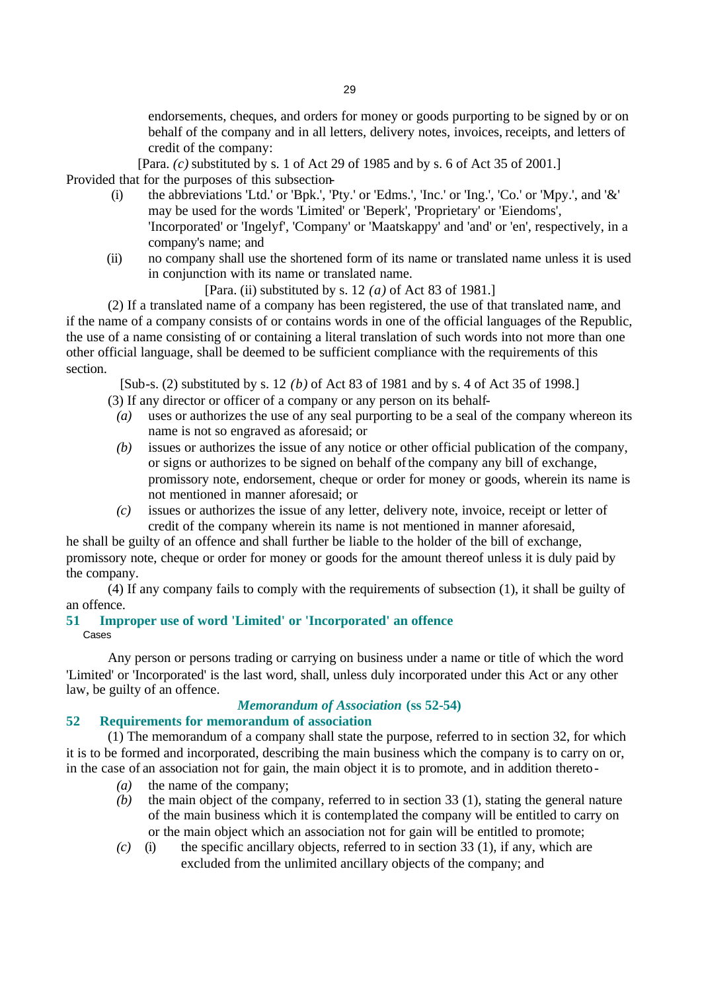endorsements, cheques, and orders for money or goods purporting to be signed by or on behalf of the company and in all letters, delivery notes, invoices, receipts, and letters of credit of the company:

[Para. *(c)* substituted by s. 1 of Act 29 of 1985 and by s. 6 of Act 35 of 2001.]

Provided that for the purposes of this subsection-

- (i) the abbreviations 'Ltd.' or 'Bpk.', 'Pty.' or 'Edms.', 'Inc.' or 'Ing.', 'Co.' or 'Mpy.', and '&' may be used for the words 'Limited' or 'Beperk', 'Proprietary' or 'Eiendoms', 'Incorporated' or 'Ingelyf', 'Company' or 'Maatskappy' and 'and' or 'en', respectively, in a company's name; and
- (ii) no company shall use the shortened form of its name or translated name unless it is used in conjunction with its name or translated name.

[Para. (ii) substituted by s. 12 *(a)* of Act 83 of 1981.]

(2) If a translated name of a company has been registered, the use of that translated name, and if the name of a company consists of or contains words in one of the official languages of the Republic, the use of a name consisting of or containing a literal translation of such words into not more than one other official language, shall be deemed to be sufficient compliance with the requirements of this section.

[Sub-s. (2) substituted by s. 12 *(b)* of Act 83 of 1981 and by s. 4 of Act 35 of 1998.]

(3) If any director or officer of a company or any person on its behalf-

- *(a)* uses or authorizes the use of any seal purporting to be a seal of the company whereon its name is not so engraved as aforesaid; or
- *(b)* issues or authorizes the issue of any notice or other official publication of the company, or signs or authorizes to be signed on behalf of the company any bill of exchange, promissory note, endorsement, cheque or order for money or goods, wherein its name is not mentioned in manner aforesaid; or
- *(c)* issues or authorizes the issue of any letter, delivery note, invoice, receipt or letter of credit of the company wherein its name is not mentioned in manner aforesaid,

he shall be guilty of an offence and shall further be liable to the holder of the bill of exchange, promissory note, cheque or order for money or goods for the amount thereof unless it is duly paid by the company.

(4) If any company fails to comply with the requirements of subsection (1), it shall be guilty of an offence.

# **51 Improper use of word 'Limited' or 'Incorporated' an offence**

Cases

Any person or persons trading or carrying on business under a name or title of which the word 'Limited' or 'Incorporated' is the last word, shall, unless duly incorporated under this Act or any other law, be guilty of an offence.

# *Memorandum of Association* **(ss 52-54)**

# **52 Requirements for memorandum of association**

 $(1)$  The memorandum of a company shall state the purpose, referred to in section 32, for which it is to be formed and incorporated, describing the main business which the company is to carry on or, in the case of an association not for gain, the main object it is to promote, and in addition thereto-

- *(a)* the name of the company;
- *(b)* the main object of the company, referred to in section 33 (1), stating the general nature of the main business which it is contemplated the company will be entitled to carry on or the main object which an association not for gain will be entitled to promote;
- *(c)* (i) the specific ancillary objects, referred to in section 33 (1), if any, which are excluded from the unlimited ancillary objects of the company; and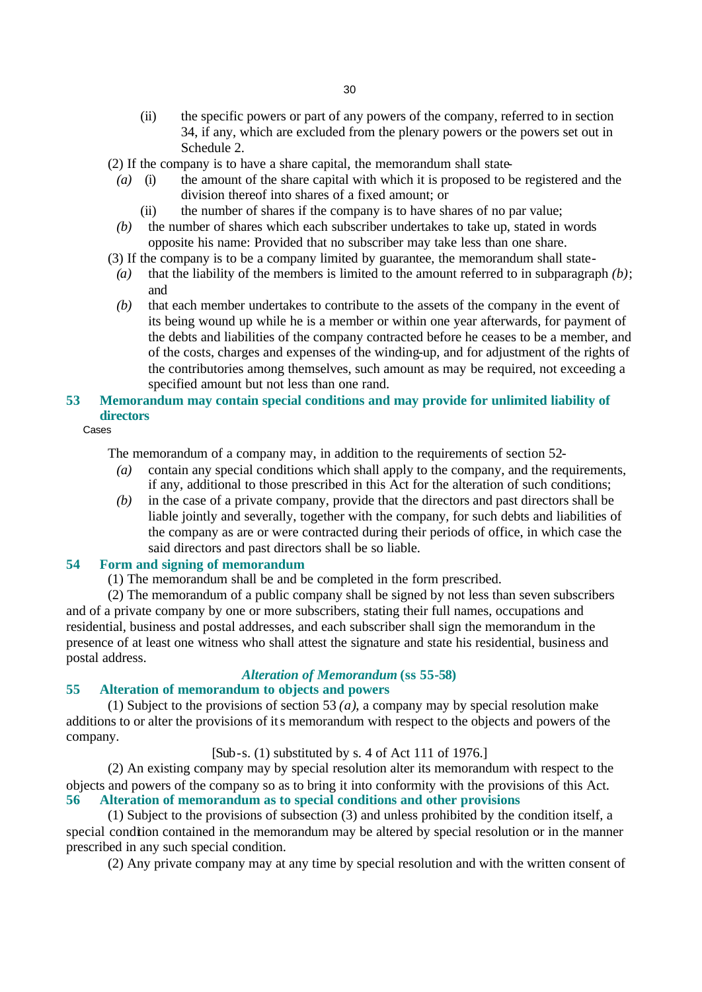- (ii) the specific powers or part of any powers of the company, referred to in section 34, if any, which are excluded from the plenary powers or the powers set out in Schedule 2.
- (2) If the company is to have a share capital, the memorandum shall state-
	- *(a)* (i) the amount of the share capital with which it is proposed to be registered and the division thereof into shares of a fixed amount; or
		- (ii) the number of shares if the company is to have shares of no par value;
	- *(b)* the number of shares which each subscriber undertakes to take up, stated in words opposite his name: Provided that no subscriber may take less than one share.
- (3) If the company is to be a company limited by guarantee, the memorandum shall state-
	- *(a)* that the liability of the members is limited to the amount referred to in subparagraph *(b)*; and
	- *(b)* that each member undertakes to contribute to the assets of the company in the event of its being wound up while he is a member or within one year afterwards, for payment of the debts and liabilities of the company contracted before he ceases to be a member, and of the costs, charges and expenses of the winding-up, and for adjustment of the rights of the contributories among themselves, such amount as may be required, not exceeding a specified amount but not less than one rand.

# **53 Memorandum may contain special conditions and may provide for unlimited liability of directors**

Cases

The memorandum of a company may, in addition to the requirements of section 52-

- *(a)* contain any special conditions which shall apply to the company, and the requirements, if any, additional to those prescribed in this Act for the alteration of such conditions;
- *(b)* in the case of a private company, provide that the directors and past directors shall be liable jointly and severally, together with the company, for such debts and liabilities of the company as are or were contracted during their periods of office, in which case the said directors and past directors shall be so liable.

# **54 Form and signing of memorandum**

(1) The memorandum shall be and be completed in the form prescribed.

(2) The memorandum of a public company shall be signed by not less than seven subscribers and of a private company by one or more subscribers, stating their full names, occupations and residential, business and postal addresses, and each subscriber shall sign the memorandum in the presence of at least one witness who shall attest the signature and state his residential, business and postal address.

#### *Alteration of Memorandum* **(ss 55-58)**

# **55 Alteration of memorandum to objects and powers**

(1) Subject to the provisions of section 53 *(a)*, a company may by special resolution make additions to or alter the provisions of its memorandum with respect to the objects and powers of the company.

 $[Sub-s. (1)$  substituted by s. 4 of Act 111 of 1976.]

(2) An existing company may by special resolution alter its memorandum with respect to the objects and powers of the company so as to bring it into conformity with the provisions of this Act. **56 Alteration of memorandum as to special conditions and other provisions**

(1) Subject to the provisions of subsection (3) and unless prohibited by the condition itself, a special condition contained in the memorandum may be altered by special resolution or in the manner prescribed in any such special condition.

(2) Any private company may at any time by special resolution and with the written consent of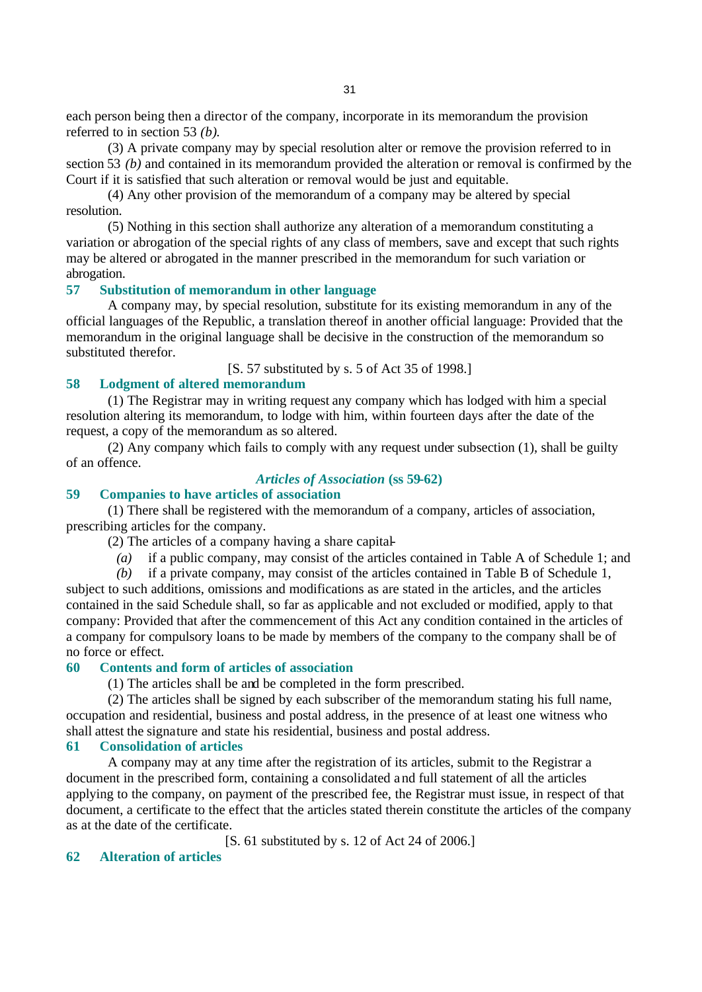each person being then a director of the company, incorporate in its memorandum the provision referred to in section 53 *(b)*.

(3) A private company may by special resolution alter or remove the provision referred to in section 53 *(b)* and contained in its memorandum provided the alteration or removal is confirmed by the Court if it is satisfied that such alteration or removal would be just and equitable.

(4) Any other provision of the memorandum of a company may be altered by special resolution.

(5) Nothing in this section shall authorize any alteration of a memorandum constituting a variation or abrogation of the special rights of any class of members, save and except that such rights may be altered or abrogated in the manner prescribed in the memorandum for such variation or abrogation.

# **57 Substitution of memorandum in other language**

A company may, by special resolution, substitute for its existing memorandum in any of the official languages of the Republic, a translation thereof in another official language: Provided that the memorandum in the original language shall be decisive in the construction of the memorandum so substituted therefor.

[S. 57 substituted by s. 5 of Act 35 of 1998.]

# **58 Lodgment of altered memorandum**

(1) The Registrar may in writing request any company which has lodged with him a special resolution altering its memorandum, to lodge with him, within fourteen days after the date of the request, a copy of the memorandum as so altered.

(2) Any company which fails to comply with any request under subsection (1), shall be guilty of an offence.

# *Articles of Association* **(ss 59-62)**

# **59 Companies to have articles of association**

(1) There shall be registered with the memorandum of a company, articles of association, prescribing articles for the company.

(2) The articles of a company having a share capital-

*(a)* if a public company, may consist of the articles contained in Table A of Schedule 1; and

*(b)* if a private company, may consist of the articles contained in Table B of Schedule 1, subject to such additions, omissions and modifications as are stated in the articles, and the articles contained in the said Schedule shall, so far as applicable and not excluded or modified, apply to that company: Provided that after the commencement of this Act any condition contained in the articles of a company for compulsory loans to be made by members of the company to the company shall be of no force or effect.

# **60 Contents and form of articles of association**

(1) The articles shall be and be completed in the form prescribed.

(2) The articles shall be signed by each subscriber of the memorandum stating his full name, occupation and residential, business and postal address, in the presence of at least one witness who shall attest the signature and state his residential, business and postal address.

#### **61 Consolidation of articles**

A company may at any time after the registration of its articles, submit to the Registrar a document in the prescribed form, containing a consolidated a nd full statement of all the articles applying to the company, on payment of the prescribed fee, the Registrar must issue, in respect of that document, a certificate to the effect that the articles stated therein constitute the articles of the company as at the date of the certificate.

[S. 61 substituted by s. 12 of Act 24 of 2006.]

# **62 Alteration of articles**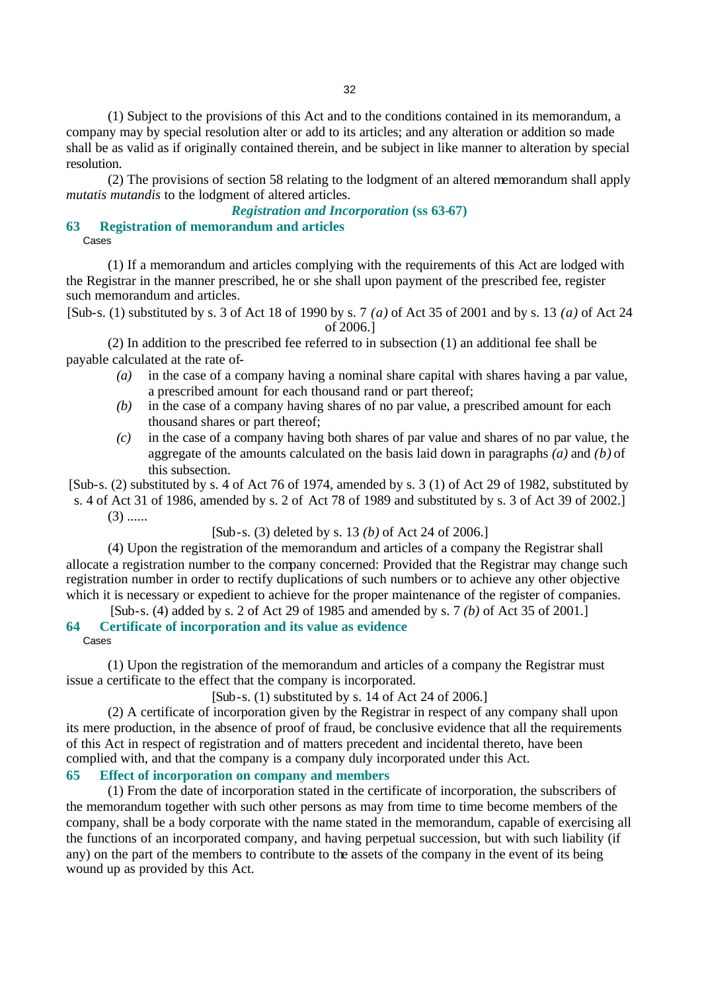(1) Subject to the provisions of this Act and to the conditions contained in its memorandum, a company may by special resolution alter or add to its articles; and any alteration or addition so made shall be as valid as if originally contained therein, and be subject in like manner to alteration by special resolution.

(2) The provisions of section 58 relating to the lodgment of an altered memorandum shall apply *mutatis mutandis* to the lodgment of altered articles.

*Registration and Incorporation* **(ss 63-67) 63 Registration of memorandum and articles** Cases

(1) If a memorandum and articles complying with the requirements of this Act are lodged with the Registrar in the manner prescribed, he or she shall upon payment of the prescribed fee, register such memorandum and articles.

[Sub-s. (1) substituted by s. 3 of Act 18 of 1990 by s. 7 *(a)* of Act 35 of 2001 and by s. 13 *(a)* of Act 24 of 2006.]

(2) In addition to the prescribed fee referred to in subsection (1) an additional fee shall be payable calculated at the rate of-

- *(a)* in the case of a company having a nominal share capital with shares having a par value, a prescribed amount for each thousand rand or part thereof;
- *(b)* in the case of a company having shares of no par value, a prescribed amount for each thousand shares or part thereof;
- *(c)* in the case of a company having both shares of par value and shares of no par value, the aggregate of the amounts calculated on the basis laid down in paragraphs *(a)* and *(b)* of this subsection.

[Sub-s. (2) substituted by s. 4 of Act 76 of 1974, amended by s. 3 (1) of Act 29 of 1982, substituted by s. 4 of Act 31 of 1986, amended by s. 2 of Act 78 of 1989 and substituted by s. 3 of Act 39 of 2002.]  $(3)$  ......

# [Sub-s. (3) deleted by s. 13 *(b)* of Act 24 of 2006.]

(4) Upon the registration of the memorandum and articles of a company the Registrar shall allocate a registration number to the company concerned: Provided that the Registrar may change such registration number in order to rectify duplications of such numbers or to achieve any other objective which it is necessary or expedient to achieve for the proper maintenance of the register of companies.

[Sub-s. (4) added by s. 2 of Act 29 of 1985 and amended by s. 7 *(b)* of Act 35 of 2001.] **64 Certificate of incorporation and its value as evidence** Cases

(1) Upon the registration of the memorandum and articles of a company the Registrar must issue a certificate to the effect that the company is incorporated.

 $[Sub-s. (1)$  substituted by s. 14 of Act 24 of 2006.

(2) A certificate of incorporation given by the Registrar in respect of any company shall upon its mere production, in the absence of proof of fraud, be conclusive evidence that all the requirements of this Act in respect of registration and of matters precedent and incidental thereto, have been complied with, and that the company is a company duly incorporated under this Act.

# **65 Effect of incorporation on company and members**

(1) From the date of incorporation stated in the certificate of incorporation, the subscribers of the memorandum together with such other persons as may from time to time become members of the company, shall be a body corporate with the name stated in the memorandum, capable of exercising all the functions of an incorporated company, and having perpetual succession, but with such liability (if any) on the part of the members to contribute to the assets of the company in the event of its being wound up as provided by this Act.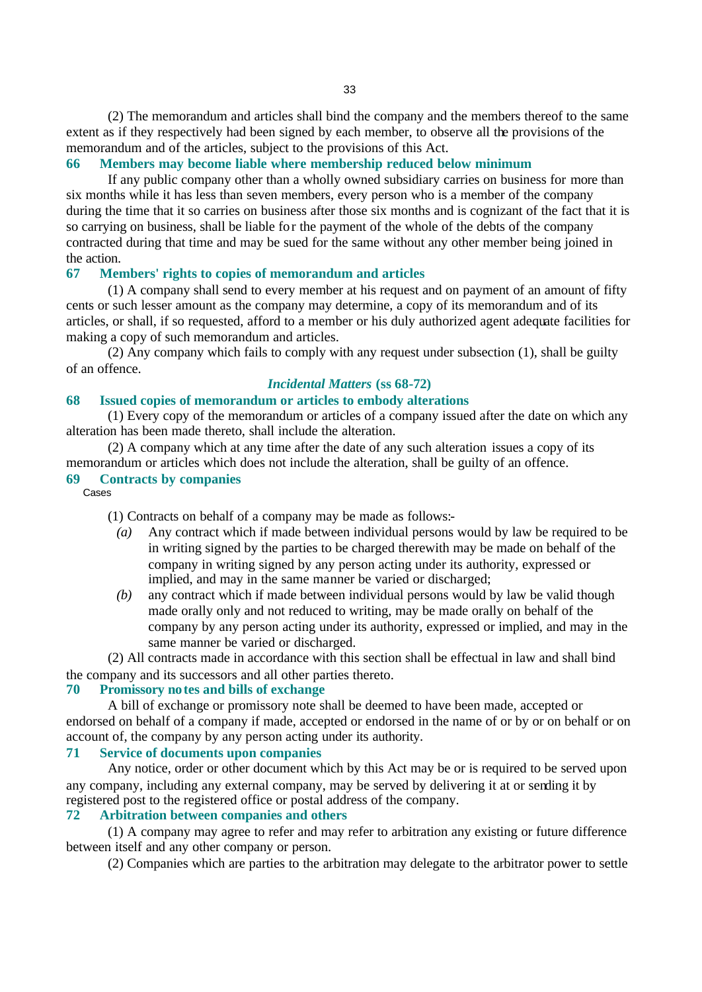(2) The memorandum and articles shall bind the company and the members thereof to the same extent as if they respectively had been signed by each member, to observe all the provisions of the memorandum and of the articles, subject to the provisions of this Act.

# **66 Members may become liable where membership reduced below minimum**

If any public company other than a wholly owned subsidiary carries on business for more than six months while it has less than seven members, every person who is a member of the company during the time that it so carries on business after those six months and is cognizant of the fact that it is so carrying on business, shall be liable for the payment of the whole of the debts of the company contracted during that time and may be sued for the same without any other member being joined in the action.

# **67 Members' rights to copies of memorandum and articles**

(1) A company shall send to every member at his request and on payment of an amount of fifty cents or such lesser amount as the company may determine, a copy of its memorandum and of its articles, or shall, if so requested, afford to a member or his duly authorized agent adequate facilities for making a copy of such memorandum and articles.

(2) Any company which fails to comply with any request under subsection (1), shall be guilty of an offence.

#### *Incidental Matters* **(ss 68-72)**

#### **68 Issued copies of memorandum or articles to embody alterations**

(1) Every copy of the memorandum or articles of a company issued after the date on which any alteration has been made thereto, shall include the alteration.

(2) A company which at any time after the date of any such alteration issues a copy of its memorandum or articles which does not include the alteration, shall be guilty of an offence.

# **69 Contracts by companies**

Cases

(1) Contracts on behalf of a company may be made as follows:-

- *(a)* Any contract which if made between individual persons would by law be required to be in writing signed by the parties to be charged therewith may be made on behalf of the company in writing signed by any person acting under its authority, expressed or implied, and may in the same manner be varied or discharged;
- *(b)* any contract which if made between individual persons would by law be valid though made orally only and not reduced to writing, may be made orally on behalf of the company by any person acting under its authority, expressed or implied, and may in the same manner be varied or discharged.

(2) All contracts made in accordance with this section shall be effectual in law and shall bind the company and its successors and all other parties thereto.

#### **70 Promissory notes and bills of exchange**

A bill of exchange or promissory note shall be deemed to have been made, accepted or endorsed on behalf of a company if made, accepted or endorsed in the name of or by or on behalf or on account of, the company by any person acting under its authority.

# **71 Service of documents upon companies**

Any notice, order or other document which by this Act may be or is required to be served upon any company, including any external company, may be served by delivering it at or sending it by registered post to the registered office or postal address of the company.

#### **72 Arbitration between companies and others**

(1) A company may agree to refer and may refer to arbitration any existing or future difference between itself and any other company or person.

(2) Companies which are parties to the arbitration may delegate to the arbitrator power to settle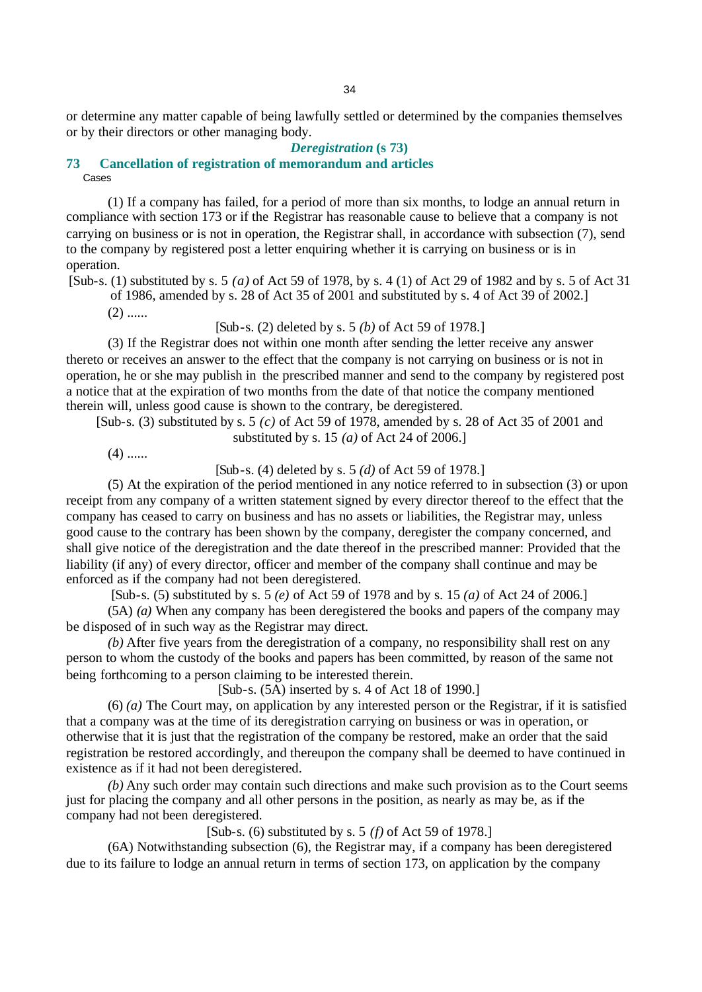or determine any matter capable of being lawfully settled or determined by the companies themselves or by their directors or other managing body.

#### *Deregistration* **(s 73) 73 Cancellation of registration of memorandum and articles** Cases

(1) If a company has failed, for a period of more than six months, to lodge an annual return in compliance with section 173 or if the Registrar has reasonable cause to believe that a company is not carrying on business or is not in operation, the Registrar shall, in accordance with subsection (7), send to the company by registered post a letter enquiring whether it is carrying on business or is in operation.

[Sub-s. (1) substituted by s. 5 *(a)* of Act 59 of 1978, by s. 4 (1) of Act 29 of 1982 and by s. 5 of Act 31

of 1986, amended by s. 28 of Act 35 of 2001 and substituted by s. 4 of Act 39 of 2002.]

 $(2)$  ......

[Sub-s. (2) deleted by s. 5 *(b)* of Act 59 of 1978.]

(3) If the Registrar does not within one month after sending the letter receive any answer thereto or receives an answer to the effect that the company is not carrying on business or is not in operation, he or she may publish in the prescribed manner and send to the company by registered post a notice that at the expiration of two months from the date of that notice the company mentioned therein will, unless good cause is shown to the contrary, be deregistered.

[Sub-s. (3) substituted by s. 5 *(c)* of Act 59 of 1978, amended by s. 28 of Act 35 of 2001 and

substituted by s. 15 *(a)* of Act 24 of 2006.]

 $(4)$  ......

[Sub-s. (4) deleted by s. 5 *(d)* of Act 59 of 1978.]

(5) At the expiration of the period mentioned in any notice referred to in subsection (3) or upon receipt from any company of a written statement signed by every director thereof to the effect that the company has ceased to carry on business and has no assets or liabilities, the Registrar may, unless good cause to the contrary has been shown by the company, deregister the company concerned, and shall give notice of the deregistration and the date thereof in the prescribed manner: Provided that the liability (if any) of every director, officer and member of the company shall continue and may be enforced as if the company had not been deregistered.

[Sub-s. (5) substituted by s. 5 *(e)* of Act 59 of 1978 and by s. 15 *(a)* of Act 24 of 2006.]

(5A) *(a)* When any company has been deregistered the books and papers of the company may be disposed of in such way as the Registrar may direct.

*(b)* After five years from the deregistration of a company, no responsibility shall rest on any person to whom the custody of the books and papers has been committed, by reason of the same not being forthcoming to a person claiming to be interested therein.

 $[Sub-s. (5A)$  inserted by s. 4 of Act 18 of 1990.]

(6) *(a)* The Court may, on application by any interested person or the Registrar, if it is satisfied that a company was at the time of its deregistration carrying on business or was in operation, or otherwise that it is just that the registration of the company be restored, make an order that the said registration be restored accordingly, and thereupon the company shall be deemed to have continued in existence as if it had not been deregistered.

*(b)* Any such order may contain such directions and make such provision as to the Court seems just for placing the company and all other persons in the position, as nearly as may be, as if the company had not been deregistered.

[Sub-s. (6) substituted by s. 5 *(f)* of Act 59 of 1978.]

(6A) Notwithstanding subsection (6), the Registrar may, if a company has been deregistered due to its failure to lodge an annual return in terms of section 173, on application by the company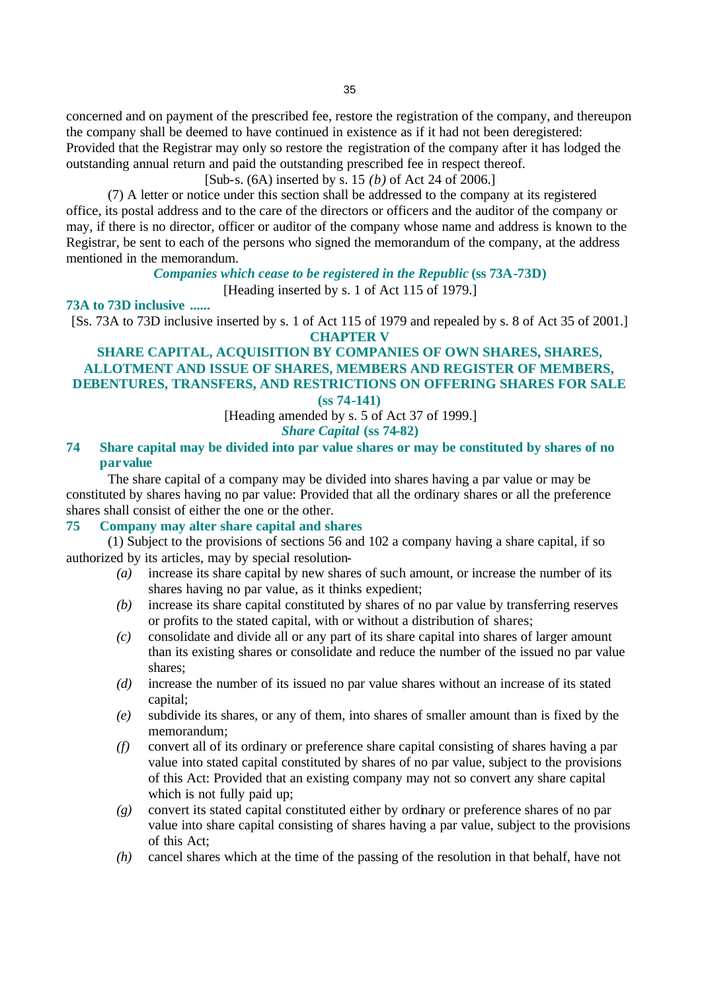35

concerned and on payment of the prescribed fee, restore the registration of the company, and thereupon the company shall be deemed to have continued in existence as if it had not been deregistered: Provided that the Registrar may only so restore the registration of the company after it has lodged the outstanding annual return and paid the outstanding prescribed fee in respect thereof.

# [Sub-s. (6A) inserted by s. 15 *(b)* of Act 24 of 2006.]

(7) A letter or notice under this section shall be addressed to the company at its registered office, its postal address and to the care of the directors or officers and the auditor of the company or may, if there is no director, officer or auditor of the company whose name and address is known to the Registrar, be sent to each of the persons who signed the memorandum of the company, at the address mentioned in the memorandum.

#### *Companies which cease to be registered in the Republic* **(ss 73A-73D)**

[Heading inserted by s. 1 of Act 115 of 1979.]

**73A to 73D inclusive ......**

[Ss. 73A to 73D inclusive inserted by s. 1 of Act 115 of 1979 and repealed by s. 8 of Act 35 of 2001.] **CHAPTER V**

# **SHARE CAPITAL, ACQUISITION BY COMPANIES OF OWN SHARES, SHARES, ALLOTMENT AND ISSUE OF SHARES, MEMBERS AND REGISTER OF MEMBERS, DEBENTURES, TRANSFERS, AND RESTRICTIONS ON OFFERING SHARES FOR SALE (ss 74-141)**

[Heading amended by s. 5 of Act 37 of 1999.]

# *Share Capital* **(ss 74-82)**

# **74 Share capital may be divided into par value shares or may be constituted by shares of no par value**

The share capital of a company may be divided into shares having a par value or may be constituted by shares having no par value: Provided that all the ordinary shares or all the preference shares shall consist of either the one or the other.

# **75 Company may alter share capital and shares**

(1) Subject to the provisions of sections 56 and 102 a company having a share capital, if so authorized by its articles, may by special resolution-

- *(a)* increase its share capital by new shares of such amount, or increase the number of its shares having no par value, as it thinks expedient;
- *(b)* increase its share capital constituted by shares of no par value by transferring reserves or profits to the stated capital, with or without a distribution of shares;
- *(c)* consolidate and divide all or any part of its share capital into shares of larger amount than its existing shares or consolidate and reduce the number of the issued no par value shares;
- *(d)* increase the number of its issued no par value shares without an increase of its stated capital;
- *(e)* subdivide its shares, or any of them, into shares of smaller amount than is fixed by the memorandum;
- *(f)* convert all of its ordinary or preference share capital consisting of shares having a par value into stated capital constituted by shares of no par value, subject to the provisions of this Act: Provided that an existing company may not so convert any share capital which is not fully paid up;
- *(g)* convert its stated capital constituted either by ordinary or preference shares of no par value into share capital consisting of shares having a par value, subject to the provisions of this Act;
- *(h)* cancel shares which at the time of the passing of the resolution in that behalf, have not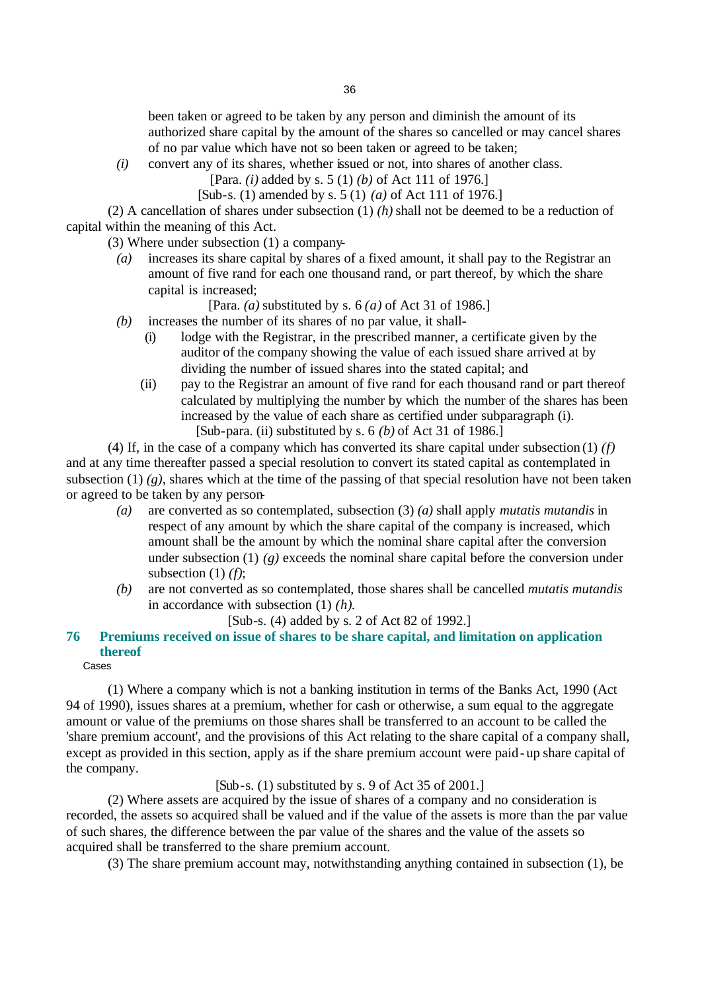been taken or agreed to be taken by any person and diminish the amount of its authorized share capital by the amount of the shares so cancelled or may cancel shares of no par value which have not so been taken or agreed to be taken;

- *(i)* convert any of its shares, whether issued or not, into shares of another class.
	- [Para. *(i)* added by s. 5 (1) *(b)* of Act 111 of 1976.]
	- [Sub-s. (1) amended by s. 5 (1) *(a)* of Act 111 of 1976.]

(2) A cancellation of shares under subsection (1) *(h)* shall not be deemed to be a reduction of capital within the meaning of this Act.

(3) Where under subsection (1) a company-

*(a)* increases its share capital by shares of a fixed amount, it shall pay to the Registrar an amount of five rand for each one thousand rand, or part thereof, by which the share capital is increased;

[Para. *(a)* substituted by s. 6 *(a)* of Act 31 of 1986.]

- *(b)* increases the number of its shares of no par value, it shall-
	- (i) lodge with the Registrar, in the prescribed manner, a certificate given by the auditor of the company showing the value of each issued share arrived at by dividing the number of issued shares into the stated capital; and
	- (ii) pay to the Registrar an amount of five rand for each thousand rand or part thereof calculated by multiplying the number by which the number of the shares has been increased by the value of each share as certified under subparagraph (i). [Sub-para. (ii) substituted by s. 6 *(b)* of Act 31 of 1986.]

(4) If, in the case of a company which has converted its share capital under subsection (1) *(f)* and at any time thereafter passed a special resolution to convert its stated capital as contemplated in subsection  $(1)$   $(g)$ , shares which at the time of the passing of that special resolution have not been taken or agreed to be taken by any person-

- *(a)* are converted as so contemplated, subsection (3) *(a)* shall apply *mutatis mutandis* in respect of any amount by which the share capital of the company is increased, which amount shall be the amount by which the nominal share capital after the conversion under subsection  $(1)$   $(g)$  exceeds the nominal share capital before the conversion under subsection (1) *(f)*;
- *(b)* are not converted as so contemplated, those shares shall be cancelled *mutatis mutandis* in accordance with subsection (1) *(h)*.

[Sub-s. (4) added by s. 2 of Act 82 of 1992.]

# **76 Premiums received on issue of shares to be share capital, and limitation on application thereof**

Cases

(1) Where a company which is not a banking institution in terms of the Banks Act, 1990 (Act 94 of 1990), issues shares at a premium, whether for cash or otherwise, a sum equal to the aggregate amount or value of the premiums on those shares shall be transferred to an account to be called the 'share premium account', and the provisions of this Act relating to the share capital of a company shall, except as provided in this section, apply as if the share premium account were paid -up share capital of the company.

 $[Sub-s, (1)$  substituted by s. 9 of Act 35 of 2001.]

(2) Where assets are acquired by the issue of shares of a company and no consideration is recorded, the assets so acquired shall be valued and if the value of the assets is more than the par value of such shares, the difference between the par value of the shares and the value of the assets so acquired shall be transferred to the share premium account.

(3) The share premium account may, notwithstanding anything contained in subsection (1), be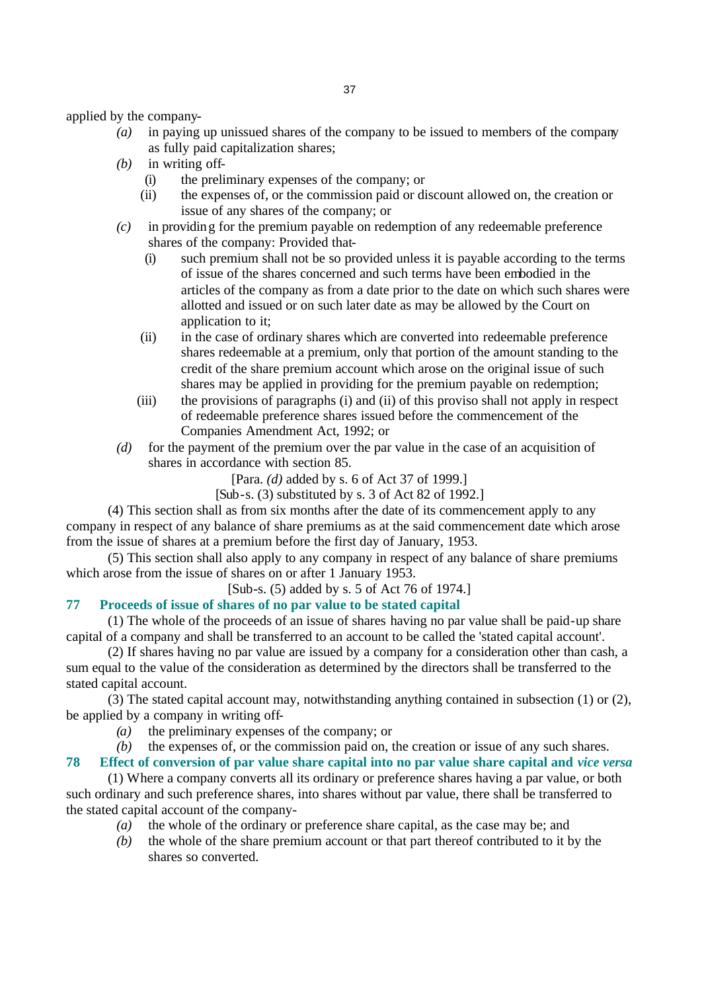applied by the company-

- *(a)* in paying up unissued shares of the company to be issued to members of the company as fully paid capitalization shares;
- *(b)* in writing off-
	- (i) the preliminary expenses of the company; or
	- (ii) the expenses of, or the commission paid or discount allowed on, the creation or issue of any shares of the company; or
- *(c)* in providing for the premium payable on redemption of any redeemable preference shares of the company: Provided that-
	- (i) such premium shall not be so provided unless it is payable according to the terms of issue of the shares concerned and such terms have been embodied in the articles of the company as from a date prior to the date on which such shares were allotted and issued or on such later date as may be allowed by the Court on application to it;
	- (ii) in the case of ordinary shares which are converted into redeemable preference shares redeemable at a premium, only that portion of the amount standing to the credit of the share premium account which arose on the original issue of such shares may be applied in providing for the premium payable on redemption;
	- (iii) the provisions of paragraphs (i) and (ii) of this proviso shall not apply in respect of redeemable preference shares issued before the commencement of the Companies Amendment Act, 1992; or
- *(d)* for the payment of the premium over the par value in the case of an acquisition of shares in accordance with section 85.

[Para. *(d)* added by s. 6 of Act 37 of 1999.]

[Sub-s. (3) substituted by s. 3 of Act 82 of 1992.]

(4) This section shall as from six months after the date of its commencement apply to any company in respect of any balance of share premiums as at the said commencement date which arose from the issue of shares at a premium before the first day of January, 1953.

(5) This section shall also apply to any company in respect of any balance of share premiums which arose from the issue of shares on or after 1 January 1953.

[Sub-s. (5) added by s. 5 of Act 76 of 1974.]

### **77 Proceeds of issue of shares of no par value to be stated capital**

(1) The whole of the proceeds of an issue of shares having no par value shall be paid-up share capital of a company and shall be transferred to an account to be called the 'stated capital account'.

(2) If shares having no par value are issued by a company for a consideration other than cash, a sum equal to the value of the consideration as determined by the directors shall be transferred to the stated capital account.

(3) The stated capital account may, notwithstanding anything contained in subsection (1) or (2), be applied by a company in writing off-

- *(a)* the preliminary expenses of the company; or
- *(b)* the expenses of, or the commission paid on, the creation or issue of any such shares.

**78 Effect of conversion of par value share capital into no par value share capital and** *vice versa*

(1) Where a company converts all its ordinary or preference shares having a par value, or both such ordinary and such preference shares, into shares without par value, there shall be transferred to the stated capital account of the company-

- *(a)* the whole of the ordinary or preference share capital, as the case may be; and
- *(b)* the whole of the share premium account or that part thereof contributed to it by the shares so converted.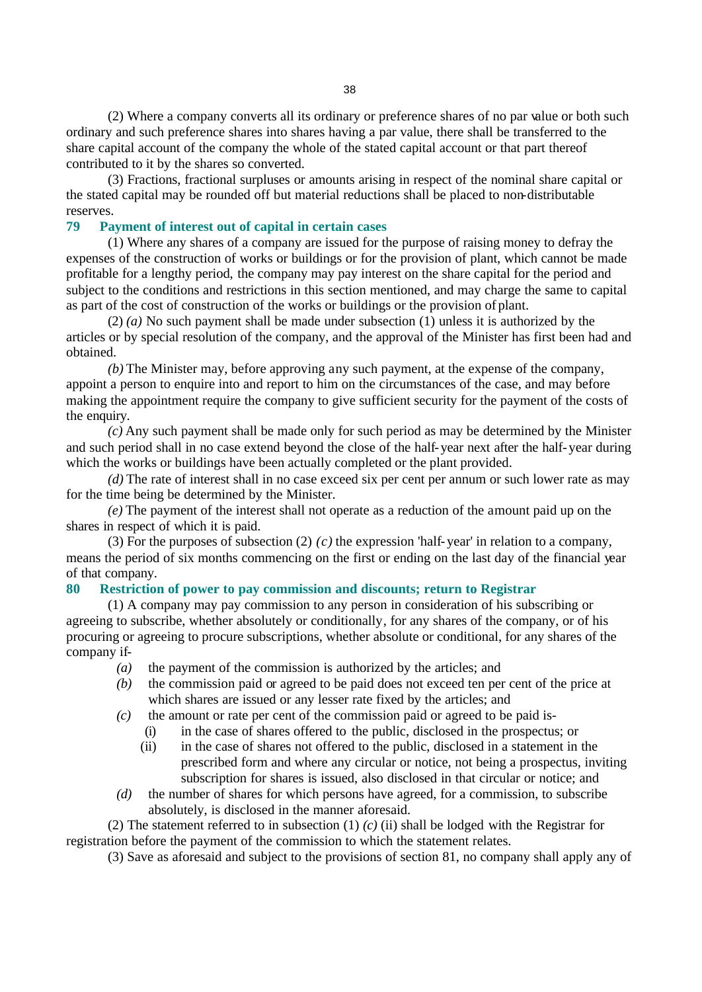(2) Where a company converts all its ordinary or preference shares of no par value or both such ordinary and such preference shares into shares having a par value, there shall be transferred to the share capital account of the company the whole of the stated capital account or that part thereof contributed to it by the shares so converted.

(3) Fractions, fractional surpluses or amounts arising in respect of the nominal share capital or the stated capital may be rounded off but material reductions shall be placed to non-distributable reserves.

#### **79 Payment of interest out of capital in certain cases**

(1) Where any shares of a company are issued for the purpose of raising money to defray the expenses of the construction of works or buildings or for the provision of plant, which cannot be made profitable for a lengthy period, the company may pay interest on the share capital for the period and subject to the conditions and restrictions in this section mentioned, and may charge the same to capital as part of the cost of construction of the works or buildings or the provision of plant.

(2) *(a)* No such payment shall be made under subsection (1) unless it is authorized by the articles or by special resolution of the company, and the approval of the Minister has first been had and obtained.

*(b)* The Minister may, before approving any such payment, at the expense of the company, appoint a person to enquire into and report to him on the circumstances of the case, and may before making the appointment require the company to give sufficient security for the payment of the costs of the enquiry.

*(c)* Any such payment shall be made only for such period as may be determined by the Minister and such period shall in no case extend beyond the close of the half-year next after the half-year during which the works or buildings have been actually completed or the plant provided.

*(d)* The rate of interest shall in no case exceed six per cent per annum or such lower rate as may for the time being be determined by the Minister.

*(e)* The payment of the interest shall not operate as a reduction of the amount paid up on the shares in respect of which it is paid.

(3) For the purposes of subsection (2) *(c)* the expression 'half-year' in relation to a company, means the period of six months commencing on the first or ending on the last day of the financial year of that company.

#### **80 Restriction of power to pay commission and discounts; return to Registrar**

(1) A company may pay commission to any person in consideration of his subscribing or agreeing to subscribe, whether absolutely or conditionally, for any shares of the company, or of his procuring or agreeing to procure subscriptions, whether absolute or conditional, for any shares of the company if-

- *(a)* the payment of the commission is authorized by the articles; and
- *(b)* the commission paid or agreed to be paid does not exceed ten per cent of the price at which shares are issued or any lesser rate fixed by the articles; and
- *(c)* the amount or rate per cent of the commission paid or agreed to be paid is-
	- (i) in the case of shares offered to the public, disclosed in the prospectus; or
	- (ii) in the case of shares not offered to the public, disclosed in a statement in the prescribed form and where any circular or notice, not being a prospectus, inviting subscription for shares is issued, also disclosed in that circular or notice; and
- *(d)* the number of shares for which persons have agreed, for a commission, to subscribe absolutely, is disclosed in the manner aforesaid.

(2) The statement referred to in subsection (1) *(c)* (ii) shall be lodged with the Registrar for registration before the payment of the commission to which the statement relates.

(3) Save as aforesaid and subject to the provisions of section 81, no company shall apply any of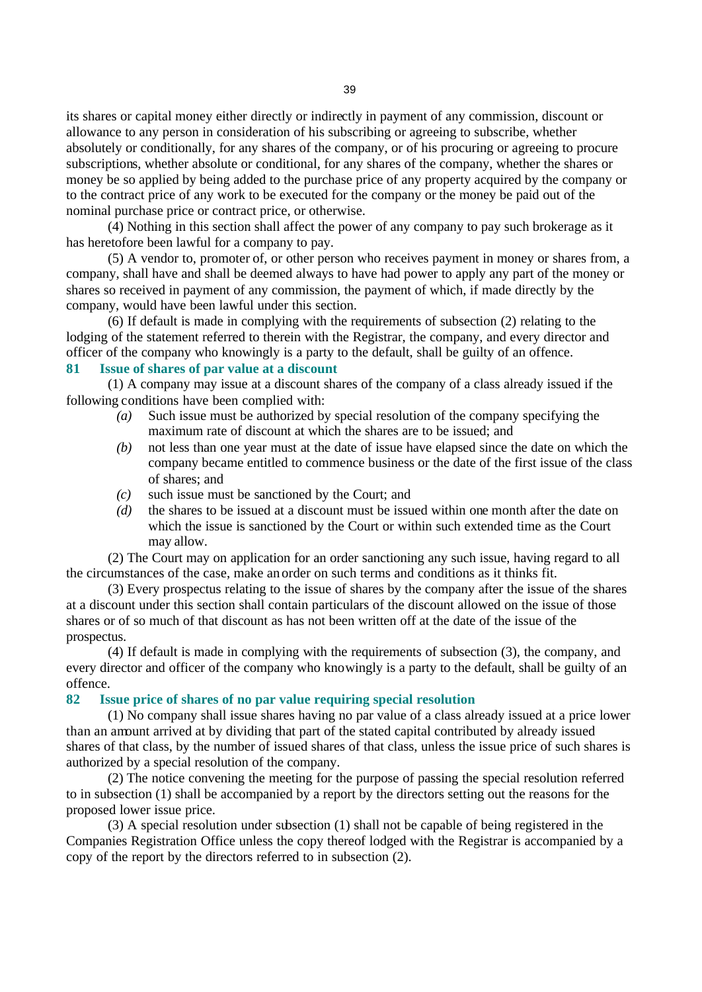its shares or capital money either directly or indirectly in payment of any commission, discount or allowance to any person in consideration of his subscribing or agreeing to subscribe, whether absolutely or conditionally, for any shares of the company, or of his procuring or agreeing to procure subscriptions, whether absolute or conditional, for any shares of the company, whether the shares or money be so applied by being added to the purchase price of any property acquired by the company or to the contract price of any work to be executed for the company or the money be paid out of the nominal purchase price or contract price, or otherwise.

(4) Nothing in this section shall affect the power of any company to pay such brokerage as it has heretofore been lawful for a company to pay.

(5) A vendor to, promoter of, or other person who receives payment in money or shares from, a company, shall have and shall be deemed always to have had power to apply any part of the money or shares so received in payment of any commission, the payment of which, if made directly by the company, would have been lawful under this section.

(6) If default is made in complying with the requirements of subsection (2) relating to the lodging of the statement referred to therein with the Registrar, the company, and every director and officer of the company who knowingly is a party to the default, shall be guilty of an offence.

### **81 Issue of shares of par value at a discount**

(1) A company may issue at a discount shares of the company of a class already issued if the following conditions have been complied with:

- *(a)* Such issue must be authorized by special resolution of the company specifying the maximum rate of discount at which the shares are to be issued; and
- *(b)* not less than one year must at the date of issue have elapsed since the date on which the company became entitled to commence business or the date of the first issue of the class of shares; and
- *(c)* such issue must be sanctioned by the Court; and
- *(d)* the shares to be issued at a discount must be issued within one month after the date on which the issue is sanctioned by the Court or within such extended time as the Court may allow.

(2) The Court may on application for an order sanctioning any such issue, having regard to all the circumstances of the case, make an order on such terms and conditions as it thinks fit.

(3) Every prospectus relating to the issue of shares by the company after the issue of the shares at a discount under this section shall contain particulars of the discount allowed on the issue of those shares or of so much of that discount as has not been written off at the date of the issue of the prospectus.

(4) If default is made in complying with the requirements of subsection (3), the company, and every director and officer of the company who knowingly is a party to the default, shall be guilty of an offence.

#### **82 Issue price of shares of no par value requiring special resolution**

(1) No company shall issue shares having no par value of a class already issued at a price lower than an amount arrived at by dividing that part of the stated capital contributed by already issued shares of that class, by the number of issued shares of that class, unless the issue price of such shares is authorized by a special resolution of the company.

(2) The notice convening the meeting for the purpose of passing the special resolution referred to in subsection (1) shall be accompanied by a report by the directors setting out the reasons for the proposed lower issue price.

(3) A special resolution under subsection (1) shall not be capable of being registered in the Companies Registration Office unless the copy thereof lodged with the Registrar is accompanied by a copy of the report by the directors referred to in subsection (2).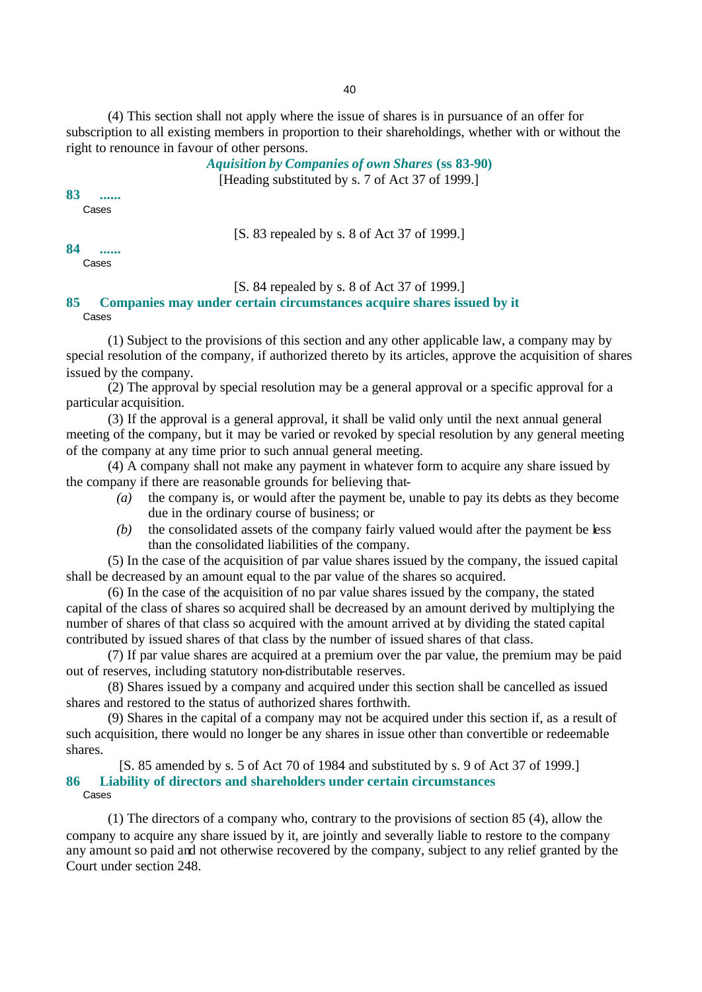(4) This section shall not apply where the issue of shares is in pursuance of an offer for subscription to all existing members in proportion to their shareholdings, whether with or without the right to renounce in favour of other persons.

> *Aquisition by Companies of own Shares* **(ss 83-90)** [Heading substituted by s. 7 of Act 37 of 1999.]

**83 ......** Cases

[S. 83 repealed by s. 8 of Act 37 of 1999.]

**84 ......** Cases

[S. 84 repealed by s. 8 of Act 37 of 1999.]

#### **85 Companies may under certain circumstances acquire shares issued by it** Cases

(1) Subject to the provisions of this section and any other applicable law, a company may by special resolution of the company, if authorized thereto by its articles, approve the acquisition of shares issued by the company.

(2) The approval by special resolution may be a general approval or a specific approval for a particular acquisition.

(3) If the approval is a general approval, it shall be valid only until the next annual general meeting of the company, but it may be varied or revoked by special resolution by any general meeting of the company at any time prior to such annual general meeting.

(4) A company shall not make any payment in whatever form to acquire any share issued by the company if there are reasonable grounds for believing that-

- *(a)* the company is, or would after the payment be, unable to pay its debts as they become due in the ordinary course of business; or
- *(b)* the consolidated assets of the company fairly valued would after the payment be less than the consolidated liabilities of the company.

(5) In the case of the acquisition of par value shares issued by the company, the issued capital shall be decreased by an amount equal to the par value of the shares so acquired.

(6) In the case of the acquisition of no par value shares issued by the company, the stated capital of the class of shares so acquired shall be decreased by an amount derived by multiplying the number of shares of that class so acquired with the amount arrived at by dividing the stated capital contributed by issued shares of that class by the number of issued shares of that class.

(7) If par value shares are acquired at a premium over the par value, the premium may be paid out of reserves, including statutory non-distributable reserves.

(8) Shares issued by a company and acquired under this section shall be cancelled as issued shares and restored to the status of authorized shares forthwith.

(9) Shares in the capital of a company may not be acquired under this section if, as a result of such acquisition, there would no longer be any shares in issue other than convertible or redeemable shares.

[S. 85 amended by s. 5 of Act 70 of 1984 and substituted by s. 9 of Act 37 of 1999.] **86 Liability of directors and shareholders under certain circumstances** Cases

(1) The directors of a company who, contrary to the provisions of section 85 (4), allow the company to acquire any share issued by it, are jointly and severally liable to restore to the company any amount so paid and not otherwise recovered by the company, subject to any relief granted by the Court under section 248.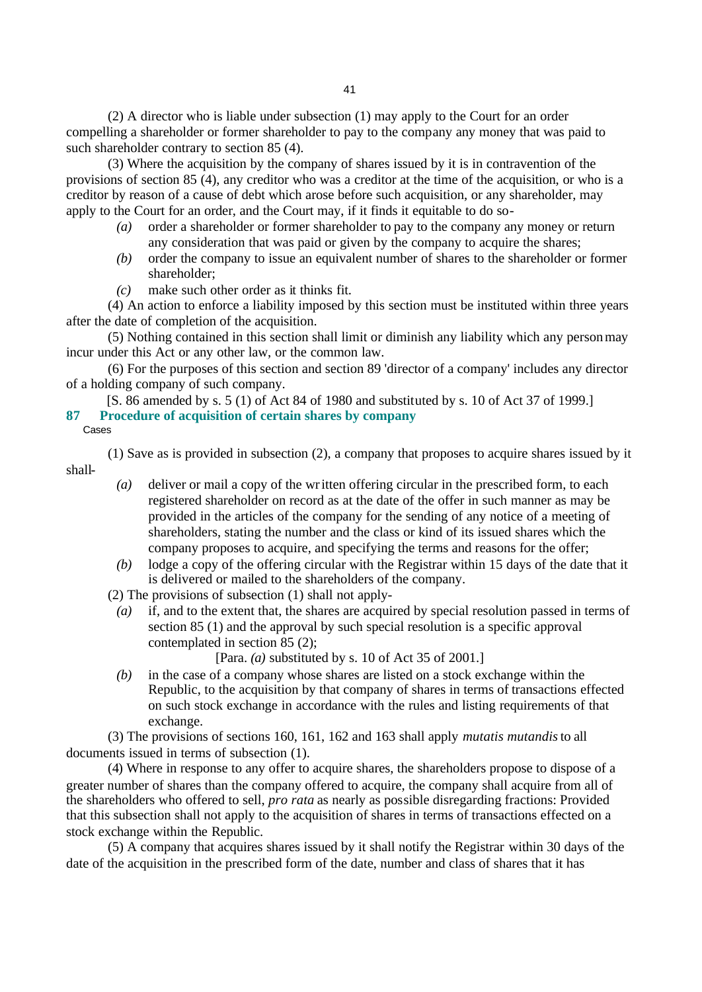(2) A director who is liable under subsection (1) may apply to the Court for an order compelling a shareholder or former shareholder to pay to the company any money that was paid to such shareholder contrary to section 85 (4).

(3) Where the acquisition by the company of shares issued by it is in contravention of the provisions of section 85 (4), any creditor who was a creditor at the time of the acquisition, or who is a creditor by reason of a cause of debt which arose before such acquisition, or any shareholder, may apply to the Court for an order, and the Court may, if it finds it equitable to do so-

- *(a)* order a shareholder or former shareholder to pay to the company any money or return any consideration that was paid or given by the company to acquire the shares;
- *(b)* order the company to issue an equivalent number of shares to the shareholder or former shareholder;
- *(c)* make such other order as it thinks fit.

(4) An action to enforce a liability imposed by this section must be instituted within three years after the date of completion of the acquisition.

(5) Nothing contained in this section shall limit or diminish any liability which any person may incur under this Act or any other law, or the common law.

(6) For the purposes of this section and section 89 'director of a company' includes any director of a holding company of such company.

[S. 86 amended by s. 5 (1) of Act 84 of 1980 and substituted by s. 10 of Act 37 of 1999.] **87 Procedure of acquisition of certain shares by company**

Cases

- (1) Save as is provided in subsection (2), a company that proposes to acquire shares issued by it shall-
	- *(a)* deliver or mail a copy of the written offering circular in the prescribed form, to each registered shareholder on record as at the date of the offer in such manner as may be provided in the articles of the company for the sending of any notice of a meeting of shareholders, stating the number and the class or kind of its issued shares which the company proposes to acquire, and specifying the terms and reasons for the offer;
	- *(b)* lodge a copy of the offering circular with the Registrar within 15 days of the date that it is delivered or mailed to the shareholders of the company.
	- (2) The provisions of subsection (1) shall not apply-
		- *(a)* if, and to the extent that, the shares are acquired by special resolution passed in terms of section 85 (1) and the approval by such special resolution is a specific approval contemplated in section 85 (2);

[Para. *(a)* substituted by s. 10 of Act 35 of 2001.]

*(b)* in the case of a company whose shares are listed on a stock exchange within the Republic, to the acquisition by that company of shares in terms of transactions effected on such stock exchange in accordance with the rules and listing requirements of that exchange.

(3) The provisions of sections 160, 161, 162 and 163 shall apply *mutatis mutandis* to all documents issued in terms of subsection (1).

(4) Where in response to any offer to acquire shares, the shareholders propose to dispose of a greater number of shares than the company offered to acquire, the company shall acquire from all of the shareholders who offered to sell, *pro rata* as nearly as possible disregarding fractions: Provided that this subsection shall not apply to the acquisition of shares in terms of transactions effected on a stock exchange within the Republic.

(5) A company that acquires shares issued by it shall notify the Registrar within 30 days of the date of the acquisition in the prescribed form of the date, number and class of shares that it has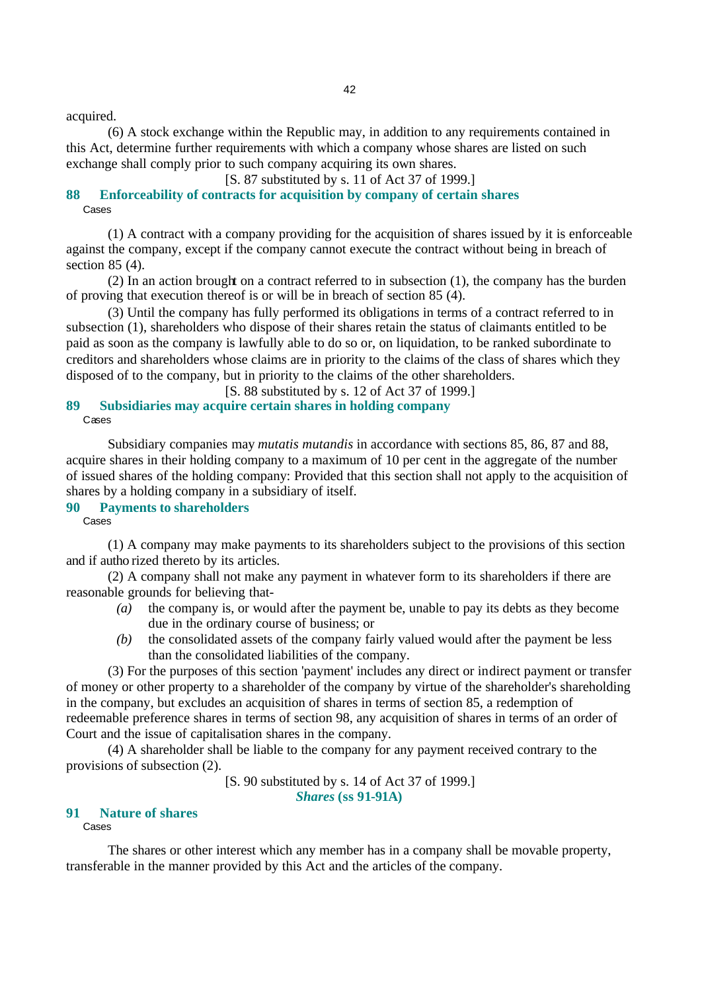acquired.

(6) A stock exchange within the Republic may, in addition to any requirements contained in this Act, determine further requirements with which a company whose shares are listed on such exchange shall comply prior to such company acquiring its own shares.

[S. 87 substituted by s. 11 of Act 37 of 1999.] **88 Enforceability of contracts for acquisition by company of certain shares** Cases

(1) A contract with a company providing for the acquisition of shares issued by it is enforceable against the company, except if the company cannot execute the contract without being in breach of section 85 (4).

(2) In an action brought on a contract referred to in subsection (1), the company has the burden of proving that execution thereof is or will be in breach of section 85 (4).

(3) Until the company has fully performed its obligations in terms of a contract referred to in subsection (1), shareholders who dispose of their shares retain the status of claimants entitled to be paid as soon as the company is lawfully able to do so or, on liquidation, to be ranked subordinate to creditors and shareholders whose claims are in priority to the claims of the class of shares which they disposed of to the company, but in priority to the claims of the other shareholders.

[S. 88 substituted by s. 12 of Act 37 of 1999.] **89 Subsidiaries may acquire certain shares in holding company** Cases

Subsidiary companies may *mutatis mutandis* in accordance with sections 85, 86, 87 and 88, acquire shares in their holding company to a maximum of 10 per cent in the aggregate of the number of issued shares of the holding company: Provided that this section shall not apply to the acquisition of shares by a holding company in a subsidiary of itself.

#### **90 Payments to shareholders**

Cases

(1) A company may make payments to its shareholders subject to the provisions of this section and if autho rized thereto by its articles.

(2) A company shall not make any payment in whatever form to its shareholders if there are reasonable grounds for believing that-

- *(a)* the company is, or would after the payment be, unable to pay its debts as they become due in the ordinary course of business; or
- *(b)* the consolidated assets of the company fairly valued would after the payment be less than the consolidated liabilities of the company.

(3) For the purposes of this section 'payment' includes any direct or indirect payment or transfer of money or other property to a shareholder of the company by virtue of the shareholder's shareholding in the company, but excludes an acquisition of shares in terms of section 85, a redemption of redeemable preference shares in terms of section 98, any acquisition of shares in terms of an order of Court and the issue of capitalisation shares in the company.

(4) A shareholder shall be liable to the company for any payment received contrary to the provisions of subsection (2).

> [S. 90 substituted by s. 14 of Act 37 of 1999.] *Shares* **(ss 91-91A)**

#### **91 Nature of shares**

Cases

The shares or other interest which any member has in a company shall be movable property, transferable in the manner provided by this Act and the articles of the company.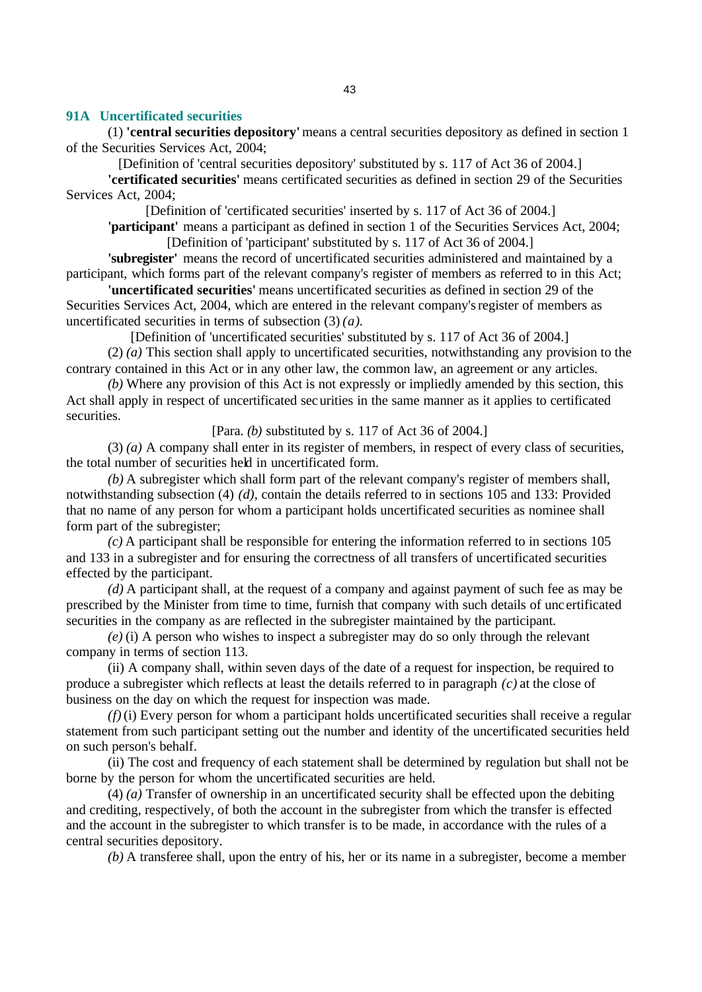#### **91A Uncertificated securities**

(1) **'central securities depository'** means a central securities depository as defined in section 1 of the Securities Services Act, 2004;

[Definition of 'central securities depository' substituted by s. 117 of Act 36 of 2004.]

**'certificated securities'** means certificated securities as defined in section 29 of the Securities Services Act, 2004;

[Definition of 'certificated securities' inserted by s. 117 of Act 36 of 2004.]

**'participant'** means a participant as defined in section 1 of the Securities Services Act, 2004; [Definition of 'participant' substituted by s. 117 of Act 36 of 2004.]

**'subregister'** means the record of uncertificated securities administered and maintained by a participant, which forms part of the relevant company's register of members as referred to in this Act;

**'uncertificated securities'** means uncertificated securities as defined in section 29 of the Securities Services Act, 2004, which are entered in the relevant company's register of members as uncertificated securities in terms of subsection (3) *(a)*.

[Definition of 'uncertificated securities' substituted by s. 117 of Act 36 of 2004.]

(2) *(a)* This section shall apply to uncertificated securities, notwithstanding any provision to the contrary contained in this Act or in any other law, the common law, an agreement or any articles.

*(b)* Where any provision of this Act is not expressly or impliedly amended by this section, this Act shall apply in respect of uncertificated securities in the same manner as it applies to certificated securities.

[Para. *(b)* substituted by s. 117 of Act 36 of 2004.]

(3) *(a)* A company shall enter in its register of members, in respect of every class of securities, the total number of securities held in uncertificated form.

*(b)* A subregister which shall form part of the relevant company's register of members shall, notwithstanding subsection (4) *(d)*, contain the details referred to in sections 105 and 133: Provided that no name of any person for whom a participant holds uncertificated securities as nominee shall form part of the subregister;

*(c)* A participant shall be responsible for entering the information referred to in sections 105 and 133 in a subregister and for ensuring the correctness of all transfers of uncertificated securities effected by the participant.

*(d)* A participant shall, at the request of a company and against payment of such fee as may be prescribed by the Minister from time to time, furnish that company with such details of unc ertificated securities in the company as are reflected in the subregister maintained by the participant.

*(e)* (i) A person who wishes to inspect a subregister may do so only through the relevant company in terms of section 113.

(ii) A company shall, within seven days of the date of a request for inspection, be required to produce a subregister which reflects at least the details referred to in paragraph *(c)* at the close of business on the day on which the request for inspection was made.

*(f)* (i) Every person for whom a participant holds uncertificated securities shall receive a regular statement from such participant setting out the number and identity of the uncertificated securities held on such person's behalf.

(ii) The cost and frequency of each statement shall be determined by regulation but shall not be borne by the person for whom the uncertificated securities are held.

(4) *(a)* Transfer of ownership in an uncertificated security shall be effected upon the debiting and crediting, respectively, of both the account in the subregister from which the transfer is effected and the account in the subregister to which transfer is to be made, in accordance with the rules of a central securities depository.

*(b)* A transferee shall, upon the entry of his, her or its name in a subregister, become a member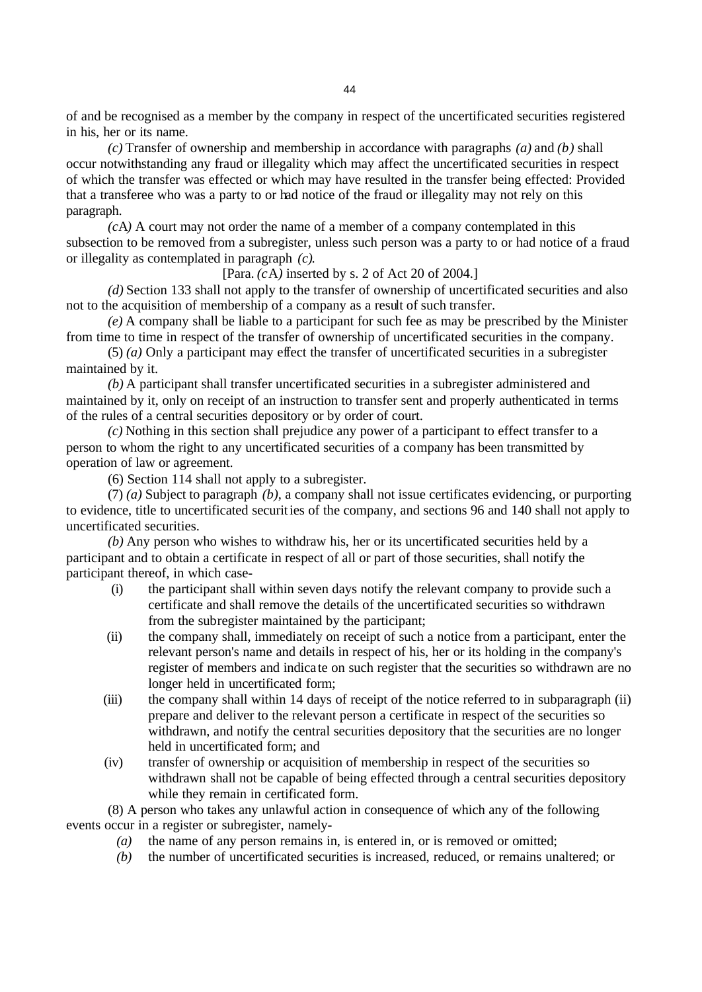of and be recognised as a member by the company in respect of the uncertificated securities registered in his, her or its name.

*(c)* Transfer of ownership and membership in accordance with paragraphs *(a)* and *(b)* shall occur notwithstanding any fraud or illegality which may affect the uncertificated securities in respect of which the transfer was effected or which may have resulted in the transfer being effected: Provided that a transferee who was a party to or had notice of the fraud or illegality may not rely on this paragraph.

*(c*A*)* A court may not order the name of a member of a company contemplated in this subsection to be removed from a subregister, unless such person was a party to or had notice of a fraud or illegality as contemplated in paragraph *(c)*.

[Para. *(c*A*)* inserted by s. 2 of Act 20 of 2004.]

*(d)* Section 133 shall not apply to the transfer of ownership of uncertificated securities and also not to the acquisition of membership of a company as a result of such transfer.

*(e)* A company shall be liable to a participant for such fee as may be prescribed by the Minister from time to time in respect of the transfer of ownership of uncertificated securities in the company.

(5) *(a)* Only a participant may effect the transfer of uncertificated securities in a subregister maintained by it.

*(b)* A participant shall transfer uncertificated securities in a subregister administered and maintained by it, only on receipt of an instruction to transfer sent and properly authenticated in terms of the rules of a central securities depository or by order of court.

*(c)* Nothing in this section shall prejudice any power of a participant to effect transfer to a person to whom the right to any uncertificated securities of a company has been transmitted by operation of law or agreement.

(6) Section 114 shall not apply to a subregister.

(7) *(a)* Subject to paragraph *(b)*, a company shall not issue certificates evidencing, or purporting to evidence, title to uncertificated securities of the company, and sections 96 and 140 shall not apply to uncertificated securities.

*(b)* Any person who wishes to withdraw his, her or its uncertificated securities held by a participant and to obtain a certificate in respect of all or part of those securities, shall notify the participant thereof, in which case-

- (i) the participant shall within seven days notify the relevant company to provide such a certificate and shall remove the details of the uncertificated securities so withdrawn from the subregister maintained by the participant;
- (ii) the company shall, immediately on receipt of such a notice from a participant, enter the relevant person's name and details in respect of his, her or its holding in the company's register of members and indica te on such register that the securities so withdrawn are no longer held in uncertificated form;
- (iii) the company shall within 14 days of receipt of the notice referred to in subparagraph (ii) prepare and deliver to the relevant person a certificate in respect of the securities so withdrawn, and notify the central securities depository that the securities are no longer held in uncertificated form; and
- (iv) transfer of ownership or acquisition of membership in respect of the securities so withdrawn shall not be capable of being effected through a central securities depository while they remain in certificated form.

(8) A person who takes any unlawful action in consequence of which any of the following events occur in a register or subregister, namely-

- *(a)* the name of any person remains in, is entered in, or is removed or omitted;
- *(b)* the number of uncertificated securities is increased, reduced, or remains unaltered; or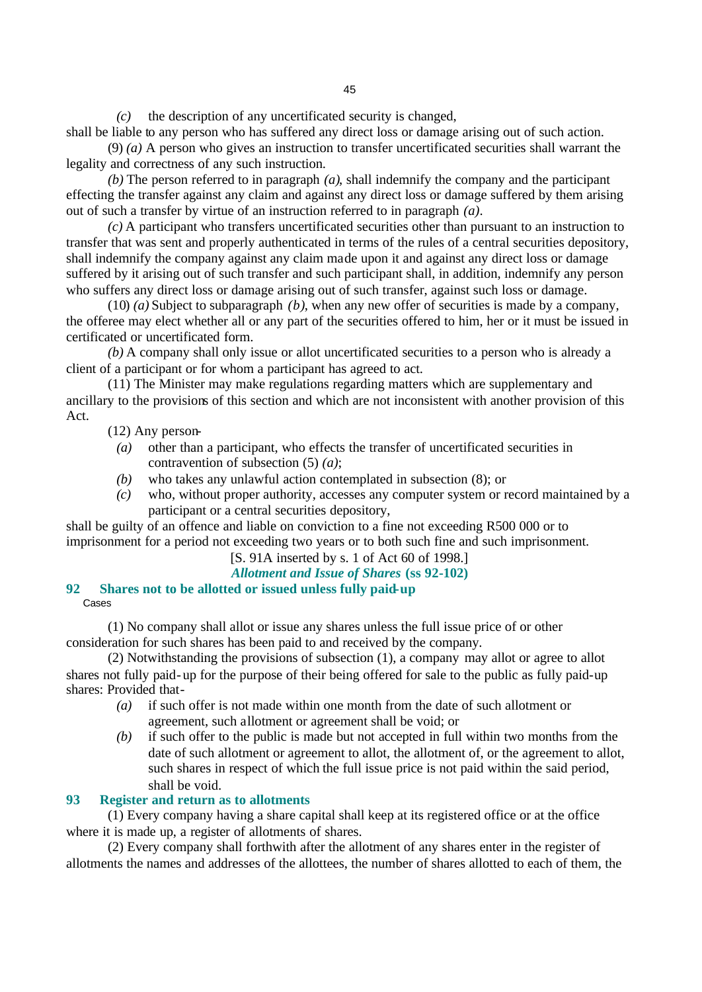*(c)* the description of any uncertificated security is changed,

shall be liable to any person who has suffered any direct loss or damage arising out of such action.

(9) *(a)* A person who gives an instruction to transfer uncertificated securities shall warrant the legality and correctness of any such instruction.

*(b)* The person referred to in paragraph *(a)*, shall indemnify the company and the participant effecting the transfer against any claim and against any direct loss or damage suffered by them arising out of such a transfer by virtue of an instruction referred to in paragraph *(a)*.

*(c)* A participant who transfers uncertificated securities other than pursuant to an instruction to transfer that was sent and properly authenticated in terms of the rules of a central securities depository, shall indemnify the company against any claim made upon it and against any direct loss or damage suffered by it arising out of such transfer and such participant shall, in addition, indemnify any person who suffers any direct loss or damage arising out of such transfer, against such loss or damage.

(10) *(a)* Subject to subparagraph *(b)*, when any new offer of securities is made by a company, the offeree may elect whether all or any part of the securities offered to him, her or it must be issued in certificated or uncertificated form.

*(b)* A company shall only issue or allot uncertificated securities to a person who is already a client of a participant or for whom a participant has agreed to act.

(11) The Minister may make regulations regarding matters which are supplementary and ancillary to the provisions of this section and which are not inconsistent with another provision of this Act.

(12) Any person-

- *(a)* other than a participant, who effects the transfer of uncertificated securities in contravention of subsection (5) *(a)*;
- *(b)* who takes any unlawful action contemplated in subsection (8); or
- *(c)* who, without proper authority, accesses any computer system or record maintained by a participant or a central securities depository,

shall be guilty of an offence and liable on conviction to a fine not exceeding R500 000 or to imprisonment for a period not exceeding two years or to both such fine and such imprisonment.

[S. 91A inserted by s. 1 of Act 60 of 1998.]

*Allotment and Issue of Shares* **(ss 92-102)**

#### **92 Shares not to be allotted or issued unless fully paid-up Cases**

(1) No company shall allot or issue any shares unless the full issue price of or other consideration for such shares has been paid to and received by the company.

(2) Notwithstanding the provisions of subsection (1), a company may allot or agree to allot shares not fully paid-up for the purpose of their being offered for sale to the public as fully paid-up shares: Provided that-

- *(a)* if such offer is not made within one month from the date of such allotment or agreement, such allotment or agreement shall be void; or
- *(b)* if such offer to the public is made but not accepted in full within two months from the date of such allotment or agreement to allot, the allotment of, or the agreement to allot, such shares in respect of which the full issue price is not paid within the said period, shall be void.

## **93 Register and return as to allotments**

(1) Every company having a share capital shall keep at its registered office or at the office where it is made up, a register of allotments of shares.

(2) Every company shall forthwith after the allotment of any shares enter in the register of allotments the names and addresses of the allottees, the number of shares allotted to each of them, the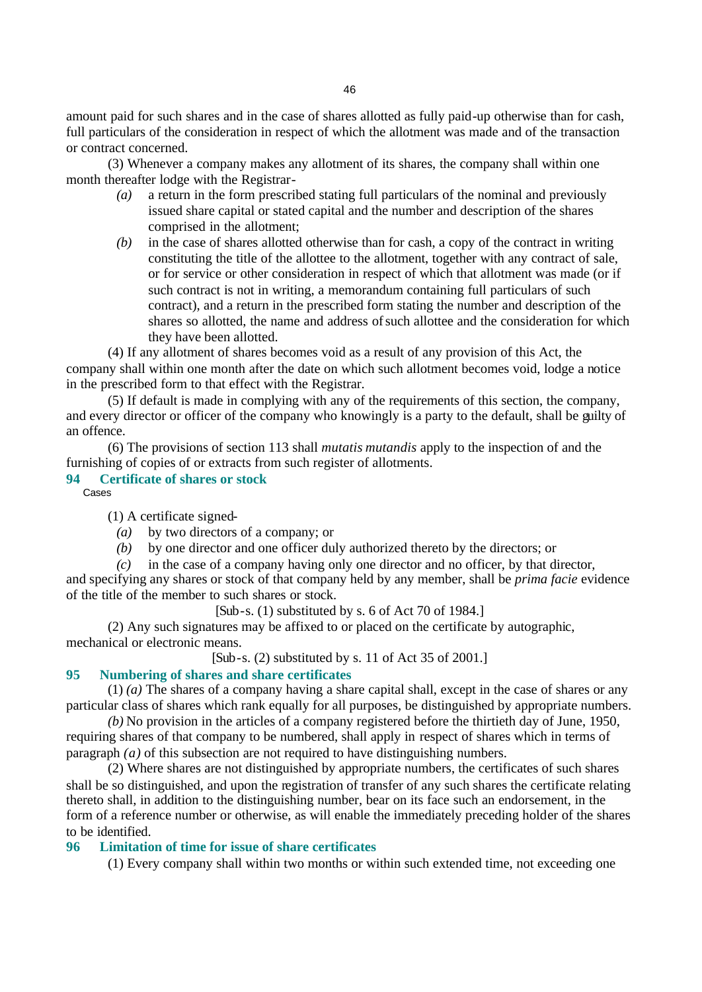amount paid for such shares and in the case of shares allotted as fully paid-up otherwise than for cash, full particulars of the consideration in respect of which the allotment was made and of the transaction or contract concerned.

(3) Whenever a company makes any allotment of its shares, the company shall within one month thereafter lodge with the Registrar-

- *(a)* a return in the form prescribed stating full particulars of the nominal and previously issued share capital or stated capital and the number and description of the shares comprised in the allotment;
- *(b)* in the case of shares allotted otherwise than for cash, a copy of the contract in writing constituting the title of the allottee to the allotment, together with any contract of sale, or for service or other consideration in respect of which that allotment was made (or if such contract is not in writing, a memorandum containing full particulars of such contract), and a return in the prescribed form stating the number and description of the shares so allotted, the name and address of such allottee and the consideration for which they have been allotted.

(4) If any allotment of shares becomes void as a result of any provision of this Act, the company shall within one month after the date on which such allotment becomes void, lodge a notice in the prescribed form to that effect with the Registrar.

(5) If default is made in complying with any of the requirements of this section, the company, and every director or officer of the company who knowingly is a party to the default, shall be guilty of an offence.

(6) The provisions of section 113 shall *mutatis mutandis* apply to the inspection of and the furnishing of copies of or extracts from such register of allotments.

## **94 Certificate of shares or stock**

Cases

(1) A certificate signed-

- *(a)* by two directors of a company; or
- *(b)* by one director and one officer duly authorized thereto by the directors; or

*(c)* in the case of a company having only one director and no officer, by that director, and specifying any shares or stock of that company held by any member, shall be *prima facie* evidence of the title of the member to such shares or stock.

[Sub-s. (1) substituted by s. 6 of Act 70 of 1984.]

(2) Any such signatures may be affixed to or placed on the certificate by autographic, mechanical or electronic means.

 $[Sub-s. (2)$  substituted by s. 11 of Act 35 of 2001.

### **95 Numbering of shares and share certificates**

(1) *(a)* The shares of a company having a share capital shall, except in the case of shares or any particular class of shares which rank equally for all purposes, be distinguished by appropriate numbers.

*(b)* No provision in the articles of a company registered before the thirtieth day of June, 1950, requiring shares of that company to be numbered, shall apply in respect of shares which in terms of paragraph *(a)* of this subsection are not required to have distinguishing numbers.

(2) Where shares are not distinguished by appropriate numbers, the certificates of such shares shall be so distinguished, and upon the registration of transfer of any such shares the certificate relating thereto shall, in addition to the distinguishing number, bear on its face such an endorsement, in the form of a reference number or otherwise, as will enable the immediately preceding holder of the shares to be identified.

#### **96 Limitation of time for issue of share certificates**

(1) Every company shall within two months or within such extended time, not exceeding one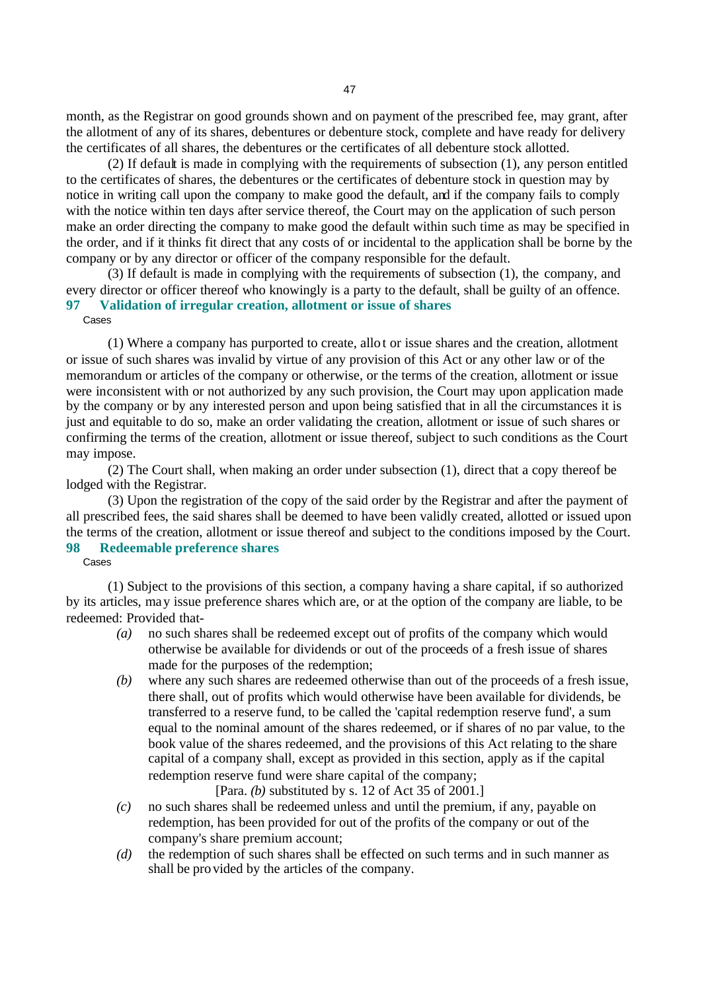month, as the Registrar on good grounds shown and on payment of the prescribed fee, may grant, after the allotment of any of its shares, debentures or debenture stock, complete and have ready for delivery the certificates of all shares, the debentures or the certificates of all debenture stock allotted.

(2) If default is made in complying with the requirements of subsection (1), any person entitled to the certificates of shares, the debentures or the certificates of debenture stock in question may by notice in writing call upon the company to make good the default, and if the company fails to comply with the notice within ten days after service thereof, the Court may on the application of such person make an order directing the company to make good the default within such time as may be specified in the order, and if it thinks fit direct that any costs of or incidental to the application shall be borne by the company or by any director or officer of the company responsible for the default.

(3) If default is made in complying with the requirements of subsection (1), the company, and every director or officer thereof who knowingly is a party to the default, shall be guilty of an offence. **97 Validation of irregular creation, allotment or issue of shares**

#### Cases

(1) Where a company has purported to create, allot or issue shares and the creation, allotment or issue of such shares was invalid by virtue of any provision of this Act or any other law or of the memorandum or articles of the company or otherwise, or the terms of the creation, allotment or issue were inconsistent with or not authorized by any such provision, the Court may upon application made by the company or by any interested person and upon being satisfied that in all the circumstances it is just and equitable to do so, make an order validating the creation, allotment or issue of such shares or confirming the terms of the creation, allotment or issue thereof, subject to such conditions as the Court may impose.

(2) The Court shall, when making an order under subsection (1), direct that a copy thereof be lodged with the Registrar.

(3) Upon the registration of the copy of the said order by the Registrar and after the payment of all prescribed fees, the said shares shall be deemed to have been validly created, allotted or issued upon the terms of the creation, allotment or issue thereof and subject to the conditions imposed by the Court. **98 Redeemable preference shares**

# Cases

(1) Subject to the provisions of this section, a company having a share capital, if so authorized by its articles, may issue preference shares which are, or at the option of the company are liable, to be redeemed: Provided that-

- *(a)* no such shares shall be redeemed except out of profits of the company which would otherwise be available for dividends or out of the proceeds of a fresh issue of shares made for the purposes of the redemption;
- *(b)* where any such shares are redeemed otherwise than out of the proceeds of a fresh issue, there shall, out of profits which would otherwise have been available for dividends, be transferred to a reserve fund, to be called the 'capital redemption reserve fund', a sum equal to the nominal amount of the shares redeemed, or if shares of no par value, to the book value of the shares redeemed, and the provisions of this Act relating to the share capital of a company shall, except as provided in this section, apply as if the capital redemption reserve fund were share capital of the company;

[Para. *(b)* substituted by s. 12 of Act 35 of 2001.]

- *(c)* no such shares shall be redeemed unless and until the premium, if any, payable on redemption, has been provided for out of the profits of the company or out of the company's share premium account;
- *(d)* the redemption of such shares shall be effected on such terms and in such manner as shall be pro vided by the articles of the company.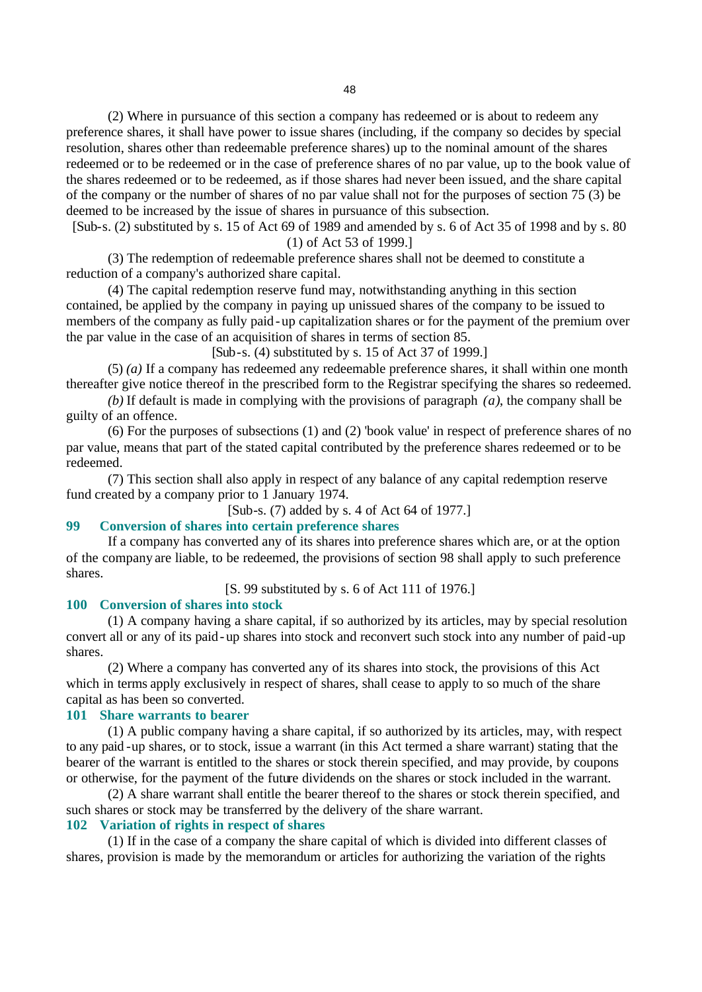(2) Where in pursuance of this section a company has redeemed or is about to redeem any preference shares, it shall have power to issue shares (including, if the company so decides by special resolution, shares other than redeemable preference shares) up to the nominal amount of the shares redeemed or to be redeemed or in the case of preference shares of no par value, up to the book value of the shares redeemed or to be redeemed, as if those shares had never been issued, and the share capital of the company or the number of shares of no par value shall not for the purposes of section 75 (3) be deemed to be increased by the issue of shares in pursuance of this subsection.

[Sub-s. (2) substituted by s. 15 of Act 69 of 1989 and amended by s. 6 of Act 35 of 1998 and by s. 80 (1) of Act 53 of 1999.]

(3) The redemption of redeemable preference shares shall not be deemed to constitute a reduction of a company's authorized share capital.

(4) The capital redemption reserve fund may, notwithstanding anything in this section contained, be applied by the company in paying up unissued shares of the company to be issued to members of the company as fully paid-up capitalization shares or for the payment of the premium over the par value in the case of an acquisition of shares in terms of section 85.

[Sub-s. (4) substituted by s. 15 of Act 37 of 1999.]

(5) *(a)* If a company has redeemed any redeemable preference shares, it shall within one month thereafter give notice thereof in the prescribed form to the Registrar specifying the shares so redeemed.

*(b)* If default is made in complying with the provisions of paragraph *(a)*, the company shall be guilty of an offence.

(6) For the purposes of subsections (1) and (2) 'book value' in respect of preference shares of no par value, means that part of the stated capital contributed by the preference shares redeemed or to be redeemed.

(7) This section shall also apply in respect of any balance of any capital redemption reserve fund created by a company prior to 1 January 1974.

[Sub-s. (7) added by s. 4 of Act 64 of 1977.]

## **99 Conversion of shares into certain preference shares**

If a company has converted any of its shares into preference shares which are, or at the option of the company are liable, to be redeemed, the provisions of section 98 shall apply to such preference shares.

[S. 99 substituted by s. 6 of Act 111 of 1976.]

#### **100 Conversion of shares into stock**

(1) A company having a share capital, if so authorized by its articles, may by special resolution convert all or any of its paid-up shares into stock and reconvert such stock into any number of paid-up shares.

(2) Where a company has converted any of its shares into stock, the provisions of this Act which in terms apply exclusively in respect of shares, shall cease to apply to so much of the share capital as has been so converted.

#### **101 Share warrants to bearer**

(1) A public company having a share capital, if so authorized by its articles, may, with respect to any paid -up shares, or to stock, issue a warrant (in this Act termed a share warrant) stating that the bearer of the warrant is entitled to the shares or stock therein specified, and may provide, by coupons or otherwise, for the payment of the future dividends on the shares or stock included in the warrant.

(2) A share warrant shall entitle the bearer thereof to the shares or stock therein specified, and such shares or stock may be transferred by the delivery of the share warrant.

### **102 Variation of rights in respect of shares**

(1) If in the case of a company the share capital of which is divided into different classes of shares, provision is made by the memorandum or articles for authorizing the variation of the rights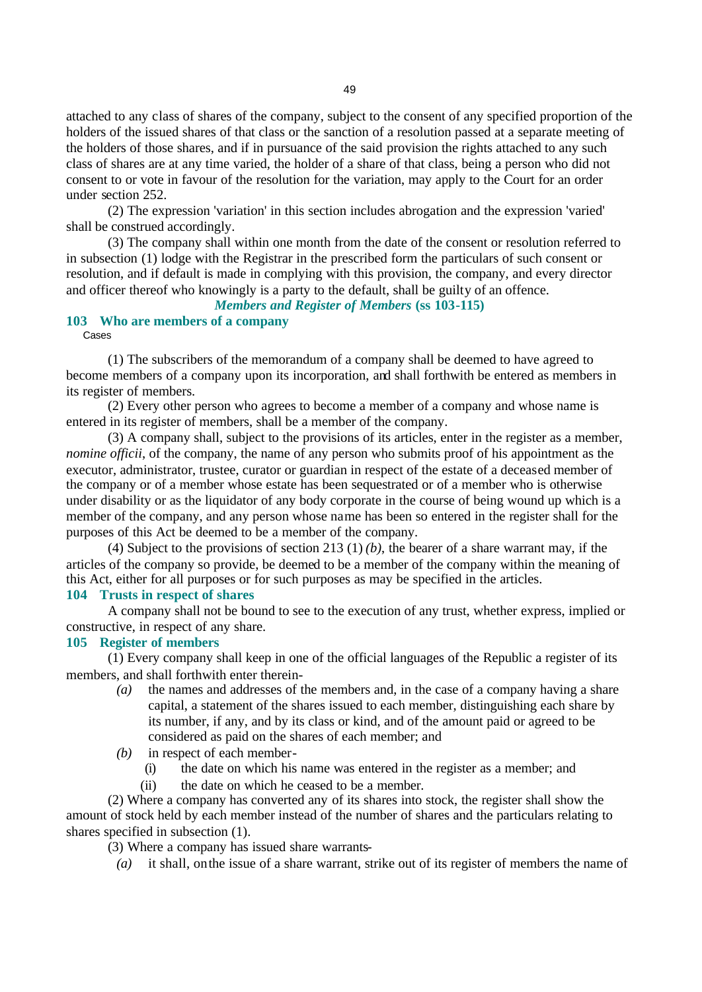attached to any class of shares of the company, subject to the consent of any specified proportion of the holders of the issued shares of that class or the sanction of a resolution passed at a separate meeting of the holders of those shares, and if in pursuance of the said provision the rights attached to any such class of shares are at any time varied, the holder of a share of that class, being a person who did not consent to or vote in favour of the resolution for the variation, may apply to the Court for an order under section 252.

(2) The expression 'variation' in this section includes abrogation and the expression 'varied' shall be construed accordingly.

(3) The company shall within one month from the date of the consent or resolution referred to in subsection (1) lodge with the Registrar in the prescribed form the particulars of such consent or resolution, and if default is made in complying with this provision, the company, and every director and officer thereof who knowingly is a party to the default, shall be guilty of an offence.

*Members and Register of Members* **(ss 103-115)**

#### **103 Who are members of a company** Cases

(1) The subscribers of the memorandum of a company shall be deemed to have agreed to become members of a company upon its incorporation, and shall forthwith be entered as members in its register of members.

(2) Every other person who agrees to become a member of a company and whose name is entered in its register of members, shall be a member of the company.

(3) A company shall, subject to the provisions of its articles, enter in the register as a member, *nomine officii*, of the company, the name of any person who submits proof of his appointment as the executor, administrator, trustee, curator or guardian in respect of the estate of a deceased member of the company or of a member whose estate has been sequestrated or of a member who is otherwise under disability or as the liquidator of any body corporate in the course of being wound up which is a member of the company, and any person whose name has been so entered in the register shall for the purposes of this Act be deemed to be a member of the company.

(4) Subject to the provisions of section 213 (1) *(b)*, the bearer of a share warrant may, if the articles of the company so provide, be deemed to be a member of the company within the meaning of this Act, either for all purposes or for such purposes as may be specified in the articles.

#### **104 Trusts in respect of shares**

A company shall not be bound to see to the execution of any trust, whether express, implied or constructive, in respect of any share.

#### **105 Register of members**

(1) Every company shall keep in one of the official languages of the Republic a register of its members, and shall forthwith enter therein-

- *(a)* the names and addresses of the members and, in the case of a company having a share capital, a statement of the shares issued to each member, distinguishing each share by its number, if any, and by its class or kind, and of the amount paid or agreed to be considered as paid on the shares of each member; and
- *(b)* in respect of each member-
	- (i) the date on which his name was entered in the register as a member; and
	- (ii) the date on which he ceased to be a member.

(2) Where a company has converted any of its shares into stock, the register shall show the amount of stock held by each member instead of the number of shares and the particulars relating to shares specified in subsection (1).

(3) Where a company has issued share warrants-

*(a)* it shall, on the issue of a share warrant, strike out of its register of members the name of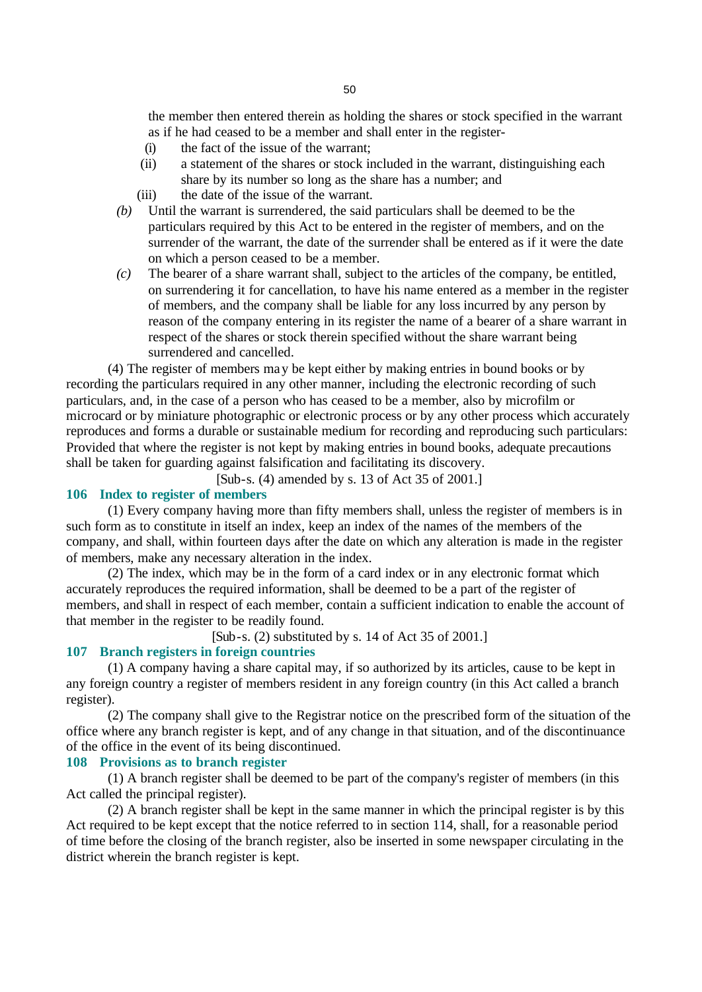the member then entered therein as holding the shares or stock specified in the warrant as if he had ceased to be a member and shall enter in the register-

- (i) the fact of the issue of the warrant;
- (ii) a statement of the shares or stock included in the warrant, distinguishing each share by its number so long as the share has a number; and
- (iii) the date of the issue of the warrant.
- *(b)* Until the warrant is surrendered, the said particulars shall be deemed to be the particulars required by this Act to be entered in the register of members, and on the surrender of the warrant, the date of the surrender shall be entered as if it were the date on which a person ceased to be a member.
- *(c)* The bearer of a share warrant shall, subject to the articles of the company, be entitled, on surrendering it for cancellation, to have his name entered as a member in the register of members, and the company shall be liable for any loss incurred by any person by reason of the company entering in its register the name of a bearer of a share warrant in respect of the shares or stock therein specified without the share warrant being surrendered and cancelled.

(4) The register of members may be kept either by making entries in bound books or by recording the particulars required in any other manner, including the electronic recording of such particulars, and, in the case of a person who has ceased to be a member, also by microfilm or microcard or by miniature photographic or electronic process or by any other process which accurately reproduces and forms a durable or sustainable medium for recording and reproducing such particulars: Provided that where the register is not kept by making entries in bound books, adequate precautions shall be taken for guarding against falsification and facilitating its discovery.

[Sub-s. (4) amended by s. 13 of Act 35 of 2001.]

## **106 Index to register of members**

(1) Every company having more than fifty members shall, unless the register of members is in such form as to constitute in itself an index, keep an index of the names of the members of the company, and shall, within fourteen days after the date on which any alteration is made in the register of members, make any necessary alteration in the index.

(2) The index, which may be in the form of a card index or in any electronic format which accurately reproduces the required information, shall be deemed to be a part of the register of members, and shall in respect of each member, contain a sufficient indication to enable the account of that member in the register to be readily found.

[Sub-s. (2) substituted by s. 14 of Act 35 of 2001.]

### **107 Branch registers in foreign countries**

(1) A company having a share capital may, if so authorized by its articles, cause to be kept in any foreign country a register of members resident in any foreign country (in this Act called a branch register).

(2) The company shall give to the Registrar notice on the prescribed form of the situation of the office where any branch register is kept, and of any change in that situation, and of the discontinuance of the office in the event of its being discontinued.

### **108 Provisions as to branch register**

(1) A branch register shall be deemed to be part of the company's register of members (in this Act called the principal register).

(2) A branch register shall be kept in the same manner in which the principal register is by this Act required to be kept except that the notice referred to in section 114, shall, for a reasonable period of time before the closing of the branch register, also be inserted in some newspaper circulating in the district wherein the branch register is kept.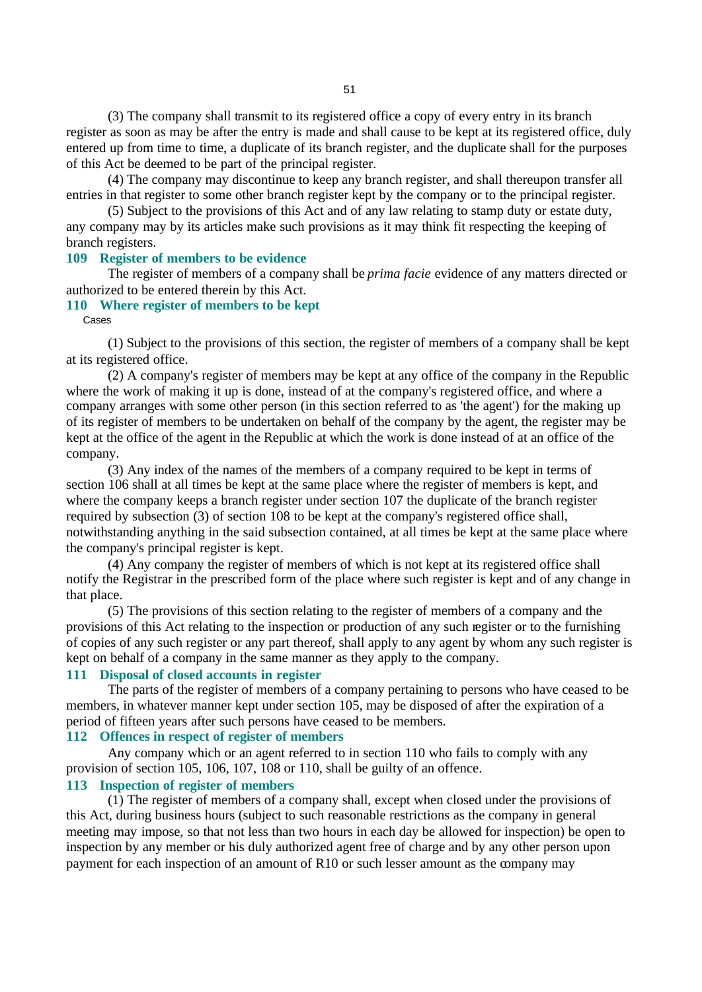(3) The company shall transmit to its registered office a copy of every entry in its branch register as soon as may be after the entry is made and shall cause to be kept at its registered office, duly entered up from time to time, a duplicate of its branch register, and the duplicate shall for the purposes of this Act be deemed to be part of the principal register.

(4) The company may discontinue to keep any branch register, and shall thereupon transfer all entries in that register to some other branch register kept by the company or to the principal register.

(5) Subject to the provisions of this Act and of any law relating to stamp duty or estate duty, any company may by its articles make such provisions as it may think fit respecting the keeping of branch registers.

#### **109 Register of members to be evidence**

The register of members of a company shall be *prima facie* evidence of any matters directed or authorized to be entered therein by this Act.

### **110 Where register of members to be kept**

Cases

(1) Subject to the provisions of this section, the register of members of a company shall be kept at its registered office.

(2) A company's register of members may be kept at any office of the company in the Republic where the work of making it up is done, instead of at the company's registered office, and where a company arranges with some other person (in this section referred to as 'the agent') for the making up of its register of members to be undertaken on behalf of the company by the agent, the register may be kept at the office of the agent in the Republic at which the work is done instead of at an office of the company.

(3) Any index of the names of the members of a company required to be kept in terms of section 106 shall at all times be kept at the same place where the register of members is kept, and where the company keeps a branch register under section 107 the duplicate of the branch register required by subsection (3) of section 108 to be kept at the company's registered office shall, notwithstanding anything in the said subsection contained, at all times be kept at the same place where the company's principal register is kept.

(4) Any company the register of members of which is not kept at its registered office shall notify the Registrar in the prescribed form of the place where such register is kept and of any change in that place.

(5) The provisions of this section relating to the register of members of a company and the provisions of this Act relating to the inspection or production of any such register or to the furnishing of copies of any such register or any part thereof, shall apply to any agent by whom any such register is kept on behalf of a company in the same manner as they apply to the company.

### **111 Disposal of closed accounts in register**

The parts of the register of members of a company pertaining to persons who have ceased to be members, in whatever manner kept under section 105, may be disposed of after the expiration of a period of fifteen years after such persons have ceased to be members.

### **112 Offences in respect of register of members**

Any company which or an agent referred to in section 110 who fails to comply with any provision of section 105, 106, 107, 108 or 110, shall be guilty of an offence.

## **113 Inspection of register of members**

(1) The register of members of a company shall, except when closed under the provisions of this Act, during business hours (subject to such reasonable restrictions as the company in general meeting may impose, so that not less than two hours in each day be allowed for inspection) be open to inspection by any member or his duly authorized agent free of charge and by any other person upon payment for each inspection of an amount of R10 or such lesser amount as the company may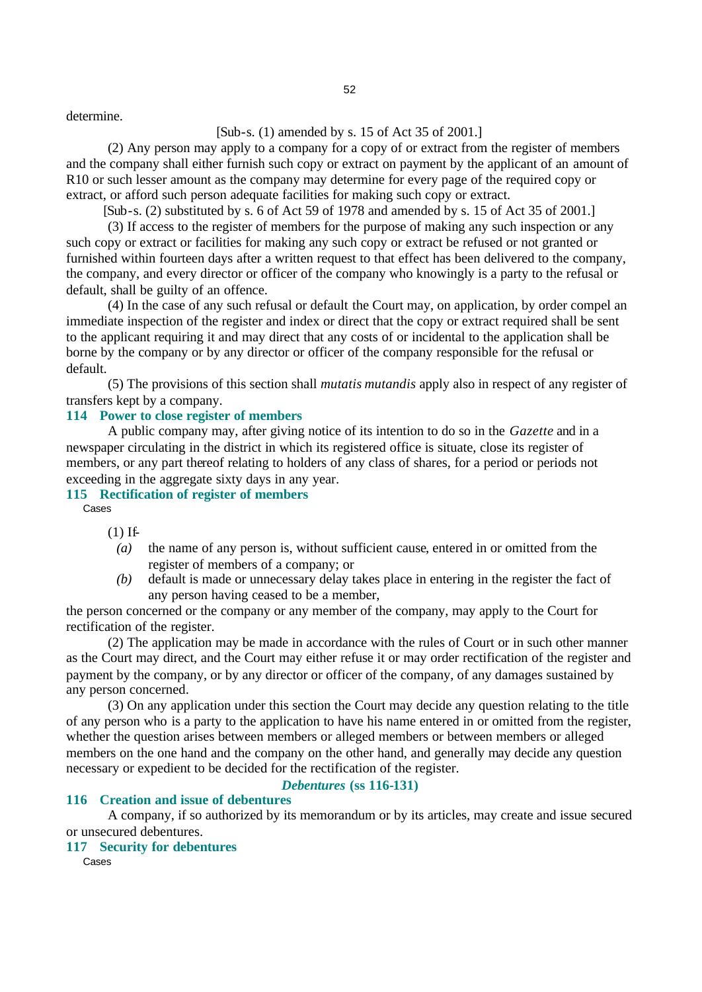determine.

#### [Sub-s. (1) amended by s. 15 of Act 35 of 2001.]

(2) Any person may apply to a company for a copy of or extract from the register of members and the company shall either furnish such copy or extract on payment by the applicant of an amount of R10 or such lesser amount as the company may determine for every page of the required copy or extract, or afford such person adequate facilities for making such copy or extract.

[Sub-s. (2) substituted by s. 6 of Act 59 of 1978 and amended by s. 15 of Act 35 of 2001.]

(3) If access to the register of members for the purpose of making any such inspection or any such copy or extract or facilities for making any such copy or extract be refused or not granted or furnished within fourteen days after a written request to that effect has been delivered to the company, the company, and every director or officer of the company who knowingly is a party to the refusal or default, shall be guilty of an offence.

(4) In the case of any such refusal or default the Court may, on application, by order compel an immediate inspection of the register and index or direct that the copy or extract required shall be sent to the applicant requiring it and may direct that any costs of or incidental to the application shall be borne by the company or by any director or officer of the company responsible for the refusal or default.

(5) The provisions of this section shall *mutatis mutandis* apply also in respect of any register of transfers kept by a company.

#### **114 Power to close register of members**

A public company may, after giving notice of its intention to do so in the *Gazette* and in a newspaper circulating in the district in which its registered office is situate, close its register of members, or any part thereof relating to holders of any class of shares, for a period or periods not exceeding in the aggregate sixty days in any year.

**115 Rectification of register of members**

Cases

 $(1)$  If-

- *(a)* the name of any person is, without sufficient cause, entered in or omitted from the register of members of a company; or
- *(b)* default is made or unnecessary delay takes place in entering in the register the fact of any person having ceased to be a member,

the person concerned or the company or any member of the company, may apply to the Court for rectification of the register.

(2) The application may be made in accordance with the rules of Court or in such other manner as the Court may direct, and the Court may either refuse it or may order rectification of the register and payment by the company, or by any director or officer of the company, of any damages sustained by any person concerned.

(3) On any application under this section the Court may decide any question relating to the title of any person who is a party to the application to have his name entered in or omitted from the register, whether the question arises between members or alleged members or between members or alleged members on the one hand and the company on the other hand, and generally may decide any question necessary or expedient to be decided for the rectification of the register.

## *Debentures* **(ss 116-131)**

**116 Creation and issue of debentures**

A company, if so authorized by its memorandum or by its articles, may create and issue secured or unsecured debentures.

#### **117 Security for debentures**

Cases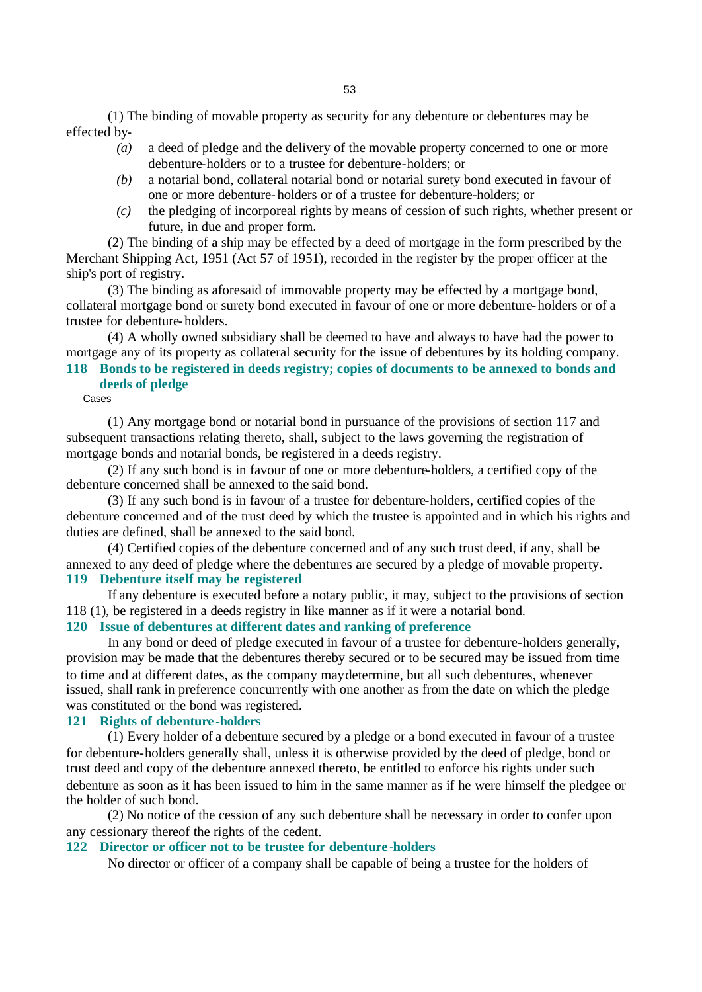(1) The binding of movable property as security for any debenture or debentures may be effected by-

- *(a)* a deed of pledge and the delivery of the movable property concerned to one or more debenture-holders or to a trustee for debenture-holders; or
- *(b)* a notarial bond, collateral notarial bond or notarial surety bond executed in favour of one or more debenture-holders or of a trustee for debenture-holders; or
- *(c)* the pledging of incorporeal rights by means of cession of such rights, whether present or future, in due and proper form.

(2) The binding of a ship may be effected by a deed of mortgage in the form prescribed by the Merchant Shipping Act, 1951 (Act 57 of 1951), recorded in the register by the proper officer at the ship's port of registry.

(3) The binding as aforesaid of immovable property may be effected by a mortgage bond, collateral mortgage bond or surety bond executed in favour of one or more debenture-holders or of a trustee for debenture-holders.

(4) A wholly owned subsidiary shall be deemed to have and always to have had the power to mortgage any of its property as collateral security for the issue of debentures by its holding company.

## **118 Bonds to be registered in deeds registry; copies of documents to be annexed to bonds and deeds of pledge**

Cases

(1) Any mortgage bond or notarial bond in pursuance of the provisions of section 117 and subsequent transactions relating thereto, shall, subject to the laws governing the registration of mortgage bonds and notarial bonds, be registered in a deeds registry.

(2) If any such bond is in favour of one or more debenture-holders, a certified copy of the debenture concerned shall be annexed to the said bond.

(3) If any such bond is in favour of a trustee for debenture-holders, certified copies of the debenture concerned and of the trust deed by which the trustee is appointed and in which his rights and duties are defined, shall be annexed to the said bond.

(4) Certified copies of the debenture concerned and of any such trust deed, if any, shall be annexed to any deed of pledge where the debentures are secured by a pledge of movable property. **119 Debenture itself may be registered**

If any debenture is executed before a notary public, it may, subject to the provisions of section 118 (1), be registered in a deeds registry in like manner as if it were a notarial bond.

### **120 Issue of debentures at different dates and ranking of preference**

In any bond or deed of pledge executed in favour of a trustee for debenture-holders generally, provision may be made that the debentures thereby secured or to be secured may be issued from time to time and at different dates, as the company may determine, but all such debentures, whenever issued, shall rank in preference concurrently with one another as from the date on which the pledge was constituted or the bond was registered.

#### **121 Rights of debenture -holders**

(1) Every holder of a debenture secured by a pledge or a bond executed in favour of a trustee for debenture-holders generally shall, unless it is otherwise provided by the deed of pledge, bond or trust deed and copy of the debenture annexed thereto, be entitled to enforce his rights under such debenture as soon as it has been issued to him in the same manner as if he were himself the pledgee or the holder of such bond.

(2) No notice of the cession of any such debenture shall be necessary in order to confer upon any cessionary thereof the rights of the cedent.

### **122 Director or officer not to be trustee for debenture -holders**

No director or officer of a company shall be capable of being a trustee for the holders of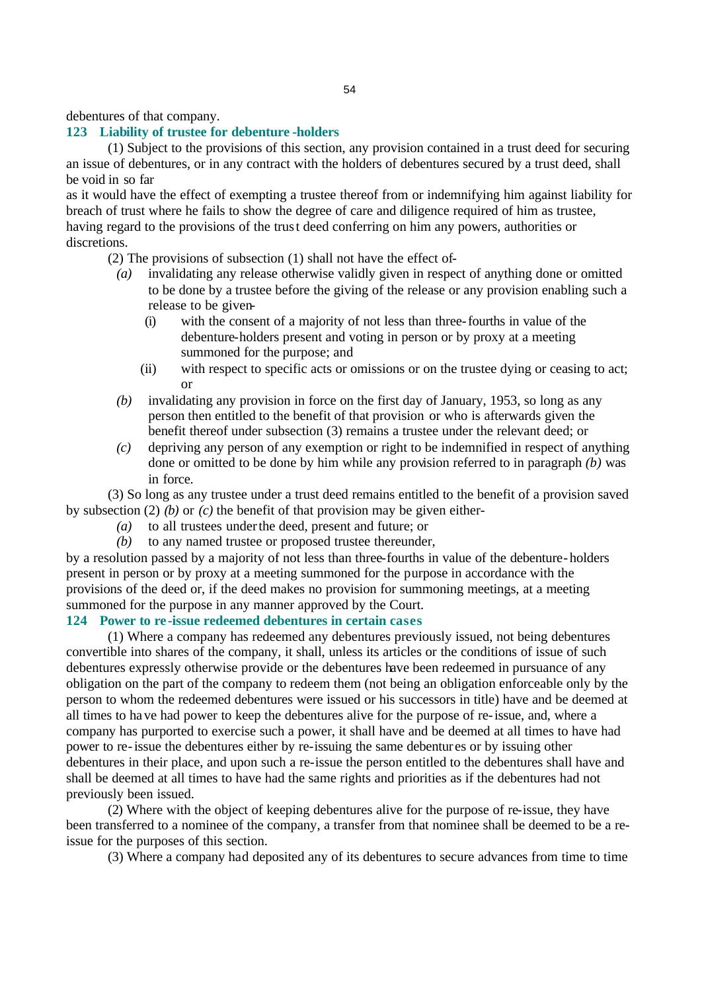debentures of that company.

#### **123 Liability of trustee for debenture -holders**

(1) Subject to the provisions of this section, any provision contained in a trust deed for securing an issue of debentures, or in any contract with the holders of debentures secured by a trust deed, shall be void in so far

as it would have the effect of exempting a trustee thereof from or indemnifying him against liability for breach of trust where he fails to show the degree of care and diligence required of him as trustee, having regard to the provisions of the trust deed conferring on him any powers, authorities or discretions.

(2) The provisions of subsection (1) shall not have the effect of-

- *(a)* invalidating any release otherwise validly given in respect of anything done or omitted to be done by a trustee before the giving of the release or any provision enabling such a release to be given-
	- (i) with the consent of a majority of not less than three-fourths in value of the debenture-holders present and voting in person or by proxy at a meeting summoned for the purpose; and
	- (ii) with respect to specific acts or omissions or on the trustee dying or ceasing to act; or
- *(b)* invalidating any provision in force on the first day of January, 1953, so long as any person then entitled to the benefit of that provision or who is afterwards given the benefit thereof under subsection (3) remains a trustee under the relevant deed; or
- *(c)* depriving any person of any exemption or right to be indemnified in respect of anything done or omitted to be done by him while any provision referred to in paragraph *(b)* was in force.

(3) So long as any trustee under a trust deed remains entitled to the benefit of a provision saved by subsection (2) *(b)* or *(c)* the benefit of that provision may be given either-

- *(a)* to all trustees under the deed, present and future; or
- *(b)* to any named trustee or proposed trustee thereunder,

by a resolution passed by a majority of not less than three-fourths in value of the debenture-holders present in person or by proxy at a meeting summoned for the purpose in accordance with the provisions of the deed or, if the deed makes no provision for summoning meetings, at a meeting summoned for the purpose in any manner approved by the Court.

### **124 Power to re-issue redeemed debentures in certain cases**

(1) Where a company has redeemed any debentures previously issued, not being debentures convertible into shares of the company, it shall, unless its articles or the conditions of issue of such debentures expressly otherwise provide or the debentures have been redeemed in pursuance of any obligation on the part of the company to redeem them (not being an obligation enforceable only by the person to whom the redeemed debentures were issued or his successors in title) have and be deemed at all times to have had power to keep the debentures alive for the purpose of re-issue, and, where a company has purported to exercise such a power, it shall have and be deemed at all times to have had power to re-issue the debentures either by re-issuing the same debentur es or by issuing other debentures in their place, and upon such a re-issue the person entitled to the debentures shall have and shall be deemed at all times to have had the same rights and priorities as if the debentures had not previously been issued.

(2) Where with the object of keeping debentures alive for the purpose of re-issue, they have been transferred to a nominee of the company, a transfer from that nominee shall be deemed to be a reissue for the purposes of this section.

(3) Where a company had deposited any of its debentures to secure advances from time to time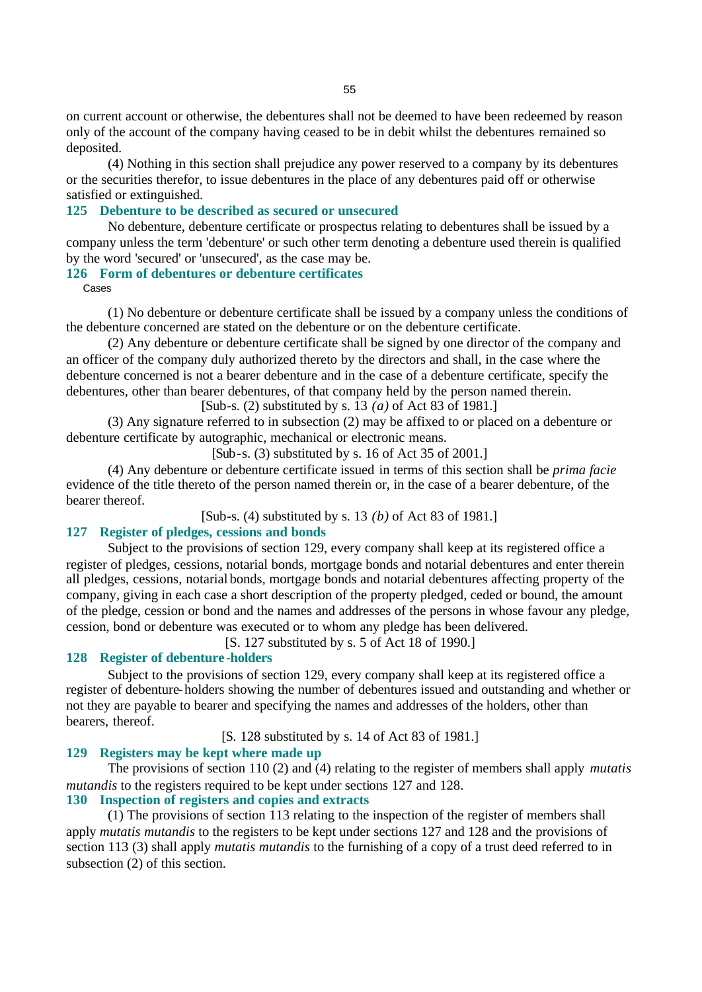on current account or otherwise, the debentures shall not be deemed to have been redeemed by reason only of the account of the company having ceased to be in debit whilst the debentures remained so deposited.

(4) Nothing in this section shall prejudice any power reserved to a company by its debentures or the securities therefor, to issue debentures in the place of any debentures paid off or otherwise satisfied or extinguished.

#### **125 Debenture to be described as secured or unsecured**

No debenture, debenture certificate or prospectus relating to debentures shall be issued by a company unless the term 'debenture' or such other term denoting a debenture used therein is qualified by the word 'secured' or 'unsecured', as the case may be.

#### **126 Form of debentures or debenture certificates**

Cases

(1) No debenture or debenture certificate shall be issued by a company unless the conditions of the debenture concerned are stated on the debenture or on the debenture certificate.

(2) Any debenture or debenture certificate shall be signed by one director of the company and an officer of the company duly authorized thereto by the directors and shall, in the case where the debenture concerned is not a bearer debenture and in the case of a debenture certificate, specify the debentures, other than bearer debentures, of that company held by the person named therein.

[Sub-s. (2) substituted by s. 13 *(a)* of Act 83 of 1981.]

(3) Any signature referred to in subsection (2) may be affixed to or placed on a debenture or debenture certificate by autographic, mechanical or electronic means.

[Sub-s. (3) substituted by s. 16 of Act 35 of 2001.]

(4) Any debenture or debenture certificate issued in terms of this section shall be *prima facie* evidence of the title thereto of the person named therein or, in the case of a bearer debenture, of the bearer thereof.

[Sub-s. (4) substituted by s. 13 *(b)* of Act 83 of 1981.]

#### **127 Register of pledges, cessions and bonds**

Subject to the provisions of section 129, every company shall keep at its registered office a register of pledges, cessions, notarial bonds, mortgage bonds and notarial debentures and enter therein all pledges, cessions, notarial bonds, mortgage bonds and notarial debentures affecting property of the company, giving in each case a short description of the property pledged, ceded or bound, the amount of the pledge, cession or bond and the names and addresses of the persons in whose favour any pledge, cession, bond or debenture was executed or to whom any pledge has been delivered.

[S. 127 substituted by s. 5 of Act 18 of 1990.]

## **128 Register of debenture -holders**

Subject to the provisions of section 129, every company shall keep at its registered office a register of debenture-holders showing the number of debentures issued and outstanding and whether or not they are payable to bearer and specifying the names and addresses of the holders, other than bearers, thereof.

[S. 128 substituted by s. 14 of Act 83 of 1981.]

### **129 Registers may be kept where made up**

The provisions of section 110 (2) and (4) relating to the register of members shall apply *mutatis mutandis* to the registers required to be kept under sections 127 and 128.

## **130 Inspection of registers and copies and extracts**

(1) The provisions of section 113 relating to the inspection of the register of members shall apply *mutatis mutandis* to the registers to be kept under sections 127 and 128 and the provisions of section 113 (3) shall apply *mutatis mutandis* to the furnishing of a copy of a trust deed referred to in subsection (2) of this section.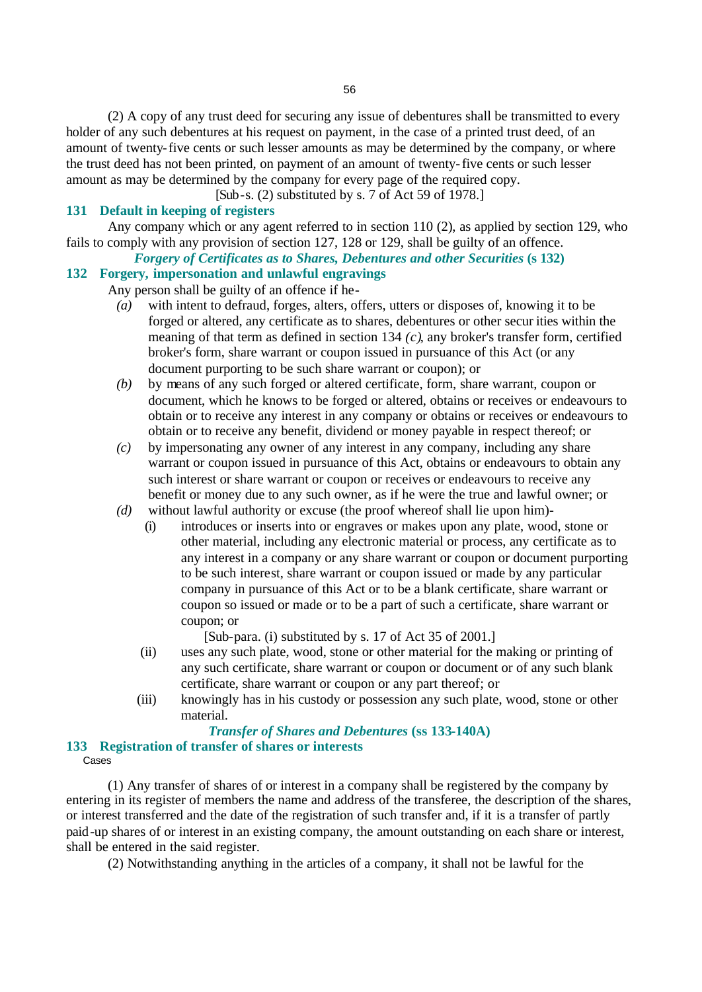56

(2) A copy of any trust deed for securing any issue of debentures shall be transmitted to every holder of any such debentures at his request on payment, in the case of a printed trust deed, of an amount of twenty-five cents or such lesser amounts as may be determined by the company, or where the trust deed has not been printed, on payment of an amount of twenty-five cents or such lesser amount as may be determined by the company for every page of the required copy.

[Sub-s. (2) substituted by s. 7 of Act 59 of 1978.]

### **131 Default in keeping of registers**

Any company which or any agent referred to in section 110 (2), as applied by section 129, who fails to comply with any provision of section 127, 128 or 129, shall be guilty of an offence.

### *Forgery of Certificates as to Shares, Debentures and other Securities* **(s 132)**

#### **132 Forgery, impersonation and unlawful engravings**

Any person shall be guilty of an offence if he-

- *(a)* with intent to defraud, forges, alters, offers, utters or disposes of, knowing it to be forged or altered, any certificate as to shares, debentures or other secur ities within the meaning of that term as defined in section 134 *(c)*, any broker's transfer form, certified broker's form, share warrant or coupon issued in pursuance of this Act (or any document purporting to be such share warrant or coupon); or
- *(b)* by means of any such forged or altered certificate, form, share warrant, coupon or document, which he knows to be forged or altered, obtains or receives or endeavours to obtain or to receive any interest in any company or obtains or receives or endeavours to obtain or to receive any benefit, dividend or money payable in respect thereof; or
- *(c)* by impersonating any owner of any interest in any company, including any share warrant or coupon issued in pursuance of this Act, obtains or endeavours to obtain any such interest or share warrant or coupon or receives or endeavours to receive any benefit or money due to any such owner, as if he were the true and lawful owner; or
- *(d)* without lawful authority or excuse (the proof whereof shall lie upon him)-
	- (i) introduces or inserts into or engraves or makes upon any plate, wood, stone or other material, including any electronic material or process, any certificate as to any interest in a company or any share warrant or coupon or document purporting to be such interest, share warrant or coupon issued or made by any particular company in pursuance of this Act or to be a blank certificate, share warrant or coupon so issued or made or to be a part of such a certificate, share warrant or coupon; or

[Sub-para. (i) substituted by s. 17 of Act 35 of 2001.]

- (ii) uses any such plate, wood, stone or other material for the making or printing of any such certificate, share warrant or coupon or document or of any such blank certificate, share warrant or coupon or any part thereof; or
- (iii) knowingly has in his custody or possession any such plate, wood, stone or other material.

#### *Transfer of Shares and Debentures* **(ss 133-140A) 133 Registration of transfer of shares or interests**

Cases

(1) Any transfer of shares of or interest in a company shall be registered by the company by entering in its register of members the name and address of the transferee, the description of the shares, or interest transferred and the date of the registration of such transfer and, if it is a transfer of partly paid-up shares of or interest in an existing company, the amount outstanding on each share or interest, shall be entered in the said register.

(2) Notwithstanding anything in the articles of a company, it shall not be lawful for the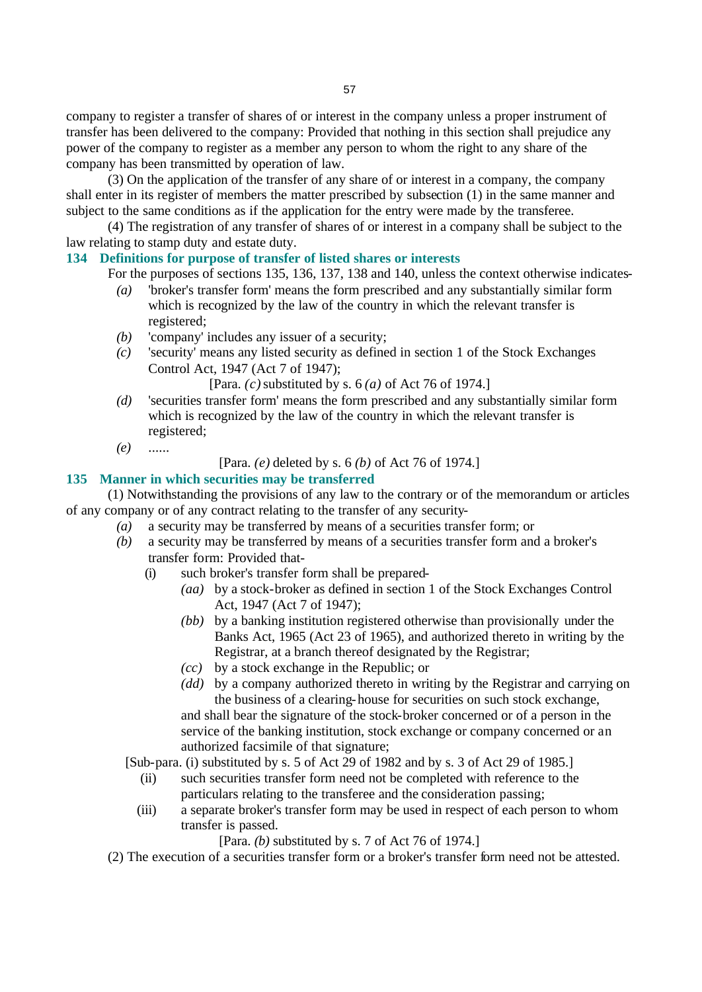company to register a transfer of shares of or interest in the company unless a proper instrument of transfer has been delivered to the company: Provided that nothing in this section shall prejudice any power of the company to register as a member any person to whom the right to any share of the company has been transmitted by operation of law.

(3) On the application of the transfer of any share of or interest in a company, the company shall enter in its register of members the matter prescribed by subsection (1) in the same manner and subject to the same conditions as if the application for the entry were made by the transferee.

(4) The registration of any transfer of shares of or interest in a company shall be subject to the law relating to stamp duty and estate duty.

### **134 Definitions for purpose of transfer of listed shares or interests**

For the purposes of sections 135, 136, 137, 138 and 140, unless the context otherwise indicates-

- *(a)* 'broker's transfer form' means the form prescribed and any substantially similar form which is recognized by the law of the country in which the relevant transfer is registered;
- *(b)* 'company' includes any issuer of a security;
- *(c)* 'security' means any listed security as defined in section 1 of the Stock Exchanges Control Act, 1947 (Act 7 of 1947);

[Para. *(c)* substituted by s. 6 *(a)* of Act 76 of 1974.]

- *(d)* 'securities transfer form' means the form prescribed and any substantially similar form which is recognized by the law of the country in which the relevant transfer is registered;
- *(e)* ......

[Para. *(e)* deleted by s. 6 *(b)* of Act 76 of 1974.]

#### **135 Manner in which securities may be transferred**

(1) Notwithstanding the provisions of any law to the contrary or of the memorandum or articles of any company or of any contract relating to the transfer of any security-

- *(a)* a security may be transferred by means of a securities transfer form; or
- *(b)* a security may be transferred by means of a securities transfer form and a broker's transfer form: Provided that-
	- (i) such broker's transfer form shall be prepared-
		- *(aa)* by a stock-broker as defined in section 1 of the Stock Exchanges Control Act, 1947 (Act 7 of 1947);
		- *(bb)* by a banking institution registered otherwise than provisionally under the Banks Act, 1965 (Act 23 of 1965), and authorized thereto in writing by the Registrar, at a branch thereof designated by the Registrar;
		- *(cc)* by a stock exchange in the Republic; or
		- *(dd)* by a company authorized thereto in writing by the Registrar and carrying on the business of a clearing-house for securities on such stock exchange, and shall bear the signature of the stock-broker concerned or of a person in the service of the banking institution, stock exchange or company concerned or an authorized facsimile of that signature;

[Sub-para. (i) substituted by s. 5 of Act 29 of 1982 and by s. 3 of Act 29 of 1985.]

- (ii) such securities transfer form need not be completed with reference to the particulars relating to the transferee and the consideration passing;
- (iii) a separate broker's transfer form may be used in respect of each person to whom transfer is passed.

[Para. *(b)* substituted by s. 7 of Act 76 of 1974.]

(2) The execution of a securities transfer form or a broker's transfer form need not be attested.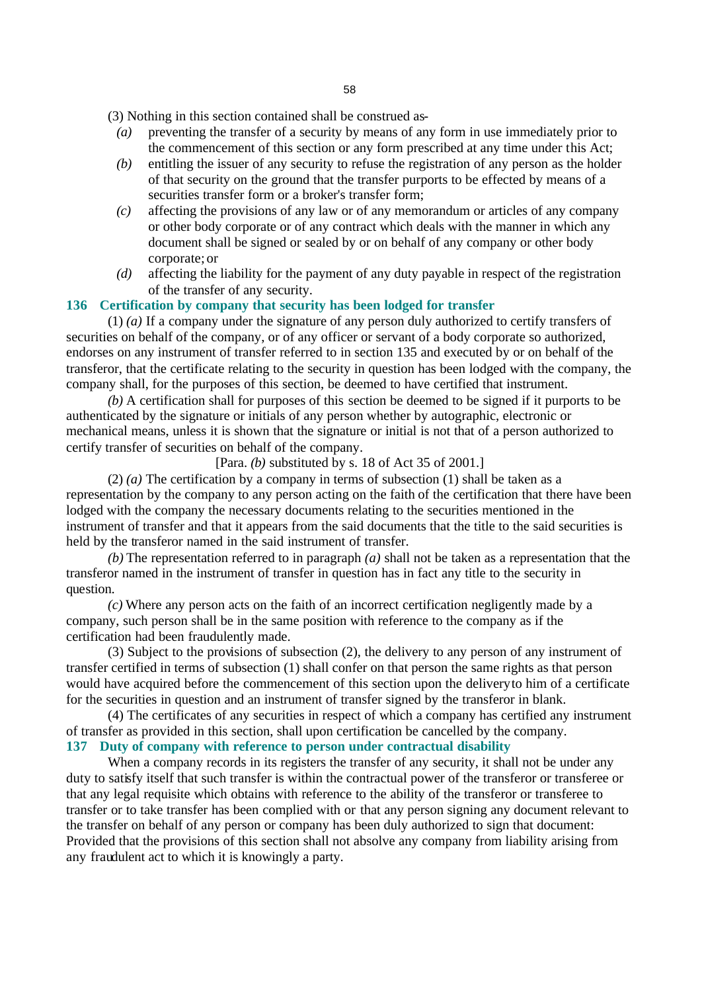(3) Nothing in this section contained shall be construed as-

- *(a)* preventing the transfer of a security by means of any form in use immediately prior to the commencement of this section or any form prescribed at any time under this Act;
- *(b)* entitling the issuer of any security to refuse the registration of any person as the holder of that security on the ground that the transfer purports to be effected by means of a securities transfer form or a broker's transfer form;
- *(c)* affecting the provisions of any law or of any memorandum or articles of any company or other body corporate or of any contract which deals with the manner in which any document shall be signed or sealed by or on behalf of any company or other body corporate; or
- *(d)* affecting the liability for the payment of any duty payable in respect of the registration of the transfer of any security.

### **136 Certification by company that security has been lodged for transfer**

(1) *(a)* If a company under the signature of any person duly authorized to certify transfers of securities on behalf of the company, or of any officer or servant of a body corporate so authorized, endorses on any instrument of transfer referred to in section 135 and executed by or on behalf of the transferor, that the certificate relating to the security in question has been lodged with the company, the company shall, for the purposes of this section, be deemed to have certified that instrument.

*(b)* A certification shall for purposes of this section be deemed to be signed if it purports to be authenticated by the signature or initials of any person whether by autographic, electronic or mechanical means, unless it is shown that the signature or initial is not that of a person authorized to certify transfer of securities on behalf of the company.

#### [Para. *(b)* substituted by s. 18 of Act 35 of 2001.]

(2) *(a)* The certification by a company in terms of subsection (1) shall be taken as a representation by the company to any person acting on the faith of the certification that there have been lodged with the company the necessary documents relating to the securities mentioned in the instrument of transfer and that it appears from the said documents that the title to the said securities is held by the transferor named in the said instrument of transfer.

*(b)* The representation referred to in paragraph *(a)* shall not be taken as a representation that the transferor named in the instrument of transfer in question has in fact any title to the security in question.

*(c)* Where any person acts on the faith of an incorrect certification negligently made by a company, such person shall be in the same position with reference to the company as if the certification had been fraudulently made.

(3) Subject to the provisions of subsection (2), the delivery to any person of any instrument of transfer certified in terms of subsection (1) shall confer on that person the same rights as that person would have acquired before the commencement of this section upon the delivery to him of a certificate for the securities in question and an instrument of transfer signed by the transferor in blank.

(4) The certificates of any securities in respect of which a company has certified any instrument of transfer as provided in this section, shall upon certification be cancelled by the company. **137 Duty of company with reference to person under contractual disability**

When a company records in its registers the transfer of any security, it shall not be under any duty to satisfy itself that such transfer is within the contractual power of the transferor or transferee or that any legal requisite which obtains with reference to the ability of the transferor or transferee to transfer or to take transfer has been complied with or that any person signing any document relevant to the transfer on behalf of any person or company has been duly authorized to sign that document: Provided that the provisions of this section shall not absolve any company from liability arising from any fraudulent act to which it is knowingly a party.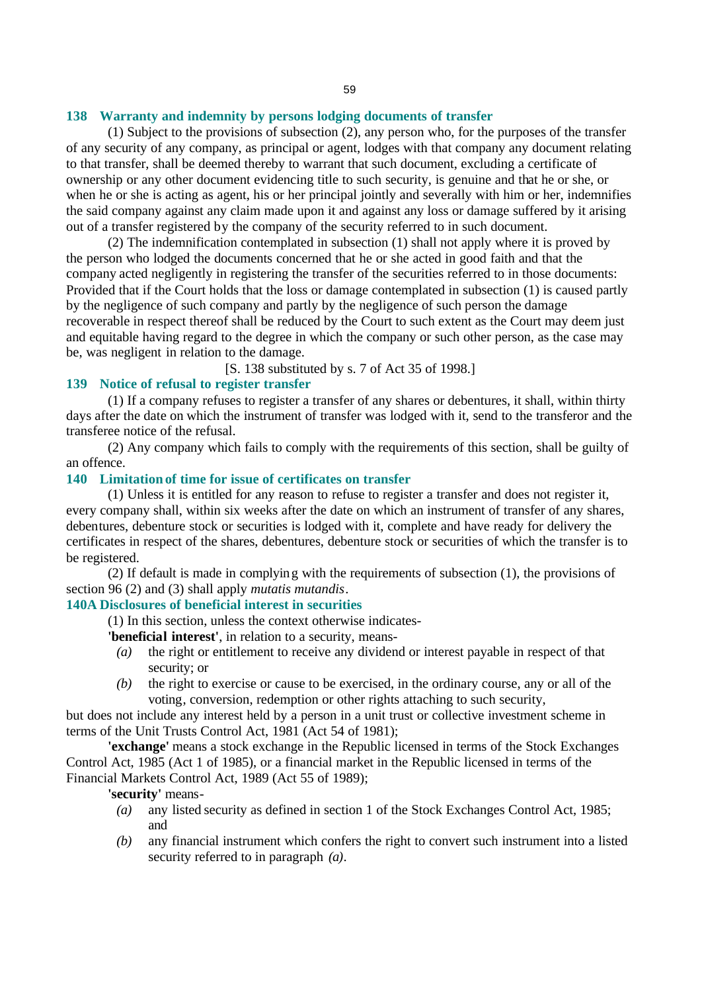### **138 Warranty and indemnity by persons lodging documents of transfer**

(1) Subject to the provisions of subsection (2), any person who, for the purposes of the transfer of any security of any company, as principal or agent, lodges with that company any document relating to that transfer, shall be deemed thereby to warrant that such document, excluding a certificate of ownership or any other document evidencing title to such security, is genuine and that he or she, or when he or she is acting as agent, his or her principal jointly and severally with him or her, indemnifies the said company against any claim made upon it and against any loss or damage suffered by it arising out of a transfer registered by the company of the security referred to in such document.

(2) The indemnification contemplated in subsection (1) shall not apply where it is proved by the person who lodged the documents concerned that he or she acted in good faith and that the company acted negligently in registering the transfer of the securities referred to in those documents: Provided that if the Court holds that the loss or damage contemplated in subsection (1) is caused partly by the negligence of such company and partly by the negligence of such person the damage recoverable in respect thereof shall be reduced by the Court to such extent as the Court may deem just and equitable having regard to the degree in which the company or such other person, as the case may be, was negligent in relation to the damage.

[S. 138 substituted by s. 7 of Act 35 of 1998.]

### **139 Notice of refusal to register transfer**

(1) If a company refuses to register a transfer of any shares or debentures, it shall, within thirty days after the date on which the instrument of transfer was lodged with it, send to the transferor and the transferee notice of the refusal.

(2) Any company which fails to comply with the requirements of this section, shall be guilty of an offence.

### **140 Limitation of time for issue of certificates on transfer**

(1) Unless it is entitled for any reason to refuse to register a transfer and does not register it, every company shall, within six weeks after the date on which an instrument of transfer of any shares, debentures, debenture stock or securities is lodged with it, complete and have ready for delivery the certificates in respect of the shares, debentures, debenture stock or securities of which the transfer is to be registered.

(2) If default is made in complying with the requirements of subsection (1), the provisions of section 96 (2) and (3) shall apply *mutatis mutandis*.

#### **140A Disclosures of beneficial interest in securities**

(1) In this section, unless the context otherwise indicates-

**'beneficial interest'**, in relation to a security, means-

- *(a)* the right or entitlement to receive any dividend or interest payable in respect of that security; or
- *(b)* the right to exercise or cause to be exercised, in the ordinary course, any or all of the voting, conversion, redemption or other rights attaching to such security,

but does not include any interest held by a person in a unit trust or collective investment scheme in terms of the Unit Trusts Control Act, 1981 (Act 54 of 1981);

**'exchange'** means a stock exchange in the Republic licensed in terms of the Stock Exchanges Control Act, 1985 (Act 1 of 1985), or a financial market in the Republic licensed in terms of the Financial Markets Control Act, 1989 (Act 55 of 1989);

**'security'** means-

- *(a)* any listed security as defined in section 1 of the Stock Exchanges Control Act, 1985; and
- *(b)* any financial instrument which confers the right to convert such instrument into a listed security referred to in paragraph *(a)*.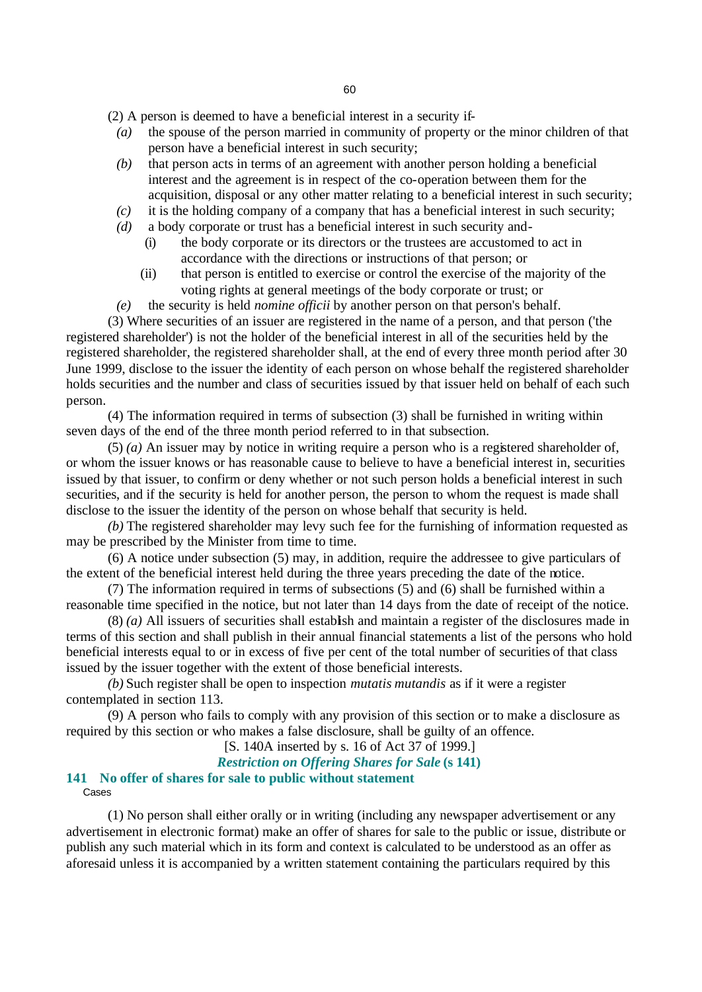60

(2) A person is deemed to have a beneficial interest in a security if-

- *(a)* the spouse of the person married in community of property or the minor children of that person have a beneficial interest in such security;
- *(b)* that person acts in terms of an agreement with another person holding a beneficial interest and the agreement is in respect of the co-operation between them for the acquisition, disposal or any other matter relating to a beneficial interest in such security;
- *(c)* it is the holding company of a company that has a beneficial interest in such security;
- *(d)* a body corporate or trust has a beneficial interest in such security and-
	- (i) the body corporate or its directors or the trustees are accustomed to act in accordance with the directions or instructions of that person; or
	- (ii) that person is entitled to exercise or control the exercise of the majority of the voting rights at general meetings of the body corporate or trust; or
- *(e)* the security is held *nomine officii* by another person on that person's behalf.

(3) Where securities of an issuer are registered in the name of a person, and that person ('the registered shareholder') is not the holder of the beneficial interest in all of the securities held by the registered shareholder, the registered shareholder shall, at the end of every three month period after 30 June 1999, disclose to the issuer the identity of each person on whose behalf the registered shareholder holds securities and the number and class of securities issued by that issuer held on behalf of each such person.

(4) The information required in terms of subsection (3) shall be furnished in writing within seven days of the end of the three month period referred to in that subsection.

(5) *(a)* An issuer may by notice in writing require a person who is a registered shareholder of, or whom the issuer knows or has reasonable cause to believe to have a beneficial interest in, securities issued by that issuer, to confirm or deny whether or not such person holds a beneficial interest in such securities, and if the security is held for another person, the person to whom the request is made shall disclose to the issuer the identity of the person on whose behalf that security is held.

*(b)* The registered shareholder may levy such fee for the furnishing of information requested as may be prescribed by the Minister from time to time.

(6) A notice under subsection (5) may, in addition, require the addressee to give particulars of the extent of the beneficial interest held during the three years preceding the date of the notice.

(7) The information required in terms of subsections (5) and (6) shall be furnished within a reasonable time specified in the notice, but not later than 14 days from the date of receipt of the notice.

(8) *(a)* All issuers of securities shall establish and maintain a register of the disclosures made in terms of this section and shall publish in their annual financial statements a list of the persons who hold beneficial interests equal to or in excess of five per cent of the total number of securities of that class issued by the issuer together with the extent of those beneficial interests.

*(b)* Such register shall be open to inspection *mutatis mutandis* as if it were a register contemplated in section 113.

(9) A person who fails to comply with any provision of this section or to make a disclosure as required by this section or who makes a false disclosure, shall be guilty of an offence.

[S. 140A inserted by s. 16 of Act 37 of 1999.]

## *Restriction on Offering Shares for Sale* **(s 141)**

#### **141 No offer of shares for sale to public without statement** Cases

(1) No person shall either orally or in writing (including any newspaper advertisement or any advertisement in electronic format) make an offer of shares for sale to the public or issue, distribute or publish any such material which in its form and context is calculated to be understood as an offer as aforesaid unless it is accompanied by a written statement containing the particulars required by this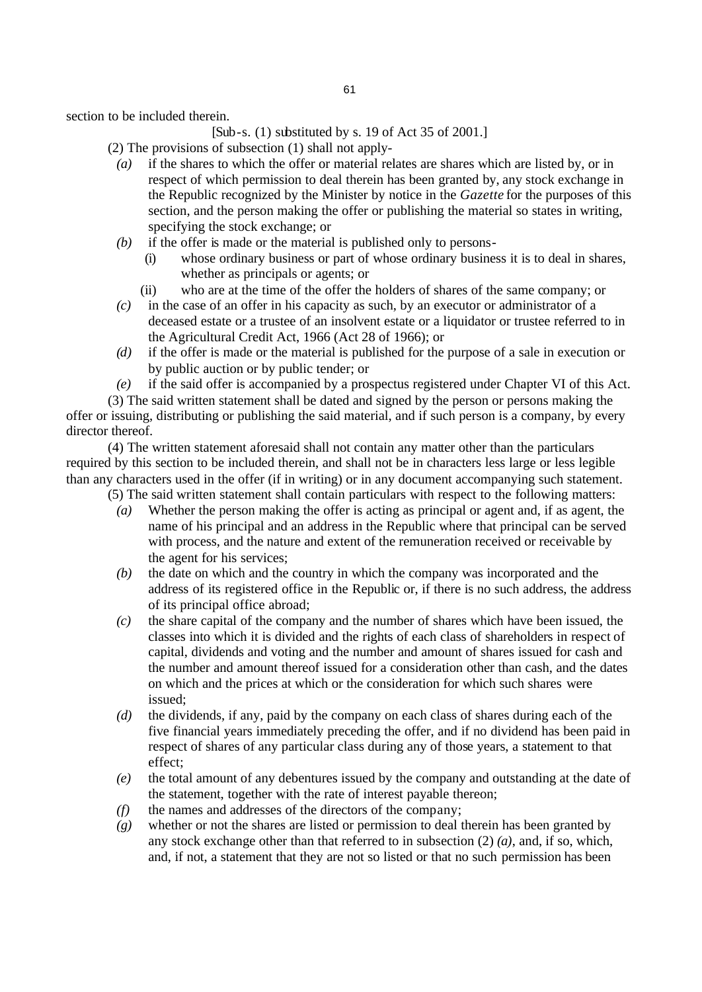section to be included therein.

#### [Sub-s. (1) substituted by s. 19 of Act 35 of 2001.]

(2) The provisions of subsection (1) shall not apply-

- *(a)* if the shares to which the offer or material relates are shares which are listed by, or in respect of which permission to deal therein has been granted by, any stock exchange in the Republic recognized by the Minister by notice in the *Gazette* for the purposes of this section, and the person making the offer or publishing the material so states in writing, specifying the stock exchange; or
- *(b)* if the offer is made or the material is published only to persons-
	- (i) whose ordinary business or part of whose ordinary business it is to deal in shares, whether as principals or agents; or
	- (ii) who are at the time of the offer the holders of shares of the same company; or
- *(c)* in the case of an offer in his capacity as such, by an executor or administrator of a deceased estate or a trustee of an insolvent estate or a liquidator or trustee referred to in the Agricultural Credit Act, 1966 (Act 28 of 1966); or
- *(d)* if the offer is made or the material is published for the purpose of a sale in execution or by public auction or by public tender; or
- *(e)* if the said offer is accompanied by a prospectus registered under Chapter VI of this Act.

(3) The said written statement shall be dated and signed by the person or persons making the offer or issuing, distributing or publishing the said material, and if such person is a company, by every director thereof.

(4) The written statement aforesaid shall not contain any matter other than the particulars required by this section to be included therein, and shall not be in characters less large or less legible than any characters used in the offer (if in writing) or in any document accompanying such statement.

(5) The said written statement shall contain particulars with respect to the following matters:

- *(a)* Whether the person making the offer is acting as principal or agent and, if as agent, the name of his principal and an address in the Republic where that principal can be served with process, and the nature and extent of the remuneration received or receivable by the agent for his services;
- *(b)* the date on which and the country in which the company was incorporated and the address of its registered office in the Republic or, if there is no such address, the address of its principal office abroad;
- *(c)* the share capital of the company and the number of shares which have been issued, the classes into which it is divided and the rights of each class of shareholders in respect of capital, dividends and voting and the number and amount of shares issued for cash and the number and amount thereof issued for a consideration other than cash, and the dates on which and the prices at which or the consideration for which such shares were issued;
- *(d)* the dividends, if any, paid by the company on each class of shares during each of the five financial years immediately preceding the offer, and if no dividend has been paid in respect of shares of any particular class during any of those years, a statement to that effect;
- *(e)* the total amount of any debentures issued by the company and outstanding at the date of the statement, together with the rate of interest payable thereon;
- *(f)* the names and addresses of the directors of the company;
- *(g)* whether or not the shares are listed or permission to deal therein has been granted by any stock exchange other than that referred to in subsection (2) *(a)*, and, if so, which, and, if not, a statement that they are not so listed or that no such permission has been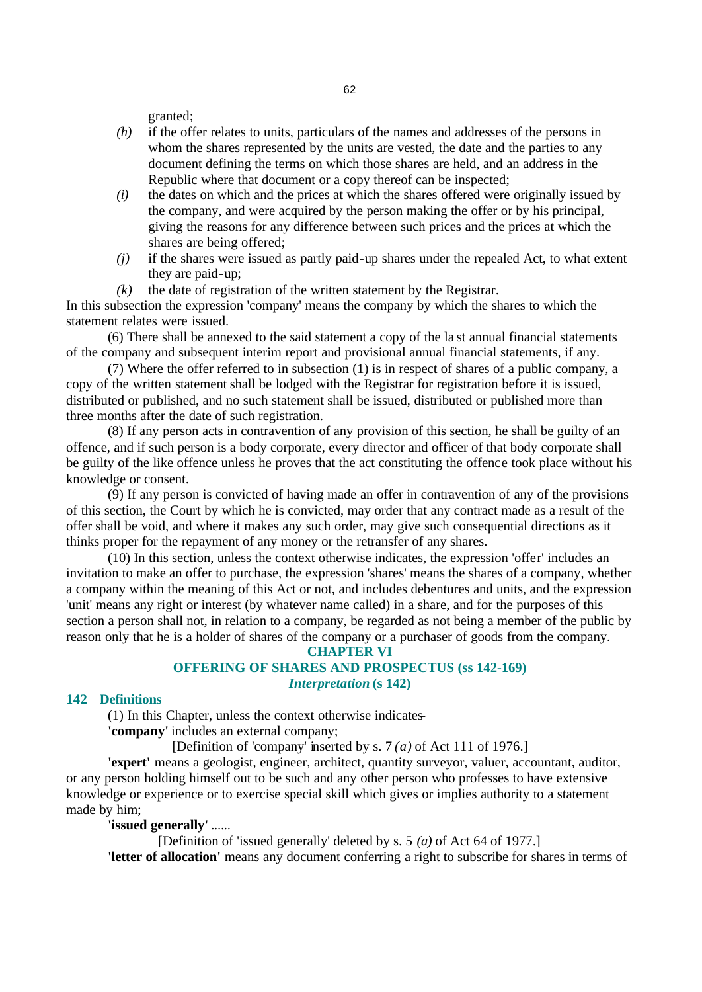granted;

- *(h)* if the offer relates to units, particulars of the names and addresses of the persons in whom the shares represented by the units are vested, the date and the parties to any document defining the terms on which those shares are held, and an address in the Republic where that document or a copy thereof can be inspected;
- *(i)* the dates on which and the prices at which the shares offered were originally issued by the company, and were acquired by the person making the offer or by his principal, giving the reasons for any difference between such prices and the prices at which the shares are being offered;
- *(j)* if the shares were issued as partly paid-up shares under the repealed Act, to what extent they are paid-up;
- *(k)* the date of registration of the written statement by the Registrar.

In this subsection the expression 'company' means the company by which the shares to which the statement relates were issued.

(6) There shall be annexed to the said statement a copy of the la st annual financial statements of the company and subsequent interim report and provisional annual financial statements, if any.

(7) Where the offer referred to in subsection (1) is in respect of shares of a public company, a copy of the written statement shall be lodged with the Registrar for registration before it is issued, distributed or published, and no such statement shall be issued, distributed or published more than three months after the date of such registration.

(8) If any person acts in contravention of any provision of this section, he shall be guilty of an offence, and if such person is a body corporate, every director and officer of that body corporate shall be guilty of the like offence unless he proves that the act constituting the offence took place without his knowledge or consent.

(9) If any person is convicted of having made an offer in contravention of any of the provisions of this section, the Court by which he is convicted, may order that any contract made as a result of the offer shall be void, and where it makes any such order, may give such consequential directions as it thinks proper for the repayment of any money or the retransfer of any shares.

(10) In this section, unless the context otherwise indicates, the expression 'offer' includes an invitation to make an offer to purchase, the expression 'shares' means the shares of a company, whether a company within the meaning of this Act or not, and includes debentures and units, and the expression 'unit' means any right or interest (by whatever name called) in a share, and for the purposes of this section a person shall not, in relation to a company, be regarded as not being a member of the public by reason only that he is a holder of shares of the company or a purchaser of goods from the company.

#### **CHAPTER VI**

### **OFFERING OF SHARES AND PROSPECTUS (ss 142-169)** *Interpretation* **(s 142)**

#### **142 Definitions**

(1) In this Chapter, unless the context otherwise indicates-

**'company'** includes an external company;

[Definition of 'company' inserted by s. 7 *(a)* of Act 111 of 1976.]

**'expert'** means a geologist, engineer, architect, quantity surveyor, valuer, accountant, auditor, or any person holding himself out to be such and any other person who professes to have extensive knowledge or experience or to exercise special skill which gives or implies authority to a statement made by him;

**'issued generally'** ......

[Definition of 'issued generally' deleted by s. 5 *(a)* of Act 64 of 1977.]

**'letter of allocation'** means any document conferring a right to subscribe for shares in terms of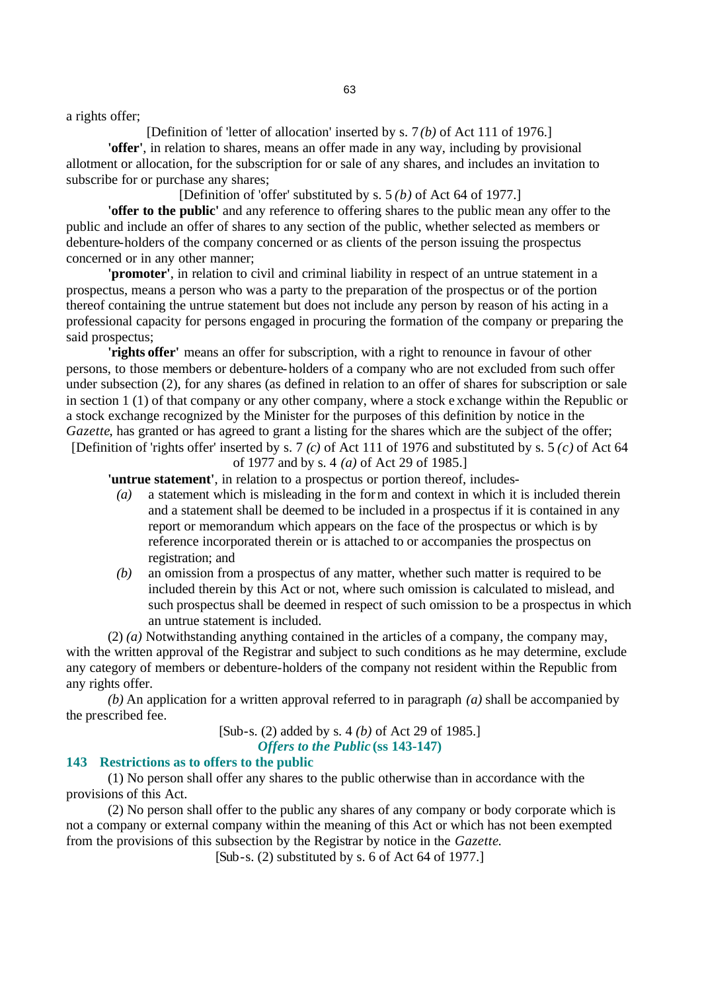a rights offer;

[Definition of 'letter of allocation' inserted by s. 7 *(b)* of Act 111 of 1976.]

**'offer'**, in relation to shares, means an offer made in any way, including by provisional allotment or allocation, for the subscription for or sale of any shares, and includes an invitation to subscribe for or purchase any shares;

### [Definition of 'offer' substituted by s. 5 *(b)* of Act 64 of 1977.]

**'offer to the public'** and any reference to offering shares to the public mean any offer to the public and include an offer of shares to any section of the public, whether selected as members or debenture-holders of the company concerned or as clients of the person issuing the prospectus concerned or in any other manner;

**'promoter'**, in relation to civil and criminal liability in respect of an untrue statement in a prospectus, means a person who was a party to the preparation of the prospectus or of the portion thereof containing the untrue statement but does not include any person by reason of his acting in a professional capacity for persons engaged in procuring the formation of the company or preparing the said prospectus;

**'rights offer'** means an offer for subscription, with a right to renounce in favour of other persons, to those members or debenture-holders of a company who are not excluded from such offer under subsection (2), for any shares (as defined in relation to an offer of shares for subscription or sale in section 1 (1) of that company or any other company, where a stock e xchange within the Republic or a stock exchange recognized by the Minister for the purposes of this definition by notice in the *Gazette*, has granted or has agreed to grant a listing for the shares which are the subject of the offer; [Definition of 'rights offer' inserted by s. 7 *(c)* of Act 111 of 1976 and substituted by s. 5 *(c)* of Act 64

#### of 1977 and by s. 4 *(a)* of Act 29 of 1985.]

**'untrue statement'**, in relation to a prospectus or portion thereof, includes-

- *(a)* a statement which is misleading in the form and context in which it is included therein and a statement shall be deemed to be included in a prospectus if it is contained in any report or memorandum which appears on the face of the prospectus or which is by reference incorporated therein or is attached to or accompanies the prospectus on registration; and
- *(b)* an omission from a prospectus of any matter, whether such matter is required to be included therein by this Act or not, where such omission is calculated to mislead, and such prospectus shall be deemed in respect of such omission to be a prospectus in which an untrue statement is included.

(2) *(a)* Notwithstanding anything contained in the articles of a company, the company may, with the written approval of the Registrar and subject to such conditions as he may determine, exclude any category of members or debenture-holders of the company not resident within the Republic from any rights offer.

*(b)* An application for a written approval referred to in paragraph *(a)* shall be accompanied by the prescribed fee.

> [Sub-s. (2) added by s. 4 *(b)* of Act 29 of 1985.] *Offers to the Public* **(ss 143-147)**

### **143 Restrictions as to offers to the public**

(1) No person shall offer any shares to the public otherwise than in accordance with the provisions of this Act.

(2) No person shall offer to the public any shares of any company or body corporate which is not a company or external company within the meaning of this Act or which has not been exempted from the provisions of this subsection by the Registrar by notice in the *Gazette*.

 $[Sub-s. (2)$  substituted by s. 6 of Act 64 of 1977.]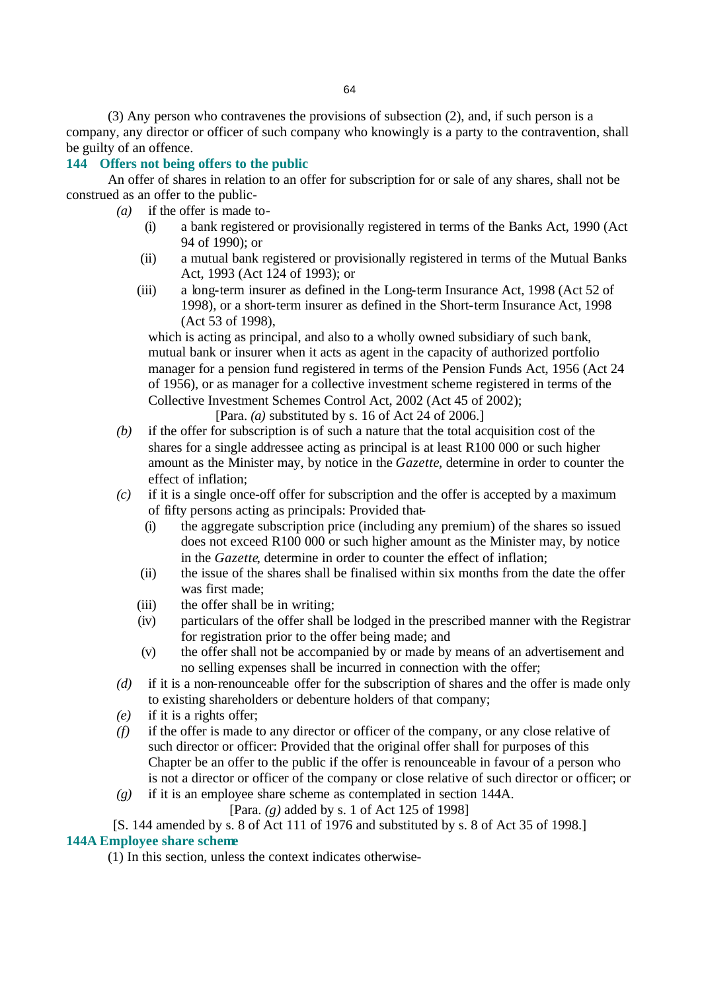(3) Any person who contravenes the provisions of subsection (2), and, if such person is a company, any director or officer of such company who knowingly is a party to the contravention, shall be guilty of an offence.

### **144 Offers not being offers to the public**

An offer of shares in relation to an offer for subscription for or sale of any shares, shall not be construed as an offer to the public-

- *(a)* if the offer is made to-
	- (i) a bank registered or provisionally registered in terms of the Banks Act, 1990 (Act 94 of 1990); or
	- (ii) a mutual bank registered or provisionally registered in terms of the Mutual Banks Act, 1993 (Act 124 of 1993); or
	- (iii) a long-term insurer as defined in the Long-term Insurance Act, 1998 (Act 52 of 1998), or a short-term insurer as defined in the Short-term Insurance Act, 1998 (Act 53 of 1998),

which is acting as principal, and also to a wholly owned subsidiary of such bank, mutual bank or insurer when it acts as agent in the capacity of authorized portfolio manager for a pension fund registered in terms of the Pension Funds Act, 1956 (Act 24 of 1956), or as manager for a collective investment scheme registered in terms of the Collective Investment Schemes Control Act, 2002 (Act 45 of 2002);

[Para. *(a)* substituted by s. 16 of Act 24 of 2006.]

- *(b)* if the offer for subscription is of such a nature that the total acquisition cost of the shares for a single addressee acting as principal is at least R100 000 or such higher amount as the Minister may, by notice in the *Gazette*, determine in order to counter the effect of inflation;
- *(c)* if it is a single once-off offer for subscription and the offer is accepted by a maximum of fifty persons acting as principals: Provided that-
	- (i) the aggregate subscription price (including any premium) of the shares so issued does not exceed R100 000 or such higher amount as the Minister may, by notice in the *Gazette*, determine in order to counter the effect of inflation;
	- (ii) the issue of the shares shall be finalised within six months from the date the offer was first made;
	- (iii) the offer shall be in writing;
	- (iv) particulars of the offer shall be lodged in the prescribed manner with the Registrar for registration prior to the offer being made; and
	- (v) the offer shall not be accompanied by or made by means of an advertisement and no selling expenses shall be incurred in connection with the offer;
- *(d)* if it is a non-renounceable offer for the subscription of shares and the offer is made only to existing shareholders or debenture holders of that company;
- *(e)* if it is a rights offer;
- *(f)* if the offer is made to any director or officer of the company, or any close relative of such director or officer: Provided that the original offer shall for purposes of this Chapter be an offer to the public if the offer is renounceable in favour of a person who is not a director or officer of the company or close relative of such director or officer; or
- *(g)* if it is an employee share scheme as contemplated in section 144A.

[Para. *(g)* added by s. 1 of Act 125 of 1998]

[S. 144 amended by s. 8 of Act 111 of 1976 and substituted by s. 8 of Act 35 of 1998.]

### **144A Employee share scheme**

(1) In this section, unless the context indicates otherwise-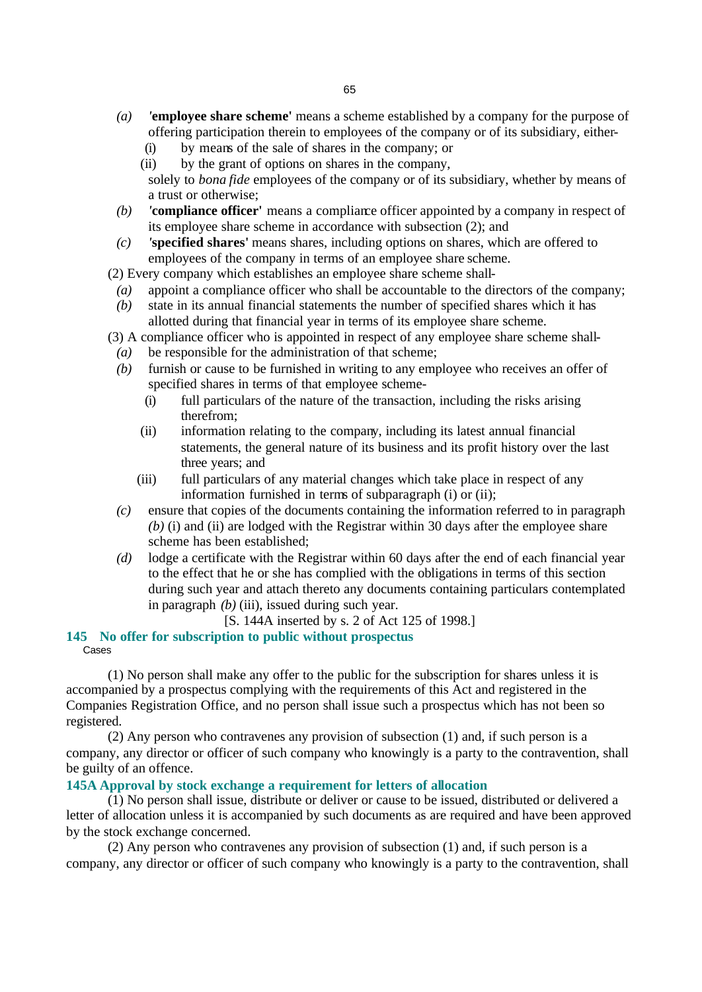- *(a) '***employee share scheme'** means a scheme established by a company for the purpose of offering participation therein to employees of the company or of its subsidiary, either-
	- (i) by means of the sale of shares in the company; or
	- (ii) by the grant of options on shares in the company,
	- solely to *bona fide* employees of the company or of its subsidiary, whether by means of a trust or otherwise;
- *(b) '***compliance officer'** means a compliance officer appointed by a company in respect of its employee share scheme in accordance with subsection (2); and
- *(c) '***specified shares'** means shares, including options on shares, which are offered to employees of the company in terms of an employee share scheme.

(2) Every company which establishes an employee share scheme shall-

- *(a)* appoint a compliance officer who shall be accountable to the directors of the company;
- *(b)* state in its annual financial statements the number of specified shares which it has allotted during that financial year in terms of its employee share scheme.

(3) A compliance officer who is appointed in respect of any employee share scheme shall-

- *(a)* be responsible for the administration of that scheme;
- *(b)* furnish or cause to be furnished in writing to any employee who receives an offer of specified shares in terms of that employee scheme-
	- (i) full particulars of the nature of the transaction, including the risks arising therefrom;
	- (ii) information relating to the company, including its latest annual financial statements, the general nature of its business and its profit history over the last three years; and
	- (iii) full particulars of any material changes which take place in respect of any information furnished in terms of subparagraph (i) or (ii);
- *(c)* ensure that copies of the documents containing the information referred to in paragraph *(b)* (i) and (ii) are lodged with the Registrar within 30 days after the employee share scheme has been established;
- *(d)* lodge a certificate with the Registrar within 60 days after the end of each financial year to the effect that he or she has complied with the obligations in terms of this section during such year and attach thereto any documents containing particulars contemplated in paragraph *(b)* (iii), issued during such year.

[S. 144A inserted by s. 2 of Act 125 of 1998.]

#### **145 No offer for subscription to public without prospectus** Cases

(1) No person shall make any offer to the public for the subscription for shares unless it is accompanied by a prospectus complying with the requirements of this Act and registered in the Companies Registration Office, and no person shall issue such a prospectus which has not been so registered.

(2) Any person who contravenes any provision of subsection (1) and, if such person is a company, any director or officer of such company who knowingly is a party to the contravention, shall be guilty of an offence.

### **145A Approval by stock exchange a requirement for letters of allocation**

(1) No person shall issue, distribute or deliver or cause to be issued, distributed or delivered a letter of allocation unless it is accompanied by such documents as are required and have been approved by the stock exchange concerned.

(2) Any person who contravenes any provision of subsection (1) and, if such person is a company, any director or officer of such company who knowingly is a party to the contravention, shall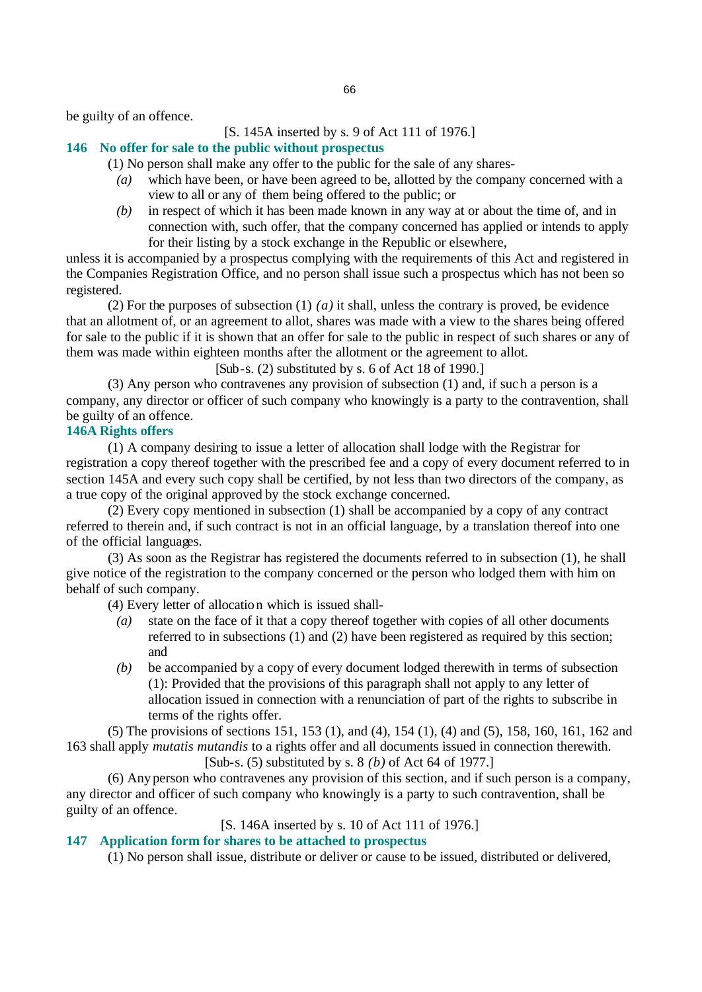be guilty of an offence.

#### [S. 145A inserted by s. 9 of Act 111 of 1976.]

### **146 No offer for sale to the public without prospectus**

(1) No person shall make any offer to the public for the sale of any shares-

- *(a)* which have been, or have been agreed to be, allotted by the company concerned with a view to all or any of them being offered to the public; or
- *(b)* in respect of which it has been made known in any way at or about the time of, and in connection with, such offer, that the company concerned has applied or intends to apply for their listing by a stock exchange in the Republic or elsewhere,

unless it is accompanied by a prospectus complying with the requirements of this Act and registered in the Companies Registration Office, and no person shall issue such a prospectus which has not been so registered.

(2) For the purposes of subsection (1) *(a)* it shall, unless the contrary is proved, be evidence that an allotment of, or an agreement to allot, shares was made with a view to the shares being offered for sale to the public if it is shown that an offer for sale to the public in respect of such shares or any of them was made within eighteen months after the allotment or the agreement to allot.

[Sub-s. (2) substituted by s. 6 of Act 18 of 1990.]

(3) Any person who contravenes any provision of subsection (1) and, if such a person is a company, any director or officer of such company who knowingly is a party to the contravention, shall be guilty of an offence.

## **146A Rights offers**

(1) A company desiring to issue a letter of allocation shall lodge with the Registrar for registration a copy thereof together with the prescribed fee and a copy of every document referred to in section 145A and every such copy shall be certified, by not less than two directors of the company, as a true copy of the original approved by the stock exchange concerned.

(2) Every copy mentioned in subsection (1) shall be accompanied by a copy of any contract referred to therein and, if such contract is not in an official language, by a translation thereof into one of the official languages.

(3) As soon as the Registrar has registered the documents referred to in subsection (1), he shall give notice of the registration to the company concerned or the person who lodged them with him on behalf of such company.

(4) Every letter of allocation which is issued shall-

- *(a)* state on the face of it that a copy thereof together with copies of all other documents referred to in subsections (1) and (2) have been registered as required by this section; and
- *(b)* be accompanied by a copy of every document lodged therewith in terms of subsection (1): Provided that the provisions of this paragraph shall not apply to any letter of allocation issued in connection with a renunciation of part of the rights to subscribe in terms of the rights offer.

(5) The provisions of sections 151, 153 (1), and (4), 154 (1), (4) and (5), 158, 160, 161, 162 and 163 shall apply *mutatis mutandis* to a rights offer and all documents issued in connection therewith.

[Sub-s. (5) substituted by s. 8 *(b)* of Act 64 of 1977.]

(6) Any person who contravenes any provision of this section, and if such person is a company, any director and officer of such company who knowingly is a party to such contravention, shall be guilty of an offence.

### [S. 146A inserted by s. 10 of Act 111 of 1976.]

### **147 Application form for shares to be attached to prospectus**

(1) No person shall issue, distribute or deliver or cause to be issued, distributed or delivered,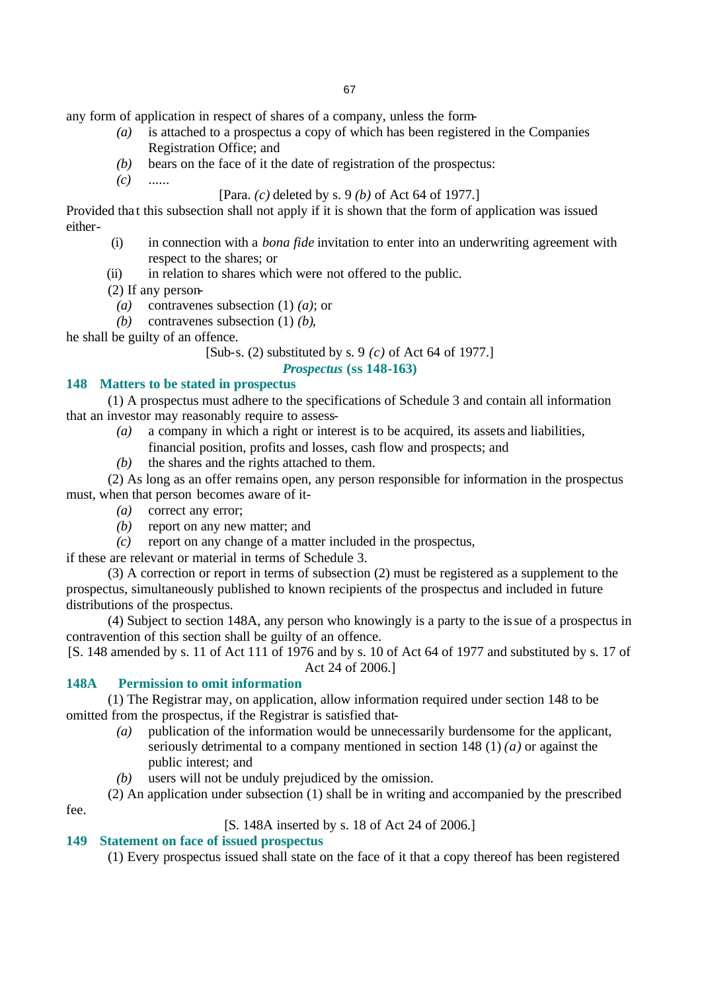any form of application in respect of shares of a company, unless the form-

- *(a)* is attached to a prospectus a copy of which has been registered in the Companies Registration Office; and
- *(b)* bears on the face of it the date of registration of the prospectus:
- *(c)* ......

[Para. *(c)* deleted by s. 9 *(b)* of Act 64 of 1977.]

Provided that this subsection shall not apply if it is shown that the form of application was issued either-

- (i) in connection with a *bona fide* invitation to enter into an underwriting agreement with respect to the shares; or
- (ii) in relation to shares which were not offered to the public.
- (2) If any person-
	- *(a)* contravenes subsection (1) *(a)*; or
	- *(b)* contravenes subsection (1) *(b)*,

he shall be guilty of an offence.

[Sub-s. (2) substituted by s. 9 *(c)* of Act 64 of 1977.]

*Prospectus* **(ss 148-163)**

#### **148 Matters to be stated in prospectus**

(1) A prospectus must adhere to the specifications of Schedule 3 and contain all information that an investor may reasonably require to assess-

- *(a)* a company in which a right or interest is to be acquired, its assets and liabilities,
	- financial position, profits and losses, cash flow and prospects; and
- *(b)* the shares and the rights attached to them.

(2) As long as an offer remains open, any person responsible for information in the prospectus must, when that person becomes aware of it-

- *(a)* correct any error;
- *(b)* report on any new matter; and
- *(c)* report on any change of a matter included in the prospectus,

if these are relevant or material in terms of Schedule 3.

(3) A correction or report in terms of subsection (2) must be registered as a supplement to the prospectus, simultaneously published to known recipients of the prospectus and included in future distributions of the prospectus.

(4) Subject to section 148A, any person who knowingly is a party to the issue of a prospectus in contravention of this section shall be guilty of an offence.

[S. 148 amended by s. 11 of Act 111 of 1976 and by s. 10 of Act 64 of 1977 and substituted by s. 17 of Act 24 of 2006.]

#### **148A Permission to omit information**

(1) The Registrar may, on application, allow information required under section 148 to be omitted from the prospectus, if the Registrar is satisfied that-

- *(a)* publication of the information would be unnecessarily burdensome for the applicant, seriously detrimental to a company mentioned in section 148 (1) *(a)* or against the public interest; and
- *(b)* users will not be unduly prejudiced by the omission.
- (2) An application under subsection (1) shall be in writing and accompanied by the prescribed

[S. 148A inserted by s. 18 of Act 24 of 2006.]

## **149 Statement on face of issued prospectus**

fee.

(1) Every prospectus issued shall state on the face of it that a copy thereof has been registered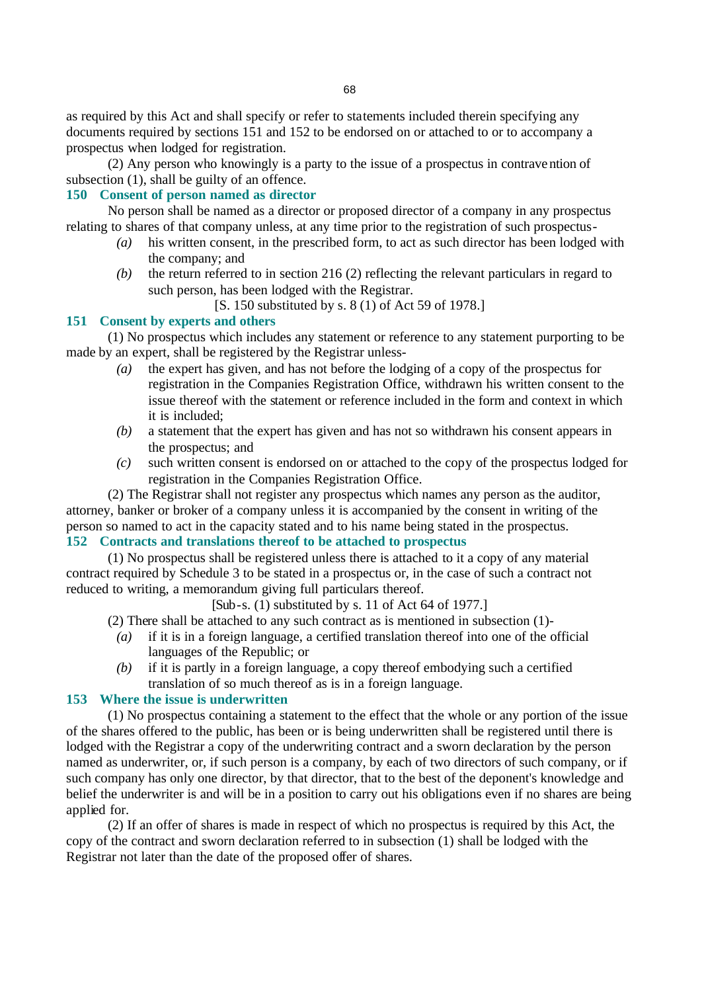as required by this Act and shall specify or refer to statements included therein specifying any documents required by sections 151 and 152 to be endorsed on or attached to or to accompany a prospectus when lodged for registration.

(2) Any person who knowingly is a party to the issue of a prospectus in contravention of subsection (1), shall be guilty of an offence.

#### **150 Consent of person named as director**

No person shall be named as a director or proposed director of a company in any prospectus relating to shares of that company unless, at any time prior to the registration of such prospectus-

- *(a)* his written consent, in the prescribed form, to act as such director has been lodged with the company; and
- *(b)* the return referred to in section 216 (2) reflecting the relevant particulars in regard to such person, has been lodged with the Registrar.

[S. 150 substituted by s. 8 (1) of Act 59 of 1978.]

#### **151 Consent by experts and others**

(1) No prospectus which includes any statement or reference to any statement purporting to be made by an expert, shall be registered by the Registrar unless-

- *(a)* the expert has given, and has not before the lodging of a copy of the prospectus for registration in the Companies Registration Office, withdrawn his written consent to the issue thereof with the statement or reference included in the form and context in which it is included;
- *(b)* a statement that the expert has given and has not so withdrawn his consent appears in the prospectus; and
- *(c)* such written consent is endorsed on or attached to the copy of the prospectus lodged for registration in the Companies Registration Office.

(2) The Registrar shall not register any prospectus which names any person as the auditor, attorney, banker or broker of a company unless it is accompanied by the consent in writing of the person so named to act in the capacity stated and to his name being stated in the prospectus. **152 Contracts and translations thereof to be attached to prospectus**

(1) No prospectus shall be registered unless there is attached to it a copy of any material contract required by Schedule 3 to be stated in a prospectus or, in the case of such a contract not reduced to writing, a memorandum giving full particulars thereof.

 $[Sub-s. (1)$  substituted by s. 11 of Act 64 of 1977.

- (2) There shall be attached to any such contract as is mentioned in subsection (1)-
- *(a)* if it is in a foreign language, a certified translation thereof into one of the official languages of the Republic; or
- *(b)* if it is partly in a foreign language, a copy thereof embodying such a certified translation of so much thereof as is in a foreign language.

### **153 Where the issue is underwritten**

(1) No prospectus containing a statement to the effect that the whole or any portion of the issue of the shares offered to the public, has been or is being underwritten shall be registered until there is lodged with the Registrar a copy of the underwriting contract and a sworn declaration by the person named as underwriter, or, if such person is a company, by each of two directors of such company, or if such company has only one director, by that director, that to the best of the deponent's knowledge and belief the underwriter is and will be in a position to carry out his obligations even if no shares are being applied for.

(2) If an offer of shares is made in respect of which no prospectus is required by this Act, the copy of the contract and sworn declaration referred to in subsection (1) shall be lodged with the Registrar not later than the date of the proposed offer of shares.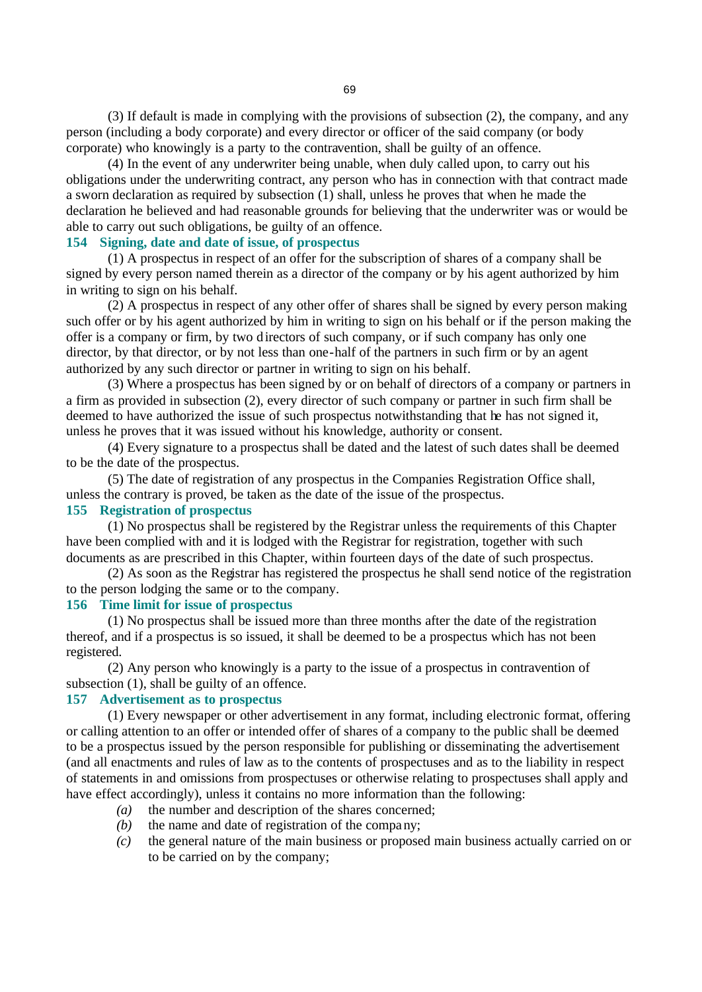(3) If default is made in complying with the provisions of subsection (2), the company, and any person (including a body corporate) and every director or officer of the said company (or body corporate) who knowingly is a party to the contravention, shall be guilty of an offence.

(4) In the event of any underwriter being unable, when duly called upon, to carry out his obligations under the underwriting contract, any person who has in connection with that contract made a sworn declaration as required by subsection (1) shall, unless he proves that when he made the declaration he believed and had reasonable grounds for believing that the underwriter was or would be able to carry out such obligations, be guilty of an offence.

## **154 Signing, date and date of issue, of prospectus**

(1) A prospectus in respect of an offer for the subscription of shares of a company shall be signed by every person named therein as a director of the company or by his agent authorized by him in writing to sign on his behalf.

(2) A prospectus in respect of any other offer of shares shall be signed by every person making such offer or by his agent authorized by him in writing to sign on his behalf or if the person making the offer is a company or firm, by two directors of such company, or if such company has only one director, by that director, or by not less than one-half of the partners in such firm or by an agent authorized by any such director or partner in writing to sign on his behalf.

(3) Where a prospectus has been signed by or on behalf of directors of a company or partners in a firm as provided in subsection (2), every director of such company or partner in such firm shall be deemed to have authorized the issue of such prospectus notwithstanding that he has not signed it, unless he proves that it was issued without his knowledge, authority or consent.

(4) Every signature to a prospectus shall be dated and the latest of such dates shall be deemed to be the date of the prospectus.

(5) The date of registration of any prospectus in the Companies Registration Office shall, unless the contrary is proved, be taken as the date of the issue of the prospectus.

## **155 Registration of prospectus**

(1) No prospectus shall be registered by the Registrar unless the requirements of this Chapter have been complied with and it is lodged with the Registrar for registration, together with such documents as are prescribed in this Chapter, within fourteen days of the date of such prospectus.

(2) As soon as the Registrar has registered the prospectus he shall send notice of the registration to the person lodging the same or to the company.

#### **156 Time limit for issue of prospectus**

(1) No prospectus shall be issued more than three months after the date of the registration thereof, and if a prospectus is so issued, it shall be deemed to be a prospectus which has not been registered.

(2) Any person who knowingly is a party to the issue of a prospectus in contravention of subsection (1), shall be guilty of an offence.

### **157 Advertisement as to prospectus**

(1) Every newspaper or other advertisement in any format, including electronic format, offering or calling attention to an offer or intended offer of shares of a company to the public shall be deemed to be a prospectus issued by the person responsible for publishing or disseminating the advertisement (and all enactments and rules of law as to the contents of prospectuses and as to the liability in respect of statements in and omissions from prospectuses or otherwise relating to prospectuses shall apply and have effect accordingly), unless it contains no more information than the following:

- *(a)* the number and description of the shares concerned;
- *(b)* the name and date of registration of the company;
- *(c)* the general nature of the main business or proposed main business actually carried on or to be carried on by the company;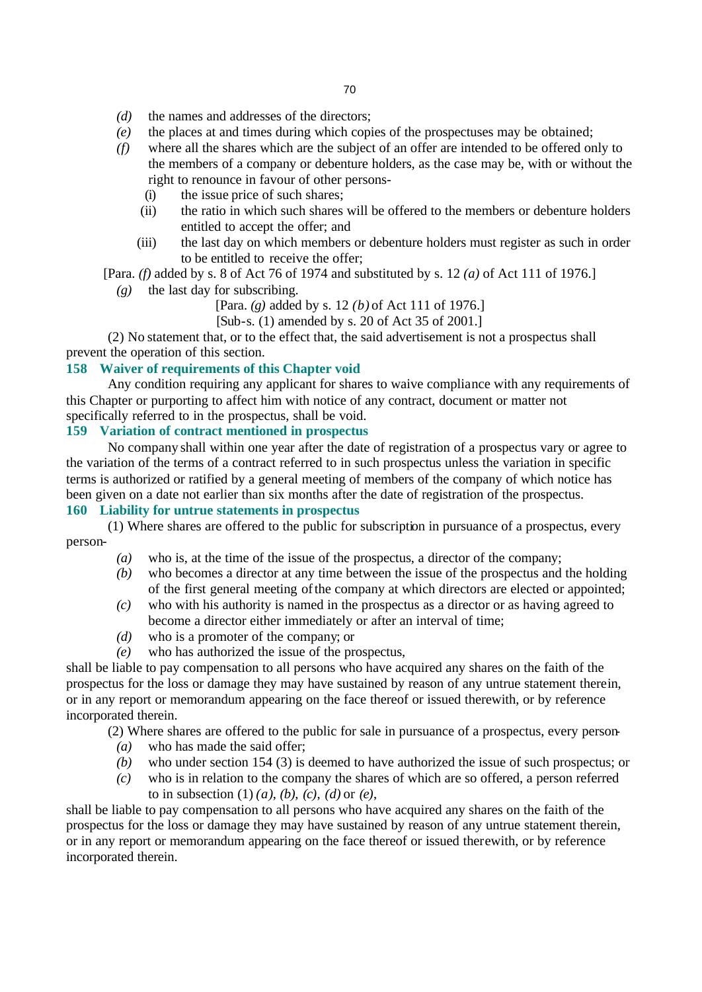- *(d)* the names and addresses of the directors;
- *(e)* the places at and times during which copies of the prospectuses may be obtained;
- *(f)* where all the shares which are the subject of an offer are intended to be offered only to the members of a company or debenture holders, as the case may be, with or without the right to renounce in favour of other persons-
	- (i) the issue price of such shares;
	- (ii) the ratio in which such shares will be offered to the members or debenture holders entitled to accept the offer; and
	- (iii) the last day on which members or debenture holders must register as such in order to be entitled to receive the offer;

[Para. *(f)* added by s. 8 of Act 76 of 1974 and substituted by s. 12 *(a)* of Act 111 of 1976.]

- *(g)* the last day for subscribing.
	- [Para. *(g)* added by s. 12 *(b)* of Act 111 of 1976.]

[Sub-s. (1) amended by s. 20 of Act 35 of 2001.]

(2) No statement that, or to the effect that, the said advertisement is not a prospectus shall prevent the operation of this section.

### **158 Waiver of requirements of this Chapter void**

Any condition requiring any applicant for shares to waive compliance with any requirements of this Chapter or purporting to affect him with notice of any contract, document or matter not specifically referred to in the prospectus, shall be void.

## **159 Variation of contract mentioned in prospectus**

No company shall within one year after the date of registration of a prospectus vary or agree to the variation of the terms of a contract referred to in such prospectus unless the variation in specific terms is authorized or ratified by a general meeting of members of the company of which notice has been given on a date not earlier than six months after the date of registration of the prospectus.

### **160 Liability for untrue statements in prospectus**

(1) Where shares are offered to the public for subscription in pursuance of a prospectus, every person-

- *(a)* who is, at the time of the issue of the prospectus, a director of the company;
- *(b)* who becomes a director at any time between the issue of the prospectus and the holding of the first general meeting of the company at which directors are elected or appointed;
- *(c)* who with his authority is named in the prospectus as a director or as having agreed to become a director either immediately or after an interval of time;
- *(d)* who is a promoter of the company; or
- *(e)* who has authorized the issue of the prospectus,

shall be liable to pay compensation to all persons who have acquired any shares on the faith of the prospectus for the loss or damage they may have sustained by reason of any untrue statement therein, or in any report or memorandum appearing on the face thereof or issued therewith, or by reference incorporated therein.

(2) Where shares are offered to the public for sale in pursuance of a prospectus, every person-

- *(a)* who has made the said offer;
- *(b)* who under section 154 (3) is deemed to have authorized the issue of such prospectus; or
- *(c)* who is in relation to the company the shares of which are so offered, a person referred to in subsection (1) *(a)*, *(b)*, *(c)*, *(d)* or *(e)*,

shall be liable to pay compensation to all persons who have acquired any shares on the faith of the prospectus for the loss or damage they may have sustained by reason of any untrue statement therein, or in any report or memorandum appearing on the face thereof or issued therewith, or by reference incorporated therein.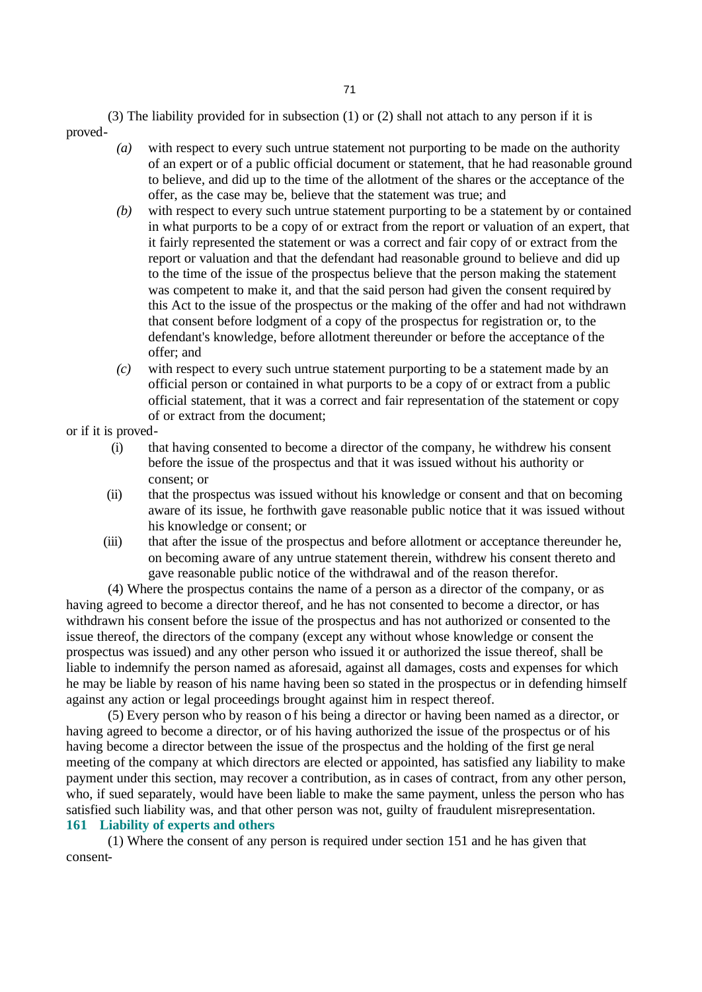(3) The liability provided for in subsection (1) or (2) shall not attach to any person if it is proved-

- *(a)* with respect to every such untrue statement not purporting to be made on the authority of an expert or of a public official document or statement, that he had reasonable ground to believe, and did up to the time of the allotment of the shares or the acceptance of the offer, as the case may be, believe that the statement was true; and
- *(b)* with respect to every such untrue statement purporting to be a statement by or contained in what purports to be a copy of or extract from the report or valuation of an expert, that it fairly represented the statement or was a correct and fair copy of or extract from the report or valuation and that the defendant had reasonable ground to believe and did up to the time of the issue of the prospectus believe that the person making the statement was competent to make it, and that the said person had given the consent required by this Act to the issue of the prospectus or the making of the offer and had not withdrawn that consent before lodgment of a copy of the prospectus for registration or, to the defendant's knowledge, before allotment thereunder or before the acceptance of the offer; and
- *(c)* with respect to every such untrue statement purporting to be a statement made by an official person or contained in what purports to be a copy of or extract from a public official statement, that it was a correct and fair representation of the statement or copy of or extract from the document;

or if it is proved-

- (i) that having consented to become a director of the company, he withdrew his consent before the issue of the prospectus and that it was issued without his authority or consent; or
- (ii) that the prospectus was issued without his knowledge or consent and that on becoming aware of its issue, he forthwith gave reasonable public notice that it was issued without his knowledge or consent; or
- (iii) that after the issue of the prospectus and before allotment or acceptance thereunder he, on becoming aware of any untrue statement therein, withdrew his consent thereto and gave reasonable public notice of the withdrawal and of the reason therefor.

(4) Where the prospectus contains the name of a person as a director of the company, or as having agreed to become a director thereof, and he has not consented to become a director, or has withdrawn his consent before the issue of the prospectus and has not authorized or consented to the issue thereof, the directors of the company (except any without whose knowledge or consent the prospectus was issued) and any other person who issued it or authorized the issue thereof, shall be liable to indemnify the person named as aforesaid, against all damages, costs and expenses for which he may be liable by reason of his name having been so stated in the prospectus or in defending himself against any action or legal proceedings brought against him in respect thereof.

(5) Every person who by reason o f his being a director or having been named as a director, or having agreed to become a director, or of his having authorized the issue of the prospectus or of his having become a director between the issue of the prospectus and the holding of the first ge neral meeting of the company at which directors are elected or appointed, has satisfied any liability to make payment under this section, may recover a contribution, as in cases of contract, from any other person, who, if sued separately, would have been liable to make the same payment, unless the person who has satisfied such liability was, and that other person was not, guilty of fraudulent misrepresentation. **161 Liability of experts and others**

(1) Where the consent of any person is required under section 151 and he has given that consent-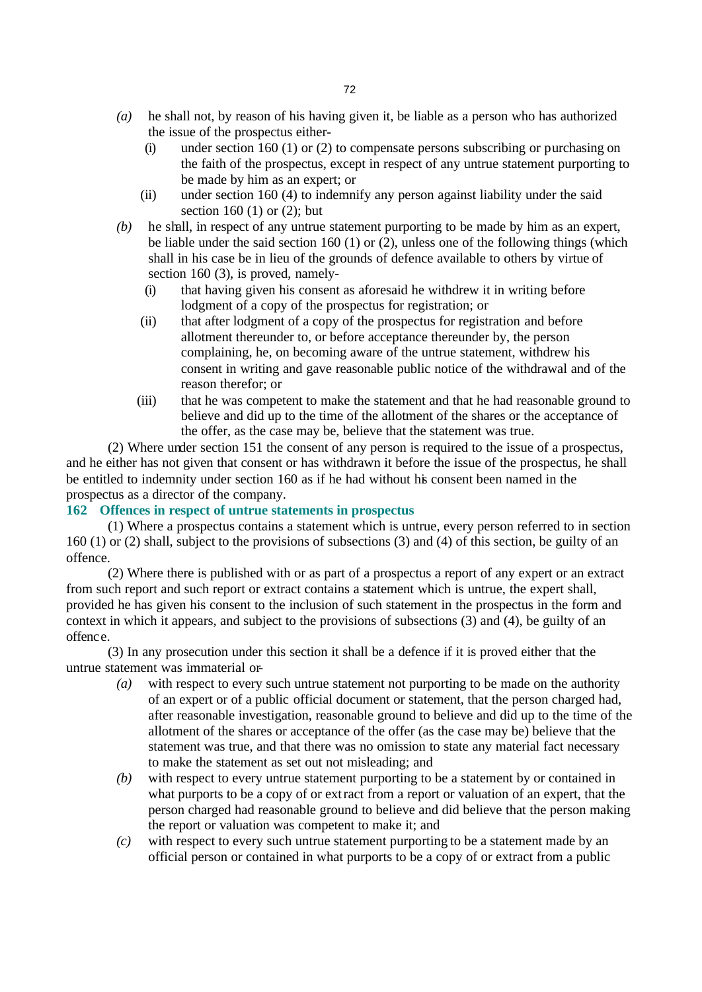- *(a)* he shall not, by reason of his having given it, be liable as a person who has authorized the issue of the prospectus either-
	- (i) under section 160 (1) or (2) to compensate persons subscribing or purchasing on the faith of the prospectus, except in respect of any untrue statement purporting to be made by him as an expert; or
	- (ii) under section 160 (4) to indemnify any person against liability under the said section 160 (1) or  $(2)$ ; but
- *(b)* he shall, in respect of any untrue statement purporting to be made by him as an expert, be liable under the said section 160 (1) or (2), unless one of the following things (which shall in his case be in lieu of the grounds of defence available to others by virtue of section 160 (3), is proved, namely-
	- (i) that having given his consent as aforesaid he withdrew it in writing before lodgment of a copy of the prospectus for registration; or
	- (ii) that after lodgment of a copy of the prospectus for registration and before allotment thereunder to, or before acceptance thereunder by, the person complaining, he, on becoming aware of the untrue statement, withdrew his consent in writing and gave reasonable public notice of the withdrawal and of the reason therefor; or
	- (iii) that he was competent to make the statement and that he had reasonable ground to believe and did up to the time of the allotment of the shares or the acceptance of the offer, as the case may be, believe that the statement was true.

(2) Where under section 151 the consent of any person is required to the issue of a prospectus, and he either has not given that consent or has withdrawn it before the issue of the prospectus, he shall be entitled to indemnity under section 160 as if he had without his consent been named in the prospectus as a director of the company.

## **162 Offences in respect of untrue statements in prospectus**

(1) Where a prospectus contains a statement which is untrue, every person referred to in section 160 (1) or (2) shall, subject to the provisions of subsections (3) and (4) of this section, be guilty of an offence.

(2) Where there is published with or as part of a prospectus a report of any expert or an extract from such report and such report or extract contains a statement which is untrue, the expert shall, provided he has given his consent to the inclusion of such statement in the prospectus in the form and context in which it appears, and subject to the provisions of subsections (3) and (4), be guilty of an offence.

(3) In any prosecution under this section it shall be a defence if it is proved either that the untrue statement was immaterial or-

- *(a)* with respect to every such untrue statement not purporting to be made on the authority of an expert or of a public official document or statement, that the person charged had, after reasonable investigation, reasonable ground to believe and did up to the time of the allotment of the shares or acceptance of the offer (as the case may be) believe that the statement was true, and that there was no omission to state any material fact necessary to make the statement as set out not misleading; and
- *(b)* with respect to every untrue statement purporting to be a statement by or contained in what purports to be a copy of or extract from a report or valuation of an expert, that the person charged had reasonable ground to believe and did believe that the person making the report or valuation was competent to make it; and
- *(c)* with respect to every such untrue statement purporting to be a statement made by an official person or contained in what purports to be a copy of or extract from a public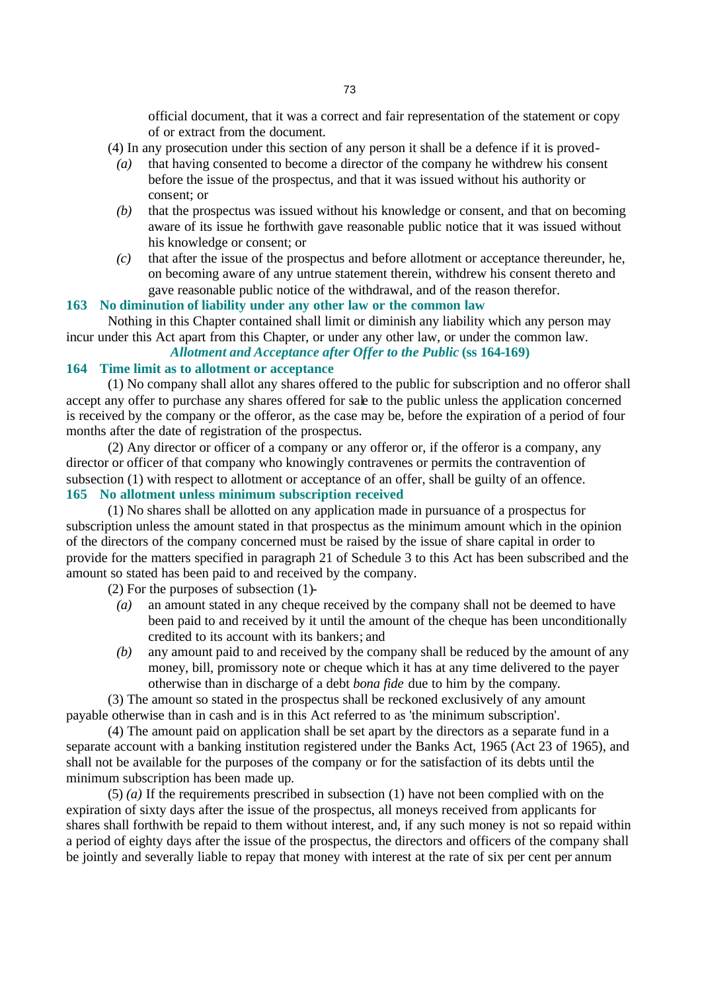official document, that it was a correct and fair representation of the statement or copy of or extract from the document.

- (4) In any prosecution under this section of any person it shall be a defence if it is proved-
	- *(a)* that having consented to become a director of the company he withdrew his consent before the issue of the prospectus, and that it was issued without his authority or consent; or
	- *(b)* that the prospectus was issued without his knowledge or consent, and that on becoming aware of its issue he forthwith gave reasonable public notice that it was issued without his knowledge or consent; or
	- *(c)* that after the issue of the prospectus and before allotment or acceptance thereunder, he, on becoming aware of any untrue statement therein, withdrew his consent thereto and gave reasonable public notice of the withdrawal, and of the reason therefor.

## **163 No diminution of liability under any other law or the common law**

Nothing in this Chapter contained shall limit or diminish any liability which any person may incur under this Act apart from this Chapter, or under any other law, or under the common law.

### *Allotment and Acceptance after Offer to the Public* **(ss 164-169)**

## **164 Time limit as to allotment or acceptance**

(1) No company shall allot any shares offered to the public for subscription and no offeror shall accept any offer to purchase any shares offered for sale to the public unless the application concerned is received by the company or the offeror, as the case may be, before the expiration of a period of four months after the date of registration of the prospectus.

(2) Any director or officer of a company or any offeror or, if the offeror is a company, any director or officer of that company who knowingly contravenes or permits the contravention of subsection (1) with respect to allotment or acceptance of an offer, shall be guilty of an offence. **165 No allotment unless minimum subscription received**

(1) No shares shall be allotted on any application made in pursuance of a prospectus for subscription unless the amount stated in that prospectus as the minimum amount which in the opinion of the directors of the company concerned must be raised by the issue of share capital in order to provide for the matters specified in paragraph 21 of Schedule 3 to this Act has been subscribed and the amount so stated has been paid to and received by the company.

(2) For the purposes of subsection (1)-

- *(a)* an amount stated in any cheque received by the company shall not be deemed to have been paid to and received by it until the amount of the cheque has been unconditionally credited to its account with its bankers; and
- *(b)* any amount paid to and received by the company shall be reduced by the amount of any money, bill, promissory note or cheque which it has at any time delivered to the payer otherwise than in discharge of a debt *bona fide* due to him by the company.

(3) The amount so stated in the prospectus shall be reckoned exclusively of any amount payable otherwise than in cash and is in this Act referred to as 'the minimum subscription'.

(4) The amount paid on application shall be set apart by the directors as a separate fund in a separate account with a banking institution registered under the Banks Act, 1965 (Act 23 of 1965), and shall not be available for the purposes of the company or for the satisfaction of its debts until the minimum subscription has been made up.

(5) *(a)* If the requirements prescribed in subsection (1) have not been complied with on the expiration of sixty days after the issue of the prospectus, all moneys received from applicants for shares shall forthwith be repaid to them without interest, and, if any such money is not so repaid within a period of eighty days after the issue of the prospectus, the directors and officers of the company shall be jointly and severally liable to repay that money with interest at the rate of six per cent per annum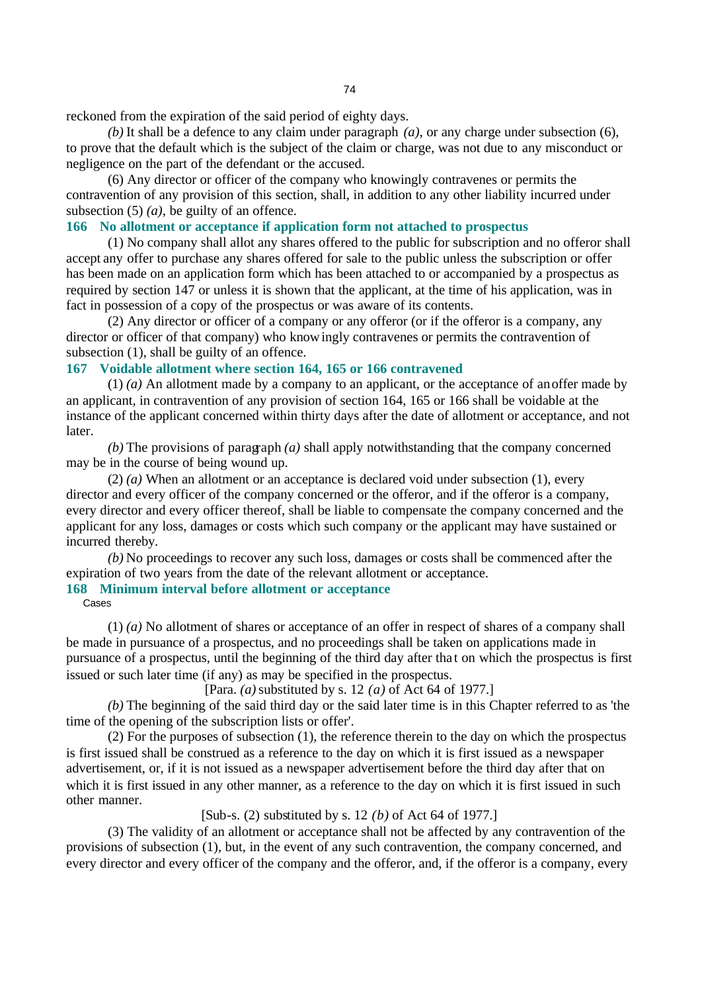reckoned from the expiration of the said period of eighty days.

*(b)* It shall be a defence to any claim under paragraph *(a)*, or any charge under subsection (6), to prove that the default which is the subject of the claim or charge, was not due to any misconduct or negligence on the part of the defendant or the accused.

(6) Any director or officer of the company who knowingly contravenes or permits the contravention of any provision of this section, shall, in addition to any other liability incurred under subsection  $(5)$   $(a)$ , be guilty of an offence.

## **166 No allotment or acceptance if application form not attached to prospectus**

(1) No company shall allot any shares offered to the public for subscription and no offeror shall accept any offer to purchase any shares offered for sale to the public unless the subscription or offer has been made on an application form which has been attached to or accompanied by a prospectus as required by section 147 or unless it is shown that the applicant, at the time of his application, was in fact in possession of a copy of the prospectus or was aware of its contents.

(2) Any director or officer of a company or any offeror (or if the offeror is a company, any director or officer of that company) who knowingly contravenes or permits the contravention of subsection (1), shall be guilty of an offence.

## **167 Voidable allotment where section 164, 165 or 166 contravened**

(1) *(a)* An allotment made by a company to an applicant, or the acceptance of an offer made by an applicant, in contravention of any provision of section 164, 165 or 166 shall be voidable at the instance of the applicant concerned within thirty days after the date of allotment or acceptance, and not later.

*(b)* The provisions of paragraph *(a)* shall apply notwithstanding that the company concerned may be in the course of being wound up.

(2) *(a)* When an allotment or an acceptance is declared void under subsection (1), every director and every officer of the company concerned or the offeror, and if the offeror is a company, every director and every officer thereof, shall be liable to compensate the company concerned and the applicant for any loss, damages or costs which such company or the applicant may have sustained or incurred thereby.

*(b)* No proceedings to recover any such loss, damages or costs shall be commenced after the expiration of two years from the date of the relevant allotment or acceptance.

### **168 Minimum interval before allotment or acceptance**

**Cases** 

(1) *(a)* No allotment of shares or acceptance of an offer in respect of shares of a company shall be made in pursuance of a prospectus, and no proceedings shall be taken on applications made in pursuance of a prospectus, until the beginning of the third day after tha t on which the prospectus is first issued or such later time (if any) as may be specified in the prospectus.

[Para. *(a)* substituted by s. 12 *(a)* of Act 64 of 1977.]

*(b)* The beginning of the said third day or the said later time is in this Chapter referred to as 'the time of the opening of the subscription lists or offer'.

(2) For the purposes of subsection (1), the reference therein to the day on which the prospectus is first issued shall be construed as a reference to the day on which it is first issued as a newspaper advertisement, or, if it is not issued as a newspaper advertisement before the third day after that on which it is first issued in any other manner, as a reference to the day on which it is first issued in such other manner.

[Sub-s. (2) substituted by s. 12 *(b)* of Act 64 of 1977.]

(3) The validity of an allotment or acceptance shall not be affected by any contravention of the provisions of subsection (1), but, in the event of any such contravention, the company concerned, and every director and every officer of the company and the offeror, and, if the offeror is a company, every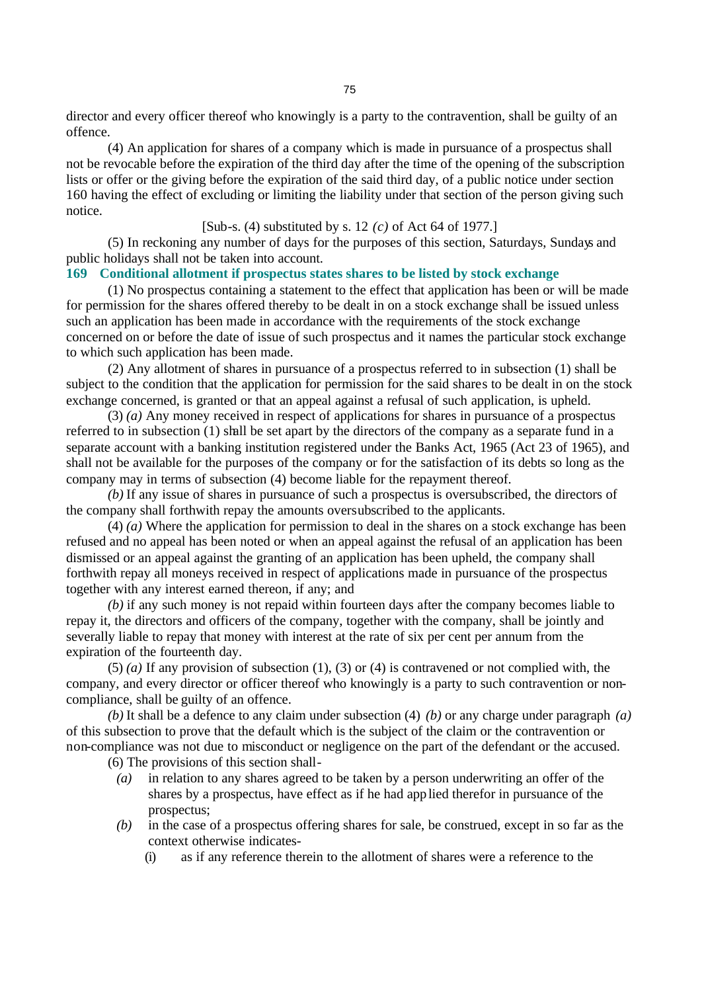director and every officer thereof who knowingly is a party to the contravention, shall be guilty of an offence.

(4) An application for shares of a company which is made in pursuance of a prospectus shall not be revocable before the expiration of the third day after the time of the opening of the subscription lists or offer or the giving before the expiration of the said third day, of a public notice under section 160 having the effect of excluding or limiting the liability under that section of the person giving such notice.

## [Sub-s. (4) substituted by s. 12 *(c)* of Act 64 of 1977.]

(5) In reckoning any number of days for the purposes of this section, Saturdays, Sundays and public holidays shall not be taken into account.

### **169 Conditional allotment if prospectus states shares to be listed by stock exchange**

(1) No prospectus containing a statement to the effect that application has been or will be made for permission for the shares offered thereby to be dealt in on a stock exchange shall be issued unless such an application has been made in accordance with the requirements of the stock exchange concerned on or before the date of issue of such prospectus and it names the particular stock exchange to which such application has been made.

(2) Any allotment of shares in pursuance of a prospectus referred to in subsection (1) shall be subject to the condition that the application for permission for the said shares to be dealt in on the stock exchange concerned, is granted or that an appeal against a refusal of such application, is upheld.

(3) *(a)* Any money received in respect of applications for shares in pursuance of a prospectus referred to in subsection (1) shall be set apart by the directors of the company as a separate fund in a separate account with a banking institution registered under the Banks Act, 1965 (Act 23 of 1965), and shall not be available for the purposes of the company or for the satisfaction of its debts so long as the company may in terms of subsection (4) become liable for the repayment thereof.

*(b)* If any issue of shares in pursuance of such a prospectus is oversubscribed, the directors of the company shall forthwith repay the amounts oversubscribed to the applicants.

(4) *(a)* Where the application for permission to deal in the shares on a stock exchange has been refused and no appeal has been noted or when an appeal against the refusal of an application has been dismissed or an appeal against the granting of an application has been upheld, the company shall forthwith repay all moneys received in respect of applications made in pursuance of the prospectus together with any interest earned thereon, if any; and

*(b)* if any such money is not repaid within fourteen days after the company becomes liable to repay it, the directors and officers of the company, together with the company, shall be jointly and severally liable to repay that money with interest at the rate of six per cent per annum from the expiration of the fourteenth day.

(5) *(a)* If any provision of subsection (1), (3) or (4) is contravened or not complied with, the company, and every director or officer thereof who knowingly is a party to such contravention or noncompliance, shall be guilty of an offence.

*(b)* It shall be a defence to any claim under subsection (4) *(b)* or any charge under paragraph *(a)* of this subsection to prove that the default which is the subject of the claim or the contravention or non-compliance was not due to misconduct or negligence on the part of the defendant or the accused.

(6) The provisions of this section shall-

- *(a)* in relation to any shares agreed to be taken by a person underwriting an offer of the shares by a prospectus, have effect as if he had applied therefor in pursuance of the prospectus;
- *(b)* in the case of a prospectus offering shares for sale, be construed, except in so far as the context otherwise indicates-
	- (i) as if any reference therein to the allotment of shares were a reference to the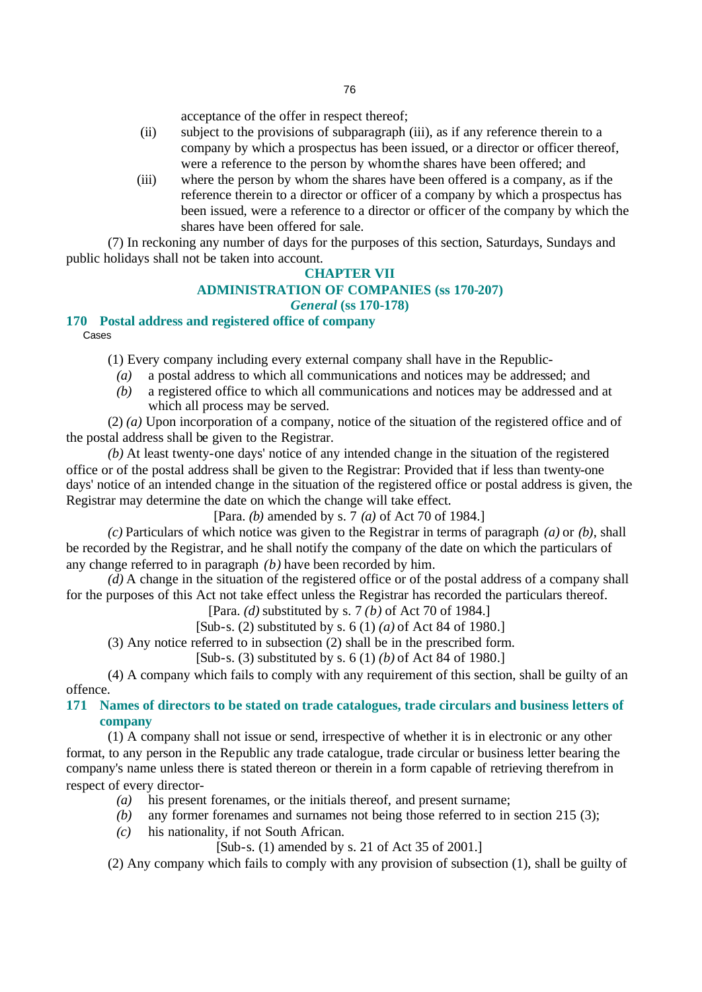acceptance of the offer in respect thereof;

- (ii) subject to the provisions of subparagraph (iii), as if any reference therein to a company by which a prospectus has been issued, or a director or officer thereof, were a reference to the person by whom the shares have been offered; and
- (iii) where the person by whom the shares have been offered is a company, as if the reference therein to a director or officer of a company by which a prospectus has been issued, were a reference to a director or officer of the company by which the shares have been offered for sale.

(7) In reckoning any number of days for the purposes of this section, Saturdays, Sundays and public holidays shall not be taken into account.

## **CHAPTER VII**

## **ADMINISTRATION OF COMPANIES (ss 170-207)**

*General* **(ss 170-178) 170 Postal address and registered office of company**

Cases

(1) Every company including every external company shall have in the Republic-

- *(a)* a postal address to which all communications and notices may be addressed; and
- *(b)* a registered office to which all communications and notices may be addressed and at which all process may be served.

(2) *(a)* Upon incorporation of a company, notice of the situation of the registered office and of the postal address shall be given to the Registrar.

*(b)* At least twenty-one days' notice of any intended change in the situation of the registered office or of the postal address shall be given to the Registrar: Provided that if less than twenty-one days' notice of an intended change in the situation of the registered office or postal address is given, the Registrar may determine the date on which the change will take effect.

[Para. *(b)* amended by s. 7 *(a)* of Act 70 of 1984.]

*(c)* Particulars of which notice was given to the Registrar in terms of paragraph *(a)* or *(b)*, shall be recorded by the Registrar, and he shall notify the company of the date on which the particulars of any change referred to in paragraph *(b)* have been recorded by him.

*(d)* A change in the situation of the registered office or of the postal address of a company shall for the purposes of this Act not take effect unless the Registrar has recorded the particulars thereof.

[Para. *(d)* substituted by s. 7 *(b)* of Act 70 of 1984.]

[Sub-s. (2) substituted by s. 6 (1) *(a)* of Act 84 of 1980.]

(3) Any notice referred to in subsection (2) shall be in the prescribed form.

[Sub-s. (3) substituted by s. 6 (1) *(b)* of Act 84 of 1980.]

(4) A company which fails to comply with any requirement of this section, shall be guilty of an offence.

**171 Names of directors to be stated on trade catalogues, trade circulars and business letters of company**

(1) A company shall not issue or send, irrespective of whether it is in electronic or any other format, to any person in the Republic any trade catalogue, trade circular or business letter bearing the company's name unless there is stated thereon or therein in a form capable of retrieving therefrom in respect of every director-

- *(a)* his present forenames, or the initials thereof, and present surname;
- *(b)* any former forenames and surnames not being those referred to in section 215 (3);
- *(c)* his nationality, if not South African.

[Sub-s. (1) amended by s. 21 of Act 35 of 2001.]

(2) Any company which fails to comply with any provision of subsection (1), shall be guilty of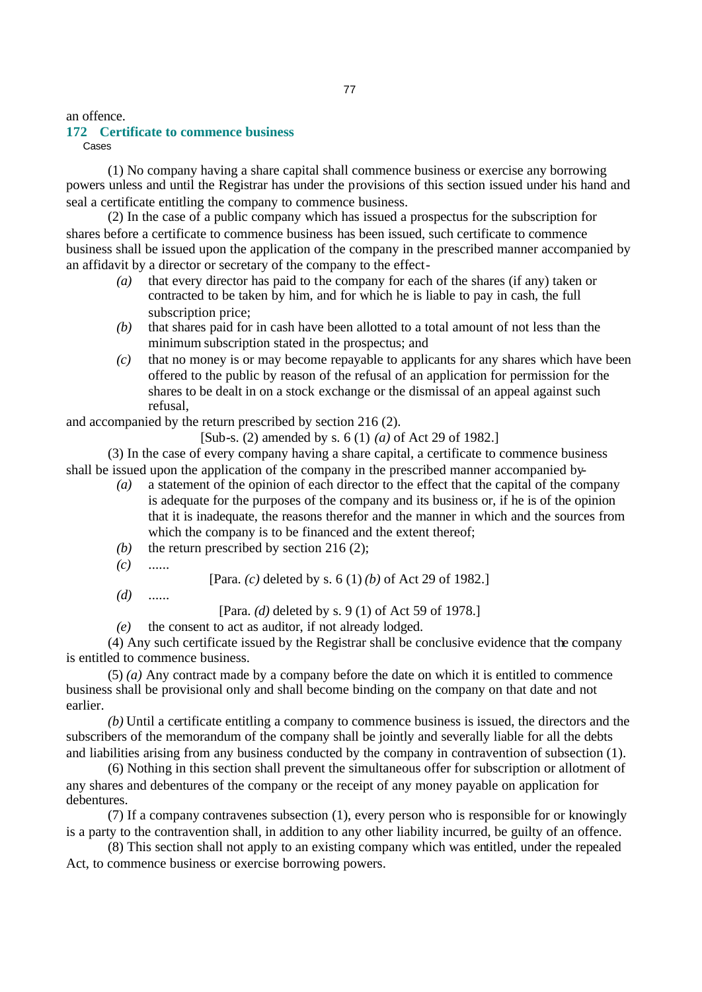an offence.

### **172 Certificate to commence business**

Cases

(1) No company having a share capital shall commence business or exercise any borrowing powers unless and until the Registrar has under the provisions of this section issued under his hand and seal a certificate entitling the company to commence business.

(2) In the case of a public company which has issued a prospectus for the subscription for shares before a certificate to commence business has been issued, such certificate to commence business shall be issued upon the application of the company in the prescribed manner accompanied by an affidavit by a director or secretary of the company to the effect-

- *(a)* that every director has paid to the company for each of the shares (if any) taken or contracted to be taken by him, and for which he is liable to pay in cash, the full subscription price;
- *(b)* that shares paid for in cash have been allotted to a total amount of not less than the minimum subscription stated in the prospectus; and
- *(c)* that no money is or may become repayable to applicants for any shares which have been offered to the public by reason of the refusal of an application for permission for the shares to be dealt in on a stock exchange or the dismissal of an appeal against such refusal,

and accompanied by the return prescribed by section 216 (2).

[Sub-s. (2) amended by s. 6 (1) *(a)* of Act 29 of 1982.]

(3) In the case of every company having a share capital, a certificate to commence business shall be issued upon the application of the company in the prescribed manner accompanied by-

- *(a)* a statement of the opinion of each director to the effect that the capital of the company is adequate for the purposes of the company and its business or, if he is of the opinion that it is inadequate, the reasons therefor and the manner in which and the sources from which the company is to be financed and the extent thereof;
- *(b)* the return prescribed by section 216 (2);
- *(c)* ......

[Para. *(c)* deleted by s. 6 (1) *(b)* of Act 29 of 1982.]

*(d)* ......

[Para. *(d)* deleted by s. 9 (1) of Act 59 of 1978.]

*(e)* the consent to act as auditor, if not already lodged.

(4) Any such certificate issued by the Registrar shall be conclusive evidence that the company is entitled to commence business.

(5) *(a)* Any contract made by a company before the date on which it is entitled to commence business shall be provisional only and shall become binding on the company on that date and not earlier.

*(b)* Until a certificate entitling a company to commence business is issued, the directors and the subscribers of the memorandum of the company shall be jointly and severally liable for all the debts and liabilities arising from any business conducted by the company in contravention of subsection (1).

(6) Nothing in this section shall prevent the simultaneous offer for subscription or allotment of any shares and debentures of the company or the receipt of any money payable on application for debentures.

(7) If a company contravenes subsection (1), every person who is responsible for or knowingly is a party to the contravention shall, in addition to any other liability incurred, be guilty of an offence.

(8) This section shall not apply to an existing company which was entitled, under the repealed Act, to commence business or exercise borrowing powers.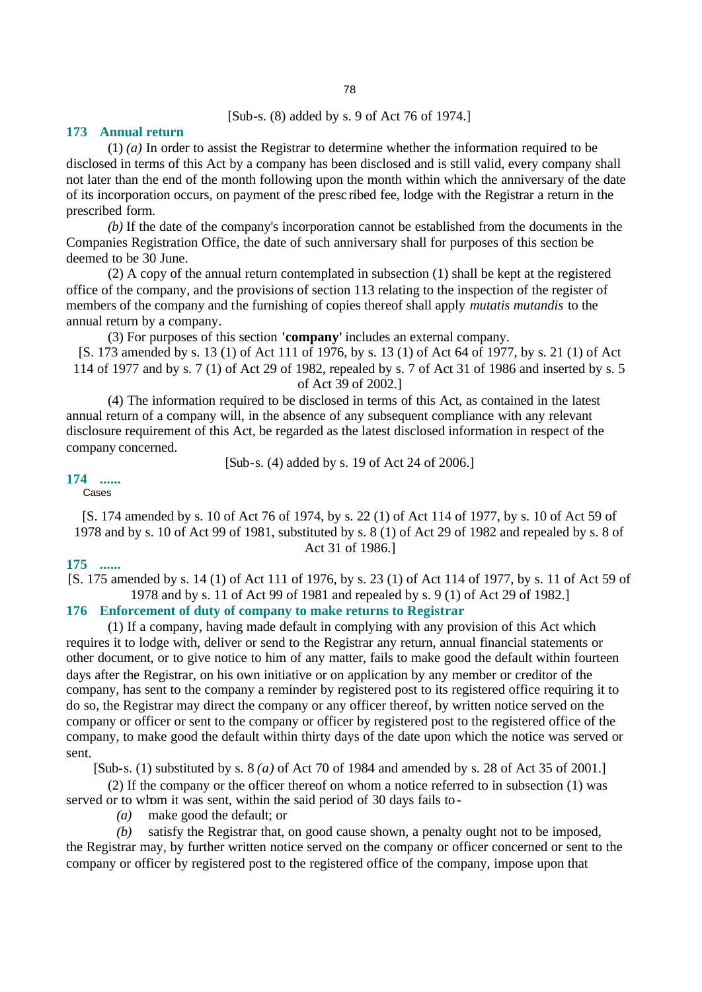## [Sub-s. (8) added by s. 9 of Act 76 of 1974.]

### **173 Annual return**

(1) *(a)* In order to assist the Registrar to determine whether the information required to be disclosed in terms of this Act by a company has been disclosed and is still valid, every company shall not later than the end of the month following upon the month within which the anniversary of the date of its incorporation occurs, on payment of the presc ribed fee, lodge with the Registrar a return in the prescribed form.

*(b)* If the date of the company's incorporation cannot be established from the documents in the Companies Registration Office, the date of such anniversary shall for purposes of this section be deemed to be 30 June.

(2) A copy of the annual return contemplated in subsection (1) shall be kept at the registered office of the company, and the provisions of section 113 relating to the inspection of the register of members of the company and the furnishing of copies thereof shall apply *mutatis mutandis* to the annual return by a company.

(3) For purposes of this section **'company'** includes an external company.

[S. 173 amended by s. 13 (1) of Act 111 of 1976, by s. 13 (1) of Act 64 of 1977, by s. 21 (1) of Act 114 of 1977 and by s. 7 (1) of Act 29 of 1982, repealed by s. 7 of Act 31 of 1986 and inserted by s. 5 of Act 39 of 2002.]

(4) The information required to be disclosed in terms of this Act, as contained in the latest annual return of a company will, in the absence of any subsequent compliance with any relevant disclosure requirement of this Act, be regarded as the latest disclosed information in respect of the company concerned.

[Sub-s. (4) added by s. 19 of Act 24 of 2006.]

## **174 ......**

Cases

[S. 174 amended by s. 10 of Act 76 of 1974, by s. 22 (1) of Act 114 of 1977, by s. 10 of Act 59 of 1978 and by s. 10 of Act 99 of 1981, substituted by s. 8 (1) of Act 29 of 1982 and repealed by s. 8 of Act 31 of 1986.]

### **175 ......**

[S. 175 amended by s. 14 (1) of Act 111 of 1976, by s. 23 (1) of Act 114 of 1977, by s. 11 of Act 59 of 1978 and by s. 11 of Act 99 of 1981 and repealed by s. 9 (1) of Act 29 of 1982.]

### **176 Enforcement of duty of company to make returns to Registrar**

(1) If a company, having made default in complying with any provision of this Act which requires it to lodge with, deliver or send to the Registrar any return, annual financial statements or other document, or to give notice to him of any matter, fails to make good the default within fourteen days after the Registrar, on his own initiative or on application by any member or creditor of the company, has sent to the company a reminder by registered post to its registered office requiring it to do so, the Registrar may direct the company or any officer thereof, by written notice served on the company or officer or sent to the company or officer by registered post to the registered office of the company, to make good the default within thirty days of the date upon which the notice was served or sent.

[Sub-s. (1) substituted by s. 8 *(a)* of Act 70 of 1984 and amended by s. 28 of Act 35 of 2001.]

(2) If the company or the officer thereof on whom a notice referred to in subsection (1) was served or to whom it was sent, within the said period of 30 days fails to-

*(a)* make good the default; or

*(b)* satisfy the Registrar that, on good cause shown, a penalty ought not to be imposed, the Registrar may, by further written notice served on the company or officer concerned or sent to the company or officer by registered post to the registered office of the company, impose upon that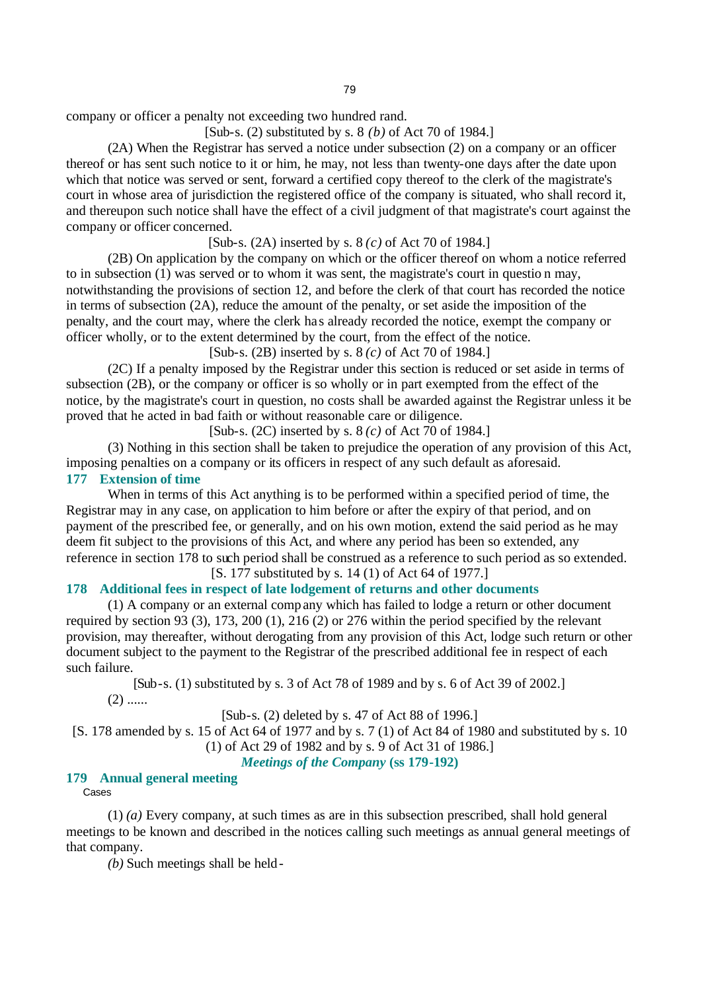company or officer a penalty not exceeding two hundred rand.

[Sub-s. (2) substituted by s. 8 *(b)* of Act 70 of 1984.]

(2A) When the Registrar has served a notice under subsection (2) on a company or an officer thereof or has sent such notice to it or him, he may, not less than twenty-one days after the date upon which that notice was served or sent, forward a certified copy thereof to the clerk of the magistrate's court in whose area of jurisdiction the registered office of the company is situated, who shall record it, and thereupon such notice shall have the effect of a civil judgment of that magistrate's court against the company or officer concerned.

[Sub-s. (2A) inserted by s. 8 *(c)* of Act 70 of 1984.]

(2B) On application by the company on which or the officer thereof on whom a notice referred to in subsection (1) was served or to whom it was sent, the magistrate's court in questio n may, notwithstanding the provisions of section 12, and before the clerk of that court has recorded the notice in terms of subsection (2A), reduce the amount of the penalty, or set aside the imposition of the penalty, and the court may, where the clerk ha s already recorded the notice, exempt the company or officer wholly, or to the extent determined by the court, from the effect of the notice.

[Sub-s. (2B) inserted by s. 8 *(c)* of Act 70 of 1984.]

(2C) If a penalty imposed by the Registrar under this section is reduced or set aside in terms of subsection (2B), or the company or officer is so wholly or in part exempted from the effect of the notice, by the magistrate's court in question, no costs shall be awarded against the Registrar unless it be proved that he acted in bad faith or without reasonable care or diligence.

[Sub-s. (2C) inserted by s. 8 *(c)* of Act 70 of 1984.]

(3) Nothing in this section shall be taken to prejudice the operation of any provision of this Act, imposing penalties on a company or its officers in respect of any such default as aforesaid. **177 Extension of time**

When in terms of this Act anything is to be performed within a specified period of time, the Registrar may in any case, on application to him before or after the expiry of that period, and on payment of the prescribed fee, or generally, and on his own motion, extend the said period as he may deem fit subject to the provisions of this Act, and where any period has been so extended, any reference in section 178 to such period shall be construed as a reference to such period as so extended. [S. 177 substituted by s. 14 (1) of Act 64 of 1977.]

### **178 Additional fees in respect of late lodgement of returns and other documents**

(1) A company or an external company which has failed to lodge a return or other document required by section 93 (3), 173, 200 (1), 216 (2) or 276 within the period specified by the relevant provision, may thereafter, without derogating from any provision of this Act, lodge such return or other document subject to the payment to the Registrar of the prescribed additional fee in respect of each such failure.

[Sub-s. (1) substituted by s. 3 of Act 78 of 1989 and by s. 6 of Act 39 of 2002.]

 $(2)$  ......

[Sub-s. (2) deleted by s. 47 of Act 88 of 1996.]

[S. 178 amended by s. 15 of Act 64 of 1977 and by s. 7 (1) of Act 84 of 1980 and substituted by s. 10 (1) of Act 29 of 1982 and by s. 9 of Act 31 of 1986.]

*Meetings of the Company* **(ss 179-192)**

## **179 Annual general meeting** Cases

(1) *(a)* Every company, at such times as are in this subsection prescribed, shall hold general meetings to be known and described in the notices calling such meetings as annual general meetings of that company.

*(b)* Such meetings shall be held-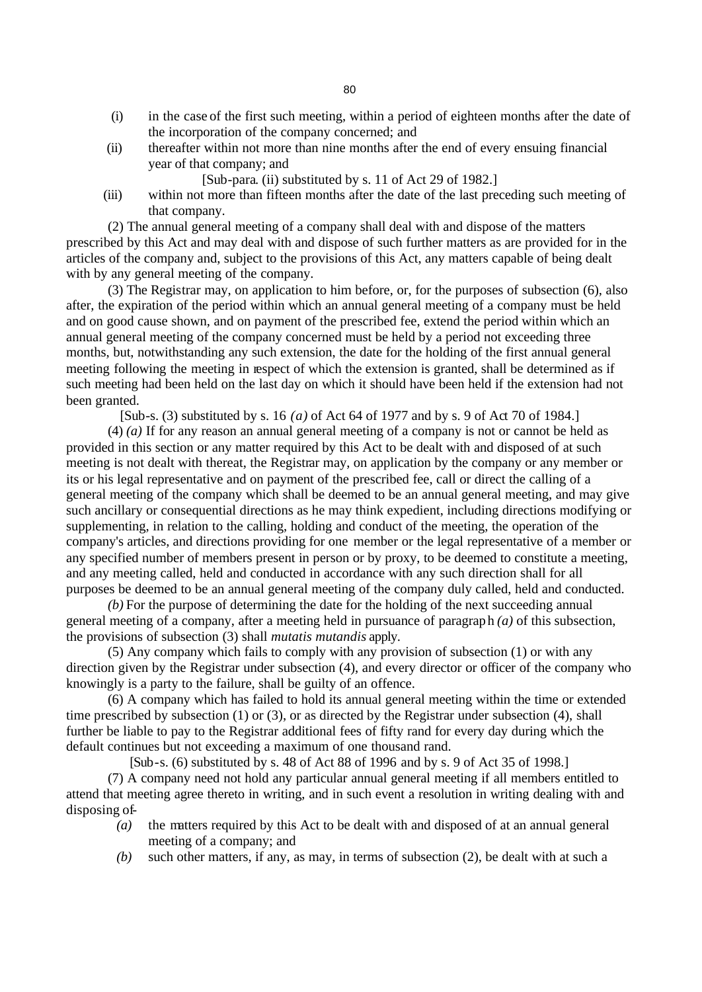- (i) in the case of the first such meeting, within a period of eighteen months after the date of the incorporation of the company concerned; and
- (ii) thereafter within not more than nine months after the end of every ensuing financial year of that company; and
	- [Sub-para. (ii) substituted by s. 11 of Act 29 of 1982.]
- (iii) within not more than fifteen months after the date of the last preceding such meeting of that company.

(2) The annual general meeting of a company shall deal with and dispose of the matters prescribed by this Act and may deal with and dispose of such further matters as are provided for in the articles of the company and, subject to the provisions of this Act, any matters capable of being dealt with by any general meeting of the company.

(3) The Registrar may, on application to him before, or, for the purposes of subsection (6), also after, the expiration of the period within which an annual general meeting of a company must be held and on good cause shown, and on payment of the prescribed fee, extend the period within which an annual general meeting of the company concerned must be held by a period not exceeding three months, but, notwithstanding any such extension, the date for the holding of the first annual general meeting following the meeting in respect of which the extension is granted, shall be determined as if such meeting had been held on the last day on which it should have been held if the extension had not been granted.

[Sub-s. (3) substituted by s. 16 *(a)* of Act 64 of 1977 and by s. 9 of Act 70 of 1984.]

(4) *(a)* If for any reason an annual general meeting of a company is not or cannot be held as provided in this section or any matter required by this Act to be dealt with and disposed of at such meeting is not dealt with thereat, the Registrar may, on application by the company or any member or its or his legal representative and on payment of the prescribed fee, call or direct the calling of a general meeting of the company which shall be deemed to be an annual general meeting, and may give such ancillary or consequential directions as he may think expedient, including directions modifying or supplementing, in relation to the calling, holding and conduct of the meeting, the operation of the company's articles, and directions providing for one member or the legal representative of a member or any specified number of members present in person or by proxy, to be deemed to constitute a meeting, and any meeting called, held and conducted in accordance with any such direction shall for all purposes be deemed to be an annual general meeting of the company duly called, held and conducted.

*(b)* For the purpose of determining the date for the holding of the next succeeding annual general meeting of a company, after a meeting held in pursuance of paragraph *(a)* of this subsection, the provisions of subsection (3) shall *mutatis mutandis* apply.

(5) Any company which fails to comply with any provision of subsection (1) or with any direction given by the Registrar under subsection (4), and every director or officer of the company who knowingly is a party to the failure, shall be guilty of an offence.

(6) A company which has failed to hold its annual general meeting within the time or extended time prescribed by subsection (1) or (3), or as directed by the Registrar under subsection (4), shall further be liable to pay to the Registrar additional fees of fifty rand for every day during which the default continues but not exceeding a maximum of one thousand rand.

[Sub-s. (6) substituted by s. 48 of Act 88 of 1996 and by s. 9 of Act 35 of 1998.]

(7) A company need not hold any particular annual general meeting if all members entitled to attend that meeting agree thereto in writing, and in such event a resolution in writing dealing with and disposing of-

- *(a)* the matters required by this Act to be dealt with and disposed of at an annual general meeting of a company; and
- *(b)* such other matters, if any, as may, in terms of subsection (2), be dealt with at such a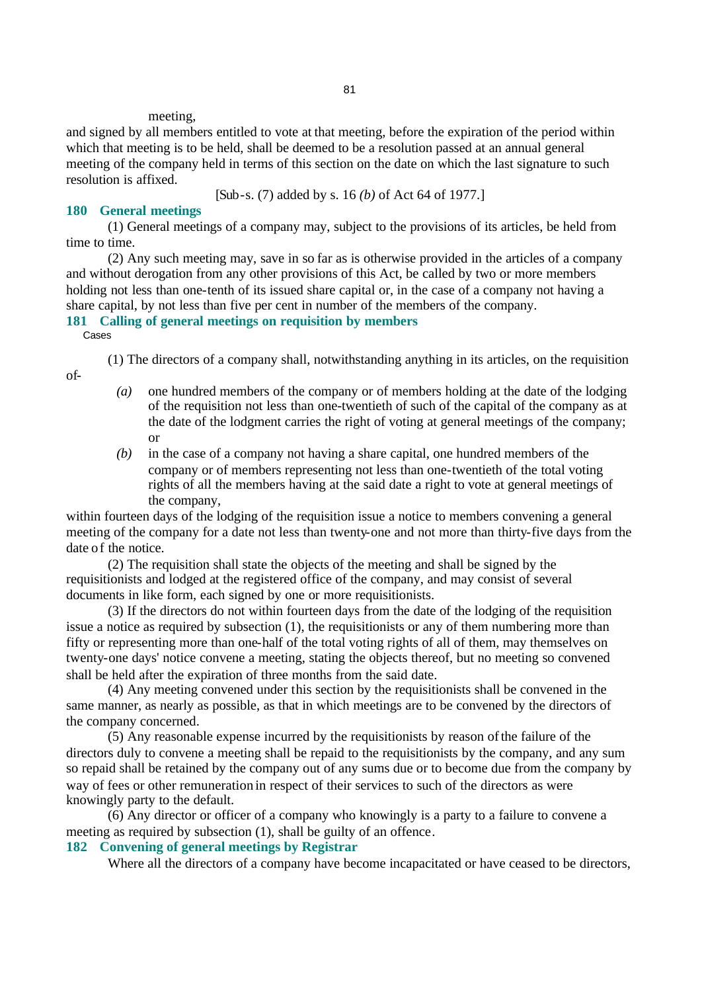### meeting,

and signed by all members entitled to vote at that meeting, before the expiration of the period within which that meeting is to be held, shall be deemed to be a resolution passed at an annual general meeting of the company held in terms of this section on the date on which the last signature to such resolution is affixed.

### [Sub-s. (7) added by s. 16 *(b)* of Act 64 of 1977.]

### **180 General meetings**

(1) General meetings of a company may, subject to the provisions of its articles, be held from time to time.

(2) Any such meeting may, save in so far as is otherwise provided in the articles of a company and without derogation from any other provisions of this Act, be called by two or more members holding not less than one-tenth of its issued share capital or, in the case of a company not having a share capital, by not less than five per cent in number of the members of the company.

## **181 Calling of general meetings on requisition by members**

Cases

of-

- (1) The directors of a company shall, notwithstanding anything in its articles, on the requisition
	- *(a)* one hundred members of the company or of members holding at the date of the lodging of the requisition not less than one-twentieth of such of the capital of the company as at the date of the lodgment carries the right of voting at general meetings of the company; or
	- *(b)* in the case of a company not having a share capital, one hundred members of the company or of members representing not less than one-twentieth of the total voting rights of all the members having at the said date a right to vote at general meetings of the company,

within fourteen days of the lodging of the requisition issue a notice to members convening a general meeting of the company for a date not less than twenty-one and not more than thirty-five days from the date of the notice.

(2) The requisition shall state the objects of the meeting and shall be signed by the requisitionists and lodged at the registered office of the company, and may consist of several documents in like form, each signed by one or more requisitionists.

(3) If the directors do not within fourteen days from the date of the lodging of the requisition issue a notice as required by subsection (1), the requisitionists or any of them numbering more than fifty or representing more than one-half of the total voting rights of all of them, may themselves on twenty-one days' notice convene a meeting, stating the objects thereof, but no meeting so convened shall be held after the expiration of three months from the said date.

(4) Any meeting convened under this section by the requisitionists shall be convened in the same manner, as nearly as possible, as that in which meetings are to be convened by the directors of the company concerned.

(5) Any reasonable expense incurred by the requisitionists by reason of the failure of the directors duly to convene a meeting shall be repaid to the requisitionists by the company, and any sum so repaid shall be retained by the company out of any sums due or to become due from the company by way of fees or other remuneration in respect of their services to such of the directors as were knowingly party to the default.

(6) Any director or officer of a company who knowingly is a party to a failure to convene a meeting as required by subsection (1), shall be guilty of an offence.

### **182 Convening of general meetings by Registrar**

Where all the directors of a company have become incapacitated or have ceased to be directors,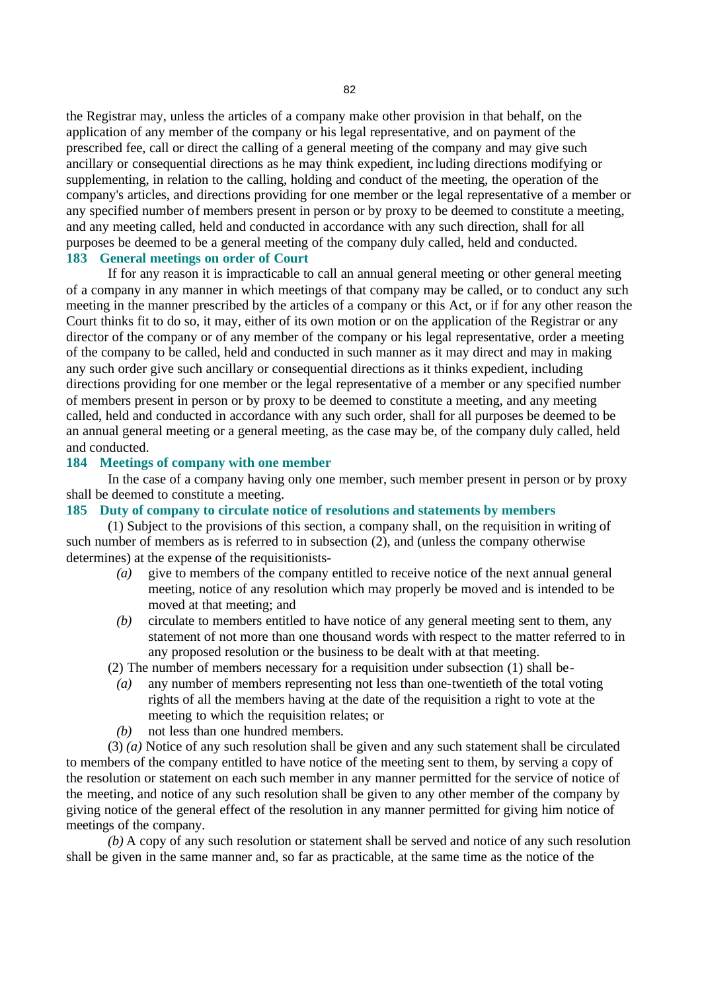the Registrar may, unless the articles of a company make other provision in that behalf, on the application of any member of the company or his legal representative, and on payment of the prescribed fee, call or direct the calling of a general meeting of the company and may give such ancillary or consequential directions as he may think expedient, inc luding directions modifying or supplementing, in relation to the calling, holding and conduct of the meeting, the operation of the company's articles, and directions providing for one member or the legal representative of a member or any specified number of members present in person or by proxy to be deemed to constitute a meeting, and any meeting called, held and conducted in accordance with any such direction, shall for all purposes be deemed to be a general meeting of the company duly called, held and conducted. **183 General meetings on order of Court**

If for any reason it is impracticable to call an annual general meeting or other general meeting of a company in any manner in which meetings of that company may be called, or to conduct any such meeting in the manner prescribed by the articles of a company or this Act, or if for any other reason the Court thinks fit to do so, it may, either of its own motion or on the application of the Registrar or any director of the company or of any member of the company or his legal representative, order a meeting of the company to be called, held and conducted in such manner as it may direct and may in making any such order give such ancillary or consequential directions as it thinks expedient, including directions providing for one member or the legal representative of a member or any specified number of members present in person or by proxy to be deemed to constitute a meeting, and any meeting called, held and conducted in accordance with any such order, shall for all purposes be deemed to be an annual general meeting or a general meeting, as the case may be, of the company duly called, held and conducted.

### **184 Meetings of company with one member**

In the case of a company having only one member, such member present in person or by proxy shall be deemed to constitute a meeting.

### **185 Duty of company to circulate notice of resolutions and statements by members**

(1) Subject to the provisions of this section, a company shall, on the requisition in writing of such number of members as is referred to in subsection (2), and (unless the company otherwise determines) at the expense of the requisitionists-

- *(a)* give to members of the company entitled to receive notice of the next annual general meeting, notice of any resolution which may properly be moved and is intended to be moved at that meeting; and
- *(b)* circulate to members entitled to have notice of any general meeting sent to them, any statement of not more than one thousand words with respect to the matter referred to in any proposed resolution or the business to be dealt with at that meeting.

(2) The number of members necessary for a requisition under subsection (1) shall be-

- *(a)* any number of members representing not less than one-twentieth of the total voting rights of all the members having at the date of the requisition a right to vote at the meeting to which the requisition relates; or
- *(b)* not less than one hundred members.

(3) *(a)* Notice of any such resolution shall be given and any such statement shall be circulated to members of the company entitled to have notice of the meeting sent to them, by serving a copy of the resolution or statement on each such member in any manner permitted for the service of notice of the meeting, and notice of any such resolution shall be given to any other member of the company by giving notice of the general effect of the resolution in any manner permitted for giving him notice of meetings of the company.

*(b)* A copy of any such resolution or statement shall be served and notice of any such resolution shall be given in the same manner and, so far as practicable, at the same time as the notice of the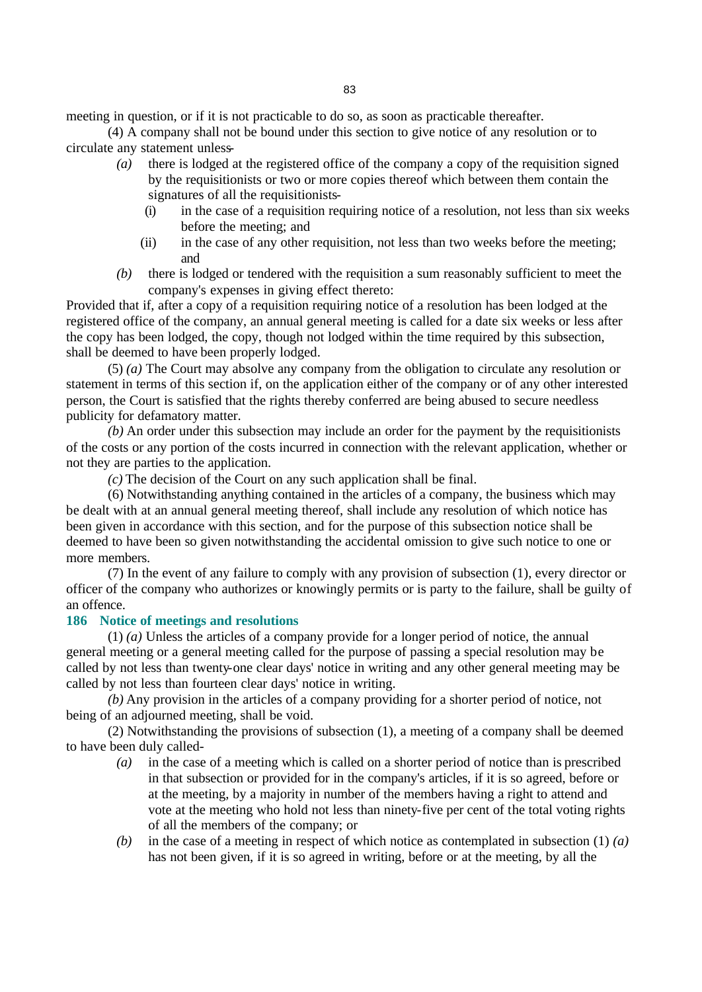meeting in question, or if it is not practicable to do so, as soon as practicable thereafter.

(4) A company shall not be bound under this section to give notice of any resolution or to circulate any statement unless-

- *(a)* there is lodged at the registered office of the company a copy of the requisition signed by the requisitionists or two or more copies thereof which between them contain the signatures of all the requisitionists-
	- (i) in the case of a requisition requiring notice of a resolution, not less than six weeks before the meeting; and
	- (ii) in the case of any other requisition, not less than two weeks before the meeting; and
- *(b)* there is lodged or tendered with the requisition a sum reasonably sufficient to meet the company's expenses in giving effect thereto:

Provided that if, after a copy of a requisition requiring notice of a resolution has been lodged at the registered office of the company, an annual general meeting is called for a date six weeks or less after the copy has been lodged, the copy, though not lodged within the time required by this subsection, shall be deemed to have been properly lodged.

(5) *(a)* The Court may absolve any company from the obligation to circulate any resolution or statement in terms of this section if, on the application either of the company or of any other interested person, the Court is satisfied that the rights thereby conferred are being abused to secure needless publicity for defamatory matter.

*(b)* An order under this subsection may include an order for the payment by the requisitionists of the costs or any portion of the costs incurred in connection with the relevant application, whether or not they are parties to the application.

*(c)* The decision of the Court on any such application shall be final.

(6) Notwithstanding anything contained in the articles of a company, the business which may be dealt with at an annual general meeting thereof, shall include any resolution of which notice has been given in accordance with this section, and for the purpose of this subsection notice shall be deemed to have been so given notwithstanding the accidental omission to give such notice to one or more members.

(7) In the event of any failure to comply with any provision of subsection (1), every director or officer of the company who authorizes or knowingly permits or is party to the failure, shall be guilty of an offence.

## **186 Notice of meetings and resolutions**

(1) *(a)* Unless the articles of a company provide for a longer period of notice, the annual general meeting or a general meeting called for the purpose of passing a special resolution may be called by not less than twenty-one clear days' notice in writing and any other general meeting may be called by not less than fourteen clear days' notice in writing.

*(b)* Any provision in the articles of a company providing for a shorter period of notice, not being of an adjourned meeting, shall be void.

(2) Notwithstanding the provisions of subsection (1), a meeting of a company shall be deemed to have been duly called-

- *(a)* in the case of a meeting which is called on a shorter period of notice than is prescribed in that subsection or provided for in the company's articles, if it is so agreed, before or at the meeting, by a majority in number of the members having a right to attend and vote at the meeting who hold not less than ninety-five per cent of the total voting rights of all the members of the company; or
- *(b)* in the case of a meeting in respect of which notice as contemplated in subsection (1) *(a)* has not been given, if it is so agreed in writing, before or at the meeting, by all the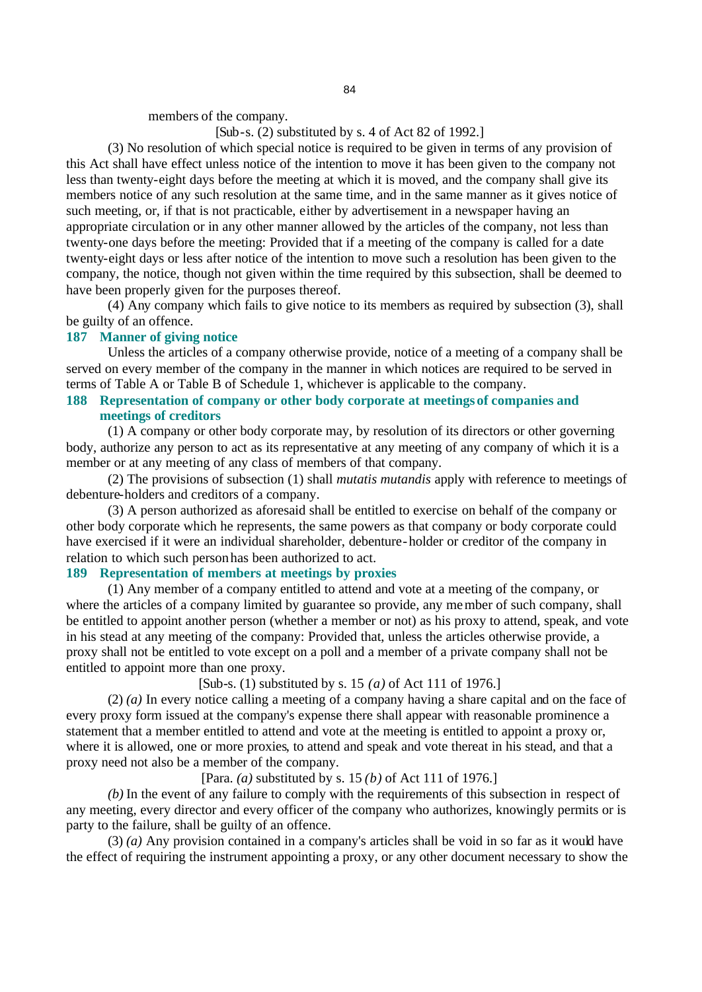members of the company.

[Sub-s. (2) substituted by s. 4 of Act 82 of 1992.]

(3) No resolution of which special notice is required to be given in terms of any provision of this Act shall have effect unless notice of the intention to move it has been given to the company not less than twenty-eight days before the meeting at which it is moved, and the company shall give its members notice of any such resolution at the same time, and in the same manner as it gives notice of such meeting, or, if that is not practicable, either by advertisement in a newspaper having an appropriate circulation or in any other manner allowed by the articles of the company, not less than twenty-one days before the meeting: Provided that if a meeting of the company is called for a date twenty-eight days or less after notice of the intention to move such a resolution has been given to the company, the notice, though not given within the time required by this subsection, shall be deemed to have been properly given for the purposes thereof.

(4) Any company which fails to give notice to its members as required by subsection (3), shall be guilty of an offence.

### **187 Manner of giving notice**

Unless the articles of a company otherwise provide, notice of a meeting of a company shall be served on every member of the company in the manner in which notices are required to be served in terms of Table A or Table B of Schedule 1, whichever is applicable to the company.

### **188 Representation of company or other body corporate at meetings of companies and meetings of creditors**

(1) A company or other body corporate may, by resolution of its directors or other governing body, authorize any person to act as its representative at any meeting of any company of which it is a member or at any meeting of any class of members of that company.

(2) The provisions of subsection (1) shall *mutatis mutandis* apply with reference to meetings of debenture-holders and creditors of a company.

(3) A person authorized as aforesaid shall be entitled to exercise on behalf of the company or other body corporate which he represents, the same powers as that company or body corporate could have exercised if it were an individual shareholder, debenture-holder or creditor of the company in relation to which such person has been authorized to act.

### **189 Representation of members at meetings by proxies**

(1) Any member of a company entitled to attend and vote at a meeting of the company, or where the articles of a company limited by guarantee so provide, any member of such company, shall be entitled to appoint another person (whether a member or not) as his proxy to attend, speak, and vote in his stead at any meeting of the company: Provided that, unless the articles otherwise provide, a proxy shall not be entitled to vote except on a poll and a member of a private company shall not be entitled to appoint more than one proxy.

### [Sub-s. (1) substituted by s. 15 *(a)* of Act 111 of 1976.]

(2) *(a)* In every notice calling a meeting of a company having a share capital and on the face of every proxy form issued at the company's expense there shall appear with reasonable prominence a statement that a member entitled to attend and vote at the meeting is entitled to appoint a proxy or, where it is allowed, one or more proxies, to attend and speak and vote thereat in his stead, and that a proxy need not also be a member of the company.

### [Para. *(a)* substituted by s. 15 *(b)* of Act 111 of 1976.]

*(b)* In the event of any failure to comply with the requirements of this subsection in respect of any meeting, every director and every officer of the company who authorizes, knowingly permits or is party to the failure, shall be guilty of an offence.

(3) *(a)* Any provision contained in a company's articles shall be void in so far as it would have the effect of requiring the instrument appointing a proxy, or any other document necessary to show the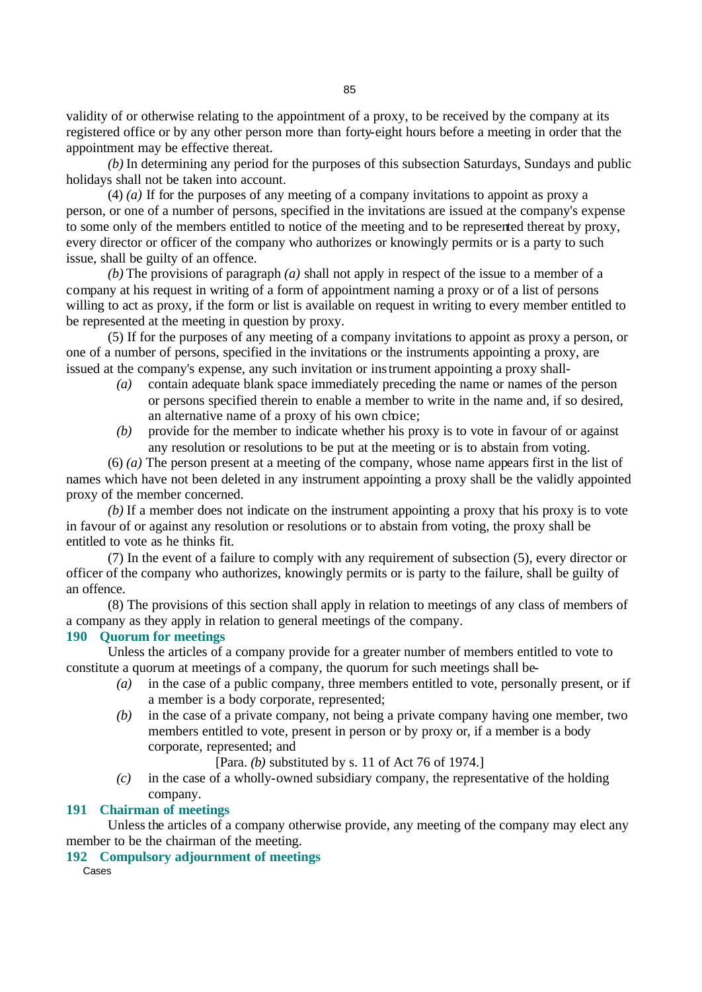validity of or otherwise relating to the appointment of a proxy, to be received by the company at its registered office or by any other person more than forty-eight hours before a meeting in order that the appointment may be effective thereat.

*(b)* In determining any period for the purposes of this subsection Saturdays, Sundays and public holidays shall not be taken into account.

(4) *(a)* If for the purposes of any meeting of a company invitations to appoint as proxy a person, or one of a number of persons, specified in the invitations are issued at the company's expense to some only of the members entitled to notice of the meeting and to be represented thereat by proxy, every director or officer of the company who authorizes or knowingly permits or is a party to such issue, shall be guilty of an offence.

*(b)* The provisions of paragraph *(a)* shall not apply in respect of the issue to a member of a company at his request in writing of a form of appointment naming a proxy or of a list of persons willing to act as proxy, if the form or list is available on request in writing to every member entitled to be represented at the meeting in question by proxy.

(5) If for the purposes of any meeting of a company invitations to appoint as proxy a person, or one of a number of persons, specified in the invitations or the instruments appointing a proxy, are issued at the company's expense, any such invitation or instrument appointing a proxy shall-

- *(a)* contain adequate blank space immediately preceding the name or names of the person or persons specified therein to enable a member to write in the name and, if so desired, an alternative name of a proxy of his own choice;
- *(b)* provide for the member to indicate whether his proxy is to vote in favour of or against any resolution or resolutions to be put at the meeting or is to abstain from voting.

(6) *(a)* The person present at a meeting of the company, whose name appears first in the list of names which have not been deleted in any instrument appointing a proxy shall be the validly appointed proxy of the member concerned.

*(b)* If a member does not indicate on the instrument appointing a proxy that his proxy is to vote in favour of or against any resolution or resolutions or to abstain from voting, the proxy shall be entitled to vote as he thinks fit.

(7) In the event of a failure to comply with any requirement of subsection (5), every director or officer of the company who authorizes, knowingly permits or is party to the failure, shall be guilty of an offence.

(8) The provisions of this section shall apply in relation to meetings of any class of members of a company as they apply in relation to general meetings of the company.

### **190 Quorum for meetings**

Unless the articles of a company provide for a greater number of members entitled to vote to constitute a quorum at meetings of a company, the quorum for such meetings shall be-

- *(a)* in the case of a public company, three members entitled to vote, personally present, or if a member is a body corporate, represented;
- *(b)* in the case of a private company, not being a private company having one member, two members entitled to vote, present in person or by proxy or, if a member is a body corporate, represented; and

[Para. *(b)* substituted by s. 11 of Act 76 of 1974.]

*(c)* in the case of a wholly-owned subsidiary company, the representative of the holding company.

### **191 Chairman of meetings**

Unless the articles of a company otherwise provide, any meeting of the company may elect any member to be the chairman of the meeting.

### **192 Compulsory adjournment of meetings**

Cases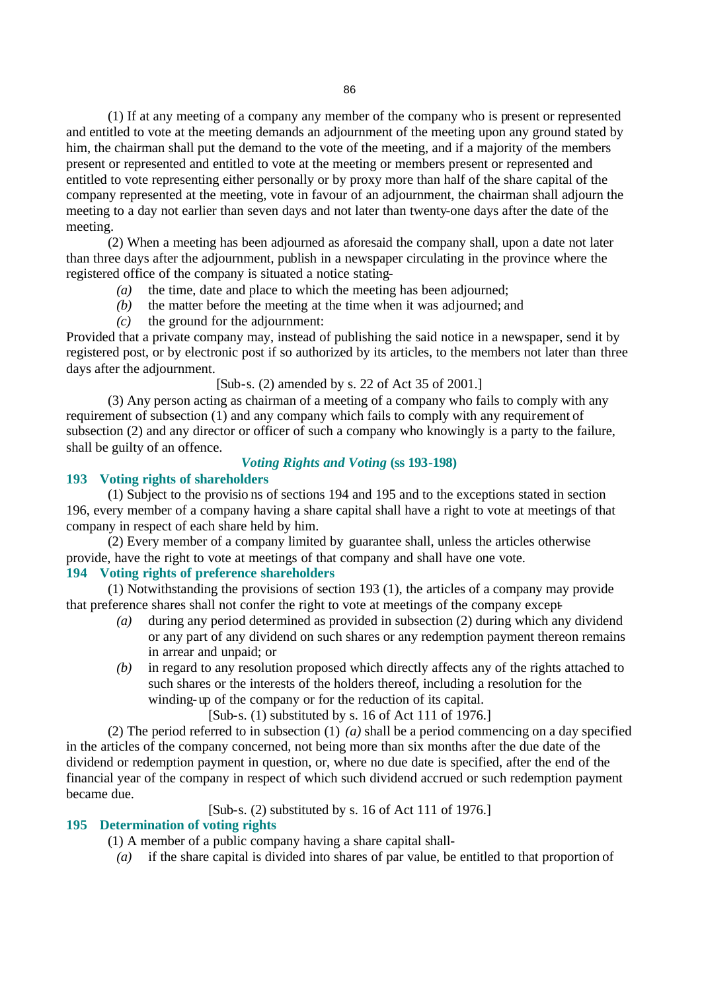(1) If at any meeting of a company any member of the company who is present or represented and entitled to vote at the meeting demands an adjournment of the meeting upon any ground stated by him, the chairman shall put the demand to the vote of the meeting, and if a majority of the members present or represented and entitled to vote at the meeting or members present or represented and entitled to vote representing either personally or by proxy more than half of the share capital of the company represented at the meeting, vote in favour of an adjournment, the chairman shall adjourn the meeting to a day not earlier than seven days and not later than twenty-one days after the date of the meeting.

(2) When a meeting has been adjourned as aforesaid the company shall, upon a date not later than three days after the adjournment, publish in a newspaper circulating in the province where the registered office of the company is situated a notice stating-

- *(a)* the time, date and place to which the meeting has been adjourned;
- *(b)* the matter before the meeting at the time when it was adjourned; and
- *(c)* the ground for the adjournment:

Provided that a private company may, instead of publishing the said notice in a newspaper, send it by registered post, or by electronic post if so authorized by its articles, to the members not later than three days after the adjournment.

## [Sub-s. (2) amended by s. 22 of Act 35 of 2001.]

(3) Any person acting as chairman of a meeting of a company who fails to comply with any requirement of subsection (1) and any company which fails to comply with any requirement of subsection (2) and any director or officer of such a company who knowingly is a party to the failure, shall be guilty of an offence.

## *Voting Rights and Voting* **(ss 193-198)**

## **193 Voting rights of shareholders**

(1) Subject to the provisio ns of sections 194 and 195 and to the exceptions stated in section 196, every member of a company having a share capital shall have a right to vote at meetings of that company in respect of each share held by him.

(2) Every member of a company limited by guarantee shall, unless the articles otherwise provide, have the right to vote at meetings of that company and shall have one vote.

# **194 Voting rights of preference shareholders**

(1) Notwithstanding the provisions of section 193 (1), the articles of a company may provide that preference shares shall not confer the right to vote at meetings of the company except-

- *(a)* during any period determined as provided in subsection (2) during which any dividend or any part of any dividend on such shares or any redemption payment thereon remains in arrear and unpaid; or
- *(b)* in regard to any resolution proposed which directly affects any of the rights attached to such shares or the interests of the holders thereof, including a resolution for the winding-up of the company or for the reduction of its capital.

[Sub-s. (1) substituted by s. 16 of Act 111 of 1976.]

(2) The period referred to in subsection  $(1)$   $(a)$  shall be a period commencing on a day specified in the articles of the company concerned, not being more than six months after the due date of the dividend or redemption payment in question, or, where no due date is specified, after the end of the financial year of the company in respect of which such dividend accrued or such redemption payment became due.

[Sub-s. (2) substituted by s. 16 of Act 111 of 1976.]

## **195 Determination of voting rights**

- (1) A member of a public company having a share capital shall-
	- *(a)* if the share capital is divided into shares of par value, be entitled to that proportion of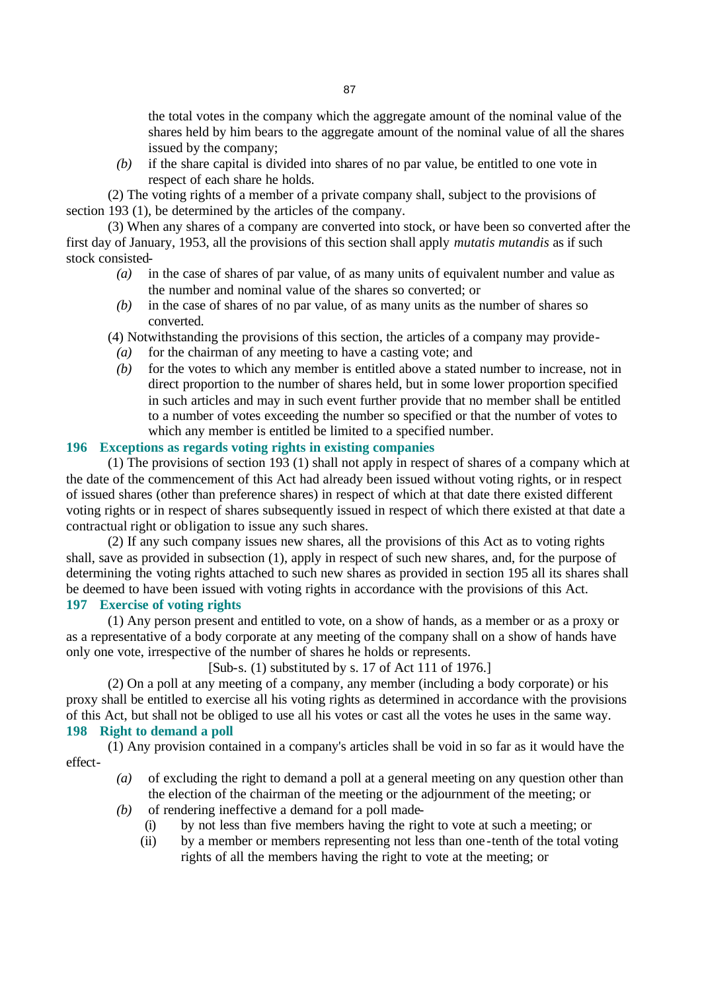the total votes in the company which the aggregate amount of the nominal value of the shares held by him bears to the aggregate amount of the nominal value of all the shares issued by the company;

*(b)* if the share capital is divided into shares of no par value, be entitled to one vote in respect of each share he holds.

(2) The voting rights of a member of a private company shall, subject to the provisions of section 193 (1), be determined by the articles of the company.

(3) When any shares of a company are converted into stock, or have been so converted after the first day of January, 1953, all the provisions of this section shall apply *mutatis mutandis* as if such stock consisted-

- *(a)* in the case of shares of par value, of as many units of equivalent number and value as the number and nominal value of the shares so converted; or
- *(b)* in the case of shares of no par value, of as many units as the number of shares so converted.

(4) Notwithstanding the provisions of this section, the articles of a company may provide-

- *(a)* for the chairman of any meeting to have a casting vote; and
- *(b)* for the votes to which any member is entitled above a stated number to increase, not in direct proportion to the number of shares held, but in some lower proportion specified in such articles and may in such event further provide that no member shall be entitled to a number of votes exceeding the number so specified or that the number of votes to which any member is entitled be limited to a specified number.

## **196 Exceptions as regards voting rights in existing companies**

(1) The provisions of section 193 (1) shall not apply in respect of shares of a company which at the date of the commencement of this Act had already been issued without voting rights, or in respect of issued shares (other than preference shares) in respect of which at that date there existed different voting rights or in respect of shares subsequently issued in respect of which there existed at that date a contractual right or obligation to issue any such shares.

(2) If any such company issues new shares, all the provisions of this Act as to voting rights shall, save as provided in subsection (1), apply in respect of such new shares, and, for the purpose of determining the voting rights attached to such new shares as provided in section 195 all its shares shall be deemed to have been issued with voting rights in accordance with the provisions of this Act.

### **197 Exercise of voting rights**

(1) Any person present and entitled to vote, on a show of hands, as a member or as a proxy or as a representative of a body corporate at any meeting of the company shall on a show of hands have only one vote, irrespective of the number of shares he holds or represents.

### [Sub-s. (1) substituted by s. 17 of Act 111 of 1976.]

(2) On a poll at any meeting of a company, any member (including a body corporate) or his proxy shall be entitled to exercise all his voting rights as determined in accordance with the provisions of this Act, but shall not be obliged to use all his votes or cast all the votes he uses in the same way. **198 Right to demand a poll**

(1) Any provision contained in a company's articles shall be void in so far as it would have the effect-

- *(a)* of excluding the right to demand a poll at a general meeting on any question other than the election of the chairman of the meeting or the adjournment of the meeting; or
- *(b)* of rendering ineffective a demand for a poll made-
	- (i) by not less than five members having the right to vote at such a meeting; or
	- (ii) by a member or members representing not less than one -tenth of the total voting rights of all the members having the right to vote at the meeting; or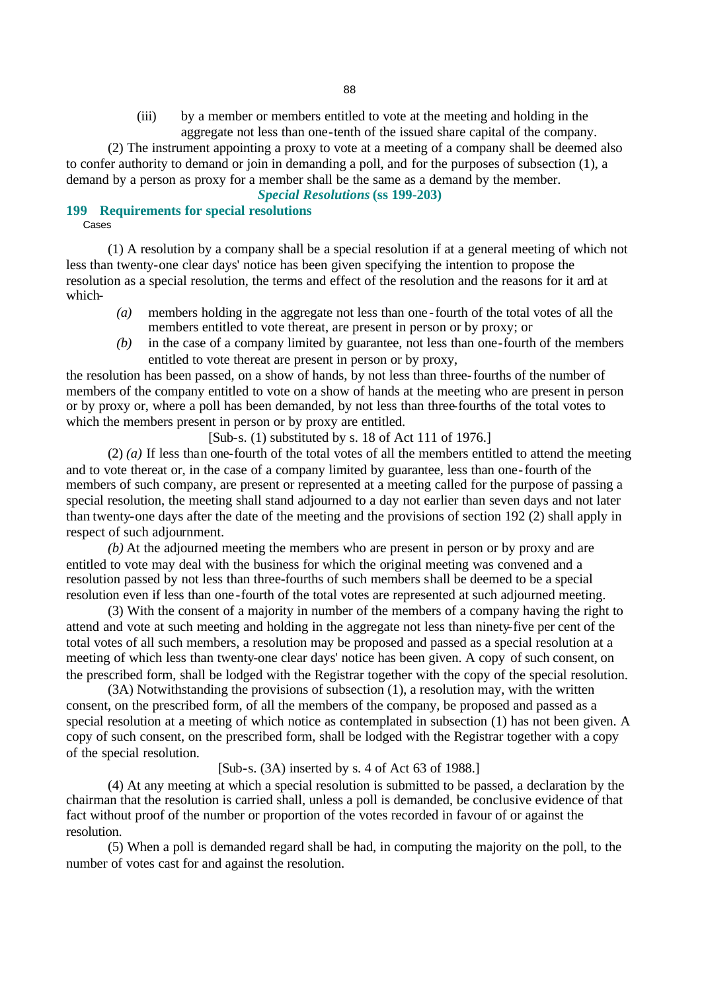(iii) by a member or members entitled to vote at the meeting and holding in the aggregate not less than one-tenth of the issued share capital of the company.

(2) The instrument appointing a proxy to vote at a meeting of a company shall be deemed also to confer authority to demand or join in demanding a poll, and for the purposes of subsection (1), a demand by a person as proxy for a member shall be the same as a demand by the member.

### *Special Resolutions* **(ss 199-203)**

## **199 Requirements for special resolutions**

Cases

(1) A resolution by a company shall be a special resolution if at a general meeting of which not less than twenty-one clear days' notice has been given specifying the intention to propose the resolution as a special resolution, the terms and effect of the resolution and the reasons for it and at which-

- *(a)* members holding in the aggregate not less than one -fourth of the total votes of all the members entitled to vote thereat, are present in person or by proxy; or
- *(b)* in the case of a company limited by guarantee, not less than one-fourth of the members entitled to vote thereat are present in person or by proxy,

the resolution has been passed, on a show of hands, by not less than three-fourths of the number of members of the company entitled to vote on a show of hands at the meeting who are present in person or by proxy or, where a poll has been demanded, by not less than three-fourths of the total votes to which the members present in person or by proxy are entitled.

[Sub-s. (1) substituted by s. 18 of Act 111 of 1976.]

(2) *(a)* If less than one-fourth of the total votes of all the members entitled to attend the meeting and to vote thereat or, in the case of a company limited by guarantee, less than one-fourth of the members of such company, are present or represented at a meeting called for the purpose of passing a special resolution, the meeting shall stand adjourned to a day not earlier than seven days and not later than twenty-one days after the date of the meeting and the provisions of section 192 (2) shall apply in respect of such adjournment.

*(b)* At the adjourned meeting the members who are present in person or by proxy and are entitled to vote may deal with the business for which the original meeting was convened and a resolution passed by not less than three-fourths of such members shall be deemed to be a special resolution even if less than one -fourth of the total votes are represented at such adjourned meeting.

(3) With the consent of a majority in number of the members of a company having the right to attend and vote at such meeting and holding in the aggregate not less than ninety-five per cent of the total votes of all such members, a resolution may be proposed and passed as a special resolution at a meeting of which less than twenty-one clear days' notice has been given. A copy of such consent, on the prescribed form, shall be lodged with the Registrar together with the copy of the special resolution.

(3A) Notwithstanding the provisions of subsection (1), a resolution may, with the written consent, on the prescribed form, of all the members of the company, be proposed and passed as a special resolution at a meeting of which notice as contemplated in subsection (1) has not been given. A copy of such consent, on the prescribed form, shall be lodged with the Registrar together with a copy of the special resolution.

## [Sub-s. (3A) inserted by s. 4 of Act 63 of 1988.]

(4) At any meeting at which a special resolution is submitted to be passed, a declaration by the chairman that the resolution is carried shall, unless a poll is demanded, be conclusive evidence of that fact without proof of the number or proportion of the votes recorded in favour of or against the resolution.

(5) When a poll is demanded regard shall be had, in computing the majority on the poll, to the number of votes cast for and against the resolution.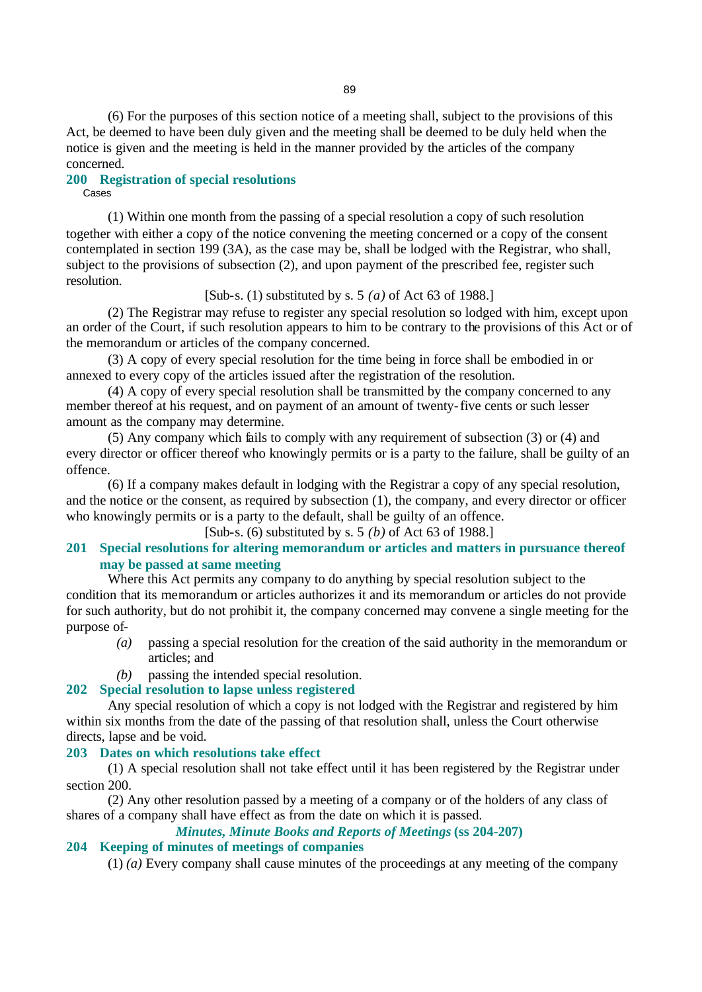(6) For the purposes of this section notice of a meeting shall, subject to the provisions of this Act, be deemed to have been duly given and the meeting shall be deemed to be duly held when the notice is given and the meeting is held in the manner provided by the articles of the company concerned.

### **200 Registration of special resolutions**

Cases

(1) Within one month from the passing of a special resolution a copy of such resolution together with either a copy of the notice convening the meeting concerned or a copy of the consent contemplated in section 199 (3A), as the case may be, shall be lodged with the Registrar, who shall, subject to the provisions of subsection (2), and upon payment of the prescribed fee, register such resolution.

[Sub-s. (1) substituted by s. 5 *(a)* of Act 63 of 1988.]

(2) The Registrar may refuse to register any special resolution so lodged with him, except upon an order of the Court, if such resolution appears to him to be contrary to the provisions of this Act or of the memorandum or articles of the company concerned.

(3) A copy of every special resolution for the time being in force shall be embodied in or annexed to every copy of the articles issued after the registration of the resolution.

(4) A copy of every special resolution shall be transmitted by the company concerned to any member thereof at his request, and on payment of an amount of twenty-five cents or such lesser amount as the company may determine.

(5) Any company which fails to comply with any requirement of subsection (3) or (4) and every director or officer thereof who knowingly permits or is a party to the failure, shall be guilty of an offence.

(6) If a company makes default in lodging with the Registrar a copy of any special resolution, and the notice or the consent, as required by subsection (1), the company, and every director or officer who knowingly permits or is a party to the default, shall be guilty of an offence.

[Sub-s. (6) substituted by s. 5 *(b)* of Act 63 of 1988.]

## **201 Special resolutions for altering memorandum or articles and matters in pursuance thereof may be passed at same meeting**

Where this Act permits any company to do anything by special resolution subject to the condition that its memorandum or articles authorizes it and its memorandum or articles do not provide for such authority, but do not prohibit it, the company concerned may convene a single meeting for the purpose of-

- *(a)* passing a special resolution for the creation of the said authority in the memorandum or articles; and
- *(b)* passing the intended special resolution.

### **202 Special resolution to lapse unless registered**

Any special resolution of which a copy is not lodged with the Registrar and registered by him within six months from the date of the passing of that resolution shall, unless the Court otherwise directs, lapse and be void.

## **203 Dates on which resolutions take effect**

(1) A special resolution shall not take effect until it has been registered by the Registrar under section 200.

(2) Any other resolution passed by a meeting of a company or of the holders of any class of shares of a company shall have effect as from the date on which it is passed.

## *Minutes, Minute Books and Reports of Meetings* **(ss 204-207)**

### **204 Keeping of minutes of meetings of companies**

(1) *(a)* Every company shall cause minutes of the proceedings at any meeting of the company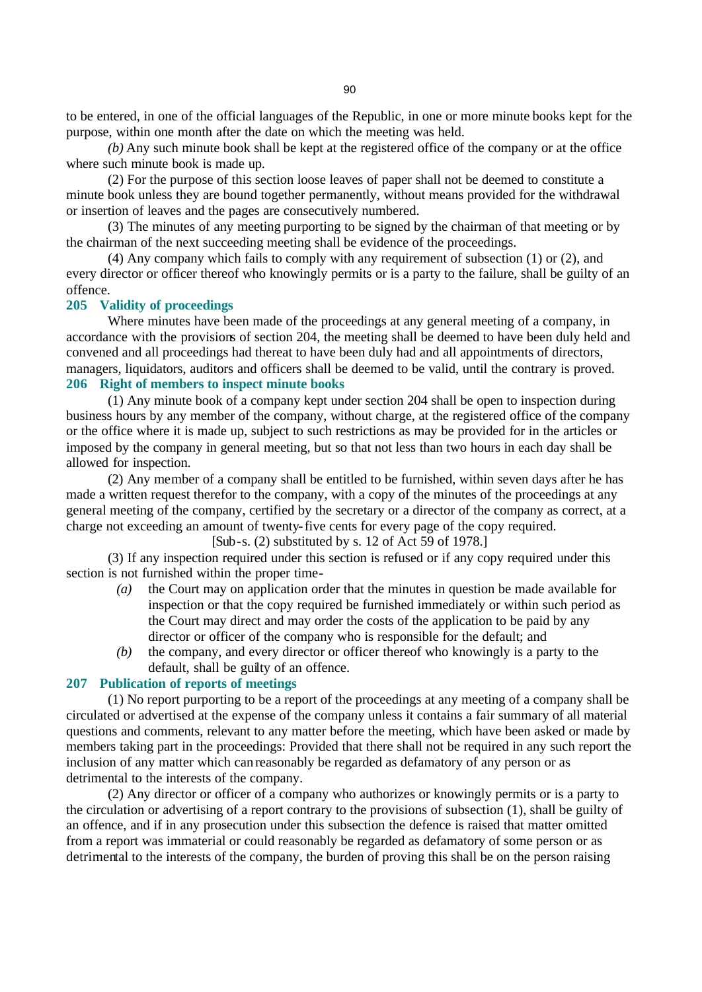to be entered, in one of the official languages of the Republic, in one or more minute books kept for the purpose, within one month after the date on which the meeting was held.

*(b)* Any such minute book shall be kept at the registered office of the company or at the office where such minute book is made up.

(2) For the purpose of this section loose leaves of paper shall not be deemed to constitute a minute book unless they are bound together permanently, without means provided for the withdrawal or insertion of leaves and the pages are consecutively numbered.

(3) The minutes of any meeting purporting to be signed by the chairman of that meeting or by the chairman of the next succeeding meeting shall be evidence of the proceedings.

(4) Any company which fails to comply with any requirement of subsection (1) or (2), and every director or officer thereof who knowingly permits or is a party to the failure, shall be guilty of an offence.

## **205 Validity of proceedings**

Where minutes have been made of the proceedings at any general meeting of a company, in accordance with the provisions of section 204, the meeting shall be deemed to have been duly held and convened and all proceedings had thereat to have been duly had and all appointments of directors, managers, liquidators, auditors and officers shall be deemed to be valid, until the contrary is proved. **206 Right of members to inspect minute books**

(1) Any minute book of a company kept under section 204 shall be open to inspection during business hours by any member of the company, without charge, at the registered office of the company or the office where it is made up, subject to such restrictions as may be provided for in the articles or imposed by the company in general meeting, but so that not less than two hours in each day shall be allowed for inspection.

(2) Any member of a company shall be entitled to be furnished, within seven days after he has made a written request therefor to the company, with a copy of the minutes of the proceedings at any general meeting of the company, certified by the secretary or a director of the company as correct, at a charge not exceeding an amount of twenty-five cents for every page of the copy required.

[Sub-s. (2) substituted by s. 12 of Act 59 of 1978.]

(3) If any inspection required under this section is refused or if any copy required under this section is not furnished within the proper time-

- *(a)* the Court may on application order that the minutes in question be made available for inspection or that the copy required be furnished immediately or within such period as the Court may direct and may order the costs of the application to be paid by any director or officer of the company who is responsible for the default; and
- *(b)* the company, and every director or officer thereof who knowingly is a party to the default, shall be guilty of an offence.

### **207 Publication of reports of meetings**

(1) No report purporting to be a report of the proceedings at any meeting of a company shall be circulated or advertised at the expense of the company unless it contains a fair summary of all material questions and comments, relevant to any matter before the meeting, which have been asked or made by members taking part in the proceedings: Provided that there shall not be required in any such report the inclusion of any matter which can reasonably be regarded as defamatory of any person or as detrimental to the interests of the company.

(2) Any director or officer of a company who authorizes or knowingly permits or is a party to the circulation or advertising of a report contrary to the provisions of subsection (1), shall be guilty of an offence, and if in any prosecution under this subsection the defence is raised that matter omitted from a report was immaterial or could reasonably be regarded as defamatory of some person or as detrimental to the interests of the company, the burden of proving this shall be on the person raising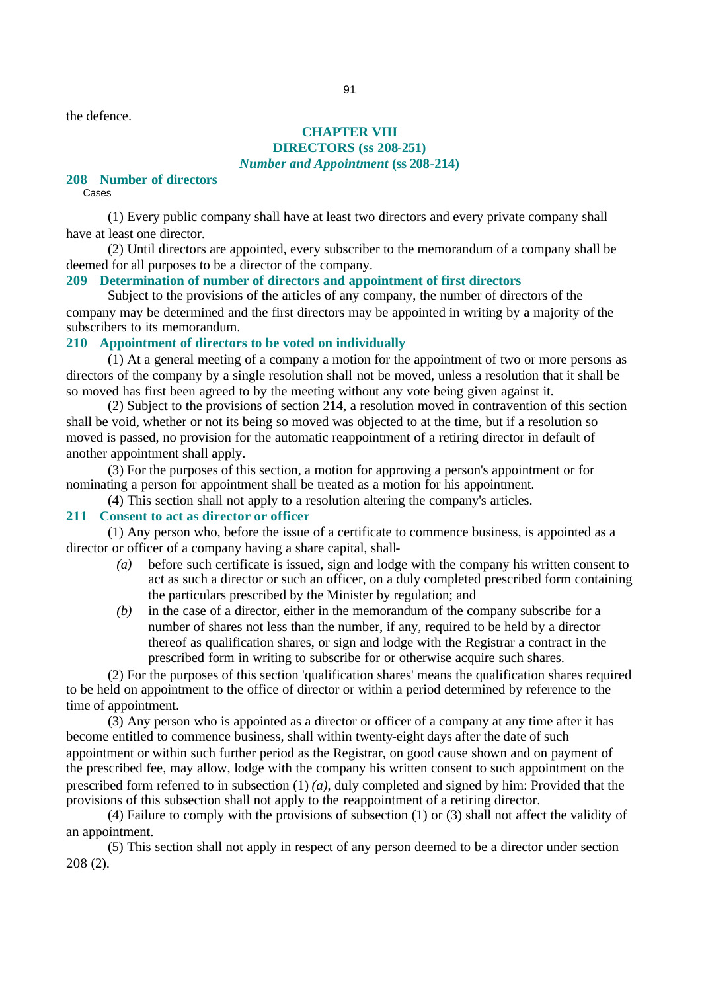the defence.

## **CHAPTER VIII DIRECTORS (ss 208-251)**

*Number and Appointment* **(ss 208-214)**

#### **208 Number of directors** Cases

(1) Every public company shall have at least two directors and every private company shall have at least one director.

(2) Until directors are appointed, every subscriber to the memorandum of a company shall be deemed for all purposes to be a director of the company.

## **209 Determination of number of directors and appointment of first directors**

Subject to the provisions of the articles of any company, the number of directors of the company may be determined and the first directors may be appointed in writing by a majority of the subscribers to its memorandum.

### **210 Appointment of directors to be voted on individually**

(1) At a general meeting of a company a motion for the appointment of two or more persons as directors of the company by a single resolution shall not be moved, unless a resolution that it shall be so moved has first been agreed to by the meeting without any vote being given against it.

(2) Subject to the provisions of section 214, a resolution moved in contravention of this section shall be void, whether or not its being so moved was objected to at the time, but if a resolution so moved is passed, no provision for the automatic reappointment of a retiring director in default of another appointment shall apply.

(3) For the purposes of this section, a motion for approving a person's appointment or for nominating a person for appointment shall be treated as a motion for his appointment.

(4) This section shall not apply to a resolution altering the company's articles.

### **211 Consent to act as director or officer**

(1) Any person who, before the issue of a certificate to commence business, is appointed as a director or officer of a company having a share capital, shall-

- *(a)* before such certificate is issued, sign and lodge with the company his written consent to act as such a director or such an officer, on a duly completed prescribed form containing the particulars prescribed by the Minister by regulation; and
- *(b)* in the case of a director, either in the memorandum of the company subscribe for a number of shares not less than the number, if any, required to be held by a director thereof as qualification shares, or sign and lodge with the Registrar a contract in the prescribed form in writing to subscribe for or otherwise acquire such shares.

(2) For the purposes of this section 'qualification shares' means the qualification shares required to be held on appointment to the office of director or within a period determined by reference to the time of appointment.

(3) Any person who is appointed as a director or officer of a company at any time after it has become entitled to commence business, shall within twenty-eight days after the date of such appointment or within such further period as the Registrar, on good cause shown and on payment of the prescribed fee, may allow, lodge with the company his written consent to such appointment on the prescribed form referred to in subsection (1) *(a)*, duly completed and signed by him: Provided that the provisions of this subsection shall not apply to the reappointment of a retiring director.

(4) Failure to comply with the provisions of subsection (1) or (3) shall not affect the validity of an appointment.

(5) This section shall not apply in respect of any person deemed to be a director under section 208 (2).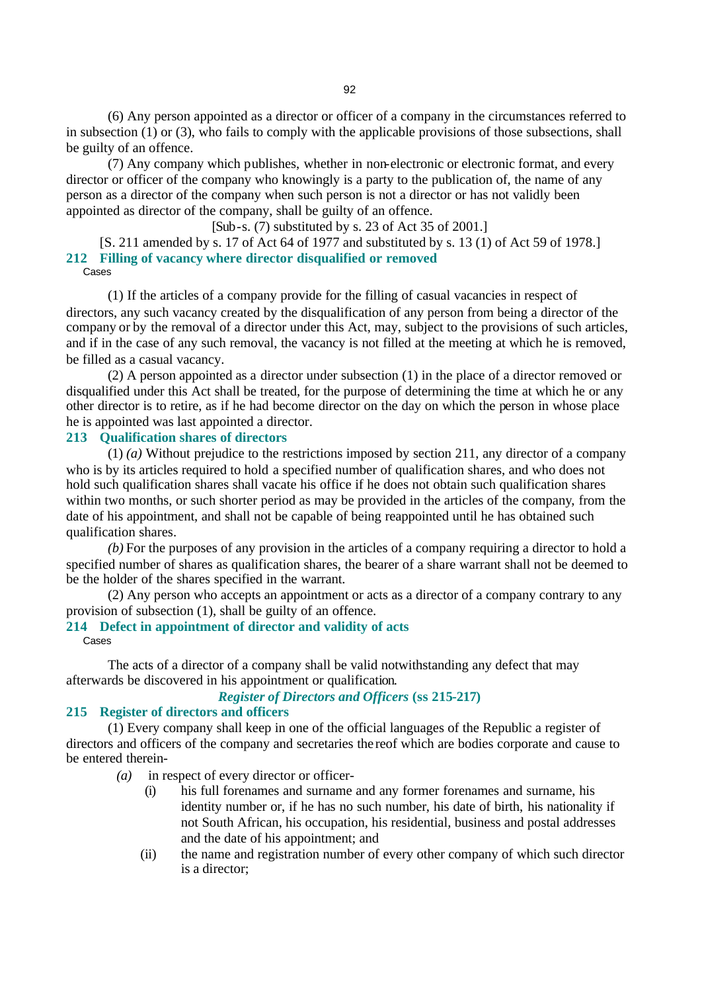(6) Any person appointed as a director or officer of a company in the circumstances referred to in subsection (1) or (3), who fails to comply with the applicable provisions of those subsections, shall be guilty of an offence.

(7) Any company which publishes, whether in non-electronic or electronic format, and every director or officer of the company who knowingly is a party to the publication of, the name of any person as a director of the company when such person is not a director or has not validly been appointed as director of the company, shall be guilty of an offence.

[Sub-s. (7) substituted by s. 23 of Act 35 of 2001.]

[S. 211 amended by s. 17 of Act 64 of 1977 and substituted by s. 13 (1) of Act 59 of 1978.] **212 Filling of vacancy where director disqualified or removed** Cases

(1) If the articles of a company provide for the filling of casual vacancies in respect of directors, any such vacancy created by the disqualification of any person from being a director of the company or by the removal of a director under this Act, may, subject to the provisions of such articles, and if in the case of any such removal, the vacancy is not filled at the meeting at which he is removed, be filled as a casual vacancy.

(2) A person appointed as a director under subsection (1) in the place of a director removed or disqualified under this Act shall be treated, for the purpose of determining the time at which he or any other director is to retire, as if he had become director on the day on which the person in whose place he is appointed was last appointed a director.

## **213 Qualification shares of directors**

(1) *(a)* Without prejudice to the restrictions imposed by section 211, any director of a company who is by its articles required to hold a specified number of qualification shares, and who does not hold such qualification shares shall vacate his office if he does not obtain such qualification shares within two months, or such shorter period as may be provided in the articles of the company, from the date of his appointment, and shall not be capable of being reappointed until he has obtained such qualification shares.

*(b)* For the purposes of any provision in the articles of a company requiring a director to hold a specified number of shares as qualification shares, the bearer of a share warrant shall not be deemed to be the holder of the shares specified in the warrant.

(2) Any person who accepts an appointment or acts as a director of a company contrary to any provision of subsection (1), shall be guilty of an offence.

## **214 Defect in appointment of director and validity of acts**

#### Cases

The acts of a director of a company shall be valid notwithstanding any defect that may afterwards be discovered in his appointment or qualification.

## *Register of Directors and Officers* **(ss 215-217)**

### **215 Register of directors and officers**

(1) Every company shall keep in one of the official languages of the Republic a register of directors and officers of the company and secretaries the reof which are bodies corporate and cause to be entered therein-

- *(a)* in respect of every director or officer-
	- (i) his full forenames and surname and any former forenames and surname, his identity number or, if he has no such number, his date of birth, his nationality if not South African, his occupation, his residential, business and postal addresses and the date of his appointment; and
	- (ii) the name and registration number of every other company of which such director is a director;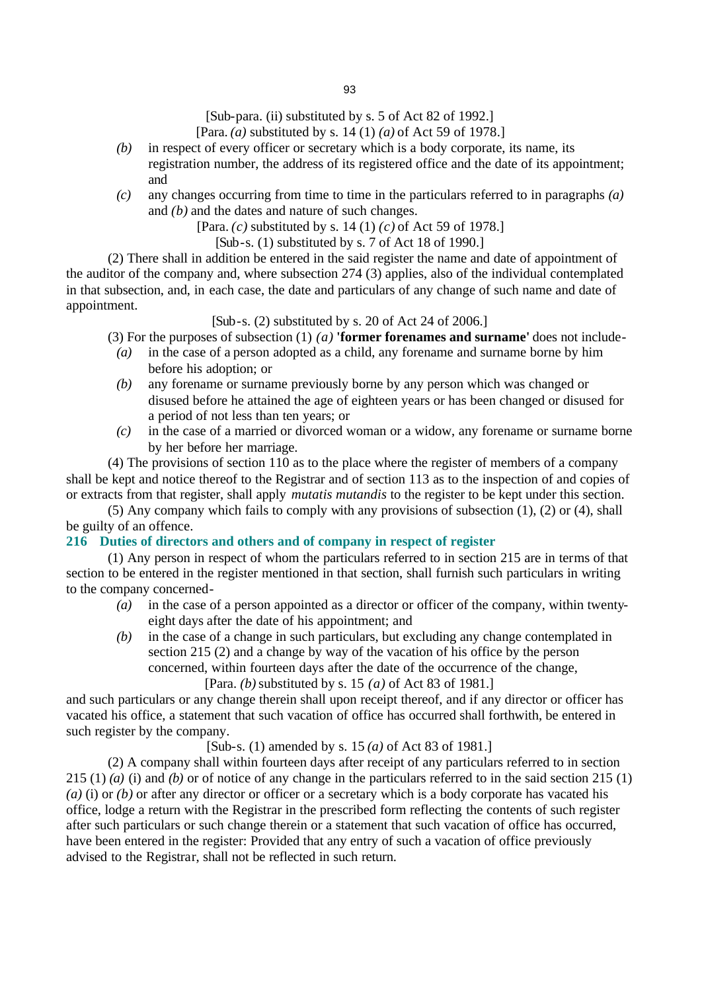[Sub-para. (ii) substituted by s. 5 of Act 82 of 1992.] [Para. *(a)* substituted by s. 14 (1) *(a)* of Act 59 of 1978.]

- *(b)* in respect of every officer or secretary which is a body corporate, its name, its registration number, the address of its registered office and the date of its appointment; and
- *(c)* any changes occurring from time to time in the particulars referred to in paragraphs *(a)* and *(b)* and the dates and nature of such changes.

[Para. *(c)* substituted by s. 14 (1) *(c)* of Act 59 of 1978.]

[Sub-s. (1) substituted by s. 7 of Act 18 of 1990.]

(2) There shall in addition be entered in the said register the name and date of appointment of the auditor of the company and, where subsection 274 (3) applies, also of the individual contemplated in that subsection, and, in each case, the date and particulars of any change of such name and date of appointment.

 $[Sub-s. (2)$  substituted by s. 20 of Act 24 of 2006.

(3) For the purposes of subsection (1) *(a)* **'former forenames and surname'** does not include-

- *(a)* in the case of a person adopted as a child, any forename and surname borne by him before his adoption; or
- *(b)* any forename or surname previously borne by any person which was changed or disused before he attained the age of eighteen years or has been changed or disused for a period of not less than ten years; or
- *(c)* in the case of a married or divorced woman or a widow, any forename or surname borne by her before her marriage.

(4) The provisions of section 110 as to the place where the register of members of a company shall be kept and notice thereof to the Registrar and of section 113 as to the inspection of and copies of or extracts from that register, shall apply *mutatis mutandis* to the register to be kept under this section.

(5) Any company which fails to comply with any provisions of subsection (1), (2) or (4), shall be guilty of an offence.

## **216 Duties of directors and others and of company in respect of register**

(1) Any person in respect of whom the particulars referred to in section 215 are in terms of that section to be entered in the register mentioned in that section, shall furnish such particulars in writing to the company concerned-

- *(a)* in the case of a person appointed as a director or officer of the company, within twentyeight days after the date of his appointment; and
- *(b)* in the case of a change in such particulars, but excluding any change contemplated in section 215 (2) and a change by way of the vacation of his office by the person concerned, within fourteen days after the date of the occurrence of the change,

[Para. *(b)* substituted by s. 15 *(a)* of Act 83 of 1981.]

and such particulars or any change therein shall upon receipt thereof, and if any director or officer has vacated his office, a statement that such vacation of office has occurred shall forthwith, be entered in such register by the company.

[Sub-s. (1) amended by s. 15 *(a)* of Act 83 of 1981.]

(2) A company shall within fourteen days after receipt of any particulars referred to in section 215 (1) *(a)* (i) and *(b)* or of notice of any change in the particulars referred to in the said section 215 (1) *(a)* (i) or *(b)* or after any director or officer or a secretary which is a body corporate has vacated his office, lodge a return with the Registrar in the prescribed form reflecting the contents of such register after such particulars or such change therein or a statement that such vacation of office has occurred, have been entered in the register: Provided that any entry of such a vacation of office previously advised to the Registrar, shall not be reflected in such return.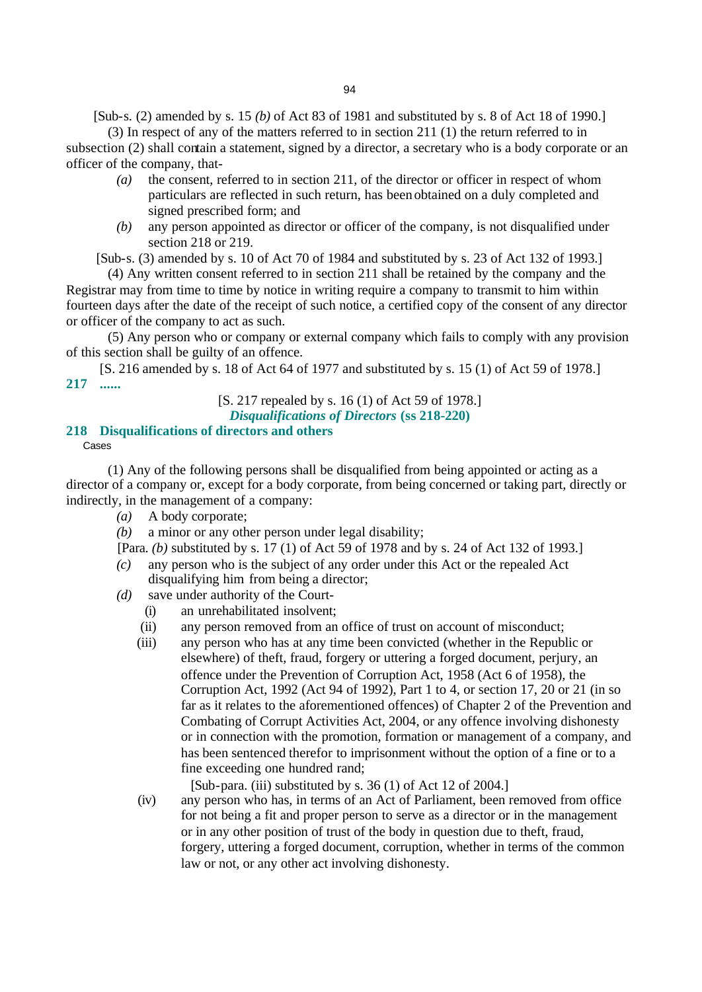[Sub-s. (2) amended by s. 15 *(b)* of Act 83 of 1981 and substituted by s. 8 of Act 18 of 1990.]

(3) In respect of any of the matters referred to in section 211 (1) the return referred to in subsection (2) shall contain a statement, signed by a director, a secretary who is a body corporate or an officer of the company, that-

- *(a)* the consent, referred to in section 211, of the director or officer in respect of whom particulars are reflected in such return, has been obtained on a duly completed and signed prescribed form; and
- *(b)* any person appointed as director or officer of the company, is not disqualified under section 218 or 219.

[Sub-s. (3) amended by s. 10 of Act 70 of 1984 and substituted by s. 23 of Act 132 of 1993.]

(4) Any written consent referred to in section 211 shall be retained by the company and the Registrar may from time to time by notice in writing require a company to transmit to him within fourteen days after the date of the receipt of such notice, a certified copy of the consent of any director or officer of the company to act as such.

(5) Any person who or company or external company which fails to comply with any provision of this section shall be guilty of an offence.

[S. 216 amended by s. 18 of Act 64 of 1977 and substituted by s. 15 (1) of Act 59 of 1978.] **217 ......**

[S. 217 repealed by s. 16 (1) of Act 59 of 1978.]

*Disqualifications of Directors* **(ss 218-220)**

## **218 Disqualifications of directors and others**

Cases

(1) Any of the following persons shall be disqualified from being appointed or acting as a director of a company or, except for a body corporate, from being concerned or taking part, directly or indirectly, in the management of a company:

- *(a)* A body corporate;
- *(b)* a minor or any other person under legal disability;

[Para. *(b)* substituted by s. 17 (1) of Act 59 of 1978 and by s. 24 of Act 132 of 1993.]

- *(c)* any person who is the subject of any order under this Act or the repealed Act disqualifying him from being a director;
- *(d)* save under authority of the Court-
	- (i) an unrehabilitated insolvent;
	- (ii) any person removed from an office of trust on account of misconduct;
	- (iii) any person who has at any time been convicted (whether in the Republic or elsewhere) of theft, fraud, forgery or uttering a forged document, perjury, an offence under the Prevention of Corruption Act, 1958 (Act 6 of 1958), the Corruption Act, 1992 (Act 94 of 1992), Part 1 to 4, or section 17, 20 or 21 (in so far as it relates to the aforementioned offences) of Chapter 2 of the Prevention and Combating of Corrupt Activities Act, 2004, or any offence involving dishonesty or in connection with the promotion, formation or management of a company, and has been sentenced therefor to imprisonment without the option of a fine or to a fine exceeding one hundred rand;

[Sub-para. (iii) substituted by s.  $36(1)$  of Act 12 of 2004.]

(iv) any person who has, in terms of an Act of Parliament, been removed from office for not being a fit and proper person to serve as a director or in the management or in any other position of trust of the body in question due to theft, fraud, forgery, uttering a forged document, corruption, whether in terms of the common law or not, or any other act involving dishonesty.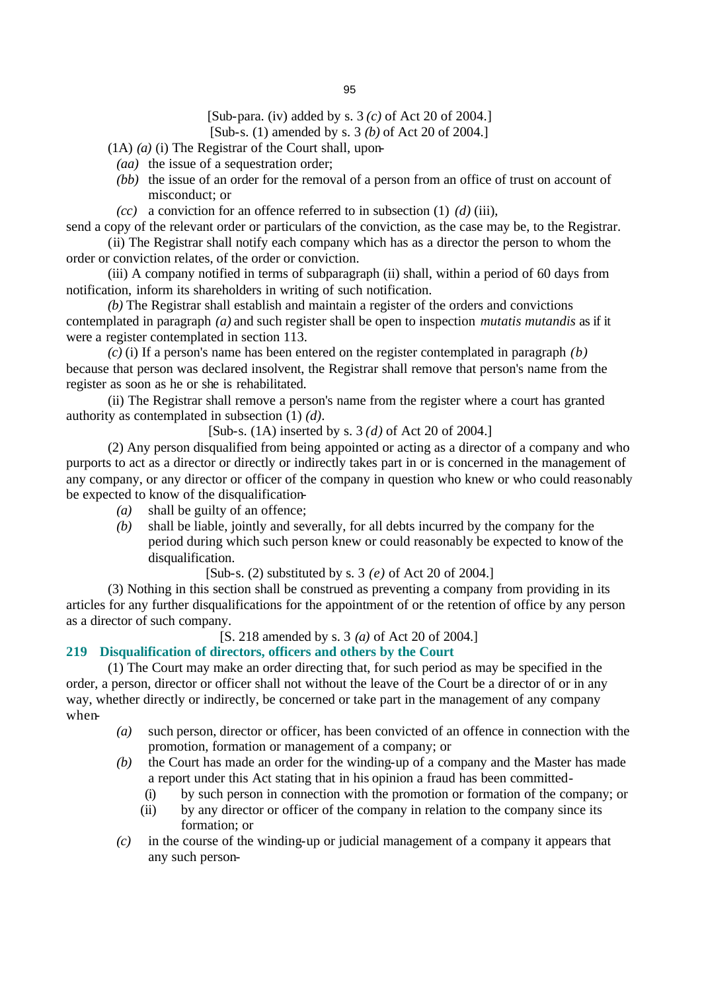[Sub-para. (iv) added by s. 3 *(c)* of Act 20 of 2004.]

[Sub-s. (1) amended by s. 3 *(b)* of Act 20 of 2004.]

(1A) *(a)* (i) The Registrar of the Court shall, upon-

- *(aa)* the issue of a sequestration order;
- *(bb)* the issue of an order for the removal of a person from an office of trust on account of misconduct; or
- *(cc)* a conviction for an offence referred to in subsection (1) *(d)* (iii),

send a copy of the relevant order or particulars of the conviction, as the case may be, to the Registrar. (ii) The Registrar shall notify each company which has as a director the person to whom the

order or conviction relates, of the order or conviction.

(iii) A company notified in terms of subparagraph (ii) shall, within a period of 60 days from notification, inform its shareholders in writing of such notification.

*(b)* The Registrar shall establish and maintain a register of the orders and convictions contemplated in paragraph *(a)* and such register shall be open to inspection *mutatis mutandis* as if it were a register contemplated in section 113.

*(c)* (i) If a person's name has been entered on the register contemplated in paragraph *(b)* because that person was declared insolvent, the Registrar shall remove that person's name from the register as soon as he or she is rehabilitated.

(ii) The Registrar shall remove a person's name from the register where a court has granted authority as contemplated in subsection (1) *(d)*.

[Sub-s. (1A) inserted by s. 3 *(d)* of Act 20 of 2004.]

(2) Any person disqualified from being appointed or acting as a director of a company and who purports to act as a director or directly or indirectly takes part in or is concerned in the management of any company, or any director or officer of the company in question who knew or who could reasonably be expected to know of the disqualification-

- *(a)* shall be guilty of an offence;
- *(b)* shall be liable, jointly and severally, for all debts incurred by the company for the period during which such person knew or could reasonably be expected to know of the disqualification.

[Sub-s. (2) substituted by s. 3 *(e)* of Act 20 of 2004.]

(3) Nothing in this section shall be construed as preventing a company from providing in its articles for any further disqualifications for the appointment of or the retention of office by any person as a director of such company.

[S. 218 amended by s. 3 *(a)* of Act 20 of 2004.]

## **219 Disqualification of directors, officers and others by the Court**

(1) The Court may make an order directing that, for such period as may be specified in the order, a person, director or officer shall not without the leave of the Court be a director of or in any way, whether directly or indirectly, be concerned or take part in the management of any company when-

- *(a)* such person, director or officer, has been convicted of an offence in connection with the promotion, formation or management of a company; or
- *(b)* the Court has made an order for the winding-up of a company and the Master has made a report under this Act stating that in his opinion a fraud has been committed-
	- (i) by such person in connection with the promotion or formation of the company; or
	- (ii) by any director or officer of the company in relation to the company since its formation; or
- *(c)* in the course of the winding-up or judicial management of a company it appears that any such person-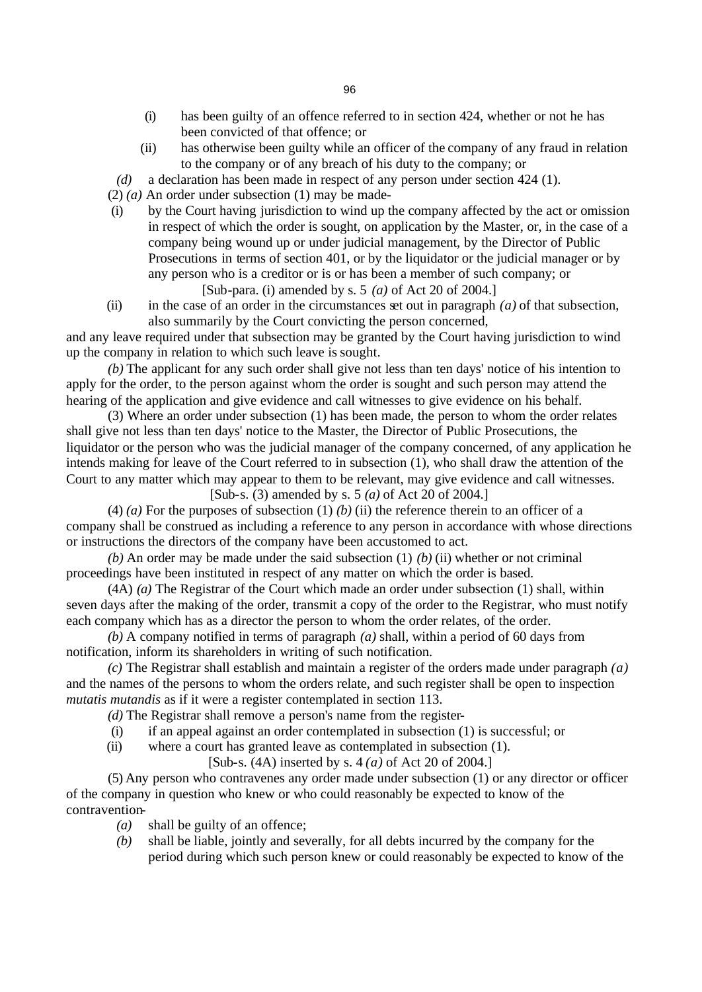- (i) has been guilty of an offence referred to in section 424, whether or not he has been convicted of that offence; or
- (ii) has otherwise been guilty while an officer of the company of any fraud in relation to the company or of any breach of his duty to the company; or
- *(d)* a declaration has been made in respect of any person under section 424 (1).
- (2) *(a)* An order under subsection (1) may be made-
- (i) by the Court having jurisdiction to wind up the company affected by the act or omission in respect of which the order is sought, on application by the Master, or, in the case of a company being wound up or under judicial management, by the Director of Public Prosecutions in terms of section 401, or by the liquidator or the judicial manager or by any person who is a creditor or is or has been a member of such company; or
	- [Sub-para. (i) amended by s. 5 *(a)* of Act 20 of 2004.]
- (ii) in the case of an order in the circumstances set out in paragraph *(a)* of that subsection, also summarily by the Court convicting the person concerned,

and any leave required under that subsection may be granted by the Court having jurisdiction to wind up the company in relation to which such leave is sought.

*(b)* The applicant for any such order shall give not less than ten days' notice of his intention to apply for the order, to the person against whom the order is sought and such person may attend the hearing of the application and give evidence and call witnesses to give evidence on his behalf.

(3) Where an order under subsection (1) has been made, the person to whom the order relates shall give not less than ten days' notice to the Master, the Director of Public Prosecutions, the liquidator or the person who was the judicial manager of the company concerned, of any application he intends making for leave of the Court referred to in subsection (1), who shall draw the attention of the Court to any matter which may appear to them to be relevant, may give evidence and call witnesses. [Sub-s. (3) amended by s. 5 *(a)* of Act 20 of 2004.]

 $(4)$  *(a)* For the purposes of subsection  $(1)$  *(b) (ii)* the reference therein to an officer of a company shall be construed as including a reference to any person in accordance with whose directions or instructions the directors of the company have been accustomed to act.

*(b)* An order may be made under the said subsection (1) *(b)* (ii) whether or not criminal proceedings have been instituted in respect of any matter on which the order is based.

(4A) *(a)* The Registrar of the Court which made an order under subsection (1) shall, within seven days after the making of the order, transmit a copy of the order to the Registrar, who must notify each company which has as a director the person to whom the order relates, of the order.

*(b)* A company notified in terms of paragraph *(a)* shall, within a period of 60 days from notification, inform its shareholders in writing of such notification.

*(c)* The Registrar shall establish and maintain a register of the orders made under paragraph *(a)* and the names of the persons to whom the orders relate, and such register shall be open to inspection *mutatis mutandis* as if it were a register contemplated in section 113.

*(d)* The Registrar shall remove a person's name from the register-

- (i) if an appeal against an order contemplated in subsection (1) is successful; or
- (ii) where a court has granted leave as contemplated in subsection (1).

[Sub-s. (4A) inserted by s. 4 *(a)* of Act 20 of 2004.]

(5) Any person who contravenes any order made under subsection (1) or any director or officer of the company in question who knew or who could reasonably be expected to know of the contravention-

- *(a)* shall be guilty of an offence;
- *(b)* shall be liable, jointly and severally, for all debts incurred by the company for the period during which such person knew or could reasonably be expected to know of the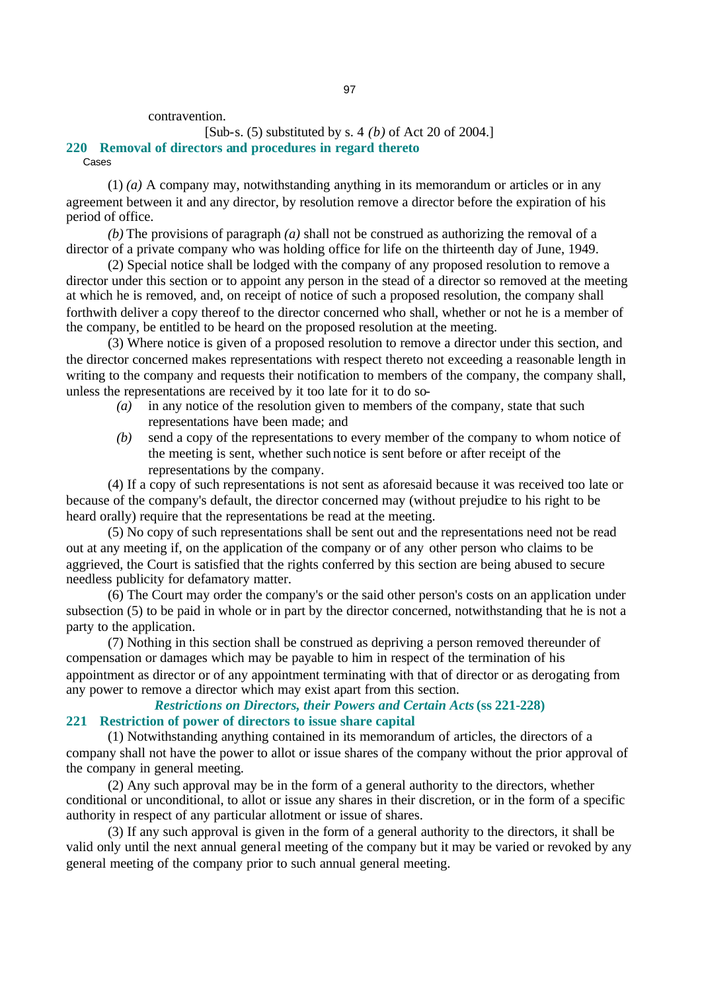contravention.

## [Sub-s. (5) substituted by s. 4 *(b)* of Act 20 of 2004.]

**220 Removal of directors and procedures in regard thereto**

Cases

(1) *(a)* A company may, notwithstanding anything in its memorandum or articles or in any agreement between it and any director, by resolution remove a director before the expiration of his period of office.

*(b)* The provisions of paragraph *(a)* shall not be construed as authorizing the removal of a director of a private company who was holding office for life on the thirteenth day of June, 1949.

(2) Special notice shall be lodged with the company of any proposed resolution to remove a director under this section or to appoint any person in the stead of a director so removed at the meeting at which he is removed, and, on receipt of notice of such a proposed resolution, the company shall forthwith deliver a copy thereof to the director concerned who shall, whether or not he is a member of the company, be entitled to be heard on the proposed resolution at the meeting.

(3) Where notice is given of a proposed resolution to remove a director under this section, and the director concerned makes representations with respect thereto not exceeding a reasonable length in writing to the company and requests their notification to members of the company, the company shall, unless the representations are received by it too late for it to do so-

- *(a)* in any notice of the resolution given to members of the company, state that such representations have been made; and
- *(b)* send a copy of the representations to every member of the company to whom notice of the meeting is sent, whether such notice is sent before or after receipt of the representations by the company.

(4) If a copy of such representations is not sent as aforesaid because it was received too late or because of the company's default, the director concerned may (without prejudice to his right to be heard orally) require that the representations be read at the meeting.

(5) No copy of such representations shall be sent out and the representations need not be read out at any meeting if, on the application of the company or of any other person who claims to be aggrieved, the Court is satisfied that the rights conferred by this section are being abused to secure needless publicity for defamatory matter.

(6) The Court may order the company's or the said other person's costs on an application under subsection (5) to be paid in whole or in part by the director concerned, notwithstanding that he is not a party to the application.

(7) Nothing in this section shall be construed as depriving a person removed thereunder of compensation or damages which may be payable to him in respect of the termination of his appointment as director or of any appointment terminating with that of director or as derogating from any power to remove a director which may exist apart from this section.

## *Restrictions on Directors, their Powers and Certain Acts* **(ss 221-228) 221 Restriction of power of directors to issue share capital**

(1) Notwithstanding anything contained in its memorandum of articles, the directors of a company shall not have the power to allot or issue shares of the company without the prior approval of the company in general meeting.

(2) Any such approval may be in the form of a general authority to the directors, whether conditional or unconditional, to allot or issue any shares in their discretion, or in the form of a specific authority in respect of any particular allotment or issue of shares.

(3) If any such approval is given in the form of a general authority to the directors, it shall be valid only until the next annual general meeting of the company but it may be varied or revoked by any general meeting of the company prior to such annual general meeting.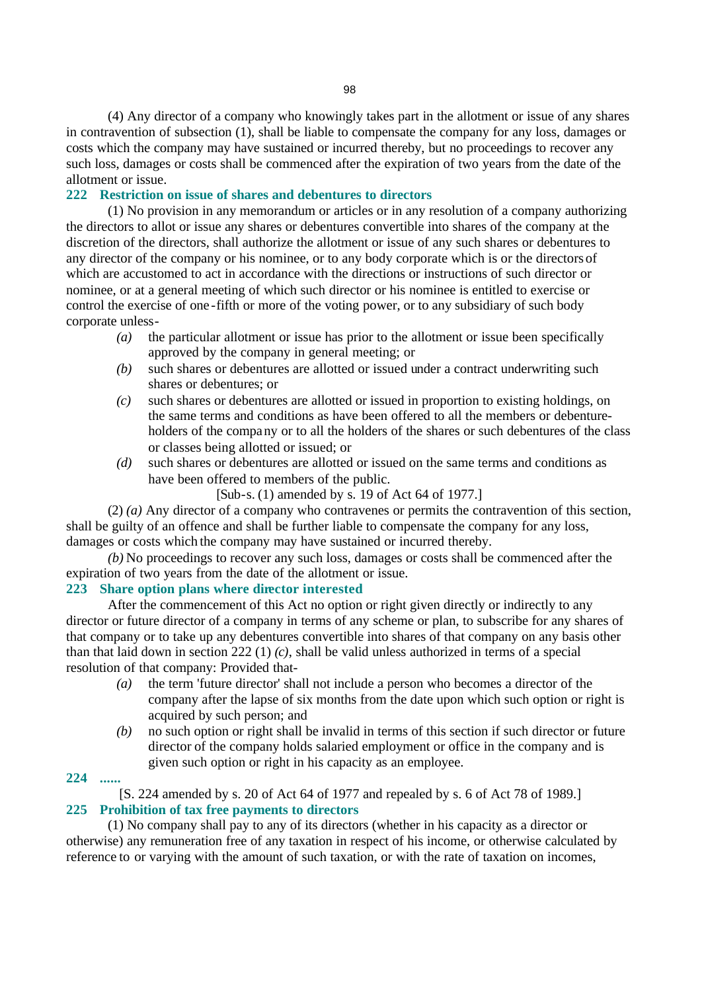(4) Any director of a company who knowingly takes part in the allotment or issue of any shares in contravention of subsection (1), shall be liable to compensate the company for any loss, damages or costs which the company may have sustained or incurred thereby, but no proceedings to recover any such loss, damages or costs shall be commenced after the expiration of two years from the date of the allotment or issue.

## **222 Restriction on issue of shares and debentures to directors**

(1) No provision in any memorandum or articles or in any resolution of a company authorizing the directors to allot or issue any shares or debentures convertible into shares of the company at the discretion of the directors, shall authorize the allotment or issue of any such shares or debentures to any director of the company or his nominee, or to any body corporate which is or the directors of which are accustomed to act in accordance with the directions or instructions of such director or nominee, or at a general meeting of which such director or his nominee is entitled to exercise or control the exercise of one -fifth or more of the voting power, or to any subsidiary of such body corporate unless-

- *(a)* the particular allotment or issue has prior to the allotment or issue been specifically approved by the company in general meeting; or
- *(b)* such shares or debentures are allotted or issued under a contract underwriting such shares or debentures; or
- *(c)* such shares or debentures are allotted or issued in proportion to existing holdings, on the same terms and conditions as have been offered to all the members or debentureholders of the company or to all the holders of the shares or such debentures of the class or classes being allotted or issued; or
- *(d)* such shares or debentures are allotted or issued on the same terms and conditions as have been offered to members of the public.

[Sub-s. (1) amended by s. 19 of Act 64 of 1977.]

(2) *(a)* Any director of a company who contravenes or permits the contravention of this section, shall be guilty of an offence and shall be further liable to compensate the company for any loss, damages or costs which the company may have sustained or incurred thereby.

*(b)* No proceedings to recover any such loss, damages or costs shall be commenced after the expiration of two years from the date of the allotment or issue.

### **223 Share option plans where director interested**

After the commencement of this Act no option or right given directly or indirectly to any director or future director of a company in terms of any scheme or plan, to subscribe for any shares of that company or to take up any debentures convertible into shares of that company on any basis other than that laid down in section 222 (1) *(c)*, shall be valid unless authorized in terms of a special resolution of that company: Provided that-

- *(a)* the term 'future director' shall not include a person who becomes a director of the company after the lapse of six months from the date upon which such option or right is acquired by such person; and
- *(b)* no such option or right shall be invalid in terms of this section if such director or future director of the company holds salaried employment or office in the company and is given such option or right in his capacity as an employee.

## **224 ......**

[S. 224 amended by s. 20 of Act 64 of 1977 and repealed by s. 6 of Act 78 of 1989.]

## **225 Prohibition of tax free payments to directors**

(1) No company shall pay to any of its directors (whether in his capacity as a director or otherwise) any remuneration free of any taxation in respect of his income, or otherwise calculated by reference to or varying with the amount of such taxation, or with the rate of taxation on incomes,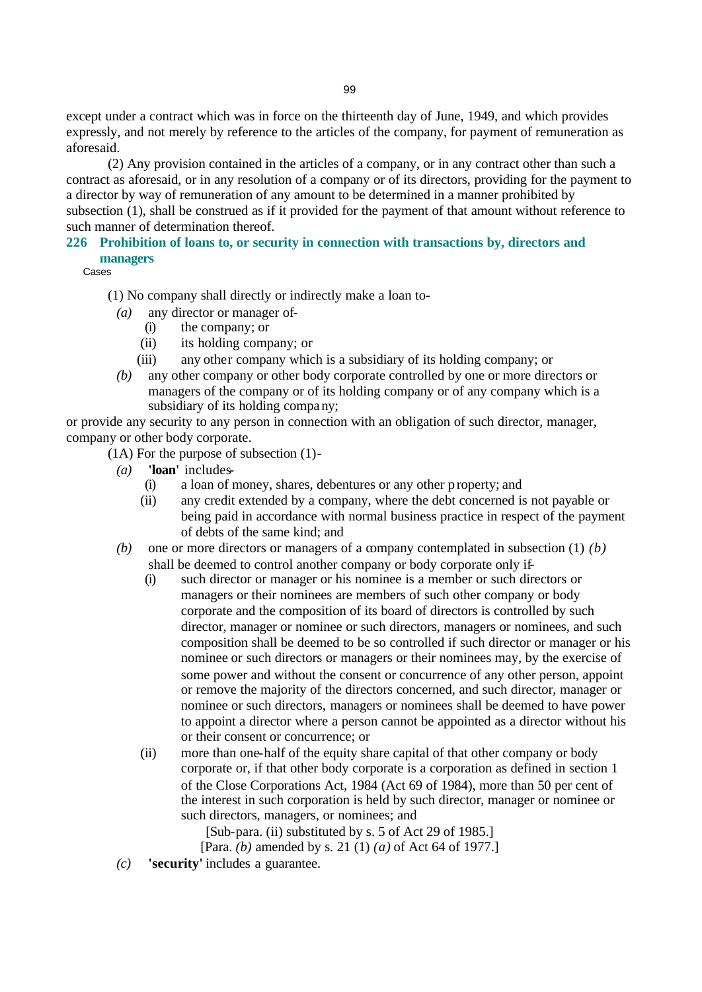except under a contract which was in force on the thirteenth day of June, 1949, and which provides expressly, and not merely by reference to the articles of the company, for payment of remuneration as aforesaid.

(2) Any provision contained in the articles of a company, or in any contract other than such a contract as aforesaid, or in any resolution of a company or of its directors, providing for the payment to a director by way of remuneration of any amount to be determined in a manner prohibited by subsection (1), shall be construed as if it provided for the payment of that amount without reference to such manner of determination thereof.

### **226 Prohibition of loans to, or security in connection with transactions by, directors and managers**

Cases

- (1) No company shall directly or indirectly make a loan to-
	- *(a)* any director or manager of-
		- (i) the company; or
		- (ii) its holding company; or
		- (iii) any other company which is a subsidiary of its holding company; or
	- *(b)* any other company or other body corporate controlled by one or more directors or managers of the company or of its holding company or of any company which is a subsidiary of its holding company;

or provide any security to any person in connection with an obligation of such director, manager, company or other body corporate.

- (1A) For the purpose of subsection (1)-
	- *(a)* **'loan'** includes-
		- (i) a loan of money, shares, debentures or any other p roperty; and
		- (ii) any credit extended by a company, where the debt concerned is not payable or being paid in accordance with normal business practice in respect of the payment of debts of the same kind; and
- *(b)* one or more directors or managers of a company contemplated in subsection (1) *(b)* shall be deemed to control another company or body corporate only if-
	- (i) such director or manager or his nominee is a member or such directors or managers or their nominees are members of such other company or body corporate and the composition of its board of directors is controlled by such director, manager or nominee or such directors, managers or nominees, and such composition shall be deemed to be so controlled if such director or manager or his nominee or such directors or managers or their nominees may, by the exercise of some power and without the consent or concurrence of any other person, appoint or remove the majority of the directors concerned, and such director, manager or nominee or such directors, managers or nominees shall be deemed to have power to appoint a director where a person cannot be appointed as a director without his or their consent or concurrence; or
	- (ii) more than one-half of the equity share capital of that other company or body corporate or, if that other body corporate is a corporation as defined in section 1 of the Close Corporations Act, 1984 (Act 69 of 1984), more than 50 per cent of the interest in such corporation is held by such director, manager or nominee or such directors, managers, or nominees; and

[Sub-para. (ii) substituted by s. 5 of Act 29 of 1985.]

[Para. *(b)* amended by s. 21 (1) *(a)* of Act 64 of 1977.]

*(c)* **'security'** includes a guarantee.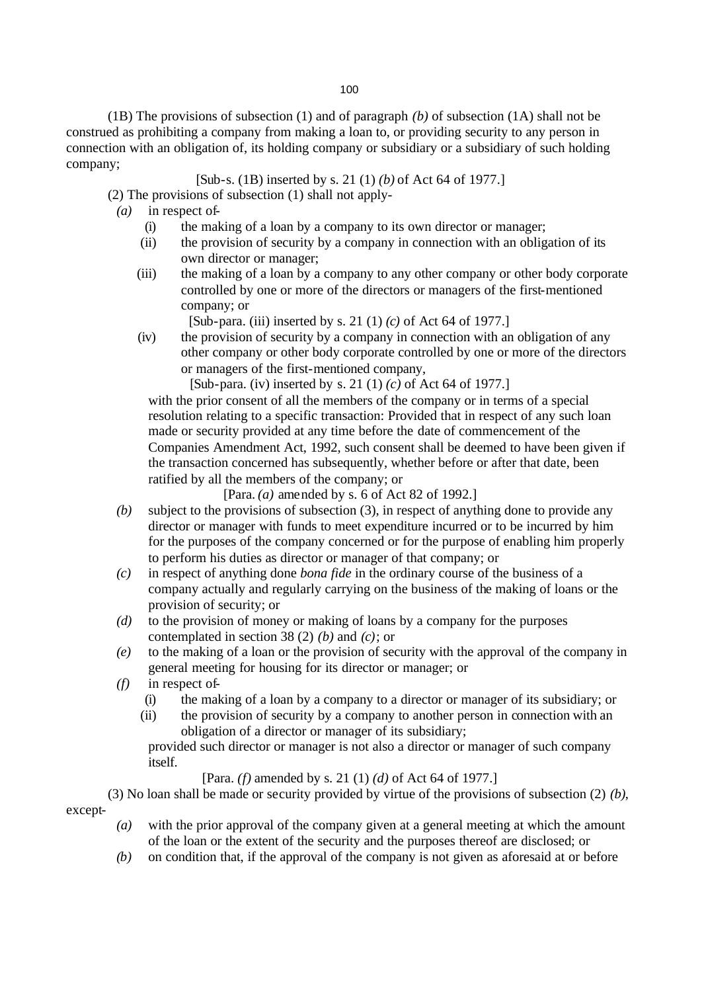(1B) The provisions of subsection (1) and of paragraph *(b)* of subsection (1A) shall not be construed as prohibiting a company from making a loan to, or providing security to any person in connection with an obligation of, its holding company or subsidiary or a subsidiary of such holding company;

- [Sub-s. (1B) inserted by s. 21 (1) *(b)* of Act 64 of 1977.]
- (2) The provisions of subsection (1) shall not apply-
	- *(a)* in respect of-
		- (i) the making of a loan by a company to its own director or manager;
		- (ii) the provision of security by a company in connection with an obligation of its own director or manager;
		- (iii) the making of a loan by a company to any other company or other body corporate controlled by one or more of the directors or managers of the first-mentioned company; or

[Sub-para. (iii) inserted by s. 21 (1) *(c)* of Act 64 of 1977.]

(iv) the provision of security by a company in connection with an obligation of any other company or other body corporate controlled by one or more of the directors or managers of the first-mentioned company,

[Sub-para. (iv) inserted by s. 21 (1) *(c)* of Act 64 of 1977.]

with the prior consent of all the members of the company or in terms of a special resolution relating to a specific transaction: Provided that in respect of any such loan made or security provided at any time before the date of commencement of the Companies Amendment Act, 1992, such consent shall be deemed to have been given if the transaction concerned has subsequently, whether before or after that date, been ratified by all the members of the company; or

[Para. *(a)* amended by s. 6 of Act 82 of 1992.]

- *(b)* subject to the provisions of subsection (3), in respect of anything done to provide any director or manager with funds to meet expenditure incurred or to be incurred by him for the purposes of the company concerned or for the purpose of enabling him properly to perform his duties as director or manager of that company; or
- *(c)* in respect of anything done *bona fide* in the ordinary course of the business of a company actually and regularly carrying on the business of the making of loans or the provision of security; or
- *(d)* to the provision of money or making of loans by a company for the purposes contemplated in section 38 (2) *(b)* and *(c)*; or
- *(e)* to the making of a loan or the provision of security with the approval of the company in general meeting for housing for its director or manager; or
- *(f)* in respect of-
	- (i) the making of a loan by a company to a director or manager of its subsidiary; or
	- (ii) the provision of security by a company to another person in connection with an obligation of a director or manager of its subsidiary;

provided such director or manager is not also a director or manager of such company itself.

[Para. *(f)* amended by s. 21 (1) *(d)* of Act 64 of 1977.]

(3) No loan shall be made or security provided by virtue of the provisions of subsection (2) *(b)*, except-

- *(a)* with the prior approval of the company given at a general meeting at which the amount of the loan or the extent of the security and the purposes thereof are disclosed; or
- *(b)* on condition that, if the approval of the company is not given as aforesaid at or before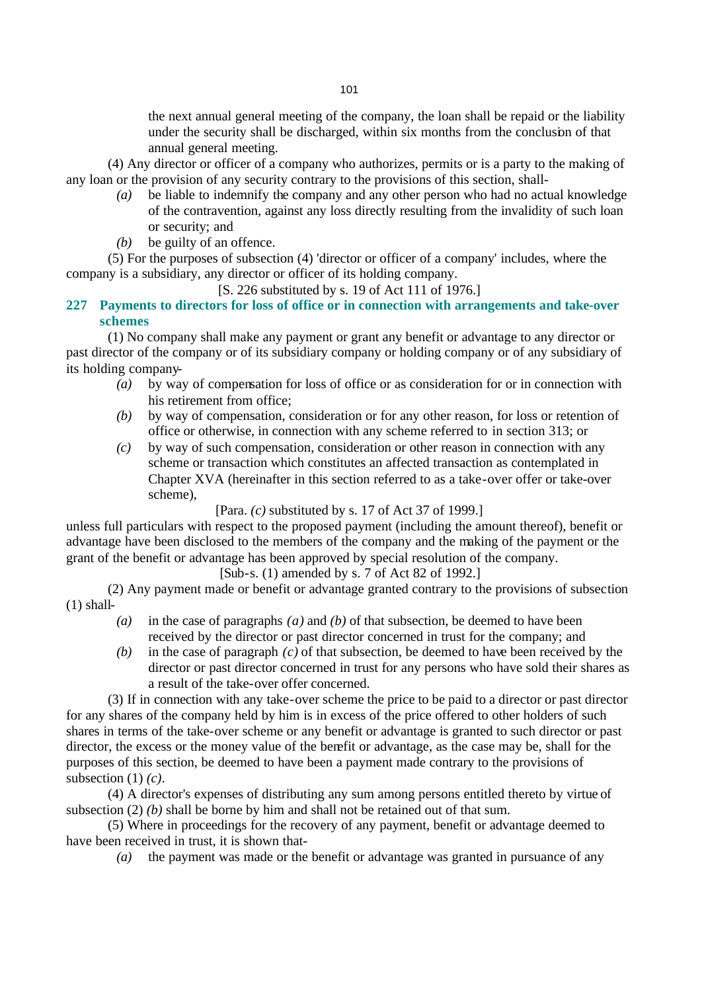the next annual general meeting of the company, the loan shall be repaid or the liability under the security shall be discharged, within six months from the conclusion of that annual general meeting.

(4) Any director or officer of a company who authorizes, permits or is a party to the making of any loan or the provision of any security contrary to the provisions of this section, shall-

- *(a)* be liable to indemnify the company and any other person who had no actual knowledge of the contravention, against any loss directly resulting from the invalidity of such loan or security; and
- *(b)* be guilty of an offence.

(5) For the purposes of subsection (4) 'director or officer of a company' includes, where the company is a subsidiary, any director or officer of its holding company.

[S. 226 substituted by s. 19 of Act 111 of 1976.]

## **227 Payments to directors for loss of office or in connection with arrangements and take-over schemes**

(1) No company shall make any payment or grant any benefit or advantage to any director or past director of the company or of its subsidiary company or holding company or of any subsidiary of its holding company-

- *(a)* by way of compensation for loss of office or as consideration for or in connection with his retirement from office;
- *(b)* by way of compensation, consideration or for any other reason, for loss or retention of office or otherwise, in connection with any scheme referred to in section 313; or
- *(c)* by way of such compensation, consideration or other reason in connection with any scheme or transaction which constitutes an affected transaction as contemplated in Chapter XVA (hereinafter in this section referred to as a take-over offer or take-over scheme),

## [Para. *(c)* substituted by s. 17 of Act 37 of 1999.]

unless full particulars with respect to the proposed payment (including the amount thereof), benefit or advantage have been disclosed to the members of the company and the making of the payment or the grant of the benefit or advantage has been approved by special resolution of the company.

[Sub-s. (1) amended by s. 7 of Act 82 of 1992.]

(2) Any payment made or benefit or advantage granted contrary to the provisions of subsection  $(1)$  shall-

- *(a)* in the case of paragraphs *(a)* and *(b)* of that subsection, be deemed to have been received by the director or past director concerned in trust for the company; and
- *(b)* in the case of paragraph *(c)* of that subsection, be deemed to have been received by the director or past director concerned in trust for any persons who have sold their shares as a result of the take-over offer concerned.

(3) If in connection with any take-over scheme the price to be paid to a director or past director for any shares of the company held by him is in excess of the price offered to other holders of such shares in terms of the take-over scheme or any benefit or advantage is granted to such director or past director, the excess or the money value of the benefit or advantage, as the case may be, shall for the purposes of this section, be deemed to have been a payment made contrary to the provisions of subsection (1) *(c)*.

(4) A director's expenses of distributing any sum among persons entitled thereto by virtue of subsection (2) *(b)* shall be borne by him and shall not be retained out of that sum.

(5) Where in proceedings for the recovery of any payment, benefit or advantage deemed to have been received in trust, it is shown that-

*(a)* the payment was made or the benefit or advantage was granted in pursuance of any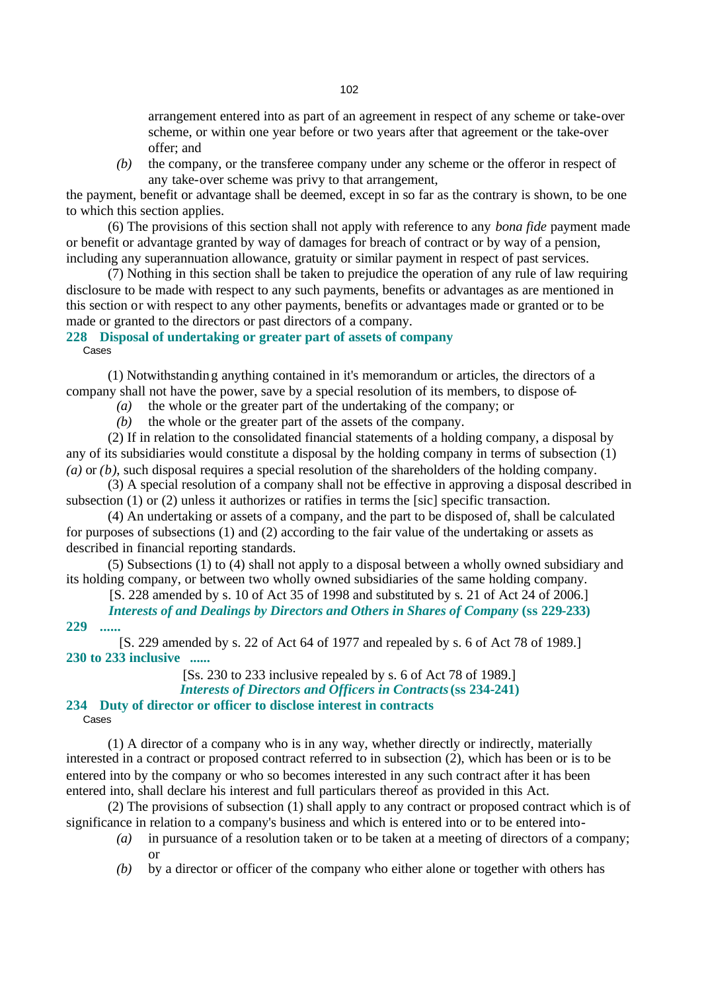arrangement entered into as part of an agreement in respect of any scheme or take-over scheme, or within one year before or two years after that agreement or the take-over offer; and

*(b)* the company, or the transferee company under any scheme or the offeror in respect of any take-over scheme was privy to that arrangement,

the payment, benefit or advantage shall be deemed, except in so far as the contrary is shown, to be one to which this section applies.

(6) The provisions of this section shall not apply with reference to any *bona fide* payment made or benefit or advantage granted by way of damages for breach of contract or by way of a pension, including any superannuation allowance, gratuity or similar payment in respect of past services.

(7) Nothing in this section shall be taken to prejudice the operation of any rule of law requiring disclosure to be made with respect to any such payments, benefits or advantages as are mentioned in this section or with respect to any other payments, benefits or advantages made or granted or to be made or granted to the directors or past directors of a company.

# **228 Disposal of undertaking or greater part of assets of company**

Cases

(1) Notwithstanding anything contained in it's memorandum or articles, the directors of a company shall not have the power, save by a special resolution of its members, to dispose of-

*(a)* the whole or the greater part of the undertaking of the company; or

*(b)* the whole or the greater part of the assets of the company.

(2) If in relation to the consolidated financial statements of a holding company, a disposal by any of its subsidiaries would constitute a disposal by the holding company in terms of subsection (1) *(a)* or *(b)*, such disposal requires a special resolution of the shareholders of the holding company.

(3) A special resolution of a company shall not be effective in approving a disposal described in subsection (1) or (2) unless it authorizes or ratifies in terms the [sic] specific transaction.

(4) An undertaking or assets of a company, and the part to be disposed of, shall be calculated for purposes of subsections (1) and (2) according to the fair value of the undertaking or assets as described in financial reporting standards.

(5) Subsections (1) to (4) shall not apply to a disposal between a wholly owned subsidiary and its holding company, or between two wholly owned subsidiaries of the same holding company.

[S. 228 amended by s. 10 of Act 35 of 1998 and substituted by s. 21 of Act 24 of 2006.] *Interests of and Dealings by Directors and Others in Shares of Company* **(ss 229-233) 229 ......**

[S. 229 amended by s. 22 of Act 64 of 1977 and repealed by s. 6 of Act 78 of 1989.] **230 to 233 inclusive ......**

[Ss. 230 to 233 inclusive repealed by s. 6 of Act 78 of 1989.] *Interests of Directors and Officers in Contracts* **(ss 234-241) 234 Duty of director or officer to disclose interest in contracts**

Cases

(1) A director of a company who is in any way, whether directly or indirectly, materially interested in a contract or proposed contract referred to in subsection (2), which has been or is to be entered into by the company or who so becomes interested in any such contract after it has been entered into, shall declare his interest and full particulars thereof as provided in this Act.

(2) The provisions of subsection (1) shall apply to any contract or proposed contract which is of significance in relation to a company's business and which is entered into or to be entered into-

- *(a)* in pursuance of a resolution taken or to be taken at a meeting of directors of a company; or
- *(b)* by a director or officer of the company who either alone or together with others has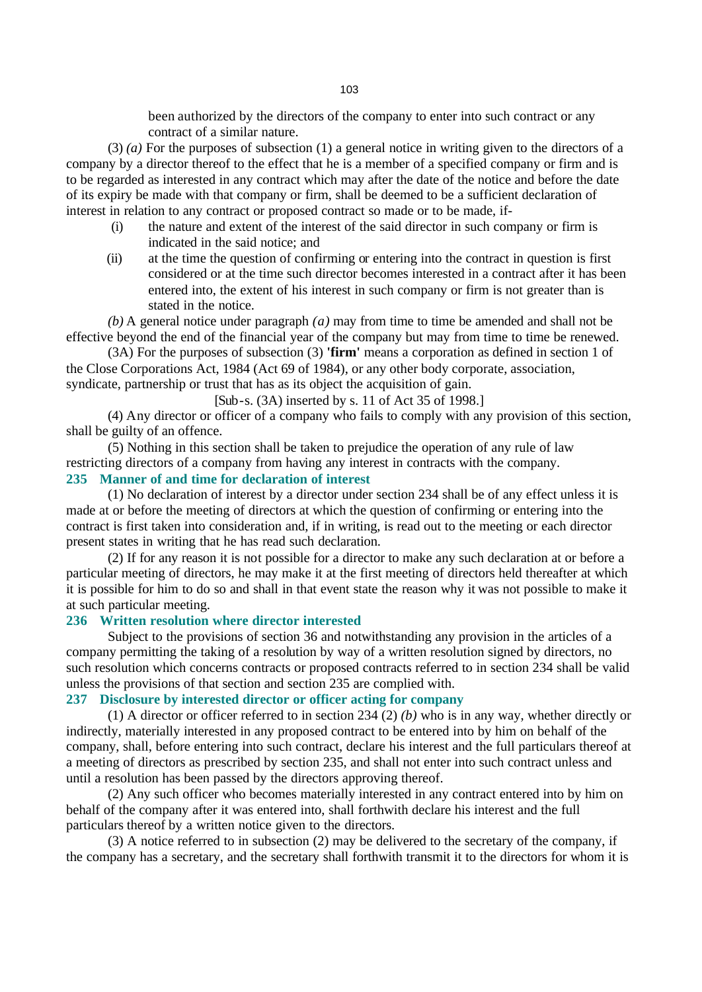been authorized by the directors of the company to enter into such contract or any contract of a similar nature.

(3) *(a)* For the purposes of subsection (1) a general notice in writing given to the directors of a company by a director thereof to the effect that he is a member of a specified company or firm and is to be regarded as interested in any contract which may after the date of the notice and before the date of its expiry be made with that company or firm, shall be deemed to be a sufficient declaration of interest in relation to any contract or proposed contract so made or to be made, if-

- (i) the nature and extent of the interest of the said director in such company or firm is indicated in the said notice; and
- (ii) at the time the question of confirming or entering into the contract in question is first considered or at the time such director becomes interested in a contract after it has been entered into, the extent of his interest in such company or firm is not greater than is stated in the notice.

*(b)* A general notice under paragraph *(a)* may from time to time be amended and shall not be effective beyond the end of the financial year of the company but may from time to time be renewed.

(3A) For the purposes of subsection (3) **'firm'** means a corporation as defined in section 1 of the Close Corporations Act, 1984 (Act 69 of 1984), or any other body corporate, association, syndicate, partnership or trust that has as its object the acquisition of gain.

[Sub-s. (3A) inserted by s. 11 of Act 35 of 1998.]

(4) Any director or officer of a company who fails to comply with any provision of this section, shall be guilty of an offence.

(5) Nothing in this section shall be taken to prejudice the operation of any rule of law restricting directors of a company from having any interest in contracts with the company.

## **235 Manner of and time for declaration of interest**

(1) No declaration of interest by a director under section 234 shall be of any effect unless it is made at or before the meeting of directors at which the question of confirming or entering into the contract is first taken into consideration and, if in writing, is read out to the meeting or each director present states in writing that he has read such declaration.

(2) If for any reason it is not possible for a director to make any such declaration at or before a particular meeting of directors, he may make it at the first meeting of directors held thereafter at which it is possible for him to do so and shall in that event state the reason why it was not possible to make it at such particular meeting.

### **236 Written resolution where director interested**

Subject to the provisions of section 36 and notwithstanding any provision in the articles of a company permitting the taking of a resolution by way of a written resolution signed by directors, no such resolution which concerns contracts or proposed contracts referred to in section 234 shall be valid unless the provisions of that section and section 235 are complied with.

## **237 Disclosure by interested director or officer acting for company**

(1) A director or officer referred to in section 234 (2) *(b)* who is in any way, whether directly or indirectly, materially interested in any proposed contract to be entered into by him on behalf of the company, shall, before entering into such contract, declare his interest and the full particulars thereof at a meeting of directors as prescribed by section 235, and shall not enter into such contract unless and until a resolution has been passed by the directors approving thereof.

(2) Any such officer who becomes materially interested in any contract entered into by him on behalf of the company after it was entered into, shall forthwith declare his interest and the full particulars thereof by a written notice given to the directors.

(3) A notice referred to in subsection (2) may be delivered to the secretary of the company, if the company has a secretary, and the secretary shall forthwith transmit it to the directors for whom it is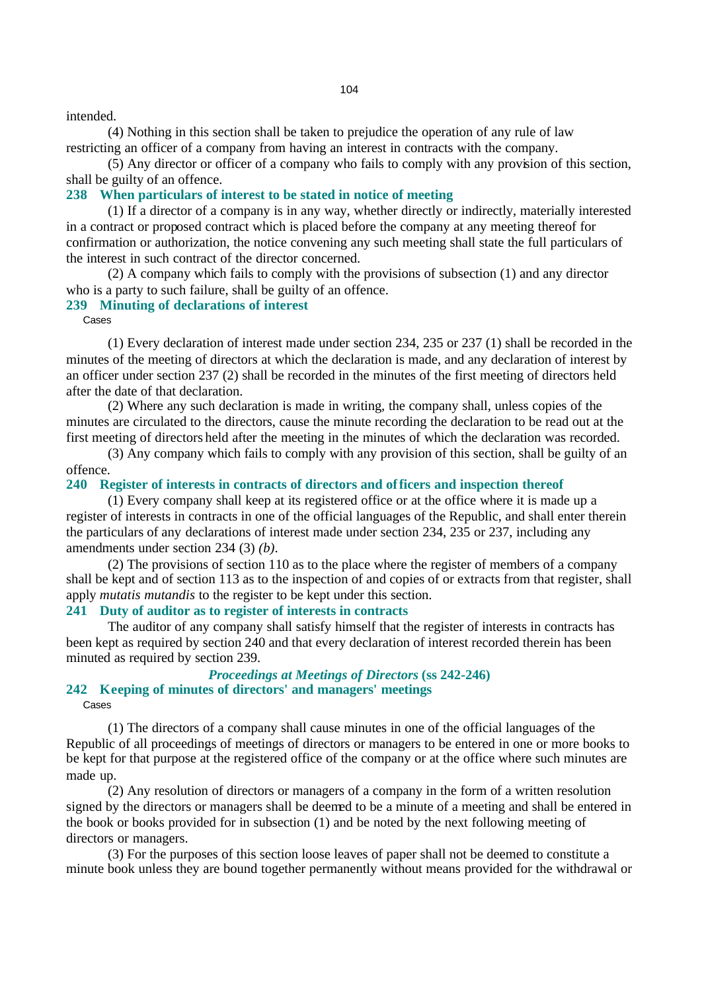intended.

(4) Nothing in this section shall be taken to prejudice the operation of any rule of law restricting an officer of a company from having an interest in contracts with the company.

(5) Any director or officer of a company who fails to comply with any provision of this section, shall be guilty of an offence.

## **238 When particulars of interest to be stated in notice of meeting**

(1) If a director of a company is in any way, whether directly or indirectly, materially interested in a contract or proposed contract which is placed before the company at any meeting thereof for confirmation or authorization, the notice convening any such meeting shall state the full particulars of the interest in such contract of the director concerned.

(2) A company which fails to comply with the provisions of subsection (1) and any director who is a party to such failure, shall be guilty of an offence.

### **239 Minuting of declarations of interest**

Cases

(1) Every declaration of interest made under section 234, 235 or 237 (1) shall be recorded in the minutes of the meeting of directors at which the declaration is made, and any declaration of interest by an officer under section 237 (2) shall be recorded in the minutes of the first meeting of directors held after the date of that declaration.

(2) Where any such declaration is made in writing, the company shall, unless copies of the minutes are circulated to the directors, cause the minute recording the declaration to be read out at the first meeting of directors held after the meeting in the minutes of which the declaration was recorded.

(3) Any company which fails to comply with any provision of this section, shall be guilty of an offence.

### **240 Register of interests in contracts of directors and officers and inspection thereof**

(1) Every company shall keep at its registered office or at the office where it is made up a register of interests in contracts in one of the official languages of the Republic, and shall enter therein the particulars of any declarations of interest made under section 234, 235 or 237, including any amendments under section 234 (3) *(b)*.

(2) The provisions of section 110 as to the place where the register of members of a company shall be kept and of section 113 as to the inspection of and copies of or extracts from that register, shall apply *mutatis mutandis* to the register to be kept under this section.

## **241 Duty of auditor as to register of interests in contracts**

The auditor of any company shall satisfy himself that the register of interests in contracts has been kept as required by section 240 and that every declaration of interest recorded therein has been minuted as required by section 239.

#### *Proceedings at Meetings of Directors* **(ss 242-246) 242 Keeping of minutes of directors' and managers' meetings** Cases

(1) The directors of a company shall cause minutes in one of the official languages of the Republic of all proceedings of meetings of directors or managers to be entered in one or more books to be kept for that purpose at the registered office of the company or at the office where such minutes are made up.

(2) Any resolution of directors or managers of a company in the form of a written resolution signed by the directors or managers shall be deemed to be a minute of a meeting and shall be entered in the book or books provided for in subsection (1) and be noted by the next following meeting of directors or managers.

(3) For the purposes of this section loose leaves of paper shall not be deemed to constitute a minute book unless they are bound together permanently without means provided for the withdrawal or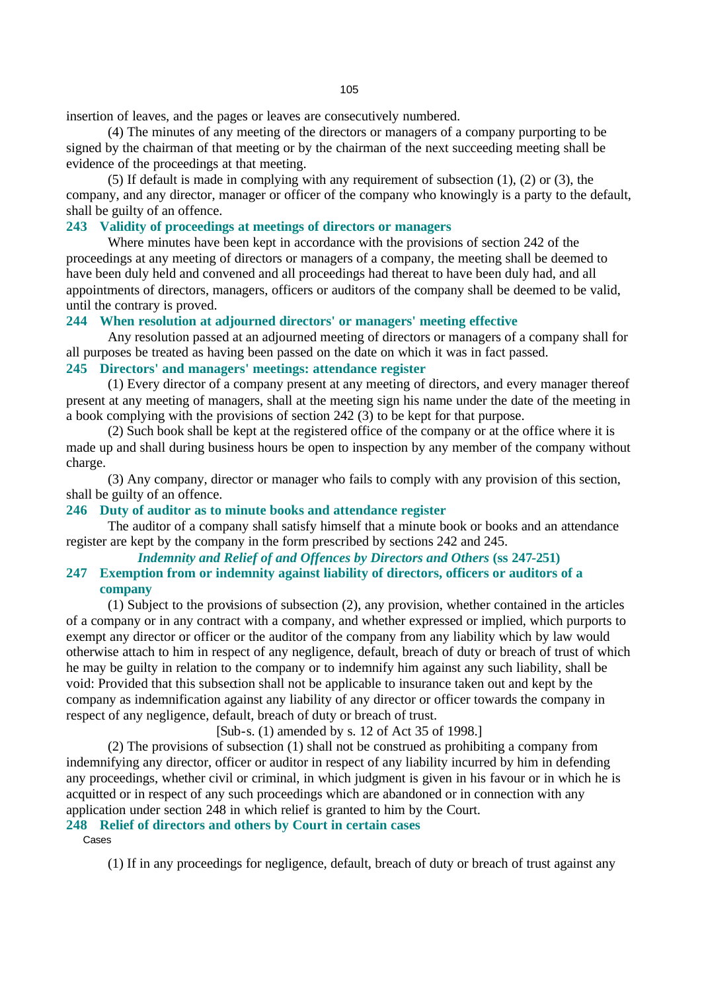insertion of leaves, and the pages or leaves are consecutively numbered.

(4) The minutes of any meeting of the directors or managers of a company purporting to be signed by the chairman of that meeting or by the chairman of the next succeeding meeting shall be evidence of the proceedings at that meeting.

(5) If default is made in complying with any requirement of subsection (1), (2) or (3), the company, and any director, manager or officer of the company who knowingly is a party to the default, shall be guilty of an offence.

## **243 Validity of proceedings at meetings of directors or managers**

Where minutes have been kept in accordance with the provisions of section 242 of the proceedings at any meeting of directors or managers of a company, the meeting shall be deemed to have been duly held and convened and all proceedings had thereat to have been duly had, and all appointments of directors, managers, officers or auditors of the company shall be deemed to be valid, until the contrary is proved.

### **244 When resolution at adjourned directors' or managers' meeting effective**

Any resolution passed at an adjourned meeting of directors or managers of a company shall for all purposes be treated as having been passed on the date on which it was in fact passed.

## **245 Directors' and managers' meetings: attendance register**

(1) Every director of a company present at any meeting of directors, and every manager thereof present at any meeting of managers, shall at the meeting sign his name under the date of the meeting in a book complying with the provisions of section 242 (3) to be kept for that purpose.

(2) Such book shall be kept at the registered office of the company or at the office where it is made up and shall during business hours be open to inspection by any member of the company without charge.

(3) Any company, director or manager who fails to comply with any provision of this section, shall be guilty of an offence.

## **246 Duty of auditor as to minute books and attendance register**

The auditor of a company shall satisfy himself that a minute book or books and an attendance register are kept by the company in the form prescribed by sections 242 and 245.

## *Indemnity and Relief of and Offences by Directors and Others* **(ss 247-251)**

### **247 Exemption from or indemnity against liability of directors, officers or auditors of a company**

(1) Subject to the provisions of subsection (2), any provision, whether contained in the articles of a company or in any contract with a company, and whether expressed or implied, which purports to exempt any director or officer or the auditor of the company from any liability which by law would otherwise attach to him in respect of any negligence, default, breach of duty or breach of trust of which he may be guilty in relation to the company or to indemnify him against any such liability, shall be void: Provided that this subsection shall not be applicable to insurance taken out and kept by the company as indemnification against any liability of any director or officer towards the company in respect of any negligence, default, breach of duty or breach of trust.

[Sub-s. (1) amended by s. 12 of Act 35 of 1998.]

(2) The provisions of subsection (1) shall not be construed as prohibiting a company from indemnifying any director, officer or auditor in respect of any liability incurred by him in defending any proceedings, whether civil or criminal, in which judgment is given in his favour or in which he is acquitted or in respect of any such proceedings which are abandoned or in connection with any application under section 248 in which relief is granted to him by the Court.

### **248 Relief of directors and others by Court in certain cases**

Cases

(1) If in any proceedings for negligence, default, breach of duty or breach of trust against any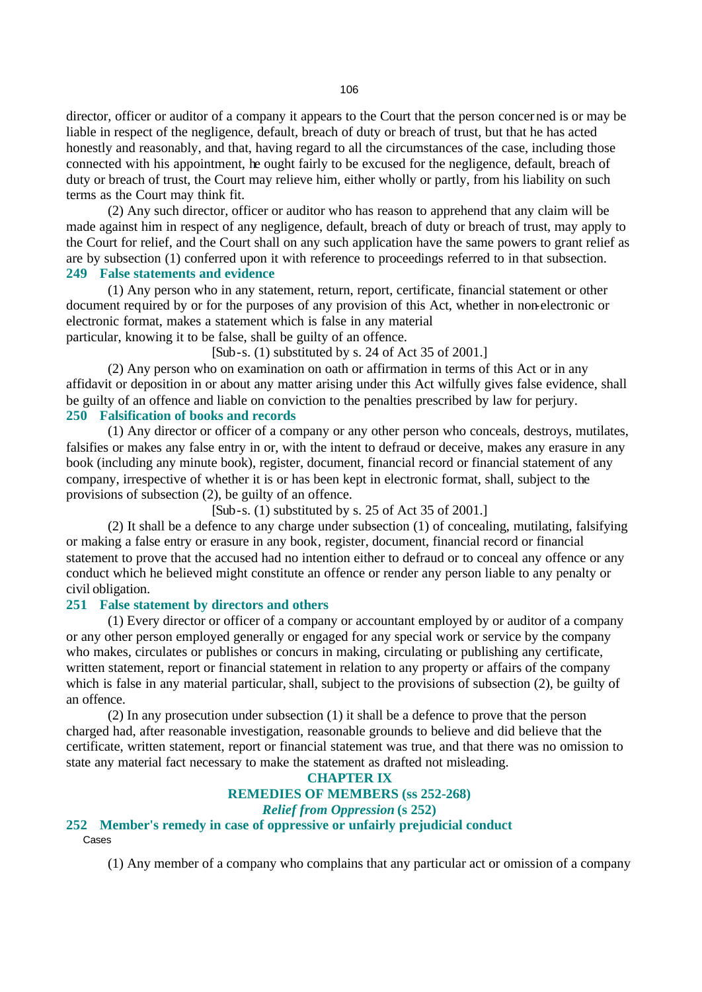director, officer or auditor of a company it appears to the Court that the person concerned is or may be liable in respect of the negligence, default, breach of duty or breach of trust, but that he has acted honestly and reasonably, and that, having regard to all the circumstances of the case, including those connected with his appointment, he ought fairly to be excused for the negligence, default, breach of duty or breach of trust, the Court may relieve him, either wholly or partly, from his liability on such terms as the Court may think fit.

(2) Any such director, officer or auditor who has reason to apprehend that any claim will be made against him in respect of any negligence, default, breach of duty or breach of trust, may apply to the Court for relief, and the Court shall on any such application have the same powers to grant relief as are by subsection (1) conferred upon it with reference to proceedings referred to in that subsection. **249 False statements and evidence**

(1) Any person who in any statement, return, report, certificate, financial statement or other document required by or for the purposes of any provision of this Act, whether in non-electronic or electronic format, makes a statement which is false in any material particular, knowing it to be false, shall be guilty of an offence.

[Sub-s. (1) substituted by s. 24 of Act 35 of 2001.]

(2) Any person who on examination on oath or affirmation in terms of this Act or in any affidavit or deposition in or about any matter arising under this Act wilfully gives false evidence, shall be guilty of an offence and liable on conviction to the penalties prescribed by law for perjury. **250 Falsification of books and records**

(1) Any director or officer of a company or any other person who conceals, destroys, mutilates, falsifies or makes any false entry in or, with the intent to defraud or deceive, makes any erasure in any book (including any minute book), register, document, financial record or financial statement of any company, irrespective of whether it is or has been kept in electronic format, shall, subject to the provisions of subsection (2), be guilty of an offence.

 $[Sub-s. (1)$  substituted by s. 25 of Act 35 of 2001.]

(2) It shall be a defence to any charge under subsection (1) of concealing, mutilating, falsifying or making a false entry or erasure in any book, register, document, financial record or financial statement to prove that the accused had no intention either to defraud or to conceal any offence or any conduct which he believed might constitute an offence or render any person liable to any penalty or civil obligation.

#### **251 False statement by directors and others**

(1) Every director or officer of a company or accountant employed by or auditor of a company or any other person employed generally or engaged for any special work or service by the company who makes, circulates or publishes or concurs in making, circulating or publishing any certificate, written statement, report or financial statement in relation to any property or affairs of the company which is false in any material particular, shall, subject to the provisions of subsection  $(2)$ , be guilty of an offence.

(2) In any prosecution under subsection (1) it shall be a defence to prove that the person charged had, after reasonable investigation, reasonable grounds to believe and did believe that the certificate, written statement, report or financial statement was true, and that there was no omission to state any material fact necessary to make the statement as drafted not misleading.

#### **CHAPTER IX**

## **REMEDIES OF MEMBERS (ss 252-268)**

*Relief from Oppression* **(s 252)**

**252 Member's remedy in case of oppressive or unfairly prejudicial conduct**

Cases

(1) Any member of a company who complains that any particular act or omission of a company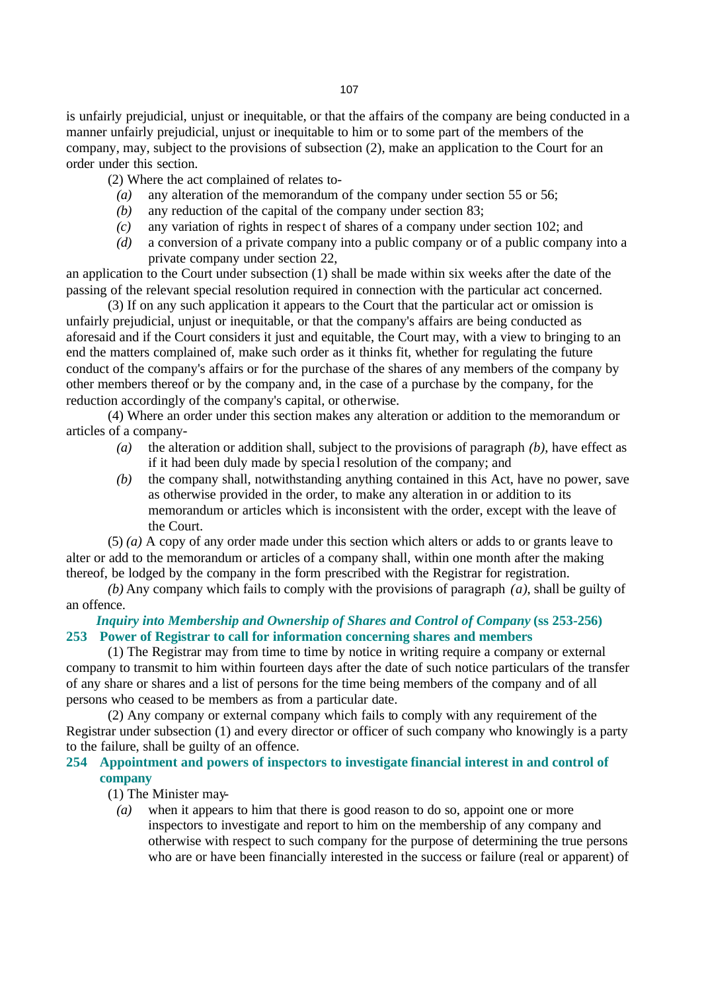is unfairly prejudicial, unjust or inequitable, or that the affairs of the company are being conducted in a manner unfairly prejudicial, unjust or inequitable to him or to some part of the members of the company, may, subject to the provisions of subsection (2), make an application to the Court for an order under this section.

(2) Where the act complained of relates to-

- *(a)* any alteration of the memorandum of the company under section 55 or 56;
- *(b)* any reduction of the capital of the company under section 83;
- *(c)* any variation of rights in respect of shares of a company under section 102; and
- *(d)* a conversion of a private company into a public company or of a public company into a private company under section 22,

an application to the Court under subsection (1) shall be made within six weeks after the date of the passing of the relevant special resolution required in connection with the particular act concerned.

(3) If on any such application it appears to the Court that the particular act or omission is unfairly prejudicial, unjust or inequitable, or that the company's affairs are being conducted as aforesaid and if the Court considers it just and equitable, the Court may, with a view to bringing to an end the matters complained of, make such order as it thinks fit, whether for regulating the future conduct of the company's affairs or for the purchase of the shares of any members of the company by other members thereof or by the company and, in the case of a purchase by the company, for the reduction accordingly of the company's capital, or otherwise.

(4) Where an order under this section makes any alteration or addition to the memorandum or articles of a company-

- *(a)* the alteration or addition shall, subject to the provisions of paragraph *(b)*, have effect as if it had been duly made by specia l resolution of the company; and
- *(b)* the company shall, notwithstanding anything contained in this Act, have no power, save as otherwise provided in the order, to make any alteration in or addition to its memorandum or articles which is inconsistent with the order, except with the leave of the Court.

(5) *(a)* A copy of any order made under this section which alters or adds to or grants leave to alter or add to the memorandum or articles of a company shall, within one month after the making thereof, be lodged by the company in the form prescribed with the Registrar for registration.

*(b)* Any company which fails to comply with the provisions of paragraph *(a)*, shall be guilty of an offence.

## *Inquiry into Membership and Ownership of Shares and Control of Company* **(ss 253-256) 253 Power of Registrar to call for information concerning shares and members**

(1) The Registrar may from time to time by notice in writing require a company or external company to transmit to him within fourteen days after the date of such notice particulars of the transfer of any share or shares and a list of persons for the time being members of the company and of all persons who ceased to be members as from a particular date.

(2) Any company or external company which fails to comply with any requirement of the Registrar under subsection (1) and every director or officer of such company who knowingly is a party to the failure, shall be guilty of an offence.

## **254 Appointment and powers of inspectors to investigate financial interest in and control of company**

(1) The Minister may-

*(a)* when it appears to him that there is good reason to do so, appoint one or more inspectors to investigate and report to him on the membership of any company and otherwise with respect to such company for the purpose of determining the true persons who are or have been financially interested in the success or failure (real or apparent) of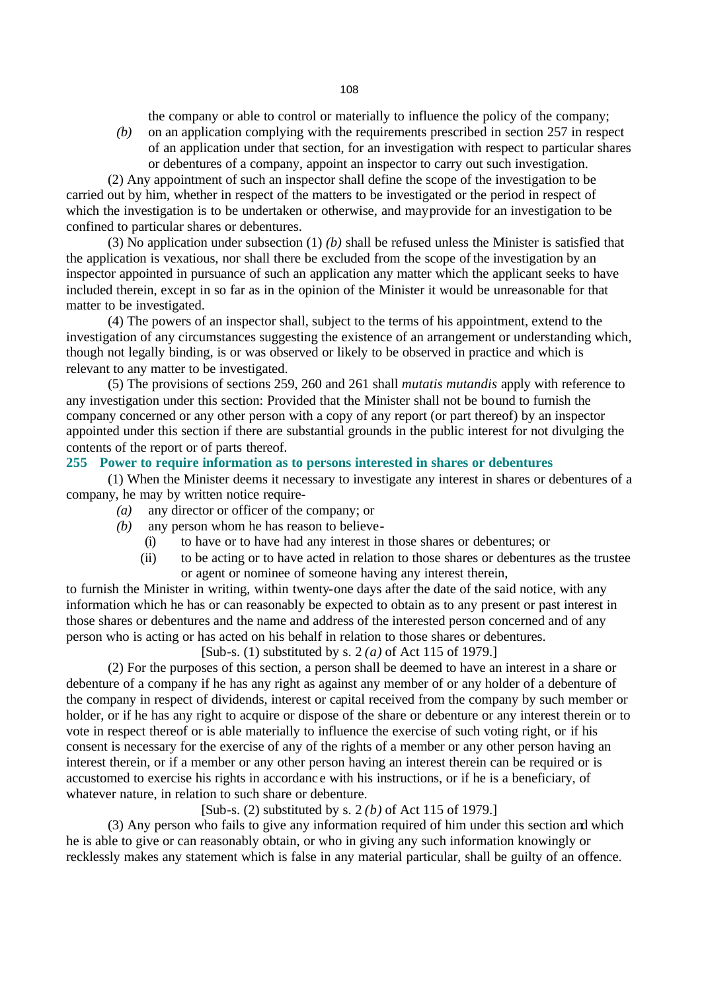the company or able to control or materially to influence the policy of the company;

*(b)* on an application complying with the requirements prescribed in section 257 in respect of an application under that section, for an investigation with respect to particular shares or debentures of a company, appoint an inspector to carry out such investigation.

(2) Any appointment of such an inspector shall define the scope of the investigation to be carried out by him, whether in respect of the matters to be investigated or the period in respect of which the investigation is to be undertaken or otherwise, and may provide for an investigation to be confined to particular shares or debentures.

(3) No application under subsection (1) *(b)* shall be refused unless the Minister is satisfied that the application is vexatious, nor shall there be excluded from the scope of the investigation by an inspector appointed in pursuance of such an application any matter which the applicant seeks to have included therein, except in so far as in the opinion of the Minister it would be unreasonable for that matter to be investigated.

(4) The powers of an inspector shall, subject to the terms of his appointment, extend to the investigation of any circumstances suggesting the existence of an arrangement or understanding which, though not legally binding, is or was observed or likely to be observed in practice and which is relevant to any matter to be investigated.

(5) The provisions of sections 259, 260 and 261 shall *mutatis mutandis* apply with reference to any investigation under this section: Provided that the Minister shall not be bound to furnish the company concerned or any other person with a copy of any report (or part thereof) by an inspector appointed under this section if there are substantial grounds in the public interest for not divulging the contents of the report or of parts thereof.

### **255 Power to require information as to persons interested in shares or debentures**

(1) When the Minister deems it necessary to investigate any interest in shares or debentures of a company, he may by written notice require-

- *(a)* any director or officer of the company; or
- *(b)* any person whom he has reason to believe-
	- (i) to have or to have had any interest in those shares or debentures; or
	- (ii) to be acting or to have acted in relation to those shares or debentures as the trustee or agent or nominee of someone having any interest therein,

to furnish the Minister in writing, within twenty-one days after the date of the said notice, with any information which he has or can reasonably be expected to obtain as to any present or past interest in those shares or debentures and the name and address of the interested person concerned and of any person who is acting or has acted on his behalf in relation to those shares or debentures.

[Sub-s. (1) substituted by s. 2 *(a)* of Act 115 of 1979.]

(2) For the purposes of this section, a person shall be deemed to have an interest in a share or debenture of a company if he has any right as against any member of or any holder of a debenture of the company in respect of dividends, interest or capital received from the company by such member or holder, or if he has any right to acquire or dispose of the share or debenture or any interest therein or to vote in respect thereof or is able materially to influence the exercise of such voting right, or if his consent is necessary for the exercise of any of the rights of a member or any other person having an interest therein, or if a member or any other person having an interest therein can be required or is accustomed to exercise his rights in accordance with his instructions, or if he is a beneficiary, of whatever nature, in relation to such share or debenture.

[Sub-s. (2) substituted by s. 2 *(b)* of Act 115 of 1979.]

(3) Any person who fails to give any information required of him under this section and which he is able to give or can reasonably obtain, or who in giving any such information knowingly or recklessly makes any statement which is false in any material particular, shall be guilty of an offence.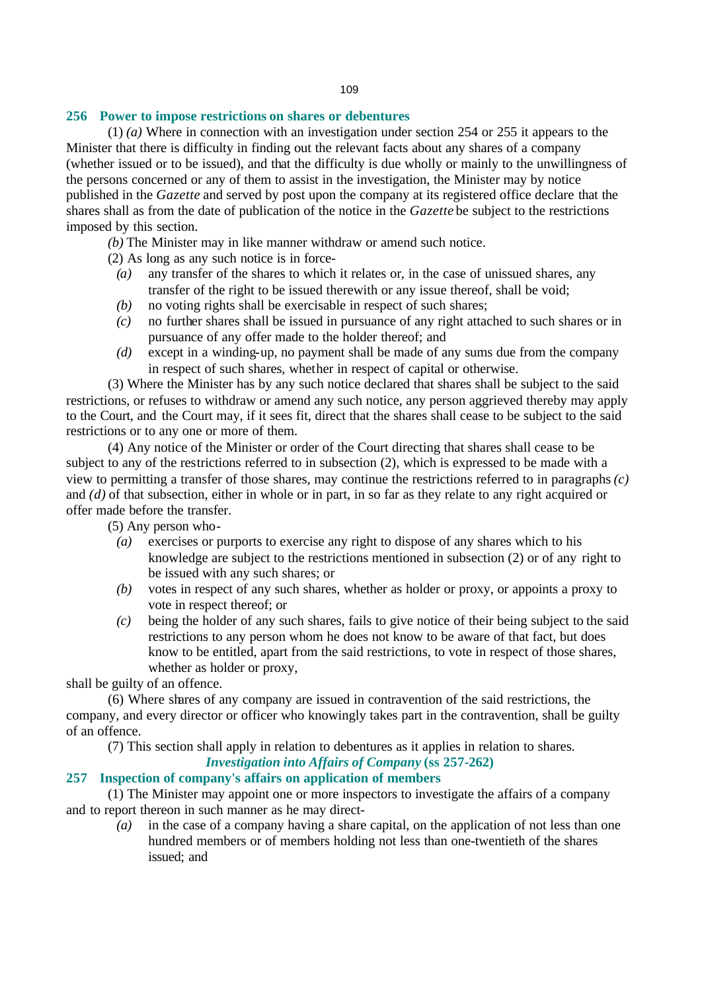#### **256 Power to impose restrictions on shares or debentures**

(1) *(a)* Where in connection with an investigation under section 254 or 255 it appears to the Minister that there is difficulty in finding out the relevant facts about any shares of a company (whether issued or to be issued), and that the difficulty is due wholly or mainly to the unwillingness of the persons concerned or any of them to assist in the investigation, the Minister may by notice published in the *Gazette* and served by post upon the company at its registered office declare that the shares shall as from the date of publication of the notice in the *Gazette* be subject to the restrictions imposed by this section.

*(b)* The Minister may in like manner withdraw or amend such notice.

- (2) As long as any such notice is in force-
	- *(a)* any transfer of the shares to which it relates or, in the case of unissued shares, any transfer of the right to be issued therewith or any issue thereof, shall be void;
	- *(b)* no voting rights shall be exercisable in respect of such shares;
	- *(c)* no further shares shall be issued in pursuance of any right attached to such shares or in pursuance of any offer made to the holder thereof; and
	- *(d)* except in a winding-up, no payment shall be made of any sums due from the company in respect of such shares, whether in respect of capital or otherwise.

(3) Where the Minister has by any such notice declared that shares shall be subject to the said restrictions, or refuses to withdraw or amend any such notice, any person aggrieved thereby may apply to the Court, and the Court may, if it sees fit, direct that the shares shall cease to be subject to the said restrictions or to any one or more of them.

(4) Any notice of the Minister or order of the Court directing that shares shall cease to be subject to any of the restrictions referred to in subsection (2), which is expressed to be made with a view to permitting a transfer of those shares, may continue the restrictions referred to in paragraphs *(c)* and *(d)* of that subsection, either in whole or in part, in so far as they relate to any right acquired or offer made before the transfer.

(5) Any person who-

- *(a)* exercises or purports to exercise any right to dispose of any shares which to his knowledge are subject to the restrictions mentioned in subsection (2) or of any right to be issued with any such shares; or
- *(b)* votes in respect of any such shares, whether as holder or proxy, or appoints a proxy to vote in respect thereof; or
- *(c)* being the holder of any such shares, fails to give notice of their being subject to the said restrictions to any person whom he does not know to be aware of that fact, but does know to be entitled, apart from the said restrictions, to vote in respect of those shares, whether as holder or proxy,

shall be guilty of an offence.

(6) Where shares of any company are issued in contravention of the said restrictions, the company, and every director or officer who knowingly takes part in the contravention, shall be guilty of an offence.

(7) This section shall apply in relation to debentures as it applies in relation to shares.

# *Investigation into Affairs of Company* **(ss 257-262)**

# **257 Inspection of company's affairs on application of members**

(1) The Minister may appoint one or more inspectors to investigate the affairs of a company and to report thereon in such manner as he may direct-

*(a)* in the case of a company having a share capital, on the application of not less than one hundred members or of members holding not less than one-twentieth of the shares issued; and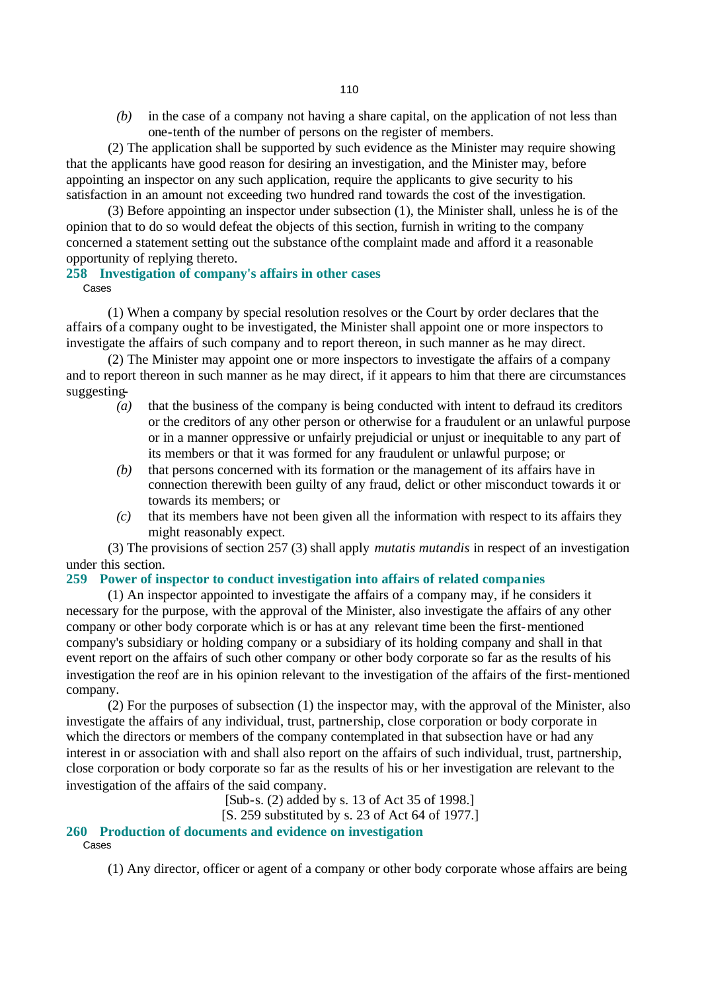*(b)* in the case of a company not having a share capital, on the application of not less than one-tenth of the number of persons on the register of members.

(2) The application shall be supported by such evidence as the Minister may require showing that the applicants have good reason for desiring an investigation, and the Minister may, before appointing an inspector on any such application, require the applicants to give security to his satisfaction in an amount not exceeding two hundred rand towards the cost of the investigation.

(3) Before appointing an inspector under subsection (1), the Minister shall, unless he is of the opinion that to do so would defeat the objects of this section, furnish in writing to the company concerned a statement setting out the substance of the complaint made and afford it a reasonable opportunity of replying thereto.

# **258 Investigation of company's affairs in other cases**

Cases

(1) When a company by special resolution resolves or the Court by order declares that the affairs of a company ought to be investigated, the Minister shall appoint one or more inspectors to investigate the affairs of such company and to report thereon, in such manner as he may direct.

(2) The Minister may appoint one or more inspectors to investigate the affairs of a company and to report thereon in such manner as he may direct, if it appears to him that there are circumstances suggesting-

- *(a)* that the business of the company is being conducted with intent to defraud its creditors or the creditors of any other person or otherwise for a fraudulent or an unlawful purpose or in a manner oppressive or unfairly prejudicial or unjust or inequitable to any part of its members or that it was formed for any fraudulent or unlawful purpose; or
- *(b)* that persons concerned with its formation or the management of its affairs have in connection therewith been guilty of any fraud, delict or other misconduct towards it or towards its members; or
- *(c)* that its members have not been given all the information with respect to its affairs they might reasonably expect.

(3) The provisions of section 257 (3) shall apply *mutatis mutandis* in respect of an investigation under this section.

#### **259 Power of inspector to conduct investigation into affairs of related companies**

(1) An inspector appointed to investigate the affairs of a company may, if he considers it necessary for the purpose, with the approval of the Minister, also investigate the affairs of any other company or other body corporate which is or has at any relevant time been the first-mentioned company's subsidiary or holding company or a subsidiary of its holding company and shall in that event report on the affairs of such other company or other body corporate so far as the results of his investigation the reof are in his opinion relevant to the investigation of the affairs of the first-mentioned company.

(2) For the purposes of subsection (1) the inspector may, with the approval of the Minister, also investigate the affairs of any individual, trust, partnership, close corporation or body corporate in which the directors or members of the company contemplated in that subsection have or had any interest in or association with and shall also report on the affairs of such individual, trust, partnership, close corporation or body corporate so far as the results of his or her investigation are relevant to the investigation of the affairs of the said company.

[Sub-s. (2) added by s. 13 of Act 35 of 1998.]

[S. 259 substituted by s. 23 of Act 64 of 1977.]

# **260 Production of documents and evidence on investigation**

Cases

(1) Any director, officer or agent of a company or other body corporate whose affairs are being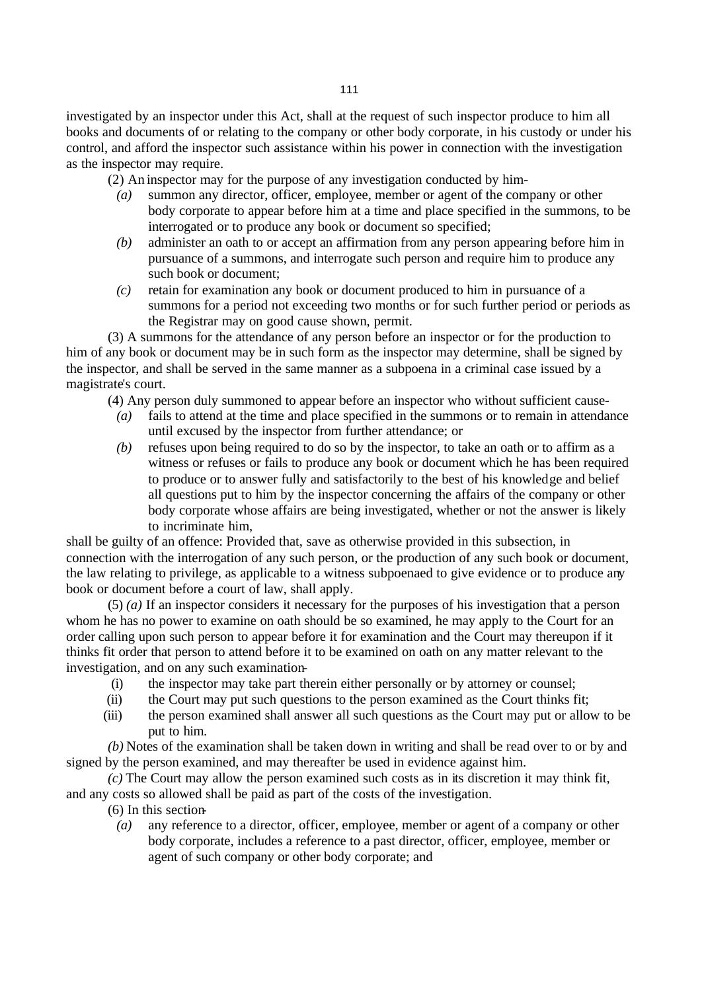investigated by an inspector under this Act, shall at the request of such inspector produce to him all books and documents of or relating to the company or other body corporate, in his custody or under his control, and afford the inspector such assistance within his power in connection with the investigation as the inspector may require.

(2) An inspector may for the purpose of any investigation conducted by him-

- *(a)* summon any director, officer, employee, member or agent of the company or other body corporate to appear before him at a time and place specified in the summons, to be interrogated or to produce any book or document so specified;
- *(b)* administer an oath to or accept an affirmation from any person appearing before him in pursuance of a summons, and interrogate such person and require him to produce any such book or document;
- *(c)* retain for examination any book or document produced to him in pursuance of a summons for a period not exceeding two months or for such further period or periods as the Registrar may on good cause shown, permit.

(3) A summons for the attendance of any person before an inspector or for the production to him of any book or document may be in such form as the inspector may determine, shall be signed by the inspector, and shall be served in the same manner as a subpoena in a criminal case issued by a magistrate's court.

(4) Any person duly summoned to appear before an inspector who without sufficient cause-

- *(a)* fails to attend at the time and place specified in the summons or to remain in attendance until excused by the inspector from further attendance; or
- *(b)* refuses upon being required to do so by the inspector, to take an oath or to affirm as a witness or refuses or fails to produce any book or document which he has been required to produce or to answer fully and satisfactorily to the best of his knowledge and belief all questions put to him by the inspector concerning the affairs of the company or other body corporate whose affairs are being investigated, whether or not the answer is likely to incriminate him,

shall be guilty of an offence: Provided that, save as otherwise provided in this subsection, in connection with the interrogation of any such person, or the production of any such book or document, the law relating to privilege, as applicable to a witness subpoenaed to give evidence or to produce any book or document before a court of law, shall apply.

(5) *(a)* If an inspector considers it necessary for the purposes of his investigation that a person whom he has no power to examine on oath should be so examined, he may apply to the Court for an order calling upon such person to appear before it for examination and the Court may thereupon if it thinks fit order that person to attend before it to be examined on oath on any matter relevant to the investigation, and on any such examination-

- (i) the inspector may take part therein either personally or by attorney or counsel;
- (ii) the Court may put such questions to the person examined as the Court thinks fit;
- (iii) the person examined shall answer all such questions as the Court may put or allow to be put to him.

*(b)* Notes of the examination shall be taken down in writing and shall be read over to or by and signed by the person examined, and may thereafter be used in evidence against him.

*(c)* The Court may allow the person examined such costs as in its discretion it may think fit, and any costs so allowed shall be paid as part of the costs of the investigation.

(6) In this section-

*(a)* any reference to a director, officer, employee, member or agent of a company or other body corporate, includes a reference to a past director, officer, employee, member or agent of such company or other body corporate; and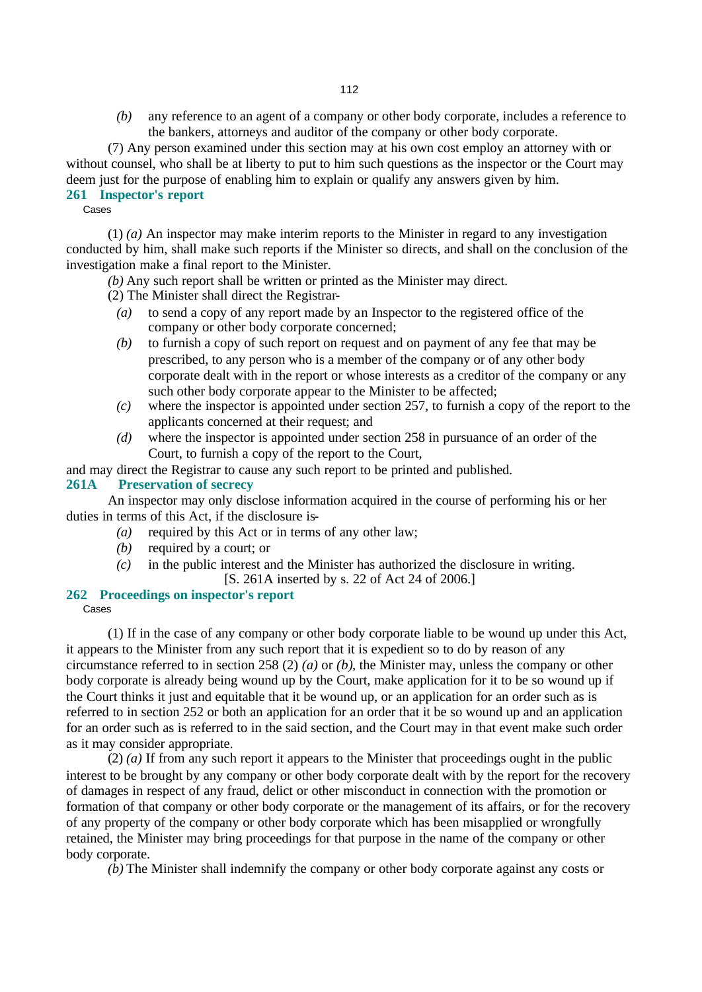*(b)* any reference to an agent of a company or other body corporate, includes a reference to the bankers, attorneys and auditor of the company or other body corporate.

(7) Any person examined under this section may at his own cost employ an attorney with or without counsel, who shall be at liberty to put to him such questions as the inspector or the Court may deem just for the purpose of enabling him to explain or qualify any answers given by him. **261 Inspector's report**

Cases

(1) *(a)* An inspector may make interim reports to the Minister in regard to any investigation conducted by him, shall make such reports if the Minister so directs, and shall on the conclusion of the investigation make a final report to the Minister.

*(b)* Any such report shall be written or printed as the Minister may direct.

(2) The Minister shall direct the Registrar-

- *(a)* to send a copy of any report made by an Inspector to the registered office of the company or other body corporate concerned;
- *(b)* to furnish a copy of such report on request and on payment of any fee that may be prescribed, to any person who is a member of the company or of any other body corporate dealt with in the report or whose interests as a creditor of the company or any such other body corporate appear to the Minister to be affected;
- *(c)* where the inspector is appointed under section 257, to furnish a copy of the report to the applicants concerned at their request; and
- *(d)* where the inspector is appointed under section 258 in pursuance of an order of the Court, to furnish a copy of the report to the Court,

and may direct the Registrar to cause any such report to be printed and published.

# **261A Preservation of secrecy**

An inspector may only disclose information acquired in the course of performing his or her duties in terms of this Act, if the disclosure is-

- *(a)* required by this Act or in terms of any other law;
	- *(b)* required by a court; or
	- *(c)* in the public interest and the Minister has authorized the disclosure in writing. [S. 261A inserted by s. 22 of Act 24 of 2006.]

#### **262 Proceedings on inspector's report**

Cases

(1) If in the case of any company or other body corporate liable to be wound up under this Act, it appears to the Minister from any such report that it is expedient so to do by reason of any circumstance referred to in section 258 (2) *(a)* or *(b)*, the Minister may, unless the company or other body corporate is already being wound up by the Court, make application for it to be so wound up if the Court thinks it just and equitable that it be wound up, or an application for an order such as is referred to in section 252 or both an application for an order that it be so wound up and an application for an order such as is referred to in the said section, and the Court may in that event make such order as it may consider appropriate.

(2) *(a)* If from any such report it appears to the Minister that proceedings ought in the public interest to be brought by any company or other body corporate dealt with by the report for the recovery of damages in respect of any fraud, delict or other misconduct in connection with the promotion or formation of that company or other body corporate or the management of its affairs, or for the recovery of any property of the company or other body corporate which has been misapplied or wrongfully retained, the Minister may bring proceedings for that purpose in the name of the company or other body corporate.

*(b)* The Minister shall indemnify the company or other body corporate against any costs or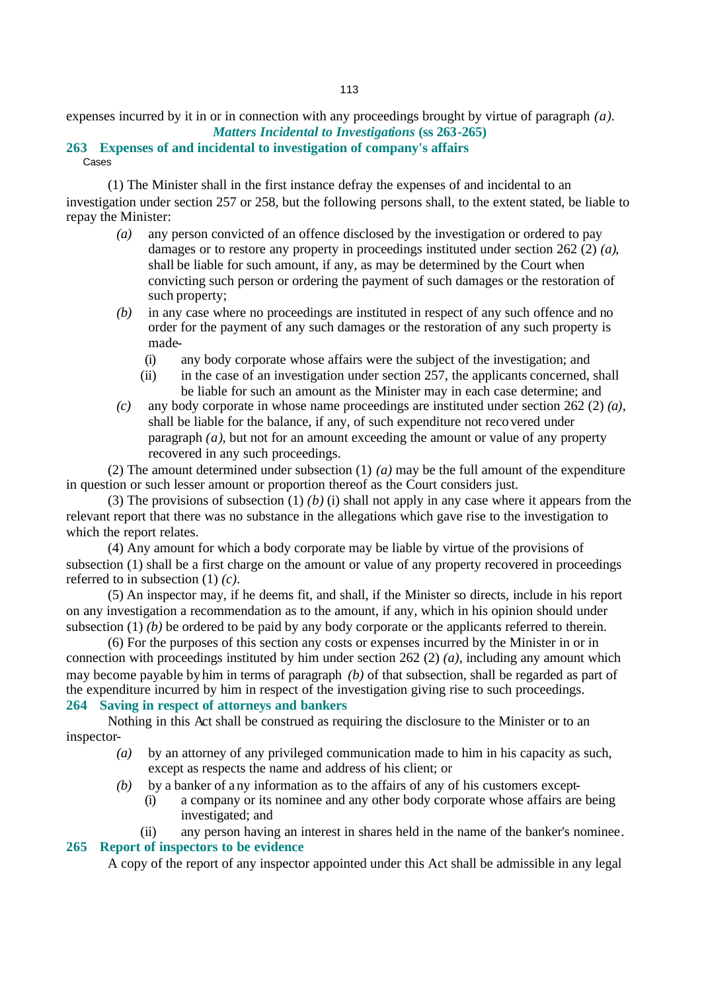# expenses incurred by it in or in connection with any proceedings brought by virtue of paragraph *(a)*.

*Matters Incidental to Investigations* **(ss 263-265)**

**263 Expenses of and incidental to investigation of company's affairs** Cases

(1) The Minister shall in the first instance defray the expenses of and incidental to an investigation under section 257 or 258, but the following persons shall, to the extent stated, be liable to repay the Minister:

- *(a)* any person convicted of an offence disclosed by the investigation or ordered to pay damages or to restore any property in proceedings instituted under section 262 (2) *(a)*, shall be liable for such amount, if any, as may be determined by the Court when convicting such person or ordering the payment of such damages or the restoration of such property;
- *(b)* in any case where no proceedings are instituted in respect of any such offence and no order for the payment of any such damages or the restoration of any such property is made-
	- (i) any body corporate whose affairs were the subject of the investigation; and
	- (ii) in the case of an investigation under section 257, the applicants concerned, shall be liable for such an amount as the Minister may in each case determine; and
- *(c)* any body corporate in whose name proceedings are instituted under section 262 (2) *(a)*, shall be liable for the balance, if any, of such expenditure not recovered under paragraph *(a)*, but not for an amount exceeding the amount or value of any property recovered in any such proceedings.

(2) The amount determined under subsection (1) *(a)* may be the full amount of the expenditure in question or such lesser amount or proportion thereof as the Court considers just.

(3) The provisions of subsection (1) *(b)* (i) shall not apply in any case where it appears from the relevant report that there was no substance in the allegations which gave rise to the investigation to which the report relates.

(4) Any amount for which a body corporate may be liable by virtue of the provisions of subsection (1) shall be a first charge on the amount or value of any property recovered in proceedings referred to in subsection (1) *(c)*.

(5) An inspector may, if he deems fit, and shall, if the Minister so directs, include in his report on any investigation a recommendation as to the amount, if any, which in his opinion should under subsection (1) *(b)* be ordered to be paid by any body corporate or the applicants referred to therein.

(6) For the purposes of this section any costs or expenses incurred by the Minister in or in connection with proceedings instituted by him under section 262 (2) *(a)*, including any amount which may become payable by him in terms of paragraph *(b)* of that subsection, shall be regarded as part of the expenditure incurred by him in respect of the investigation giving rise to such proceedings. **264 Saving in respect of attorneys and bankers**

Nothing in this Act shall be construed as requiring the disclosure to the Minister or to an inspector-

- *(a)* by an attorney of any privileged communication made to him in his capacity as such, except as respects the name and address of his client; or
- *(b)* by a banker of a ny information as to the affairs of any of his customers except-
	- (i) a company or its nominee and any other body corporate whose affairs are being investigated; and
	- (ii) any person having an interest in shares held in the name of the banker's nominee.

# **265 Report of inspectors to be evidence**

A copy of the report of any inspector appointed under this Act shall be admissible in any legal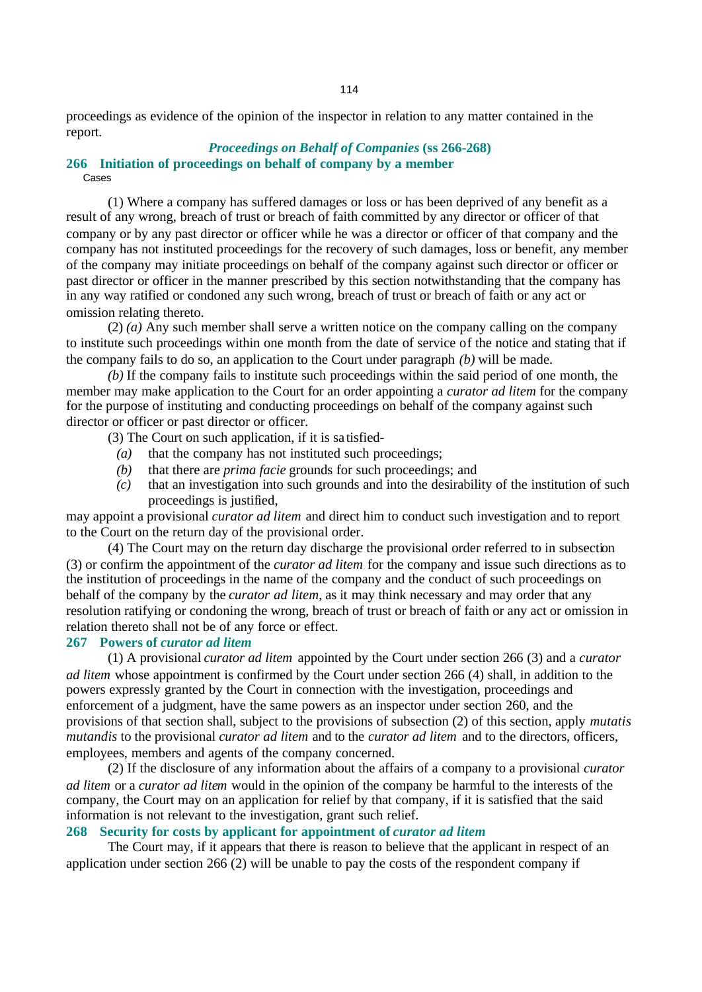proceedings as evidence of the opinion of the inspector in relation to any matter contained in the report.

#### *Proceedings on Behalf of Companies* **(ss 266-268) 266 Initiation of proceedings on behalf of company by a member** Cases

(1) Where a company has suffered damages or loss or has been deprived of any benefit as a result of any wrong, breach of trust or breach of faith committed by any director or officer of that company or by any past director or officer while he was a director or officer of that company and the company has not instituted proceedings for the recovery of such damages, loss or benefit, any member of the company may initiate proceedings on behalf of the company against such director or officer or past director or officer in the manner prescribed by this section notwithstanding that the company has in any way ratified or condoned any such wrong, breach of trust or breach of faith or any act or omission relating thereto.

(2) *(a)* Any such member shall serve a written notice on the company calling on the company to institute such proceedings within one month from the date of service of the notice and stating that if the company fails to do so, an application to the Court under paragraph *(b)* will be made.

*(b)* If the company fails to institute such proceedings within the said period of one month, the member may make application to the Court for an order appointing a *curator ad litem* for the company for the purpose of instituting and conducting proceedings on behalf of the company against such director or officer or past director or officer.

(3) The Court on such application, if it is sa tisfied-

- *(a)* that the company has not instituted such proceedings;
- *(b)* that there are *prima facie* grounds for such proceedings; and
- *(c)* that an investigation into such grounds and into the desirability of the institution of such proceedings is justified,

may appoint a provisional *curator ad litem* and direct him to conduct such investigation and to report to the Court on the return day of the provisional order.

(4) The Court may on the return day discharge the provisional order referred to in subsection (3) or confirm the appointment of the *curator ad litem* for the company and issue such directions as to the institution of proceedings in the name of the company and the conduct of such proceedings on behalf of the company by the *curator ad litem*, as it may think necessary and may order that any resolution ratifying or condoning the wrong, breach of trust or breach of faith or any act or omission in relation thereto shall not be of any force or effect.

#### **267 Powers of** *curator ad litem*

(1) A provisional *curator ad litem* appointed by the Court under section 266 (3) and a *curator ad litem* whose appointment is confirmed by the Court under section 266 (4) shall, in addition to the powers expressly granted by the Court in connection with the investigation, proceedings and enforcement of a judgment, have the same powers as an inspector under section 260, and the provisions of that section shall, subject to the provisions of subsection (2) of this section, apply *mutatis mutandis* to the provisional *curator ad litem* and to the *curator ad litem* and to the directors, officers, employees, members and agents of the company concerned.

(2) If the disclosure of any information about the affairs of a company to a provisional *curator ad litem* or a *curator ad litem* would in the opinion of the company be harmful to the interests of the company, the Court may on an application for relief by that company, if it is satisfied that the said information is not relevant to the investigation, grant such relief.

# **268 Security for costs by applicant for appointment of** *curator ad litem*

The Court may, if it appears that there is reason to believe that the applicant in respect of an application under section 266 (2) will be unable to pay the costs of the respondent company if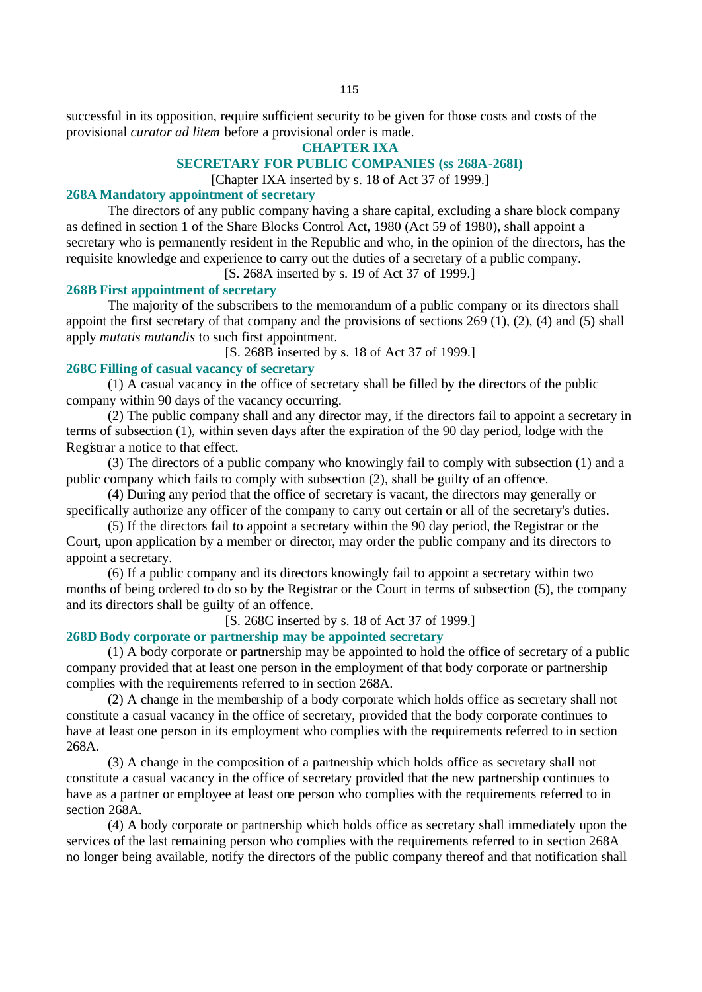successful in its opposition, require sufficient security to be given for those costs and costs of the provisional *curator ad litem* before a provisional order is made.

# **CHAPTER IXA**

# **SECRETARY FOR PUBLIC COMPANIES (ss 268A-268I)**

[Chapter IXA inserted by s. 18 of Act 37 of 1999.]

#### **268A Mandatory appointment of secretary**

The directors of any public company having a share capital, excluding a share block company as defined in section 1 of the Share Blocks Control Act, 1980 (Act 59 of 1980), shall appoint a secretary who is permanently resident in the Republic and who, in the opinion of the directors, has the requisite knowledge and experience to carry out the duties of a secretary of a public company.

[S. 268A inserted by s. 19 of Act 37 of 1999.]

## **268B First appointment of secretary**

The majority of the subscribers to the memorandum of a public company or its directors shall appoint the first secretary of that company and the provisions of sections 269 (1), (2), (4) and (5) shall apply *mutatis mutandis* to such first appointment.

[S. 268B inserted by s. 18 of Act 37 of 1999.]

# **268C Filling of casual vacancy of secretary**

(1) A casual vacancy in the office of secretary shall be filled by the directors of the public company within 90 days of the vacancy occurring.

(2) The public company shall and any director may, if the directors fail to appoint a secretary in terms of subsection (1), within seven days after the expiration of the 90 day period, lodge with the Registrar a notice to that effect.

(3) The directors of a public company who knowingly fail to comply with subsection (1) and a public company which fails to comply with subsection (2), shall be guilty of an offence.

(4) During any period that the office of secretary is vacant, the directors may generally or specifically authorize any officer of the company to carry out certain or all of the secretary's duties.

(5) If the directors fail to appoint a secretary within the 90 day period, the Registrar or the Court, upon application by a member or director, may order the public company and its directors to appoint a secretary.

(6) If a public company and its directors knowingly fail to appoint a secretary within two months of being ordered to do so by the Registrar or the Court in terms of subsection (5), the company and its directors shall be guilty of an offence.

[S. 268C inserted by s. 18 of Act 37 of 1999.]

#### **268D Body corporate or partnership may be appointed secretary**

(1) A body corporate or partnership may be appointed to hold the office of secretary of a public company provided that at least one person in the employment of that body corporate or partnership complies with the requirements referred to in section 268A.

(2) A change in the membership of a body corporate which holds office as secretary shall not constitute a casual vacancy in the office of secretary, provided that the body corporate continues to have at least one person in its employment who complies with the requirements referred to in section 268A.

(3) A change in the composition of a partnership which holds office as secretary shall not constitute a casual vacancy in the office of secretary provided that the new partnership continues to have as a partner or employee at least one person who complies with the requirements referred to in section 268A.

(4) A body corporate or partnership which holds office as secretary shall immediately upon the services of the last remaining person who complies with the requirements referred to in section 268A no longer being available, notify the directors of the public company thereof and that notification shall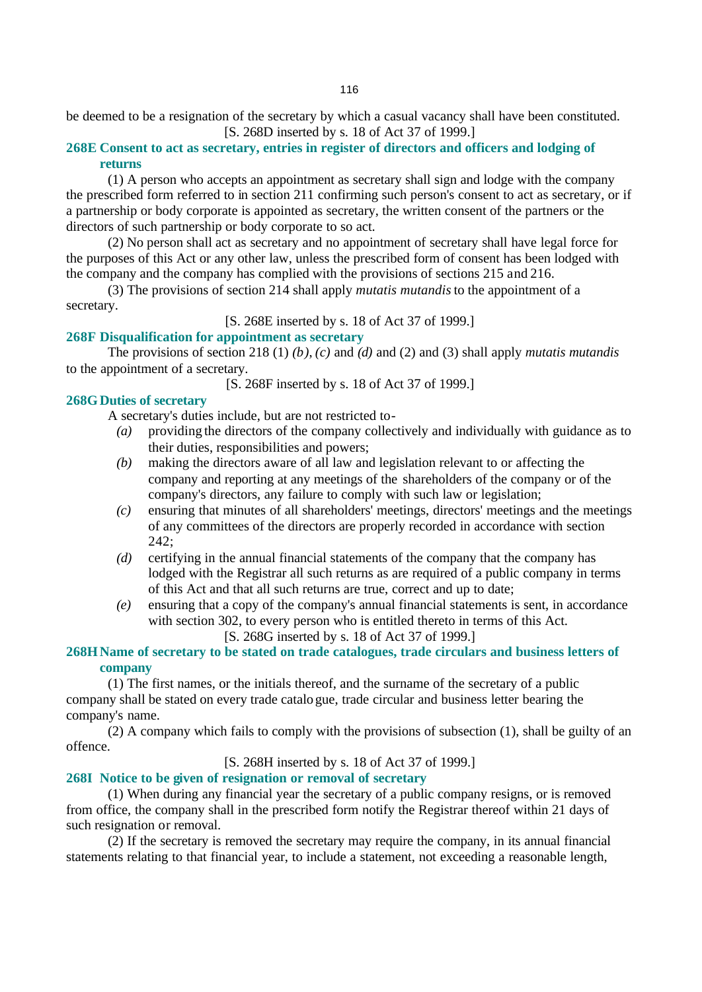be deemed to be a resignation of the secretary by which a casual vacancy shall have been constituted. [S. 268D inserted by s. 18 of Act 37 of 1999.]

# **268E Consent to act as secretary, entries in register of directors and officers and lodging of returns**

(1) A person who accepts an appointment as secretary shall sign and lodge with the company the prescribed form referred to in section 211 confirming such person's consent to act as secretary, or if a partnership or body corporate is appointed as secretary, the written consent of the partners or the directors of such partnership or body corporate to so act.

(2) No person shall act as secretary and no appointment of secretary shall have legal force for the purposes of this Act or any other law, unless the prescribed form of consent has been lodged with the company and the company has complied with the provisions of sections 215 and 216.

(3) The provisions of section 214 shall apply *mutatis mutandis* to the appointment of a secretary.

[S. 268E inserted by s. 18 of Act 37 of 1999.]

# **268F Disqualification for appointment as secretary**

The provisions of section 218 (1) *(b)*, *(c)* and *(d)* and (2) and (3) shall apply *mutatis mutandis* to the appointment of a secretary.

[S. 268F inserted by s. 18 of Act 37 of 1999.]

# **268GDuties of secretary**

A secretary's duties include, but are not restricted to-

- *(a)* providing the directors of the company collectively and individually with guidance as to their duties, responsibilities and powers;
- *(b)* making the directors aware of all law and legislation relevant to or affecting the company and reporting at any meetings of the shareholders of the company or of the company's directors, any failure to comply with such law or legislation;
- *(c)* ensuring that minutes of all shareholders' meetings, directors' meetings and the meetings of any committees of the directors are properly recorded in accordance with section 242;
- *(d)* certifying in the annual financial statements of the company that the company has lodged with the Registrar all such returns as are required of a public company in terms of this Act and that all such returns are true, correct and up to date;
- *(e)* ensuring that a copy of the company's annual financial statements is sent, in accordance with section 302, to every person who is entitled thereto in terms of this Act.

[S. 268G inserted by s. 18 of Act 37 of 1999.]

# **268HName of secretary to be stated on trade catalogues, trade circulars and business letters of company**

(1) The first names, or the initials thereof, and the surname of the secretary of a public company shall be stated on every trade catalo gue, trade circular and business letter bearing the company's name.

(2) A company which fails to comply with the provisions of subsection (1), shall be guilty of an offence.

# [S. 268H inserted by s. 18 of Act 37 of 1999.]

# **268I Notice to be given of resignation or removal of secretary**

(1) When during any financial year the secretary of a public company resigns, or is removed from office, the company shall in the prescribed form notify the Registrar thereof within 21 days of such resignation or removal.

(2) If the secretary is removed the secretary may require the company, in its annual financial statements relating to that financial year, to include a statement, not exceeding a reasonable length,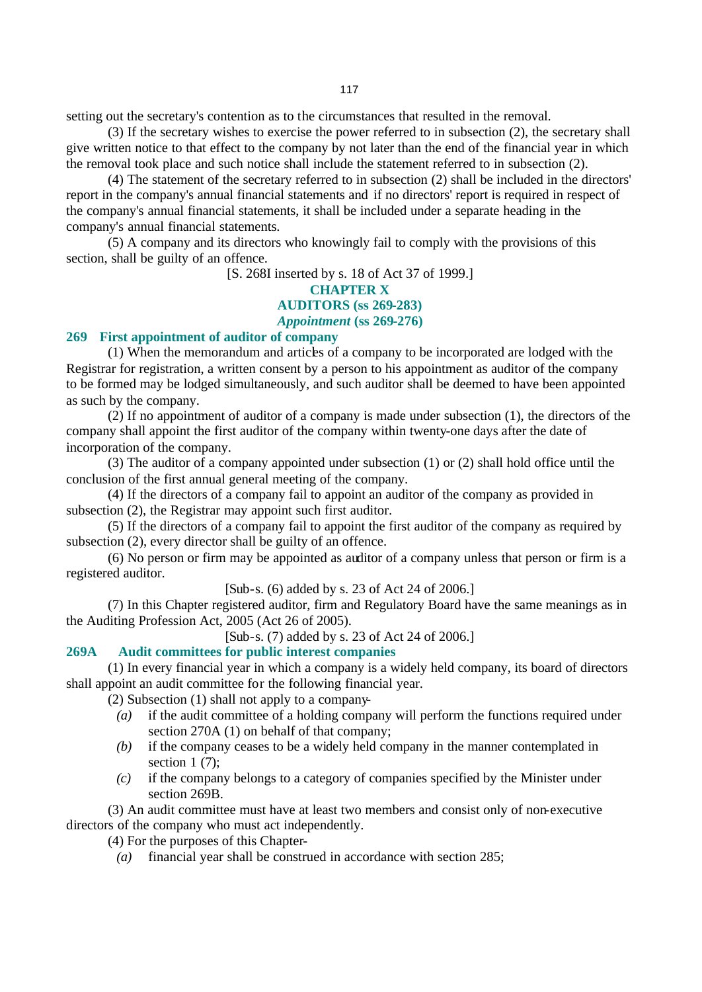setting out the secretary's contention as to the circumstances that resulted in the removal.

(3) If the secretary wishes to exercise the power referred to in subsection (2), the secretary shall give written notice to that effect to the company by not later than the end of the financial year in which the removal took place and such notice shall include the statement referred to in subsection (2).

(4) The statement of the secretary referred to in subsection (2) shall be included in the directors' report in the company's annual financial statements and if no directors' report is required in respect of the company's annual financial statements, it shall be included under a separate heading in the company's annual financial statements.

(5) A company and its directors who knowingly fail to comply with the provisions of this section, shall be guilty of an offence.

[S. 268I inserted by s. 18 of Act 37 of 1999.]

#### **CHAPTER X AUDITORS (ss 269-283)** *Appointment* **(ss 269-276)**

#### **269 First appointment of auditor of company**

(1) When the memorandum and articles of a company to be incorporated are lodged with the Registrar for registration, a written consent by a person to his appointment as auditor of the company to be formed may be lodged simultaneously, and such auditor shall be deemed to have been appointed as such by the company.

(2) If no appointment of auditor of a company is made under subsection (1), the directors of the company shall appoint the first auditor of the company within twenty-one days after the date of incorporation of the company.

(3) The auditor of a company appointed under subsection (1) or (2) shall hold office until the conclusion of the first annual general meeting of the company.

(4) If the directors of a company fail to appoint an auditor of the company as provided in subsection (2), the Registrar may appoint such first auditor.

(5) If the directors of a company fail to appoint the first auditor of the company as required by subsection (2), every director shall be guilty of an offence.

(6) No person or firm may be appointed as auditor of a company unless that person or firm is a registered auditor.

[Sub-s. (6) added by s. 23 of Act 24 of 2006.]

(7) In this Chapter registered auditor, firm and Regulatory Board have the same meanings as in the Auditing Profession Act, 2005 (Act 26 of 2005).

[Sub-s. (7) added by s. 23 of Act 24 of 2006.]

#### **269A Audit committees for public interest companies**

(1) In every financial year in which a company is a widely held company, its board of directors shall appoint an audit committee for the following financial year.

(2) Subsection (1) shall not apply to a company-

- *(a)* if the audit committee of a holding company will perform the functions required under section 270A (1) on behalf of that company:
- *(b)* if the company ceases to be a widely held company in the manner contemplated in section 1 (7);
- *(c)* if the company belongs to a category of companies specified by the Minister under section 269B.

(3) An audit committee must have at least two members and consist only of non-executive directors of the company who must act independently.

(4) For the purposes of this Chapter-

*(a)* financial year shall be construed in accordance with section 285;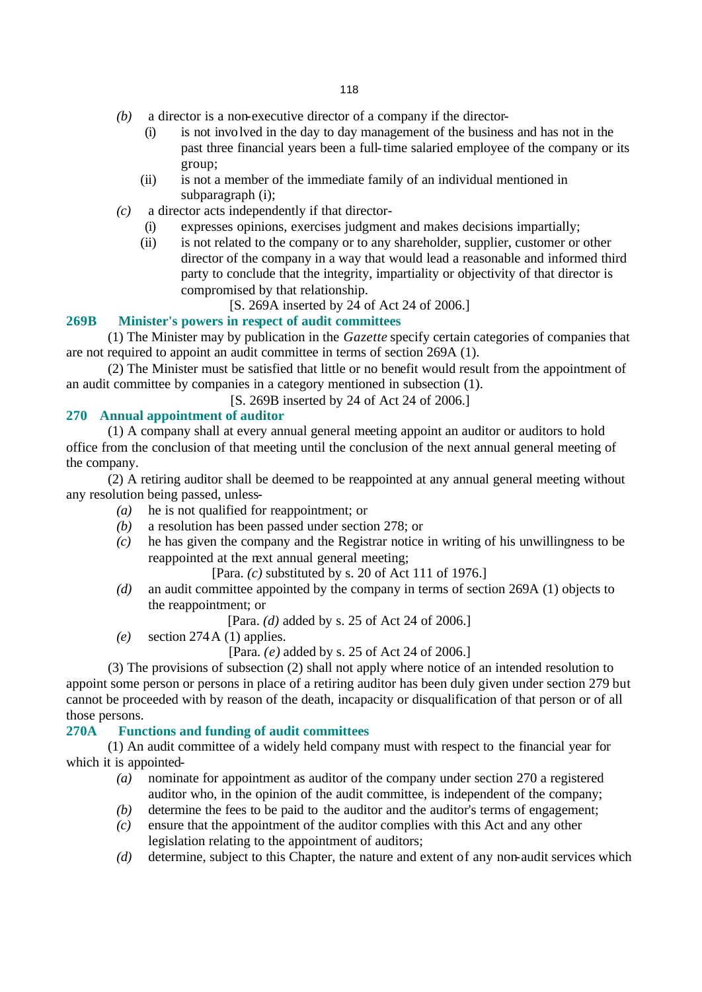- *(b)* a director is a non-executive director of a company if the director-
	- (i) is not involved in the day to day management of the business and has not in the past three financial years been a full-time salaried employee of the company or its group;
	- (ii) is not a member of the immediate family of an individual mentioned in subparagraph (i);
- *(c)* a director acts independently if that director-
	- (i) expresses opinions, exercises judgment and makes decisions impartially;
	- (ii) is not related to the company or to any shareholder, supplier, customer or other director of the company in a way that would lead a reasonable and informed third party to conclude that the integrity, impartiality or objectivity of that director is compromised by that relationship.
		- [S. 269A inserted by 24 of Act 24 of 2006.]

#### **269B Minister's powers in respect of audit committees**

(1) The Minister may by publication in the *Gazette* specify certain categories of companies that are not required to appoint an audit committee in terms of section 269A (1).

(2) The Minister must be satisfied that little or no benefit would result from the appointment of an audit committee by companies in a category mentioned in subsection (1).

[S. 269B inserted by 24 of Act 24 of 2006.]

# **270 Annual appointment of auditor**

(1) A company shall at every annual general meeting appoint an auditor or auditors to hold office from the conclusion of that meeting until the conclusion of the next annual general meeting of the company.

(2) A retiring auditor shall be deemed to be reappointed at any annual general meeting without any resolution being passed, unless-

- *(a)* he is not qualified for reappointment; or
- *(b)* a resolution has been passed under section 278; or
- *(c)* he has given the company and the Registrar notice in writing of his unwillingness to be reappointed at the next annual general meeting;

[Para. *(c)* substituted by s. 20 of Act 111 of 1976.]

*(d)* an audit committee appointed by the company in terms of section 269A (1) objects to the reappointment; or

[Para. *(d)* added by s. 25 of Act 24 of 2006.]

*(e)* section 274A (1) applies.

[Para. *(e)* added by s. 25 of Act 24 of 2006.]

(3) The provisions of subsection (2) shall not apply where notice of an intended resolution to appoint some person or persons in place of a retiring auditor has been duly given under section 279 but cannot be proceeded with by reason of the death, incapacity or disqualification of that person or of all those persons.

# **270A Functions and funding of audit committees**

(1) An audit committee of a widely held company must with respect to the financial year for which it is appointed-

- *(a)* nominate for appointment as auditor of the company under section 270 a registered auditor who, in the opinion of the audit committee, is independent of the company;
- *(b)* determine the fees to be paid to the auditor and the auditor's terms of engagement;
- *(c)* ensure that the appointment of the auditor complies with this Act and any other legislation relating to the appointment of auditors;
- *(d)* determine, subject to this Chapter, the nature and extent of any non-audit services which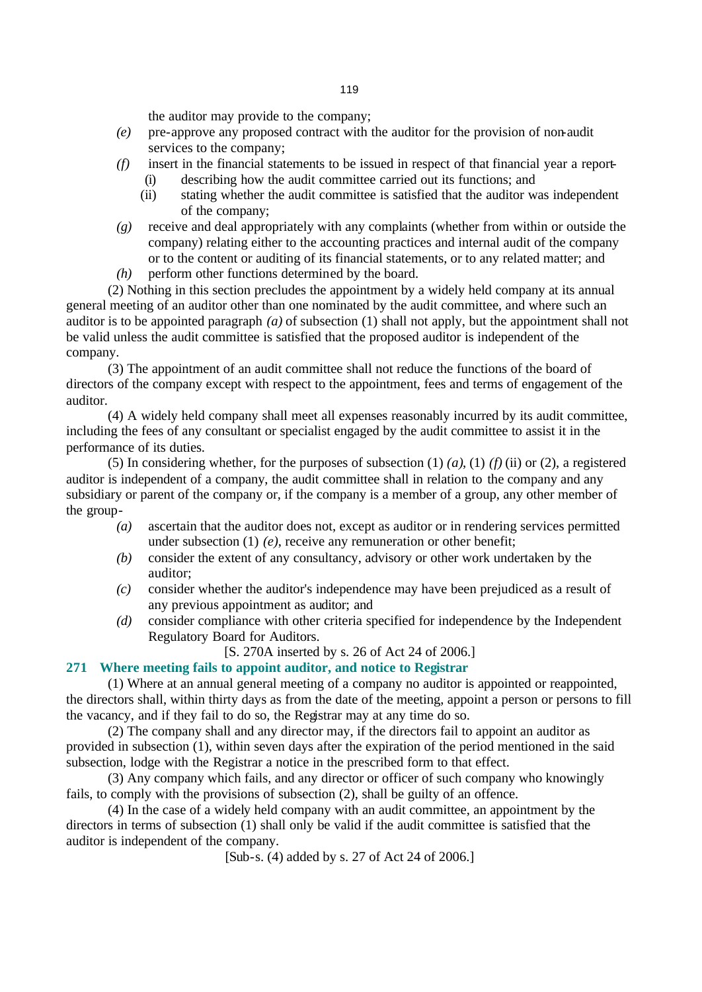the auditor may provide to the company;

- *(e)* pre-approve any proposed contract with the auditor for the provision of non-audit services to the company;
- *(f)* insert in the financial statements to be issued in respect of that financial year a report- (i) describing how the audit committee carried out its functions; and
	- (ii) stating whether the audit committee is satisfied that the auditor was independent of the company;
- *(g)* receive and deal appropriately with any complaints (whether from within or outside the company) relating either to the accounting practices and internal audit of the company or to the content or auditing of its financial statements, or to any related matter; and
- *(h)* perform other functions determined by the board.

(2) Nothing in this section precludes the appointment by a widely held company at its annual general meeting of an auditor other than one nominated by the audit committee, and where such an auditor is to be appointed paragraph *(a)* of subsection (1) shall not apply, but the appointment shall not be valid unless the audit committee is satisfied that the proposed auditor is independent of the company.

(3) The appointment of an audit committee shall not reduce the functions of the board of directors of the company except with respect to the appointment, fees and terms of engagement of the auditor.

(4) A widely held company shall meet all expenses reasonably incurred by its audit committee, including the fees of any consultant or specialist engaged by the audit committee to assist it in the performance of its duties.

(5) In considering whether, for the purposes of subsection (1) *(a)*, (1) *(f)* (ii) or (2), a registered auditor is independent of a company, the audit committee shall in relation to the company and any subsidiary or parent of the company or, if the company is a member of a group, any other member of the group-

- *(a)* ascertain that the auditor does not, except as auditor or in rendering services permitted under subsection (1) *(e)*, receive any remuneration or other benefit;
- *(b)* consider the extent of any consultancy, advisory or other work undertaken by the auditor;
- *(c)* consider whether the auditor's independence may have been prejudiced as a result of any previous appointment as auditor; and
- *(d)* consider compliance with other criteria specified for independence by the Independent Regulatory Board for Auditors.
	- [S. 270A inserted by s. 26 of Act 24 of 2006.]

#### **271 Where meeting fails to appoint auditor, and notice to Registrar**

(1) Where at an annual general meeting of a company no auditor is appointed or reappointed, the directors shall, within thirty days as from the date of the meeting, appoint a person or persons to fill the vacancy, and if they fail to do so, the Registrar may at any time do so.

(2) The company shall and any director may, if the directors fail to appoint an auditor as provided in subsection (1), within seven days after the expiration of the period mentioned in the said subsection, lodge with the Registrar a notice in the prescribed form to that effect.

(3) Any company which fails, and any director or officer of such company who knowingly fails, to comply with the provisions of subsection (2), shall be guilty of an offence.

(4) In the case of a widely held company with an audit committee, an appointment by the directors in terms of subsection (1) shall only be valid if the audit committee is satisfied that the auditor is independent of the company.

[Sub-s. (4) added by s. 27 of Act 24 of 2006.]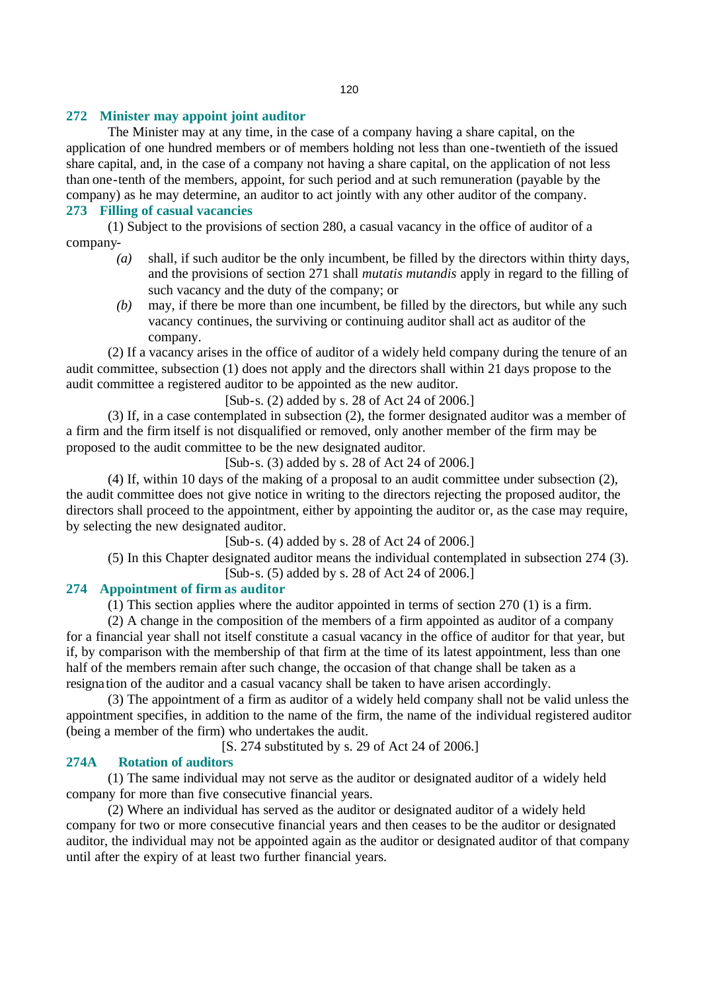#### **272 Minister may appoint joint auditor**

The Minister may at any time, in the case of a company having a share capital, on the application of one hundred members or of members holding not less than one-twentieth of the issued share capital, and, in the case of a company not having a share capital, on the application of not less than one-tenth of the members, appoint, for such period and at such remuneration (payable by the company) as he may determine, an auditor to act jointly with any other auditor of the company. **273 Filling of casual vacancies**

(1) Subject to the provisions of section 280, a casual vacancy in the office of auditor of a company-

- *(a)* shall, if such auditor be the only incumbent, be filled by the directors within thirty days, and the provisions of section 271 shall *mutatis mutandis* apply in regard to the filling of such vacancy and the duty of the company; or
- *(b)* may, if there be more than one incumbent, be filled by the directors, but while any such vacancy continues, the surviving or continuing auditor shall act as auditor of the company.

(2) If a vacancy arises in the office of auditor of a widely held company during the tenure of an audit committee, subsection (1) does not apply and the directors shall within 21 days propose to the audit committee a registered auditor to be appointed as the new auditor.

[Sub-s. (2) added by s. 28 of Act 24 of 2006.]

(3) If, in a case contemplated in subsection (2), the former designated auditor was a member of a firm and the firm itself is not disqualified or removed, only another member of the firm may be proposed to the audit committee to be the new designated auditor.

[Sub-s. (3) added by s. 28 of Act 24 of 2006.]

(4) If, within 10 days of the making of a proposal to an audit committee under subsection (2), the audit committee does not give notice in writing to the directors rejecting the proposed auditor, the directors shall proceed to the appointment, either by appointing the auditor or, as the case may require, by selecting the new designated auditor.

[Sub-s. (4) added by s. 28 of Act 24 of 2006.]

(5) In this Chapter designated auditor means the individual contemplated in subsection 274 (3).  $[Sub-s. (5)$  added by s. 28 of Act 24 of 2006.

# **274 Appointment of firm as auditor**

(1) This section applies where the auditor appointed in terms of section 270 (1) is a firm.

(2) A change in the composition of the members of a firm appointed as auditor of a company for a financial year shall not itself constitute a casual vacancy in the office of auditor for that year, but if, by comparison with the membership of that firm at the time of its latest appointment, less than one half of the members remain after such change, the occasion of that change shall be taken as a resigna tion of the auditor and a casual vacancy shall be taken to have arisen accordingly.

(3) The appointment of a firm as auditor of a widely held company shall not be valid unless the appointment specifies, in addition to the name of the firm, the name of the individual registered auditor (being a member of the firm) who undertakes the audit.

[S. 274 substituted by s. 29 of Act 24 of 2006.]

# **274A Rotation of auditors**

(1) The same individual may not serve as the auditor or designated auditor of a widely held company for more than five consecutive financial years.

(2) Where an individual has served as the auditor or designated auditor of a widely held company for two or more consecutive financial years and then ceases to be the auditor or designated auditor, the individual may not be appointed again as the auditor or designated auditor of that company until after the expiry of at least two further financial years.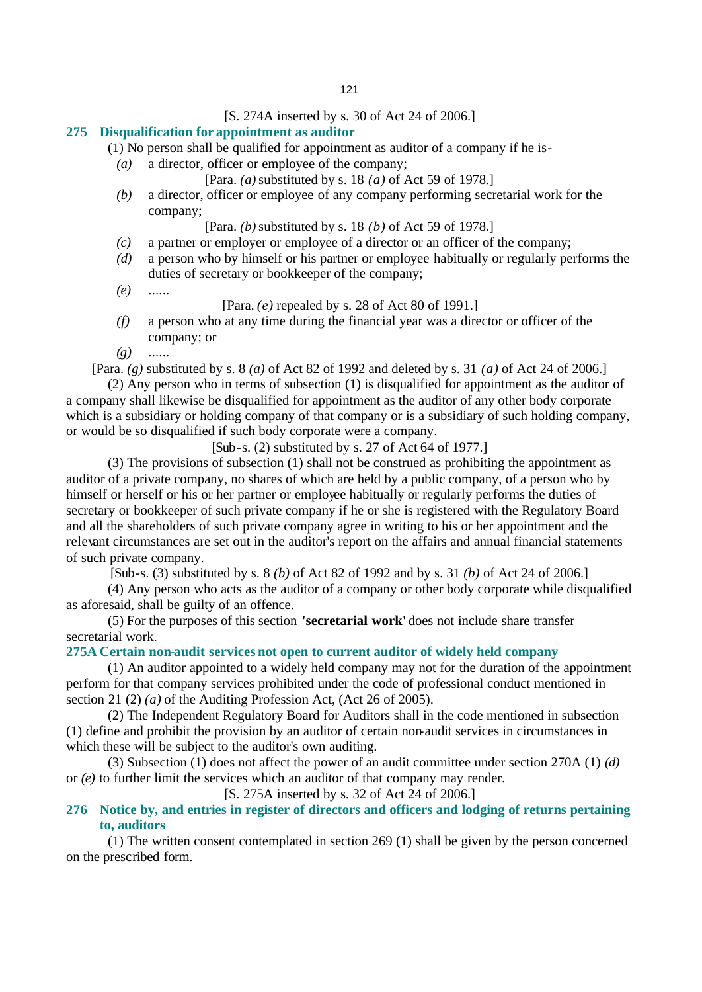#### [S. 274A inserted by s. 30 of Act 24 of 2006.]

#### **275 Disqualification for appointment as auditor**

(1) No person shall be qualified for appointment as auditor of a company if he is-

- *(a)* a director, officer or employee of the company;
	- [Para. *(a)* substituted by s. 18 *(a)* of Act 59 of 1978.]
- *(b)* a director, officer or employee of any company performing secretarial work for the company;

[Para. *(b)* substituted by s. 18 *(b)* of Act 59 of 1978.]

- *(c)* a partner or employer or employee of a director or an officer of the company;
- *(d)* a person who by himself or his partner or employee habitually or regularly performs the duties of secretary or bookkeeper of the company;
- *(e)* ......
- [Para. *(e)* repealed by s. 28 of Act 80 of 1991.]
- *(f)* a person who at any time during the financial year was a director or officer of the company; or

*(g)* ......

[Para. *(g)* substituted by s. 8 *(a)* of Act 82 of 1992 and deleted by s. 31 *(a)* of Act 24 of 2006.]

(2) Any person who in terms of subsection (1) is disqualified for appointment as the auditor of a company shall likewise be disqualified for appointment as the auditor of any other body corporate which is a subsidiary or holding company of that company or is a subsidiary of such holding company, or would be so disqualified if such body corporate were a company.

[Sub-s. (2) substituted by s. 27 of Act 64 of 1977.]

(3) The provisions of subsection (1) shall not be construed as prohibiting the appointment as auditor of a private company, no shares of which are held by a public company, of a person who by himself or herself or his or her partner or employee habitually or regularly performs the duties of secretary or bookkeeper of such private company if he or she is registered with the Regulatory Board and all the shareholders of such private company agree in writing to his or her appointment and the relevant circumstances are set out in the auditor's report on the affairs and annual financial statements of such private company.

[Sub-s. (3) substituted by s. 8 *(b)* of Act 82 of 1992 and by s. 31 *(b)* of Act 24 of 2006.]

(4) Any person who acts as the auditor of a company or other body corporate while disqualified as aforesaid, shall be guilty of an offence.

(5) For the purposes of this section **'secretarial work'** does not include share transfer secretarial work.

#### **275A Certain non-audit services not open to current auditor of widely held company**

(1) An auditor appointed to a widely held company may not for the duration of the appointment perform for that company services prohibited under the code of professional conduct mentioned in section 21 (2) *(a)* of the Auditing Profession Act, (Act 26 of 2005).

(2) The Independent Regulatory Board for Auditors shall in the code mentioned in subsection (1) define and prohibit the provision by an auditor of certain non-audit services in circumstances in which these will be subject to the auditor's own auditing.

(3) Subsection (1) does not affect the power of an audit committee under section 270A (1) *(d)* or *(e)* to further limit the services which an auditor of that company may render.

[S. 275A inserted by s. 32 of Act 24 of 2006.]

#### **276 Notice by, and entries in register of directors and officers and lodging of returns pertaining to, auditors**

(1) The written consent contemplated in section 269 (1) shall be given by the person concerned on the prescribed form.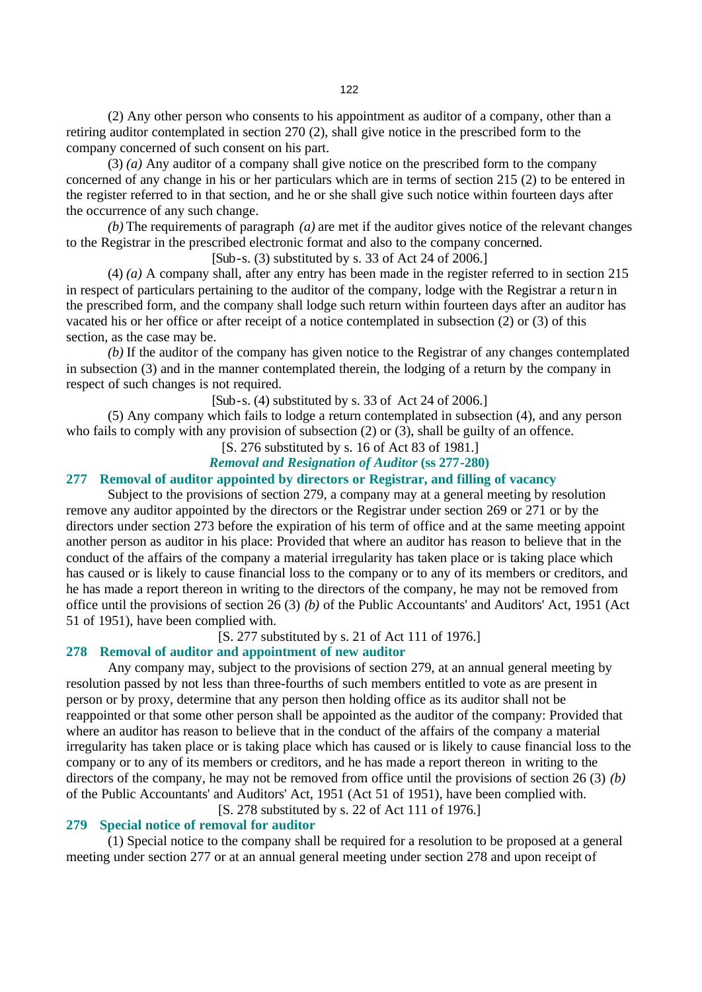(2) Any other person who consents to his appointment as auditor of a company, other than a retiring auditor contemplated in section 270 (2), shall give notice in the prescribed form to the company concerned of such consent on his part.

(3) *(a)* Any auditor of a company shall give notice on the prescribed form to the company concerned of any change in his or her particulars which are in terms of section 215 (2) to be entered in the register referred to in that section, and he or she shall give such notice within fourteen days after the occurrence of any such change.

*(b)* The requirements of paragraph *(a)* are met if the auditor gives notice of the relevant changes to the Registrar in the prescribed electronic format and also to the company concerned.

[Sub-s. (3) substituted by s. 33 of Act 24 of 2006.]

(4) *(a)* A company shall, after any entry has been made in the register referred to in section 215 in respect of particulars pertaining to the auditor of the company, lodge with the Registrar a retur n in the prescribed form, and the company shall lodge such return within fourteen days after an auditor has vacated his or her office or after receipt of a notice contemplated in subsection (2) or (3) of this section, as the case may be.

*(b)* If the auditor of the company has given notice to the Registrar of any changes contemplated in subsection (3) and in the manner contemplated therein, the lodging of a return by the company in respect of such changes is not required.

 $[Sub-s. (4)$  substituted by s. 33 of Act 24 of 2006.

(5) Any company which fails to lodge a return contemplated in subsection (4), and any person who fails to comply with any provision of subsection (2) or (3), shall be guilty of an offence.

[S. 276 substituted by s. 16 of Act 83 of 1981.]

#### *Removal and Resignation of Auditor* **(ss 277-280)**

#### **277 Removal of auditor appointed by directors or Registrar, and filling of vacancy**

Subject to the provisions of section 279, a company may at a general meeting by resolution remove any auditor appointed by the directors or the Registrar under section 269 or 271 or by the directors under section 273 before the expiration of his term of office and at the same meeting appoint another person as auditor in his place: Provided that where an auditor has reason to believe that in the conduct of the affairs of the company a material irregularity has taken place or is taking place which has caused or is likely to cause financial loss to the company or to any of its members or creditors, and he has made a report thereon in writing to the directors of the company, he may not be removed from office until the provisions of section 26 (3) *(b)* of the Public Accountants' and Auditors' Act, 1951 (Act 51 of 1951), have been complied with.

[S. 277 substituted by s. 21 of Act 111 of 1976.]

#### **278 Removal of auditor and appointment of new auditor**

Any company may, subject to the provisions of section 279, at an annual general meeting by resolution passed by not less than three-fourths of such members entitled to vote as are present in person or by proxy, determine that any person then holding office as its auditor shall not be reappointed or that some other person shall be appointed as the auditor of the company: Provided that where an auditor has reason to believe that in the conduct of the affairs of the company a material irregularity has taken place or is taking place which has caused or is likely to cause financial loss to the company or to any of its members or creditors, and he has made a report thereon in writing to the directors of the company, he may not be removed from office until the provisions of section 26 (3) *(b)* of the Public Accountants' and Auditors' Act, 1951 (Act 51 of 1951), have been complied with.

[S. 278 substituted by s. 22 of Act 111 of 1976.]

#### **279 Special notice of removal for auditor**

(1) Special notice to the company shall be required for a resolution to be proposed at a general meeting under section 277 or at an annual general meeting under section 278 and upon receipt of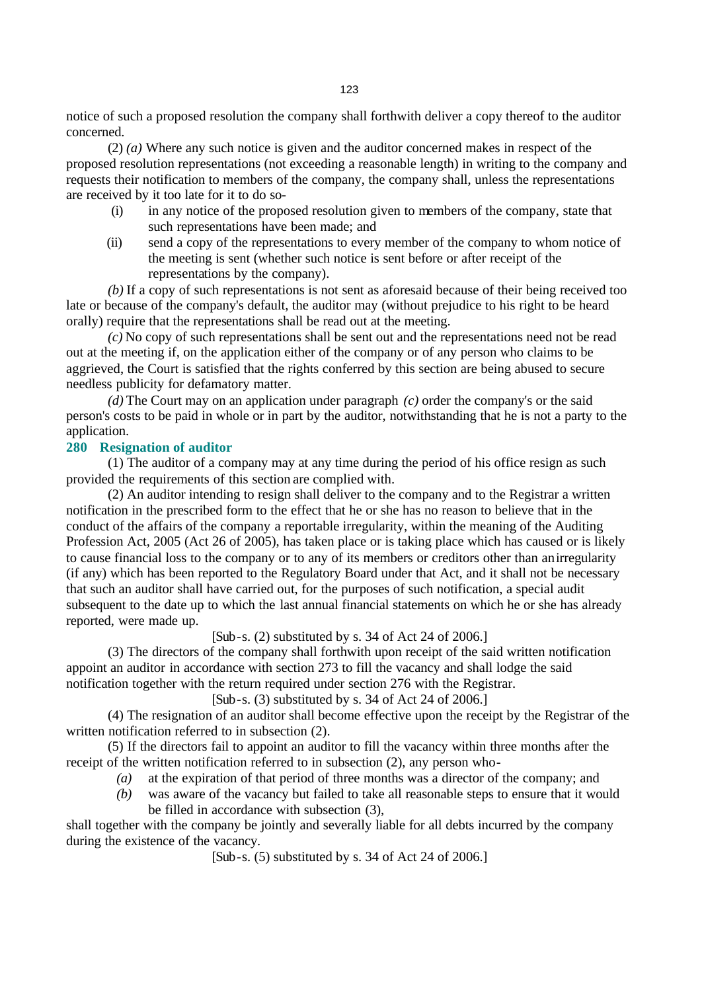notice of such a proposed resolution the company shall forthwith deliver a copy thereof to the auditor concerned.

(2) *(a)* Where any such notice is given and the auditor concerned makes in respect of the proposed resolution representations (not exceeding a reasonable length) in writing to the company and requests their notification to members of the company, the company shall, unless the representations are received by it too late for it to do so-

- (i) in any notice of the proposed resolution given to members of the company, state that such representations have been made; and
- (ii) send a copy of the representations to every member of the company to whom notice of the meeting is sent (whether such notice is sent before or after receipt of the representations by the company).

*(b)* If a copy of such representations is not sent as aforesaid because of their being received too late or because of the company's default, the auditor may (without prejudice to his right to be heard orally) require that the representations shall be read out at the meeting.

*(c)* No copy of such representations shall be sent out and the representations need not be read out at the meeting if, on the application either of the company or of any person who claims to be aggrieved, the Court is satisfied that the rights conferred by this section are being abused to secure needless publicity for defamatory matter.

*(d)* The Court may on an application under paragraph *(c)* order the company's or the said person's costs to be paid in whole or in part by the auditor, notwithstanding that he is not a party to the application.

#### **280 Resignation of auditor**

(1) The auditor of a company may at any time during the period of his office resign as such provided the requirements of this section are complied with.

(2) An auditor intending to resign shall deliver to the company and to the Registrar a written notification in the prescribed form to the effect that he or she has no reason to believe that in the conduct of the affairs of the company a reportable irregularity, within the meaning of the Auditing Profession Act, 2005 (Act 26 of 2005), has taken place or is taking place which has caused or is likely to cause financial loss to the company or to any of its members or creditors other than an irregularity (if any) which has been reported to the Regulatory Board under that Act, and it shall not be necessary that such an auditor shall have carried out, for the purposes of such notification, a special audit subsequent to the date up to which the last annual financial statements on which he or she has already reported, were made up.

 $[Sub-s. (2)$  substituted by s. 34 of Act 24 of 2006.

(3) The directors of the company shall forthwith upon receipt of the said written notification appoint an auditor in accordance with section 273 to fill the vacancy and shall lodge the said notification together with the return required under section 276 with the Registrar.

# [Sub-s. (3) substituted by s. 34 of Act 24 of 2006.]

(4) The resignation of an auditor shall become effective upon the receipt by the Registrar of the written notification referred to in subsection  $(2)$ .

(5) If the directors fail to appoint an auditor to fill the vacancy within three months after the receipt of the written notification referred to in subsection (2), any person who-

- *(a)* at the expiration of that period of three months was a director of the company; and
- *(b)* was aware of the vacancy but failed to take all reasonable steps to ensure that it would be filled in accordance with subsection (3),

shall together with the company be jointly and severally liable for all debts incurred by the company during the existence of the vacancy.

[Sub-s. (5) substituted by s. 34 of Act 24 of 2006.]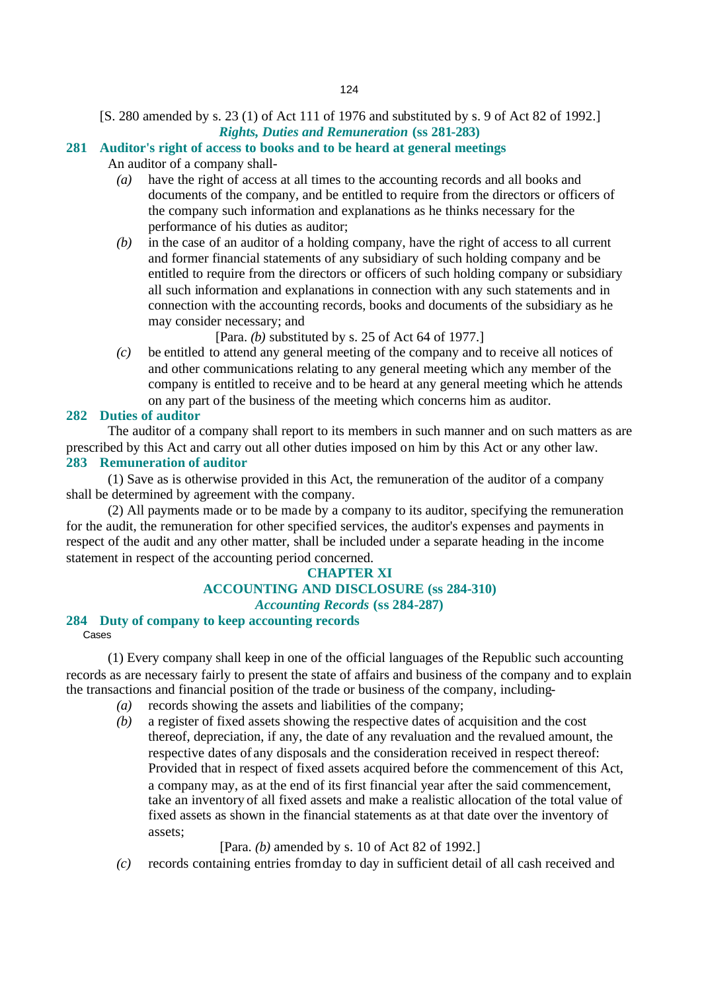[S. 280 amended by s. 23 (1) of Act 111 of 1976 and substituted by s. 9 of Act 82 of 1992.] *Rights, Duties and Remuneration* **(ss 281-283)**

# **281 Auditor's right of access to books and to be heard at general meetings**

An auditor of a company shall-

- *(a)* have the right of access at all times to the accounting records and all books and documents of the company, and be entitled to require from the directors or officers of the company such information and explanations as he thinks necessary for the performance of his duties as auditor;
- *(b)* in the case of an auditor of a holding company, have the right of access to all current and former financial statements of any subsidiary of such holding company and be entitled to require from the directors or officers of such holding company or subsidiary all such information and explanations in connection with any such statements and in connection with the accounting records, books and documents of the subsidiary as he may consider necessary; and

[Para. *(b)* substituted by s. 25 of Act 64 of 1977.]

*(c)* be entitled to attend any general meeting of the company and to receive all notices of and other communications relating to any general meeting which any member of the company is entitled to receive and to be heard at any general meeting which he attends on any part of the business of the meeting which concerns him as auditor.

#### **282 Duties of auditor**

The auditor of a company shall report to its members in such manner and on such matters as are prescribed by this Act and carry out all other duties imposed on him by this Act or any other law. **283 Remuneration of auditor**

(1) Save as is otherwise provided in this Act, the remuneration of the auditor of a company shall be determined by agreement with the company.

(2) All payments made or to be made by a company to its auditor, specifying the remuneration for the audit, the remuneration for other specified services, the auditor's expenses and payments in respect of the audit and any other matter, shall be included under a separate heading in the income statement in respect of the accounting period concerned.

# **CHAPTER XI ACCOUNTING AND DISCLOSURE (ss 284-310)** *Accounting Records* **(ss 284-287)**

#### **284 Duty of company to keep accounting records**

Cases

(1) Every company shall keep in one of the official languages of the Republic such accounting records as are necessary fairly to present the state of affairs and business of the company and to explain the transactions and financial position of the trade or business of the company, including-

- *(a)* records showing the assets and liabilities of the company;
- *(b)* a register of fixed assets showing the respective dates of acquisition and the cost thereof, depreciation, if any, the date of any revaluation and the revalued amount, the respective dates of any disposals and the consideration received in respect thereof: Provided that in respect of fixed assets acquired before the commencement of this Act, a company may, as at the end of its first financial year after the said commencement, take an inventory of all fixed assets and make a realistic allocation of the total value of fixed assets as shown in the financial statements as at that date over the inventory of assets;

[Para. *(b)* amended by s. 10 of Act 82 of 1992.]

*(c)* records containing entries from day to day in sufficient detail of all cash received and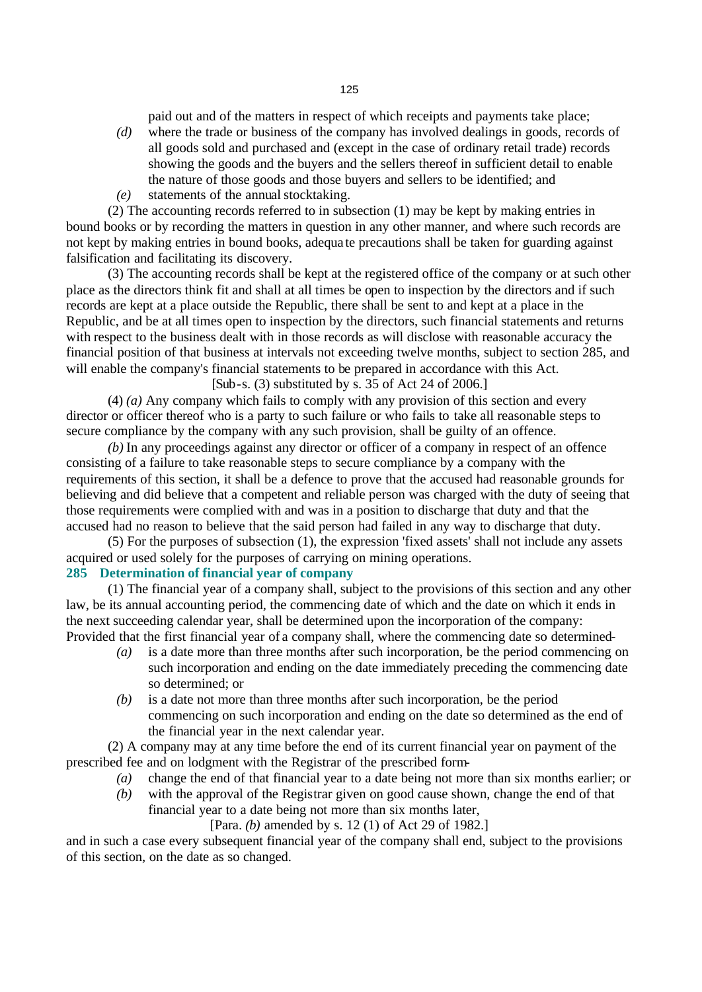paid out and of the matters in respect of which receipts and payments take place;

- *(d)* where the trade or business of the company has involved dealings in goods, records of all goods sold and purchased and (except in the case of ordinary retail trade) records showing the goods and the buyers and the sellers thereof in sufficient detail to enable the nature of those goods and those buyers and sellers to be identified; and
- *(e)* statements of the annual stocktaking.

(2) The accounting records referred to in subsection (1) may be kept by making entries in bound books or by recording the matters in question in any other manner, and where such records are not kept by making entries in bound books, adequa te precautions shall be taken for guarding against falsification and facilitating its discovery.

(3) The accounting records shall be kept at the registered office of the company or at such other place as the directors think fit and shall at all times be open to inspection by the directors and if such records are kept at a place outside the Republic, there shall be sent to and kept at a place in the Republic, and be at all times open to inspection by the directors, such financial statements and returns with respect to the business dealt with in those records as will disclose with reasonable accuracy the financial position of that business at intervals not exceeding twelve months, subject to section 285, and will enable the company's financial statements to be prepared in accordance with this Act.

[Sub-s. (3) substituted by s. 35 of Act 24 of 2006.]

(4) *(a)* Any company which fails to comply with any provision of this section and every director or officer thereof who is a party to such failure or who fails to take all reasonable steps to secure compliance by the company with any such provision, shall be guilty of an offence.

*(b)* In any proceedings against any director or officer of a company in respect of an offence consisting of a failure to take reasonable steps to secure compliance by a company with the requirements of this section, it shall be a defence to prove that the accused had reasonable grounds for believing and did believe that a competent and reliable person was charged with the duty of seeing that those requirements were complied with and was in a position to discharge that duty and that the accused had no reason to believe that the said person had failed in any way to discharge that duty.

(5) For the purposes of subsection (1), the expression 'fixed assets' shall not include any assets acquired or used solely for the purposes of carrying on mining operations.

# **285 Determination of financial year of company**

(1) The financial year of a company shall, subject to the provisions of this section and any other law, be its annual accounting period, the commencing date of which and the date on which it ends in the next succeeding calendar year, shall be determined upon the incorporation of the company: Provided that the first financial year of a company shall, where the commencing date so determined-

- *(a)* is a date more than three months after such incorporation, be the period commencing on such incorporation and ending on the date immediately preceding the commencing date so determined; or
- *(b)* is a date not more than three months after such incorporation, be the period commencing on such incorporation and ending on the date so determined as the end of the financial year in the next calendar year.

(2) A company may at any time before the end of its current financial year on payment of the prescribed fee and on lodgment with the Registrar of the prescribed form-

- *(a)* change the end of that financial year to a date being not more than six months earlier; or
- *(b)* with the approval of the Registrar given on good cause shown, change the end of that financial year to a date being not more than six months later,

[Para. *(b)* amended by s. 12 (1) of Act 29 of 1982.]

and in such a case every subsequent financial year of the company shall end, subject to the provisions of this section, on the date as so changed.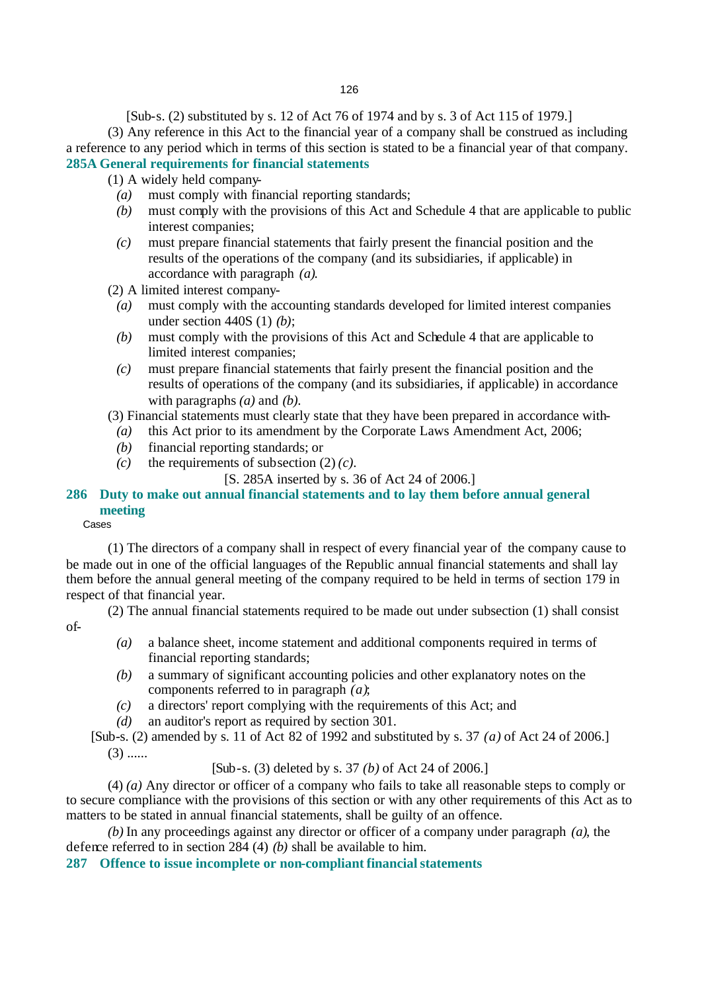[Sub-s. (2) substituted by s. 12 of Act 76 of 1974 and by s. 3 of Act 115 of 1979.]

(3) Any reference in this Act to the financial year of a company shall be construed as including a reference to any period which in terms of this section is stated to be a financial year of that company. **285A General requirements for financial statements**

# (1) A widely held company-

- *(a)* must comply with financial reporting standards;
- *(b)* must comply with the provisions of this Act and Schedule 4 that are applicable to public interest companies;
- *(c)* must prepare financial statements that fairly present the financial position and the results of the operations of the company (and its subsidiaries, if applicable) in accordance with paragraph *(a)*.

(2) A limited interest company-

- *(a)* must comply with the accounting standards developed for limited interest companies under section 440S (1) *(b)*;
- *(b)* must comply with the provisions of this Act and Schedule 4 that are applicable to limited interest companies;
- *(c)* must prepare financial statements that fairly present the financial position and the results of operations of the company (and its subsidiaries, if applicable) in accordance with paragraphs *(a)* and *(b)*.

(3) Financial statements must clearly state that they have been prepared in accordance with-

- *(a)* this Act prior to its amendment by the Corporate Laws Amendment Act, 2006;
- *(b)* financial reporting standards; or
- *(c)* the requirements of subsection (2) *(c)*.

[S. 285A inserted by s. 36 of Act 24 of 2006.]

# **286 Duty to make out annual financial statements and to lay them before annual general meeting**

# Cases

(1) The directors of a company shall in respect of every financial year of the company cause to be made out in one of the official languages of the Republic annual financial statements and shall lay them before the annual general meeting of the company required to be held in terms of section 179 in respect of that financial year.

(2) The annual financial statements required to be made out under subsection (1) shall consist of-

- *(a)* a balance sheet, income statement and additional components required in terms of financial reporting standards;
- *(b)* a summary of significant accounting policies and other explanatory notes on the components referred to in paragraph *(a)*;
- *(c)* a directors' report complying with the requirements of this Act; and
- *(d)* an auditor's report as required by section 301.

[Sub-s. (2) amended by s. 11 of Act 82 of 1992 and substituted by s. 37 *(a)* of Act 24 of 2006.]  $(3)$  ......

[Sub-s. (3) deleted by s. 37 *(b)* of Act 24 of 2006.]

(4) *(a)* Any director or officer of a company who fails to take all reasonable steps to comply or to secure compliance with the provisions of this section or with any other requirements of this Act as to matters to be stated in annual financial statements, shall be guilty of an offence.

*(b)* In any proceedings against any director or officer of a company under paragraph *(a)*, the defence referred to in section 284 (4) *(b)* shall be available to him.

#### **287 Offence to issue incomplete or non-compliant financial statements**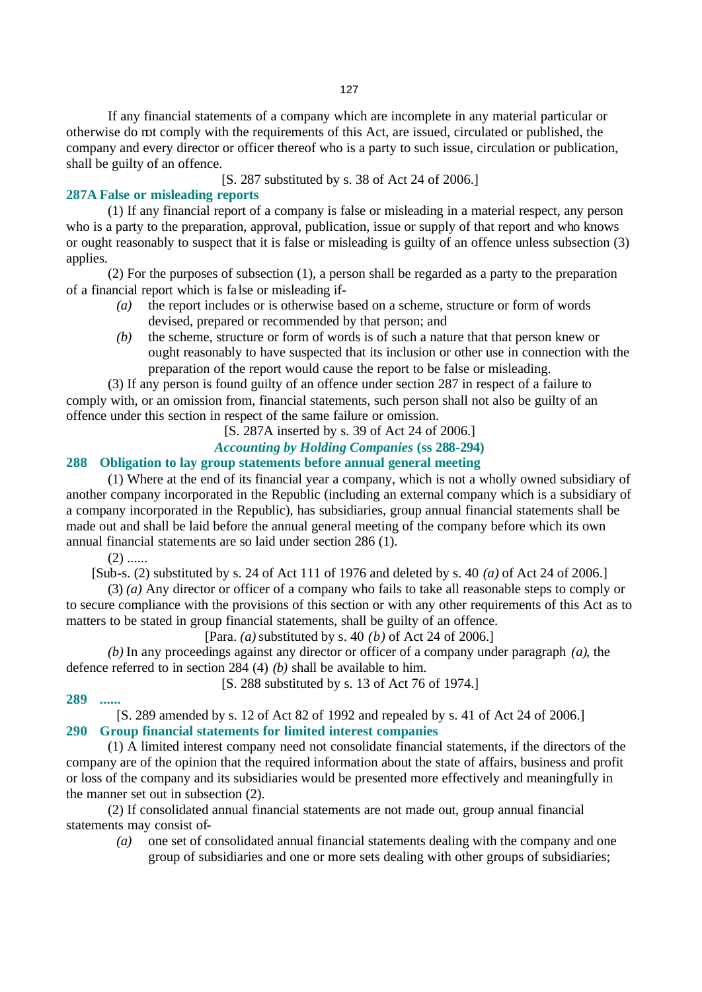If any financial statements of a company which are incomplete in any material particular or otherwise do not comply with the requirements of this Act, are issued, circulated or published, the company and every director or officer thereof who is a party to such issue, circulation or publication, shall be guilty of an offence.

[S. 287 substituted by s. 38 of Act 24 of 2006.]

# **287A False or misleading reports**

(1) If any financial report of a company is false or misleading in a material respect, any person who is a party to the preparation, approval, publication, issue or supply of that report and who knows or ought reasonably to suspect that it is false or misleading is guilty of an offence unless subsection (3) applies.

(2) For the purposes of subsection (1), a person shall be regarded as a party to the preparation of a financial report which is fa lse or misleading if-

- *(a)* the report includes or is otherwise based on a scheme, structure or form of words devised, prepared or recommended by that person; and
- *(b)* the scheme, structure or form of words is of such a nature that that person knew or ought reasonably to have suspected that its inclusion or other use in connection with the preparation of the report would cause the report to be false or misleading.

(3) If any person is found guilty of an offence under section 287 in respect of a failure to comply with, or an omission from, financial statements, such person shall not also be guilty of an offence under this section in respect of the same failure or omission.

[S. 287A inserted by s. 39 of Act 24 of 2006.]

# *Accounting by Holding Companies* **(ss 288-294)**

#### **288 Obligation to lay group statements before annual general meeting**

(1) Where at the end of its financial year a company, which is not a wholly owned subsidiary of another company incorporated in the Republic (including an external company which is a subsidiary of a company incorporated in the Republic), has subsidiaries, group annual financial statements shall be made out and shall be laid before the annual general meeting of the company before which its own annual financial statements are so laid under section 286 (1).

 $(2)$  ......

[Sub-s. (2) substituted by s. 24 of Act 111 of 1976 and deleted by s. 40 *(a)* of Act 24 of 2006.]

(3) *(a)* Any director or officer of a company who fails to take all reasonable steps to comply or to secure compliance with the provisions of this section or with any other requirements of this Act as to matters to be stated in group financial statements, shall be guilty of an offence.

[Para. *(a)* substituted by s. 40 *(b)* of Act 24 of 2006.]

*(b)* In any proceedings against any director or officer of a company under paragraph *(a)*, the defence referred to in section 284 (4) *(b)* shall be available to him.

[S. 288 substituted by s. 13 of Act 76 of 1974.]

# **289 ......**

[S. 289 amended by s. 12 of Act 82 of 1992 and repealed by s. 41 of Act 24 of 2006.] **290 Group financial statements for limited interest companies**

(1) A limited interest company need not consolidate financial statements, if the directors of the company are of the opinion that the required information about the state of affairs, business and profit or loss of the company and its subsidiaries would be presented more effectively and meaningfully in the manner set out in subsection (2).

(2) If consolidated annual financial statements are not made out, group annual financial statements may consist of-

*(a)* one set of consolidated annual financial statements dealing with the company and one group of subsidiaries and one or more sets dealing with other groups of subsidiaries;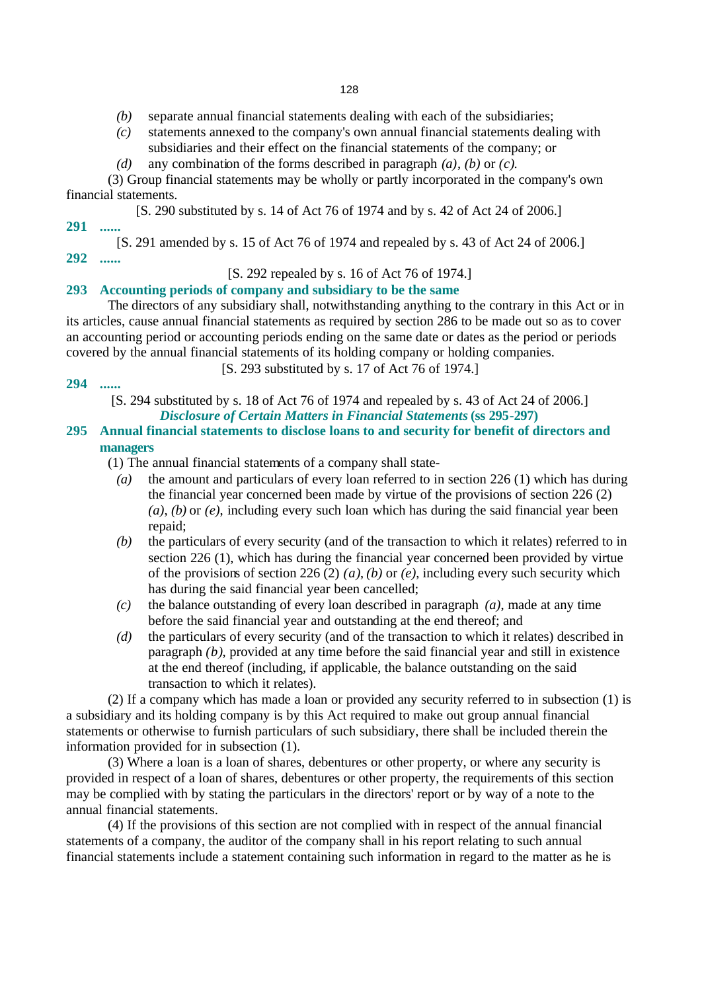- *(b)* separate annual financial statements dealing with each of the subsidiaries;
- *(c)* statements annexed to the company's own annual financial statements dealing with subsidiaries and their effect on the financial statements of the company; or
- *(d)* any combination of the forms described in paragraph *(a)*, *(b)* or *(c)*.

(3) Group financial statements may be wholly or partly incorporated in the company's own financial statements.

[S. 290 substituted by s. 14 of Act 76 of 1974 and by s. 42 of Act 24 of 2006.] **291 ......**

[S. 291 amended by s. 15 of Act 76 of 1974 and repealed by s. 43 of Act 24 of 2006.] **292 ......**

[S. 292 repealed by s. 16 of Act 76 of 1974.]

# **293 Accounting periods of company and subsidiary to be the same**

The directors of any subsidiary shall, notwithstanding anything to the contrary in this Act or in its articles, cause annual financial statements as required by section 286 to be made out so as to cover an accounting period or accounting periods ending on the same date or dates as the period or periods covered by the annual financial statements of its holding company or holding companies.

[S. 293 substituted by s. 17 of Act 76 of 1974.]

#### **294 ......**

[S. 294 substituted by s. 18 of Act 76 of 1974 and repealed by s. 43 of Act 24 of 2006.] *Disclosure of Certain Matters in Financial Statements* **(ss 295-297)**

**295 Annual financial statements to disclose loans to and security for benefit of directors and managers**

(1) The annual financial statements of a company shall state-

- *(a)* the amount and particulars of every loan referred to in section 226 (1) which has during the financial year concerned been made by virtue of the provisions of section 226 (2) *(a)*, *(b)* or *(e)*, including every such loan which has during the said financial year been repaid;
- *(b)* the particulars of every security (and of the transaction to which it relates) referred to in section 226 (1), which has during the financial year concerned been provided by virtue of the provisions of section 226 (2) *(a)*, *(b)* or *(e)*, including every such security which has during the said financial year been cancelled;
- *(c)* the balance outstanding of every loan described in paragraph *(a)*, made at any time before the said financial year and outstanding at the end thereof; and
- *(d)* the particulars of every security (and of the transaction to which it relates) described in paragraph *(b)*, provided at any time before the said financial year and still in existence at the end thereof (including, if applicable, the balance outstanding on the said transaction to which it relates).

(2) If a company which has made a loan or provided any security referred to in subsection (1) is a subsidiary and its holding company is by this Act required to make out group annual financial statements or otherwise to furnish particulars of such subsidiary, there shall be included therein the information provided for in subsection (1).

(3) Where a loan is a loan of shares, debentures or other property, or where any security is provided in respect of a loan of shares, debentures or other property, the requirements of this section may be complied with by stating the particulars in the directors' report or by way of a note to the annual financial statements.

(4) If the provisions of this section are not complied with in respect of the annual financial statements of a company, the auditor of the company shall in his report relating to such annual financial statements include a statement containing such information in regard to the matter as he is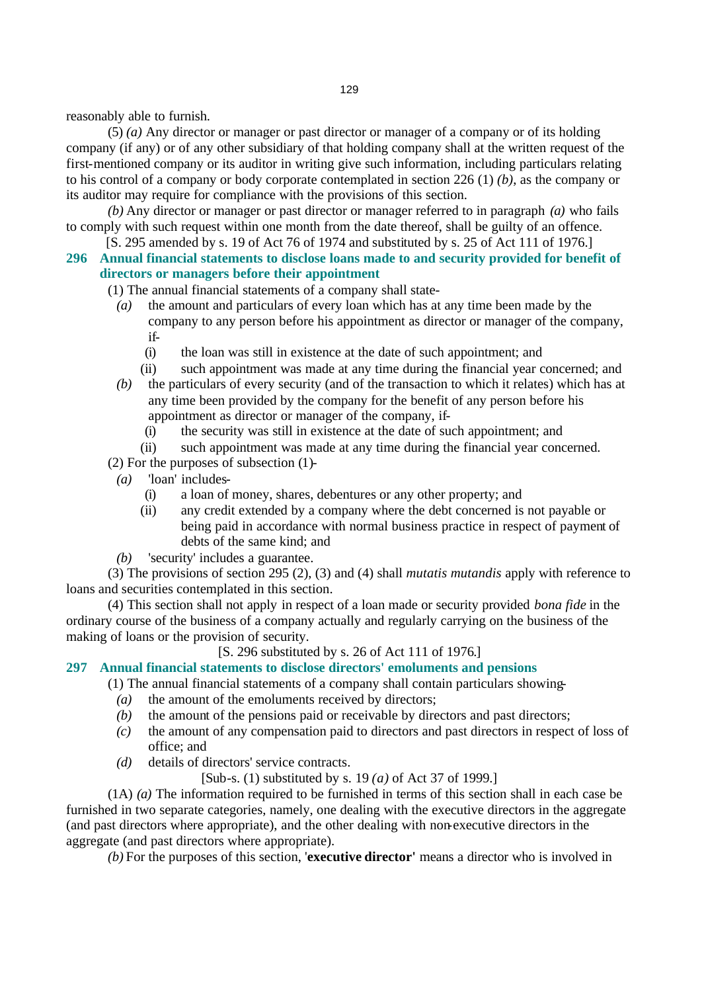reasonably able to furnish.

(5) *(a)* Any director or manager or past director or manager of a company or of its holding company (if any) or of any other subsidiary of that holding company shall at the written request of the first-mentioned company or its auditor in writing give such information, including particulars relating to his control of a company or body corporate contemplated in section 226 (1) *(b)*, as the company or its auditor may require for compliance with the provisions of this section.

*(b)* Any director or manager or past director or manager referred to in paragraph *(a)* who fails to comply with such request within one month from the date thereof, shall be guilty of an offence.

#### [S. 295 amended by s. 19 of Act 76 of 1974 and substituted by s. 25 of Act 111 of 1976.] **296 Annual financial statements to disclose loans made to and security provided for benefit of directors or managers before their appointment**

- (1) The annual financial statements of a company shall state-
	- *(a)* the amount and particulars of every loan which has at any time been made by the company to any person before his appointment as director or manager of the company, if-
		- (i) the loan was still in existence at the date of such appointment; and
		- (ii) such appointment was made at any time during the financial year concerned; and
	- *(b)* the particulars of every security (and of the transaction to which it relates) which has at any time been provided by the company for the benefit of any person before his appointment as director or manager of the company, if-
		- (i) the security was still in existence at the date of such appointment; and
		- (ii) such appointment was made at any time during the financial year concerned.

(2) For the purposes of subsection (1)-

- *(a)* 'loan' includes-
	- (i) a loan of money, shares, debentures or any other property; and
	- (ii) any credit extended by a company where the debt concerned is not payable or being paid in accordance with normal business practice in respect of payment of debts of the same kind; and
- *(b)* 'security' includes a guarantee.

(3) The provisions of section 295 (2), (3) and (4) shall *mutatis mutandis* apply with reference to loans and securities contemplated in this section.

(4) This section shall not apply in respect of a loan made or security provided *bona fide* in the ordinary course of the business of a company actually and regularly carrying on the business of the making of loans or the provision of security.

#### [S. 296 substituted by s. 26 of Act 111 of 1976.]

### **297 Annual financial statements to disclose directors' emoluments and pensions**

(1) The annual financial statements of a company shall contain particulars showing-

- *(a)* the amount of the emoluments received by directors;
- *(b)* the amount of the pensions paid or receivable by directors and past directors;
- *(c)* the amount of any compensation paid to directors and past directors in respect of loss of office; and
- *(d)* details of directors' service contracts.

[Sub-s. (1) substituted by s. 19 *(a)* of Act 37 of 1999.]

(1A) *(a)* The information required to be furnished in terms of this section shall in each case be furnished in two separate categories, namely, one dealing with the executive directors in the aggregate (and past directors where appropriate), and the other dealing with non-executive directors in the aggregate (and past directors where appropriate).

*(b)* For the purposes of this section, '**executive director'** means a director who is involved in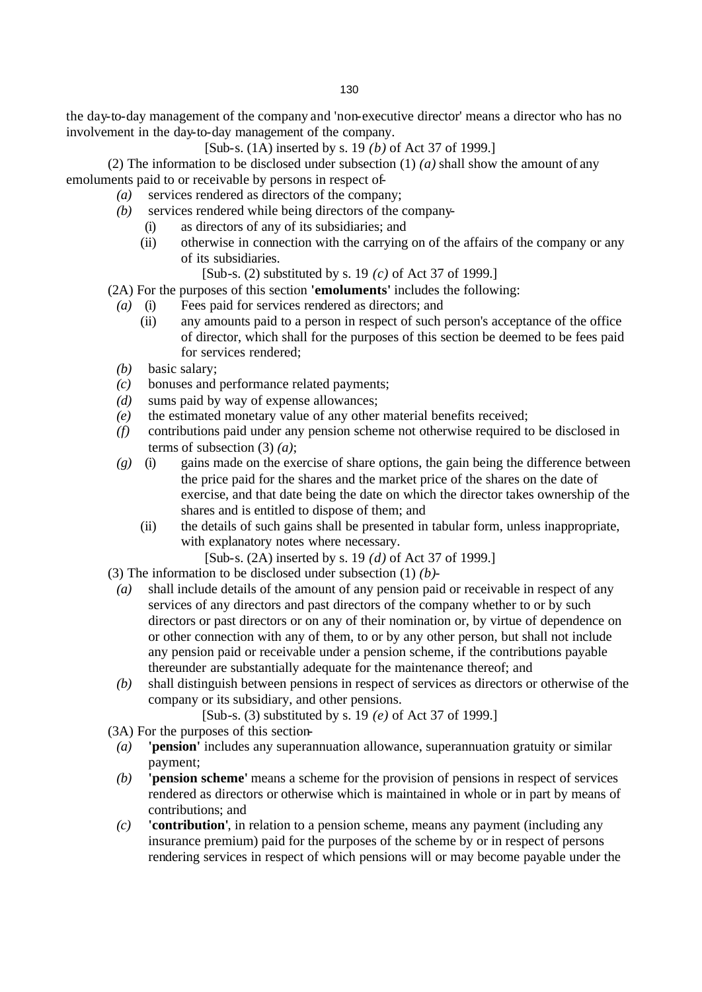the day-to-day management of the company and 'non-executive director' means a director who has no involvement in the day-to-day management of the company.

[Sub-s. (1A) inserted by s. 19 *(b)* of Act 37 of 1999.]

(2) The information to be disclosed under subsection (1) *(a)* shall show the amount of any emoluments paid to or receivable by persons in respect of-

- *(a)* services rendered as directors of the company;
- *(b)* services rendered while being directors of the company-
	- (i) as directors of any of its subsidiaries; and
	- (ii) otherwise in connection with the carrying on of the affairs of the company or any of its subsidiaries.

[Sub-s. (2) substituted by s. 19 *(c)* of Act 37 of 1999.]

(2A) For the purposes of this section **'emoluments'** includes the following:

- *(a)* (i) Fees paid for services rendered as directors; and
	- (ii) any amounts paid to a person in respect of such person's acceptance of the office of director, which shall for the purposes of this section be deemed to be fees paid for services rendered;
- *(b)* basic salary;
- *(c)* bonuses and performance related payments;
- *(d)* sums paid by way of expense allowances;
- *(e)* the estimated monetary value of any other material benefits received;
- *(f)* contributions paid under any pension scheme not otherwise required to be disclosed in terms of subsection (3) *(a)*;
- *(g)* (i) gains made on the exercise of share options, the gain being the difference between the price paid for the shares and the market price of the shares on the date of exercise, and that date being the date on which the director takes ownership of the shares and is entitled to dispose of them; and
	- (ii) the details of such gains shall be presented in tabular form, unless inappropriate, with explanatory notes where necessary.

[Sub-s. (2A) inserted by s. 19 *(d)* of Act 37 of 1999.]

- (3) The information to be disclosed under subsection (1) *(b)*
	- *(a)* shall include details of the amount of any pension paid or receivable in respect of any services of any directors and past directors of the company whether to or by such directors or past directors or on any of their nomination or, by virtue of dependence on or other connection with any of them, to or by any other person, but shall not include any pension paid or receivable under a pension scheme, if the contributions payable thereunder are substantially adequate for the maintenance thereof; and
	- *(b)* shall distinguish between pensions in respect of services as directors or otherwise of the company or its subsidiary, and other pensions.

[Sub-s. (3) substituted by s. 19 *(e)* of Act 37 of 1999.]

(3A) For the purposes of this section-

- *(a)* **'pension'** includes any superannuation allowance, superannuation gratuity or similar payment;
- *(b)* **'pension scheme'** means a scheme for the provision of pensions in respect of services rendered as directors or otherwise which is maintained in whole or in part by means of contributions; and
- *(c)* **'contribution'**, in relation to a pension scheme, means any payment (including any insurance premium) paid for the purposes of the scheme by or in respect of persons rendering services in respect of which pensions will or may become payable under the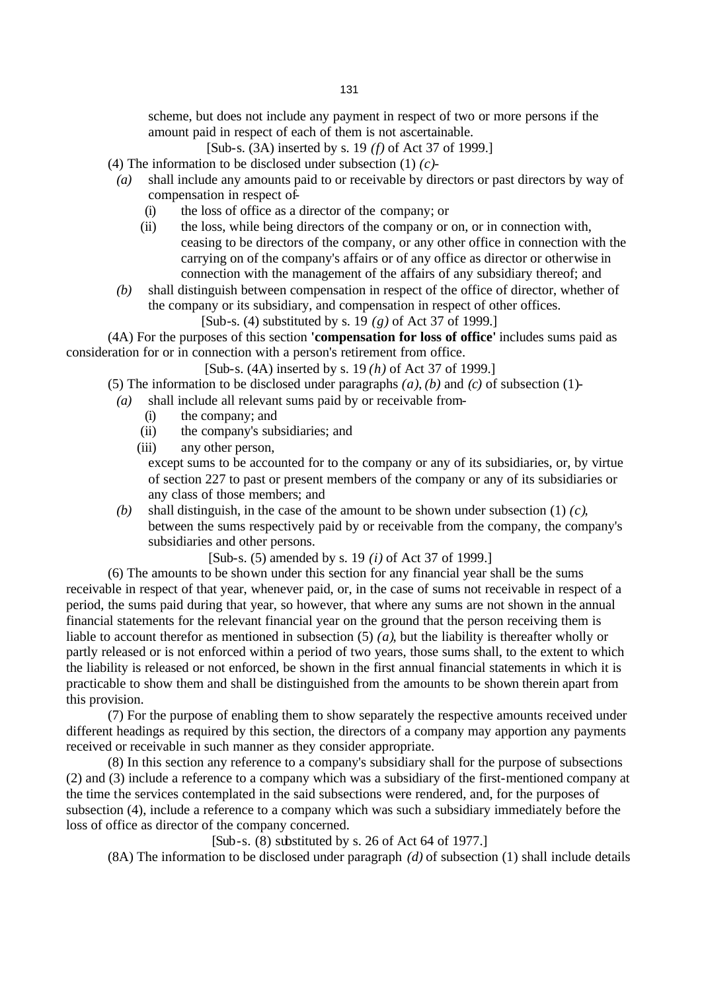scheme, but does not include any payment in respect of two or more persons if the amount paid in respect of each of them is not ascertainable.

[Sub-s. (3A) inserted by s. 19 *(f)* of Act 37 of 1999.]

(4) The information to be disclosed under subsection (1) *(c)*-

- *(a)* shall include any amounts paid to or receivable by directors or past directors by way of compensation in respect of-
	- (i) the loss of office as a director of the company; or
	- (ii) the loss, while being directors of the company or on, or in connection with, ceasing to be directors of the company, or any other office in connection with the carrying on of the company's affairs or of any office as director or otherwise in connection with the management of the affairs of any subsidiary thereof; and
- *(b)* shall distinguish between compensation in respect of the office of director, whether of the company or its subsidiary, and compensation in respect of other offices.

[Sub-s. (4) substituted by s. 19 *(g)* of Act 37 of 1999.]

(4A) For the purposes of this section **'compensation for loss of office'** includes sums paid as consideration for or in connection with a person's retirement from office.

- [Sub-s. (4A) inserted by s. 19 *(h)* of Act 37 of 1999.]
- (5) The information to be disclosed under paragraphs *(a)*, *(b)* and *(c)* of subsection (1)-
	- *(a)* shall include all relevant sums paid by or receivable from-
		- (i) the company; and
		- (ii) the company's subsidiaries; and
		- (iii) any other person,

except sums to be accounted for to the company or any of its subsidiaries, or, by virtue of section 227 to past or present members of the company or any of its subsidiaries or any class of those members; and

*(b)* shall distinguish, in the case of the amount to be shown under subsection (1) *(c)*, between the sums respectively paid by or receivable from the company, the company's subsidiaries and other persons.

[Sub-s. (5) amended by s. 19 *(i)* of Act 37 of 1999.]

(6) The amounts to be shown under this section for any financial year shall be the sums receivable in respect of that year, whenever paid, or, in the case of sums not receivable in respect of a period, the sums paid during that year, so however, that where any sums are not shown in the annual financial statements for the relevant financial year on the ground that the person receiving them is liable to account therefor as mentioned in subsection (5) *(a)*, but the liability is thereafter wholly or partly released or is not enforced within a period of two years, those sums shall, to the extent to which the liability is released or not enforced, be shown in the first annual financial statements in which it is practicable to show them and shall be distinguished from the amounts to be shown therein apart from this provision.

(7) For the purpose of enabling them to show separately the respective amounts received under different headings as required by this section, the directors of a company may apportion any payments received or receivable in such manner as they consider appropriate.

(8) In this section any reference to a company's subsidiary shall for the purpose of subsections (2) and (3) include a reference to a company which was a subsidiary of the first-mentioned company at the time the services contemplated in the said subsections were rendered, and, for the purposes of subsection (4), include a reference to a company which was such a subsidiary immediately before the loss of office as director of the company concerned.

[Sub-s. (8) substituted by s. 26 of Act 64 of 1977.]

(8A) The information to be disclosed under paragraph *(d)* of subsection (1) shall include details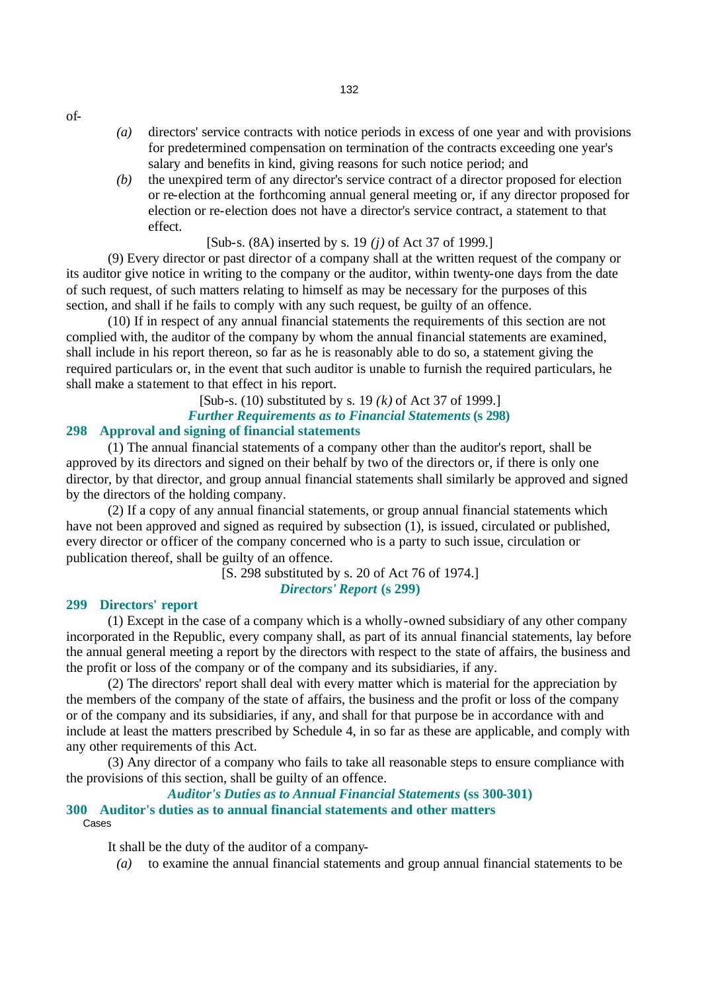of-

- *(a)* directors' service contracts with notice periods in excess of one year and with provisions for predetermined compensation on termination of the contracts exceeding one year's salary and benefits in kind, giving reasons for such notice period; and
- *(b)* the unexpired term of any director's service contract of a director proposed for election or re-election at the forthcoming annual general meeting or, if any director proposed for election or re-election does not have a director's service contract, a statement to that effect.

[Sub-s. (8A) inserted by s. 19 *(j)* of Act 37 of 1999.]

(9) Every director or past director of a company shall at the written request of the company or its auditor give notice in writing to the company or the auditor, within twenty-one days from the date of such request, of such matters relating to himself as may be necessary for the purposes of this section, and shall if he fails to comply with any such request, be guilty of an offence.

(10) If in respect of any annual financial statements the requirements of this section are not complied with, the auditor of the company by whom the annual financial statements are examined, shall include in his report thereon, so far as he is reasonably able to do so, a statement giving the required particulars or, in the event that such auditor is unable to furnish the required particulars, he shall make a statement to that effect in his report.

# [Sub-s. (10) substituted by s. 19 *(k)* of Act 37 of 1999.] *Further Requirements as to Financial Statements* **(s 298)**

# **298 Approval and signing of financial statements**

(1) The annual financial statements of a company other than the auditor's report, shall be approved by its directors and signed on their behalf by two of the directors or, if there is only one director, by that director, and group annual financial statements shall similarly be approved and signed by the directors of the holding company.

(2) If a copy of any annual financial statements, or group annual financial statements which have not been approved and signed as required by subsection (1), is issued, circulated or published, every director or officer of the company concerned who is a party to such issue, circulation or publication thereof, shall be guilty of an offence.

[S. 298 substituted by s. 20 of Act 76 of 1974.]

#### *Directors' Report* **(s 299)**

#### **299 Directors' report**

(1) Except in the case of a company which is a wholly-owned subsidiary of any other company incorporated in the Republic, every company shall, as part of its annual financial statements, lay before the annual general meeting a report by the directors with respect to the state of affairs, the business and the profit or loss of the company or of the company and its subsidiaries, if any.

(2) The directors' report shall deal with every matter which is material for the appreciation by the members of the company of the state of affairs, the business and the profit or loss of the company or of the company and its subsidiaries, if any, and shall for that purpose be in accordance with and include at least the matters prescribed by Schedule 4, in so far as these are applicable, and comply with any other requirements of this Act.

(3) Any director of a company who fails to take all reasonable steps to ensure compliance with the provisions of this section, shall be guilty of an offence.

#### *Auditor's Duties as to Annual Financial Statements* **(ss 300-301) 300 Auditor's duties as to annual financial statements and other matters** Cases

It shall be the duty of the auditor of a company-

*(a)* to examine the annual financial statements and group annual financial statements to be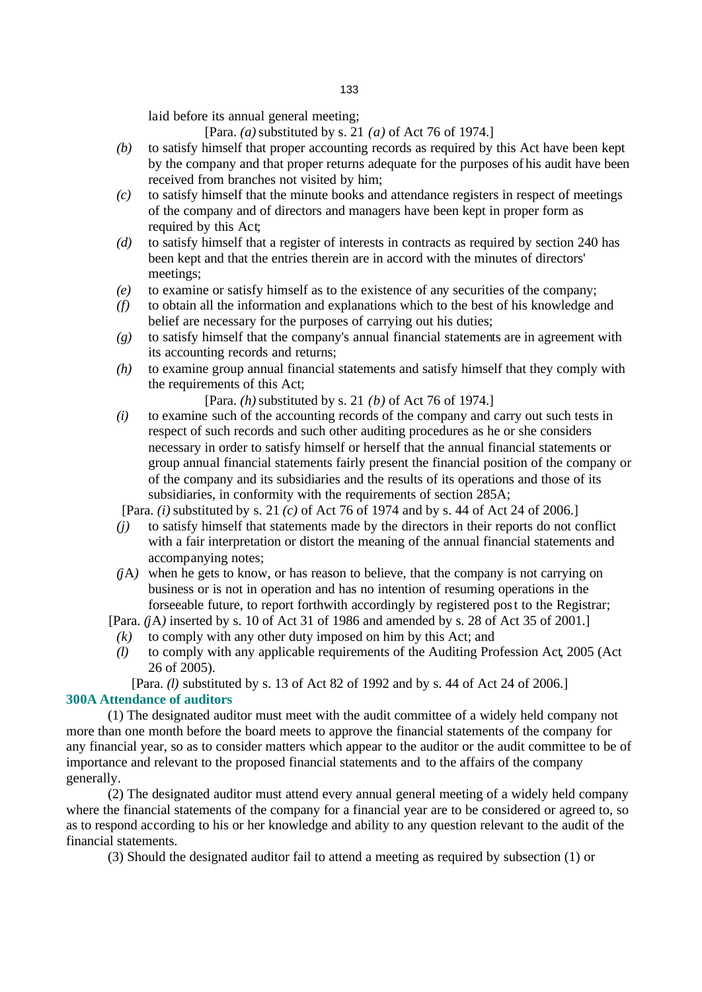laid before its annual general meeting;

[Para. *(a)* substituted by s. 21 *(a)* of Act 76 of 1974.]

- *(b)* to satisfy himself that proper accounting records as required by this Act have been kept by the company and that proper returns adequate for the purposes of his audit have been received from branches not visited by him;
- *(c)* to satisfy himself that the minute books and attendance registers in respect of meetings of the company and of directors and managers have been kept in proper form as required by this Act;
- *(d)* to satisfy himself that a register of interests in contracts as required by section 240 has been kept and that the entries therein are in accord with the minutes of directors' meetings;
- *(e)* to examine or satisfy himself as to the existence of any securities of the company;
- *(f)* to obtain all the information and explanations which to the best of his knowledge and belief are necessary for the purposes of carrying out his duties;
- *(g)* to satisfy himself that the company's annual financial statements are in agreement with its accounting records and returns;
- *(h)* to examine group annual financial statements and satisfy himself that they comply with the requirements of this Act;

[Para. *(h)* substituted by s. 21 *(b)* of Act 76 of 1974.]

*(i)* to examine such of the accounting records of the company and carry out such tests in respect of such records and such other auditing procedures as he or she considers necessary in order to satisfy himself or herself that the annual financial statements or group annual financial statements fairly present the financial position of the company or of the company and its subsidiaries and the results of its operations and those of its subsidiaries, in conformity with the requirements of section 285A;

[Para. *(i)* substituted by s. 21 *(c)* of Act 76 of 1974 and by s. 44 of Act 24 of 2006.]

- *(j)* to satisfy himself that statements made by the directors in their reports do not conflict with a fair interpretation or distort the meaning of the annual financial statements and accompanying notes;
- *(j*A*)* when he gets to know, or has reason to believe, that the company is not carrying on business or is not in operation and has no intention of resuming operations in the forseeable future, to report forthwith accordingly by registered post to the Registrar;

[Para. *(j*A*)* inserted by s. 10 of Act 31 of 1986 and amended by s. 28 of Act 35 of 2001.]

- *(k)* to comply with any other duty imposed on him by this Act; and
- *(l)* to comply with any applicable requirements of the Auditing Profession Act, 2005 (Act 26 of 2005).

[Para. *(l)* substituted by s. 13 of Act 82 of 1992 and by s. 44 of Act 24 of 2006.] **300A Attendance of auditors**

(1) The designated auditor must meet with the audit committee of a widely held company not more than one month before the board meets to approve the financial statements of the company for any financial year, so as to consider matters which appear to the auditor or the audit committee to be of importance and relevant to the proposed financial statements and to the affairs of the company generally.

(2) The designated auditor must attend every annual general meeting of a widely held company where the financial statements of the company for a financial year are to be considered or agreed to, so as to respond according to his or her knowledge and ability to any question relevant to the audit of the financial statements.

(3) Should the designated auditor fail to attend a meeting as required by subsection (1) or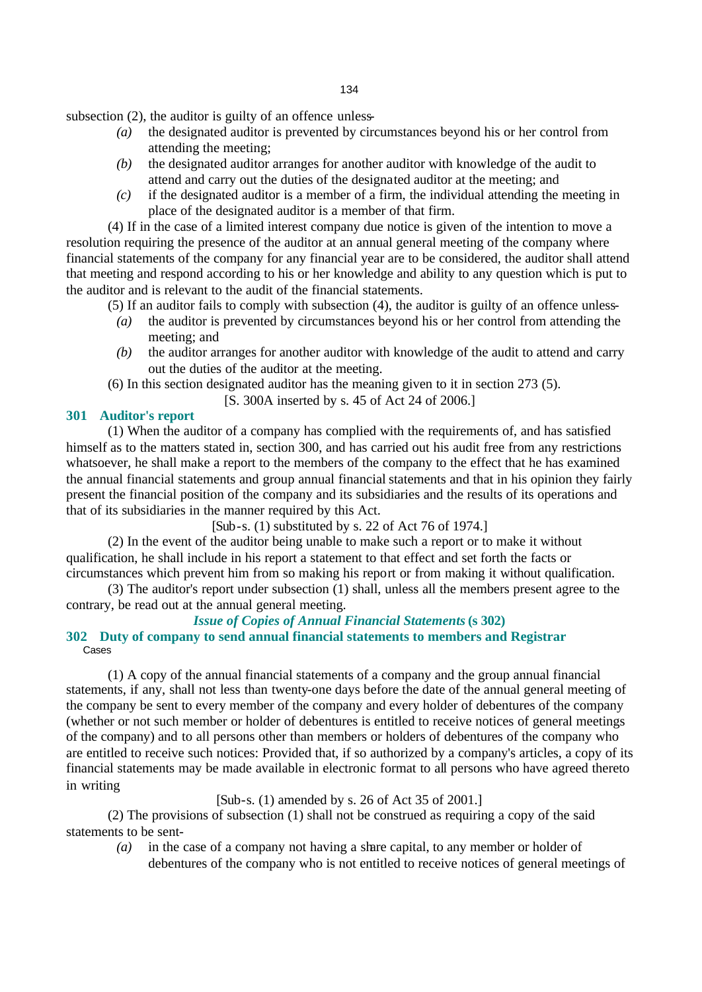subsection (2), the auditor is guilty of an offence unless-

- *(a)* the designated auditor is prevented by circumstances beyond his or her control from attending the meeting;
- *(b)* the designated auditor arranges for another auditor with knowledge of the audit to attend and carry out the duties of the designated auditor at the meeting; and
- *(c)* if the designated auditor is a member of a firm, the individual attending the meeting in place of the designated auditor is a member of that firm.

(4) If in the case of a limited interest company due notice is given of the intention to move a resolution requiring the presence of the auditor at an annual general meeting of the company where financial statements of the company for any financial year are to be considered, the auditor shall attend that meeting and respond according to his or her knowledge and ability to any question which is put to the auditor and is relevant to the audit of the financial statements.

- (5) If an auditor fails to comply with subsection (4), the auditor is guilty of an offence unless-
	- *(a)* the auditor is prevented by circumstances beyond his or her control from attending the meeting; and
	- *(b)* the auditor arranges for another auditor with knowledge of the audit to attend and carry out the duties of the auditor at the meeting.
- (6) In this section designated auditor has the meaning given to it in section 273 (5).

[S. 300A inserted by s. 45 of Act 24 of 2006.]

# **301 Auditor's report**

(1) When the auditor of a company has complied with the requirements of, and has satisfied himself as to the matters stated in, section 300, and has carried out his audit free from any restrictions whatsoever, he shall make a report to the members of the company to the effect that he has examined the annual financial statements and group annual financial statements and that in his opinion they fairly present the financial position of the company and its subsidiaries and the results of its operations and that of its subsidiaries in the manner required by this Act.

 $[Sub-s. (1)$  substituted by s. 22 of Act 76 of 1974.

(2) In the event of the auditor being unable to make such a report or to make it without qualification, he shall include in his report a statement to that effect and set forth the facts or circumstances which prevent him from so making his report or from making it without qualification.

(3) The auditor's report under subsection (1) shall, unless all the members present agree to the contrary, be read out at the annual general meeting.

#### *Issue of Copies of Annual Financial Statements* **(s 302)**

#### **302 Duty of company to send annual financial statements to members and Registrar** Cases

(1) A copy of the annual financial statements of a company and the group annual financial statements, if any, shall not less than twenty-one days before the date of the annual general meeting of the company be sent to every member of the company and every holder of debentures of the company (whether or not such member or holder of debentures is entitled to receive notices of general meetings of the company) and to all persons other than members or holders of debentures of the company who are entitled to receive such notices: Provided that, if so authorized by a company's articles, a copy of its financial statements may be made available in electronic format to all persons who have agreed thereto in writing

#### [Sub-s. (1) amended by s. 26 of Act 35 of 2001.]

(2) The provisions of subsection (1) shall not be construed as requiring a copy of the said statements to be sent-

*(a)* in the case of a company not having a share capital, to any member or holder of debentures of the company who is not entitled to receive notices of general meetings of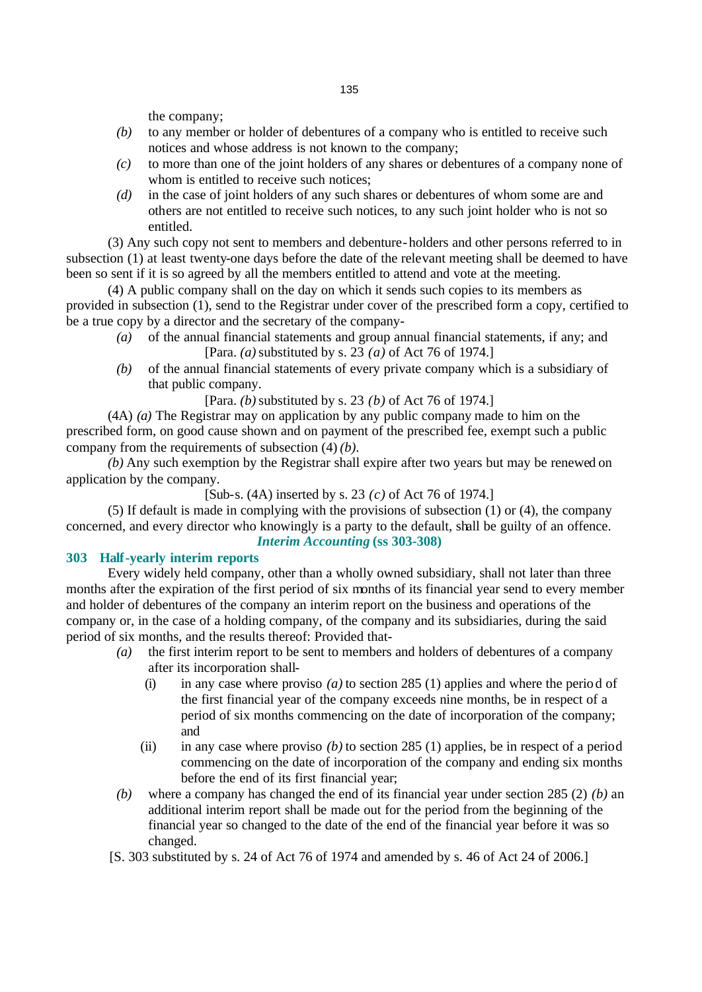the company;

- *(b)* to any member or holder of debentures of a company who is entitled to receive such notices and whose address is not known to the company;
- *(c)* to more than one of the joint holders of any shares or debentures of a company none of whom is entitled to receive such notices;
- *(d)* in the case of joint holders of any such shares or debentures of whom some are and others are not entitled to receive such notices, to any such joint holder who is not so entitled.

(3) Any such copy not sent to members and debenture-holders and other persons referred to in subsection (1) at least twenty-one days before the date of the relevant meeting shall be deemed to have been so sent if it is so agreed by all the members entitled to attend and vote at the meeting.

(4) A public company shall on the day on which it sends such copies to its members as provided in subsection (1), send to the Registrar under cover of the prescribed form a copy, certified to be a true copy by a director and the secretary of the company-

- *(a)* of the annual financial statements and group annual financial statements, if any; and [Para. *(a)* substituted by s. 23 *(a)* of Act 76 of 1974.]
- *(b)* of the annual financial statements of every private company which is a subsidiary of that public company.

[Para. *(b)* substituted by s. 23 *(b)* of Act 76 of 1974.]

(4A) *(a)* The Registrar may on application by any public company made to him on the prescribed form, on good cause shown and on payment of the prescribed fee, exempt such a public company from the requirements of subsection (4) *(b)*.

*(b)* Any such exemption by the Registrar shall expire after two years but may be renewed on application by the company.

```
[Sub-s. (4A) inserted by s. 23 (c) of Act 76 of 1974.]
```
(5) If default is made in complying with the provisions of subsection (1) or (4), the company concerned, and every director who knowingly is a party to the default, shall be guilty of an offence. *Interim Accounting* **(ss 303-308)**

#### **303 Half-yearly interim reports**

Every widely held company, other than a wholly owned subsidiary, shall not later than three months after the expiration of the first period of six months of its financial year send to every member and holder of debentures of the company an interim report on the business and operations of the company or, in the case of a holding company, of the company and its subsidiaries, during the said period of six months, and the results thereof: Provided that-

- *(a)* the first interim report to be sent to members and holders of debentures of a company after its incorporation shall-
	- (i) in any case where proviso *(a)* to section 285 (1) applies and where the period of the first financial year of the company exceeds nine months, be in respect of a period of six months commencing on the date of incorporation of the company; and
	- (ii) in any case where proviso *(b)* to section 285 (1) applies, be in respect of a period commencing on the date of incorporation of the company and ending six months before the end of its first financial year;
- *(b)* where a company has changed the end of its financial year under section 285 (2) *(b)* an additional interim report shall be made out for the period from the beginning of the financial year so changed to the date of the end of the financial year before it was so changed.
- [S. 303 substituted by s. 24 of Act 76 of 1974 and amended by s. 46 of Act 24 of 2006.]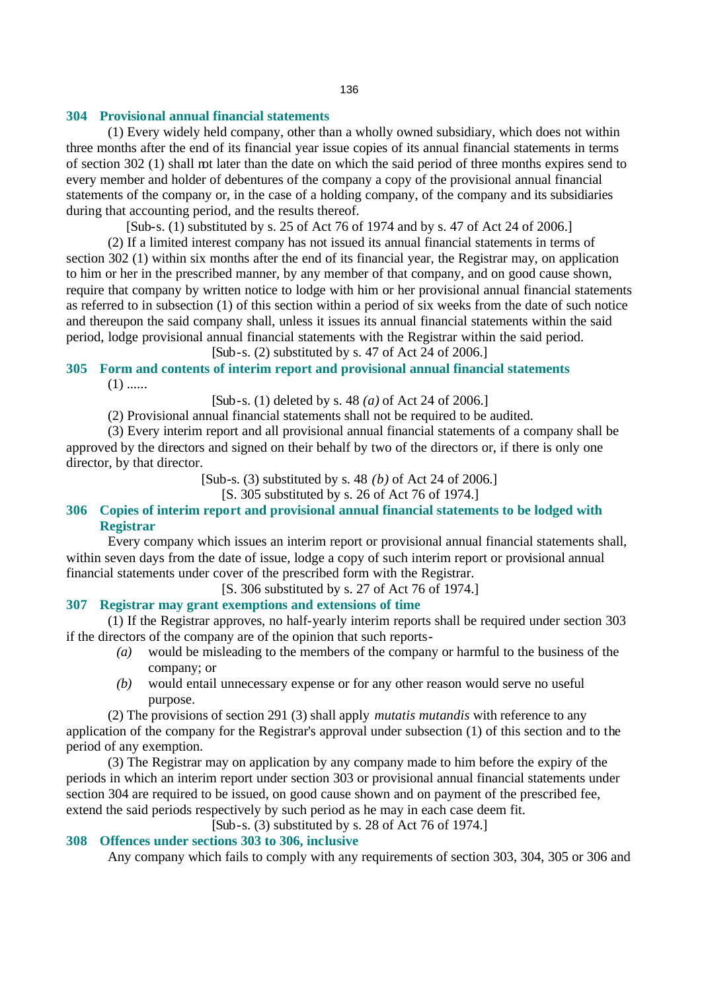#### **304 Provisional annual financial statements**

(1) Every widely held company, other than a wholly owned subsidiary, which does not within three months after the end of its financial year issue copies of its annual financial statements in terms of section 302 (1) shall not later than the date on which the said period of three months expires send to every member and holder of debentures of the company a copy of the provisional annual financial statements of the company or, in the case of a holding company, of the company and its subsidiaries during that accounting period, and the results thereof.

[Sub-s. (1) substituted by s. 25 of Act 76 of 1974 and by s. 47 of Act 24 of 2006.]

(2) If a limited interest company has not issued its annual financial statements in terms of section 302 (1) within six months after the end of its financial year, the Registrar may, on application to him or her in the prescribed manner, by any member of that company, and on good cause shown, require that company by written notice to lodge with him or her provisional annual financial statements as referred to in subsection (1) of this section within a period of six weeks from the date of such notice and thereupon the said company shall, unless it issues its annual financial statements within the said period, lodge provisional annual financial statements with the Registrar within the said period.

[Sub-s. (2) substituted by s. 47 of Act 24 of 2006.]

# **305 Form and contents of interim report and provisional annual financial statements**  $(1)$  ......

[Sub-s. (1) deleted by s. 48 *(a)* of Act 24 of 2006.]

(2) Provisional annual financial statements shall not be required to be audited.

(3) Every interim report and all provisional annual financial statements of a company shall be approved by the directors and signed on their behalf by two of the directors or, if there is only one director, by that director.

[Sub-s. (3) substituted by s. 48 *(b)* of Act 24 of 2006.]

[S. 305 substituted by s. 26 of Act 76 of 1974.]

# **306 Copies of interim report and provisional annual financial statements to be lodged with Registrar**

Every company which issues an interim report or provisional annual financial statements shall, within seven days from the date of issue, lodge a copy of such interim report or provisional annual financial statements under cover of the prescribed form with the Registrar.

[S. 306 substituted by s. 27 of Act 76 of 1974.]

#### **307 Registrar may grant exemptions and extensions of time**

(1) If the Registrar approves, no half-yearly interim reports shall be required under section 303 if the directors of the company are of the opinion that such reports-

- *(a)* would be misleading to the members of the company or harmful to the business of the company; or
- *(b)* would entail unnecessary expense or for any other reason would serve no useful purpose.

(2) The provisions of section 291 (3) shall apply *mutatis mutandis* with reference to any application of the company for the Registrar's approval under subsection (1) of this section and to the period of any exemption.

(3) The Registrar may on application by any company made to him before the expiry of the periods in which an interim report under section 303 or provisional annual financial statements under section 304 are required to be issued, on good cause shown and on payment of the prescribed fee, extend the said periods respectively by such period as he may in each case deem fit.

[Sub-s. (3) substituted by s. 28 of Act 76 of 1974.]

#### **308 Offences under sections 303 to 306, inclusive**

Any company which fails to comply with any requirements of section 303, 304, 305 or 306 and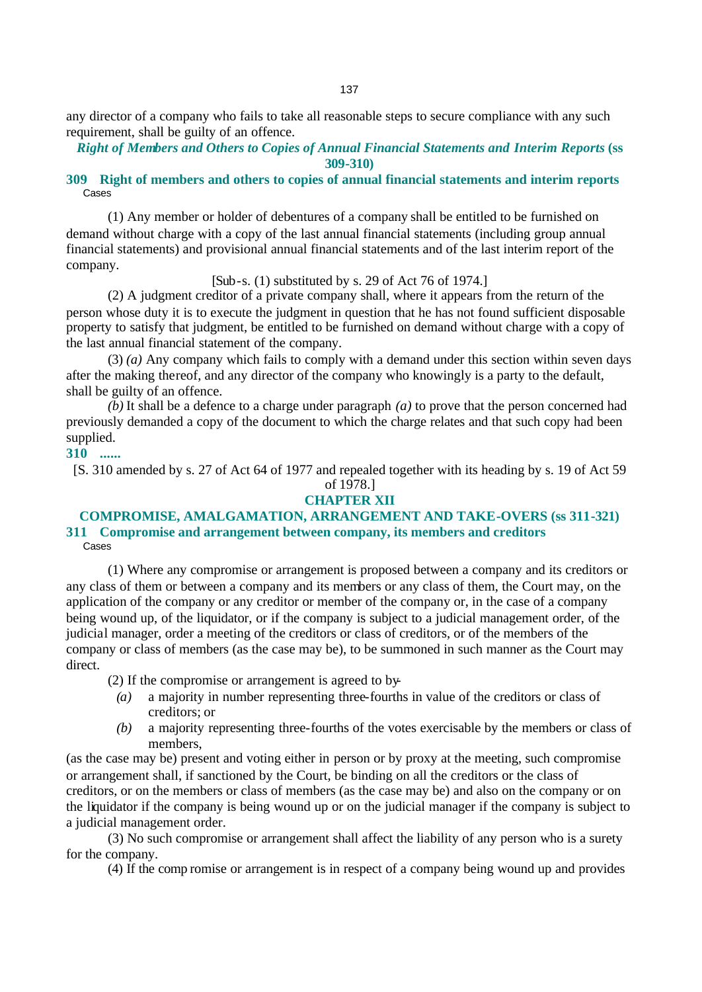any director of a company who fails to take all reasonable steps to secure compliance with any such requirement, shall be guilty of an offence.

# *Right of Members and Others to Copies of Annual Financial Statements and Interim Reports* **(ss 309-310)**

# **309 Right of members and others to copies of annual financial statements and interim reports** Cases

(1) Any member or holder of debentures of a company shall be entitled to be furnished on demand without charge with a copy of the last annual financial statements (including group annual financial statements) and provisional annual financial statements and of the last interim report of the company.

#### $[Sub-s. (1)$  substituted by s. 29 of Act 76 of 1974.

(2) A judgment creditor of a private company shall, where it appears from the return of the person whose duty it is to execute the judgment in question that he has not found sufficient disposable property to satisfy that judgment, be entitled to be furnished on demand without charge with a copy of the last annual financial statement of the company.

(3) *(a)* Any company which fails to comply with a demand under this section within seven days after the making thereof, and any director of the company who knowingly is a party to the default, shall be guilty of an offence.

*(b)* It shall be a defence to a charge under paragraph *(a)* to prove that the person concerned had previously demanded a copy of the document to which the charge relates and that such copy had been supplied.

#### **310 ......**

[S. 310 amended by s. 27 of Act 64 of 1977 and repealed together with its heading by s. 19 of Act 59

#### of 1978.]

#### **CHAPTER XII**

#### **COMPROMISE, AMALGAMATION, ARRANGEMENT AND TAKE-OVERS (ss 311-321) 311 Compromise and arrangement between company, its members and creditors** Cases

(1) Where any compromise or arrangement is proposed between a company and its creditors or any class of them or between a company and its members or any class of them, the Court may, on the application of the company or any creditor or member of the company or, in the case of a company being wound up, of the liquidator, or if the company is subject to a judicial management order, of the judicial manager, order a meeting of the creditors or class of creditors, or of the members of the company or class of members (as the case may be), to be summoned in such manner as the Court may direct.

(2) If the compromise or arrangement is agreed to by-

- *(a)* a majority in number representing three-fourths in value of the creditors or class of creditors; or
- *(b)* a majority representing three-fourths of the votes exercisable by the members or class of members,

(as the case may be) present and voting either in person or by proxy at the meeting, such compromise or arrangement shall, if sanctioned by the Court, be binding on all the creditors or the class of creditors, or on the members or class of members (as the case may be) and also on the company or on the liquidator if the company is being wound up or on the judicial manager if the company is subject to a judicial management order.

(3) No such compromise or arrangement shall affect the liability of any person who is a surety for the company.

(4) If the comp romise or arrangement is in respect of a company being wound up and provides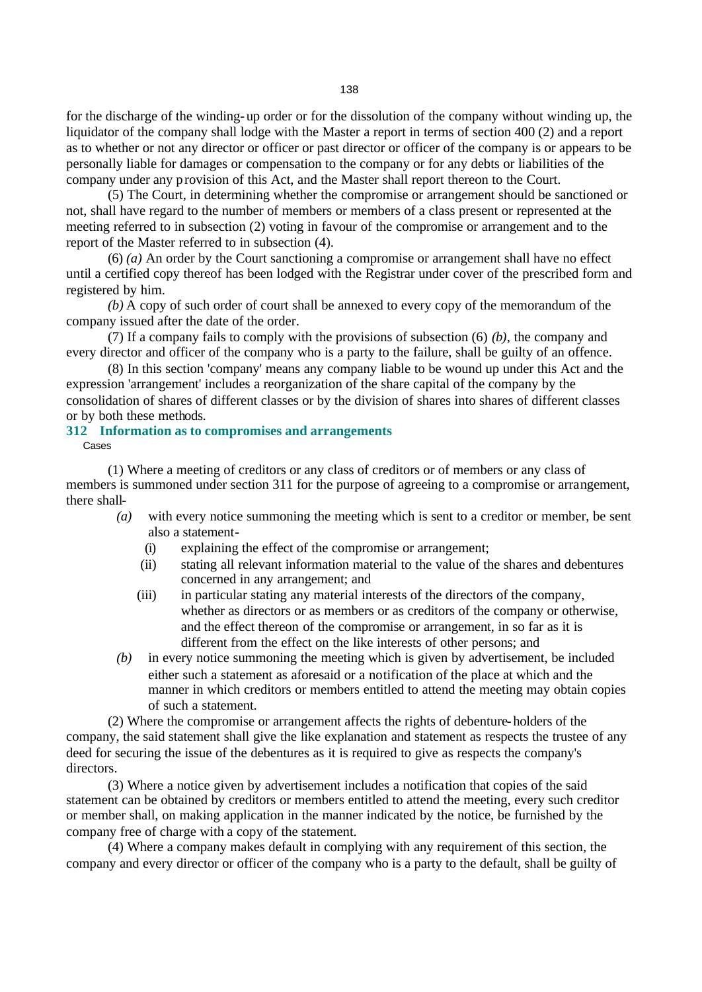for the discharge of the winding-up order or for the dissolution of the company without winding up, the liquidator of the company shall lodge with the Master a report in terms of section 400 (2) and a report as to whether or not any director or officer or past director or officer of the company is or appears to be personally liable for damages or compensation to the company or for any debts or liabilities of the company under any provision of this Act, and the Master shall report thereon to the Court.

(5) The Court, in determining whether the compromise or arrangement should be sanctioned or not, shall have regard to the number of members or members of a class present or represented at the meeting referred to in subsection (2) voting in favour of the compromise or arrangement and to the report of the Master referred to in subsection (4).

(6) *(a)* An order by the Court sanctioning a compromise or arrangement shall have no effect until a certified copy thereof has been lodged with the Registrar under cover of the prescribed form and registered by him.

*(b)* A copy of such order of court shall be annexed to every copy of the memorandum of the company issued after the date of the order.

(7) If a company fails to comply with the provisions of subsection (6) *(b)*, the company and every director and officer of the company who is a party to the failure, shall be guilty of an offence.

(8) In this section 'company' means any company liable to be wound up under this Act and the expression 'arrangement' includes a reorganization of the share capital of the company by the consolidation of shares of different classes or by the division of shares into shares of different classes or by both these methods.

#### **312 Information as to compromises and arrangements** Cases

(1) Where a meeting of creditors or any class of creditors or of members or any class of members is summoned under section 311 for the purpose of agreeing to a compromise or arrangement, there shall-

- *(a)* with every notice summoning the meeting which is sent to a creditor or member, be sent also a statement-
	- (i) explaining the effect of the compromise or arrangement;
	- (ii) stating all relevant information material to the value of the shares and debentures concerned in any arrangement; and
	- (iii) in particular stating any material interests of the directors of the company, whether as directors or as members or as creditors of the company or otherwise, and the effect thereon of the compromise or arrangement, in so far as it is different from the effect on the like interests of other persons; and
- *(b)* in every notice summoning the meeting which is given by advertisement, be included either such a statement as aforesaid or a notification of the place at which and the manner in which creditors or members entitled to attend the meeting may obtain copies of such a statement.

(2) Where the compromise or arrangement affects the rights of debenture-holders of the company, the said statement shall give the like explanation and statement as respects the trustee of any deed for securing the issue of the debentures as it is required to give as respects the company's directors.

(3) Where a notice given by advertisement includes a notification that copies of the said statement can be obtained by creditors or members entitled to attend the meeting, every such creditor or member shall, on making application in the manner indicated by the notice, be furnished by the company free of charge with a copy of the statement.

(4) Where a company makes default in complying with any requirement of this section, the company and every director or officer of the company who is a party to the default, shall be guilty of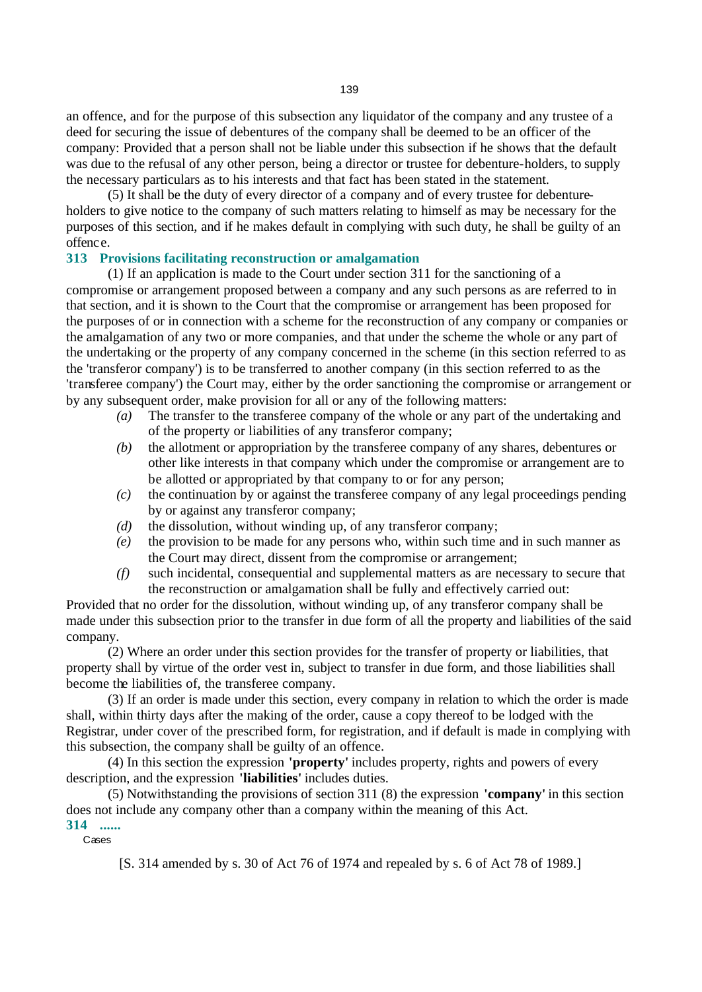an offence, and for the purpose of this subsection any liquidator of the company and any trustee of a deed for securing the issue of debentures of the company shall be deemed to be an officer of the company: Provided that a person shall not be liable under this subsection if he shows that the default was due to the refusal of any other person, being a director or trustee for debenture-holders, to supply the necessary particulars as to his interests and that fact has been stated in the statement.

(5) It shall be the duty of every director of a company and of every trustee for debentureholders to give notice to the company of such matters relating to himself as may be necessary for the purposes of this section, and if he makes default in complying with such duty, he shall be guilty of an offence.

# **313 Provisions facilitating reconstruction or amalgamation**

(1) If an application is made to the Court under section 311 for the sanctioning of a compromise or arrangement proposed between a company and any such persons as are referred to in that section, and it is shown to the Court that the compromise or arrangement has been proposed for the purposes of or in connection with a scheme for the reconstruction of any company or companies or the amalgamation of any two or more companies, and that under the scheme the whole or any part of the undertaking or the property of any company concerned in the scheme (in this section referred to as the 'transferor company') is to be transferred to another company (in this section referred to as the 'transferee company') the Court may, either by the order sanctioning the compromise or arrangement or by any subsequent order, make provision for all or any of the following matters:

- *(a)* The transfer to the transferee company of the whole or any part of the undertaking and of the property or liabilities of any transferor company;
- *(b)* the allotment or appropriation by the transferee company of any shares, debentures or other like interests in that company which under the compromise or arrangement are to be allotted or appropriated by that company to or for any person;
- *(c)* the continuation by or against the transferee company of any legal proceedings pending by or against any transferor company;
- *(d)* the dissolution, without winding up, of any transferor company;
- *(e)* the provision to be made for any persons who, within such time and in such manner as the Court may direct, dissent from the compromise or arrangement;
- *(f)* such incidental, consequential and supplemental matters as are necessary to secure that the reconstruction or amalgamation shall be fully and effectively carried out:

Provided that no order for the dissolution, without winding up, of any transferor company shall be made under this subsection prior to the transfer in due form of all the property and liabilities of the said company.

(2) Where an order under this section provides for the transfer of property or liabilities, that property shall by virtue of the order vest in, subject to transfer in due form, and those liabilities shall become the liabilities of, the transferee company.

(3) If an order is made under this section, every company in relation to which the order is made shall, within thirty days after the making of the order, cause a copy thereof to be lodged with the Registrar, under cover of the prescribed form, for registration, and if default is made in complying with this subsection, the company shall be guilty of an offence.

(4) In this section the expression **'property'** includes property, rights and powers of every description, and the expression **'liabilities'** includes duties.

(5) Notwithstanding the provisions of section 311 (8) the expression **'company'** in this section does not include any company other than a company within the meaning of this Act. **314 ......**

Cases

[S. 314 amended by s. 30 of Act 76 of 1974 and repealed by s. 6 of Act 78 of 1989.]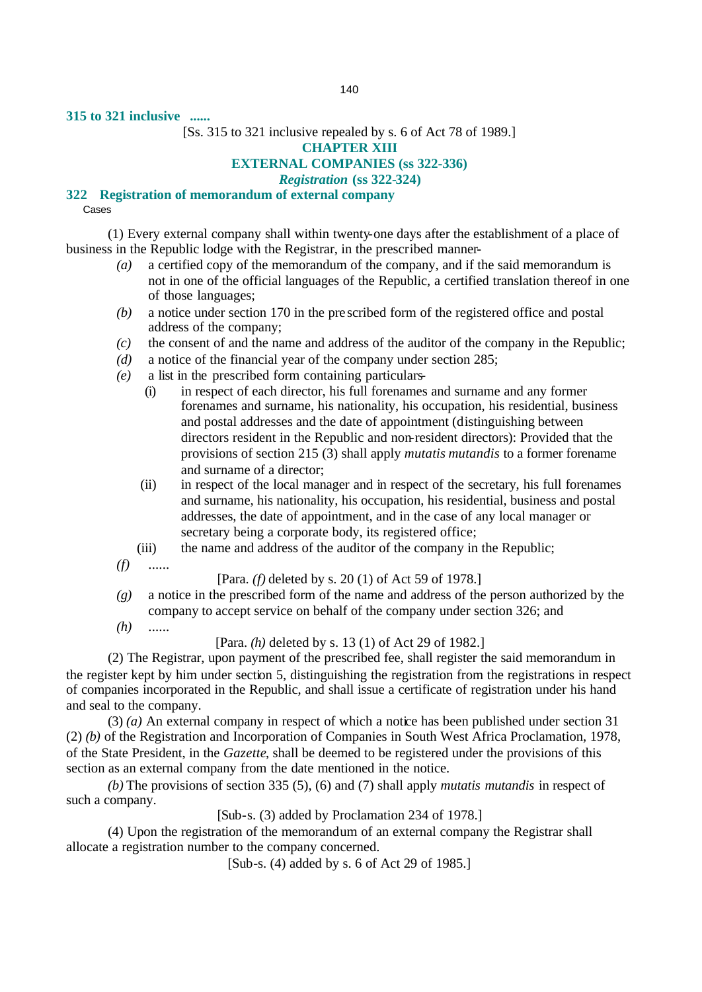#### **315 to 321 inclusive ......**

[Ss. 315 to 321 inclusive repealed by s. 6 of Act 78 of 1989.]

**CHAPTER XIII**

**EXTERNAL COMPANIES (ss 322-336)**

*Registration* **(ss 322-324)**

# **322 Registration of memorandum of external company**

Cases

(1) Every external company shall within twenty-one days after the establishment of a place of business in the Republic lodge with the Registrar, in the prescribed manner-

- *(a)* a certified copy of the memorandum of the company, and if the said memorandum is not in one of the official languages of the Republic, a certified translation thereof in one of those languages;
- *(b)* a notice under section 170 in the pre scribed form of the registered office and postal address of the company;
- *(c)* the consent of and the name and address of the auditor of the company in the Republic;
- *(d)* a notice of the financial year of the company under section 285;
- *(e)* a list in the prescribed form containing particulars-
	- (i) in respect of each director, his full forenames and surname and any former forenames and surname, his nationality, his occupation, his residential, business and postal addresses and the date of appointment (distinguishing between directors resident in the Republic and non-resident directors): Provided that the provisions of section 215 (3) shall apply *mutatis mutandis* to a former forename and surname of a director;
	- (ii) in respect of the local manager and in respect of the secretary, his full forenames and surname, his nationality, his occupation, his residential, business and postal addresses, the date of appointment, and in the case of any local manager or secretary being a corporate body, its registered office;
	- (iii) the name and address of the auditor of the company in the Republic;
- *(f)* ......

[Para. *(f)* deleted by s. 20 (1) of Act 59 of 1978.]

- *(g)* a notice in the prescribed form of the name and address of the person authorized by the company to accept service on behalf of the company under section 326; and
- *(h)* ......

[Para. *(h)* deleted by s. 13 (1) of Act 29 of 1982.]

(2) The Registrar, upon payment of the prescribed fee, shall register the said memorandum in the register kept by him under section 5, distinguishing the registration from the registrations in respect of companies incorporated in the Republic, and shall issue a certificate of registration under his hand and seal to the company.

(3) *(a)* An external company in respect of which a notice has been published under section 31 (2) *(b)* of the Registration and Incorporation of Companies in South West Africa Proclamation, 1978, of the State President, in the *Gazette*, shall be deemed to be registered under the provisions of this section as an external company from the date mentioned in the notice.

*(b)* The provisions of section 335 (5), (6) and (7) shall apply *mutatis mutandis* in respect of such a company.

[Sub-s. (3) added by Proclamation 234 of 1978.]

(4) Upon the registration of the memorandum of an external company the Registrar shall allocate a registration number to the company concerned.

[Sub-s. (4) added by s. 6 of Act 29 of 1985.]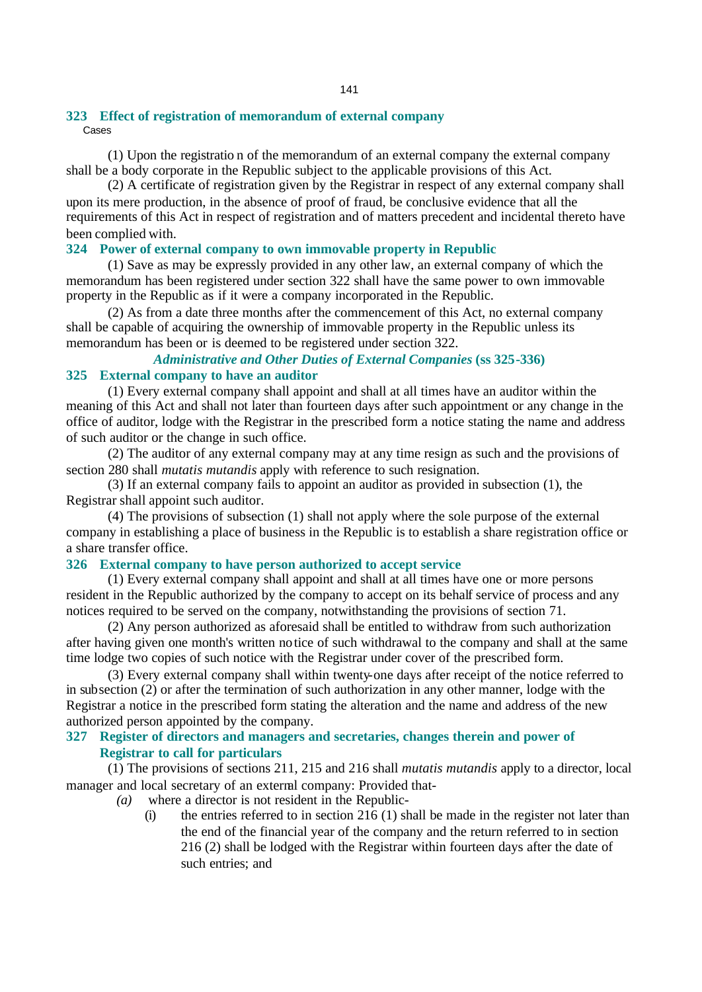#### **323 Effect of registration of memorandum of external company** Cases

(1) Upon the registratio n of the memorandum of an external company the external company shall be a body corporate in the Republic subject to the applicable provisions of this Act.

(2) A certificate of registration given by the Registrar in respect of any external company shall upon its mere production, in the absence of proof of fraud, be conclusive evidence that all the requirements of this Act in respect of registration and of matters precedent and incidental thereto have been complied with.

#### **324 Power of external company to own immovable property in Republic**

(1) Save as may be expressly provided in any other law, an external company of which the memorandum has been registered under section 322 shall have the same power to own immovable property in the Republic as if it were a company incorporated in the Republic.

(2) As from a date three months after the commencement of this Act, no external company shall be capable of acquiring the ownership of immovable property in the Republic unless its memorandum has been or is deemed to be registered under section 322.

# *Administrative and Other Duties of External Companies* **(ss 325-336)**

# **325 External company to have an auditor**

(1) Every external company shall appoint and shall at all times have an auditor within the meaning of this Act and shall not later than fourteen days after such appointment or any change in the office of auditor, lodge with the Registrar in the prescribed form a notice stating the name and address of such auditor or the change in such office.

(2) The auditor of any external company may at any time resign as such and the provisions of section 280 shall *mutatis mutandis* apply with reference to such resignation.

(3) If an external company fails to appoint an auditor as provided in subsection (1), the Registrar shall appoint such auditor.

(4) The provisions of subsection (1) shall not apply where the sole purpose of the external company in establishing a place of business in the Republic is to establish a share registration office or a share transfer office.

#### **326 External company to have person authorized to accept service**

(1) Every external company shall appoint and shall at all times have one or more persons resident in the Republic authorized by the company to accept on its behalf service of process and any notices required to be served on the company, notwithstanding the provisions of section 71.

(2) Any person authorized as aforesaid shall be entitled to withdraw from such authorization after having given one month's written notice of such withdrawal to the company and shall at the same time lodge two copies of such notice with the Registrar under cover of the prescribed form.

(3) Every external company shall within twenty-one days after receipt of the notice referred to in subsection (2) or after the termination of such authorization in any other manner, lodge with the Registrar a notice in the prescribed form stating the alteration and the name and address of the new authorized person appointed by the company.

#### **327 Register of directors and managers and secretaries, changes therein and power of Registrar to call for particulars**

(1) The provisions of sections 211, 215 and 216 shall *mutatis mutandis* apply to a director, local manager and local secretary of an external company: Provided that-

- *(a)* where a director is not resident in the Republic-
	- (i) the entries referred to in section 216 (1) shall be made in the register not later than the end of the financial year of the company and the return referred to in section 216 (2) shall be lodged with the Registrar within fourteen days after the date of such entries; and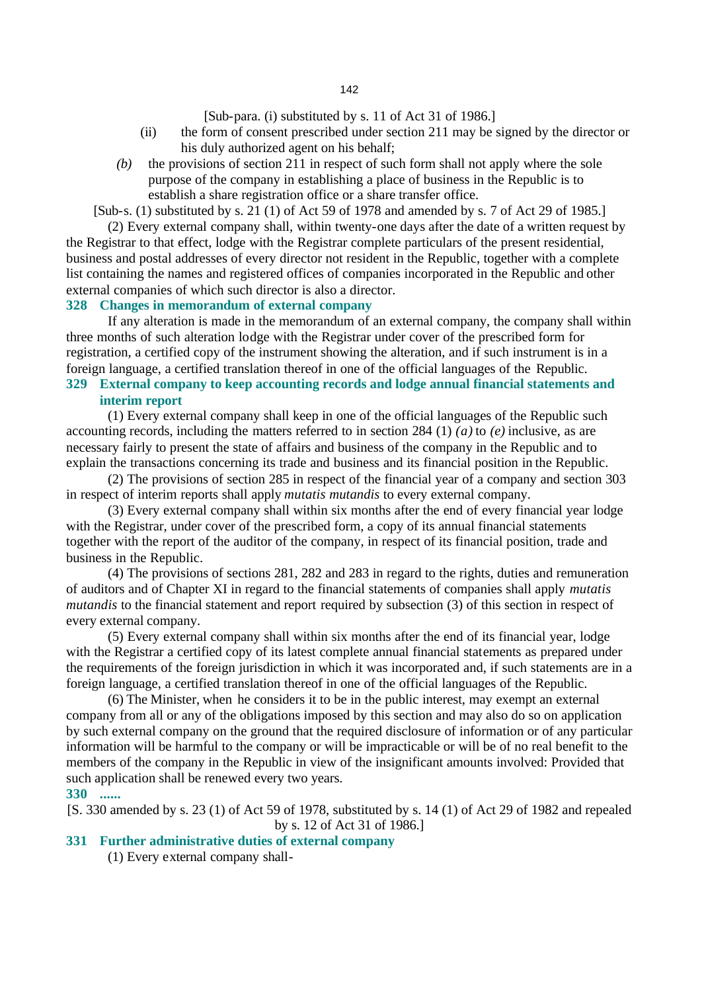[Sub-para. (i) substituted by s. 11 of Act 31 of 1986.]

- (ii) the form of consent prescribed under section 211 may be signed by the director or his duly authorized agent on his behalf;
- *(b)* the provisions of section 211 in respect of such form shall not apply where the sole purpose of the company in establishing a place of business in the Republic is to establish a share registration office or a share transfer office.

[Sub-s. (1) substituted by s. 21 (1) of Act 59 of 1978 and amended by s. 7 of Act 29 of 1985.]

(2) Every external company shall, within twenty-one days after the date of a written request by the Registrar to that effect, lodge with the Registrar complete particulars of the present residential, business and postal addresses of every director not resident in the Republic, together with a complete list containing the names and registered offices of companies incorporated in the Republic and other external companies of which such director is also a director.

# **328 Changes in memorandum of external company**

If any alteration is made in the memorandum of an external company, the company shall within three months of such alteration lodge with the Registrar under cover of the prescribed form for registration, a certified copy of the instrument showing the alteration, and if such instrument is in a foreign language, a certified translation thereof in one of the official languages of the Republic.

# **329 External company to keep accounting records and lodge annual financial statements and interim report**

(1) Every external company shall keep in one of the official languages of the Republic such accounting records, including the matters referred to in section 284 (1) *(a)* to *(e)* inclusive, as are necessary fairly to present the state of affairs and business of the company in the Republic and to explain the transactions concerning its trade and business and its financial position in the Republic.

(2) The provisions of section 285 in respect of the financial year of a company and section 303 in respect of interim reports shall apply *mutatis mutandis* to every external company.

(3) Every external company shall within six months after the end of every financial year lodge with the Registrar, under cover of the prescribed form, a copy of its annual financial statements together with the report of the auditor of the company, in respect of its financial position, trade and business in the Republic.

(4) The provisions of sections 281, 282 and 283 in regard to the rights, duties and remuneration of auditors and of Chapter XI in regard to the financial statements of companies shall apply *mutatis mutandis* to the financial statement and report required by subsection (3) of this section in respect of every external company.

(5) Every external company shall within six months after the end of its financial year, lodge with the Registrar a certified copy of its latest complete annual financial statements as prepared under the requirements of the foreign jurisdiction in which it was incorporated and, if such statements are in a foreign language, a certified translation thereof in one of the official languages of the Republic.

(6) The Minister, when he considers it to be in the public interest, may exempt an external company from all or any of the obligations imposed by this section and may also do so on application by such external company on the ground that the required disclosure of information or of any particular information will be harmful to the company or will be impracticable or will be of no real benefit to the members of the company in the Republic in view of the insignificant amounts involved: Provided that such application shall be renewed every two years.

#### **330 ......**

[S. 330 amended by s. 23 (1) of Act 59 of 1978, substituted by s. 14 (1) of Act 29 of 1982 and repealed by s. 12 of Act 31 of 1986.]

# **331 Further administrative duties of external company**

(1) Every external company shall-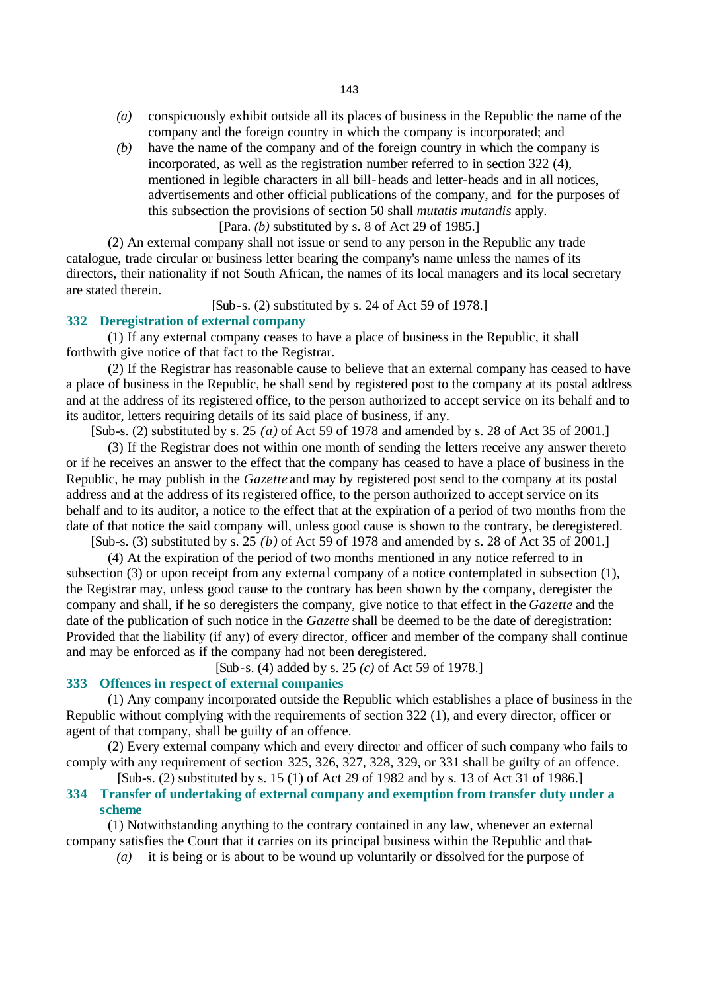- *(a)* conspicuously exhibit outside all its places of business in the Republic the name of the company and the foreign country in which the company is incorporated; and
- *(b)* have the name of the company and of the foreign country in which the company is incorporated, as well as the registration number referred to in section 322 (4), mentioned in legible characters in all bill-heads and letter-heads and in all notices, advertisements and other official publications of the company, and for the purposes of this subsection the provisions of section 50 shall *mutatis mutandis* apply.

[Para. *(b)* substituted by s. 8 of Act 29 of 1985.]

(2) An external company shall not issue or send to any person in the Republic any trade catalogue, trade circular or business letter bearing the company's name unless the names of its directors, their nationality if not South African, the names of its local managers and its local secretary are stated therein.

[Sub-s. (2) substituted by s. 24 of Act 59 of 1978.]

#### **332 Deregistration of external company**

(1) If any external company ceases to have a place of business in the Republic, it shall forthwith give notice of that fact to the Registrar.

(2) If the Registrar has reasonable cause to believe that an external company has ceased to have a place of business in the Republic, he shall send by registered post to the company at its postal address and at the address of its registered office, to the person authorized to accept service on its behalf and to its auditor, letters requiring details of its said place of business, if any.

[Sub-s. (2) substituted by s. 25 *(a)* of Act 59 of 1978 and amended by s. 28 of Act 35 of 2001.]

(3) If the Registrar does not within one month of sending the letters receive any answer thereto or if he receives an answer to the effect that the company has ceased to have a place of business in the Republic, he may publish in the *Gazette* and may by registered post send to the company at its postal address and at the address of its registered office, to the person authorized to accept service on its behalf and to its auditor, a notice to the effect that at the expiration of a period of two months from the date of that notice the said company will, unless good cause is shown to the contrary, be deregistered.

[Sub-s. (3) substituted by s. 25 *(b)* of Act 59 of 1978 and amended by s. 28 of Act 35 of 2001.]

(4) At the expiration of the period of two months mentioned in any notice referred to in subsection (3) or upon receipt from any external company of a notice contemplated in subsection (1), the Registrar may, unless good cause to the contrary has been shown by the company, deregister the company and shall, if he so deregisters the company, give notice to that effect in the *Gazette* and the date of the publication of such notice in the *Gazette* shall be deemed to be the date of deregistration: Provided that the liability (if any) of every director, officer and member of the company shall continue and may be enforced as if the company had not been deregistered.

[Sub-s. (4) added by s. 25 *(c)* of Act 59 of 1978.]

#### **333 Offences in respect of external companies**

(1) Any company incorporated outside the Republic which establishes a place of business in the Republic without complying with the requirements of section 322 (1), and every director, officer or agent of that company, shall be guilty of an offence.

(2) Every external company which and every director and officer of such company who fails to comply with any requirement of section 325, 326, 327, 328, 329, or 331 shall be guilty of an offence. [Sub-s. (2) substituted by s. 15 (1) of Act 29 of 1982 and by s. 13 of Act 31 of 1986.]

# **334 Transfer of undertaking of external company and exemption from transfer duty under a scheme**

(1) Notwithstanding anything to the contrary contained in any law, whenever an external company satisfies the Court that it carries on its principal business within the Republic and that-

*(a)* it is being or is about to be wound up voluntarily or dissolved for the purpose of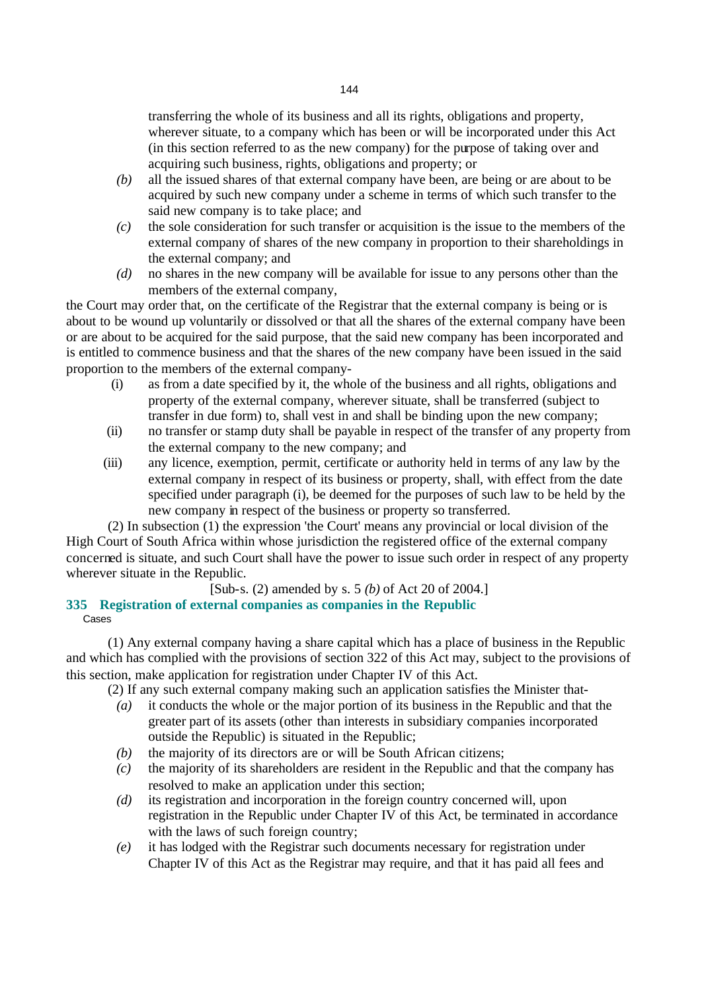transferring the whole of its business and all its rights, obligations and property, wherever situate, to a company which has been or will be incorporated under this Act (in this section referred to as the new company) for the purpose of taking over and acquiring such business, rights, obligations and property; or

- *(b)* all the issued shares of that external company have been, are being or are about to be acquired by such new company under a scheme in terms of which such transfer to the said new company is to take place; and
- *(c)* the sole consideration for such transfer or acquisition is the issue to the members of the external company of shares of the new company in proportion to their shareholdings in the external company; and
- *(d)* no shares in the new company will be available for issue to any persons other than the members of the external company,

the Court may order that, on the certificate of the Registrar that the external company is being or is about to be wound up voluntarily or dissolved or that all the shares of the external company have been or are about to be acquired for the said purpose, that the said new company has been incorporated and is entitled to commence business and that the shares of the new company have been issued in the said proportion to the members of the external company-

- (i) as from a date specified by it, the whole of the business and all rights, obligations and property of the external company, wherever situate, shall be transferred (subject to transfer in due form) to, shall vest in and shall be binding upon the new company;
- (ii) no transfer or stamp duty shall be payable in respect of the transfer of any property from the external company to the new company; and
- (iii) any licence, exemption, permit, certificate or authority held in terms of any law by the external company in respect of its business or property, shall, with effect from the date specified under paragraph (i), be deemed for the purposes of such law to be held by the new company in respect of the business or property so transferred.

(2) In subsection (1) the expression 'the Court' means any provincial or local division of the High Court of South Africa within whose jurisdiction the registered office of the external company concerned is situate, and such Court shall have the power to issue such order in respect of any property wherever situate in the Republic.

[Sub-s. (2) amended by s. 5 *(b)* of Act 20 of 2004.]

# **335 Registration of external companies as companies in the Republic** Cases

(1) Any external company having a share capital which has a place of business in the Republic and which has complied with the provisions of section 322 of this Act may, subject to the provisions of this section, make application for registration under Chapter IV of this Act.

(2) If any such external company making such an application satisfies the Minister that-

- *(a)* it conducts the whole or the major portion of its business in the Republic and that the greater part of its assets (other than interests in subsidiary companies incorporated outside the Republic) is situated in the Republic;
- *(b)* the majority of its directors are or will be South African citizens;
- *(c)* the majority of its shareholders are resident in the Republic and that the company has resolved to make an application under this section;
- *(d)* its registration and incorporation in the foreign country concerned will, upon registration in the Republic under Chapter IV of this Act, be terminated in accordance with the laws of such foreign country;
- *(e)* it has lodged with the Registrar such documents necessary for registration under Chapter IV of this Act as the Registrar may require, and that it has paid all fees and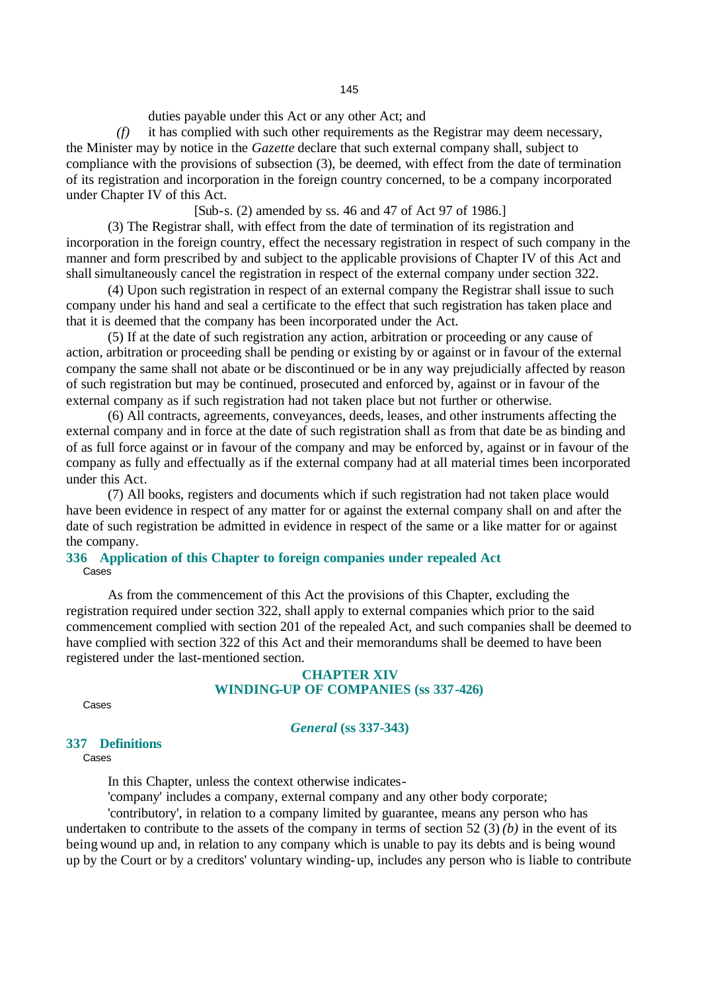duties payable under this Act or any other Act; and

*(f)* it has complied with such other requirements as the Registrar may deem necessary, the Minister may by notice in the *Gazette* declare that such external company shall, subject to compliance with the provisions of subsection (3), be deemed, with effect from the date of termination of its registration and incorporation in the foreign country concerned, to be a company incorporated under Chapter IV of this Act.

#### [Sub-s. (2) amended by ss. 46 and 47 of Act 97 of 1986.]

(3) The Registrar shall, with effect from the date of termination of its registration and incorporation in the foreign country, effect the necessary registration in respect of such company in the manner and form prescribed by and subject to the applicable provisions of Chapter IV of this Act and shall simultaneously cancel the registration in respect of the external company under section 322.

(4) Upon such registration in respect of an external company the Registrar shall issue to such company under his hand and seal a certificate to the effect that such registration has taken place and that it is deemed that the company has been incorporated under the Act.

(5) If at the date of such registration any action, arbitration or proceeding or any cause of action, arbitration or proceeding shall be pending or existing by or against or in favour of the external company the same shall not abate or be discontinued or be in any way prejudicially affected by reason of such registration but may be continued, prosecuted and enforced by, against or in favour of the external company as if such registration had not taken place but not further or otherwise.

(6) All contracts, agreements, conveyances, deeds, leases, and other instruments affecting the external company and in force at the date of such registration shall as from that date be as binding and of as full force against or in favour of the company and may be enforced by, against or in favour of the company as fully and effectually as if the external company had at all material times been incorporated under this Act.

(7) All books, registers and documents which if such registration had not taken place would have been evidence in respect of any matter for or against the external company shall on and after the date of such registration be admitted in evidence in respect of the same or a like matter for or against the company.

### **336 Application of this Chapter to foreign companies under repealed Act** Cases

As from the commencement of this Act the provisions of this Chapter, excluding the registration required under section 322, shall apply to external companies which prior to the said commencement complied with section 201 of the repealed Act, and such companies shall be deemed to have complied with section 322 of this Act and their memorandums shall be deemed to have been registered under the last-mentioned section.

### **CHAPTER XIV WINDING-UP OF COMPANIES (ss 337-426)**

Cases

#### *General* **(ss 337-343)**

# **337 Definitions**

Cases

In this Chapter, unless the context otherwise indicates-

'company' includes a company, external company and any other body corporate;

'contributory', in relation to a company limited by guarantee, means any person who has undertaken to contribute to the assets of the company in terms of section 52 (3) *(b)* in the event of its being wound up and, in relation to any company which is unable to pay its debts and is being wound up by the Court or by a creditors' voluntary winding-up, includes any person who is liable to contribute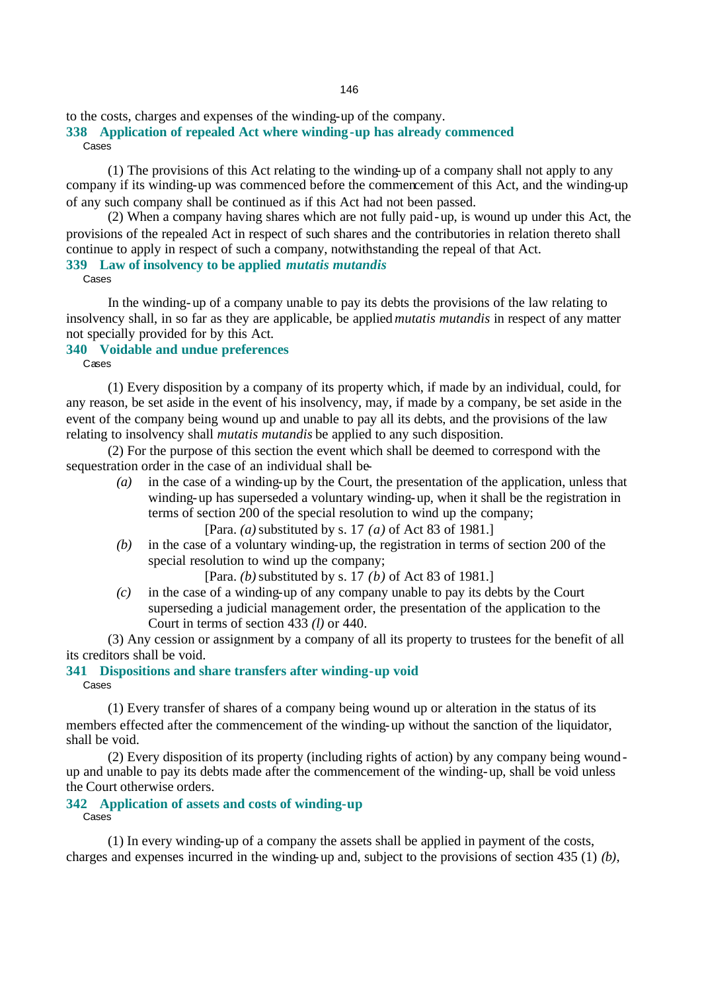to the costs, charges and expenses of the winding-up of the company.

#### **338 Application of repealed Act where winding-up has already commenced** Cases

(1) The provisions of this Act relating to the winding-up of a company shall not apply to any company if its winding-up was commenced before the commencement of this Act, and the winding-up of any such company shall be continued as if this Act had not been passed.

(2) When a company having shares which are not fully paid-up, is wound up under this Act, the provisions of the repealed Act in respect of such shares and the contributories in relation thereto shall continue to apply in respect of such a company, notwithstanding the repeal of that Act.

**339 Law of insolvency to be applied** *mutatis mutandis*

Cases

In the winding-up of a company unable to pay its debts the provisions of the law relating to insolvency shall, in so far as they are applicable, be applied *mutatis mutandis* in respect of any matter not specially provided for by this Act.

#### **340 Voidable and undue preferences**

Cases

(1) Every disposition by a company of its property which, if made by an individual, could, for any reason, be set aside in the event of his insolvency, may, if made by a company, be set aside in the event of the company being wound up and unable to pay all its debts, and the provisions of the law relating to insolvency shall *mutatis mutandis* be applied to any such disposition.

(2) For the purpose of this section the event which shall be deemed to correspond with the sequestration order in the case of an individual shall be-

*(a)* in the case of a winding-up by the Court, the presentation of the application, unless that winding-up has superseded a voluntary winding-up, when it shall be the registration in terms of section 200 of the special resolution to wind up the company;

[Para. *(a)* substituted by s. 17 *(a)* of Act 83 of 1981.]

*(b)* in the case of a voluntary winding-up, the registration in terms of section 200 of the special resolution to wind up the company;

[Para. *(b)* substituted by s. 17 *(b)* of Act 83 of 1981.]

*(c)* in the case of a winding-up of any company unable to pay its debts by the Court superseding a judicial management order, the presentation of the application to the Court in terms of section 433 *(l)* or 440.

(3) Any cession or assignment by a company of all its property to trustees for the benefit of all its creditors shall be void.

### **341 Dispositions and share transfers after winding-up void**

Cases

(1) Every transfer of shares of a company being wound up or alteration in the status of its members effected after the commencement of the winding-up without the sanction of the liquidator, shall be void.

(2) Every disposition of its property (including rights of action) by any company being wound up and unable to pay its debts made after the commencement of the winding-up, shall be void unless the Court otherwise orders.

# **342 Application of assets and costs of winding-up**

Cases<sup>-</sup>

(1) In every winding-up of a company the assets shall be applied in payment of the costs, charges and expenses incurred in the winding-up and, subject to the provisions of section 435 (1) *(b)*,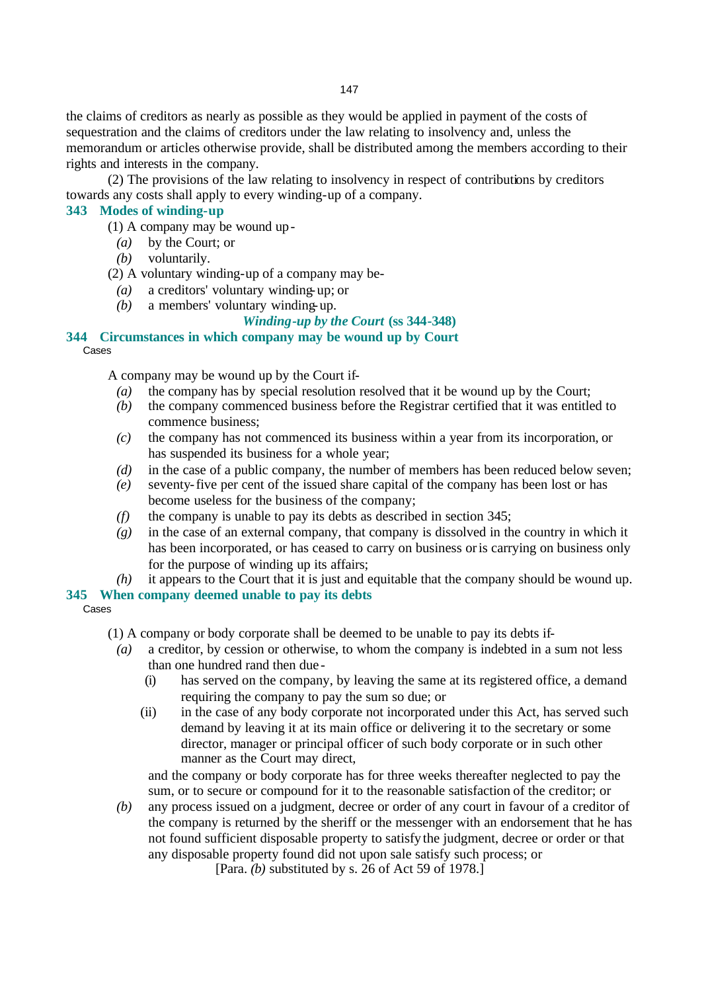the claims of creditors as nearly as possible as they would be applied in payment of the costs of sequestration and the claims of creditors under the law relating to insolvency and, unless the memorandum or articles otherwise provide, shall be distributed among the members according to their rights and interests in the company.

(2) The provisions of the law relating to insolvency in respect of contributions by creditors towards any costs shall apply to every winding-up of a company.

# **343 Modes of winding-up**

(1) A company may be wound up-

- *(a)* by the Court; or
- *(b)* voluntarily.

(2) A voluntary winding-up of a company may be-

- *(a)* a creditors' voluntary winding-up; or
- *(b)* a members' voluntary winding-up.

# *Winding-up by the Court* **(ss 344-348)**

### **344 Circumstances in which company may be wound up by Court** Cases

A company may be wound up by the Court if-

- *(a)* the company has by special resolution resolved that it be wound up by the Court;
- *(b)* the company commenced business before the Registrar certified that it was entitled to commence business;
- *(c)* the company has not commenced its business within a year from its incorporation, or has suspended its business for a whole year;
- *(d)* in the case of a public company, the number of members has been reduced below seven;
- *(e)* seventy-five per cent of the issued share capital of the company has been lost or has become useless for the business of the company;
- *(f)* the company is unable to pay its debts as described in section 345;
- *(g)* in the case of an external company, that company is dissolved in the country in which it has been incorporated, or has ceased to carry on business or is carrying on business only for the purpose of winding up its affairs;
- *(h)* it appears to the Court that it is just and equitable that the company should be wound up.

# **345 When company deemed unable to pay its debts**

Cases

- (1) A company or body corporate shall be deemed to be unable to pay its debts if-
	- *(a)* a creditor, by cession or otherwise, to whom the company is indebted in a sum not less than one hundred rand then due -
		- (i) has served on the company, by leaving the same at its registered office, a demand requiring the company to pay the sum so due; or
		- (ii) in the case of any body corporate not incorporated under this Act, has served such demand by leaving it at its main office or delivering it to the secretary or some director, manager or principal officer of such body corporate or in such other manner as the Court may direct,

and the company or body corporate has for three weeks thereafter neglected to pay the sum, or to secure or compound for it to the reasonable satisfaction of the creditor; or

*(b)* any process issued on a judgment, decree or order of any court in favour of a creditor of the company is returned by the sheriff or the messenger with an endorsement that he has not found sufficient disposable property to satisfy the judgment, decree or order or that any disposable property found did not upon sale satisfy such process; or

[Para. *(b)* substituted by s. 26 of Act 59 of 1978.]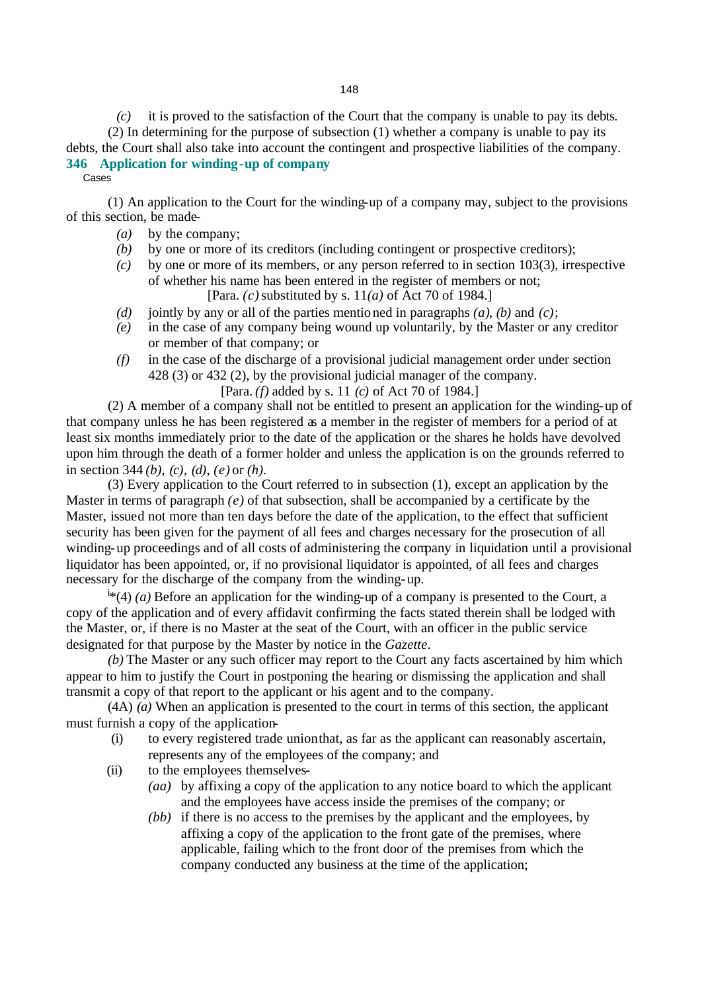*(c)* it is proved to the satisfaction of the Court that the company is unable to pay its debts.

(2) In determining for the purpose of subsection (1) whether a company is unable to pay its debts, the Court shall also take into account the contingent and prospective liabilities of the company. **346 Application for winding-up of company** Cases

(1) An application to the Court for the winding-up of a company may, subject to the provisions of this section, be made-

- *(a)* by the company;
- *(b)* by one or more of its creditors (including contingent or prospective creditors);
- *(c)* by one or more of its members, or any person referred to in section 103(3), irrespective of whether his name has been entered in the register of members or not; [Para. *(c)* substituted by s. 11*(a)* of Act 70 of 1984.]
- *(d)* jointly by any or all of the parties mentio ned in paragraphs *(a)*, *(b)* and *(c)*;
- *(e)* in the case of any company being wound up voluntarily, by the Master or any creditor or member of that company; or
- *(f)* in the case of the discharge of a provisional judicial management order under section 428 (3) or 432 (2), by the provisional judicial manager of the company.

[Para. *(f)* added by s. 11 *(c)* of Act 70 of 1984.]

(2) A member of a company shall not be entitled to present an application for the winding-up of that company unless he has been registered as a member in the register of members for a period of at least six months immediately prior to the date of the application or the shares he holds have devolved upon him through the death of a former holder and unless the application is on the grounds referred to in section 344 *(b)*, *(c)*, *(d)*, *(e)* or *(h)*.

(3) Every application to the Court referred to in subsection (1), except an application by the Master in terms of paragraph *(e)* of that subsection, shall be accompanied by a certificate by the Master, issued not more than ten days before the date of the application, to the effect that sufficient security has been given for the payment of all fees and charges necessary for the prosecution of all winding-up proceedings and of all costs of administering the company in liquidation until a provisional liquidator has been appointed, or, if no provisional liquidator is appointed, of all fees and charges necessary for the discharge of the company from the winding-up.

 $\psi^{\dagger}(\phi)$  (*a*) Before an application for the winding-up of a company is presented to the Court, a copy of the application and of every affidavit confirming the facts stated therein shall be lodged with the Master, or, if there is no Master at the seat of the Court, with an officer in the public service designated for that purpose by the Master by notice in the *Gazette*.

*(b)* The Master or any such officer may report to the Court any facts ascertained by him which appear to him to justify the Court in postponing the hearing or dismissing the application and shall transmit a copy of that report to the applicant or his agent and to the company.

(4A) *(a)* When an application is presented to the court in terms of this section, the applicant must furnish a copy of the application-

- (i) to every registered trade union that, as far as the applicant can reasonably ascertain, represents any of the employees of the company; and
- (ii) to the employees themselves-
	- *(aa)* by affixing a copy of the application to any notice board to which the applicant and the employees have access inside the premises of the company; or
	- *(bb)* if there is no access to the premises by the applicant and the employees, by affixing a copy of the application to the front gate of the premises, where applicable, failing which to the front door of the premises from which the company conducted any business at the time of the application;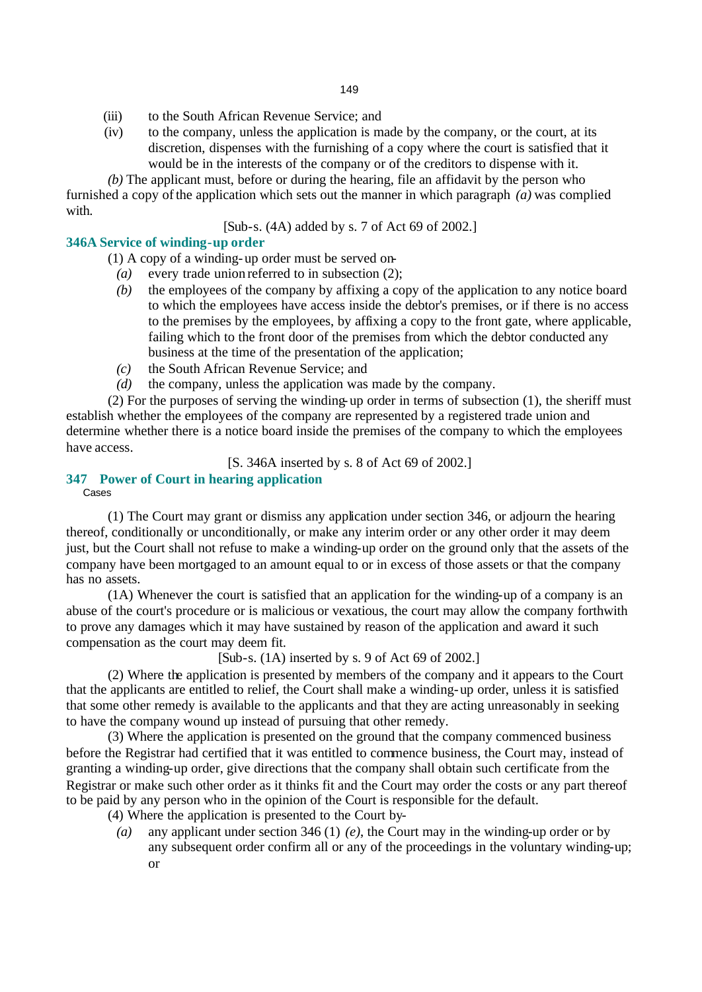- (iii) to the South African Revenue Service; and
- (iv) to the company, unless the application is made by the company, or the court, at its discretion, dispenses with the furnishing of a copy where the court is satisfied that it would be in the interests of the company or of the creditors to dispense with it.

*(b)* The applicant must, before or during the hearing, file an affidavit by the person who furnished a copy of the application which sets out the manner in which paragraph *(a)* was complied with.

# [Sub-s. (4A) added by s. 7 of Act 69 of 2002.]

# **346A Service of winding-up order**

(1) A copy of a winding-up order must be served on-

- *(a)* every trade union referred to in subsection (2);
- *(b)* the employees of the company by affixing a copy of the application to any notice board to which the employees have access inside the debtor's premises, or if there is no access to the premises by the employees, by affixing a copy to the front gate, where applicable, failing which to the front door of the premises from which the debtor conducted any business at the time of the presentation of the application;
- *(c)* the South African Revenue Service; and
- *(d)* the company, unless the application was made by the company.

(2) For the purposes of serving the winding-up order in terms of subsection (1), the sheriff must establish whether the employees of the company are represented by a registered trade union and determine whether there is a notice board inside the premises of the company to which the employees have access.

[S. 346A inserted by s. 8 of Act 69 of 2002.]

#### **347 Power of Court in hearing application** Cases

(1) The Court may grant or dismiss any application under section 346, or adjourn the hearing thereof, conditionally or unconditionally, or make any interim order or any other order it may deem just, but the Court shall not refuse to make a winding-up order on the ground only that the assets of the company have been mortgaged to an amount equal to or in excess of those assets or that the company has no assets.

(1A) Whenever the court is satisfied that an application for the winding-up of a company is an abuse of the court's procedure or is malicious or vexatious, the court may allow the company forthwith to prove any damages which it may have sustained by reason of the application and award it such compensation as the court may deem fit.

[Sub-s. (1A) inserted by s. 9 of Act 69 of 2002.]

(2) Where the application is presented by members of the company and it appears to the Court that the applicants are entitled to relief, the Court shall make a winding-up order, unless it is satisfied that some other remedy is available to the applicants and that they are acting unreasonably in seeking to have the company wound up instead of pursuing that other remedy.

(3) Where the application is presented on the ground that the company commenced business before the Registrar had certified that it was entitled to commence business, the Court may, instead of granting a winding-up order, give directions that the company shall obtain such certificate from the Registrar or make such other order as it thinks fit and the Court may order the costs or any part thereof to be paid by any person who in the opinion of the Court is responsible for the default.

(4) Where the application is presented to the Court by-

*(a)* any applicant under section 346 (1) *(e)*, the Court may in the winding-up order or by any subsequent order confirm all or any of the proceedings in the voluntary winding-up; or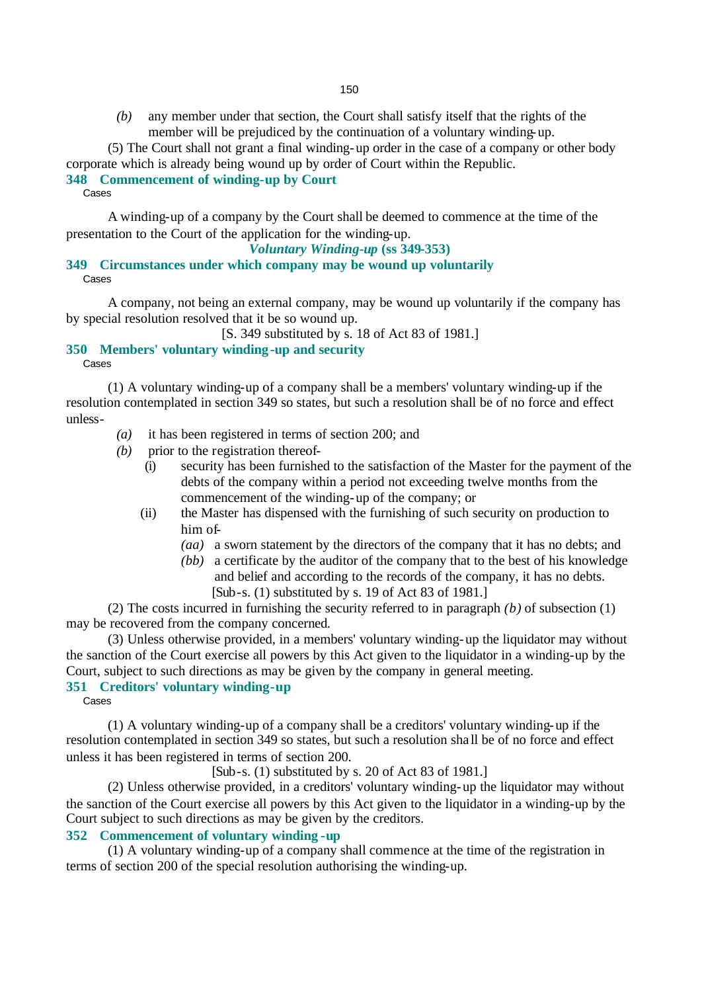*(b)* any member under that section, the Court shall satisfy itself that the rights of the member will be prejudiced by the continuation of a voluntary winding-up.

(5) The Court shall not grant a final winding-up order in the case of a company or other body corporate which is already being wound up by order of Court within the Republic.

### **348 Commencement of winding-up by Court**

Cases

A winding-up of a company by the Court shall be deemed to commence at the time of the presentation to the Court of the application for the winding-up.

#### *Voluntary Winding-up* **(ss 349-353)**

#### **349 Circumstances under which company may be wound up voluntarily** Cases

A company, not being an external company, may be wound up voluntarily if the company has by special resolution resolved that it be so wound up.

[S. 349 substituted by s. 18 of Act 83 of 1981.]

# **350 Members' voluntary winding-up and security**

Cases

(1) A voluntary winding-up of a company shall be a members' voluntary winding-up if the resolution contemplated in section 349 so states, but such a resolution shall be of no force and effect unless-

- *(a)* it has been registered in terms of section 200; and
- *(b)* prior to the registration thereof-
	- (i) security has been furnished to the satisfaction of the Master for the payment of the debts of the company within a period not exceeding twelve months from the commencement of the winding-up of the company; or
	- (ii) the Master has dispensed with the furnishing of such security on production to him of-
		- *(aa)* a sworn statement by the directors of the company that it has no debts; and
		- *(bb)* a certificate by the auditor of the company that to the best of his knowledge and belief and according to the records of the company, it has no debts. [Sub-s. (1) substituted by s. 19 of Act 83 of 1981.]

(2) The costs incurred in furnishing the security referred to in paragraph *(b)* of subsection (1) may be recovered from the company concerned.

(3) Unless otherwise provided, in a members' voluntary winding-up the liquidator may without the sanction of the Court exercise all powers by this Act given to the liquidator in a winding-up by the Court, subject to such directions as may be given by the company in general meeting.

# **351 Creditors' voluntary winding-up**

Cases

(1) A voluntary winding-up of a company shall be a creditors' voluntary winding-up if the resolution contemplated in section 349 so states, but such a resolution sha ll be of no force and effect unless it has been registered in terms of section 200.

[Sub-s. (1) substituted by s. 20 of Act 83 of 1981.]

(2) Unless otherwise provided, in a creditors' voluntary winding-up the liquidator may without the sanction of the Court exercise all powers by this Act given to the liquidator in a winding-up by the Court subject to such directions as may be given by the creditors.

# **352 Commencement of voluntary winding -up**

(1) A voluntary winding-up of a company shall commence at the time of the registration in terms of section 200 of the special resolution authorising the winding-up.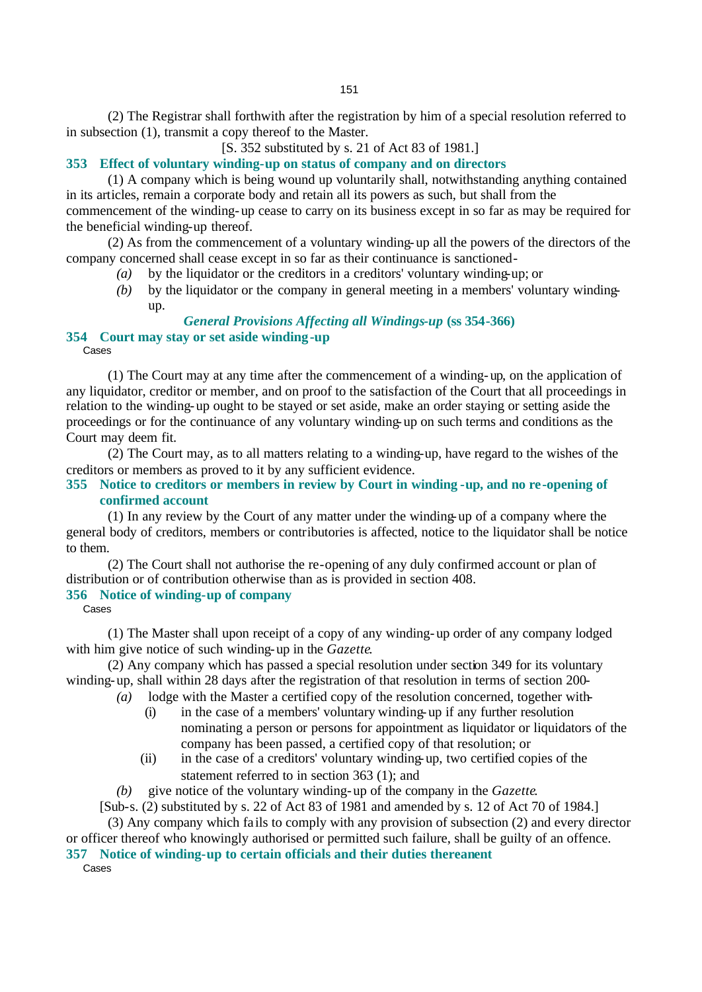(2) The Registrar shall forthwith after the registration by him of a special resolution referred to in subsection (1), transmit a copy thereof to the Master.

[S. 352 substituted by s. 21 of Act 83 of 1981.]

# **353 Effect of voluntary winding-up on status of company and on directors**

(1) A company which is being wound up voluntarily shall, notwithstanding anything contained in its articles, remain a corporate body and retain all its powers as such, but shall from the

commencement of the winding-up cease to carry on its business except in so far as may be required for the beneficial winding-up thereof.

(2) As from the commencement of a voluntary winding-up all the powers of the directors of the company concerned shall cease except in so far as their continuance is sanctioned-

- *(a)* by the liquidator or the creditors in a creditors' voluntary winding-up; or
- *(b)* by the liquidator or the company in general meeting in a members' voluntary windingup.

# *General Provisions Affecting all Windings-up* **(ss 354-366)**

#### **354 Court may stay or set aside winding-up** Cases

(1) The Court may at any time after the commencement of a winding-up, on the application of any liquidator, creditor or member, and on proof to the satisfaction of the Court that all proceedings in relation to the winding-up ought to be stayed or set aside, make an order staying or setting aside the proceedings or for the continuance of any voluntary winding-up on such terms and conditions as the Court may deem fit.

(2) The Court may, as to all matters relating to a winding-up, have regard to the wishes of the creditors or members as proved to it by any sufficient evidence.

# **355 Notice to creditors or members in review by Court in winding -up, and no re-opening of confirmed account**

(1) In any review by the Court of any matter under the winding-up of a company where the general body of creditors, members or contributories is affected, notice to the liquidator shall be notice to them.

(2) The Court shall not authorise the re-opening of any duly confirmed account or plan of distribution or of contribution otherwise than as is provided in section 408.

# **356 Notice of winding-up of company**

Cases

(1) The Master shall upon receipt of a copy of any winding-up order of any company lodged with him give notice of such winding-up in the *Gazette*.

(2) Any company which has passed a special resolution under section 349 for its voluntary winding-up, shall within 28 days after the registration of that resolution in terms of section 200-

- *(a)* lodge with the Master a certified copy of the resolution concerned, together with-
	- (i) in the case of a members' voluntary winding-up if any further resolution nominating a person or persons for appointment as liquidator or liquidators of the company has been passed, a certified copy of that resolution; or
	- (ii) in the case of a creditors' voluntary winding-up, two certified copies of the statement referred to in section 363 (1); and
- *(b)* give notice of the voluntary winding-up of the company in the *Gazette*.

[Sub-s. (2) substituted by s. 22 of Act 83 of 1981 and amended by s. 12 of Act 70 of 1984.]

(3) Any company which fa ils to comply with any provision of subsection (2) and every director or officer thereof who knowingly authorised or permitted such failure, shall be guilty of an offence.

**357 Notice of winding-up to certain officials and their duties thereanent**

Cases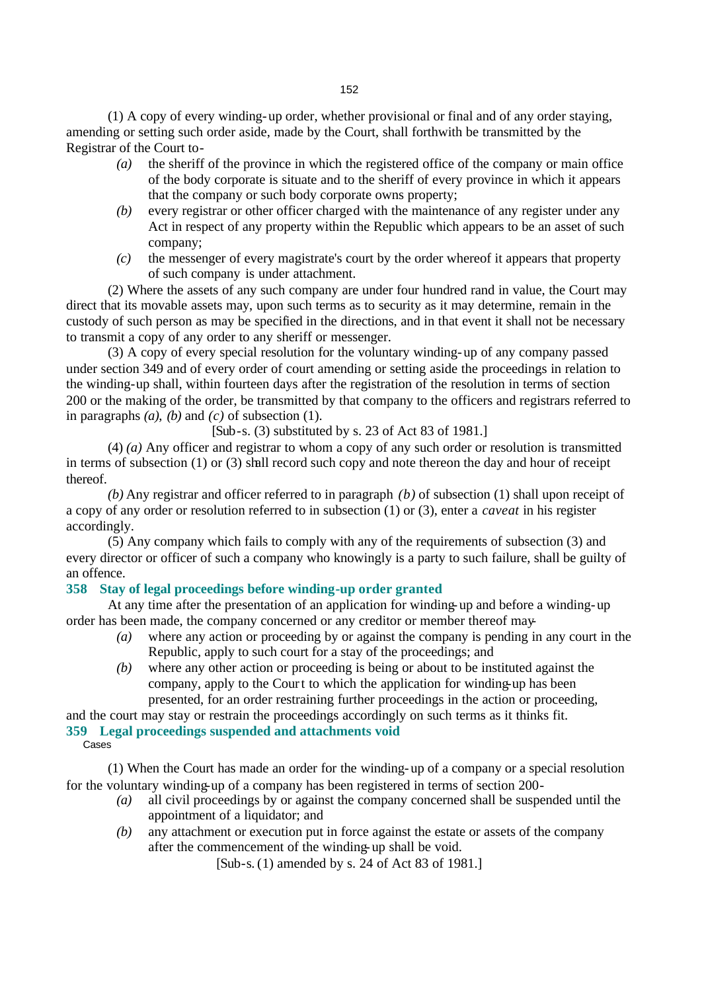(1) A copy of every winding-up order, whether provisional or final and of any order staying, amending or setting such order aside, made by the Court, shall forthwith be transmitted by the Registrar of the Court to-

- *(a)* the sheriff of the province in which the registered office of the company or main office of the body corporate is situate and to the sheriff of every province in which it appears that the company or such body corporate owns property;
- *(b)* every registrar or other officer charged with the maintenance of any register under any Act in respect of any property within the Republic which appears to be an asset of such company;
- *(c)* the messenger of every magistrate's court by the order whereof it appears that property of such company is under attachment.

(2) Where the assets of any such company are under four hundred rand in value, the Court may direct that its movable assets may, upon such terms as to security as it may determine, remain in the custody of such person as may be specified in the directions, and in that event it shall not be necessary to transmit a copy of any order to any sheriff or messenger.

(3) A copy of every special resolution for the voluntary winding-up of any company passed under section 349 and of every order of court amending or setting aside the proceedings in relation to the winding-up shall, within fourteen days after the registration of the resolution in terms of section 200 or the making of the order, be transmitted by that company to the officers and registrars referred to in paragraphs  $(a)$ ,  $(b)$  and  $(c)$  of subsection  $(1)$ .

[Sub-s. (3) substituted by s. 23 of Act 83 of 1981.]

(4) *(a)* Any officer and registrar to whom a copy of any such order or resolution is transmitted in terms of subsection (1) or (3) shall record such copy and note thereon the day and hour of receipt thereof.

*(b)* Any registrar and officer referred to in paragraph *(b)* of subsection (1) shall upon receipt of a copy of any order or resolution referred to in subsection (1) or (3), enter a *caveat* in his register accordingly.

(5) Any company which fails to comply with any of the requirements of subsection (3) and every director or officer of such a company who knowingly is a party to such failure, shall be guilty of an offence.

# **358 Stay of legal proceedings before winding-up order granted**

At any time after the presentation of an application for winding-up and before a winding-up order has been made, the company concerned or any creditor or member thereof may-

- *(a)* where any action or proceeding by or against the company is pending in any court in the Republic, apply to such court for a stay of the proceedings; and
- *(b)* where any other action or proceeding is being or about to be instituted against the company, apply to the Court to which the application for winding-up has been presented, for an order restraining further proceedings in the action or proceeding,

and the court may stay or restrain the proceedings accordingly on such terms as it thinks fit. **359 Legal proceedings suspended and attachments void**

Cases

(1) When the Court has made an order for the winding-up of a company or a special resolution for the voluntary winding-up of a company has been registered in terms of section 200-

- *(a)* all civil proceedings by or against the company concerned shall be suspended until the appointment of a liquidator; and
- *(b)* any attachment or execution put in force against the estate or assets of the company after the commencement of the winding-up shall be void.

[Sub-s. (1) amended by s. 24 of Act 83 of 1981.]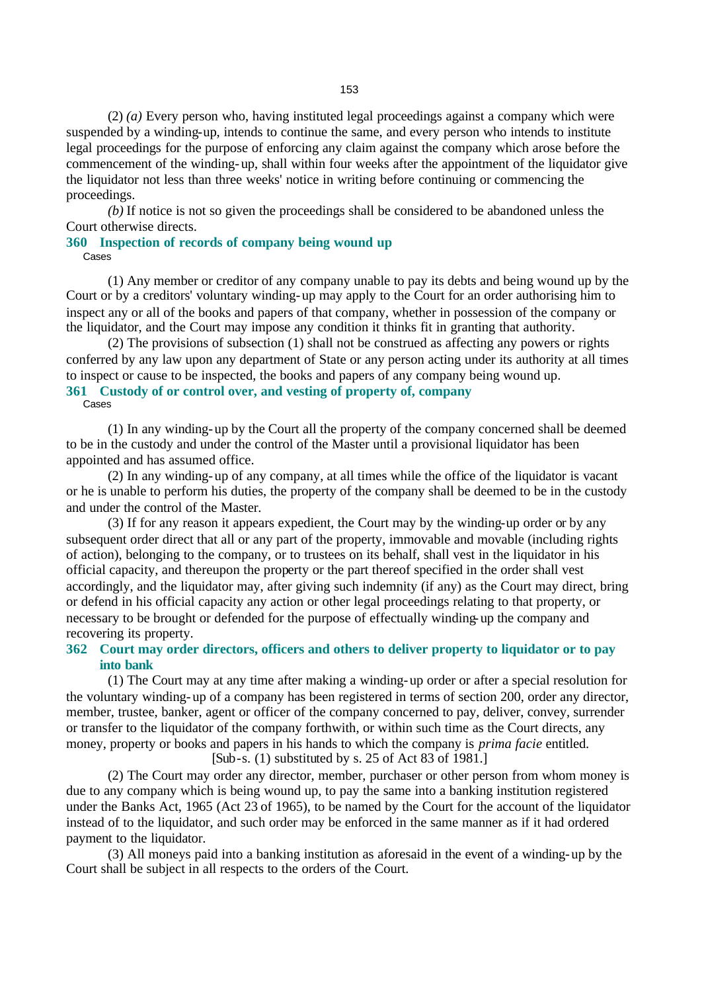(2) *(a)* Every person who, having instituted legal proceedings against a company which were suspended by a winding-up, intends to continue the same, and every person who intends to institute legal proceedings for the purpose of enforcing any claim against the company which arose before the commencement of the winding-up, shall within four weeks after the appointment of the liquidator give the liquidator not less than three weeks' notice in writing before continuing or commencing the proceedings.

*(b)* If notice is not so given the proceedings shall be considered to be abandoned unless the Court otherwise directs.

### **360 Inspection of records of company being wound up** Cases

(1) Any member or creditor of any company unable to pay its debts and being wound up by the Court or by a creditors' voluntary winding-up may apply to the Court for an order authorising him to inspect any or all of the books and papers of that company, whether in possession of the company or the liquidator, and the Court may impose any condition it thinks fit in granting that authority.

(2) The provisions of subsection (1) shall not be construed as affecting any powers or rights conferred by any law upon any department of State or any person acting under its authority at all times to inspect or cause to be inspected, the books and papers of any company being wound up. **361 Custody of or control over, and vesting of property of, company**

Cases

(1) In any winding-up by the Court all the property of the company concerned shall be deemed to be in the custody and under the control of the Master until a provisional liquidator has been appointed and has assumed office.

(2) In any winding-up of any company, at all times while the office of the liquidator is vacant or he is unable to perform his duties, the property of the company shall be deemed to be in the custody and under the control of the Master.

(3) If for any reason it appears expedient, the Court may by the winding-up order or by any subsequent order direct that all or any part of the property, immovable and movable (including rights of action), belonging to the company, or to trustees on its behalf, shall vest in the liquidator in his official capacity, and thereupon the property or the part thereof specified in the order shall vest accordingly, and the liquidator may, after giving such indemnity (if any) as the Court may direct, bring or defend in his official capacity any action or other legal proceedings relating to that property, or necessary to be brought or defended for the purpose of effectually winding-up the company and recovering its property.

# **362 Court may order directors, officers and others to deliver property to liquidator or to pay into bank**

(1) The Court may at any time after making a winding-up order or after a special resolution for the voluntary winding-up of a company has been registered in terms of section 200, order any director, member, trustee, banker, agent or officer of the company concerned to pay, deliver, convey, surrender or transfer to the liquidator of the company forthwith, or within such time as the Court directs, any money, property or books and papers in his hands to which the company is *prima facie* entitled. [Sub-s. (1) substituted by s. 25 of Act 83 of 1981.]

(2) The Court may order any director, member, purchaser or other person from whom money is due to any company which is being wound up, to pay the same into a banking institution registered under the Banks Act, 1965 (Act 23 of 1965), to be named by the Court for the account of the liquidator instead of to the liquidator, and such order may be enforced in the same manner as if it had ordered payment to the liquidator.

(3) All moneys paid into a banking institution as aforesaid in the event of a winding-up by the Court shall be subject in all respects to the orders of the Court.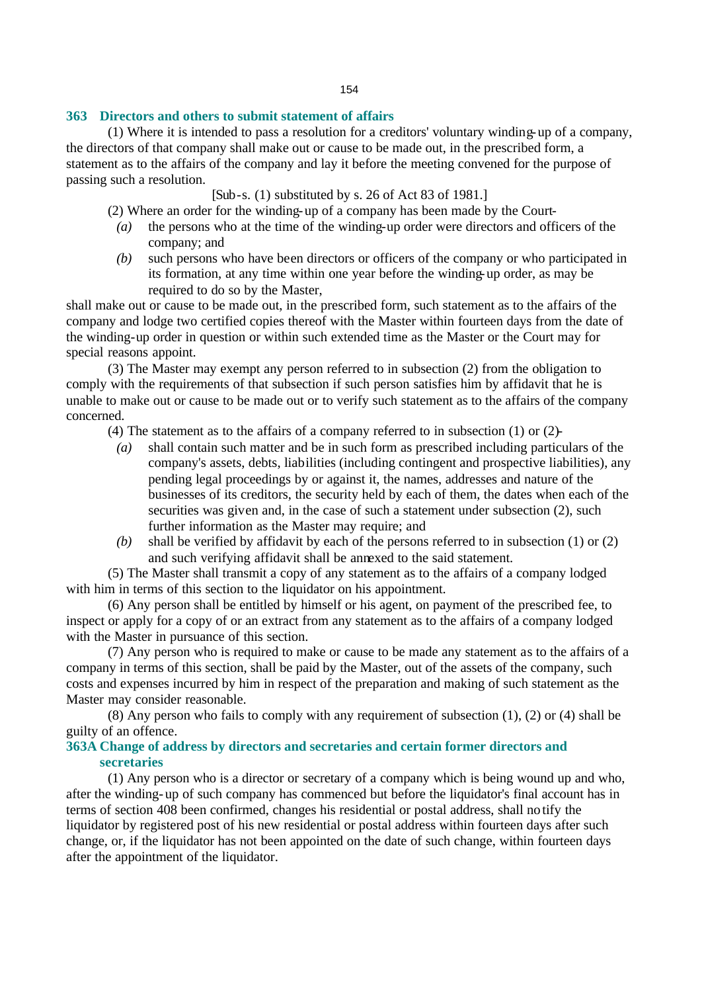#### 154

#### **363 Directors and others to submit statement of affairs**

(1) Where it is intended to pass a resolution for a creditors' voluntary winding-up of a company, the directors of that company shall make out or cause to be made out, in the prescribed form, a statement as to the affairs of the company and lay it before the meeting convened for the purpose of passing such a resolution.

[Sub-s. (1) substituted by s. 26 of Act 83 of 1981.]

(2) Where an order for the winding-up of a company has been made by the Court-

- *(a)* the persons who at the time of the winding-up order were directors and officers of the company; and
- *(b)* such persons who have been directors or officers of the company or who participated in its formation, at any time within one year before the winding-up order, as may be required to do so by the Master,

shall make out or cause to be made out, in the prescribed form, such statement as to the affairs of the company and lodge two certified copies thereof with the Master within fourteen days from the date of the winding-up order in question or within such extended time as the Master or the Court may for special reasons appoint.

(3) The Master may exempt any person referred to in subsection (2) from the obligation to comply with the requirements of that subsection if such person satisfies him by affidavit that he is unable to make out or cause to be made out or to verify such statement as to the affairs of the company concerned.

(4) The statement as to the affairs of a company referred to in subsection (1) or (2)-

- *(a)* shall contain such matter and be in such form as prescribed including particulars of the company's assets, debts, liabilities (including contingent and prospective liabilities), any pending legal proceedings by or against it, the names, addresses and nature of the businesses of its creditors, the security held by each of them, the dates when each of the securities was given and, in the case of such a statement under subsection (2), such further information as the Master may require; and
- *(b)* shall be verified by affidavit by each of the persons referred to in subsection (1) or (2) and such verifying affidavit shall be annexed to the said statement.

(5) The Master shall transmit a copy of any statement as to the affairs of a company lodged with him in terms of this section to the liquidator on his appointment.

(6) Any person shall be entitled by himself or his agent, on payment of the prescribed fee, to inspect or apply for a copy of or an extract from any statement as to the affairs of a company lodged with the Master in pursuance of this section.

(7) Any person who is required to make or cause to be made any statement as to the affairs of a company in terms of this section, shall be paid by the Master, out of the assets of the company, such costs and expenses incurred by him in respect of the preparation and making of such statement as the Master may consider reasonable.

(8) Any person who fails to comply with any requirement of subsection (1), (2) or (4) shall be guilty of an offence.

## **363A Change of address by directors and secretaries and certain former directors and secretaries**

(1) Any person who is a director or secretary of a company which is being wound up and who, after the winding-up of such company has commenced but before the liquidator's final account has in terms of section 408 been confirmed, changes his residential or postal address, shall notify the liquidator by registered post of his new residential or postal address within fourteen days after such change, or, if the liquidator has not been appointed on the date of such change, within fourteen days after the appointment of the liquidator.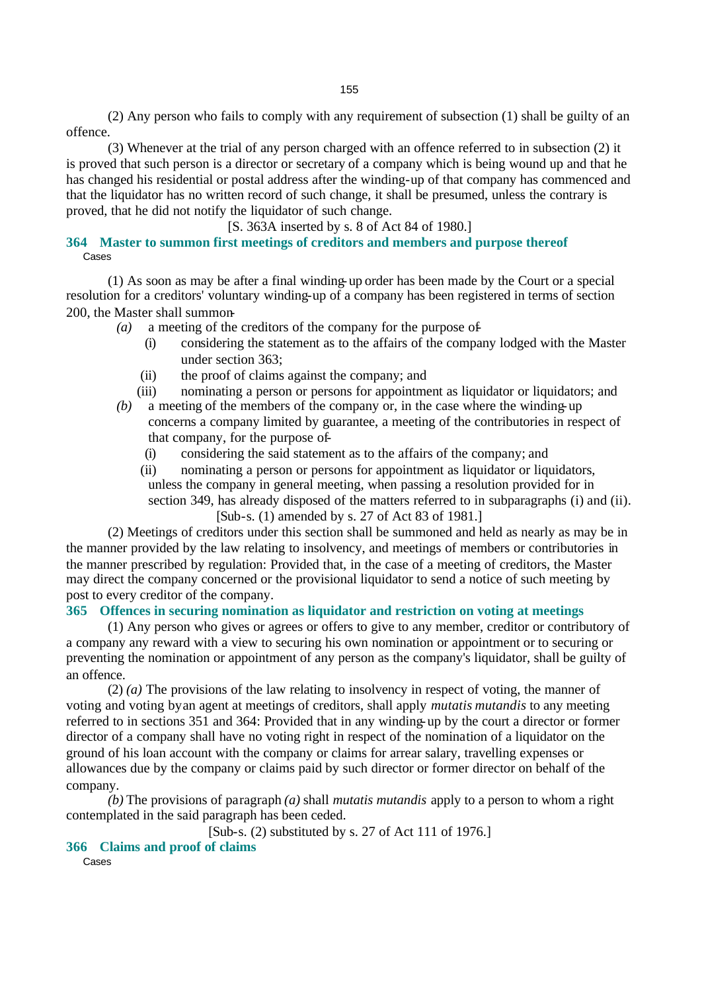(2) Any person who fails to comply with any requirement of subsection (1) shall be guilty of an offence.

(3) Whenever at the trial of any person charged with an offence referred to in subsection (2) it is proved that such person is a director or secretary of a company which is being wound up and that he has changed his residential or postal address after the winding-up of that company has commenced and that the liquidator has no written record of such change, it shall be presumed, unless the contrary is proved, that he did not notify the liquidator of such change.

[S. 363A inserted by s. 8 of Act 84 of 1980.]

# **364 Master to summon first meetings of creditors and members and purpose thereof** Cases

(1) As soon as may be after a final winding-up order has been made by the Court or a special resolution for a creditors' voluntary winding-up of a company has been registered in terms of section 200, the Master shall summon-

- *(a)* a meeting of the creditors of the company for the purpose of-
	- (i) considering the statement as to the affairs of the company lodged with the Master under section 363;
	- (ii) the proof of claims against the company; and
	- (iii) nominating a person or persons for appointment as liquidator or liquidators; and
- *(b)* a meeting of the members of the company or, in the case where the winding-up concerns a company limited by guarantee, a meeting of the contributories in respect of that company, for the purpose of-
	- (i) considering the said statement as to the affairs of the company; and
	- (ii) nominating a person or persons for appointment as liquidator or liquidators, unless the company in general meeting, when passing a resolution provided for in section 349, has already disposed of the matters referred to in subparagraphs (i) and (ii).

[Sub-s. (1) amended by s. 27 of Act 83 of 1981.]

(2) Meetings of creditors under this section shall be summoned and held as nearly as may be in the manner provided by the law relating to insolvency, and meetings of members or contributories in the manner prescribed by regulation: Provided that, in the case of a meeting of creditors, the Master may direct the company concerned or the provisional liquidator to send a notice of such meeting by post to every creditor of the company.

### **365 Offences in securing nomination as liquidator and restriction on voting at meetings**

(1) Any person who gives or agrees or offers to give to any member, creditor or contributory of a company any reward with a view to securing his own nomination or appointment or to securing or preventing the nomination or appointment of any person as the company's liquidator, shall be guilty of an offence.

(2) *(a)* The provisions of the law relating to insolvency in respect of voting, the manner of voting and voting by an agent at meetings of creditors, shall apply *mutatis mutandis* to any meeting referred to in sections 351 and 364: Provided that in any winding-up by the court a director or former director of a company shall have no voting right in respect of the nomination of a liquidator on the ground of his loan account with the company or claims for arrear salary, travelling expenses or allowances due by the company or claims paid by such director or former director on behalf of the company.

*(b)* The provisions of paragraph *(a)* shall *mutatis mutandis* apply to a person to whom a right contemplated in the said paragraph has been ceded.

[Sub-s. (2) substituted by s. 27 of Act 111 of 1976.]

### **366 Claims and proof of claims**

Cases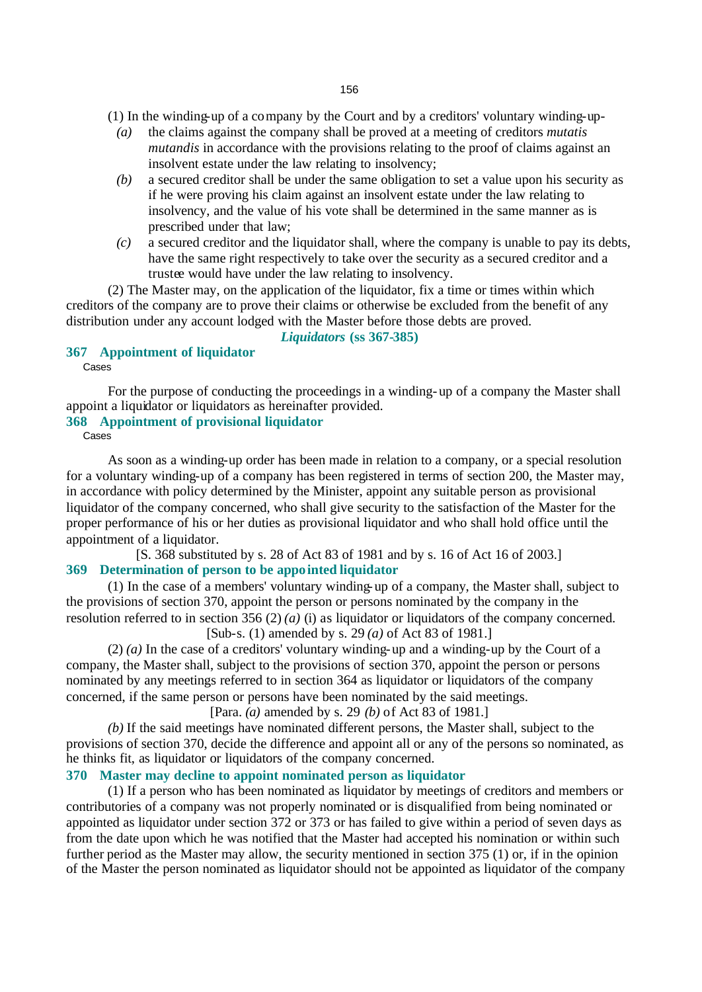(1) In the winding-up of a company by the Court and by a creditors' voluntary winding-up-

- *(a)* the claims against the company shall be proved at a meeting of creditors *mutatis mutandis* in accordance with the provisions relating to the proof of claims against an insolvent estate under the law relating to insolvency;
- *(b)* a secured creditor shall be under the same obligation to set a value upon his security as if he were proving his claim against an insolvent estate under the law relating to insolvency, and the value of his vote shall be determined in the same manner as is prescribed under that law;
- *(c)* a secured creditor and the liquidator shall, where the company is unable to pay its debts, have the same right respectively to take over the security as a secured creditor and a trustee would have under the law relating to insolvency.

(2) The Master may, on the application of the liquidator, fix a time or times within which creditors of the company are to prove their claims or otherwise be excluded from the benefit of any distribution under any account lodged with the Master before those debts are proved.

*Liquidators* **(ss 367-385)**

#### **367 Appointment of liquidator**

Cases

For the purpose of conducting the proceedings in a winding-up of a company the Master shall appoint a liquidator or liquidators as hereinafter provided.

# **368 Appointment of provisional liquidator**

Cases<sup>1</sup>

As soon as a winding-up order has been made in relation to a company, or a special resolution for a voluntary winding-up of a company has been registered in terms of section 200, the Master may, in accordance with policy determined by the Minister, appoint any suitable person as provisional liquidator of the company concerned, who shall give security to the satisfaction of the Master for the proper performance of his or her duties as provisional liquidator and who shall hold office until the appointment of a liquidator.

[S. 368 substituted by s. 28 of Act 83 of 1981 and by s. 16 of Act 16 of 2003.] **369 Determination of person to be appointed liquidator**

(1) In the case of a members' voluntary winding-up of a company, the Master shall, subject to the provisions of section 370, appoint the person or persons nominated by the company in the resolution referred to in section 356 (2) *(a)* (i) as liquidator or liquidators of the company concerned. [Sub-s. (1) amended by s. 29 *(a)* of Act 83 of 1981.]

(2) *(a)* In the case of a creditors' voluntary winding-up and a winding-up by the Court of a company, the Master shall, subject to the provisions of section 370, appoint the person or persons nominated by any meetings referred to in section 364 as liquidator or liquidators of the company concerned, if the same person or persons have been nominated by the said meetings.

[Para. *(a)* amended by s. 29 *(b)* of Act 83 of 1981.]

*(b)* If the said meetings have nominated different persons, the Master shall, subject to the provisions of section 370, decide the difference and appoint all or any of the persons so nominated, as he thinks fit, as liquidator or liquidators of the company concerned.

# **370 Master may decline to appoint nominated person as liquidator**

(1) If a person who has been nominated as liquidator by meetings of creditors and members or contributories of a company was not properly nominated or is disqualified from being nominated or appointed as liquidator under section 372 or 373 or has failed to give within a period of seven days as from the date upon which he was notified that the Master had accepted his nomination or within such further period as the Master may allow, the security mentioned in section 375 (1) or, if in the opinion of the Master the person nominated as liquidator should not be appointed as liquidator of the company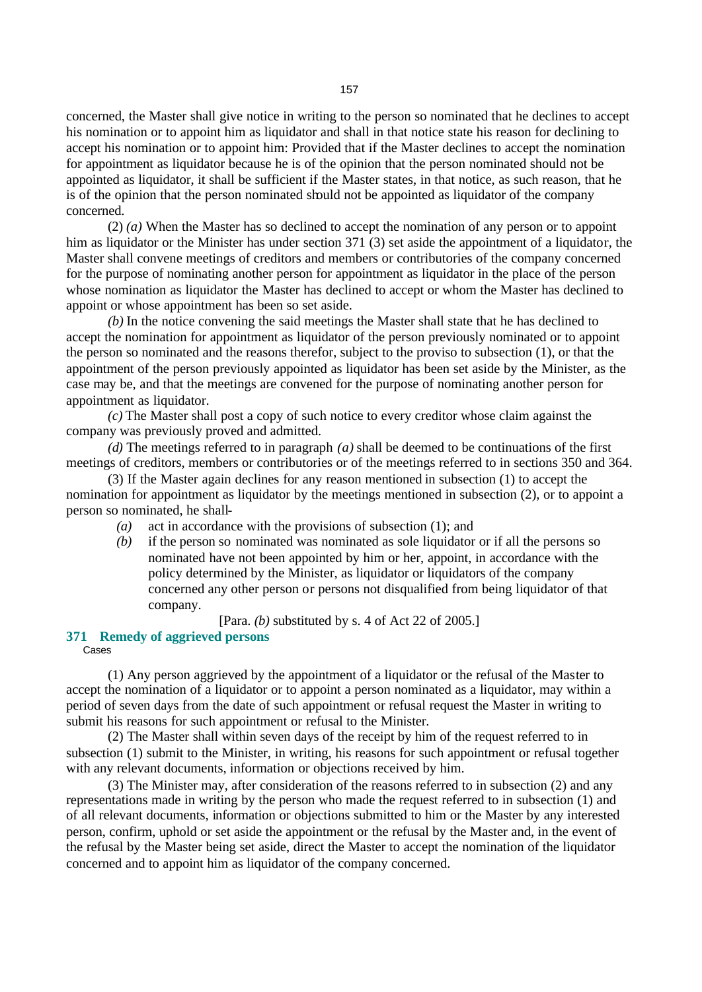concerned, the Master shall give notice in writing to the person so nominated that he declines to accept his nomination or to appoint him as liquidator and shall in that notice state his reason for declining to accept his nomination or to appoint him: Provided that if the Master declines to accept the nomination for appointment as liquidator because he is of the opinion that the person nominated should not be appointed as liquidator, it shall be sufficient if the Master states, in that notice, as such reason, that he is of the opinion that the person nominated should not be appointed as liquidator of the company concerned.

(2) *(a)* When the Master has so declined to accept the nomination of any person or to appoint him as liquidator or the Minister has under section 371 (3) set aside the appointment of a liquidator, the Master shall convene meetings of creditors and members or contributories of the company concerned for the purpose of nominating another person for appointment as liquidator in the place of the person whose nomination as liquidator the Master has declined to accept or whom the Master has declined to appoint or whose appointment has been so set aside.

*(b)* In the notice convening the said meetings the Master shall state that he has declined to accept the nomination for appointment as liquidator of the person previously nominated or to appoint the person so nominated and the reasons therefor, subject to the proviso to subsection (1), or that the appointment of the person previously appointed as liquidator has been set aside by the Minister, as the case may be, and that the meetings are convened for the purpose of nominating another person for appointment as liquidator.

*(c)* The Master shall post a copy of such notice to every creditor whose claim against the company was previously proved and admitted.

*(d)* The meetings referred to in paragraph *(a)* shall be deemed to be continuations of the first meetings of creditors, members or contributories or of the meetings referred to in sections 350 and 364.

(3) If the Master again declines for any reason mentioned in subsection (1) to accept the nomination for appointment as liquidator by the meetings mentioned in subsection (2), or to appoint a person so nominated, he shall-

- *(a)* act in accordance with the provisions of subsection (1); and
- *(b)* if the person so nominated was nominated as sole liquidator or if all the persons so nominated have not been appointed by him or her, appoint, in accordance with the policy determined by the Minister, as liquidator or liquidators of the company concerned any other person or persons not disqualified from being liquidator of that company.

[Para. *(b)* substituted by s. 4 of Act 22 of 2005.]

# **371 Remedy of aggrieved persons**

Cases

(1) Any person aggrieved by the appointment of a liquidator or the refusal of the Master to accept the nomination of a liquidator or to appoint a person nominated as a liquidator, may within a period of seven days from the date of such appointment or refusal request the Master in writing to submit his reasons for such appointment or refusal to the Minister.

(2) The Master shall within seven days of the receipt by him of the request referred to in subsection (1) submit to the Minister, in writing, his reasons for such appointment or refusal together with any relevant documents, information or objections received by him.

(3) The Minister may, after consideration of the reasons referred to in subsection (2) and any representations made in writing by the person who made the request referred to in subsection (1) and of all relevant documents, information or objections submitted to him or the Master by any interested person, confirm, uphold or set aside the appointment or the refusal by the Master and, in the event of the refusal by the Master being set aside, direct the Master to accept the nomination of the liquidator concerned and to appoint him as liquidator of the company concerned.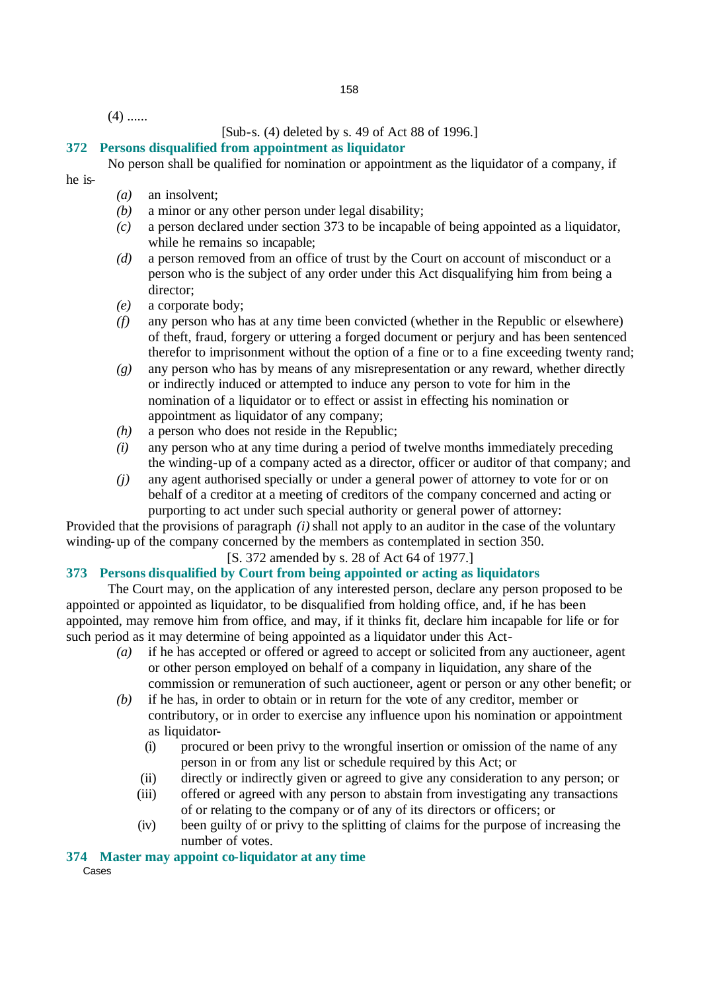$(4)$  ......

# [Sub-s. (4) deleted by s. 49 of Act 88 of 1996.]

# **372 Persons disqualified from appointment as liquidator**

No person shall be qualified for nomination or appointment as the liquidator of a company, if

he is-

- *(a)* an insolvent;
- *(b)* a minor or any other person under legal disability;
- *(c)* a person declared under section 373 to be incapable of being appointed as a liquidator, while he remains so incapable;
- *(d)* a person removed from an office of trust by the Court on account of misconduct or a person who is the subject of any order under this Act disqualifying him from being a director;
- *(e)* a corporate body;
- *(f)* any person who has at any time been convicted (whether in the Republic or elsewhere) of theft, fraud, forgery or uttering a forged document or perjury and has been sentenced therefor to imprisonment without the option of a fine or to a fine exceeding twenty rand;
- *(g)* any person who has by means of any misrepresentation or any reward, whether directly or indirectly induced or attempted to induce any person to vote for him in the nomination of a liquidator or to effect or assist in effecting his nomination or appointment as liquidator of any company;
- *(h)* a person who does not reside in the Republic;
- *(i)* any person who at any time during a period of twelve months immediately preceding the winding-up of a company acted as a director, officer or auditor of that company; and
- *(j)* any agent authorised specially or under a general power of attorney to vote for or on behalf of a creditor at a meeting of creditors of the company concerned and acting or purporting to act under such special authority or general power of attorney:

Provided that the provisions of paragraph *(i)* shall not apply to an auditor in the case of the voluntary winding-up of the company concerned by the members as contemplated in section 350.

### [S. 372 amended by s. 28 of Act 64 of 1977.]

# **373 Persons disqualified by Court from being appointed or acting as liquidators**

The Court may, on the application of any interested person, declare any person proposed to be appointed or appointed as liquidator, to be disqualified from holding office, and, if he has been appointed, may remove him from office, and may, if it thinks fit, declare him incapable for life or for such period as it may determine of being appointed as a liquidator under this Act-

- *(a)* if he has accepted or offered or agreed to accept or solicited from any auctioneer, agent or other person employed on behalf of a company in liquidation, any share of the commission or remuneration of such auctioneer, agent or person or any other benefit; or
- *(b)* if he has, in order to obtain or in return for the vote of any creditor, member or contributory, or in order to exercise any influence upon his nomination or appointment as liquidator-
	- (i) procured or been privy to the wrongful insertion or omission of the name of any person in or from any list or schedule required by this Act; or
	- (ii) directly or indirectly given or agreed to give any consideration to any person; or
	- (iii) offered or agreed with any person to abstain from investigating any transactions of or relating to the company or of any of its directors or officers; or
	- (iv) been guilty of or privy to the splitting of claims for the purpose of increasing the number of votes.

# **374 Master may appoint co-liquidator at any time**

Cases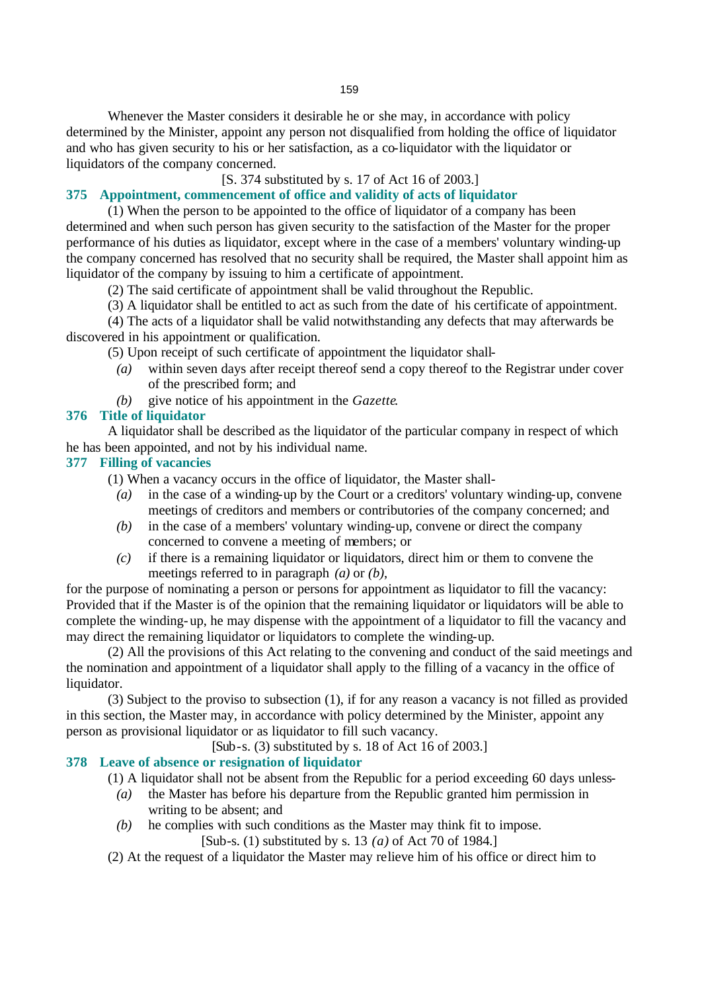Whenever the Master considers it desirable he or she may, in accordance with policy determined by the Minister, appoint any person not disqualified from holding the office of liquidator and who has given security to his or her satisfaction, as a co-liquidator with the liquidator or liquidators of the company concerned.

[S. 374 substituted by s. 17 of Act 16 of 2003.]

# **375 Appointment, commencement of office and validity of acts of liquidator**

(1) When the person to be appointed to the office of liquidator of a company has been determined and when such person has given security to the satisfaction of the Master for the proper performance of his duties as liquidator, except where in the case of a members' voluntary winding-up the company concerned has resolved that no security shall be required, the Master shall appoint him as liquidator of the company by issuing to him a certificate of appointment.

(2) The said certificate of appointment shall be valid throughout the Republic.

(3) A liquidator shall be entitled to act as such from the date of his certificate of appointment.

(4) The acts of a liquidator shall be valid notwithstanding any defects that may afterwards be discovered in his appointment or qualification.

(5) Upon receipt of such certificate of appointment the liquidator shall-

- *(a)* within seven days after receipt thereof send a copy thereof to the Registrar under cover of the prescribed form; and
- *(b)* give notice of his appointment in the *Gazette*.

# **376 Title of liquidator**

A liquidator shall be described as the liquidator of the particular company in respect of which he has been appointed, and not by his individual name.

### **377 Filling of vacancies**

(1) When a vacancy occurs in the office of liquidator, the Master shall-

- *(a)* in the case of a winding-up by the Court or a creditors' voluntary winding-up, convene meetings of creditors and members or contributories of the company concerned; and
- *(b)* in the case of a members' voluntary winding-up, convene or direct the company concerned to convene a meeting of members; or
- *(c)* if there is a remaining liquidator or liquidators, direct him or them to convene the meetings referred to in paragraph *(a)* or *(b)*,

for the purpose of nominating a person or persons for appointment as liquidator to fill the vacancy: Provided that if the Master is of the opinion that the remaining liquidator or liquidators will be able to complete the winding-up, he may dispense with the appointment of a liquidator to fill the vacancy and may direct the remaining liquidator or liquidators to complete the winding-up.

(2) All the provisions of this Act relating to the convening and conduct of the said meetings and the nomination and appointment of a liquidator shall apply to the filling of a vacancy in the office of liquidator.

(3) Subject to the proviso to subsection (1), if for any reason a vacancy is not filled as provided in this section, the Master may, in accordance with policy determined by the Minister, appoint any person as provisional liquidator or as liquidator to fill such vacancy.

[Sub-s. (3) substituted by s. 18 of Act 16 of 2003.]

# **378 Leave of absence or resignation of liquidator**

(1) A liquidator shall not be absent from the Republic for a period exceeding 60 days unless-

- *(a)* the Master has before his departure from the Republic granted him permission in writing to be absent; and
- *(b)* he complies with such conditions as the Master may think fit to impose.

[Sub-s. (1) substituted by s. 13 *(a)* of Act 70 of 1984.]

(2) At the request of a liquidator the Master may relieve him of his office or direct him to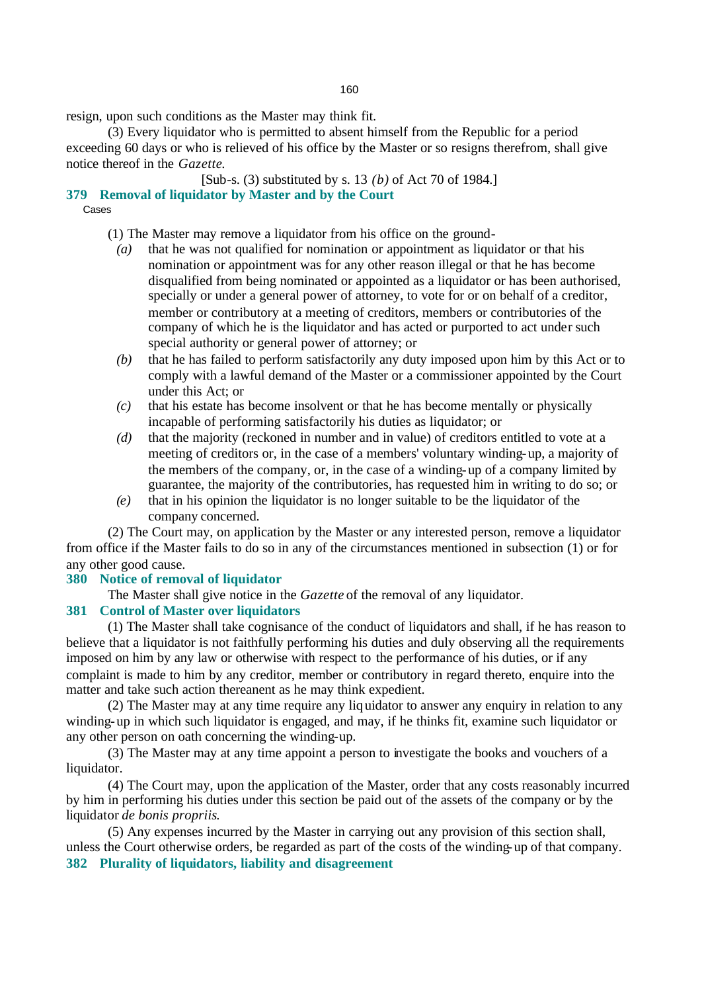resign, upon such conditions as the Master may think fit.

(3) Every liquidator who is permitted to absent himself from the Republic for a period exceeding 60 days or who is relieved of his office by the Master or so resigns therefrom, shall give notice thereof in the *Gazette*.

#### [Sub-s. (3) substituted by s. 13 *(b)* of Act 70 of 1984.] **379 Removal of liquidator by Master and by the Court** Cases

(1) The Master may remove a liquidator from his office on the ground-

- *(a)* that he was not qualified for nomination or appointment as liquidator or that his nomination or appointment was for any other reason illegal or that he has become disqualified from being nominated or appointed as a liquidator or has been authorised, specially or under a general power of attorney, to vote for or on behalf of a creditor, member or contributory at a meeting of creditors, members or contributories of the company of which he is the liquidator and has acted or purported to act under such special authority or general power of attorney; or
- *(b)* that he has failed to perform satisfactorily any duty imposed upon him by this Act or to comply with a lawful demand of the Master or a commissioner appointed by the Court under this Act; or
- *(c)* that his estate has become insolvent or that he has become mentally or physically incapable of performing satisfactorily his duties as liquidator; or
- *(d)* that the majority (reckoned in number and in value) of creditors entitled to vote at a meeting of creditors or, in the case of a members' voluntary winding-up, a majority of the members of the company, or, in the case of a winding-up of a company limited by guarantee, the majority of the contributories, has requested him in writing to do so; or
- *(e)* that in his opinion the liquidator is no longer suitable to be the liquidator of the company concerned.

(2) The Court may, on application by the Master or any interested person, remove a liquidator from office if the Master fails to do so in any of the circumstances mentioned in subsection (1) or for any other good cause.

# **380 Notice of removal of liquidator**

The Master shall give notice in the *Gazette* of the removal of any liquidator.

### **381 Control of Master over liquidators**

(1) The Master shall take cognisance of the conduct of liquidators and shall, if he has reason to believe that a liquidator is not faithfully performing his duties and duly observing all the requirements imposed on him by any law or otherwise with respect to the performance of his duties, or if any complaint is made to him by any creditor, member or contributory in regard thereto, enquire into the matter and take such action thereanent as he may think expedient.

(2) The Master may at any time require any liquidator to answer any enquiry in relation to any winding-up in which such liquidator is engaged, and may, if he thinks fit, examine such liquidator or any other person on oath concerning the winding-up.

(3) The Master may at any time appoint a person to investigate the books and vouchers of a liquidator.

(4) The Court may, upon the application of the Master, order that any costs reasonably incurred by him in performing his duties under this section be paid out of the assets of the company or by the liquidator *de bonis propriis*.

(5) Any expenses incurred by the Master in carrying out any provision of this section shall, unless the Court otherwise orders, be regarded as part of the costs of the winding-up of that company. **382 Plurality of liquidators, liability and disagreement**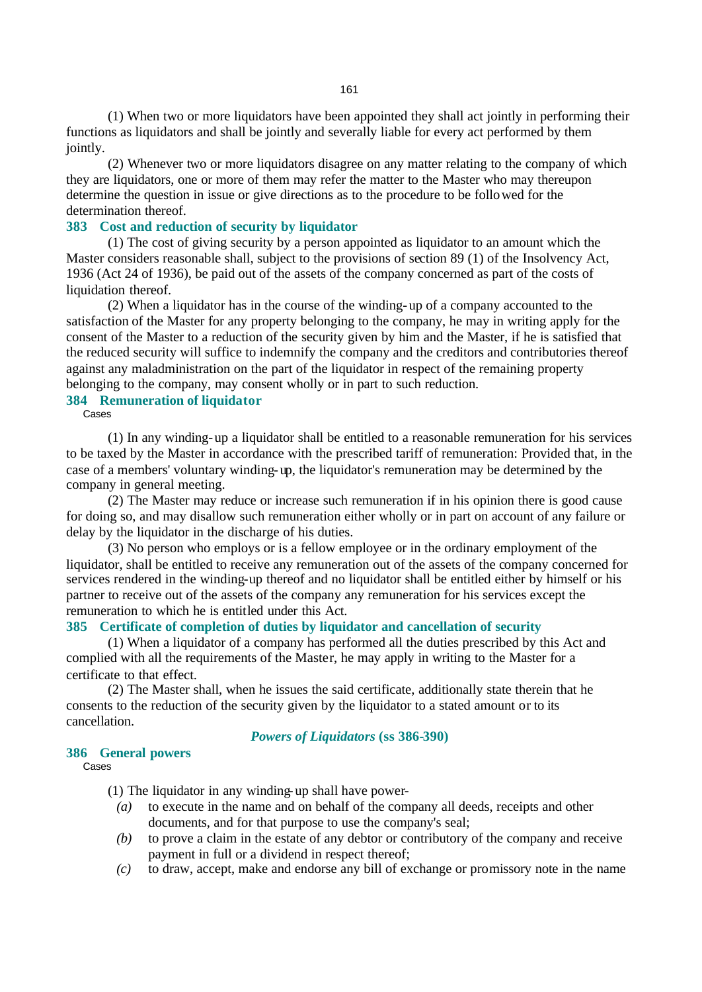(1) When two or more liquidators have been appointed they shall act jointly in performing their functions as liquidators and shall be jointly and severally liable for every act performed by them jointly.

(2) Whenever two or more liquidators disagree on any matter relating to the company of which they are liquidators, one or more of them may refer the matter to the Master who may thereupon determine the question in issue or give directions as to the procedure to be followed for the determination thereof.

# **383 Cost and reduction of security by liquidator**

(1) The cost of giving security by a person appointed as liquidator to an amount which the Master considers reasonable shall, subject to the provisions of section 89 (1) of the Insolvency Act, 1936 (Act 24 of 1936), be paid out of the assets of the company concerned as part of the costs of liquidation thereof.

(2) When a liquidator has in the course of the winding-up of a company accounted to the satisfaction of the Master for any property belonging to the company, he may in writing apply for the consent of the Master to a reduction of the security given by him and the Master, if he is satisfied that the reduced security will suffice to indemnify the company and the creditors and contributories thereof against any maladministration on the part of the liquidator in respect of the remaining property belonging to the company, may consent wholly or in part to such reduction.

#### **384 Remuneration of liquidator**

Cases

(1) In any winding-up a liquidator shall be entitled to a reasonable remuneration for his services to be taxed by the Master in accordance with the prescribed tariff of remuneration: Provided that, in the case of a members' voluntary winding-up, the liquidator's remuneration may be determined by the company in general meeting.

(2) The Master may reduce or increase such remuneration if in his opinion there is good cause for doing so, and may disallow such remuneration either wholly or in part on account of any failure or delay by the liquidator in the discharge of his duties.

(3) No person who employs or is a fellow employee or in the ordinary employment of the liquidator, shall be entitled to receive any remuneration out of the assets of the company concerned for services rendered in the winding-up thereof and no liquidator shall be entitled either by himself or his partner to receive out of the assets of the company any remuneration for his services except the remuneration to which he is entitled under this Act.

# **385 Certificate of completion of duties by liquidator and cancellation of security**

(1) When a liquidator of a company has performed all the duties prescribed by this Act and complied with all the requirements of the Master, he may apply in writing to the Master for a certificate to that effect.

(2) The Master shall, when he issues the said certificate, additionally state therein that he consents to the reduction of the security given by the liquidator to a stated amount or to its cancellation.

#### *Powers of Liquidators* **(ss 386-390)**

#### **386 General powers**

Cases

(1) The liquidator in any winding-up shall have power-

- *(a)* to execute in the name and on behalf of the company all deeds, receipts and other documents, and for that purpose to use the company's seal;
- *(b)* to prove a claim in the estate of any debtor or contributory of the company and receive payment in full or a dividend in respect thereof;
- *(c)* to draw, accept, make and endorse any bill of exchange or promissory note in the name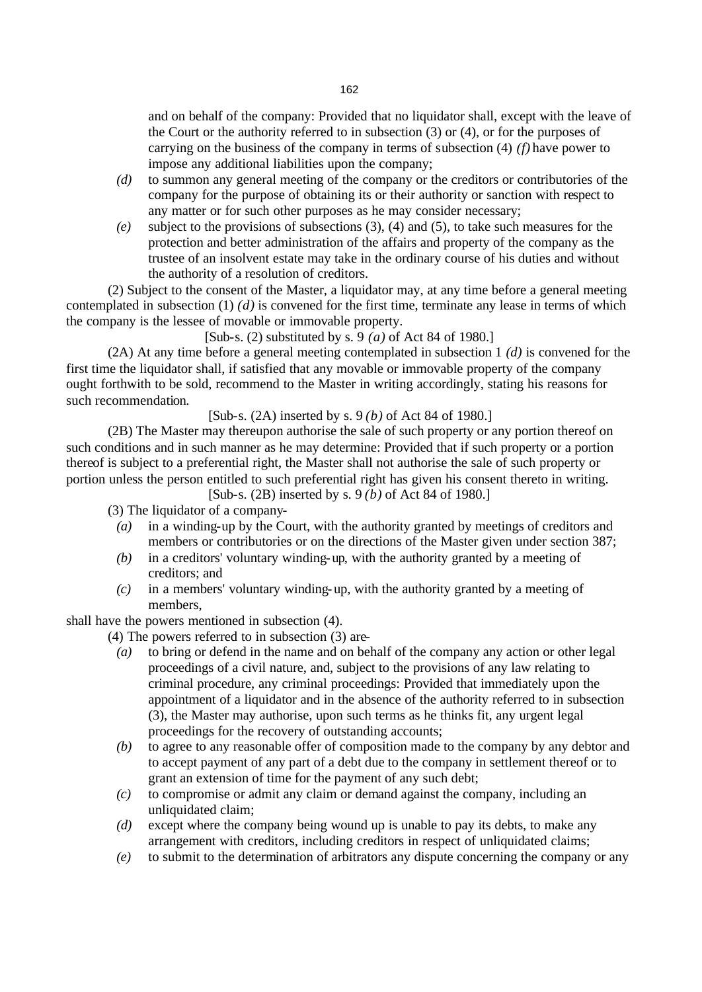and on behalf of the company: Provided that no liquidator shall, except with the leave of the Court or the authority referred to in subsection (3) or (4), or for the purposes of carrying on the business of the company in terms of subsection (4) *(f)* have power to impose any additional liabilities upon the company;

- *(d)* to summon any general meeting of the company or the creditors or contributories of the company for the purpose of obtaining its or their authority or sanction with respect to any matter or for such other purposes as he may consider necessary;
- *(e)* subject to the provisions of subsections (3), (4) and (5), to take such measures for the protection and better administration of the affairs and property of the company as the trustee of an insolvent estate may take in the ordinary course of his duties and without the authority of a resolution of creditors.

(2) Subject to the consent of the Master, a liquidator may, at any time before a general meeting contemplated in subsection (1) *(d)* is convened for the first time, terminate any lease in terms of which the company is the lessee of movable or immovable property.

[Sub-s. (2) substituted by s. 9 *(a)* of Act 84 of 1980.]

(2A) At any time before a general meeting contemplated in subsection 1 *(d)* is convened for the first time the liquidator shall, if satisfied that any movable or immovable property of the company ought forthwith to be sold, recommend to the Master in writing accordingly, stating his reasons for such recommendation.

[Sub-s. (2A) inserted by s. 9 *(b)* of Act 84 of 1980.]

(2B) The Master may thereupon authorise the sale of such property or any portion thereof on such conditions and in such manner as he may determine: Provided that if such property or a portion thereof is subject to a preferential right, the Master shall not authorise the sale of such property or portion unless the person entitled to such preferential right has given his consent thereto in writing.

[Sub-s. (2B) inserted by s. 9 *(b)* of Act 84 of 1980.]

(3) The liquidator of a company-

- *(a)* in a winding-up by the Court, with the authority granted by meetings of creditors and members or contributories or on the directions of the Master given under section 387;
- *(b)* in a creditors' voluntary winding-up, with the authority granted by a meeting of creditors; and
- *(c)* in a members' voluntary winding-up, with the authority granted by a meeting of members,

shall have the powers mentioned in subsection (4).

- (4) The powers referred to in subsection (3) are-
	- *(a)* to bring or defend in the name and on behalf of the company any action or other legal proceedings of a civil nature, and, subject to the provisions of any law relating to criminal procedure, any criminal proceedings: Provided that immediately upon the appointment of a liquidator and in the absence of the authority referred to in subsection (3), the Master may authorise, upon such terms as he thinks fit, any urgent legal proceedings for the recovery of outstanding accounts;
	- *(b)* to agree to any reasonable offer of composition made to the company by any debtor and to accept payment of any part of a debt due to the company in settlement thereof or to grant an extension of time for the payment of any such debt;
	- *(c)* to compromise or admit any claim or demand against the company, including an unliquidated claim;
	- *(d)* except where the company being wound up is unable to pay its debts, to make any arrangement with creditors, including creditors in respect of unliquidated claims;
	- *(e)* to submit to the determination of arbitrators any dispute concerning the company or any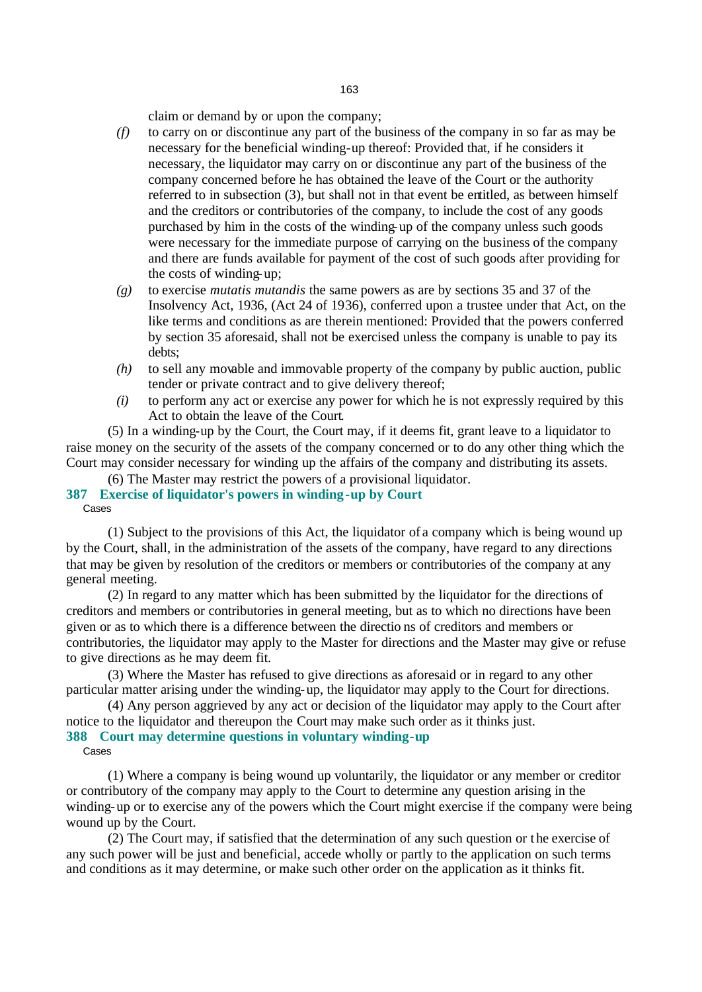claim or demand by or upon the company;

- *(f)* to carry on or discontinue any part of the business of the company in so far as may be necessary for the beneficial winding-up thereof: Provided that, if he considers it necessary, the liquidator may carry on or discontinue any part of the business of the company concerned before he has obtained the leave of the Court or the authority referred to in subsection (3), but shall not in that event be entitled, as between himself and the creditors or contributories of the company, to include the cost of any goods purchased by him in the costs of the winding-up of the company unless such goods were necessary for the immediate purpose of carrying on the business of the company and there are funds available for payment of the cost of such goods after providing for the costs of winding-up;
- *(g)* to exercise *mutatis mutandis* the same powers as are by sections 35 and 37 of the Insolvency Act, 1936, (Act 24 of 1936), conferred upon a trustee under that Act, on the like terms and conditions as are therein mentioned: Provided that the powers conferred by section 35 aforesaid, shall not be exercised unless the company is unable to pay its debts;
- *(h)* to sell any movable and immovable property of the company by public auction, public tender or private contract and to give delivery thereof;
- *(i)* to perform any act or exercise any power for which he is not expressly required by this Act to obtain the leave of the Court.

(5) In a winding-up by the Court, the Court may, if it deems fit, grant leave to a liquidator to raise money on the security of the assets of the company concerned or to do any other thing which the Court may consider necessary for winding up the affairs of the company and distributing its assets.

(6) The Master may restrict the powers of a provisional liquidator. **387 Exercise of liquidator's powers in winding-up by Court** Cases

(1) Subject to the provisions of this Act, the liquidator of a company which is being wound up by the Court, shall, in the administration of the assets of the company, have regard to any directions that may be given by resolution of the creditors or members or contributories of the company at any general meeting.

(2) In regard to any matter which has been submitted by the liquidator for the directions of creditors and members or contributories in general meeting, but as to which no directions have been given or as to which there is a difference between the directio ns of creditors and members or contributories, the liquidator may apply to the Master for directions and the Master may give or refuse to give directions as he may deem fit.

(3) Where the Master has refused to give directions as aforesaid or in regard to any other particular matter arising under the winding-up, the liquidator may apply to the Court for directions.

(4) Any person aggrieved by any act or decision of the liquidator may apply to the Court after notice to the liquidator and thereupon the Court may make such order as it thinks just. **388 Court may determine questions in voluntary winding-up**

Cases

(1) Where a company is being wound up voluntarily, the liquidator or any member or creditor or contributory of the company may apply to the Court to determine any question arising in the winding-up or to exercise any of the powers which the Court might exercise if the company were being wound up by the Court.

(2) The Court may, if satisfied that the determination of any such question or the exercise of any such power will be just and beneficial, accede wholly or partly to the application on such terms and conditions as it may determine, or make such other order on the application as it thinks fit.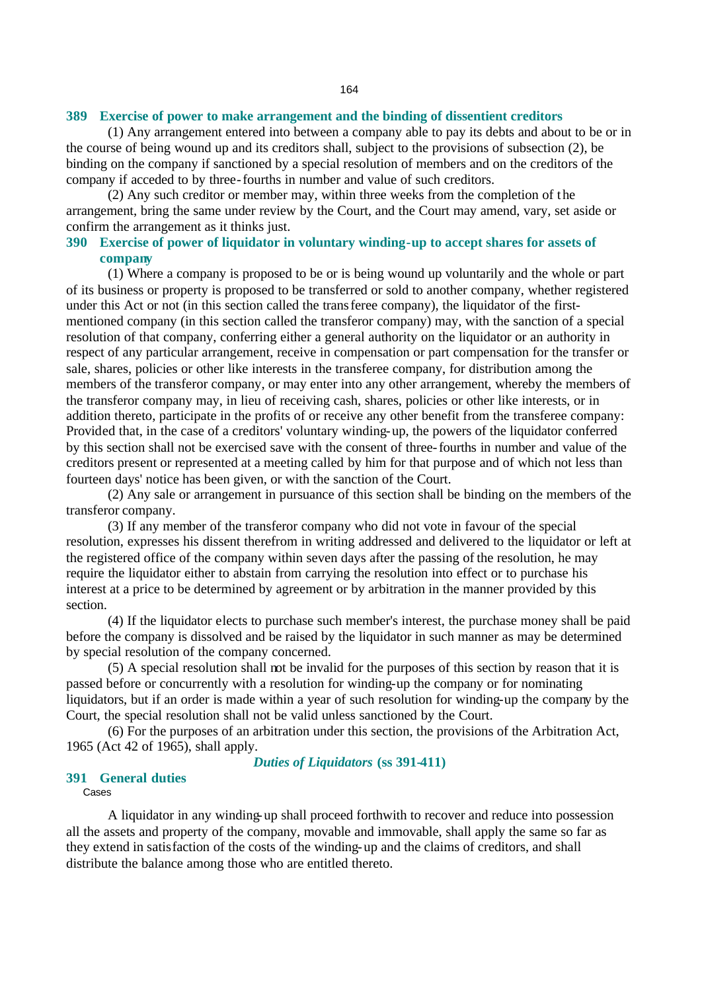# **389 Exercise of power to make arrangement and the binding of dissentient creditors**

(1) Any arrangement entered into between a company able to pay its debts and about to be or in the course of being wound up and its creditors shall, subject to the provisions of subsection (2), be binding on the company if sanctioned by a special resolution of members and on the creditors of the company if acceded to by three-fourths in number and value of such creditors.

(2) Any such creditor or member may, within three weeks from the completion of the arrangement, bring the same under review by the Court, and the Court may amend, vary, set aside or confirm the arrangement as it thinks just.

# **390 Exercise of power of liquidator in voluntary winding-up to accept shares for assets of company**

(1) Where a company is proposed to be or is being wound up voluntarily and the whole or part of its business or property is proposed to be transferred or sold to another company, whether registered under this Act or not (in this section called the transferee company), the liquidator of the firstmentioned company (in this section called the transferor company) may, with the sanction of a special resolution of that company, conferring either a general authority on the liquidator or an authority in respect of any particular arrangement, receive in compensation or part compensation for the transfer or sale, shares, policies or other like interests in the transferee company, for distribution among the members of the transferor company, or may enter into any other arrangement, whereby the members of the transferor company may, in lieu of receiving cash, shares, policies or other like interests, or in addition thereto, participate in the profits of or receive any other benefit from the transferee company: Provided that, in the case of a creditors' voluntary winding-up, the powers of the liquidator conferred by this section shall not be exercised save with the consent of three-fourths in number and value of the creditors present or represented at a meeting called by him for that purpose and of which not less than fourteen days' notice has been given, or with the sanction of the Court.

(2) Any sale or arrangement in pursuance of this section shall be binding on the members of the transferor company.

(3) If any member of the transferor company who did not vote in favour of the special resolution, expresses his dissent therefrom in writing addressed and delivered to the liquidator or left at the registered office of the company within seven days after the passing of the resolution, he may require the liquidator either to abstain from carrying the resolution into effect or to purchase his interest at a price to be determined by agreement or by arbitration in the manner provided by this section.

(4) If the liquidator elects to purchase such member's interest, the purchase money shall be paid before the company is dissolved and be raised by the liquidator in such manner as may be determined by special resolution of the company concerned.

(5) A special resolution shall not be invalid for the purposes of this section by reason that it is passed before or concurrently with a resolution for winding-up the company or for nominating liquidators, but if an order is made within a year of such resolution for winding-up the company by the Court, the special resolution shall not be valid unless sanctioned by the Court.

(6) For the purposes of an arbitration under this section, the provisions of the Arbitration Act, 1965 (Act 42 of 1965), shall apply.

# *Duties of Liquidators* **(ss 391-411)**

#### **391 General duties**

Cases

A liquidator in any winding-up shall proceed forthwith to recover and reduce into possession all the assets and property of the company, movable and immovable, shall apply the same so far as they extend in satisfaction of the costs of the winding-up and the claims of creditors, and shall distribute the balance among those who are entitled thereto.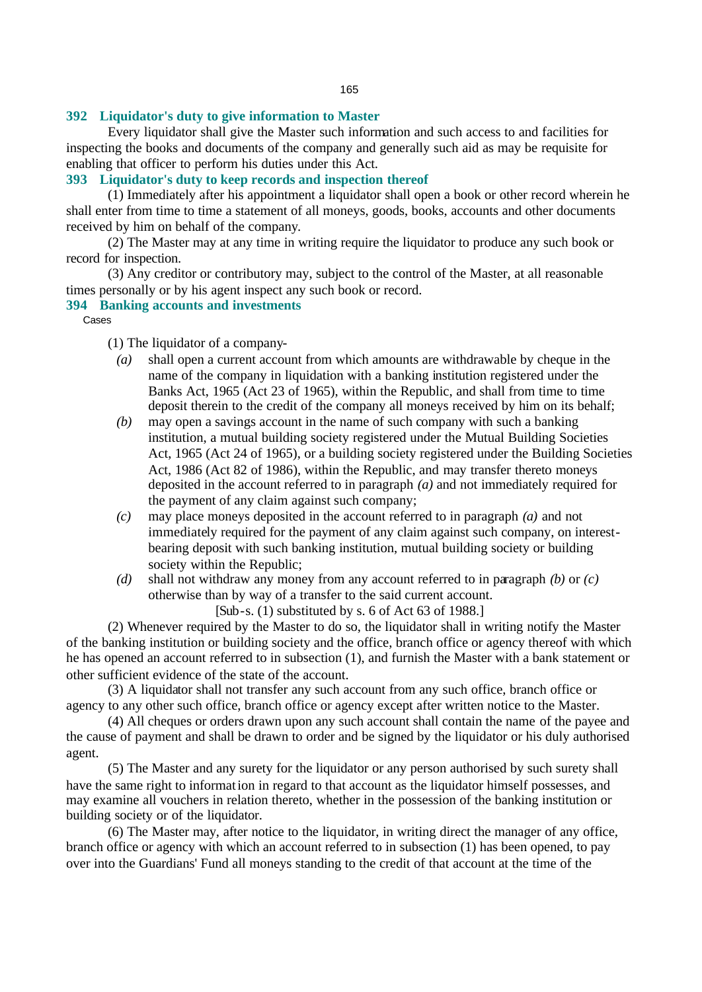#### **392 Liquidator's duty to give information to Master**

Every liquidator shall give the Master such information and such access to and facilities for inspecting the books and documents of the company and generally such aid as may be requisite for enabling that officer to perform his duties under this Act.

#### **393 Liquidator's duty to keep records and inspection thereof**

(1) Immediately after his appointment a liquidator shall open a book or other record wherein he shall enter from time to time a statement of all moneys, goods, books, accounts and other documents received by him on behalf of the company.

(2) The Master may at any time in writing require the liquidator to produce any such book or record for inspection.

(3) Any creditor or contributory may, subject to the control of the Master, at all reasonable times personally or by his agent inspect any such book or record.

### **394 Banking accounts and investments**

Cases

(1) The liquidator of a company-

- *(a)* shall open a current account from which amounts are withdrawable by cheque in the name of the company in liquidation with a banking institution registered under the Banks Act, 1965 (Act 23 of 1965), within the Republic, and shall from time to time deposit therein to the credit of the company all moneys received by him on its behalf;
- *(b)* may open a savings account in the name of such company with such a banking institution, a mutual building society registered under the Mutual Building Societies Act, 1965 (Act 24 of 1965), or a building society registered under the Building Societies Act, 1986 (Act 82 of 1986), within the Republic, and may transfer thereto moneys deposited in the account referred to in paragraph *(a)* and not immediately required for the payment of any claim against such company;
- *(c)* may place moneys deposited in the account referred to in paragraph *(a)* and not immediately required for the payment of any claim against such company, on interestbearing deposit with such banking institution, mutual building society or building society within the Republic:
- *(d)* shall not withdraw any money from any account referred to in paragraph *(b)* or *(c)* otherwise than by way of a transfer to the said current account.

 $[Sub-s. (1)$  substituted by s. 6 of Act 63 of 1988.

(2) Whenever required by the Master to do so, the liquidator shall in writing notify the Master of the banking institution or building society and the office, branch office or agency thereof with which he has opened an account referred to in subsection (1), and furnish the Master with a bank statement or other sufficient evidence of the state of the account.

(3) A liquidator shall not transfer any such account from any such office, branch office or agency to any other such office, branch office or agency except after written notice to the Master.

(4) All cheques or orders drawn upon any such account shall contain the name of the payee and the cause of payment and shall be drawn to order and be signed by the liquidator or his duly authorised agent.

(5) The Master and any surety for the liquidator or any person authorised by such surety shall have the same right to information in regard to that account as the liquidator himself possesses, and may examine all vouchers in relation thereto, whether in the possession of the banking institution or building society or of the liquidator.

(6) The Master may, after notice to the liquidator, in writing direct the manager of any office, branch office or agency with which an account referred to in subsection (1) has been opened, to pay over into the Guardians' Fund all moneys standing to the credit of that account at the time of the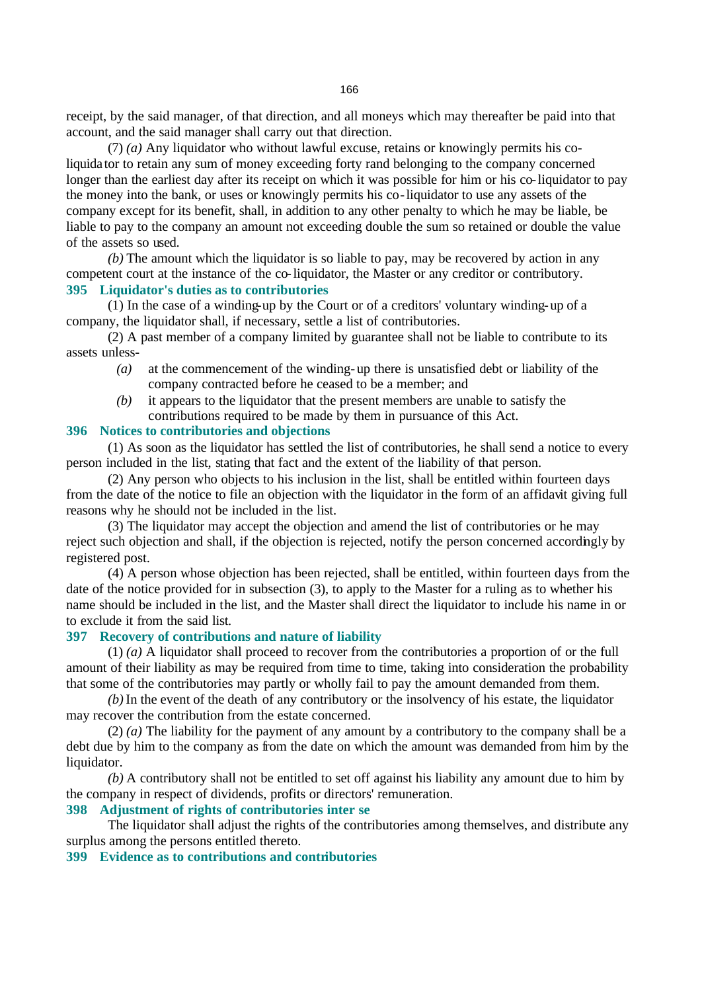receipt, by the said manager, of that direction, and all moneys which may thereafter be paid into that account, and the said manager shall carry out that direction.

(7) *(a)* Any liquidator who without lawful excuse, retains or knowingly permits his coliquidator to retain any sum of money exceeding forty rand belonging to the company concerned longer than the earliest day after its receipt on which it was possible for him or his co-liquidator to pay the money into the bank, or uses or knowingly permits his co-liquidator to use any assets of the company except for its benefit, shall, in addition to any other penalty to which he may be liable, be liable to pay to the company an amount not exceeding double the sum so retained or double the value of the assets so used.

*(b)* The amount which the liquidator is so liable to pay, may be recovered by action in any competent court at the instance of the co-liquidator, the Master or any creditor or contributory. **395 Liquidator's duties as to contributories**

(1) In the case of a winding-up by the Court or of a creditors' voluntary winding-up of a company, the liquidator shall, if necessary, settle a list of contributories.

(2) A past member of a company limited by guarantee shall not be liable to contribute to its assets unless-

- *(a)* at the commencement of the winding-up there is unsatisfied debt or liability of the company contracted before he ceased to be a member; and
- *(b)* it appears to the liquidator that the present members are unable to satisfy the contributions required to be made by them in pursuance of this Act.

# **396 Notices to contributories and objections**

(1) As soon as the liquidator has settled the list of contributories, he shall send a notice to every person included in the list, stating that fact and the extent of the liability of that person.

(2) Any person who objects to his inclusion in the list, shall be entitled within fourteen days from the date of the notice to file an objection with the liquidator in the form of an affidavit giving full reasons why he should not be included in the list.

(3) The liquidator may accept the objection and amend the list of contributories or he may reject such objection and shall, if the objection is rejected, notify the person concerned accordingly by registered post.

(4) A person whose objection has been rejected, shall be entitled, within fourteen days from the date of the notice provided for in subsection (3), to apply to the Master for a ruling as to whether his name should be included in the list, and the Master shall direct the liquidator to include his name in or to exclude it from the said list.

#### **397 Recovery of contributions and nature of liability**

(1) *(a)* A liquidator shall proceed to recover from the contributories a proportion of or the full amount of their liability as may be required from time to time, taking into consideration the probability that some of the contributories may partly or wholly fail to pay the amount demanded from them.

*(b)* In the event of the death of any contributory or the insolvency of his estate, the liquidator may recover the contribution from the estate concerned.

(2) *(a)* The liability for the payment of any amount by a contributory to the company shall be a debt due by him to the company as from the date on which the amount was demanded from him by the liquidator.

*(b)* A contributory shall not be entitled to set off against his liability any amount due to him by the company in respect of dividends, profits or directors' remuneration.

#### **398 Adjustment of rights of contributories inter se**

The liquidator shall adjust the rights of the contributories among themselves, and distribute any surplus among the persons entitled thereto.

# **399 Evidence as to contributions and contributories**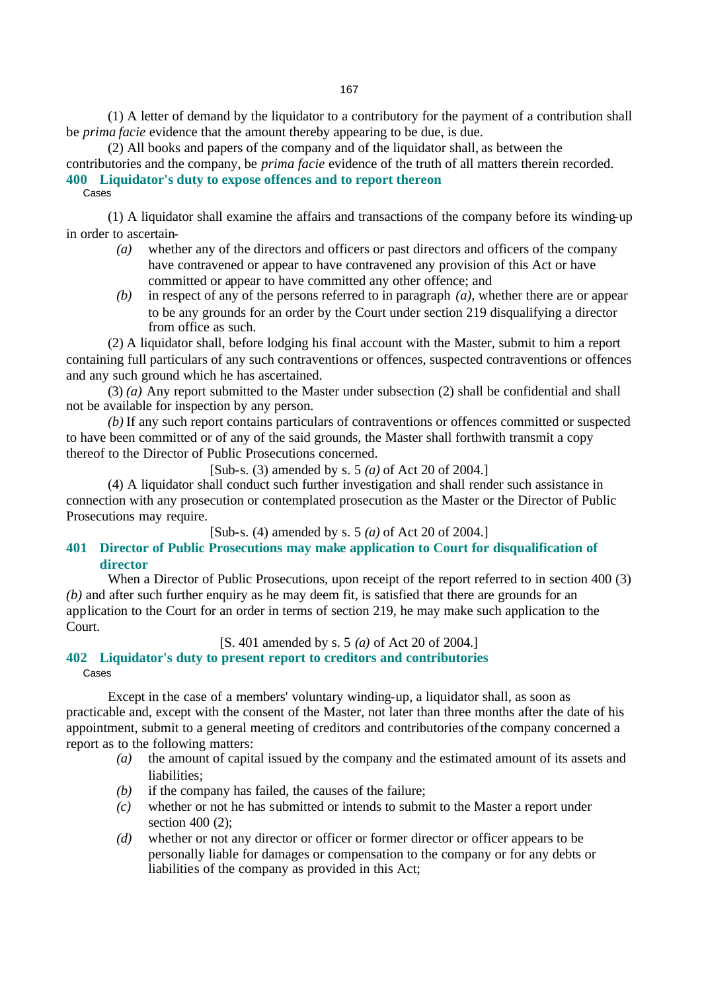(1) A letter of demand by the liquidator to a contributory for the payment of a contribution shall be *prima facie* evidence that the amount thereby appearing to be due, is due.

(2) All books and papers of the company and of the liquidator shall, as between the contributories and the company, be *prima facie* evidence of the truth of all matters therein recorded. **400 Liquidator's duty to expose offences and to report thereon**

Cases

(1) A liquidator shall examine the affairs and transactions of the company before its winding-up in order to ascertain-

- *(a)* whether any of the directors and officers or past directors and officers of the company have contravened or appear to have contravened any provision of this Act or have committed or appear to have committed any other offence: and
- *(b)* in respect of any of the persons referred to in paragraph *(a)*, whether there are or appear to be any grounds for an order by the Court under section 219 disqualifying a director from office as such.

(2) A liquidator shall, before lodging his final account with the Master, submit to him a report containing full particulars of any such contraventions or offences, suspected contraventions or offences and any such ground which he has ascertained.

(3) *(a)* Any report submitted to the Master under subsection (2) shall be confidential and shall not be available for inspection by any person.

*(b)* If any such report contains particulars of contraventions or offences committed or suspected to have been committed or of any of the said grounds, the Master shall forthwith transmit a copy thereof to the Director of Public Prosecutions concerned.

[Sub-s. (3) amended by s. 5 *(a)* of Act 20 of 2004.]

(4) A liquidator shall conduct such further investigation and shall render such assistance in connection with any prosecution or contemplated prosecution as the Master or the Director of Public Prosecutions may require.

[Sub-s. (4) amended by s. 5 *(a)* of Act 20 of 2004.]

# **401 Director of Public Prosecutions may make application to Court for disqualification of director**

When a Director of Public Prosecutions, upon receipt of the report referred to in section 400 (3) *(b)* and after such further enquiry as he may deem fit, is satisfied that there are grounds for an application to the Court for an order in terms of section 219, he may make such application to the Court.

[S. 401 amended by s. 5 *(a)* of Act 20 of 2004.]

#### **402 Liquidator's duty to present report to creditors and contributories** Cases

Except in the case of a members' voluntary winding-up, a liquidator shall, as soon as practicable and, except with the consent of the Master, not later than three months after the date of his appointment, submit to a general meeting of creditors and contributories of the company concerned a report as to the following matters:

- *(a)* the amount of capital issued by the company and the estimated amount of its assets and liabilities;
- *(b)* if the company has failed, the causes of the failure;
- *(c)* whether or not he has submitted or intends to submit to the Master a report under section 400 (2):
- *(d)* whether or not any director or officer or former director or officer appears to be personally liable for damages or compensation to the company or for any debts or liabilities of the company as provided in this Act;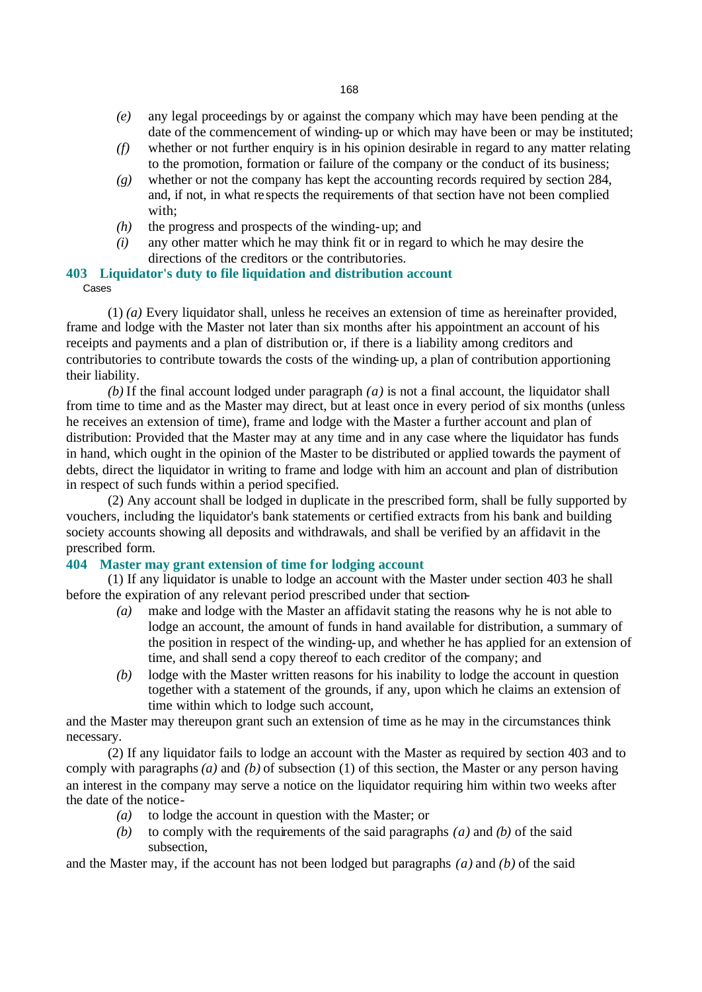- *(e)* any legal proceedings by or against the company which may have been pending at the date of the commencement of winding-up or which may have been or may be instituted;
- *(f)* whether or not further enquiry is in his opinion desirable in regard to any matter relating to the promotion, formation or failure of the company or the conduct of its business;
- *(g)* whether or not the company has kept the accounting records required by section 284, and, if not, in what re spects the requirements of that section have not been complied with;
- *(h)* the progress and prospects of the winding-up; and
- *(i)* any other matter which he may think fit or in regard to which he may desire the directions of the creditors or the contributories.

### **403 Liquidator's duty to file liquidation and distribution account**

Cases

(1) *(a)* Every liquidator shall, unless he receives an extension of time as hereinafter provided, frame and lodge with the Master not later than six months after his appointment an account of his receipts and payments and a plan of distribution or, if there is a liability among creditors and contributories to contribute towards the costs of the winding-up, a plan of contribution apportioning their liability.

*(b)* If the final account lodged under paragraph *(a)* is not a final account, the liquidator shall from time to time and as the Master may direct, but at least once in every period of six months (unless he receives an extension of time), frame and lodge with the Master a further account and plan of distribution: Provided that the Master may at any time and in any case where the liquidator has funds in hand, which ought in the opinion of the Master to be distributed or applied towards the payment of debts, direct the liquidator in writing to frame and lodge with him an account and plan of distribution in respect of such funds within a period specified.

(2) Any account shall be lodged in duplicate in the prescribed form, shall be fully supported by vouchers, including the liquidator's bank statements or certified extracts from his bank and building society accounts showing all deposits and withdrawals, and shall be verified by an affidavit in the prescribed form.

# **404 Master may grant extension of time for lodging account**

(1) If any liquidator is unable to lodge an account with the Master under section 403 he shall before the expiration of any relevant period prescribed under that section-

- *(a)* make and lodge with the Master an affidavit stating the reasons why he is not able to lodge an account, the amount of funds in hand available for distribution, a summary of the position in respect of the winding-up, and whether he has applied for an extension of time, and shall send a copy thereof to each creditor of the company; and
- *(b)* lodge with the Master written reasons for his inability to lodge the account in question together with a statement of the grounds, if any, upon which he claims an extension of time within which to lodge such account,

and the Master may thereupon grant such an extension of time as he may in the circumstances think necessary.

(2) If any liquidator fails to lodge an account with the Master as required by section 403 and to comply with paragraphs *(a)* and *(b)* of subsection (1) of this section, the Master or any person having an interest in the company may serve a notice on the liquidator requiring him within two weeks after the date of the notice-

- *(a)* to lodge the account in question with the Master; or
- *(b)* to comply with the requirements of the said paragraphs *(a)* and *(b)* of the said subsection,

and the Master may, if the account has not been lodged but paragraphs *(a)* and *(b)* of the said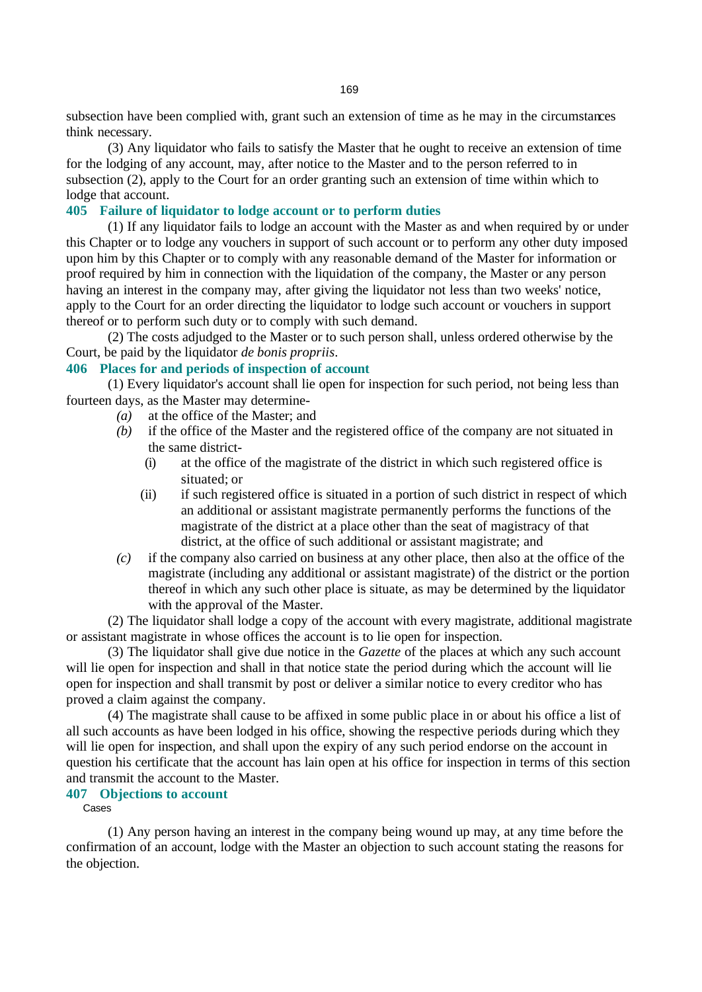subsection have been complied with, grant such an extension of time as he may in the circumstances think necessary.

(3) Any liquidator who fails to satisfy the Master that he ought to receive an extension of time for the lodging of any account, may, after notice to the Master and to the person referred to in subsection (2), apply to the Court for an order granting such an extension of time within which to lodge that account.

#### **405 Failure of liquidator to lodge account or to perform duties**

(1) If any liquidator fails to lodge an account with the Master as and when required by or under this Chapter or to lodge any vouchers in support of such account or to perform any other duty imposed upon him by this Chapter or to comply with any reasonable demand of the Master for information or proof required by him in connection with the liquidation of the company, the Master or any person having an interest in the company may, after giving the liquidator not less than two weeks' notice, apply to the Court for an order directing the liquidator to lodge such account or vouchers in support thereof or to perform such duty or to comply with such demand.

(2) The costs adjudged to the Master or to such person shall, unless ordered otherwise by the Court, be paid by the liquidator *de bonis propriis*.

# **406 Places for and periods of inspection of account**

(1) Every liquidator's account shall lie open for inspection for such period, not being less than fourteen days, as the Master may determine-

- *(a)* at the office of the Master; and
- *(b)* if the office of the Master and the registered office of the company are not situated in the same district-
	- (i) at the office of the magistrate of the district in which such registered office is situated; or
	- (ii) if such registered office is situated in a portion of such district in respect of which an additional or assistant magistrate permanently performs the functions of the magistrate of the district at a place other than the seat of magistracy of that district, at the office of such additional or assistant magistrate; and
- *(c)* if the company also carried on business at any other place, then also at the office of the magistrate (including any additional or assistant magistrate) of the district or the portion thereof in which any such other place is situate, as may be determined by the liquidator with the approval of the Master.

(2) The liquidator shall lodge a copy of the account with every magistrate, additional magistrate or assistant magistrate in whose offices the account is to lie open for inspection.

(3) The liquidator shall give due notice in the *Gazette* of the places at which any such account will lie open for inspection and shall in that notice state the period during which the account will lie open for inspection and shall transmit by post or deliver a similar notice to every creditor who has proved a claim against the company.

(4) The magistrate shall cause to be affixed in some public place in or about his office a list of all such accounts as have been lodged in his office, showing the respective periods during which they will lie open for inspection, and shall upon the expiry of any such period endorse on the account in question his certificate that the account has lain open at his office for inspection in terms of this section and transmit the account to the Master.

#### **407 Objections to account**

**Cases** 

(1) Any person having an interest in the company being wound up may, at any time before the confirmation of an account, lodge with the Master an objection to such account stating the reasons for the objection.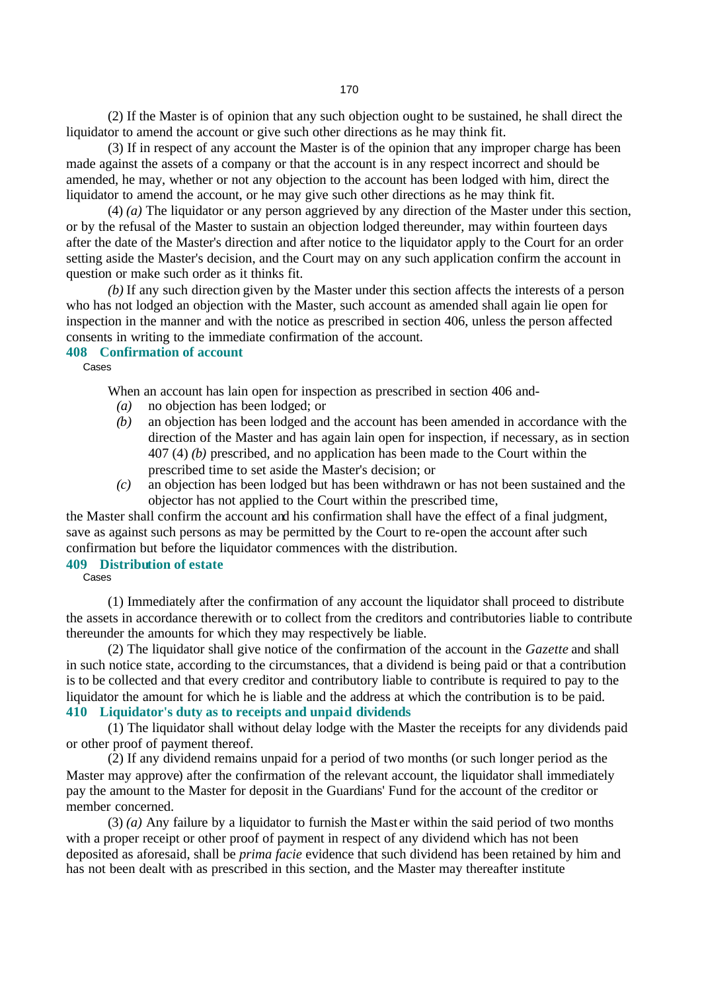(2) If the Master is of opinion that any such objection ought to be sustained, he shall direct the liquidator to amend the account or give such other directions as he may think fit.

(3) If in respect of any account the Master is of the opinion that any improper charge has been made against the assets of a company or that the account is in any respect incorrect and should be amended, he may, whether or not any objection to the account has been lodged with him, direct the liquidator to amend the account, or he may give such other directions as he may think fit.

(4) *(a)* The liquidator or any person aggrieved by any direction of the Master under this section, or by the refusal of the Master to sustain an objection lodged thereunder, may within fourteen days after the date of the Master's direction and after notice to the liquidator apply to the Court for an order setting aside the Master's decision, and the Court may on any such application confirm the account in question or make such order as it thinks fit.

*(b)* If any such direction given by the Master under this section affects the interests of a person who has not lodged an objection with the Master, such account as amended shall again lie open for inspection in the manner and with the notice as prescribed in section 406, unless the person affected consents in writing to the immediate confirmation of the account.

### **408 Confirmation of account**

Cases

When an account has lain open for inspection as prescribed in section 406 and-

- *(a)* no objection has been lodged; or
- *(b)* an objection has been lodged and the account has been amended in accordance with the direction of the Master and has again lain open for inspection, if necessary, as in section 407 (4) *(b)* prescribed, and no application has been made to the Court within the prescribed time to set aside the Master's decision; or
- *(c)* an objection has been lodged but has been withdrawn or has not been sustained and the objector has not applied to the Court within the prescribed time,

the Master shall confirm the account and his confirmation shall have the effect of a final judgment, save as against such persons as may be permitted by the Court to re-open the account after such confirmation but before the liquidator commences with the distribution.

# **409 Distribution of estate**

Cases

(1) Immediately after the confirmation of any account the liquidator shall proceed to distribute the assets in accordance therewith or to collect from the creditors and contributories liable to contribute thereunder the amounts for which they may respectively be liable.

(2) The liquidator shall give notice of the confirmation of the account in the *Gazette* and shall in such notice state, according to the circumstances, that a dividend is being paid or that a contribution is to be collected and that every creditor and contributory liable to contribute is required to pay to the liquidator the amount for which he is liable and the address at which the contribution is to be paid. **410 Liquidator's duty as to receipts and unpaid dividends**

(1) The liquidator shall without delay lodge with the Master the receipts for any dividends paid or other proof of payment thereof.

(2) If any dividend remains unpaid for a period of two months (or such longer period as the Master may approve) after the confirmation of the relevant account, the liquidator shall immediately pay the amount to the Master for deposit in the Guardians' Fund for the account of the creditor or member concerned.

 $(3)$  (a) Any failure by a liquidator to furnish the Master within the said period of two months with a proper receipt or other proof of payment in respect of any dividend which has not been deposited as aforesaid, shall be *prima facie* evidence that such dividend has been retained by him and has not been dealt with as prescribed in this section, and the Master may thereafter institute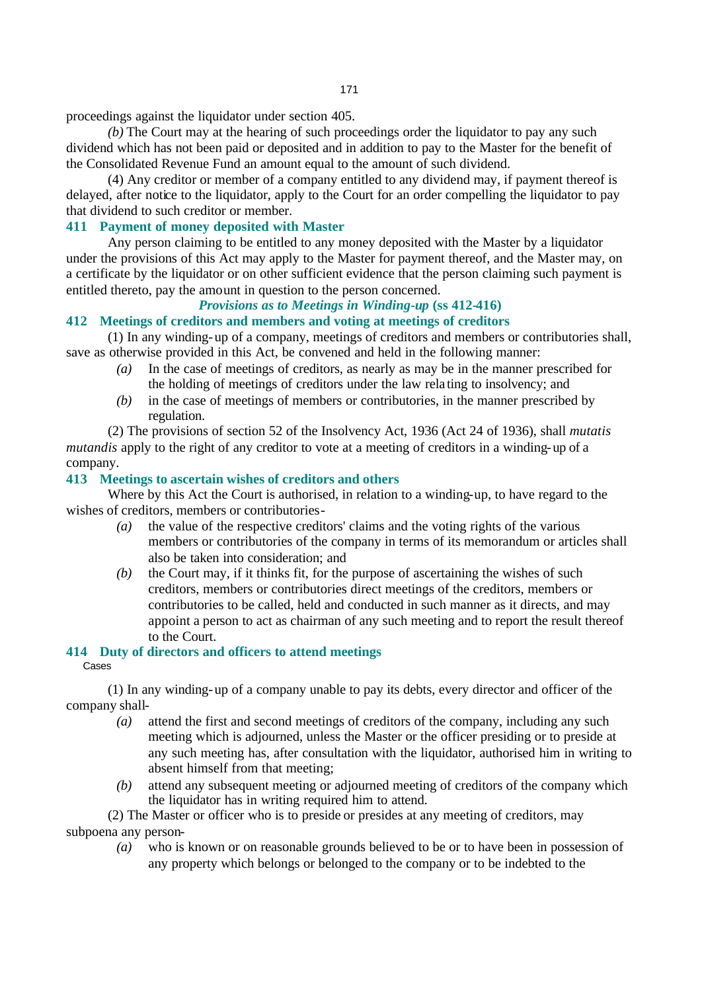171

proceedings against the liquidator under section 405.

*(b)* The Court may at the hearing of such proceedings order the liquidator to pay any such dividend which has not been paid or deposited and in addition to pay to the Master for the benefit of the Consolidated Revenue Fund an amount equal to the amount of such dividend.

(4) Any creditor or member of a company entitled to any dividend may, if payment thereof is delayed, after notice to the liquidator, apply to the Court for an order compelling the liquidator to pay that dividend to such creditor or member.

# **411 Payment of money deposited with Master**

Any person claiming to be entitled to any money deposited with the Master by a liquidator under the provisions of this Act may apply to the Master for payment thereof, and the Master may, on a certificate by the liquidator or on other sufficient evidence that the person claiming such payment is entitled thereto, pay the amount in question to the person concerned.

# *Provisions as to Meetings in Winding-up* **(ss 412-416)**

#### **412 Meetings of creditors and members and voting at meetings of creditors**

(1) In any winding-up of a company, meetings of creditors and members or contributories shall, save as otherwise provided in this Act, be convened and held in the following manner:

- *(a)* In the case of meetings of creditors, as nearly as may be in the manner prescribed for the holding of meetings of creditors under the law rela ting to insolvency; and
- *(b)* in the case of meetings of members or contributories, in the manner prescribed by regulation.

(2) The provisions of section 52 of the Insolvency Act, 1936 (Act 24 of 1936), shall *mutatis mutandis* apply to the right of any creditor to vote at a meeting of creditors in a winding-up of a company.

#### **413 Meetings to ascertain wishes of creditors and others**

Where by this Act the Court is authorised, in relation to a winding-up, to have regard to the wishes of creditors, members or contributories-

- *(a)* the value of the respective creditors' claims and the voting rights of the various members or contributories of the company in terms of its memorandum or articles shall also be taken into consideration; and
- *(b)* the Court may, if it thinks fit, for the purpose of ascertaining the wishes of such creditors, members or contributories direct meetings of the creditors, members or contributories to be called, held and conducted in such manner as it directs, and may appoint a person to act as chairman of any such meeting and to report the result thereof to the Court.

# **414 Duty of directors and officers to attend meetings**

Cases

(1) In any winding-up of a company unable to pay its debts, every director and officer of the company shall-

- *(a)* attend the first and second meetings of creditors of the company, including any such meeting which is adjourned, unless the Master or the officer presiding or to preside at any such meeting has, after consultation with the liquidator, authorised him in writing to absent himself from that meeting;
- *(b)* attend any subsequent meeting or adjourned meeting of creditors of the company which the liquidator has in writing required him to attend.

(2) The Master or officer who is to preside or presides at any meeting of creditors, may subpoena any person-

*(a)* who is known or on reasonable grounds believed to be or to have been in possession of any property which belongs or belonged to the company or to be indebted to the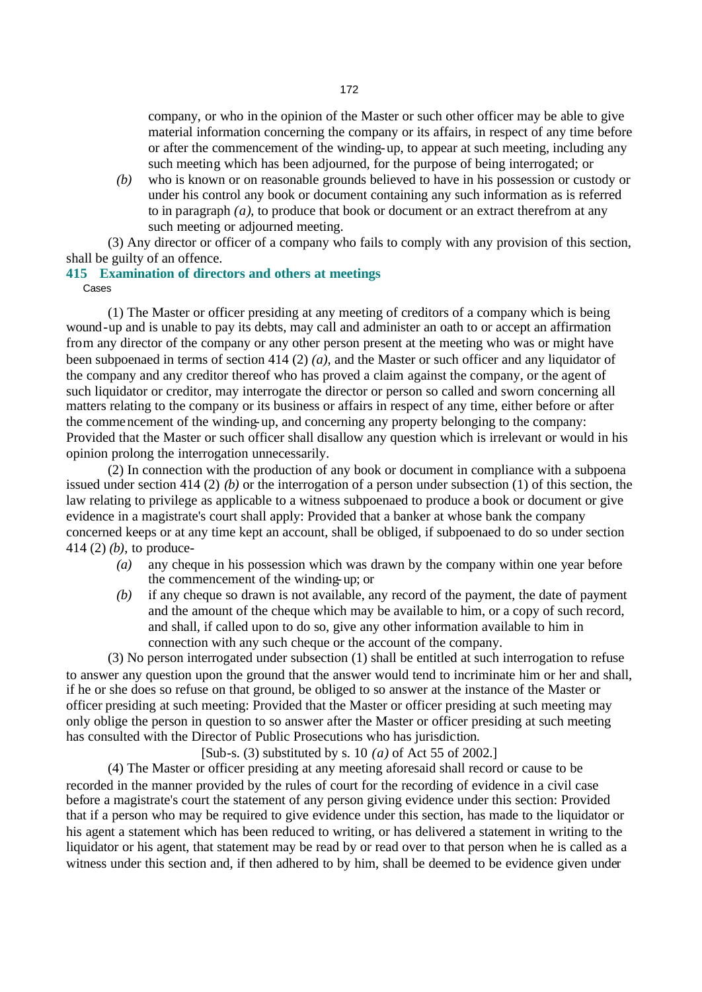company, or who in the opinion of the Master or such other officer may be able to give material information concerning the company or its affairs, in respect of any time before or after the commencement of the winding-up, to appear at such meeting, including any such meeting which has been adjourned, for the purpose of being interrogated; or

*(b)* who is known or on reasonable grounds believed to have in his possession or custody or under his control any book or document containing any such information as is referred to in paragraph  $(a)$ , to produce that book or document or an extract therefrom at any such meeting or adjourned meeting.

(3) Any director or officer of a company who fails to comply with any provision of this section, shall be guilty of an offence.

#### **415 Examination of directors and others at meetings**

Cases

(1) The Master or officer presiding at any meeting of creditors of a company which is being wound-up and is unable to pay its debts, may call and administer an oath to or accept an affirmation from any director of the company or any other person present at the meeting who was or might have been subpoenaed in terms of section 414 (2) *(a)*, and the Master or such officer and any liquidator of the company and any creditor thereof who has proved a claim against the company, or the agent of such liquidator or creditor, may interrogate the director or person so called and sworn concerning all matters relating to the company or its business or affairs in respect of any time, either before or after the commencement of the winding-up, and concerning any property belonging to the company: Provided that the Master or such officer shall disallow any question which is irrelevant or would in his opinion prolong the interrogation unnecessarily.

(2) In connection with the production of any book or document in compliance with a subpoena issued under section 414 (2) *(b)* or the interrogation of a person under subsection (1) of this section, the law relating to privilege as applicable to a witness subpoenaed to produce a book or document or give evidence in a magistrate's court shall apply: Provided that a banker at whose bank the company concerned keeps or at any time kept an account, shall be obliged, if subpoenaed to do so under section 414 (2) *(b)*, to produce-

- *(a)* any cheque in his possession which was drawn by the company within one year before the commencement of the winding-up; or
- *(b)* if any cheque so drawn is not available, any record of the payment, the date of payment and the amount of the cheque which may be available to him, or a copy of such record, and shall, if called upon to do so, give any other information available to him in connection with any such cheque or the account of the company.

(3) No person interrogated under subsection (1) shall be entitled at such interrogation to refuse to answer any question upon the ground that the answer would tend to incriminate him or her and shall, if he or she does so refuse on that ground, be obliged to so answer at the instance of the Master or officer presiding at such meeting: Provided that the Master or officer presiding at such meeting may only oblige the person in question to so answer after the Master or officer presiding at such meeting has consulted with the Director of Public Prosecutions who has jurisdiction.

[Sub-s. (3) substituted by s. 10 *(a)* of Act 55 of 2002.]

(4) The Master or officer presiding at any meeting aforesaid shall record or cause to be recorded in the manner provided by the rules of court for the recording of evidence in a civil case before a magistrate's court the statement of any person giving evidence under this section: Provided that if a person who may be required to give evidence under this section, has made to the liquidator or his agent a statement which has been reduced to writing, or has delivered a statement in writing to the liquidator or his agent, that statement may be read by or read over to that person when he is called as a witness under this section and, if then adhered to by him, shall be deemed to be evidence given under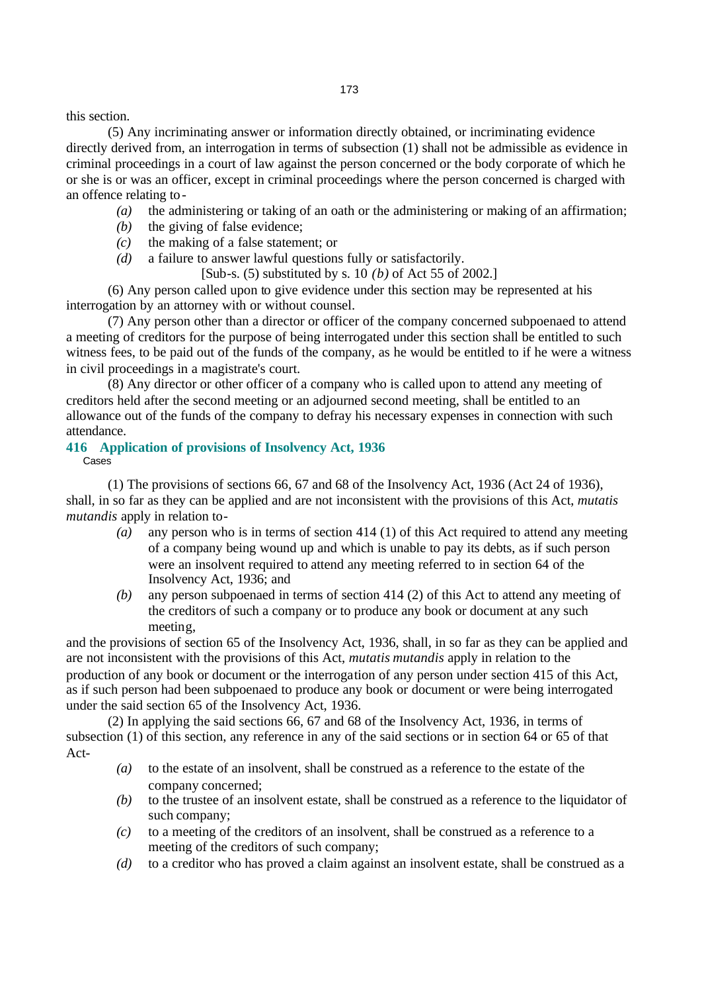this section.

(5) Any incriminating answer or information directly obtained, or incriminating evidence directly derived from, an interrogation in terms of subsection (1) shall not be admissible as evidence in criminal proceedings in a court of law against the person concerned or the body corporate of which he or she is or was an officer, except in criminal proceedings where the person concerned is charged with an offence relating to-

- *(a)* the administering or taking of an oath or the administering or making of an affirmation;
- *(b)* the giving of false evidence;
- *(c)* the making of a false statement; or
- *(d)* a failure to answer lawful questions fully or satisfactorily.

[Sub-s. (5) substituted by s. 10 *(b)* of Act 55 of 2002.]

(6) Any person called upon to give evidence under this section may be represented at his interrogation by an attorney with or without counsel.

(7) Any person other than a director or officer of the company concerned subpoenaed to attend a meeting of creditors for the purpose of being interrogated under this section shall be entitled to such witness fees, to be paid out of the funds of the company, as he would be entitled to if he were a witness in civil proceedings in a magistrate's court.

(8) Any director or other officer of a company who is called upon to attend any meeting of creditors held after the second meeting or an adjourned second meeting, shall be entitled to an allowance out of the funds of the company to defray his necessary expenses in connection with such attendance.

# **416 Application of provisions of Insolvency Act, 1936**

Cases

(1) The provisions of sections 66, 67 and 68 of the Insolvency Act, 1936 (Act 24 of 1936), shall, in so far as they can be applied and are not inconsistent with the provisions of this Act, *mutatis mutandis* apply in relation to-

- *(a)* any person who is in terms of section 414 (1) of this Act required to attend any meeting of a company being wound up and which is unable to pay its debts, as if such person were an insolvent required to attend any meeting referred to in section 64 of the Insolvency Act, 1936; and
- *(b)* any person subpoenaed in terms of section 414 (2) of this Act to attend any meeting of the creditors of such a company or to produce any book or document at any such meeting,

and the provisions of section 65 of the Insolvency Act, 1936, shall, in so far as they can be applied and are not inconsistent with the provisions of this Act, *mutatis mutandis* apply in relation to the production of any book or document or the interrogation of any person under section 415 of this Act, as if such person had been subpoenaed to produce any book or document or were being interrogated under the said section 65 of the Insolvency Act, 1936.

(2) In applying the said sections 66, 67 and 68 of the Insolvency Act, 1936, in terms of subsection (1) of this section, any reference in any of the said sections or in section 64 or 65 of that Act-

- *(a)* to the estate of an insolvent, shall be construed as a reference to the estate of the company concerned;
- *(b)* to the trustee of an insolvent estate, shall be construed as a reference to the liquidator of such company;
- *(c)* to a meeting of the creditors of an insolvent, shall be construed as a reference to a meeting of the creditors of such company;
- *(d)* to a creditor who has proved a claim against an insolvent estate, shall be construed as a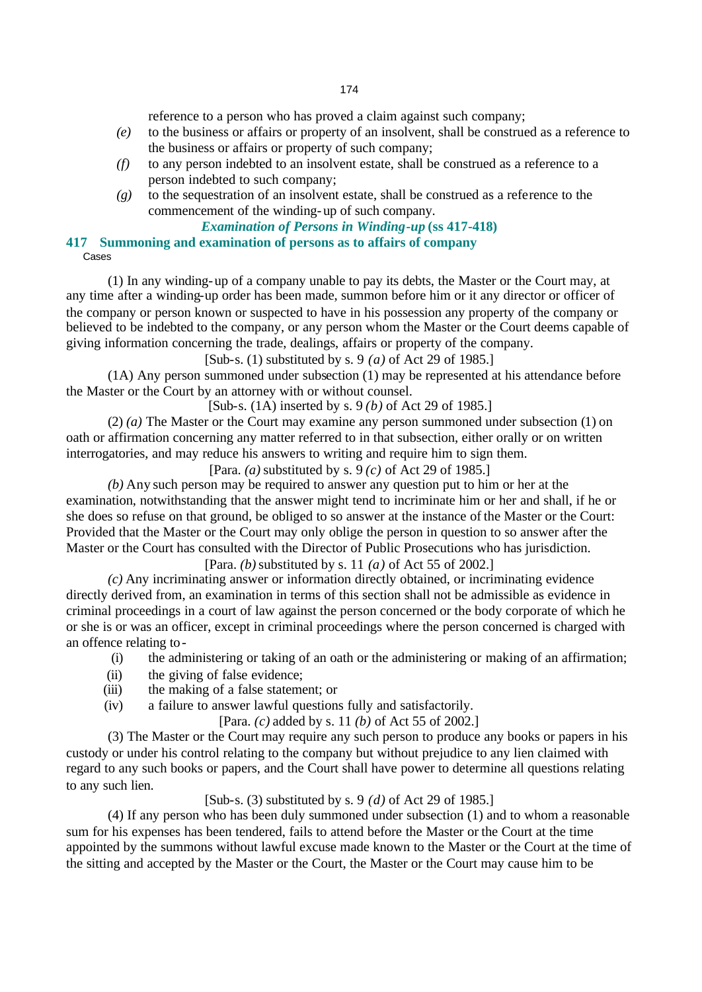reference to a person who has proved a claim against such company;

- *(e)* to the business or affairs or property of an insolvent, shall be construed as a reference to the business or affairs or property of such company;
- *(f)* to any person indebted to an insolvent estate, shall be construed as a reference to a person indebted to such company;
- *(g)* to the sequestration of an insolvent estate, shall be construed as a reference to the commencement of the winding-up of such company.

*Examination of Persons in Winding-up* **(ss 417-418) 417 Summoning and examination of persons as to affairs of company**

Cases

(1) In any winding-up of a company unable to pay its debts, the Master or the Court may, at any time after a winding-up order has been made, summon before him or it any director or officer of the company or person known or suspected to have in his possession any property of the company or believed to be indebted to the company, or any person whom the Master or the Court deems capable of giving information concerning the trade, dealings, affairs or property of the company.

[Sub-s. (1) substituted by s. 9 *(a)* of Act 29 of 1985.]

(1A) Any person summoned under subsection (1) may be represented at his attendance before the Master or the Court by an attorney with or without counsel.

[Sub-s. (1A) inserted by s. 9 *(b)* of Act 29 of 1985.]

(2) *(a)* The Master or the Court may examine any person summoned under subsection (1) on oath or affirmation concerning any matter referred to in that subsection, either orally or on written interrogatories, and may reduce his answers to writing and require him to sign them.

[Para. *(a)* substituted by s. 9 *(c)* of Act 29 of 1985.]

*(b)* Any such person may be required to answer any question put to him or her at the examination, notwithstanding that the answer might tend to incriminate him or her and shall, if he or she does so refuse on that ground, be obliged to so answer at the instance of the Master or the Court: Provided that the Master or the Court may only oblige the person in question to so answer after the Master or the Court has consulted with the Director of Public Prosecutions who has jurisdiction.

[Para. *(b)* substituted by s. 11 *(a)* of Act 55 of 2002.]

*(c)* Any incriminating answer or information directly obtained, or incriminating evidence directly derived from, an examination in terms of this section shall not be admissible as evidence in criminal proceedings in a court of law against the person concerned or the body corporate of which he or she is or was an officer, except in criminal proceedings where the person concerned is charged with an offence relating to-

- (i) the administering or taking of an oath or the administering or making of an affirmation;
- (ii) the giving of false evidence;
- (iii) the making of a false statement; or
- (iv) a failure to answer lawful questions fully and satisfactorily.
	- [Para. *(c)* added by s. 11 *(b)* of Act 55 of 2002.]

(3) The Master or the Court may require any such person to produce any books or papers in his custody or under his control relating to the company but without prejudice to any lien claimed with regard to any such books or papers, and the Court shall have power to determine all questions relating to any such lien.

[Sub-s. (3) substituted by s. 9 *(d)* of Act 29 of 1985.]

(4) If any person who has been duly summoned under subsection (1) and to whom a reasonable sum for his expenses has been tendered, fails to attend before the Master or the Court at the time appointed by the summons without lawful excuse made known to the Master or the Court at the time of the sitting and accepted by the Master or the Court, the Master or the Court may cause him to be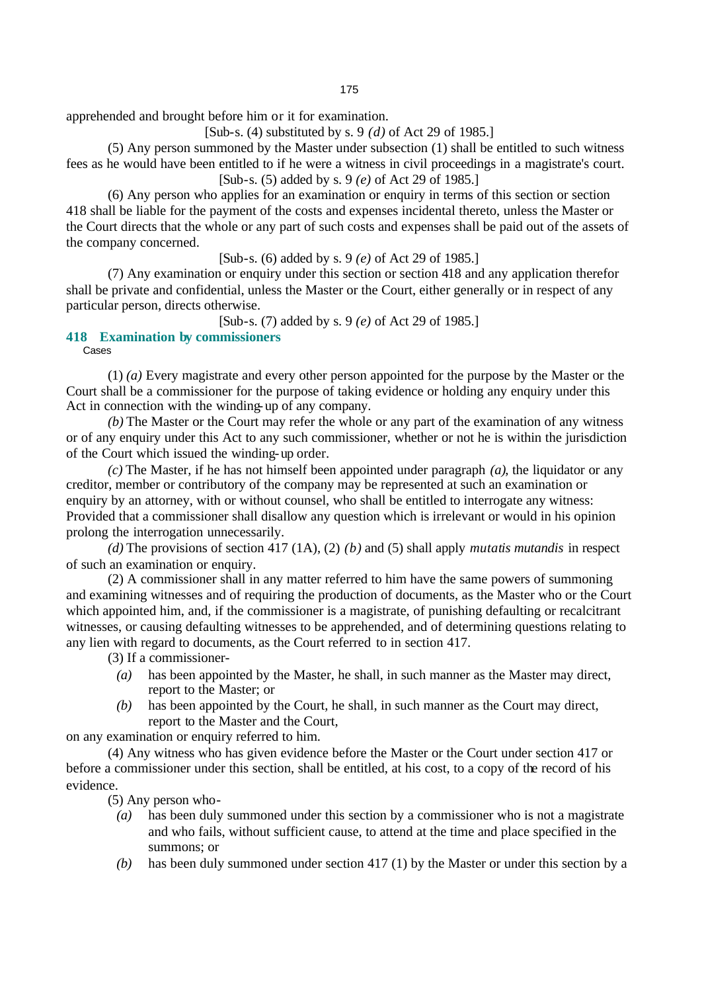175

apprehended and brought before him or it for examination.

[Sub-s. (4) substituted by s. 9 *(d)* of Act 29 of 1985.]

(5) Any person summoned by the Master under subsection (1) shall be entitled to such witness fees as he would have been entitled to if he were a witness in civil proceedings in a magistrate's court. [Sub-s. (5) added by s. 9 *(e)* of Act 29 of 1985.]

(6) Any person who applies for an examination or enquiry in terms of this section or section 418 shall be liable for the payment of the costs and expenses incidental thereto, unless the Master or the Court directs that the whole or any part of such costs and expenses shall be paid out of the assets of the company concerned.

[Sub-s. (6) added by s. 9 *(e)* of Act 29 of 1985.]

(7) Any examination or enquiry under this section or section 418 and any application therefor shall be private and confidential, unless the Master or the Court, either generally or in respect of any particular person, directs otherwise.

[Sub-s. (7) added by s. 9 *(e)* of Act 29 of 1985.]

# **418 Examination by commissioners**

Cases

(1) *(a)* Every magistrate and every other person appointed for the purpose by the Master or the Court shall be a commissioner for the purpose of taking evidence or holding any enquiry under this Act in connection with the winding-up of any company.

*(b)* The Master or the Court may refer the whole or any part of the examination of any witness or of any enquiry under this Act to any such commissioner, whether or not he is within the jurisdiction of the Court which issued the winding-up order.

*(c)* The Master, if he has not himself been appointed under paragraph *(a)*, the liquidator or any creditor, member or contributory of the company may be represented at such an examination or enquiry by an attorney, with or without counsel, who shall be entitled to interrogate any witness: Provided that a commissioner shall disallow any question which is irrelevant or would in his opinion prolong the interrogation unnecessarily.

*(d)* The provisions of section 417 (1A), (2) *(b)* and (5) shall apply *mutatis mutandis* in respect of such an examination or enquiry.

(2) A commissioner shall in any matter referred to him have the same powers of summoning and examining witnesses and of requiring the production of documents, as the Master who or the Court which appointed him, and, if the commissioner is a magistrate, of punishing defaulting or recalcitrant witnesses, or causing defaulting witnesses to be apprehended, and of determining questions relating to any lien with regard to documents, as the Court referred to in section 417.

(3) If a commissioner-

- *(a)* has been appointed by the Master, he shall, in such manner as the Master may direct, report to the Master; or
- *(b)* has been appointed by the Court, he shall, in such manner as the Court may direct, report to the Master and the Court,

on any examination or enquiry referred to him.

(4) Any witness who has given evidence before the Master or the Court under section 417 or before a commissioner under this section, shall be entitled, at his cost, to a copy of the record of his evidence.

(5) Any person who-

- *(a)* has been duly summoned under this section by a commissioner who is not a magistrate and who fails, without sufficient cause, to attend at the time and place specified in the summons; or
- *(b)* has been duly summoned under section 417 (1) by the Master or under this section by a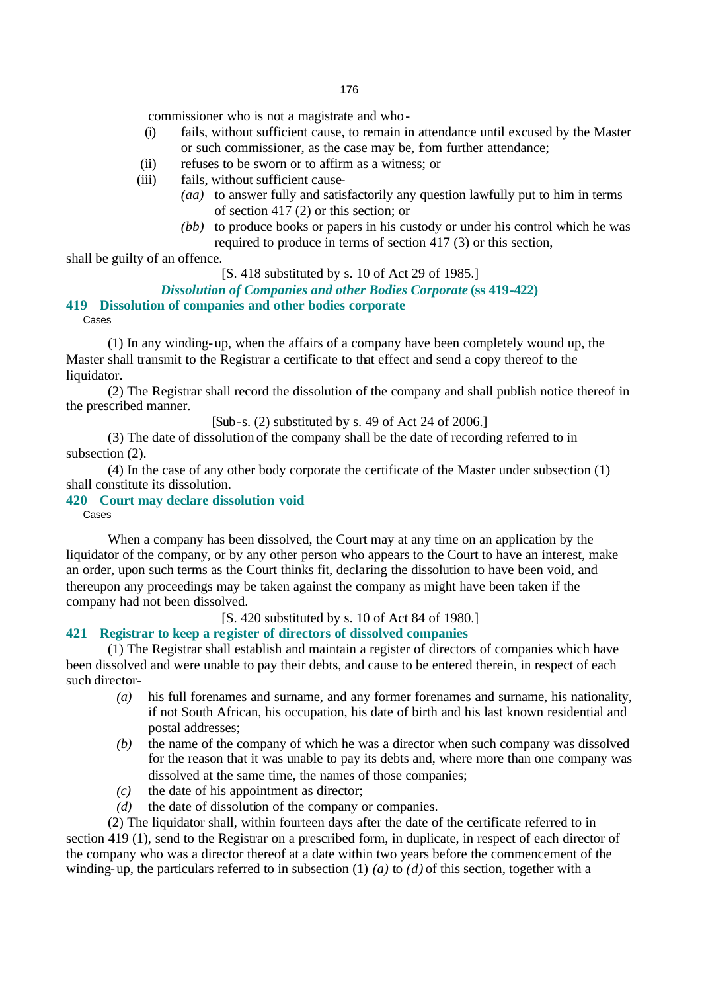commissioner who is not a magistrate and who-

- (i) fails, without sufficient cause, to remain in attendance until excused by the Master or such commissioner, as the case may be, from further attendance;
- (ii) refuses to be sworn or to affirm as a witness; or
- (iii) fails, without sufficient cause-
	- *(aa)* to answer fully and satisfactorily any question lawfully put to him in terms of section 417 (2) or this section; or
	- *(bb)* to produce books or papers in his custody or under his control which he was required to produce in terms of section 417 (3) or this section,

shall be guilty of an offence.

[S. 418 substituted by s. 10 of Act 29 of 1985.]

#### *Dissolution of Companies and other Bodies Corporate* **(ss 419-422) 419 Dissolution of companies and other bodies corporate**

Cases

(1) In any winding-up, when the affairs of a company have been completely wound up, the Master shall transmit to the Registrar a certificate to that effect and send a copy thereof to the liquidator.

(2) The Registrar shall record the dissolution of the company and shall publish notice thereof in the prescribed manner.

 $[Sub-s. (2)$  substituted by s. 49 of Act 24 of 2006.

(3) The date of dissolution of the company shall be the date of recording referred to in subsection (2).

(4) In the case of any other body corporate the certificate of the Master under subsection (1) shall constitute its dissolution.

**420 Court may declare dissolution void**

Cases

When a company has been dissolved, the Court may at any time on an application by the liquidator of the company, or by any other person who appears to the Court to have an interest, make an order, upon such terms as the Court thinks fit, declaring the dissolution to have been void, and thereupon any proceedings may be taken against the company as might have been taken if the company had not been dissolved.

[S. 420 substituted by s. 10 of Act 84 of 1980.]

# **421 Registrar to keep a register of directors of dissolved companies**

(1) The Registrar shall establish and maintain a register of directors of companies which have been dissolved and were unable to pay their debts, and cause to be entered therein, in respect of each such director-

- *(a)* his full forenames and surname, and any former forenames and surname, his nationality, if not South African, his occupation, his date of birth and his last known residential and postal addresses;
- *(b)* the name of the company of which he was a director when such company was dissolved for the reason that it was unable to pay its debts and, where more than one company was dissolved at the same time, the names of those companies;
- *(c)* the date of his appointment as director;
- *(d)* the date of dissolution of the company or companies.

(2) The liquidator shall, within fourteen days after the date of the certificate referred to in section 419 (1), send to the Registrar on a prescribed form, in duplicate, in respect of each director of the company who was a director thereof at a date within two years before the commencement of the winding-up, the particulars referred to in subsection (1) *(a)* to *(d)* of this section, together with a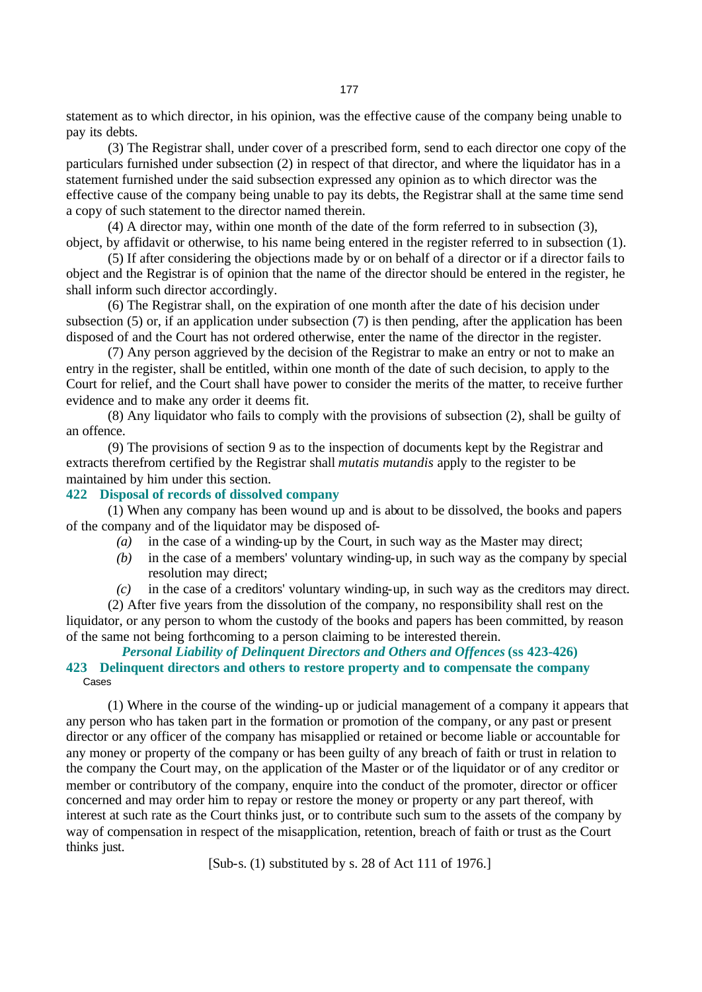statement as to which director, in his opinion, was the effective cause of the company being unable to pay its debts.

(3) The Registrar shall, under cover of a prescribed form, send to each director one copy of the particulars furnished under subsection (2) in respect of that director, and where the liquidator has in a statement furnished under the said subsection expressed any opinion as to which director was the effective cause of the company being unable to pay its debts, the Registrar shall at the same time send a copy of such statement to the director named therein.

(4) A director may, within one month of the date of the form referred to in subsection (3), object, by affidavit or otherwise, to his name being entered in the register referred to in subsection (1).

(5) If after considering the objections made by or on behalf of a director or if a director fails to object and the Registrar is of opinion that the name of the director should be entered in the register, he shall inform such director accordingly.

(6) The Registrar shall, on the expiration of one month after the date of his decision under subsection (5) or, if an application under subsection (7) is then pending, after the application has been disposed of and the Court has not ordered otherwise, enter the name of the director in the register.

(7) Any person aggrieved by the decision of the Registrar to make an entry or not to make an entry in the register, shall be entitled, within one month of the date of such decision, to apply to the Court for relief, and the Court shall have power to consider the merits of the matter, to receive further evidence and to make any order it deems fit.

(8) Any liquidator who fails to comply with the provisions of subsection (2), shall be guilty of an offence.

(9) The provisions of section 9 as to the inspection of documents kept by the Registrar and extracts therefrom certified by the Registrar shall *mutatis mutandis* apply to the register to be maintained by him under this section.

#### **422 Disposal of records of dissolved company**

(1) When any company has been wound up and is about to be dissolved, the books and papers of the company and of the liquidator may be disposed of-

- *(a)* in the case of a winding-up by the Court, in such way as the Master may direct;
- *(b)* in the case of a members' voluntary winding-up, in such way as the company by special resolution may direct;
- *(c)* in the case of a creditors' voluntary winding-up, in such way as the creditors may direct.

(2) After five years from the dissolution of the company, no responsibility shall rest on the liquidator, or any person to whom the custody of the books and papers has been committed, by reason of the same not being forthcoming to a person claiming to be interested therein.

#### *Personal Liability of Delinquent Directors and Others and Offences* **(ss 423-426) 423 Delinquent directors and others to restore property and to compensate the company** Cases

(1) Where in the course of the winding-up or judicial management of a company it appears that any person who has taken part in the formation or promotion of the company, or any past or present director or any officer of the company has misapplied or retained or become liable or accountable for any money or property of the company or has been guilty of any breach of faith or trust in relation to the company the Court may, on the application of the Master or of the liquidator or of any creditor or member or contributory of the company, enquire into the conduct of the promoter, director or officer concerned and may order him to repay or restore the money or property or any part thereof, with interest at such rate as the Court thinks just, or to contribute such sum to the assets of the company by way of compensation in respect of the misapplication, retention, breach of faith or trust as the Court thinks just.

[Sub-s. (1) substituted by s. 28 of Act 111 of 1976.]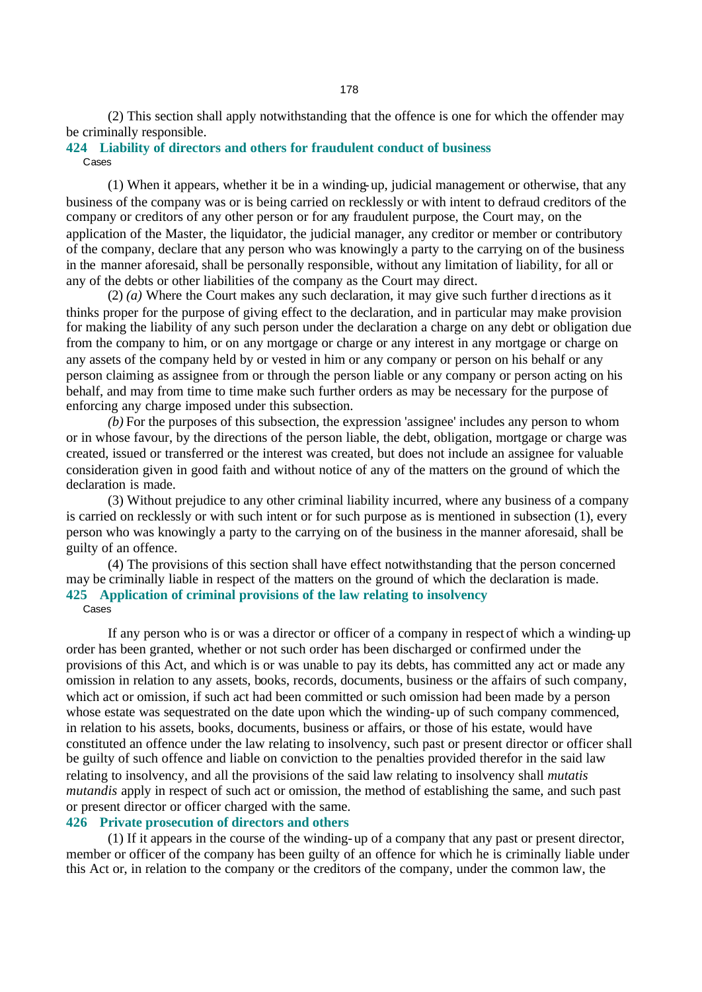(2) This section shall apply notwithstanding that the offence is one for which the offender may be criminally responsible.

#### **424 Liability of directors and others for fraudulent conduct of business** Cases

(1) When it appears, whether it be in a winding-up, judicial management or otherwise, that any business of the company was or is being carried on recklessly or with intent to defraud creditors of the company or creditors of any other person or for any fraudulent purpose, the Court may, on the application of the Master, the liquidator, the judicial manager, any creditor or member or contributory of the company, declare that any person who was knowingly a party to the carrying on of the business in the manner aforesaid, shall be personally responsible, without any limitation of liability, for all or any of the debts or other liabilities of the company as the Court may direct.

(2) *(a)* Where the Court makes any such declaration, it may give such further directions as it thinks proper for the purpose of giving effect to the declaration, and in particular may make provision for making the liability of any such person under the declaration a charge on any debt or obligation due from the company to him, or on any mortgage or charge or any interest in any mortgage or charge on any assets of the company held by or vested in him or any company or person on his behalf or any person claiming as assignee from or through the person liable or any company or person acting on his behalf, and may from time to time make such further orders as may be necessary for the purpose of enforcing any charge imposed under this subsection.

*(b)* For the purposes of this subsection, the expression 'assignee' includes any person to whom or in whose favour, by the directions of the person liable, the debt, obligation, mortgage or charge was created, issued or transferred or the interest was created, but does not include an assignee for valuable consideration given in good faith and without notice of any of the matters on the ground of which the declaration is made.

(3) Without prejudice to any other criminal liability incurred, where any business of a company is carried on recklessly or with such intent or for such purpose as is mentioned in subsection (1), every person who was knowingly a party to the carrying on of the business in the manner aforesaid, shall be guilty of an offence.

(4) The provisions of this section shall have effect notwithstanding that the person concerned may be criminally liable in respect of the matters on the ground of which the declaration is made. **425 Application of criminal provisions of the law relating to insolvency** Cases

If any person who is or was a director or officer of a company in respect of which a winding-up order has been granted, whether or not such order has been discharged or confirmed under the provisions of this Act, and which is or was unable to pay its debts, has committed any act or made any omission in relation to any assets, books, records, documents, business or the affairs of such company, which act or omission, if such act had been committed or such omission had been made by a person whose estate was sequestrated on the date upon which the winding-up of such company commenced, in relation to his assets, books, documents, business or affairs, or those of his estate, would have constituted an offence under the law relating to insolvency, such past or present director or officer shall be guilty of such offence and liable on conviction to the penalties provided therefor in the said law relating to insolvency, and all the provisions of the said law relating to insolvency shall *mutatis mutandis* apply in respect of such act or omission, the method of establishing the same, and such past or present director or officer charged with the same.

#### **426 Private prosecution of directors and others**

(1) If it appears in the course of the winding-up of a company that any past or present director, member or officer of the company has been guilty of an offence for which he is criminally liable under this Act or, in relation to the company or the creditors of the company, under the common law, the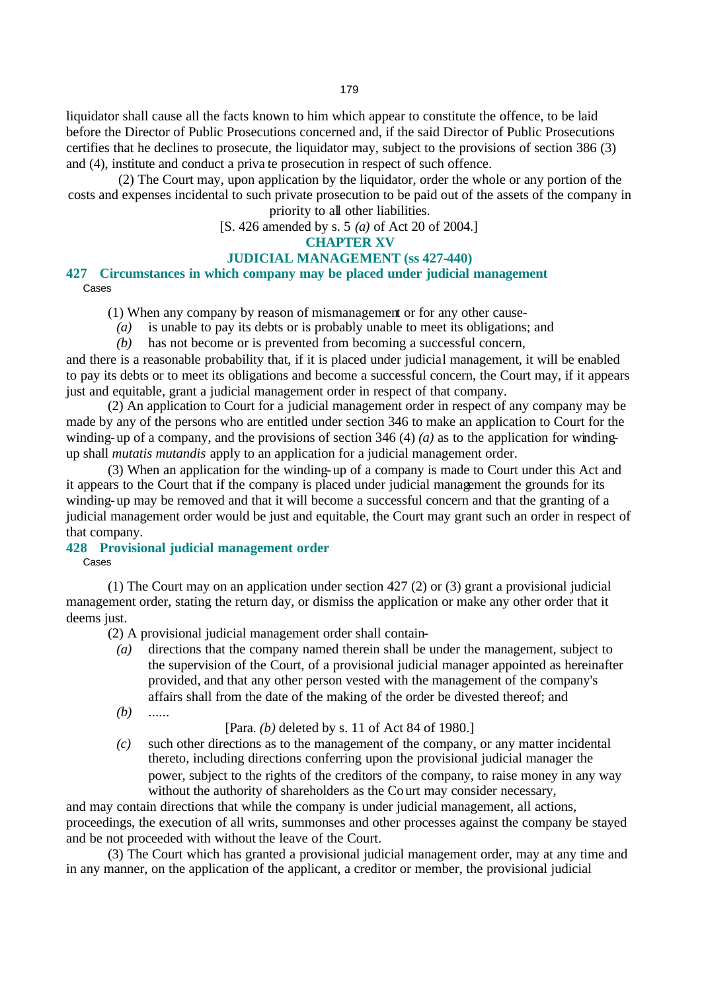liquidator shall cause all the facts known to him which appear to constitute the offence, to be laid before the Director of Public Prosecutions concerned and, if the said Director of Public Prosecutions certifies that he declines to prosecute, the liquidator may, subject to the provisions of section 386 (3) and (4), institute and conduct a priva te prosecution in respect of such offence.

(2) The Court may, upon application by the liquidator, order the whole or any portion of the costs and expenses incidental to such private prosecution to be paid out of the assets of the company in priority to all other liabilities.

[S. 426 amended by s. 5 *(a)* of Act 20 of 2004.]

**CHAPTER XV**

# **JUDICIAL MANAGEMENT (ss 427-440)**

**427 Circumstances in which company may be placed under judicial management** Cases

(1) When any company by reason of mismanagement or for any other cause-

- *(a)* is unable to pay its debts or is probably unable to meet its obligations; and
- *(b)* has not become or is prevented from becoming a successful concern,

and there is a reasonable probability that, if it is placed under judicial management, it will be enabled to pay its debts or to meet its obligations and become a successful concern, the Court may, if it appears just and equitable, grant a judicial management order in respect of that company.

(2) An application to Court for a judicial management order in respect of any company may be made by any of the persons who are entitled under section 346 to make an application to Court for the winding-up of a company, and the provisions of section 346 (4) *(a)* as to the application for windingup shall *mutatis mutandis* apply to an application for a judicial management order.

(3) When an application for the winding-up of a company is made to Court under this Act and it appears to the Court that if the company is placed under judicial management the grounds for its winding-up may be removed and that it will become a successful concern and that the granting of a judicial management order would be just and equitable, the Court may grant such an order in respect of that company.

# **428 Provisional judicial management order**

Cases

(1) The Court may on an application under section 427 (2) or (3) grant a provisional judicial management order, stating the return day, or dismiss the application or make any other order that it deems just.

(2) A provisional judicial management order shall contain-

- *(a)* directions that the company named therein shall be under the management, subject to the supervision of the Court, of a provisional judicial manager appointed as hereinafter provided, and that any other person vested with the management of the company's affairs shall from the date of the making of the order be divested thereof; and
- *(b)* ......

[Para. *(b)* deleted by s. 11 of Act 84 of 1980.]

*(c)* such other directions as to the management of the company, or any matter incidental thereto, including directions conferring upon the provisional judicial manager the power, subject to the rights of the creditors of the company, to raise money in any way without the authority of shareholders as the Co urt may consider necessary,

and may contain directions that while the company is under judicial management, all actions, proceedings, the execution of all writs, summonses and other processes against the company be stayed and be not proceeded with without the leave of the Court.

(3) The Court which has granted a provisional judicial management order, may at any time and in any manner, on the application of the applicant, a creditor or member, the provisional judicial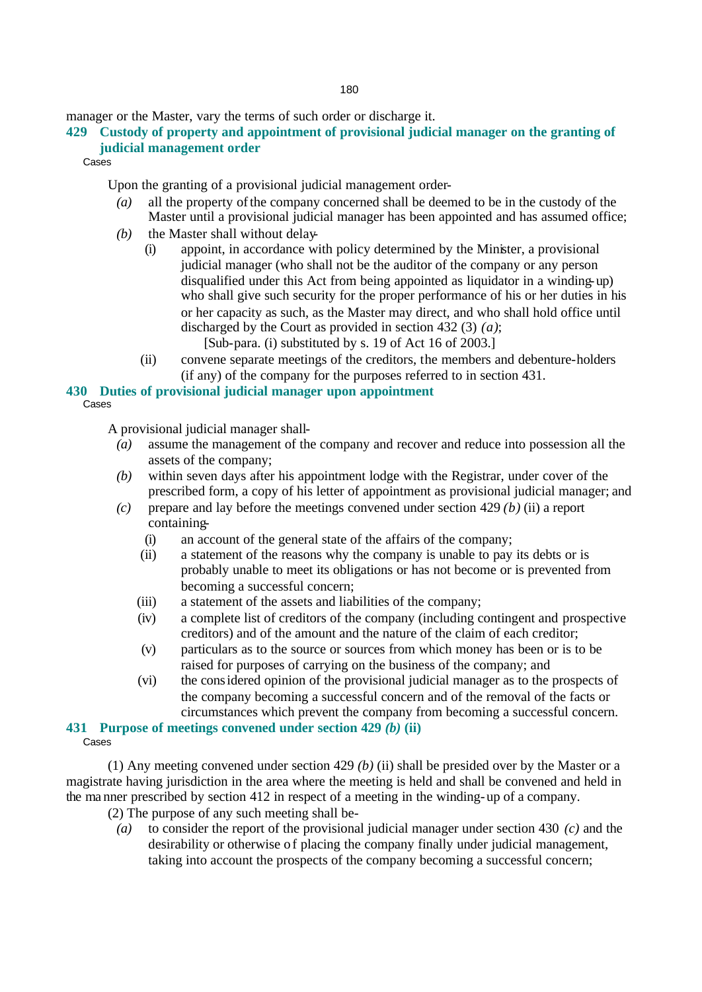manager or the Master, vary the terms of such order or discharge it.

# **429 Custody of property and appointment of provisional judicial manager on the granting of judicial management order**

Cases

Upon the granting of a provisional judicial management order-

- *(a)* all the property of the company concerned shall be deemed to be in the custody of the Master until a provisional judicial manager has been appointed and has assumed office;
- *(b)* the Master shall without delay-
	- (i) appoint, in accordance with policy determined by the Minister, a provisional judicial manager (who shall not be the auditor of the company or any person disqualified under this Act from being appointed as liquidator in a winding-up) who shall give such security for the proper performance of his or her duties in his or her capacity as such, as the Master may direct, and who shall hold office until discharged by the Court as provided in section 432 (3) *(a)*;

[Sub-para. (i) substituted by s. 19 of Act 16 of 2003.]

(ii) convene separate meetings of the creditors, the members and debenture-holders (if any) of the company for the purposes referred to in section 431.

# **430 Duties of provisional judicial manager upon appointment**

Cases

A provisional judicial manager shall-

- *(a)* assume the management of the company and recover and reduce into possession all the assets of the company;
- *(b)* within seven days after his appointment lodge with the Registrar, under cover of the prescribed form, a copy of his letter of appointment as provisional judicial manager; and
- *(c)* prepare and lay before the meetings convened under section 429 *(b)* (ii) a report containing-
	- (i) an account of the general state of the affairs of the company;
	- (ii) a statement of the reasons why the company is unable to pay its debts or is probably unable to meet its obligations or has not become or is prevented from becoming a successful concern;
	- (iii) a statement of the assets and liabilities of the company;
	- (iv) a complete list of creditors of the company (including contingent and prospective creditors) and of the amount and the nature of the claim of each creditor;
	- (v) particulars as to the source or sources from which money has been or is to be raised for purposes of carrying on the business of the company; and
	- (vi) the considered opinion of the provisional judicial manager as to the prospects of the company becoming a successful concern and of the removal of the facts or circumstances which prevent the company from becoming a successful concern.

#### **431 Purpose of meetings convened under section 429** *(b)* **(ii)** Cases

(1) Any meeting convened under section 429 *(b)* (ii) shall be presided over by the Master or a magistrate having jurisdiction in the area where the meeting is held and shall be convened and held in the ma nner prescribed by section 412 in respect of a meeting in the winding-up of a company.

(2) The purpose of any such meeting shall be-

*(a)* to consider the report of the provisional judicial manager under section 430 *(c)* and the desirability or otherwise of placing the company finally under judicial management, taking into account the prospects of the company becoming a successful concern;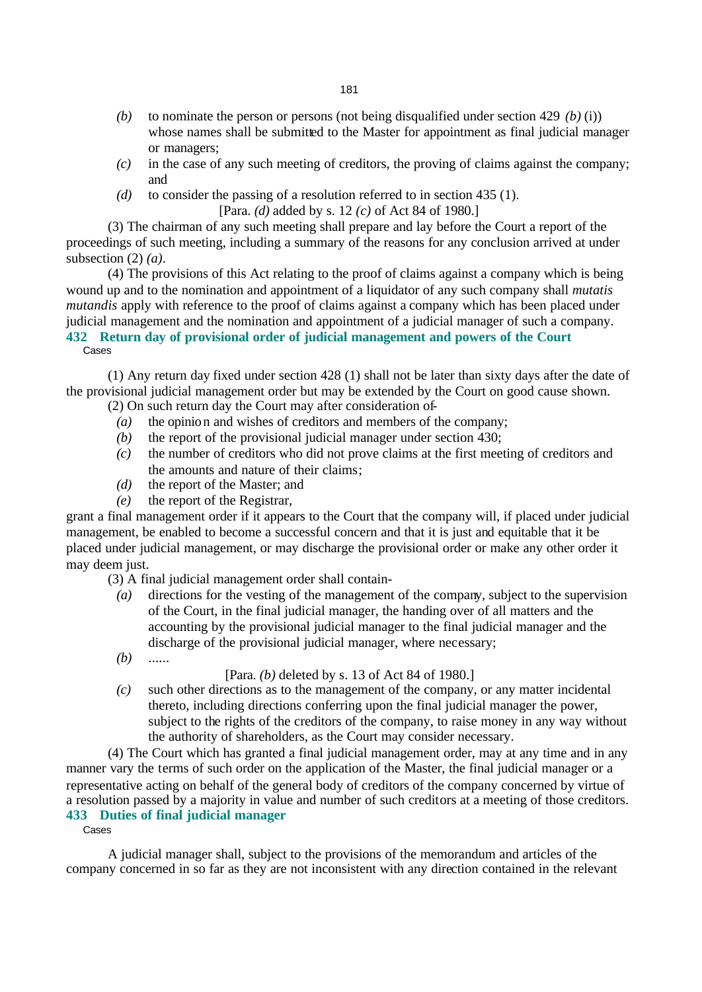- *(b)* to nominate the person or persons (not being disqualified under section 429 *(b)* (i)) whose names shall be submitted to the Master for appointment as final judicial manager or managers;
- *(c)* in the case of any such meeting of creditors, the proving of claims against the company; and
- *(d)* to consider the passing of a resolution referred to in section 435 (1). [Para. *(d)* added by s. 12 *(c)* of Act 84 of 1980.]

(3) The chairman of any such meeting shall prepare and lay before the Court a report of the proceedings of such meeting, including a summary of the reasons for any conclusion arrived at under subsection (2) *(a)*.

(4) The provisions of this Act relating to the proof of claims against a company which is being wound up and to the nomination and appointment of a liquidator of any such company shall *mutatis mutandis* apply with reference to the proof of claims against a company which has been placed under judicial management and the nomination and appointment of a judicial manager of such a company. **432 Return day of provisional order of judicial management and powers of the Court** Cases

(1) Any return day fixed under section 428 (1) shall not be later than sixty days after the date of the provisional judicial management order but may be extended by the Court on good cause shown.

- (2) On such return day the Court may after consideration of-
	- *(a)* the opinion and wishes of creditors and members of the company;
	- *(b)* the report of the provisional judicial manager under section 430;
	- *(c)* the number of creditors who did not prove claims at the first meeting of creditors and the amounts and nature of their claims;
	- *(d)* the report of the Master; and
	- *(e)* the report of the Registrar,

grant a final management order if it appears to the Court that the company will, if placed under judicial management, be enabled to become a successful concern and that it is just and equitable that it be placed under judicial management, or may discharge the provisional order or make any other order it may deem just.

(3) A final judicial management order shall contain-

- *(a)* directions for the vesting of the management of the company, subject to the supervision of the Court, in the final judicial manager, the handing over of all matters and the accounting by the provisional judicial manager to the final judicial manager and the discharge of the provisional judicial manager, where necessary;
- *(b)* ......

[Para. *(b)* deleted by s. 13 of Act 84 of 1980.]

*(c)* such other directions as to the management of the company, or any matter incidental thereto, including directions conferring upon the final judicial manager the power, subject to the rights of the creditors of the company, to raise money in any way without the authority of shareholders, as the Court may consider necessary.

(4) The Court which has granted a final judicial management order, may at any time and in any manner vary the terms of such order on the application of the Master, the final judicial manager or a representative acting on behalf of the general body of creditors of the company concerned by virtue of a resolution passed by a majority in value and number of such creditors at a meeting of those creditors. **433 Duties of final judicial manager**

Cases

A judicial manager shall, subject to the provisions of the memorandum and articles of the company concerned in so far as they are not inconsistent with any direction contained in the relevant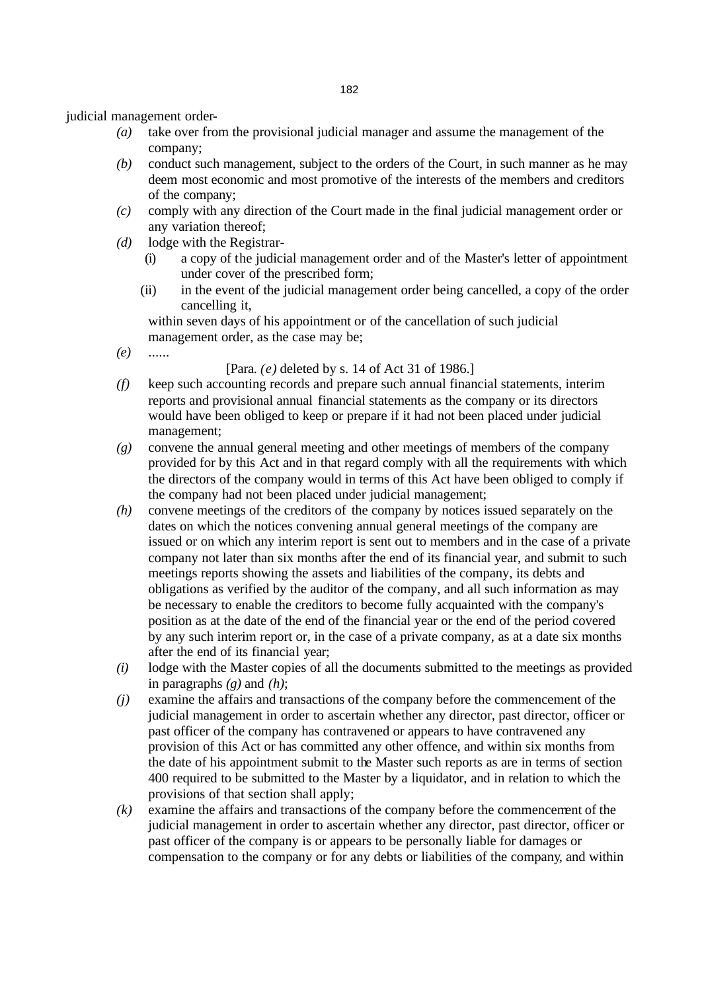judicial management order-

- *(a)* take over from the provisional judicial manager and assume the management of the company;
- *(b)* conduct such management, subject to the orders of the Court, in such manner as he may deem most economic and most promotive of the interests of the members and creditors of the company;
- *(c)* comply with any direction of the Court made in the final judicial management order or any variation thereof;
- *(d)* lodge with the Registrar-
	- (i) a copy of the judicial management order and of the Master's letter of appointment under cover of the prescribed form;
	- (ii) in the event of the judicial management order being cancelled, a copy of the order cancelling it,

within seven days of his appointment or of the cancellation of such judicial management order, as the case may be;

*(e)* ......

[Para. *(e)* deleted by s. 14 of Act 31 of 1986.]

- *(f)* keep such accounting records and prepare such annual financial statements, interim reports and provisional annual financial statements as the company or its directors would have been obliged to keep or prepare if it had not been placed under judicial management;
- *(g)* convene the annual general meeting and other meetings of members of the company provided for by this Act and in that regard comply with all the requirements with which the directors of the company would in terms of this Act have been obliged to comply if the company had not been placed under judicial management;
- *(h)* convene meetings of the creditors of the company by notices issued separately on the dates on which the notices convening annual general meetings of the company are issued or on which any interim report is sent out to members and in the case of a private company not later than six months after the end of its financial year, and submit to such meetings reports showing the assets and liabilities of the company, its debts and obligations as verified by the auditor of the company, and all such information as may be necessary to enable the creditors to become fully acquainted with the company's position as at the date of the end of the financial year or the end of the period covered by any such interim report or, in the case of a private company, as at a date six months after the end of its financial year;
- *(i)* lodge with the Master copies of all the documents submitted to the meetings as provided in paragraphs *(g)* and *(h)*;
- *(j)* examine the affairs and transactions of the company before the commencement of the judicial management in order to ascertain whether any director, past director, officer or past officer of the company has contravened or appears to have contravened any provision of this Act or has committed any other offence, and within six months from the date of his appointment submit to the Master such reports as are in terms of section 400 required to be submitted to the Master by a liquidator, and in relation to which the provisions of that section shall apply;
- *(k)* examine the affairs and transactions of the company before the commencement of the judicial management in order to ascertain whether any director, past director, officer or past officer of the company is or appears to be personally liable for damages or compensation to the company or for any debts or liabilities of the company, and within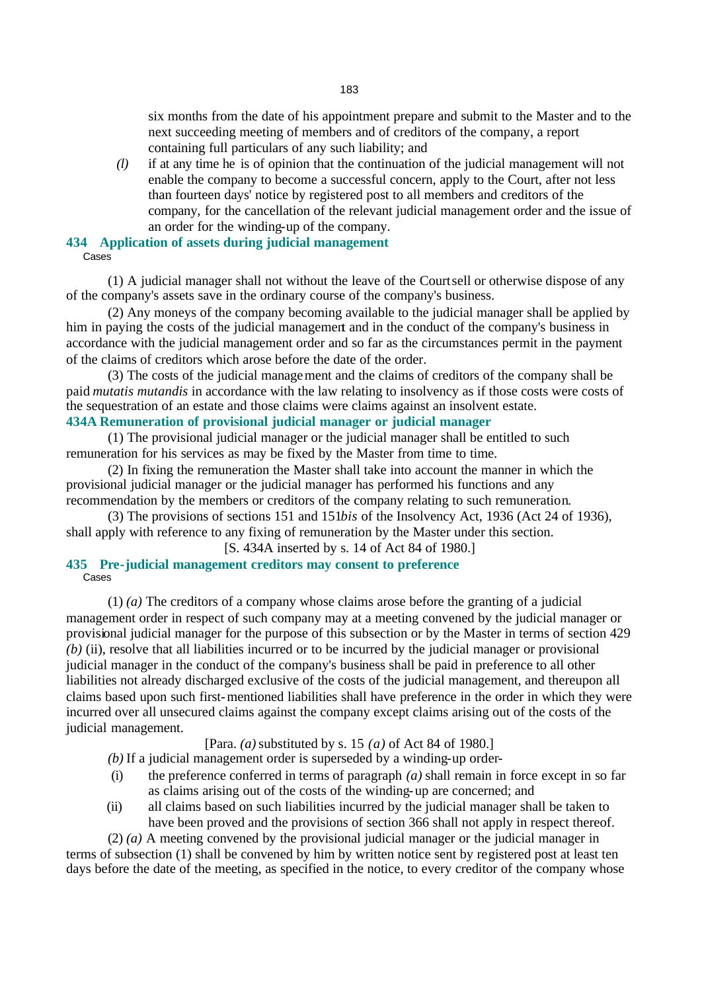six months from the date of his appointment prepare and submit to the Master and to the next succeeding meeting of members and of creditors of the company, a report containing full particulars of any such liability; and

*(l)* if at any time he is of opinion that the continuation of the judicial management will not enable the company to become a successful concern, apply to the Court, after not less than fourteen days' notice by registered post to all members and creditors of the company, for the cancellation of the relevant judicial management order and the issue of an order for the winding-up of the company.

# **434 Application of assets during judicial management** Cases

(1) A judicial manager shall not without the leave of the Court sell or otherwise dispose of any of the company's assets save in the ordinary course of the company's business.

(2) Any moneys of the company becoming available to the judicial manager shall be applied by him in paying the costs of the judicial management and in the conduct of the company's business in accordance with the judicial management order and so far as the circumstances permit in the payment of the claims of creditors which arose before the date of the order.

(3) The costs of the judicial management and the claims of creditors of the company shall be paid *mutatis mutandis* in accordance with the law relating to insolvency as if those costs were costs of the sequestration of an estate and those claims were claims against an insolvent estate.

# **434A Remuneration of provisional judicial manager or judicial manager**

(1) The provisional judicial manager or the judicial manager shall be entitled to such remuneration for his services as may be fixed by the Master from time to time.

(2) In fixing the remuneration the Master shall take into account the manner in which the provisional judicial manager or the judicial manager has performed his functions and any recommendation by the members or creditors of the company relating to such remuneration.

(3) The provisions of sections 151 and 151*bis* of the Insolvency Act, 1936 (Act 24 of 1936), shall apply with reference to any fixing of remuneration by the Master under this section.

[S. 434A inserted by s. 14 of Act 84 of 1980.]

# **435 Pre-judicial management creditors may consent to preference** Cases

(1) *(a)* The creditors of a company whose claims arose before the granting of a judicial management order in respect of such company may at a meeting convened by the judicial manager or provisional judicial manager for the purpose of this subsection or by the Master in terms of section 429 *(b)* (ii), resolve that all liabilities incurred or to be incurred by the judicial manager or provisional judicial manager in the conduct of the company's business shall be paid in preference to all other liabilities not already discharged exclusive of the costs of the judicial management, and thereupon all claims based upon such first-mentioned liabilities shall have preference in the order in which they were incurred over all unsecured claims against the company except claims arising out of the costs of the judicial management.

[Para. *(a)* substituted by s. 15 *(a)* of Act 84 of 1980.]

*(b)* If a judicial management order is superseded by a winding-up order-

- (i) the preference conferred in terms of paragraph *(a)* shall remain in force except in so far as claims arising out of the costs of the winding-up are concerned; and
- (ii) all claims based on such liabilities incurred by the judicial manager shall be taken to have been proved and the provisions of section 366 shall not apply in respect thereof.

(2) *(a)* A meeting convened by the provisional judicial manager or the judicial manager in terms of subsection (1) shall be convened by him by written notice sent by registered post at least ten days before the date of the meeting, as specified in the notice, to every creditor of the company whose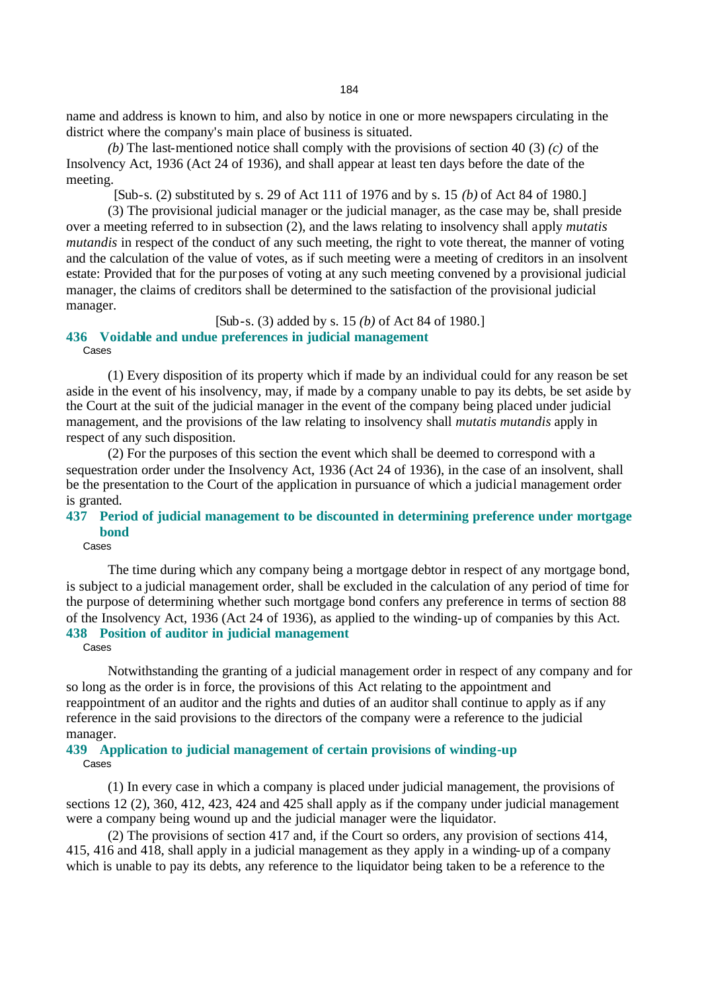name and address is known to him, and also by notice in one or more newspapers circulating in the district where the company's main place of business is situated.

*(b)* The last-mentioned notice shall comply with the provisions of section 40 (3) *(c)* of the Insolvency Act, 1936 (Act 24 of 1936), and shall appear at least ten days before the date of the meeting.

[Sub-s. (2) substituted by s. 29 of Act 111 of 1976 and by s. 15 *(b)* of Act 84 of 1980.]

(3) The provisional judicial manager or the judicial manager, as the case may be, shall preside over a meeting referred to in subsection (2), and the laws relating to insolvency shall apply *mutatis mutandis* in respect of the conduct of any such meeting, the right to vote thereat, the manner of voting and the calculation of the value of votes, as if such meeting were a meeting of creditors in an insolvent estate: Provided that for the purposes of voting at any such meeting convened by a provisional judicial manager, the claims of creditors shall be determined to the satisfaction of the provisional judicial manager.

[Sub-s. (3) added by s. 15 *(b)* of Act 84 of 1980.]

#### **436 Voidable and undue preferences in judicial management** Cases

(1) Every disposition of its property which if made by an individual could for any reason be set aside in the event of his insolvency, may, if made by a company unable to pay its debts, be set aside by the Court at the suit of the judicial manager in the event of the company being placed under judicial management, and the provisions of the law relating to insolvency shall *mutatis mutandis* apply in respect of any such disposition.

(2) For the purposes of this section the event which shall be deemed to correspond with a sequestration order under the Insolvency Act, 1936 (Act 24 of 1936), in the case of an insolvent, shall be the presentation to the Court of the application in pursuance of which a judicial management order is granted.

# **437 Period of judicial management to be discounted in determining preference under mortgage bond**

### Cases

The time during which any company being a mortgage debtor in respect of any mortgage bond, is subject to a judicial management order, shall be excluded in the calculation of any period of time for the purpose of determining whether such mortgage bond confers any preference in terms of section 88 of the Insolvency Act, 1936 (Act 24 of 1936), as applied to the winding-up of companies by this Act. **438 Position of auditor in judicial management**

Cases

Notwithstanding the granting of a judicial management order in respect of any company and for so long as the order is in force, the provisions of this Act relating to the appointment and reappointment of an auditor and the rights and duties of an auditor shall continue to apply as if any reference in the said provisions to the directors of the company were a reference to the judicial manager.

### **439 Application to judicial management of certain provisions of winding-up** Cases

(1) In every case in which a company is placed under judicial management, the provisions of sections 12 (2), 360, 412, 423, 424 and 425 shall apply as if the company under judicial management were a company being wound up and the judicial manager were the liquidator.

(2) The provisions of section 417 and, if the Court so orders, any provision of sections 414, 415, 416 and 418, shall apply in a judicial management as they apply in a winding-up of a company which is unable to pay its debts, any reference to the liquidator being taken to be a reference to the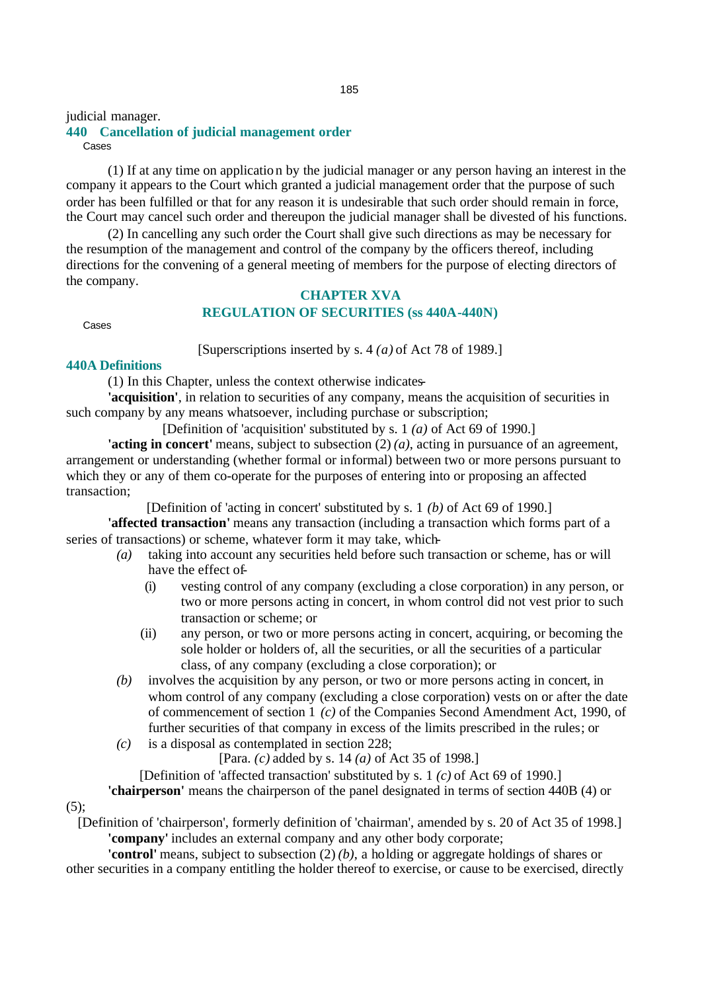judicial manager.

#### **440 Cancellation of judicial management order** Cases

(1) If at any time on applicatio n by the judicial manager or any person having an interest in the company it appears to the Court which granted a judicial management order that the purpose of such order has been fulfilled or that for any reason it is undesirable that such order should remain in force, the Court may cancel such order and thereupon the judicial manager shall be divested of his functions.

(2) In cancelling any such order the Court shall give such directions as may be necessary for the resumption of the management and control of the company by the officers thereof, including directions for the convening of a general meeting of members for the purpose of electing directors of the company.

# **CHAPTER XVA REGULATION OF SECURITIES (ss 440A-440N)**

Cases

[Superscriptions inserted by s. 4 *(a)* of Act 78 of 1989.]

#### **440A Definitions**

(1) In this Chapter, unless the context otherwise indicates-

**'acquisition'**, in relation to securities of any company, means the acquisition of securities in such company by any means whatsoever, including purchase or subscription;

[Definition of 'acquisition' substituted by s. 1 *(a)* of Act 69 of 1990.]

**'acting in concert'** means, subject to subsection (2) *(a)*, acting in pursuance of an agreement, arrangement or understanding (whether formal or informal) between two or more persons pursuant to which they or any of them co-operate for the purposes of entering into or proposing an affected transaction;

[Definition of 'acting in concert' substituted by s. 1 *(b)* of Act 69 of 1990.]

**'affected transaction'** means any transaction (including a transaction which forms part of a series of transactions) or scheme, whatever form it may take, which-

- *(a)* taking into account any securities held before such transaction or scheme, has or will have the effect of-
	- (i) vesting control of any company (excluding a close corporation) in any person, or two or more persons acting in concert, in whom control did not vest prior to such transaction or scheme; or
	- (ii) any person, or two or more persons acting in concert, acquiring, or becoming the sole holder or holders of, all the securities, or all the securities of a particular class, of any company (excluding a close corporation); or
- *(b)* involves the acquisition by any person, or two or more persons acting in concert, in whom control of any company (excluding a close corporation) vests on or after the date of commencement of section 1 *(c)* of the Companies Second Amendment Act, 1990, of further securities of that company in excess of the limits prescribed in the rules; or
- *(c)* is a disposal as contemplated in section 228;

[Para. *(c)* added by s. 14 *(a)* of Act 35 of 1998.]

[Definition of 'affected transaction' substituted by s. 1 *(c)* of Act 69 of 1990.]

**'chairperson'** means the chairperson of the panel designated in terms of section 440B (4) or  $(5)$ :

[Definition of 'chairperson', formerly definition of 'chairman', amended by s. 20 of Act 35 of 1998.] **'company'** includes an external company and any other body corporate;

**'control'** means, subject to subsection (2) *(b)*, a holding or aggregate holdings of shares or other securities in a company entitling the holder thereof to exercise, or cause to be exercised, directly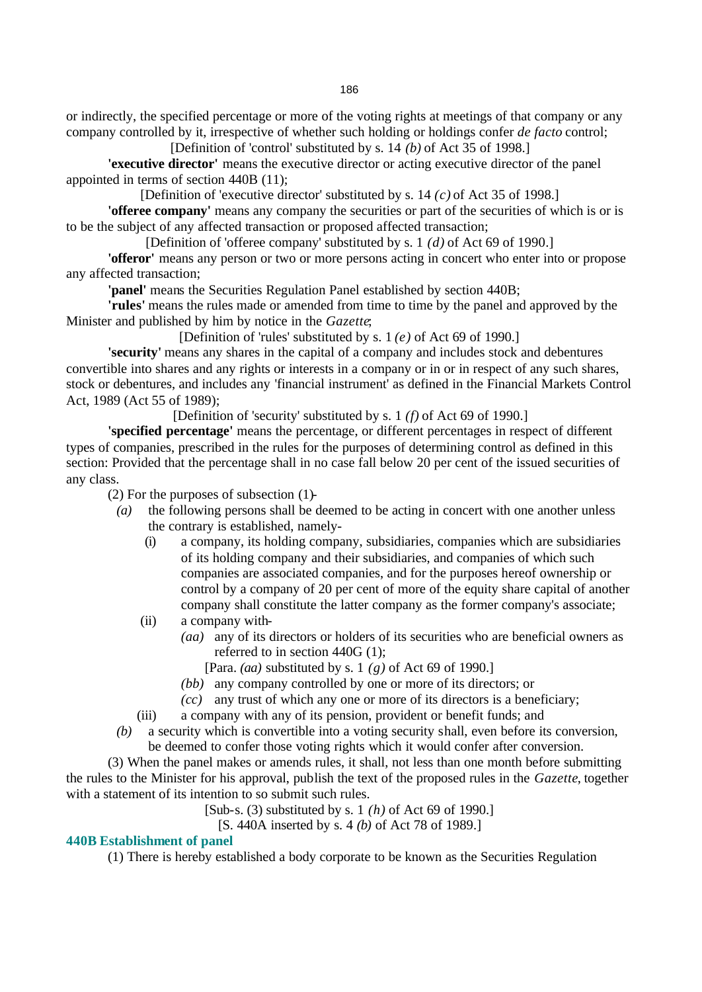or indirectly, the specified percentage or more of the voting rights at meetings of that company or any company controlled by it, irrespective of whether such holding or holdings confer *de facto* control;

[Definition of 'control' substituted by s. 14 *(b)* of Act 35 of 1998.]

**'executive director'** means the executive director or acting executive director of the panel appointed in terms of section 440B (11);

[Definition of 'executive director' substituted by s. 14 *(c)* of Act 35 of 1998.]

**'offeree company'** means any company the securities or part of the securities of which is or is to be the subject of any affected transaction or proposed affected transaction;

[Definition of 'offeree company' substituted by s. 1 *(d)* of Act 69 of 1990.]

**'offeror'** means any person or two or more persons acting in concert who enter into or propose any affected transaction;

**'panel'** means the Securities Regulation Panel established by section 440B;

**'rules'** means the rules made or amended from time to time by the panel and approved by the Minister and published by him by notice in the *Gazette*;

[Definition of 'rules' substituted by s. 1 *(e)* of Act 69 of 1990.]

**'security'** means any shares in the capital of a company and includes stock and debentures convertible into shares and any rights or interests in a company or in or in respect of any such shares, stock or debentures, and includes any 'financial instrument' as defined in the Financial Markets Control Act, 1989 (Act 55 of 1989);

[Definition of 'security' substituted by s. 1 *(f)* of Act 69 of 1990.]

**'specified percentage'** means the percentage, or different percentages in respect of different types of companies, prescribed in the rules for the purposes of determining control as defined in this section: Provided that the percentage shall in no case fall below 20 per cent of the issued securities of any class.

(2) For the purposes of subsection (1)-

- *(a)* the following persons shall be deemed to be acting in concert with one another unless the contrary is established, namely-
	- (i) a company, its holding company, subsidiaries, companies which are subsidiaries of its holding company and their subsidiaries, and companies of which such companies are associated companies, and for the purposes hereof ownership or control by a company of 20 per cent of more of the equity share capital of another company shall constitute the latter company as the former company's associate;
	- (ii) a company with-
		- *(aa)* any of its directors or holders of its securities who are beneficial owners as referred to in section 440G (1);

[Para. *(aa)* substituted by s. 1 *(g)* of Act 69 of 1990.]

- *(bb)* any company controlled by one or more of its directors; or
- *(cc)* any trust of which any one or more of its directors is a beneficiary;
- (iii) a company with any of its pension, provident or benefit funds; and
- *(b)* a security which is convertible into a voting security shall, even before its conversion, be deemed to confer those voting rights which it would confer after conversion.

(3) When the panel makes or amends rules, it shall, not less than one month before submitting the rules to the Minister for his approval, publish the text of the proposed rules in the *Gazette*, together with a statement of its intention to so submit such rules.

[Sub-s. (3) substituted by s. 1 *(h)* of Act 69 of 1990.]

[S. 440A inserted by s. 4 *(b)* of Act 78 of 1989.]

### **440B Establishment of panel**

(1) There is hereby established a body corporate to be known as the Securities Regulation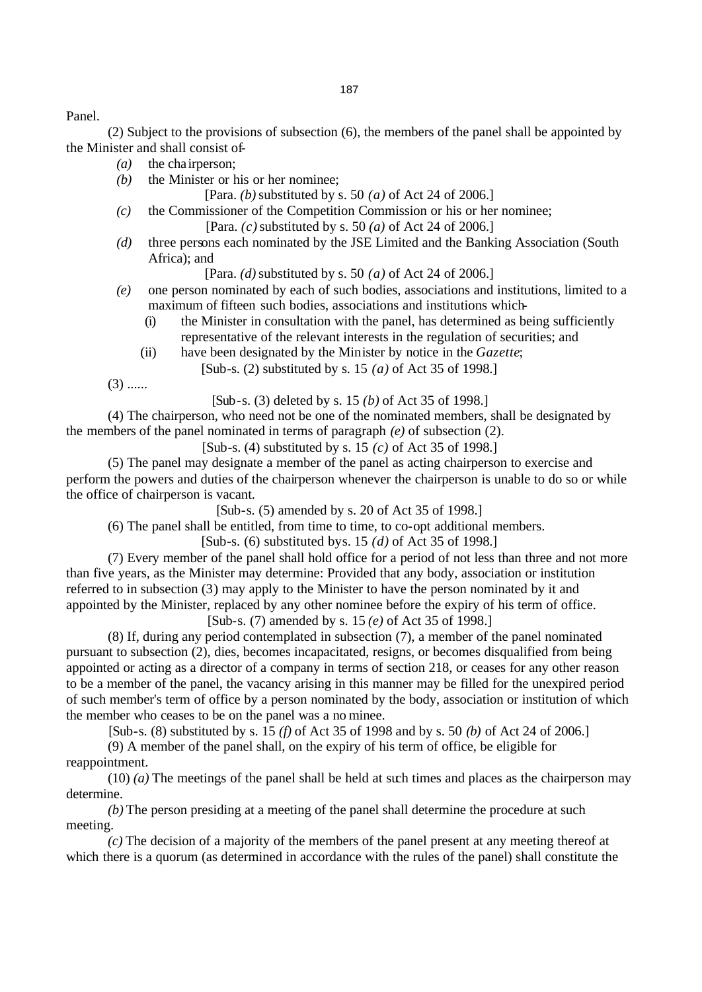Panel.

(2) Subject to the provisions of subsection (6), the members of the panel shall be appointed by the Minister and shall consist of-

- *(a)* the cha irperson;
- *(b)* the Minister or his or her nominee;

[Para. *(b)* substituted by s. 50 *(a)* of Act 24 of 2006.]

- *(c)* the Commissioner of the Competition Commission or his or her nominee;
	- [Para. *(c)* substituted by s. 50 *(a)* of Act 24 of 2006.]
- *(d)* three persons each nominated by the JSE Limited and the Banking Association (South Africa); and

[Para. *(d)* substituted by s. 50 *(a)* of Act 24 of 2006.]

- *(e)* one person nominated by each of such bodies, associations and institutions, limited to a maximum of fifteen such bodies, associations and institutions which-
	- (i) the Minister in consultation with the panel, has determined as being sufficiently representative of the relevant interests in the regulation of securities; and
	- (ii) have been designated by the Minister by notice in the *Gazette*; [Sub-s. (2) substituted by s. 15 *(a)* of Act 35 of 1998.]

 $(3)$  ......

[Sub-s. (3) deleted by s. 15 *(b)* of Act 35 of 1998.]

(4) The chairperson, who need not be one of the nominated members, shall be designated by the members of the panel nominated in terms of paragraph *(e)* of subsection (2).

[Sub-s. (4) substituted by s. 15 *(c)* of Act 35 of 1998.]

(5) The panel may designate a member of the panel as acting chairperson to exercise and perform the powers and duties of the chairperson whenever the chairperson is unable to do so or while the office of chairperson is vacant.

[Sub-s. (5) amended by s. 20 of Act 35 of 1998.]

(6) The panel shall be entitled, from time to time, to co-opt additional members.

[Sub-s. (6) substituted by s. 15 *(d)* of Act 35 of 1998.]

(7) Every member of the panel shall hold office for a period of not less than three and not more than five years, as the Minister may determine: Provided that any body, association or institution referred to in subsection (3) may apply to the Minister to have the person nominated by it and appointed by the Minister, replaced by any other nominee before the expiry of his term of office.

[Sub-s. (7) amended by s. 15 *(e)* of Act 35 of 1998.]

(8) If, during any period contemplated in subsection (7), a member of the panel nominated pursuant to subsection (2), dies, becomes incapacitated, resigns, or becomes disqualified from being appointed or acting as a director of a company in terms of section 218, or ceases for any other reason to be a member of the panel, the vacancy arising in this manner may be filled for the unexpired period of such member's term of office by a person nominated by the body, association or institution of which the member who ceases to be on the panel was a no minee.

[Sub-s. (8) substituted by s. 15 *(f)* of Act 35 of 1998 and by s. 50 *(b)* of Act 24 of 2006.]

(9) A member of the panel shall, on the expiry of his term of office, be eligible for reappointment.

(10) *(a)* The meetings of the panel shall be held at such times and places as the chairperson may determine.

*(b)* The person presiding at a meeting of the panel shall determine the procedure at such meeting.

*(c)* The decision of a majority of the members of the panel present at any meeting thereof at which there is a quorum (as determined in accordance with the rules of the panel) shall constitute the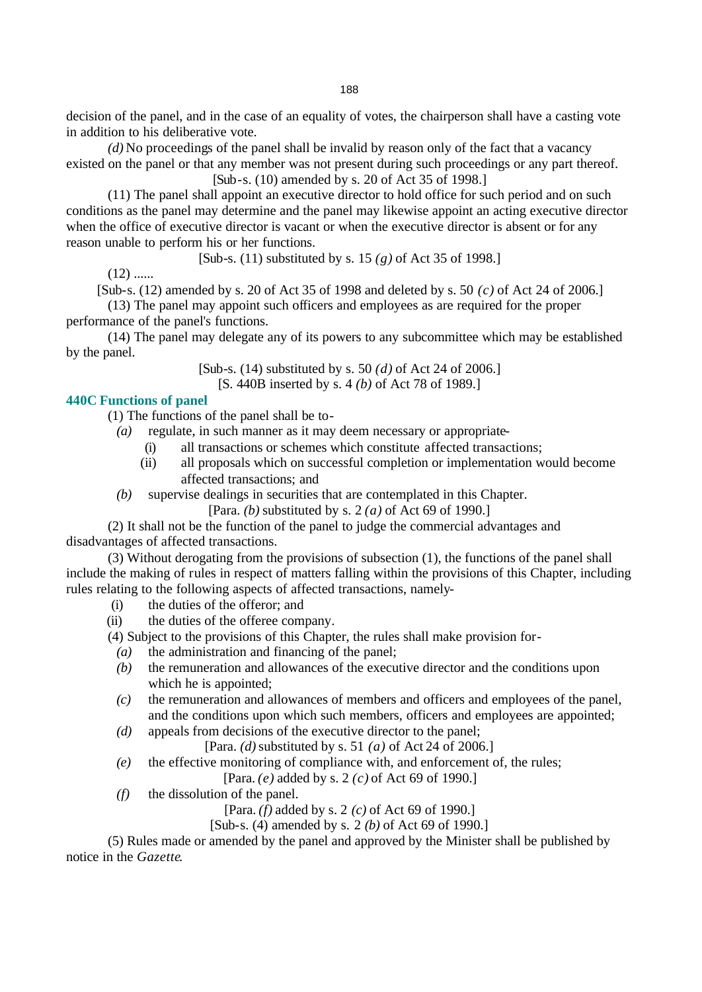decision of the panel, and in the case of an equality of votes, the chairperson shall have a casting vote in addition to his deliberative vote.

*(d)* No proceedings of the panel shall be invalid by reason only of the fact that a vacancy existed on the panel or that any member was not present during such proceedings or any part thereof. [Sub-s. (10) amended by s. 20 of Act 35 of 1998.]

(11) The panel shall appoint an executive director to hold office for such period and on such conditions as the panel may determine and the panel may likewise appoint an acting executive director when the office of executive director is vacant or when the executive director is absent or for any reason unable to perform his or her functions.

[Sub-s. (11) substituted by s. 15 *(g)* of Act 35 of 1998.]

 $(12)$  ......

[Sub-s. (12) amended by s. 20 of Act 35 of 1998 and deleted by s. 50 *(c)* of Act 24 of 2006.]

(13) The panel may appoint such officers and employees as are required for the proper performance of the panel's functions.

(14) The panel may delegate any of its powers to any subcommittee which may be established by the panel.

> [Sub-s. (14) substituted by s. 50 *(d)* of Act 24 of 2006.] [S. 440B inserted by s. 4 *(b)* of Act 78 of 1989.]

### **440C Functions of panel**

(1) The functions of the panel shall be to-

- *(a)* regulate, in such manner as it may deem necessary or appropriate-
	- (i) all transactions or schemes which constitute affected transactions;
	- (ii) all proposals which on successful completion or implementation would become affected transactions; and
- *(b)* supervise dealings in securities that are contemplated in this Chapter.
	- [Para. *(b)* substituted by s. 2 *(a)* of Act 69 of 1990.]

(2) It shall not be the function of the panel to judge the commercial advantages and disadvantages of affected transactions.

(3) Without derogating from the provisions of subsection (1), the functions of the panel shall include the making of rules in respect of matters falling within the provisions of this Chapter, including rules relating to the following aspects of affected transactions, namely-

- (i) the duties of the offeror; and
- (ii) the duties of the offeree company.
- (4) Subject to the provisions of this Chapter, the rules shall make provision for-
- *(a)* the administration and financing of the panel;
- *(b)* the remuneration and allowances of the executive director and the conditions upon which he is appointed;
- *(c)* the remuneration and allowances of members and officers and employees of the panel, and the conditions upon which such members, officers and employees are appointed;
- *(d)* appeals from decisions of the executive director to the panel; [Para. *(d)* substituted by s. 51 *(a)* of Act 24 of 2006.]
- *(e)* the effective monitoring of compliance with, and enforcement of, the rules;

[Para. *(e)* added by s. 2 *(c)* of Act 69 of 1990.]

*(f)* the dissolution of the panel.

[Para. *(f)* added by s. 2 *(c)* of Act 69 of 1990.]

[Sub-s. (4) amended by s. 2 *(b)* of Act 69 of 1990.]

(5) Rules made or amended by the panel and approved by the Minister shall be published by notice in the *Gazette*.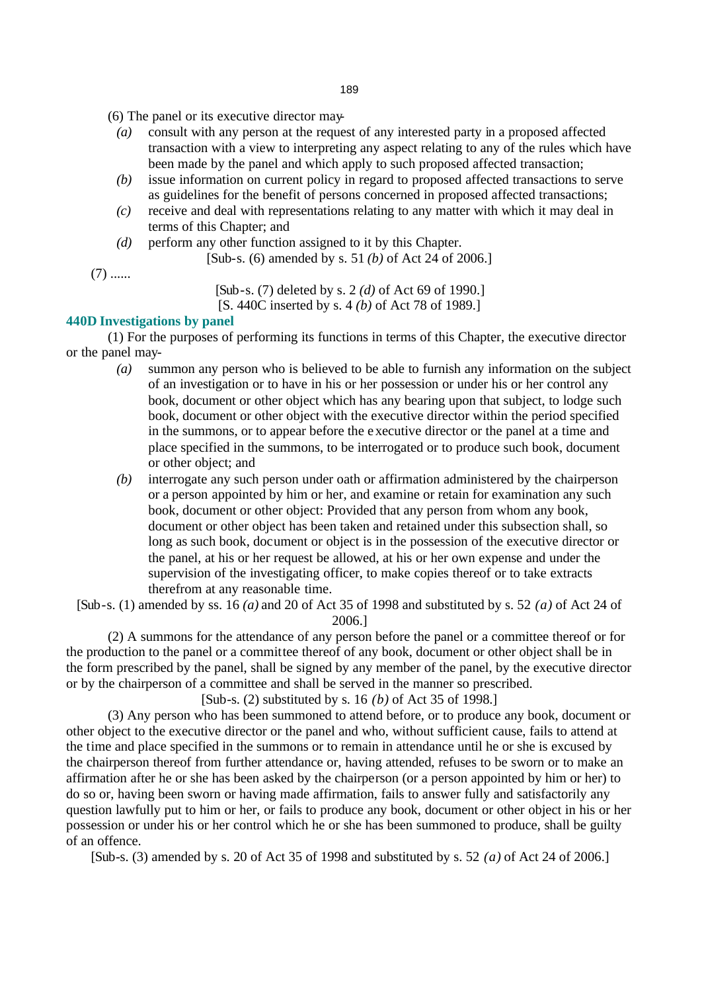(6) The panel or its executive director may-

- *(a)* consult with any person at the request of any interested party in a proposed affected transaction with a view to interpreting any aspect relating to any of the rules which have been made by the panel and which apply to such proposed affected transaction;
- *(b)* issue information on current policy in regard to proposed affected transactions to serve as guidelines for the benefit of persons concerned in proposed affected transactions;
- *(c)* receive and deal with representations relating to any matter with which it may deal in terms of this Chapter; and
- *(d)* perform any other function assigned to it by this Chapter.

[Sub-s. (6) amended by s. 51 *(b)* of Act 24 of 2006.]

 $(7)$  ......

[Sub-s. (7) deleted by s. 2 *(d)* of Act 69 of 1990.] [S. 440C inserted by s. 4 *(b)* of Act 78 of 1989.]

### **440D Investigations by panel**

(1) For the purposes of performing its functions in terms of this Chapter, the executive director or the panel may-

- *(a)* summon any person who is believed to be able to furnish any information on the subject of an investigation or to have in his or her possession or under his or her control any book, document or other object which has any bearing upon that subject, to lodge such book, document or other object with the executive director within the period specified in the summons, or to appear before the e xecutive director or the panel at a time and place specified in the summons, to be interrogated or to produce such book, document or other object; and
- *(b)* interrogate any such person under oath or affirmation administered by the chairperson or a person appointed by him or her, and examine or retain for examination any such book, document or other object: Provided that any person from whom any book, document or other object has been taken and retained under this subsection shall, so long as such book, document or object is in the possession of the executive director or the panel, at his or her request be allowed, at his or her own expense and under the supervision of the investigating officer, to make copies thereof or to take extracts therefrom at any reasonable time.

[Sub-s. (1) amended by ss. 16 *(a)* and 20 of Act 35 of 1998 and substituted by s. 52 *(a)* of Act 24 of 2006.]

(2) A summons for the attendance of any person before the panel or a committee thereof or for the production to the panel or a committee thereof of any book, document or other object shall be in the form prescribed by the panel, shall be signed by any member of the panel, by the executive director or by the chairperson of a committee and shall be served in the manner so prescribed.

[Sub-s. (2) substituted by s. 16 *(b)* of Act 35 of 1998.]

(3) Any person who has been summoned to attend before, or to produce any book, document or other object to the executive director or the panel and who, without sufficient cause, fails to attend at the time and place specified in the summons or to remain in attendance until he or she is excused by the chairperson thereof from further attendance or, having attended, refuses to be sworn or to make an affirmation after he or she has been asked by the chairperson (or a person appointed by him or her) to do so or, having been sworn or having made affirmation, fails to answer fully and satisfactorily any question lawfully put to him or her, or fails to produce any book, document or other object in his or her possession or under his or her control which he or she has been summoned to produce, shall be guilty of an offence.

[Sub-s. (3) amended by s. 20 of Act 35 of 1998 and substituted by s. 52 *(a)* of Act 24 of 2006.]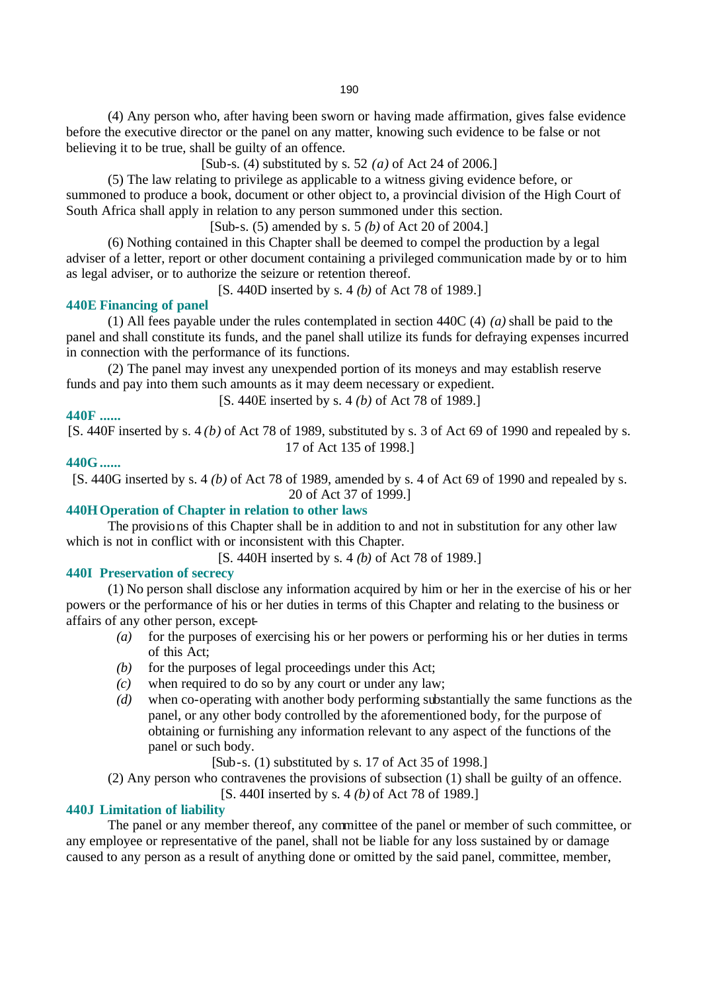(4) Any person who, after having been sworn or having made affirmation, gives false evidence before the executive director or the panel on any matter, knowing such evidence to be false or not believing it to be true, shall be guilty of an offence.

[Sub-s. (4) substituted by s. 52 *(a)* of Act 24 of 2006.]

(5) The law relating to privilege as applicable to a witness giving evidence before, or summoned to produce a book, document or other object to, a provincial division of the High Court of South Africa shall apply in relation to any person summoned under this section.

[Sub-s. (5) amended by s. 5 *(b)* of Act 20 of 2004.]

(6) Nothing contained in this Chapter shall be deemed to compel the production by a legal adviser of a letter, report or other document containing a privileged communication made by or to him as legal adviser, or to authorize the seizure or retention thereof.

[S. 440D inserted by s. 4 *(b)* of Act 78 of 1989.]

### **440E Financing of panel**

(1) All fees payable under the rules contemplated in section 440C (4) *(a)* shall be paid to the panel and shall constitute its funds, and the panel shall utilize its funds for defraying expenses incurred in connection with the performance of its functions.

(2) The panel may invest any unexpended portion of its moneys and may establish reserve funds and pay into them such amounts as it may deem necessary or expedient.

[S. 440E inserted by s. 4 *(b)* of Act 78 of 1989.]

### **440F ......**

[S. 440F inserted by s. 4 *(b)* of Act 78 of 1989, substituted by s. 3 of Act 69 of 1990 and repealed by s. 17 of Act 135 of 1998.]

# **440G......**

[S. 440G inserted by s. 4 *(b)* of Act 78 of 1989, amended by s. 4 of Act 69 of 1990 and repealed by s. 20 of Act 37 of 1999.]

### **440HOperation of Chapter in relation to other laws**

The provisions of this Chapter shall be in addition to and not in substitution for any other law which is not in conflict with or inconsistent with this Chapter.

[S. 440H inserted by s. 4 *(b)* of Act 78 of 1989.]

### **440I Preservation of secrecy**

(1) No person shall disclose any information acquired by him or her in the exercise of his or her powers or the performance of his or her duties in terms of this Chapter and relating to the business or affairs of any other person, except-

- *(a)* for the purposes of exercising his or her powers or performing his or her duties in terms of this Act;
- *(b)* for the purposes of legal proceedings under this Act;
- *(c)* when required to do so by any court or under any law;
- *(d)* when co-operating with another body performing substantially the same functions as the panel, or any other body controlled by the aforementioned body, for the purpose of obtaining or furnishing any information relevant to any aspect of the functions of the panel or such body.

[Sub-s. (1) substituted by s. 17 of Act 35 of 1998.]

(2) Any person who contravenes the provisions of subsection (1) shall be guilty of an offence.

[S. 440I inserted by s. 4 *(b)* of Act 78 of 1989.]

### **440J Limitation of liability**

The panel or any member thereof, any committee of the panel or member of such committee, or any employee or representative of the panel, shall not be liable for any loss sustained by or damage caused to any person as a result of anything done or omitted by the said panel, committee, member,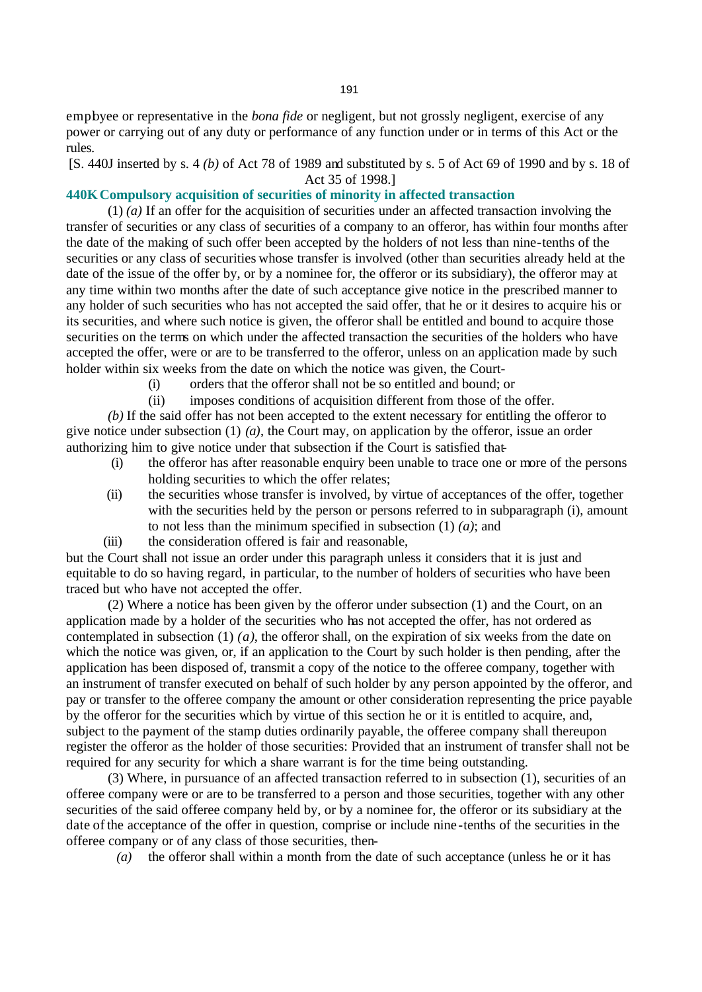employee or representative in the *bona fide* or negligent, but not grossly negligent, exercise of any power or carrying out of any duty or performance of any function under or in terms of this Act or the rules.

[S. 440J inserted by s. 4 *(b)* of Act 78 of 1989 and substituted by s. 5 of Act 69 of 1990 and by s. 18 of Act 35 of 1998.]

# **440KCompulsory acquisition of securities of minority in affected transaction**

(1) *(a)* If an offer for the acquisition of securities under an affected transaction involving the transfer of securities or any class of securities of a company to an offeror, has within four months after the date of the making of such offer been accepted by the holders of not less than nine-tenths of the securities or any class of securities whose transfer is involved (other than securities already held at the date of the issue of the offer by, or by a nominee for, the offeror or its subsidiary), the offeror may at any time within two months after the date of such acceptance give notice in the prescribed manner to any holder of such securities who has not accepted the said offer, that he or it desires to acquire his or its securities, and where such notice is given, the offeror shall be entitled and bound to acquire those securities on the terms on which under the affected transaction the securities of the holders who have accepted the offer, were or are to be transferred to the offeror, unless on an application made by such holder within six weeks from the date on which the notice was given, the Court-

(i) orders that the offeror shall not be so entitled and bound; or

(ii) imposes conditions of acquisition different from those of the offer.

*(b)* If the said offer has not been accepted to the extent necessary for entitling the offeror to give notice under subsection (1) *(a)*, the Court may, on application by the offeror, issue an order authorizing him to give notice under that subsection if the Court is satisfied that-

- (i) the offeror has after reasonable enquiry been unable to trace one or more of the persons holding securities to which the offer relates;
- (ii) the securities whose transfer is involved, by virtue of acceptances of the offer, together with the securities held by the person or persons referred to in subparagraph (i), amount to not less than the minimum specified in subsection (1) *(a)*; and
- (iii) the consideration offered is fair and reasonable,

but the Court shall not issue an order under this paragraph unless it considers that it is just and equitable to do so having regard, in particular, to the number of holders of securities who have been traced but who have not accepted the offer.

(2) Where a notice has been given by the offeror under subsection (1) and the Court, on an application made by a holder of the securities who has not accepted the offer, has not ordered as contemplated in subsection (1) *(a)*, the offeror shall, on the expiration of six weeks from the date on which the notice was given, or, if an application to the Court by such holder is then pending, after the application has been disposed of, transmit a copy of the notice to the offeree company, together with an instrument of transfer executed on behalf of such holder by any person appointed by the offeror, and pay or transfer to the offeree company the amount or other consideration representing the price payable by the offeror for the securities which by virtue of this section he or it is entitled to acquire, and, subject to the payment of the stamp duties ordinarily payable, the offeree company shall thereupon register the offeror as the holder of those securities: Provided that an instrument of transfer shall not be required for any security for which a share warrant is for the time being outstanding.

(3) Where, in pursuance of an affected transaction referred to in subsection (1), securities of an offeree company were or are to be transferred to a person and those securities, together with any other securities of the said offeree company held by, or by a nominee for, the offeror or its subsidiary at the date of the acceptance of the offer in question, comprise or include nine -tenths of the securities in the offeree company or of any class of those securities, then-

*(a)* the offeror shall within a month from the date of such acceptance (unless he or it has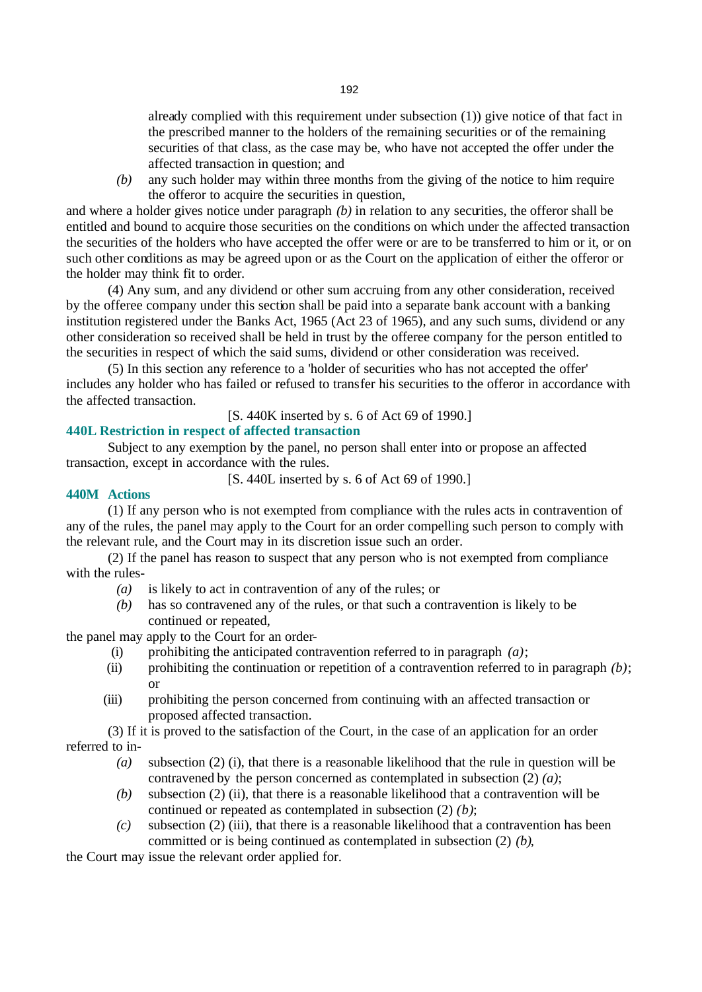already complied with this requirement under subsection (1)) give notice of that fact in the prescribed manner to the holders of the remaining securities or of the remaining securities of that class, as the case may be, who have not accepted the offer under the affected transaction in question; and

*(b)* any such holder may within three months from the giving of the notice to him require the offeror to acquire the securities in question,

and where a holder gives notice under paragraph *(b)* in relation to any securities, the offeror shall be entitled and bound to acquire those securities on the conditions on which under the affected transaction the securities of the holders who have accepted the offer were or are to be transferred to him or it, or on such other conditions as may be agreed upon or as the Court on the application of either the offeror or the holder may think fit to order.

(4) Any sum, and any dividend or other sum accruing from any other consideration, received by the offeree company under this section shall be paid into a separate bank account with a banking institution registered under the Banks Act, 1965 (Act 23 of 1965), and any such sums, dividend or any other consideration so received shall be held in trust by the offeree company for the person entitled to the securities in respect of which the said sums, dividend or other consideration was received.

(5) In this section any reference to a 'holder of securities who has not accepted the offer' includes any holder who has failed or refused to transfer his securities to the offeror in accordance with the affected transaction.

[S. 440K inserted by s. 6 of Act 69 of 1990.]

# **440L Restriction in respect of affected transaction**

Subject to any exemption by the panel, no person shall enter into or propose an affected transaction, except in accordance with the rules.

[S. 440L inserted by s. 6 of Act 69 of 1990.]

### **440M Actions**

(1) If any person who is not exempted from compliance with the rules acts in contravention of any of the rules, the panel may apply to the Court for an order compelling such person to comply with the relevant rule, and the Court may in its discretion issue such an order.

(2) If the panel has reason to suspect that any person who is not exempted from compliance with the rules-

- *(a)* is likely to act in contravention of any of the rules; or
- *(b)* has so contravened any of the rules, or that such a contravention is likely to be continued or repeated,

the panel may apply to the Court for an order-

- (i) prohibiting the anticipated contravention referred to in paragraph *(a)*;
- (ii) prohibiting the continuation or repetition of a contravention referred to in paragraph *(b)*; or
- (iii) prohibiting the person concerned from continuing with an affected transaction or proposed affected transaction.

(3) If it is proved to the satisfaction of the Court, in the case of an application for an order referred to in-

- *(a)* subsection (2) (i), that there is a reasonable likelihood that the rule in question will be contravened by the person concerned as contemplated in subsection (2) *(a)*;
- *(b)* subsection (2) (ii), that there is a reasonable likelihood that a contravention will be continued or repeated as contemplated in subsection (2) *(b)*;
- *(c)* subsection (2) (iii), that there is a reasonable likelihood that a contravention has been committed or is being continued as contemplated in subsection (2) *(b)*,

the Court may issue the relevant order applied for.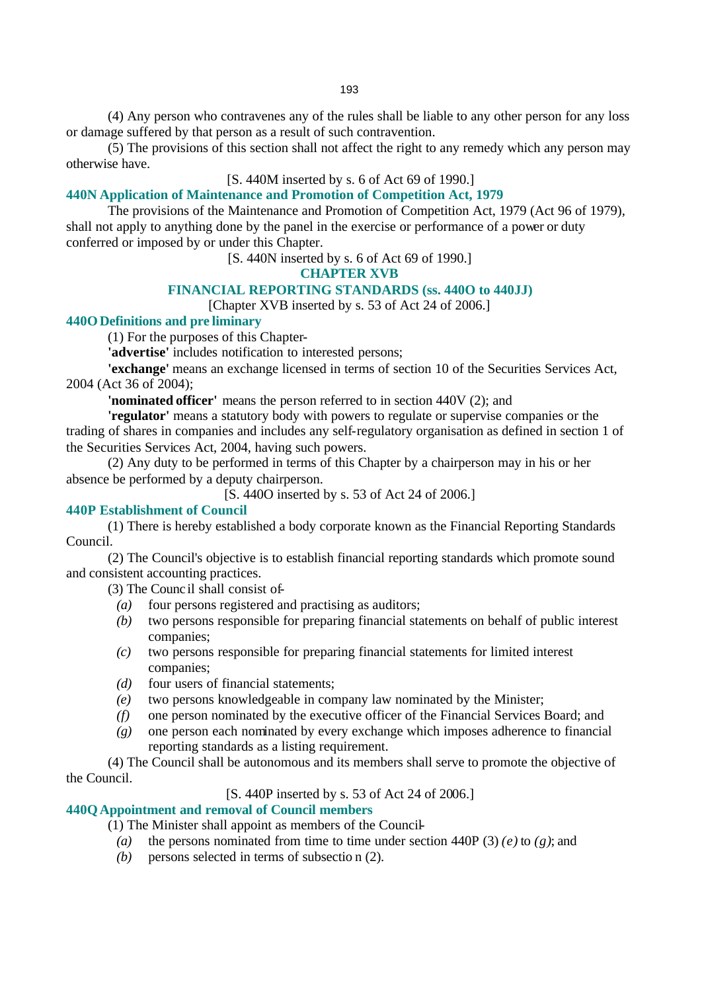(4) Any person who contravenes any of the rules shall be liable to any other person for any loss or damage suffered by that person as a result of such contravention.

(5) The provisions of this section shall not affect the right to any remedy which any person may otherwise have.

# [S. 440M inserted by s. 6 of Act 69 of 1990.]

# **440N Application of Maintenance and Promotion of Competition Act, 1979**

The provisions of the Maintenance and Promotion of Competition Act, 1979 (Act 96 of 1979), shall not apply to anything done by the panel in the exercise or performance of a power or duty conferred or imposed by or under this Chapter.

[S. 440N inserted by s. 6 of Act 69 of 1990.]

# **CHAPTER XVB**

# **FINANCIAL REPORTING STANDARDS (ss. 440O to 440JJ)**

[Chapter XVB inserted by s. 53 of Act 24 of 2006.]

# **440ODefinitions and pre liminary**

(1) For the purposes of this Chapter-

**'advertise'** includes notification to interested persons;

**'exchange'** means an exchange licensed in terms of section 10 of the Securities Services Act, 2004 (Act 36 of 2004);

**'nominated officer'** means the person referred to in section 440V (2); and

**'regulator'** means a statutory body with powers to regulate or supervise companies or the trading of shares in companies and includes any self-regulatory organisation as defined in section 1 of the Securities Services Act, 2004, having such powers.

(2) Any duty to be performed in terms of this Chapter by a chairperson may in his or her absence be performed by a deputy chairperson.

[S. 440O inserted by s. 53 of Act 24 of 2006.]

# **440P Establishment of Council**

(1) There is hereby established a body corporate known as the Financial Reporting Standards Council.

(2) The Council's objective is to establish financial reporting standards which promote sound and consistent accounting practices.

(3) The Counc il shall consist of-

- *(a)* four persons registered and practising as auditors;
- *(b)* two persons responsible for preparing financial statements on behalf of public interest companies;
- *(c)* two persons responsible for preparing financial statements for limited interest companies;
- *(d)* four users of financial statements;
- *(e)* two persons knowledgeable in company law nominated by the Minister;
- *(f)* one person nominated by the executive officer of the Financial Services Board; and
- *(g)* one person each nominated by every exchange which imposes adherence to financial reporting standards as a listing requirement.

(4) The Council shall be autonomous and its members shall serve to promote the objective of the Council.

[S. 440P inserted by s. 53 of Act 24 of 2006.]

# **440QAppointment and removal of Council members**

(1) The Minister shall appoint as members of the Council-

- *(a)* the persons nominated from time to time under section 440P (3) *(e)* to *(g)*; and
- *(b)* persons selected in terms of subsectio n (2).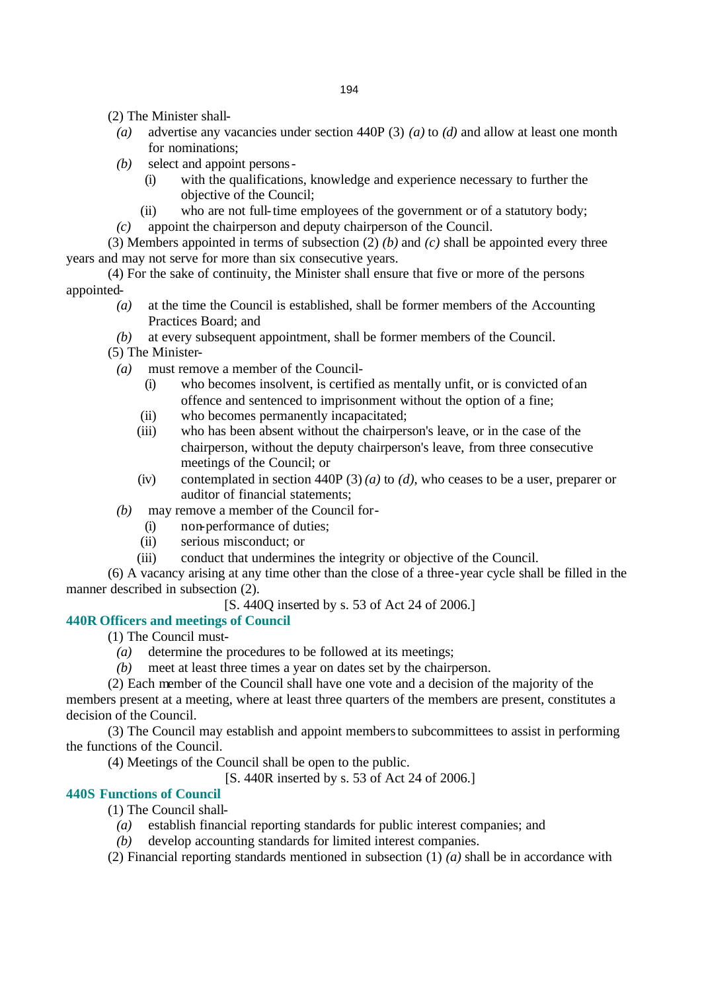- (2) The Minister shall-
	- *(a)* advertise any vacancies under section 440P (3) *(a)* to *(d)* and allow at least one month for nominations;
	- *(b)* select and appoint persons-
		- (i) with the qualifications, knowledge and experience necessary to further the objective of the Council;
		- (ii) who are not full-time employees of the government or of a statutory body;
	- *(c)* appoint the chairperson and deputy chairperson of the Council.

(3) Members appointed in terms of subsection (2) *(b)* and *(c)* shall be appointed every three years and may not serve for more than six consecutive years.

# (4) For the sake of continuity, the Minister shall ensure that five or more of the persons appointed-

- *(a)* at the time the Council is established, shall be former members of the Accounting Practices Board; and
- *(b)* at every subsequent appointment, shall be former members of the Council.
- (5) The Minister-
	- *(a)* must remove a member of the Council-
		- (i) who becomes insolvent, is certified as mentally unfit, or is convicted of an offence and sentenced to imprisonment without the option of a fine;
		- (ii) who becomes permanently incapacitated;
		- (iii) who has been absent without the chairperson's leave, or in the case of the chairperson, without the deputy chairperson's leave, from three consecutive meetings of the Council; or
		- (iv) contemplated in section 440P (3) *(a)* to *(d)*, who ceases to be a user, preparer or auditor of financial statements;
	- *(b)* may remove a member of the Council for-
		- (i) non-performance of duties;
		- (ii) serious misconduct; or
		- (iii) conduct that undermines the integrity or objective of the Council.

(6) A vacancy arising at any time other than the close of a three-year cycle shall be filled in the manner described in subsection (2).

[S. 440Q inserted by s. 53 of Act 24 of 2006.]

### **440R Officers and meetings of Council**

- (1) The Council must-
	- *(a)* determine the procedures to be followed at its meetings;
	- *(b)* meet at least three times a year on dates set by the chairperson.
- (2) Each member of the Council shall have one vote and a decision of the majority of the

members present at a meeting, where at least three quarters of the members are present, constitutes a decision of the Council.

(3) The Council may establish and appoint members to subcommittees to assist in performing the functions of the Council.

(4) Meetings of the Council shall be open to the public.

[S. 440R inserted by s. 53 of Act 24 of 2006.]

# **440S Functions of Council**

(1) The Council shall-

- *(a)* establish financial reporting standards for public interest companies; and
- *(b)* develop accounting standards for limited interest companies.

(2) Financial reporting standards mentioned in subsection (1) *(a)* shall be in accordance with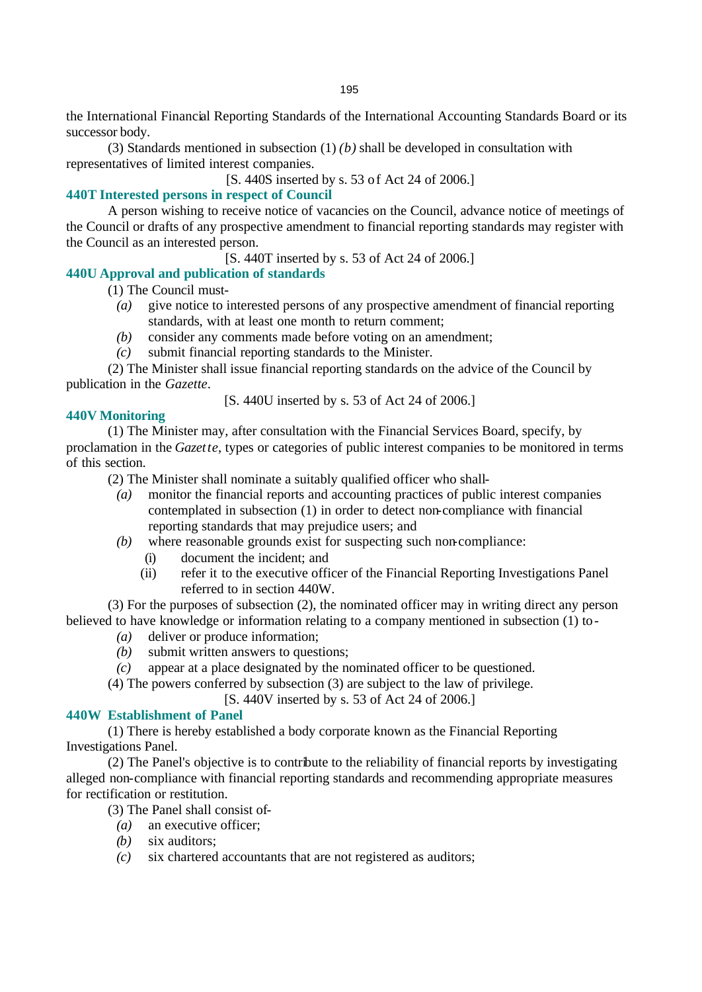the International Financial Reporting Standards of the International Accounting Standards Board or its successor body.

(3) Standards mentioned in subsection (1) *(b)* shall be developed in consultation with representatives of limited interest companies.

[S. 440S inserted by s. 53 of Act 24 of 2006.]

### **440T Interested persons in respect of Council**

A person wishing to receive notice of vacancies on the Council, advance notice of meetings of the Council or drafts of any prospective amendment to financial reporting standards may register with the Council as an interested person.

[S. 440T inserted by s. 53 of Act 24 of 2006.]

# **440U Approval and publication of standards**

(1) The Council must-

- *(a)* give notice to interested persons of any prospective amendment of financial reporting standards, with at least one month to return comment;
- *(b)* consider any comments made before voting on an amendment;
- *(c)* submit financial reporting standards to the Minister.

(2) The Minister shall issue financial reporting standards on the advice of the Council by publication in the *Gazette*.

[S. 440U inserted by s. 53 of Act 24 of 2006.]

# **440V Monitoring**

(1) The Minister may, after consultation with the Financial Services Board, specify, by proclamation in the *Gazette*, types or categories of public interest companies to be monitored in terms of this section.

(2) The Minister shall nominate a suitably qualified officer who shall-

- *(a)* monitor the financial reports and accounting practices of public interest companies contemplated in subsection (1) in order to detect non-compliance with financial reporting standards that may prejudice users; and
- *(b)* where reasonable grounds exist for suspecting such non-compliance:
	- (i) document the incident; and
	- (ii) refer it to the executive officer of the Financial Reporting Investigations Panel referred to in section 440W.

(3) For the purposes of subsection (2), the nominated officer may in writing direct any person believed to have knowledge or information relating to a company mentioned in subsection (1) to-

- *(a)* deliver or produce information;
- *(b)* submit written answers to questions;
- *(c)* appear at a place designated by the nominated officer to be questioned.
- (4) The powers conferred by subsection (3) are subject to the law of privilege.

[S. 440V inserted by s. 53 of Act 24 of 2006.]

# **440W Establishment of Panel**

(1) There is hereby established a body corporate known as the Financial Reporting Investigations Panel.

(2) The Panel's objective is to contribute to the reliability of financial reports by investigating alleged non-compliance with financial reporting standards and recommending appropriate measures for rectification or restitution.

(3) The Panel shall consist of-

- *(a)* an executive officer;
- *(b)* six auditors;
- *(c)* six chartered accountants that are not registered as auditors;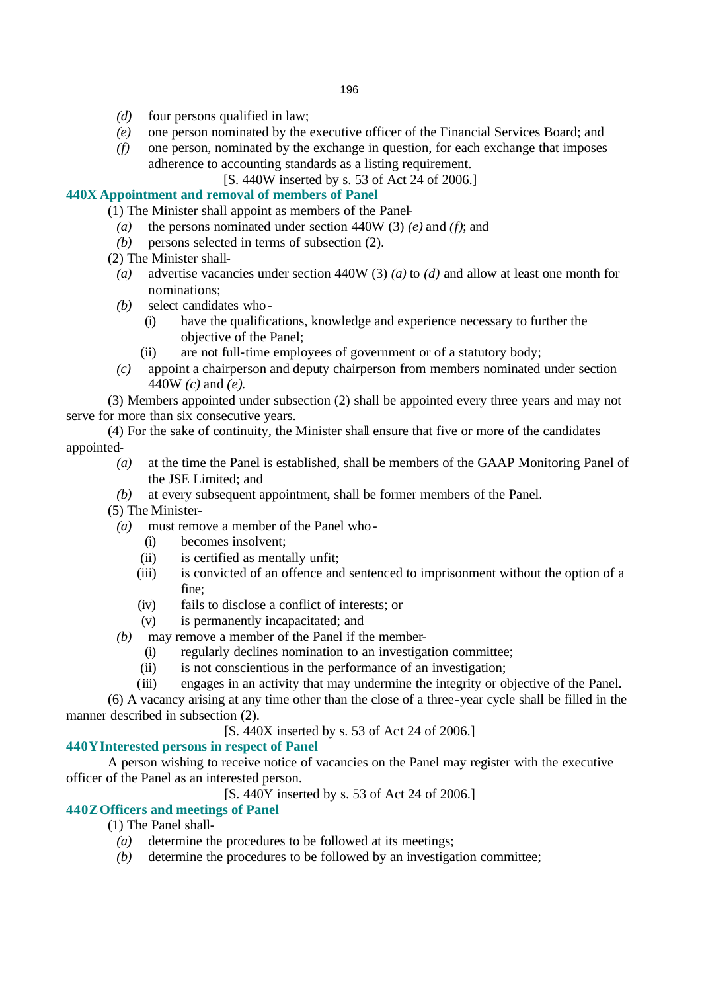- *(d)* four persons qualified in law;
- *(e)* one person nominated by the executive officer of the Financial Services Board; and
- *(f)* one person, nominated by the exchange in question, for each exchange that imposes adherence to accounting standards as a listing requirement.

[S. 440W inserted by s. 53 of Act 24 of 2006.]

# **440X Appointment and removal of members of Panel**

(1) The Minister shall appoint as members of the Panel-

- *(a)* the persons nominated under section 440W (3) *(e)* and *(f)*; and
- *(b)* persons selected in terms of subsection (2).
- (2) The Minister shall-
	- *(a)* advertise vacancies under section 440W (3) *(a)* to *(d)* and allow at least one month for nominations;
	- *(b)* select candidates who-
		- (i) have the qualifications, knowledge and experience necessary to further the objective of the Panel;
		- (ii) are not full-time employees of government or of a statutory body;
	- *(c)* appoint a chairperson and deputy chairperson from members nominated under section 440W *(c)* and *(e)*.

(3) Members appointed under subsection (2) shall be appointed every three years and may not serve for more than six consecutive years.

(4) For the sake of continuity, the Minister shall ensure that five or more of the candidates appointed-

- *(a)* at the time the Panel is established, shall be members of the GAAP Monitoring Panel of the JSE Limited; and
- *(b)* at every subsequent appointment, shall be former members of the Panel.
- (5) The Minister-
	- *(a)* must remove a member of the Panel who-
		- (i) becomes insolvent;
		- (ii) is certified as mentally unfit;
		- (iii) is convicted of an offence and sentenced to imprisonment without the option of a fine;
		- (iv) fails to disclose a conflict of interests; or
		- (v) is permanently incapacitated; and
	- *(b)* may remove a member of the Panel if the member-
		- (i) regularly declines nomination to an investigation committee;
		- (ii) is not conscientious in the performance of an investigation;
		- (iii) engages in an activity that may undermine the integrity or objective of the Panel.

(6) A vacancy arising at any time other than the close of a three-year cycle shall be filled in the manner described in subsection (2).

[S. 440X inserted by s. 53 of Act 24 of 2006.]

# **440YInterested persons in respect of Panel**

A person wishing to receive notice of vacancies on the Panel may register with the executive officer of the Panel as an interested person.

[S. 440Y inserted by s. 53 of Act 24 of 2006.]

# **440ZOfficers and meetings of Panel**

(1) The Panel shall-

- *(a)* determine the procedures to be followed at its meetings;
- *(b)* determine the procedures to be followed by an investigation committee;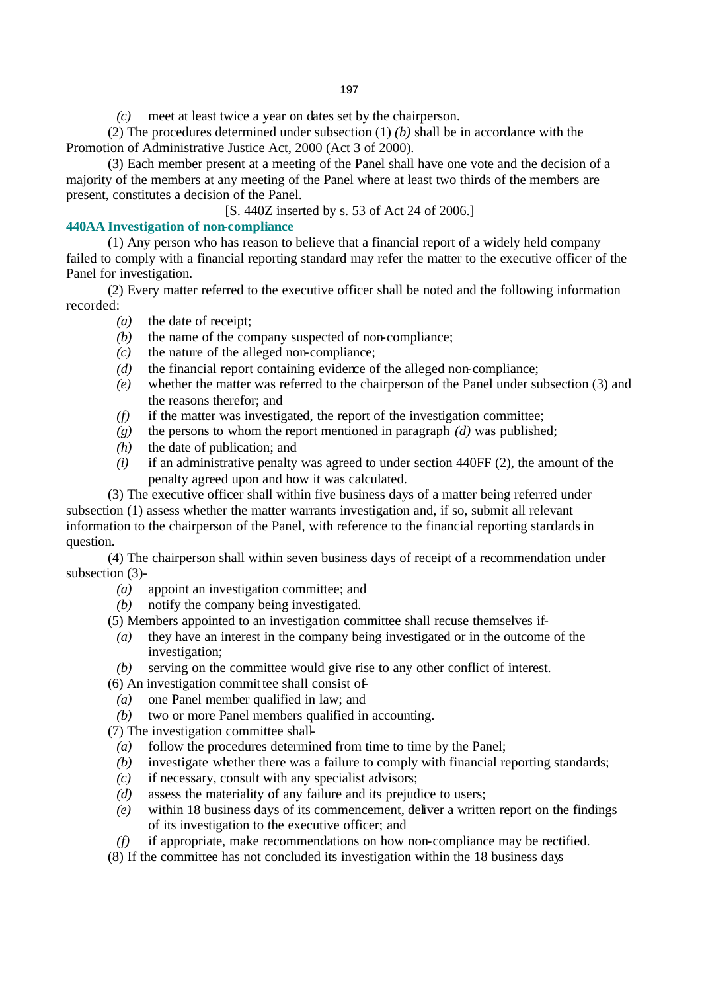*(c)* meet at least twice a year on dates set by the chairperson.

(2) The procedures determined under subsection (1) *(b)* shall be in accordance with the Promotion of Administrative Justice Act, 2000 (Act 3 of 2000).

(3) Each member present at a meeting of the Panel shall have one vote and the decision of a majority of the members at any meeting of the Panel where at least two thirds of the members are present, constitutes a decision of the Panel.

### [S. 440Z inserted by s. 53 of Act 24 of 2006.]

### **440AA Investigation of non-compliance**

(1) Any person who has reason to believe that a financial report of a widely held company failed to comply with a financial reporting standard may refer the matter to the executive officer of the Panel for investigation.

(2) Every matter referred to the executive officer shall be noted and the following information recorded:

- *(a)* the date of receipt;
- *(b)* the name of the company suspected of non-compliance;
- *(c)* the nature of the alleged non-compliance;
- *(d)* the financial report containing evidence of the alleged non-compliance;
- *(e)* whether the matter was referred to the chairperson of the Panel under subsection (3) and the reasons therefor; and
- *(f)* if the matter was investigated, the report of the investigation committee;
- *(g)* the persons to whom the report mentioned in paragraph *(d)* was published;
- *(h)* the date of publication; and
- *(i)* if an administrative penalty was agreed to under section 440FF (2), the amount of the penalty agreed upon and how it was calculated.

(3) The executive officer shall within five business days of a matter being referred under subsection (1) assess whether the matter warrants investigation and, if so, submit all relevant information to the chairperson of the Panel, with reference to the financial reporting standards in question.

(4) The chairperson shall within seven business days of receipt of a recommendation under subsection (3)-

- *(a)* appoint an investigation committee; and
- *(b)* notify the company being investigated.
- (5) Members appointed to an investigation committee shall recuse themselves if-
- *(a)* they have an interest in the company being investigated or in the outcome of the investigation;
- *(b)* serving on the committee would give rise to any other conflict of interest.
- (6) An investigation committee shall consist of-
	- *(a)* one Panel member qualified in law; and
	- *(b)* two or more Panel members qualified in accounting.

(7) The investigation committee shall-

- *(a)* follow the procedures determined from time to time by the Panel;
- *(b)* investigate whether there was a failure to comply with financial reporting standards;
- *(c)* if necessary, consult with any specialist advisors;
- *(d)* assess the materiality of any failure and its prejudice to users;
- *(e)* within 18 business days of its commencement, deliver a written report on the findings of its investigation to the executive officer; and
- *(f)* if appropriate, make recommendations on how non-compliance may be rectified.
- (8) If the committee has not concluded its investigation within the 18 business days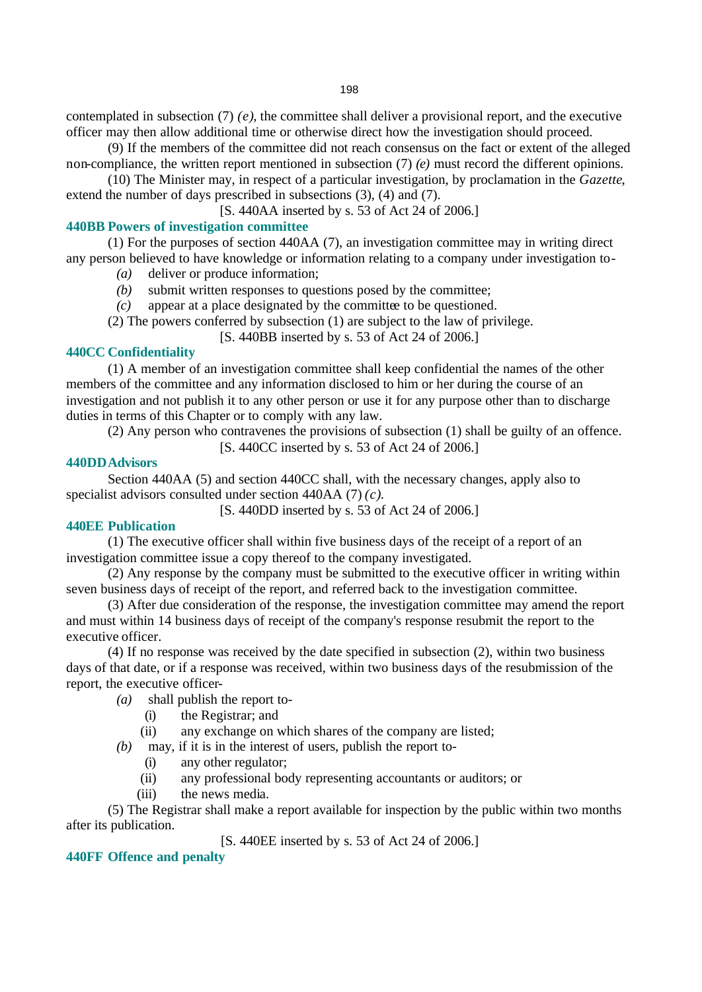contemplated in subsection (7) *(e)*, the committee shall deliver a provisional report, and the executive officer may then allow additional time or otherwise direct how the investigation should proceed.

(9) If the members of the committee did not reach consensus on the fact or extent of the alleged non-compliance, the written report mentioned in subsection (7) *(e)* must record the different opinions.

(10) The Minister may, in respect of a particular investigation, by proclamation in the *Gazette*, extend the number of days prescribed in subsections (3), (4) and (7).

[S. 440AA inserted by s. 53 of Act 24 of 2006.]

### **440BB Powers of investigation committee**

(1) For the purposes of section 440AA (7), an investigation committee may in writing direct any person believed to have knowledge or information relating to a company under investigation to-

*(a)* deliver or produce information;

- *(b)* submit written responses to questions posed by the committee;
- *(c)* appear at a place designated by the committee to be questioned.

(2) The powers conferred by subsection (1) are subject to the law of privilege.

[S. 440BB inserted by s. 53 of Act 24 of 2006.]

### **440CC Confidentiality**

(1) A member of an investigation committee shall keep confidential the names of the other members of the committee and any information disclosed to him or her during the course of an investigation and not publish it to any other person or use it for any purpose other than to discharge duties in terms of this Chapter or to comply with any law.

(2) Any person who contravenes the provisions of subsection (1) shall be guilty of an offence.

[S. 440CC inserted by s. 53 of Act 24 of 2006.]

### **440DDAdvisors**

Section 440AA (5) and section 440CC shall, with the necessary changes, apply also to specialist advisors consulted under section 440AA (7) *(c)*.

[S. 440DD inserted by s. 53 of Act 24 of 2006.]

### **440EE Publication**

(1) The executive officer shall within five business days of the receipt of a report of an investigation committee issue a copy thereof to the company investigated.

(2) Any response by the company must be submitted to the executive officer in writing within seven business days of receipt of the report, and referred back to the investigation committee.

(3) After due consideration of the response, the investigation committee may amend the report and must within 14 business days of receipt of the company's response resubmit the report to the executive officer.

(4) If no response was received by the date specified in subsection (2), within two business days of that date, or if a response was received, within two business days of the resubmission of the report, the executive officer-

*(a)* shall publish the report to-

- (i) the Registrar; and
- (ii) any exchange on which shares of the company are listed;
- *(b)* may, if it is in the interest of users, publish the report to-
	- (i) any other regulator;
	- (ii) any professional body representing accountants or auditors; or
	- (iii) the news media.

(5) The Registrar shall make a report available for inspection by the public within two months after its publication.

[S. 440EE inserted by s. 53 of Act 24 of 2006.]

### **440FF Offence and penalty**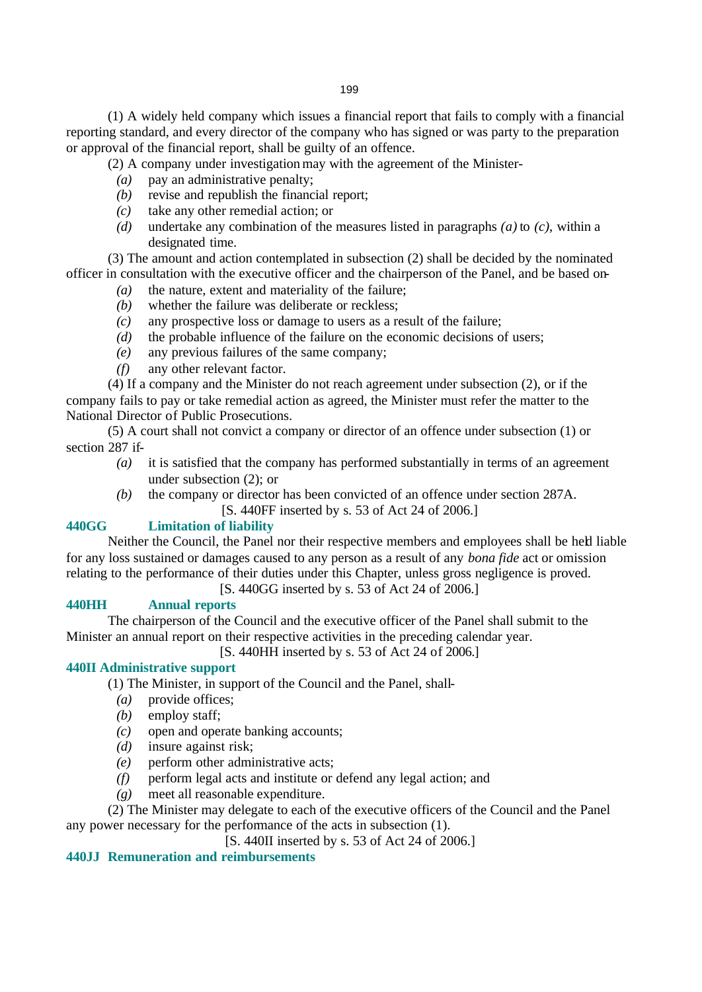(1) A widely held company which issues a financial report that fails to comply with a financial reporting standard, and every director of the company who has signed or was party to the preparation or approval of the financial report, shall be guilty of an offence.

(2) A company under investigation may with the agreement of the Minister-

- *(a)* pay an administrative penalty;
- *(b)* revise and republish the financial report;
- *(c)* take any other remedial action; or
- *(d)* undertake any combination of the measures listed in paragraphs *(a)* to *(c)*, within a designated time.

(3) The amount and action contemplated in subsection (2) shall be decided by the nominated officer in consultation with the executive officer and the chairperson of the Panel, and be based on-

- *(a)* the nature, extent and materiality of the failure;
- *(b)* whether the failure was deliberate or reckless;
- *(c)* any prospective loss or damage to users as a result of the failure;
- *(d)* the probable influence of the failure on the economic decisions of users;
- *(e)* any previous failures of the same company;
- *(f)* any other relevant factor.

(4) If a company and the Minister do not reach agreement under subsection (2), or if the company fails to pay or take remedial action as agreed, the Minister must refer the matter to the National Director of Public Prosecutions.

(5) A court shall not convict a company or director of an offence under subsection (1) or section 287 if-

- *(a)* it is satisfied that the company has performed substantially in terms of an agreement under subsection (2); or
- *(b)* the company or director has been convicted of an offence under section 287A.
	- [S. 440FF inserted by s. 53 of Act 24 of 2006.]

### **440GG Limitation of liability**

Neither the Council, the Panel nor their respective members and employees shall be held liable for any loss sustained or damages caused to any person as a result of any *bona fide* act or omission relating to the performance of their duties under this Chapter, unless gross negligence is proved.

[S. 440GG inserted by s. 53 of Act 24 of 2006.]

### **440HH Annual reports**

The chairperson of the Council and the executive officer of the Panel shall submit to the Minister an annual report on their respective activities in the preceding calendar year.

[S. 440HH inserted by s. 53 of Act 24 of 2006.]

## **440II Administrative support**

(1) The Minister, in support of the Council and the Panel, shall-

- *(a)* provide offices;
- *(b)* employ staff;
- *(c)* open and operate banking accounts;
- *(d)* insure against risk;
- *(e)* perform other administrative acts;
- *(f)* perform legal acts and institute or defend any legal action; and
- *(g)* meet all reasonable expenditure.

(2) The Minister may delegate to each of the executive officers of the Council and the Panel any power necessary for the performance of the acts in subsection (1).

[S. 440II inserted by s. 53 of Act 24 of 2006.]

# **440JJ Remuneration and reimbursements**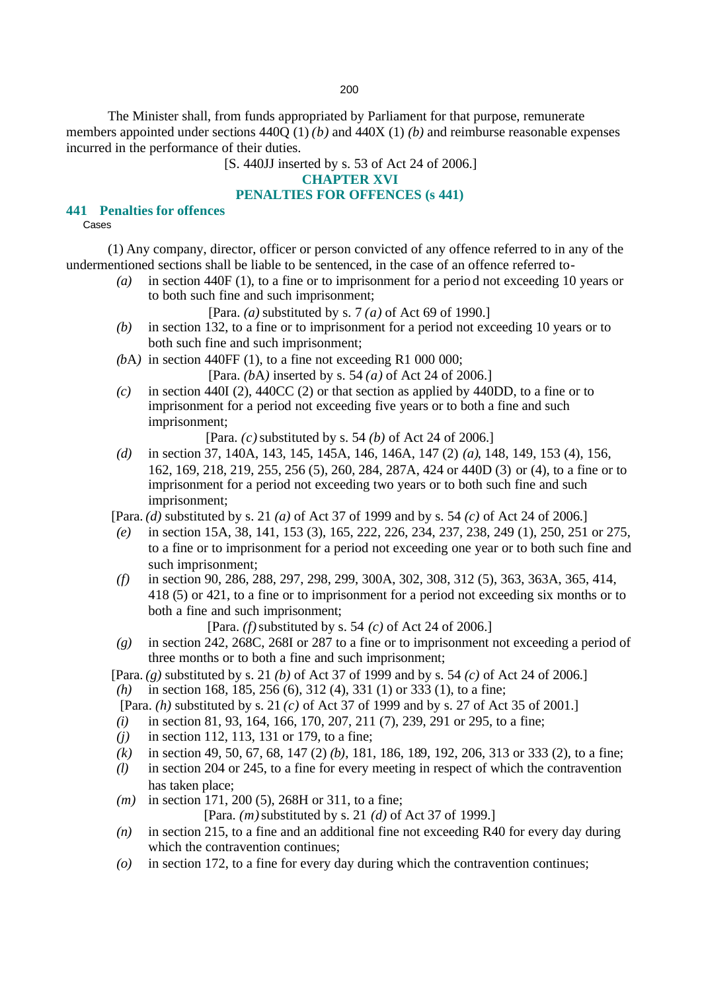The Minister shall, from funds appropriated by Parliament for that purpose, remunerate members appointed under sections 440Q (1) *(b)* and 440X (1) *(b)* and reimburse reasonable expenses incurred in the performance of their duties.

# [S. 440JJ inserted by s. 53 of Act 24 of 2006.]

**CHAPTER XVI**

# **PENALTIES FOR OFFENCES (s 441)**

#### **441 Penalties for offences**

Cases

(1) Any company, director, officer or person convicted of any offence referred to in any of the undermentioned sections shall be liable to be sentenced, in the case of an offence referred to-

*(a)* in section 440F (1), to a fine or to imprisonment for a period not exceeding 10 years or to both such fine and such imprisonment;

[Para. *(a)* substituted by s. 7 *(a)* of Act 69 of 1990.]

- *(b)* in section 132, to a fine or to imprisonment for a period not exceeding 10 years or to both such fine and such imprisonment;
- $(bA)$  in section 440FF (1), to a fine not exceeding R1 000 000; [Para. *(b*A*)* inserted by s. 54 *(a)* of Act 24 of 2006.]
- *(c)* in section 440I (2), 440CC (2) or that section as applied by 440DD, to a fine or to imprisonment for a period not exceeding five years or to both a fine and such imprisonment;

[Para. *(c)* substituted by s. 54 *(b)* of Act 24 of 2006.]

*(d)* in section 37, 140A, 143, 145, 145A, 146, 146A, 147 (2) *(a)*, 148, 149, 153 (4), 156, 162, 169, 218, 219, 255, 256 (5), 260, 284, 287A, 424 or 440D (3) or (4), to a fine or to imprisonment for a period not exceeding two years or to both such fine and such imprisonment;

[Para. *(d)* substituted by s. 21 *(a)* of Act 37 of 1999 and by s. 54 *(c)* of Act 24 of 2006.]

- *(e)* in section 15A, 38, 141, 153 (3), 165, 222, 226, 234, 237, 238, 249 (1), 250, 251 or 275, to a fine or to imprisonment for a period not exceeding one year or to both such fine and such imprisonment;
- *(f)* in section 90, 286, 288, 297, 298, 299, 300A, 302, 308, 312 (5), 363, 363A, 365, 414, 418 (5) or 421, to a fine or to imprisonment for a period not exceeding six months or to both a fine and such imprisonment;

[Para. *(f)* substituted by s. 54 *(c)* of Act 24 of 2006.]

*(g)* in section 242, 268C, 268I or 287 to a fine or to imprisonment not exceeding a period of three months or to both a fine and such imprisonment;

[Para. *(g)* substituted by s. 21 *(b)* of Act 37 of 1999 and by s. 54 *(c)* of Act 24 of 2006.]

- *(h)* in section 168, 185, 256 (6), 312 (4), 331 (1) or 333 (1), to a fine;
- [Para. *(h)* substituted by s. 21 *(c)* of Act 37 of 1999 and by s. 27 of Act 35 of 2001.]
- *(i)* in section 81, 93, 164, 166, 170, 207, 211 (7), 239, 291 or 295, to a fine;
- *(j)* in section 112, 113, 131 or 179, to a fine;
- *(k)* in section 49, 50, 67, 68, 147 (2) *(b)*, 181, 186, 189, 192, 206, 313 or 333 (2), to a fine;
- *(l)* in section 204 or 245, to a fine for every meeting in respect of which the contravention has taken place;
- *(m)* in section 171, 200 (5), 268H or 311, to a fine;

[Para. *(m)* substituted by s. 21 *(d)* of Act 37 of 1999.]

- *(n)* in section 215, to a fine and an additional fine not exceeding R40 for every day during which the contravention continues:
- *(o)* in section 172, to a fine for every day during which the contravention continues;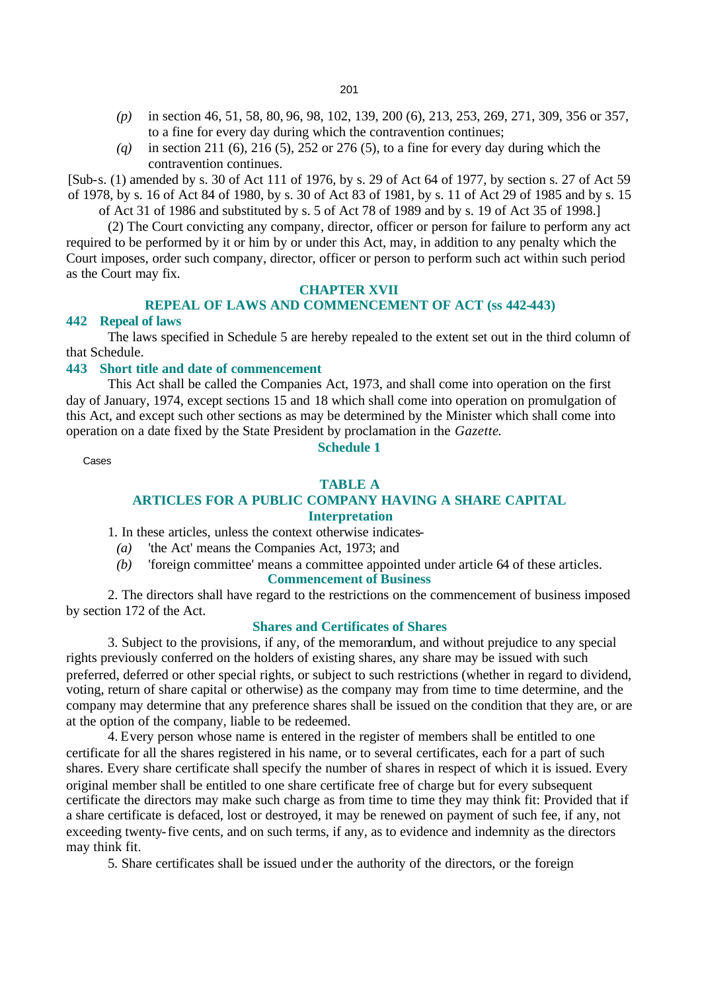- *(p)* in section 46, 51, 58, 80, 96, 98, 102, 139, 200 (6), 213, 253, 269, 271, 309, 356 or 357, to a fine for every day during which the contravention continues;
- *(q)* in section 211 (6), 216 (5), 252 or 276 (5), to a fine for every day during which the contravention continues.

[Sub-s. (1) amended by s. 30 of Act 111 of 1976, by s. 29 of Act 64 of 1977, by section s. 27 of Act 59 of 1978, by s. 16 of Act 84 of 1980, by s. 30 of Act 83 of 1981, by s. 11 of Act 29 of 1985 and by s. 15

of Act 31 of 1986 and substituted by s. 5 of Act 78 of 1989 and by s. 19 of Act 35 of 1998.]

(2) The Court convicting any company, director, officer or person for failure to perform any act required to be performed by it or him by or under this Act, may, in addition to any penalty which the Court imposes, order such company, director, officer or person to perform such act within such period as the Court may fix.

# **CHAPTER XVII**

# **REPEAL OF LAWS AND COMMENCEMENT OF ACT (ss 442-443)**

#### **442 Repeal of laws**

The laws specified in Schedule 5 are hereby repealed to the extent set out in the third column of that Schedule.

### **443 Short title and date of commencement**

This Act shall be called the Companies Act, 1973, and shall come into operation on the first day of January, 1974, except sections 15 and 18 which shall come into operation on promulgation of this Act, and except such other sections as may be determined by the Minister which shall come into operation on a date fixed by the State President by proclamation in the *Gazette*.

**Cases** 

# **Schedule 1**

### **TABLE A**

# **ARTICLES FOR A PUBLIC COMPANY HAVING A SHARE CAPITAL**

### **Interpretation**

1. In these articles, unless the context otherwise indicates-

- *(a)* 'the Act' means the Companies Act, 1973; and
- *(b)* 'foreign committee' means a committee appointed under article 64 of these articles. **Commencement of Business**

2. The directors shall have regard to the restrictions on the commencement of business imposed by section 172 of the Act.

### **Shares and Certificates of Shares**

3. Subject to the provisions, if any, of the memorandum, and without prejudice to any special rights previously conferred on the holders of existing shares, any share may be issued with such preferred, deferred or other special rights, or subject to such restrictions (whether in regard to dividend, voting, return of share capital or otherwise) as the company may from time to time determine, and the company may determine that any preference shares shall be issued on the condition that they are, or are at the option of the company, liable to be redeemed.

4. Every person whose name is entered in the register of members shall be entitled to one certificate for all the shares registered in his name, or to several certificates, each for a part of such shares. Every share certificate shall specify the number of shares in respect of which it is issued. Every original member shall be entitled to one share certificate free of charge but for every subsequent certificate the directors may make such charge as from time to time they may think fit: Provided that if a share certificate is defaced, lost or destroyed, it may be renewed on payment of such fee, if any, not exceeding twenty-five cents, and on such terms, if any, as to evidence and indemnity as the directors may think fit.

5. Share certificates shall be issued under the authority of the directors, or the foreign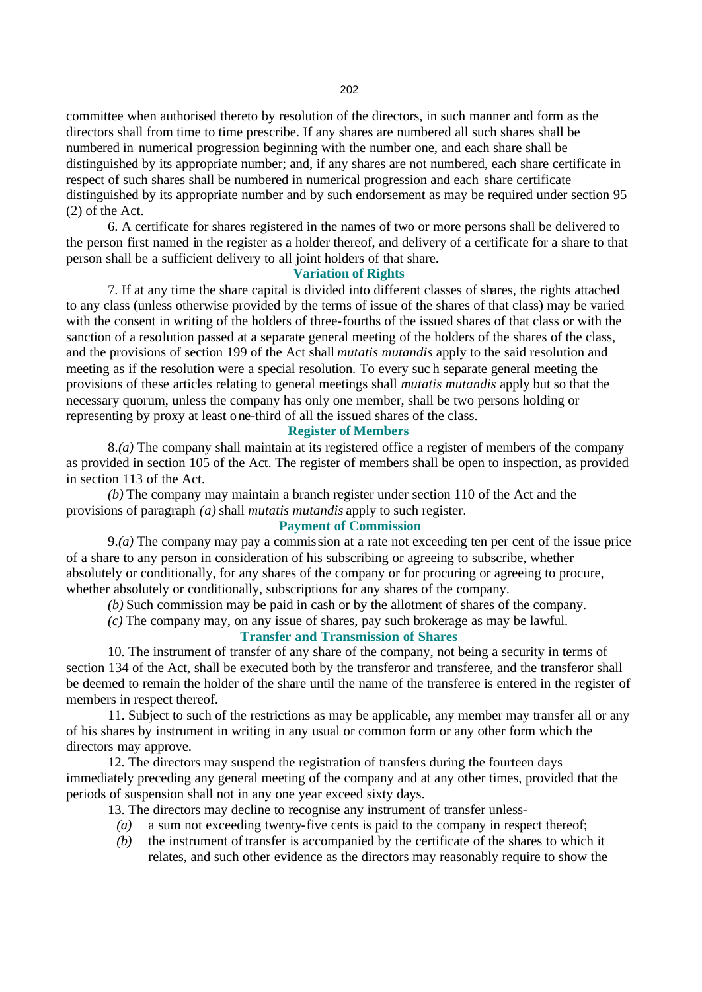committee when authorised thereto by resolution of the directors, in such manner and form as the directors shall from time to time prescribe. If any shares are numbered all such shares shall be numbered in numerical progression beginning with the number one, and each share shall be distinguished by its appropriate number; and, if any shares are not numbered, each share certificate in respect of such shares shall be numbered in numerical progression and each share certificate distinguished by its appropriate number and by such endorsement as may be required under section 95 (2) of the Act.

6. A certificate for shares registered in the names of two or more persons shall be delivered to the person first named in the register as a holder thereof, and delivery of a certificate for a share to that person shall be a sufficient delivery to all joint holders of that share.

### **Variation of Rights**

7. If at any time the share capital is divided into different classes of shares, the rights attached to any class (unless otherwise provided by the terms of issue of the shares of that class) may be varied with the consent in writing of the holders of three-fourths of the issued shares of that class or with the sanction of a resolution passed at a separate general meeting of the holders of the shares of the class, and the provisions of section 199 of the Act shall *mutatis mutandis* apply to the said resolution and meeting as if the resolution were a special resolution. To every suc h separate general meeting the provisions of these articles relating to general meetings shall *mutatis mutandis* apply but so that the necessary quorum, unless the company has only one member, shall be two persons holding or representing by proxy at least one-third of all the issued shares of the class.

### **Register of Members**

8.*(a)* The company shall maintain at its registered office a register of members of the company as provided in section 105 of the Act. The register of members shall be open to inspection, as provided in section 113 of the Act.

*(b)* The company may maintain a branch register under section 110 of the Act and the provisions of paragraph *(a)* shall *mutatis mutandis* apply to such register.

### **Payment of Commission**

9.*(a)* The company may pay a commission at a rate not exceeding ten per cent of the issue price of a share to any person in consideration of his subscribing or agreeing to subscribe, whether absolutely or conditionally, for any shares of the company or for procuring or agreeing to procure, whether absolutely or conditionally, subscriptions for any shares of the company.

*(b)* Such commission may be paid in cash or by the allotment of shares of the company.

*(c)* The company may, on any issue of shares, pay such brokerage as may be lawful.

### **Transfer and Transmission of Shares**

10. The instrument of transfer of any share of the company, not being a security in terms of section 134 of the Act, shall be executed both by the transferor and transferee, and the transferor shall be deemed to remain the holder of the share until the name of the transferee is entered in the register of members in respect thereof.

11. Subject to such of the restrictions as may be applicable, any member may transfer all or any of his shares by instrument in writing in any usual or common form or any other form which the directors may approve.

12. The directors may suspend the registration of transfers during the fourteen days immediately preceding any general meeting of the company and at any other times, provided that the periods of suspension shall not in any one year exceed sixty days.

13. The directors may decline to recognise any instrument of transfer unless-

- *(a)* a sum not exceeding twenty-five cents is paid to the company in respect thereof;
- *(b)* the instrument of transfer is accompanied by the certificate of the shares to which it relates, and such other evidence as the directors may reasonably require to show the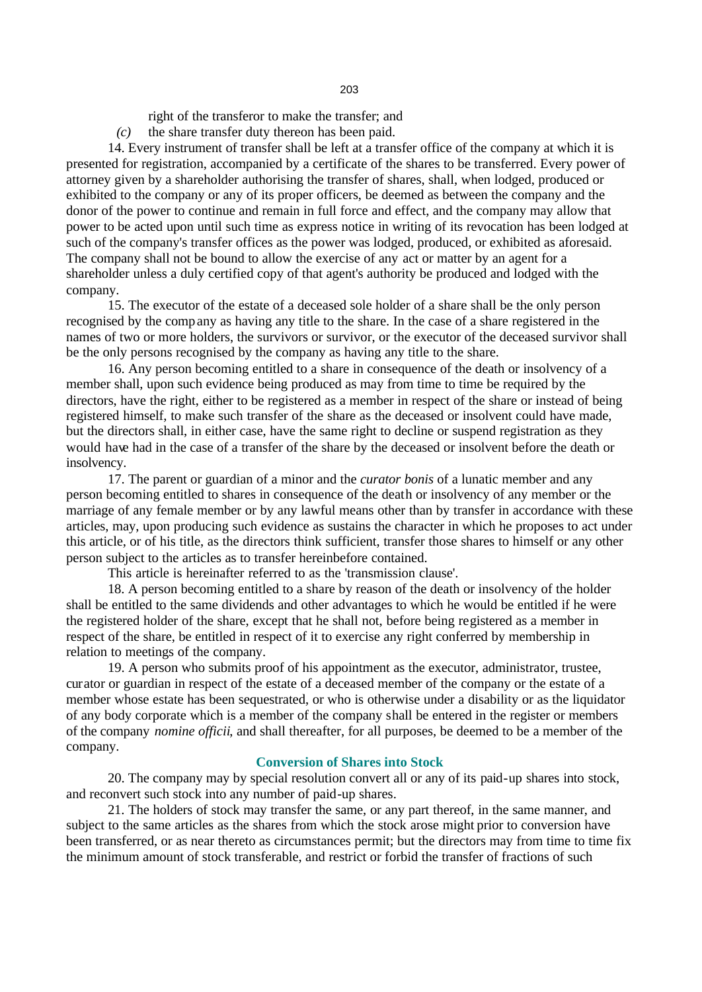right of the transferor to make the transfer; and

*(c)* the share transfer duty thereon has been paid.

14. Every instrument of transfer shall be left at a transfer office of the company at which it is presented for registration, accompanied by a certificate of the shares to be transferred. Every power of attorney given by a shareholder authorising the transfer of shares, shall, when lodged, produced or exhibited to the company or any of its proper officers, be deemed as between the company and the donor of the power to continue and remain in full force and effect, and the company may allow that power to be acted upon until such time as express notice in writing of its revocation has been lodged at such of the company's transfer offices as the power was lodged, produced, or exhibited as aforesaid. The company shall not be bound to allow the exercise of any act or matter by an agent for a shareholder unless a duly certified copy of that agent's authority be produced and lodged with the company.

15. The executor of the estate of a deceased sole holder of a share shall be the only person recognised by the company as having any title to the share. In the case of a share registered in the names of two or more holders, the survivors or survivor, or the executor of the deceased survivor shall be the only persons recognised by the company as having any title to the share.

16. Any person becoming entitled to a share in consequence of the death or insolvency of a member shall, upon such evidence being produced as may from time to time be required by the directors, have the right, either to be registered as a member in respect of the share or instead of being registered himself, to make such transfer of the share as the deceased or insolvent could have made, but the directors shall, in either case, have the same right to decline or suspend registration as they would have had in the case of a transfer of the share by the deceased or insolvent before the death or insolvency.

17. The parent or guardian of a minor and the *curator bonis* of a lunatic member and any person becoming entitled to shares in consequence of the death or insolvency of any member or the marriage of any female member or by any lawful means other than by transfer in accordance with these articles, may, upon producing such evidence as sustains the character in which he proposes to act under this article, or of his title, as the directors think sufficient, transfer those shares to himself or any other person subject to the articles as to transfer hereinbefore contained.

This article is hereinafter referred to as the 'transmission clause'.

18. A person becoming entitled to a share by reason of the death or insolvency of the holder shall be entitled to the same dividends and other advantages to which he would be entitled if he were the registered holder of the share, except that he shall not, before being registered as a member in respect of the share, be entitled in respect of it to exercise any right conferred by membership in relation to meetings of the company.

19. A person who submits proof of his appointment as the executor, administrator, trustee, curator or guardian in respect of the estate of a deceased member of the company or the estate of a member whose estate has been sequestrated, or who is otherwise under a disability or as the liquidator of any body corporate which is a member of the company shall be entered in the register or members of the company *nomine officii*, and shall thereafter, for all purposes, be deemed to be a member of the company.

### **Conversion of Shares into Stock**

20. The company may by special resolution convert all or any of its paid-up shares into stock, and reconvert such stock into any number of paid-up shares.

21. The holders of stock may transfer the same, or any part thereof, in the same manner, and subject to the same articles as the shares from which the stock arose might prior to conversion have been transferred, or as near thereto as circumstances permit; but the directors may from time to time fix the minimum amount of stock transferable, and restrict or forbid the transfer of fractions of such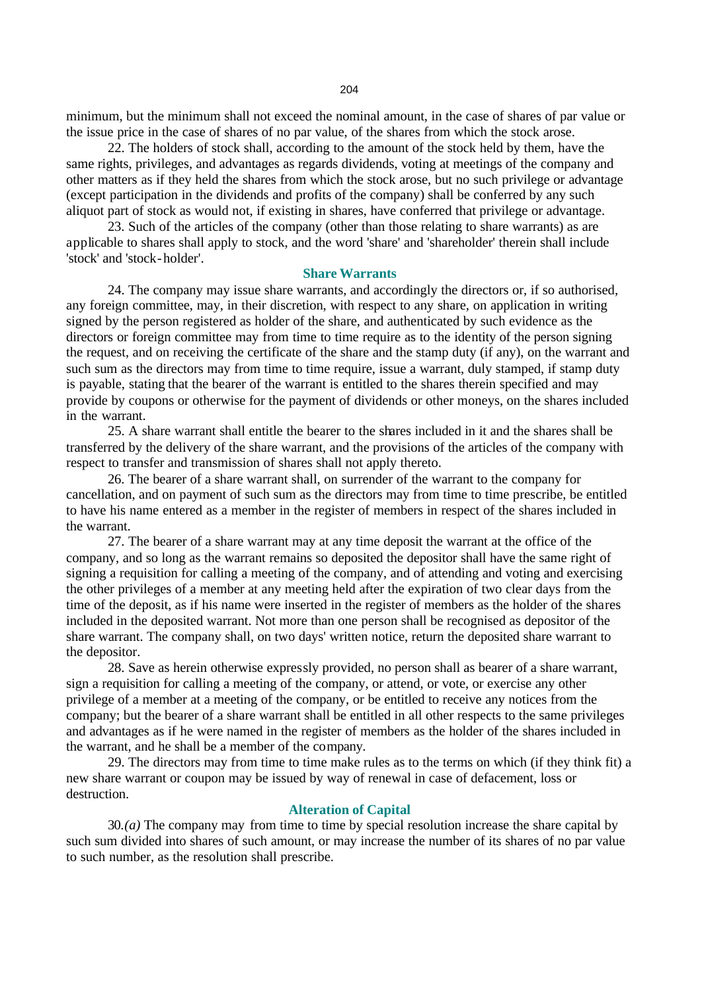minimum, but the minimum shall not exceed the nominal amount, in the case of shares of par value or the issue price in the case of shares of no par value, of the shares from which the stock arose.

22. The holders of stock shall, according to the amount of the stock held by them, have the same rights, privileges, and advantages as regards dividends, voting at meetings of the company and other matters as if they held the shares from which the stock arose, but no such privilege or advantage (except participation in the dividends and profits of the company) shall be conferred by any such aliquot part of stock as would not, if existing in shares, have conferred that privilege or advantage.

23. Such of the articles of the company (other than those relating to share warrants) as are applicable to shares shall apply to stock, and the word 'share' and 'shareholder' therein shall include 'stock' and 'stock-holder'.

#### **Share Warrants**

24. The company may issue share warrants, and accordingly the directors or, if so authorised, any foreign committee, may, in their discretion, with respect to any share, on application in writing signed by the person registered as holder of the share, and authenticated by such evidence as the directors or foreign committee may from time to time require as to the identity of the person signing the request, and on receiving the certificate of the share and the stamp duty (if any), on the warrant and such sum as the directors may from time to time require, issue a warrant, duly stamped, if stamp duty is payable, stating that the bearer of the warrant is entitled to the shares therein specified and may provide by coupons or otherwise for the payment of dividends or other moneys, on the shares included in the warrant.

25. A share warrant shall entitle the bearer to the shares included in it and the shares shall be transferred by the delivery of the share warrant, and the provisions of the articles of the company with respect to transfer and transmission of shares shall not apply thereto.

26. The bearer of a share warrant shall, on surrender of the warrant to the company for cancellation, and on payment of such sum as the directors may from time to time prescribe, be entitled to have his name entered as a member in the register of members in respect of the shares included in the warrant.

27. The bearer of a share warrant may at any time deposit the warrant at the office of the company, and so long as the warrant remains so deposited the depositor shall have the same right of signing a requisition for calling a meeting of the company, and of attending and voting and exercising the other privileges of a member at any meeting held after the expiration of two clear days from the time of the deposit, as if his name were inserted in the register of members as the holder of the shares included in the deposited warrant. Not more than one person shall be recognised as depositor of the share warrant. The company shall, on two days' written notice, return the deposited share warrant to the depositor.

28. Save as herein otherwise expressly provided, no person shall as bearer of a share warrant, sign a requisition for calling a meeting of the company, or attend, or vote, or exercise any other privilege of a member at a meeting of the company, or be entitled to receive any notices from the company; but the bearer of a share warrant shall be entitled in all other respects to the same privileges and advantages as if he were named in the register of members as the holder of the shares included in the warrant, and he shall be a member of the company.

29. The directors may from time to time make rules as to the terms on which (if they think fit) a new share warrant or coupon may be issued by way of renewal in case of defacement, loss or destruction.

### **Alteration of Capital**

30.*(a)* The company may from time to time by special resolution increase the share capital by such sum divided into shares of such amount, or may increase the number of its shares of no par value to such number, as the resolution shall prescribe.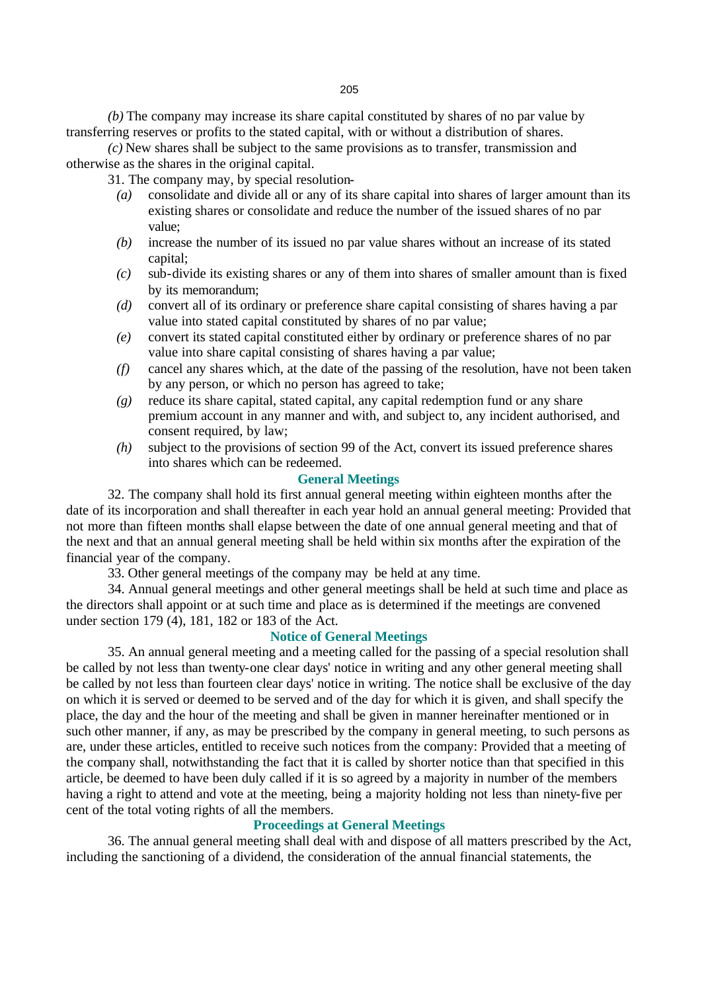*(b)* The company may increase its share capital constituted by shares of no par value by transferring reserves or profits to the stated capital, with or without a distribution of shares.

*(c)* New shares shall be subject to the same provisions as to transfer, transmission and otherwise as the shares in the original capital.

31. The company may, by special resolution-

- *(a)* consolidate and divide all or any of its share capital into shares of larger amount than its existing shares or consolidate and reduce the number of the issued shares of no par value;
- *(b)* increase the number of its issued no par value shares without an increase of its stated capital;
- *(c)* sub-divide its existing shares or any of them into shares of smaller amount than is fixed by its memorandum;
- *(d)* convert all of its ordinary or preference share capital consisting of shares having a par value into stated capital constituted by shares of no par value;
- *(e)* convert its stated capital constituted either by ordinary or preference shares of no par value into share capital consisting of shares having a par value;
- *(f)* cancel any shares which, at the date of the passing of the resolution, have not been taken by any person, or which no person has agreed to take;
- *(g)* reduce its share capital, stated capital, any capital redemption fund or any share premium account in any manner and with, and subject to, any incident authorised, and consent required, by law;
- *(h)* subject to the provisions of section 99 of the Act, convert its issued preference shares into shares which can be redeemed.

### **General Meetings**

32. The company shall hold its first annual general meeting within eighteen months after the date of its incorporation and shall thereafter in each year hold an annual general meeting: Provided that not more than fifteen months shall elapse between the date of one annual general meeting and that of the next and that an annual general meeting shall be held within six months after the expiration of the financial year of the company.

33. Other general meetings of the company may be held at any time.

34. Annual general meetings and other general meetings shall be held at such time and place as the directors shall appoint or at such time and place as is determined if the meetings are convened under section 179 (4), 181, 182 or 183 of the Act.

### **Notice of General Meetings**

35. An annual general meeting and a meeting called for the passing of a special resolution shall be called by not less than twenty-one clear days' notice in writing and any other general meeting shall be called by not less than fourteen clear days' notice in writing. The notice shall be exclusive of the day on which it is served or deemed to be served and of the day for which it is given, and shall specify the place, the day and the hour of the meeting and shall be given in manner hereinafter mentioned or in such other manner, if any, as may be prescribed by the company in general meeting, to such persons as are, under these articles, entitled to receive such notices from the company: Provided that a meeting of the company shall, notwithstanding the fact that it is called by shorter notice than that specified in this article, be deemed to have been duly called if it is so agreed by a majority in number of the members having a right to attend and vote at the meeting, being a majority holding not less than ninety-five per cent of the total voting rights of all the members.

### **Proceedings at General Meetings**

36. The annual general meeting shall deal with and dispose of all matters prescribed by the Act, including the sanctioning of a dividend, the consideration of the annual financial statements, the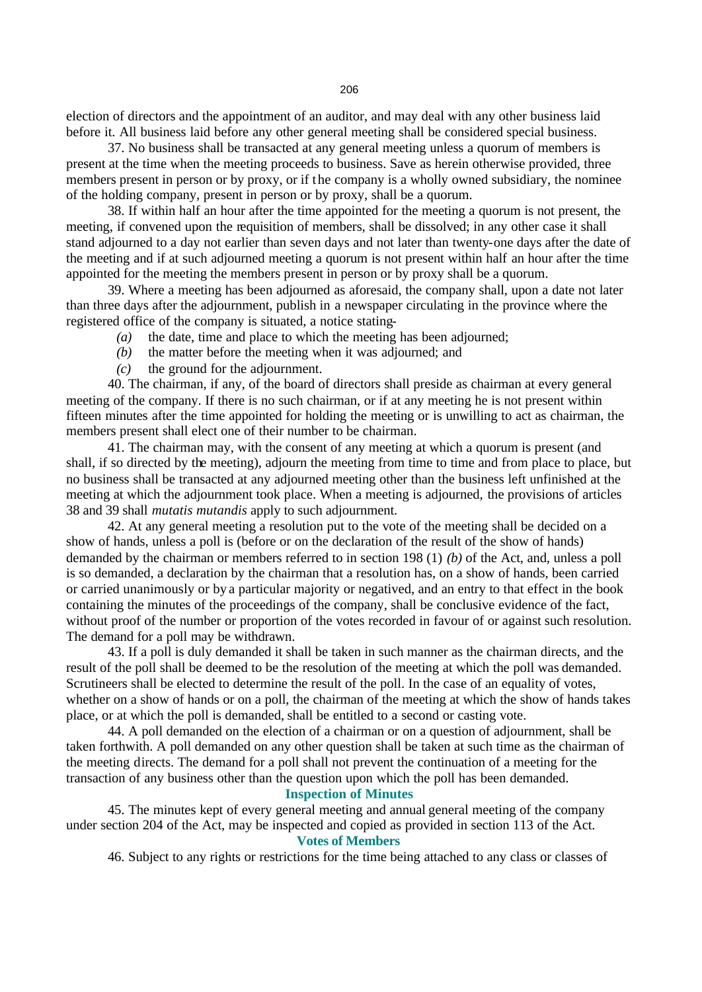election of directors and the appointment of an auditor, and may deal with any other business laid before it. All business laid before any other general meeting shall be considered special business.

37. No business shall be transacted at any general meeting unless a quorum of members is present at the time when the meeting proceeds to business. Save as herein otherwise provided, three members present in person or by proxy, or if the company is a wholly owned subsidiary, the nominee of the holding company, present in person or by proxy, shall be a quorum.

38. If within half an hour after the time appointed for the meeting a quorum is not present, the meeting, if convened upon the requisition of members, shall be dissolved; in any other case it shall stand adjourned to a day not earlier than seven days and not later than twenty-one days after the date of the meeting and if at such adjourned meeting a quorum is not present within half an hour after the time appointed for the meeting the members present in person or by proxy shall be a quorum.

39. Where a meeting has been adjourned as aforesaid, the company shall, upon a date not later than three days after the adjournment, publish in a newspaper circulating in the province where the registered office of the company is situated, a notice stating-

- *(a)* the date, time and place to which the meeting has been adjourned;
- *(b)* the matter before the meeting when it was adjourned; and
- *(c)* the ground for the adjournment.

40. The chairman, if any, of the board of directors shall preside as chairman at every general meeting of the company. If there is no such chairman, or if at any meeting he is not present within fifteen minutes after the time appointed for holding the meeting or is unwilling to act as chairman, the members present shall elect one of their number to be chairman.

41. The chairman may, with the consent of any meeting at which a quorum is present (and shall, if so directed by the meeting), adjourn the meeting from time to time and from place to place, but no business shall be transacted at any adjourned meeting other than the business left unfinished at the meeting at which the adjournment took place. When a meeting is adjourned, the provisions of articles 38 and 39 shall *mutatis mutandis* apply to such adjournment.

42. At any general meeting a resolution put to the vote of the meeting shall be decided on a show of hands, unless a poll is (before or on the declaration of the result of the show of hands) demanded by the chairman or members referred to in section 198 (1) *(b)* of the Act, and, unless a poll is so demanded, a declaration by the chairman that a resolution has, on a show of hands, been carried or carried unanimously or by a particular majority or negatived, and an entry to that effect in the book containing the minutes of the proceedings of the company, shall be conclusive evidence of the fact, without proof of the number or proportion of the votes recorded in favour of or against such resolution. The demand for a poll may be withdrawn.

43. If a poll is duly demanded it shall be taken in such manner as the chairman directs, and the result of the poll shall be deemed to be the resolution of the meeting at which the poll was demanded. Scrutineers shall be elected to determine the result of the poll. In the case of an equality of votes, whether on a show of hands or on a poll, the chairman of the meeting at which the show of hands takes place, or at which the poll is demanded, shall be entitled to a second or casting vote.

44. A poll demanded on the election of a chairman or on a question of adjournment, shall be taken forthwith. A poll demanded on any other question shall be taken at such time as the chairman of the meeting directs. The demand for a poll shall not prevent the continuation of a meeting for the transaction of any business other than the question upon which the poll has been demanded.

### **Inspection of Minutes**

45. The minutes kept of every general meeting and annual general meeting of the company under section 204 of the Act, may be inspected and copied as provided in section 113 of the Act. **Votes of Members**

46. Subject to any rights or restrictions for the time being attached to any class or classes of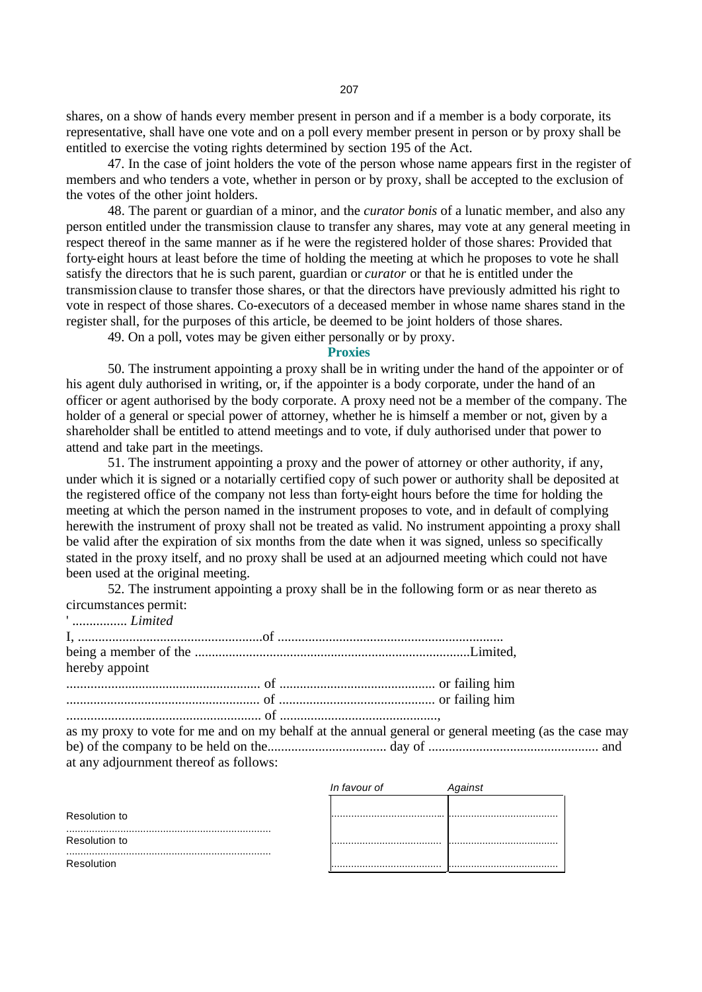shares, on a show of hands every member present in person and if a member is a body corporate, its representative, shall have one vote and on a poll every member present in person or by proxy shall be entitled to exercise the voting rights determined by section 195 of the Act.

47. In the case of joint holders the vote of the person whose name appears first in the register of members and who tenders a vote, whether in person or by proxy, shall be accepted to the exclusion of the votes of the other joint holders.

48. The parent or guardian of a minor, and the *curator bonis* of a lunatic member, and also any person entitled under the transmission clause to transfer any shares, may vote at any general meeting in respect thereof in the same manner as if he were the registered holder of those shares: Provided that forty-eight hours at least before the time of holding the meeting at which he proposes to vote he shall satisfy the directors that he is such parent, guardian or *curator* or that he is entitled under the transmission clause to transfer those shares, or that the directors have previously admitted his right to vote in respect of those shares. Co-executors of a deceased member in whose name shares stand in the register shall, for the purposes of this article, be deemed to be joint holders of those shares.

49. On a poll, votes may be given either personally or by proxy.

### **Proxies**

50. The instrument appointing a proxy shall be in writing under the hand of the appointer or of his agent duly authorised in writing, or, if the appointer is a body corporate, under the hand of an officer or agent authorised by the body corporate. A proxy need not be a member of the company. The holder of a general or special power of attorney, whether he is himself a member or not, given by a shareholder shall be entitled to attend meetings and to vote, if duly authorised under that power to attend and take part in the meetings.

51. The instrument appointing a proxy and the power of attorney or other authority, if any, under which it is signed or a notarially certified copy of such power or authority shall be deposited at the registered office of the company not less than forty-eight hours before the time for holding the meeting at which the person named in the instrument proposes to vote, and in default of complying herewith the instrument of proxy shall not be treated as valid. No instrument appointing a proxy shall be valid after the expiration of six months from the date when it was signed, unless so specifically stated in the proxy itself, and no proxy shall be used at an adjourned meeting which could not have been used at the original meeting.

52. The instrument appointing a proxy shall be in the following form or as near thereto as circumstances permit:

| hereby appoint |  |
|----------------|--|
|                |  |
|                |  |
|                |  |
|                |  |

as my proxy to vote for me and on my behalf at the annual general or general meeting (as the case may be) of the company to be held on the................................... day of .................................................. and at any adjournment thereof as follows:

| Resolution to |  |
|---------------|--|
|               |  |
| Resolution to |  |
| Resolution    |  |

|               | In favour of |  |
|---------------|--------------|--|
|               |              |  |
| Resolution to |              |  |
| Resolution to | .            |  |
| Resolution    |              |  |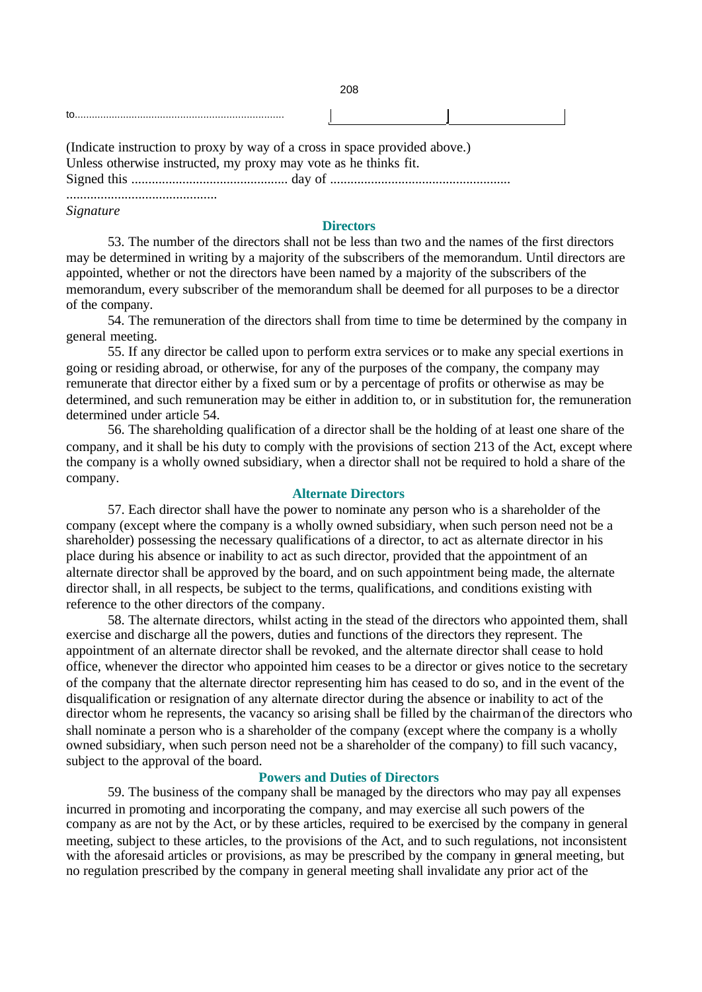| t٥.                                                                                                                                            |  |  |
|------------------------------------------------------------------------------------------------------------------------------------------------|--|--|
| (Indicate instruction to proxy by way of a cross in space provided above.)<br>Unless otherwise instructed, my proxy may vote as he thinks fit. |  |  |

Signed this .............................................. day of .....................................................

............................................

### *Signature*

# **Directors**

53. The number of the directors shall not be less than two and the names of the first directors may be determined in writing by a majority of the subscribers of the memorandum. Until directors are appointed, whether or not the directors have been named by a majority of the subscribers of the memorandum, every subscriber of the memorandum shall be deemed for all purposes to be a director of the company.

54. The remuneration of the directors shall from time to time be determined by the company in general meeting.

55. If any director be called upon to perform extra services or to make any special exertions in going or residing abroad, or otherwise, for any of the purposes of the company, the company may remunerate that director either by a fixed sum or by a percentage of profits or otherwise as may be determined, and such remuneration may be either in addition to, or in substitution for, the remuneration determined under article 54.

56. The shareholding qualification of a director shall be the holding of at least one share of the company, and it shall be his duty to comply with the provisions of section 213 of the Act, except where the company is a wholly owned subsidiary, when a director shall not be required to hold a share of the company.

#### **Alternate Directors**

57. Each director shall have the power to nominate any person who is a shareholder of the company (except where the company is a wholly owned subsidiary, when such person need not be a shareholder) possessing the necessary qualifications of a director, to act as alternate director in his place during his absence or inability to act as such director, provided that the appointment of an alternate director shall be approved by the board, and on such appointment being made, the alternate director shall, in all respects, be subject to the terms, qualifications, and conditions existing with reference to the other directors of the company.

58. The alternate directors, whilst acting in the stead of the directors who appointed them, shall exercise and discharge all the powers, duties and functions of the directors they represent. The appointment of an alternate director shall be revoked, and the alternate director shall cease to hold office, whenever the director who appointed him ceases to be a director or gives notice to the secretary of the company that the alternate director representing him has ceased to do so, and in the event of the disqualification or resignation of any alternate director during the absence or inability to act of the director whom he represents, the vacancy so arising shall be filled by the chairman of the directors who shall nominate a person who is a shareholder of the company (except where the company is a wholly owned subsidiary, when such person need not be a shareholder of the company) to fill such vacancy, subject to the approval of the board.

### **Powers and Duties of Directors**

59. The business of the company shall be managed by the directors who may pay all expenses incurred in promoting and incorporating the company, and may exercise all such powers of the company as are not by the Act, or by these articles, required to be exercised by the company in general meeting, subject to these articles, to the provisions of the Act, and to such regulations, not inconsistent with the aforesaid articles or provisions, as may be prescribed by the company in general meeting, but no regulation prescribed by the company in general meeting shall invalidate any prior act of the

208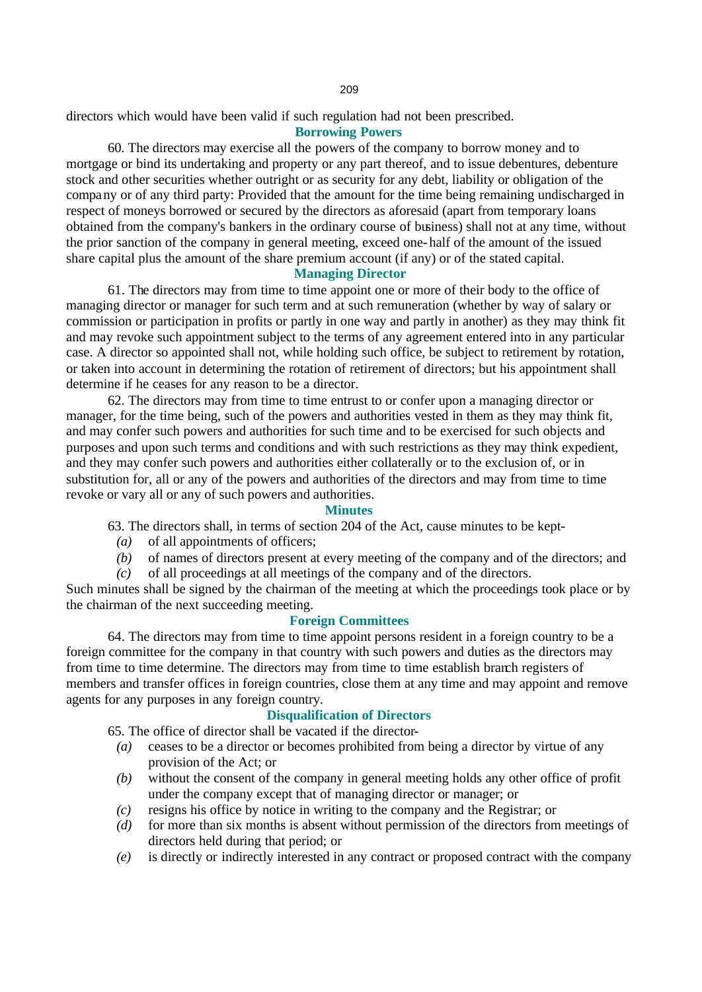directors which would have been valid if such regulation had not been prescribed.

### **Borrowing Powers**

60. The directors may exercise all the powers of the company to borrow money and to mortgage or bind its undertaking and property or any part thereof, and to issue debentures, debenture stock and other securities whether outright or as security for any debt, liability or obligation of the company or of any third party: Provided that the amount for the time being remaining undischarged in respect of moneys borrowed or secured by the directors as aforesaid (apart from temporary loans obtained from the company's bankers in the ordinary course of business) shall not at any time, without the prior sanction of the company in general meeting, exceed one-half of the amount of the issued share capital plus the amount of the share premium account (if any) or of the stated capital.

#### **Managing Director**

61. The directors may from time to time appoint one or more of their body to the office of managing director or manager for such term and at such remuneration (whether by way of salary or commission or participation in profits or partly in one way and partly in another) as they may think fit and may revoke such appointment subject to the terms of any agreement entered into in any particular case. A director so appointed shall not, while holding such office, be subject to retirement by rotation, or taken into account in determining the rotation of retirement of directors; but his appointment shall determine if he ceases for any reason to be a director.

62. The directors may from time to time entrust to or confer upon a managing director or manager, for the time being, such of the powers and authorities vested in them as they may think fit, and may confer such powers and authorities for such time and to be exercised for such objects and purposes and upon such terms and conditions and with such restrictions as they may think expedient, and they may confer such powers and authorities either collaterally or to the exclusion of, or in substitution for, all or any of the powers and authorities of the directors and may from time to time revoke or vary all or any of such powers and authorities.

#### **Minutes**

63. The directors shall, in terms of section 204 of the Act, cause minutes to be kept-

- *(a)* of all appointments of officers;
- *(b)* of names of directors present at every meeting of the company and of the directors; and
- *(c)* of all proceedings at all meetings of the company and of the directors.

Such minutes shall be signed by the chairman of the meeting at which the proceedings took place or by the chairman of the next succeeding meeting.

### **Foreign Committees**

64. The directors may from time to time appoint persons resident in a foreign country to be a foreign committee for the company in that country with such powers and duties as the directors may from time to time determine. The directors may from time to time establish branch registers of members and transfer offices in foreign countries, close them at any time and may appoint and remove agents for any purposes in any foreign country.

# **Disqualification of Directors**

65. The office of director shall be vacated if the director-

- *(a)* ceases to be a director or becomes prohibited from being a director by virtue of any provision of the Act; or
- *(b)* without the consent of the company in general meeting holds any other office of profit under the company except that of managing director or manager; or
- *(c)* resigns his office by notice in writing to the company and the Registrar; or
- *(d)* for more than six months is absent without permission of the directors from meetings of directors held during that period; or
- *(e)* is directly or indirectly interested in any contract or proposed contract with the company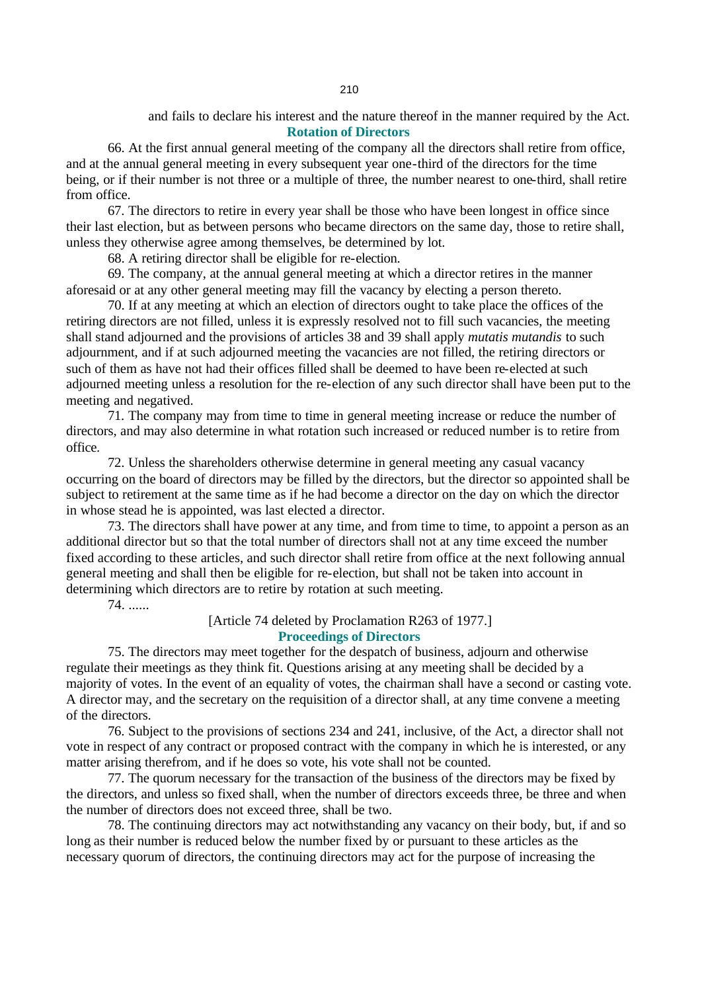and fails to declare his interest and the nature thereof in the manner required by the Act. **Rotation of Directors**

66. At the first annual general meeting of the company all the directors shall retire from office, and at the annual general meeting in every subsequent year one-third of the directors for the time being, or if their number is not three or a multiple of three, the number nearest to one-third, shall retire from office.

67. The directors to retire in every year shall be those who have been longest in office since their last election, but as between persons who became directors on the same day, those to retire shall, unless they otherwise agree among themselves, be determined by lot.

68. A retiring director shall be eligible for re-election.

69. The company, at the annual general meeting at which a director retires in the manner aforesaid or at any other general meeting may fill the vacancy by electing a person thereto.

70. If at any meeting at which an election of directors ought to take place the offices of the retiring directors are not filled, unless it is expressly resolved not to fill such vacancies, the meeting shall stand adjourned and the provisions of articles 38 and 39 shall apply *mutatis mutandis* to such adjournment, and if at such adjourned meeting the vacancies are not filled, the retiring directors or such of them as have not had their offices filled shall be deemed to have been re-elected at such adjourned meeting unless a resolution for the re-election of any such director shall have been put to the meeting and negatived.

71. The company may from time to time in general meeting increase or reduce the number of directors, and may also determine in what rotation such increased or reduced number is to retire from office.

72. Unless the shareholders otherwise determine in general meeting any casual vacancy occurring on the board of directors may be filled by the directors, but the director so appointed shall be subject to retirement at the same time as if he had become a director on the day on which the director in whose stead he is appointed, was last elected a director.

73. The directors shall have power at any time, and from time to time, to appoint a person as an additional director but so that the total number of directors shall not at any time exceed the number fixed according to these articles, and such director shall retire from office at the next following annual general meeting and shall then be eligible for re-election, but shall not be taken into account in determining which directors are to retire by rotation at such meeting.

74. ......

[Article 74 deleted by Proclamation R263 of 1977.]

#### **Proceedings of Directors**

75. The directors may meet together for the despatch of business, adjourn and otherwise regulate their meetings as they think fit. Questions arising at any meeting shall be decided by a majority of votes. In the event of an equality of votes, the chairman shall have a second or casting vote. A director may, and the secretary on the requisition of a director shall, at any time convene a meeting of the directors.

76. Subject to the provisions of sections 234 and 241, inclusive, of the Act, a director shall not vote in respect of any contract or proposed contract with the company in which he is interested, or any matter arising therefrom, and if he does so vote, his vote shall not be counted.

77. The quorum necessary for the transaction of the business of the directors may be fixed by the directors, and unless so fixed shall, when the number of directors exceeds three, be three and when the number of directors does not exceed three, shall be two.

78. The continuing directors may act notwithstanding any vacancy on their body, but, if and so long as their number is reduced below the number fixed by or pursuant to these articles as the necessary quorum of directors, the continuing directors may act for the purpose of increasing the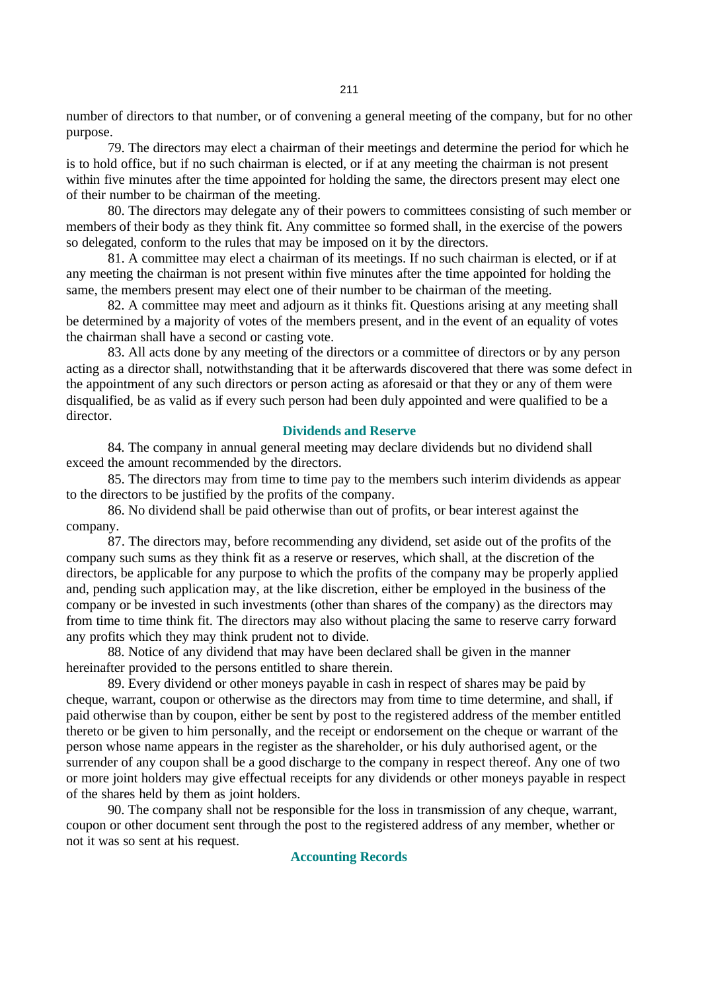number of directors to that number, or of convening a general meeting of the company, but for no other purpose.

79. The directors may elect a chairman of their meetings and determine the period for which he is to hold office, but if no such chairman is elected, or if at any meeting the chairman is not present within five minutes after the time appointed for holding the same, the directors present may elect one of their number to be chairman of the meeting.

80. The directors may delegate any of their powers to committees consisting of such member or members of their body as they think fit. Any committee so formed shall, in the exercise of the powers so delegated, conform to the rules that may be imposed on it by the directors.

81. A committee may elect a chairman of its meetings. If no such chairman is elected, or if at any meeting the chairman is not present within five minutes after the time appointed for holding the same, the members present may elect one of their number to be chairman of the meeting.

82. A committee may meet and adjourn as it thinks fit. Questions arising at any meeting shall be determined by a majority of votes of the members present, and in the event of an equality of votes the chairman shall have a second or casting vote.

83. All acts done by any meeting of the directors or a committee of directors or by any person acting as a director shall, notwithstanding that it be afterwards discovered that there was some defect in the appointment of any such directors or person acting as aforesaid or that they or any of them were disqualified, be as valid as if every such person had been duly appointed and were qualified to be a director.

### **Dividends and Reserve**

84. The company in annual general meeting may declare dividends but no dividend shall exceed the amount recommended by the directors.

85. The directors may from time to time pay to the members such interim dividends as appear to the directors to be justified by the profits of the company.

86. No dividend shall be paid otherwise than out of profits, or bear interest against the company.

87. The directors may, before recommending any dividend, set aside out of the profits of the company such sums as they think fit as a reserve or reserves, which shall, at the discretion of the directors, be applicable for any purpose to which the profits of the company may be properly applied and, pending such application may, at the like discretion, either be employed in the business of the company or be invested in such investments (other than shares of the company) as the directors may from time to time think fit. The directors may also without placing the same to reserve carry forward any profits which they may think prudent not to divide.

88. Notice of any dividend that may have been declared shall be given in the manner hereinafter provided to the persons entitled to share therein.

89. Every dividend or other moneys payable in cash in respect of shares may be paid by cheque, warrant, coupon or otherwise as the directors may from time to time determine, and shall, if paid otherwise than by coupon, either be sent by post to the registered address of the member entitled thereto or be given to him personally, and the receipt or endorsement on the cheque or warrant of the person whose name appears in the register as the shareholder, or his duly authorised agent, or the surrender of any coupon shall be a good discharge to the company in respect thereof. Any one of two or more joint holders may give effectual receipts for any dividends or other moneys payable in respect of the shares held by them as joint holders.

90. The company shall not be responsible for the loss in transmission of any cheque, warrant, coupon or other document sent through the post to the registered address of any member, whether or not it was so sent at his request.

### **Accounting Records**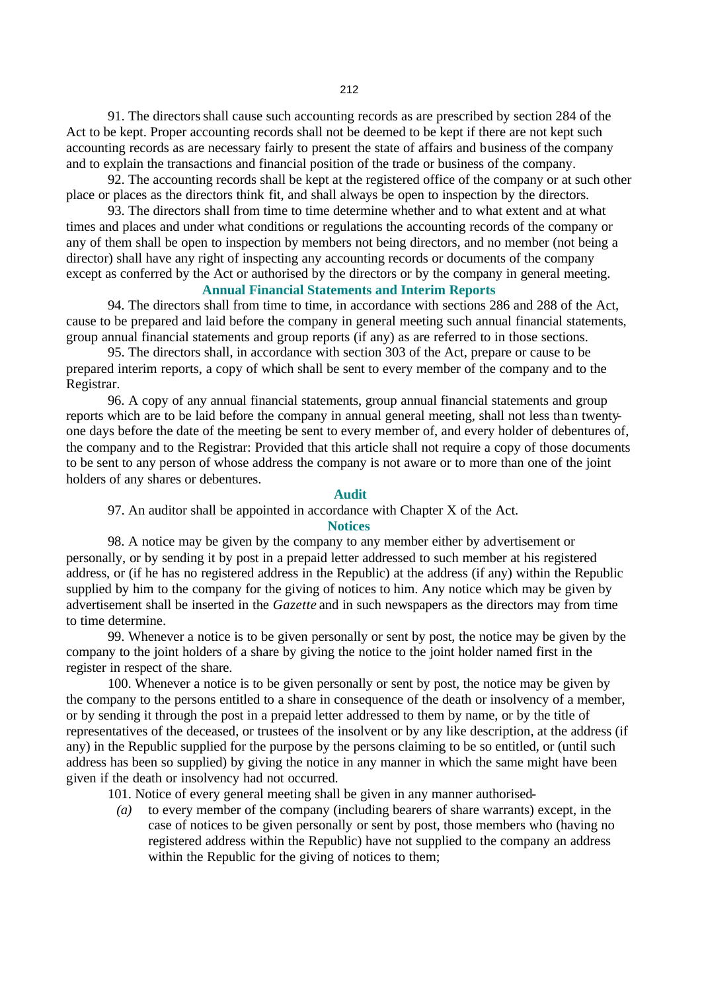91. The directors shall cause such accounting records as are prescribed by section 284 of the Act to be kept. Proper accounting records shall not be deemed to be kept if there are not kept such accounting records as are necessary fairly to present the state of affairs and business of the company and to explain the transactions and financial position of the trade or business of the company.

92. The accounting records shall be kept at the registered office of the company or at such other place or places as the directors think fit, and shall always be open to inspection by the directors.

93. The directors shall from time to time determine whether and to what extent and at what times and places and under what conditions or regulations the accounting records of the company or any of them shall be open to inspection by members not being directors, and no member (not being a director) shall have any right of inspecting any accounting records or documents of the company except as conferred by the Act or authorised by the directors or by the company in general meeting.

# **Annual Financial Statements and Interim Reports**

94. The directors shall from time to time, in accordance with sections 286 and 288 of the Act, cause to be prepared and laid before the company in general meeting such annual financial statements, group annual financial statements and group reports (if any) as are referred to in those sections.

95. The directors shall, in accordance with section 303 of the Act, prepare or cause to be prepared interim reports, a copy of which shall be sent to every member of the company and to the Registrar.

96. A copy of any annual financial statements, group annual financial statements and group reports which are to be laid before the company in annual general meeting, shall not less than twentyone days before the date of the meeting be sent to every member of, and every holder of debentures of, the company and to the Registrar: Provided that this article shall not require a copy of those documents to be sent to any person of whose address the company is not aware or to more than one of the joint holders of any shares or debentures.

#### **Audit**

97. An auditor shall be appointed in accordance with Chapter X of the Act.

#### **Notices**

98. A notice may be given by the company to any member either by advertisement or personally, or by sending it by post in a prepaid letter addressed to such member at his registered address, or (if he has no registered address in the Republic) at the address (if any) within the Republic supplied by him to the company for the giving of notices to him. Any notice which may be given by advertisement shall be inserted in the *Gazette* and in such newspapers as the directors may from time to time determine.

99. Whenever a notice is to be given personally or sent by post, the notice may be given by the company to the joint holders of a share by giving the notice to the joint holder named first in the register in respect of the share.

100. Whenever a notice is to be given personally or sent by post, the notice may be given by the company to the persons entitled to a share in consequence of the death or insolvency of a member, or by sending it through the post in a prepaid letter addressed to them by name, or by the title of representatives of the deceased, or trustees of the insolvent or by any like description, at the address (if any) in the Republic supplied for the purpose by the persons claiming to be so entitled, or (until such address has been so supplied) by giving the notice in any manner in which the same might have been given if the death or insolvency had not occurred.

101. Notice of every general meeting shall be given in any manner authorised-

*(a)* to every member of the company (including bearers of share warrants) except, in the case of notices to be given personally or sent by post, those members who (having no registered address within the Republic) have not supplied to the company an address within the Republic for the giving of notices to them;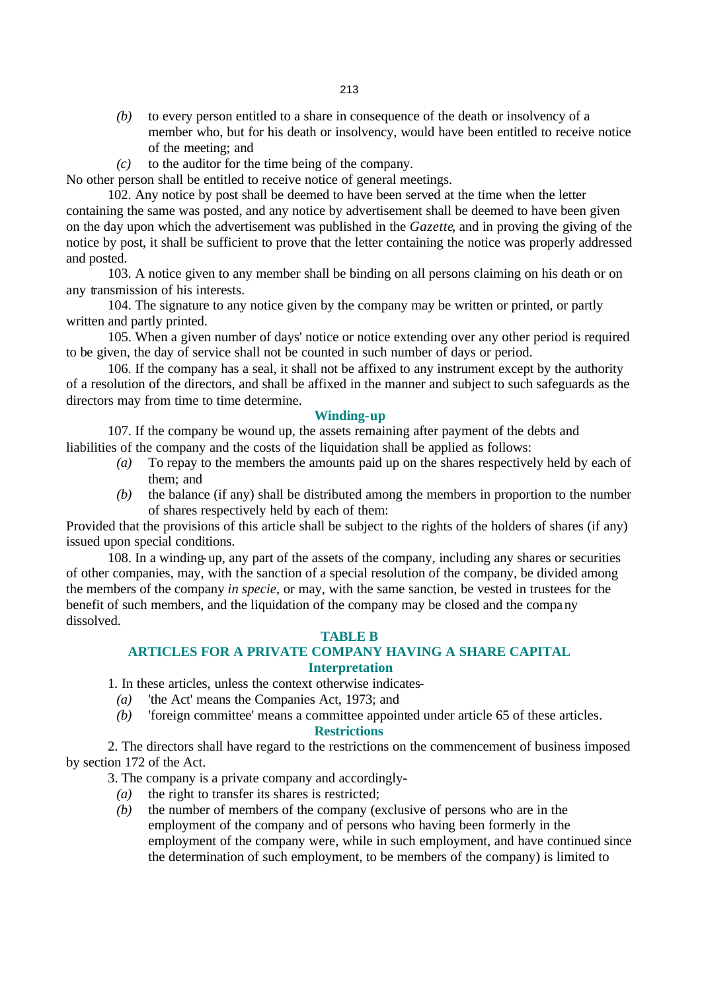- *(b)* to every person entitled to a share in consequence of the death or insolvency of a member who, but for his death or insolvency, would have been entitled to receive notice of the meeting; and
- *(c)* to the auditor for the time being of the company.
- No other person shall be entitled to receive notice of general meetings.

102. Any notice by post shall be deemed to have been served at the time when the letter containing the same was posted, and any notice by advertisement shall be deemed to have been given on the day upon which the advertisement was published in the *Gazette*, and in proving the giving of the notice by post, it shall be sufficient to prove that the letter containing the notice was properly addressed and posted.

103. A notice given to any member shall be binding on all persons claiming on his death or on any transmission of his interests.

104. The signature to any notice given by the company may be written or printed, or partly written and partly printed.

105. When a given number of days' notice or notice extending over any other period is required to be given, the day of service shall not be counted in such number of days or period.

106. If the company has a seal, it shall not be affixed to any instrument except by the authority of a resolution of the directors, and shall be affixed in the manner and subject to such safeguards as the directors may from time to time determine.

### **Winding-up**

107. If the company be wound up, the assets remaining after payment of the debts and liabilities of the company and the costs of the liquidation shall be applied as follows:

- *(a)* To repay to the members the amounts paid up on the shares respectively held by each of them; and
- *(b)* the balance (if any) shall be distributed among the members in proportion to the number of shares respectively held by each of them:

Provided that the provisions of this article shall be subject to the rights of the holders of shares (if any) issued upon special conditions.

108. In a winding-up, any part of the assets of the company, including any shares or securities of other companies, may, with the sanction of a special resolution of the company, be divided among the members of the company *in specie*, or may, with the same sanction, be vested in trustees for the benefit of such members, and the liquidation of the company may be closed and the company dissolved.

### **TABLE B**

### **ARTICLES FOR A PRIVATE COMPANY HAVING A SHARE CAPITAL Interpretation**

1. In these articles, unless the context otherwise indicates-

- *(a)* 'the Act' means the Companies Act, 1973; and
- *(b)* 'foreign committee' means a committee appointed under article 65 of these articles.

### **Restrictions**

2. The directors shall have regard to the restrictions on the commencement of business imposed by section 172 of the Act.

3. The company is a private company and accordingly-

- *(a)* the right to transfer its shares is restricted;
- *(b)* the number of members of the company (exclusive of persons who are in the employment of the company and of persons who having been formerly in the employment of the company were, while in such employment, and have continued since the determination of such employment, to be members of the company) is limited to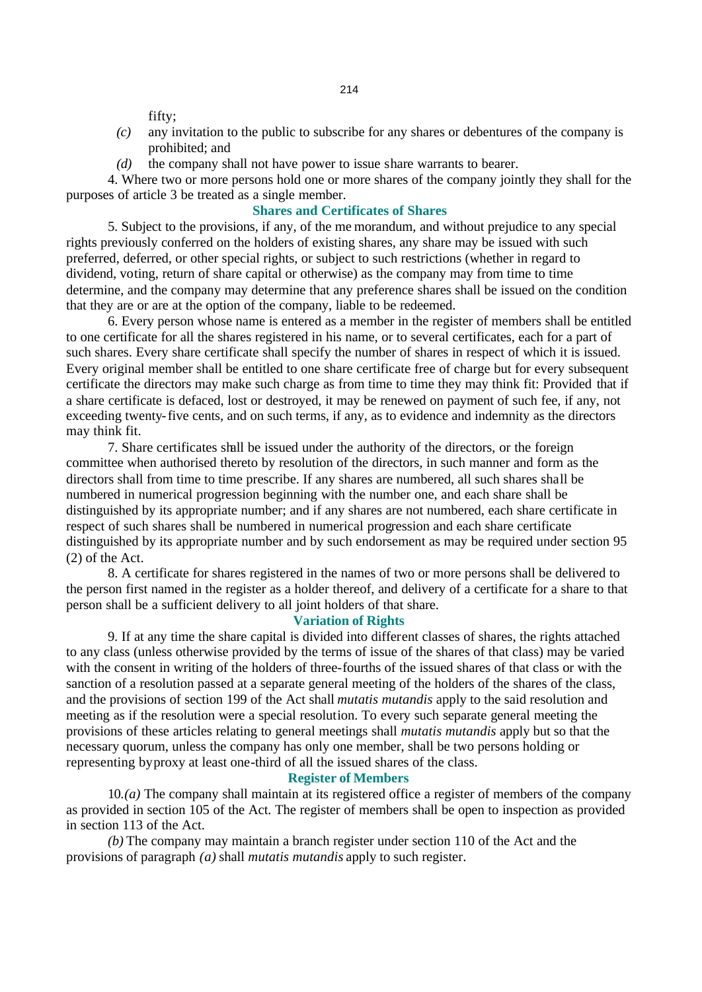fifty;

- *(c)* any invitation to the public to subscribe for any shares or debentures of the company is prohibited; and
- *(d)* the company shall not have power to issue share warrants to bearer.

4. Where two or more persons hold one or more shares of the company jointly they shall for the purposes of article 3 be treated as a single member.

#### **Shares and Certificates of Shares**

5. Subject to the provisions, if any, of the me morandum, and without prejudice to any special rights previously conferred on the holders of existing shares, any share may be issued with such preferred, deferred, or other special rights, or subject to such restrictions (whether in regard to dividend, voting, return of share capital or otherwise) as the company may from time to time determine, and the company may determine that any preference shares shall be issued on the condition that they are or are at the option of the company, liable to be redeemed.

6. Every person whose name is entered as a member in the register of members shall be entitled to one certificate for all the shares registered in his name, or to several certificates, each for a part of such shares. Every share certificate shall specify the number of shares in respect of which it is issued. Every original member shall be entitled to one share certificate free of charge but for every subsequent certificate the directors may make such charge as from time to time they may think fit: Provided that if a share certificate is defaced, lost or destroyed, it may be renewed on payment of such fee, if any, not exceeding twenty-five cents, and on such terms, if any, as to evidence and indemnity as the directors may think fit.

7. Share certificates shall be issued under the authority of the directors, or the foreign committee when authorised thereto by resolution of the directors, in such manner and form as the directors shall from time to time prescribe. If any shares are numbered, all such shares shall be numbered in numerical progression beginning with the number one, and each share shall be distinguished by its appropriate number; and if any shares are not numbered, each share certificate in respect of such shares shall be numbered in numerical progression and each share certificate distinguished by its appropriate number and by such endorsement as may be required under section 95 (2) of the Act.

8. A certificate for shares registered in the names of two or more persons shall be delivered to the person first named in the register as a holder thereof, and delivery of a certificate for a share to that person shall be a sufficient delivery to all joint holders of that share.

### **Variation of Rights**

9. If at any time the share capital is divided into different classes of shares, the rights attached to any class (unless otherwise provided by the terms of issue of the shares of that class) may be varied with the consent in writing of the holders of three-fourths of the issued shares of that class or with the sanction of a resolution passed at a separate general meeting of the holders of the shares of the class, and the provisions of section 199 of the Act shall *mutatis mutandis* apply to the said resolution and meeting as if the resolution were a special resolution. To every such separate general meeting the provisions of these articles relating to general meetings shall *mutatis mutandis* apply but so that the necessary quorum, unless the company has only one member, shall be two persons holding or representing by proxy at least one-third of all the issued shares of the class.

#### **Register of Members**

10.*(a)* The company shall maintain at its registered office a register of members of the company as provided in section 105 of the Act. The register of members shall be open to inspection as provided in section 113 of the Act.

*(b)* The company may maintain a branch register under section 110 of the Act and the provisions of paragraph *(a)* shall *mutatis mutandis* apply to such register.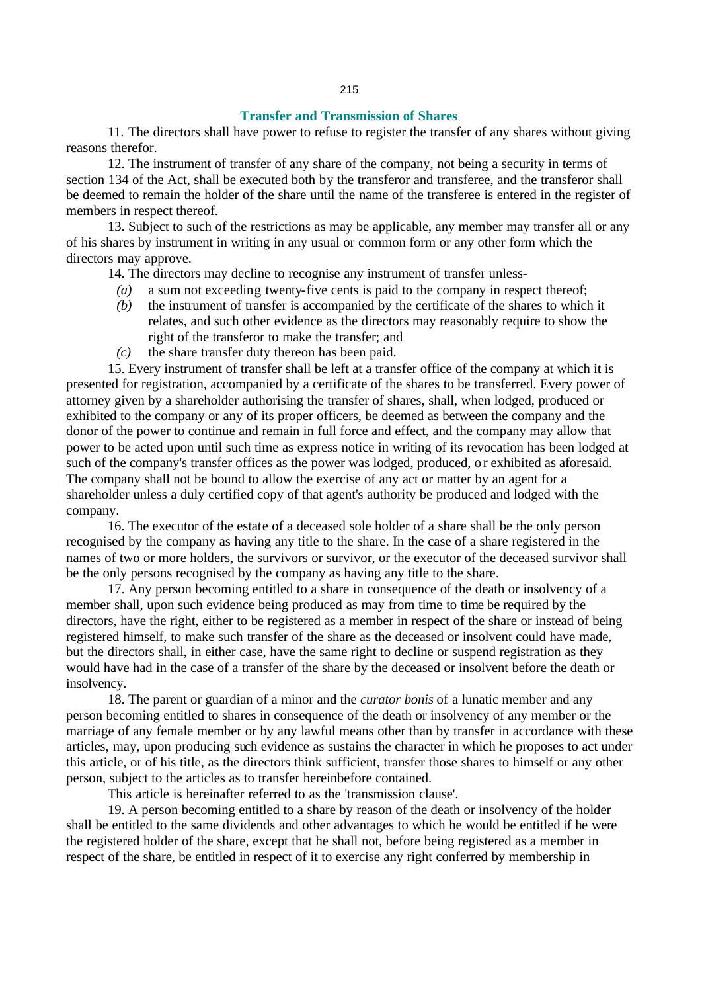### **Transfer and Transmission of Shares**

11. The directors shall have power to refuse to register the transfer of any shares without giving reasons therefor.

12. The instrument of transfer of any share of the company, not being a security in terms of section 134 of the Act, shall be executed both by the transferor and transferee, and the transferor shall be deemed to remain the holder of the share until the name of the transferee is entered in the register of members in respect thereof.

13. Subject to such of the restrictions as may be applicable, any member may transfer all or any of his shares by instrument in writing in any usual or common form or any other form which the directors may approve.

14. The directors may decline to recognise any instrument of transfer unless-

- *(a)* a sum not exceeding twenty-five cents is paid to the company in respect thereof;
- *(b)* the instrument of transfer is accompanied by the certificate of the shares to which it relates, and such other evidence as the directors may reasonably require to show the right of the transferor to make the transfer; and
- *(c)* the share transfer duty thereon has been paid.

15. Every instrument of transfer shall be left at a transfer office of the company at which it is presented for registration, accompanied by a certificate of the shares to be transferred. Every power of attorney given by a shareholder authorising the transfer of shares, shall, when lodged, produced or exhibited to the company or any of its proper officers, be deemed as between the company and the donor of the power to continue and remain in full force and effect, and the company may allow that power to be acted upon until such time as express notice in writing of its revocation has been lodged at such of the company's transfer offices as the power was lodged, produced, or exhibited as aforesaid. The company shall not be bound to allow the exercise of any act or matter by an agent for a shareholder unless a duly certified copy of that agent's authority be produced and lodged with the company.

16. The executor of the estate of a deceased sole holder of a share shall be the only person recognised by the company as having any title to the share. In the case of a share registered in the names of two or more holders, the survivors or survivor, or the executor of the deceased survivor shall be the only persons recognised by the company as having any title to the share.

17. Any person becoming entitled to a share in consequence of the death or insolvency of a member shall, upon such evidence being produced as may from time to time be required by the directors, have the right, either to be registered as a member in respect of the share or instead of being registered himself, to make such transfer of the share as the deceased or insolvent could have made, but the directors shall, in either case, have the same right to decline or suspend registration as they would have had in the case of a transfer of the share by the deceased or insolvent before the death or insolvency.

18. The parent or guardian of a minor and the *curator bonis* of a lunatic member and any person becoming entitled to shares in consequence of the death or insolvency of any member or the marriage of any female member or by any lawful means other than by transfer in accordance with these articles, may, upon producing such evidence as sustains the character in which he proposes to act under this article, or of his title, as the directors think sufficient, transfer those shares to himself or any other person, subject to the articles as to transfer hereinbefore contained.

This article is hereinafter referred to as the 'transmission clause'.

19. A person becoming entitled to a share by reason of the death or insolvency of the holder shall be entitled to the same dividends and other advantages to which he would be entitled if he were the registered holder of the share, except that he shall not, before being registered as a member in respect of the share, be entitled in respect of it to exercise any right conferred by membership in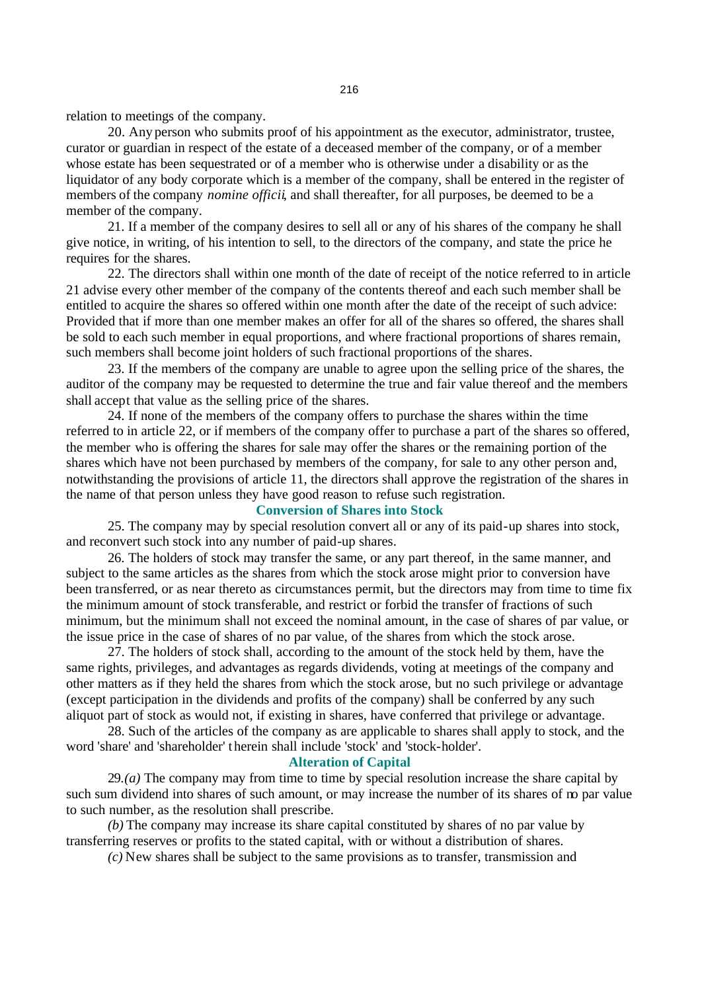relation to meetings of the company.

20. Any person who submits proof of his appointment as the executor, administrator, trustee, curator or guardian in respect of the estate of a deceased member of the company, or of a member whose estate has been sequestrated or of a member who is otherwise under a disability or as the liquidator of any body corporate which is a member of the company, shall be entered in the register of members of the company *nomine officii*, and shall thereafter, for all purposes, be deemed to be a member of the company.

21. If a member of the company desires to sell all or any of his shares of the company he shall give notice, in writing, of his intention to sell, to the directors of the company, and state the price he requires for the shares.

22. The directors shall within one month of the date of receipt of the notice referred to in article 21 advise every other member of the company of the contents thereof and each such member shall be entitled to acquire the shares so offered within one month after the date of the receipt of such advice: Provided that if more than one member makes an offer for all of the shares so offered, the shares shall be sold to each such member in equal proportions, and where fractional proportions of shares remain, such members shall become joint holders of such fractional proportions of the shares.

23. If the members of the company are unable to agree upon the selling price of the shares, the auditor of the company may be requested to determine the true and fair value thereof and the members shall accept that value as the selling price of the shares.

24. If none of the members of the company offers to purchase the shares within the time referred to in article 22, or if members of the company offer to purchase a part of the shares so offered, the member who is offering the shares for sale may offer the shares or the remaining portion of the shares which have not been purchased by members of the company, for sale to any other person and, notwithstanding the provisions of article 11, the directors shall approve the registration of the shares in the name of that person unless they have good reason to refuse such registration.

# **Conversion of Shares into Stock**

25. The company may by special resolution convert all or any of its paid-up shares into stock, and reconvert such stock into any number of paid-up shares.

26. The holders of stock may transfer the same, or any part thereof, in the same manner, and subject to the same articles as the shares from which the stock arose might prior to conversion have been transferred, or as near thereto as circumstances permit, but the directors may from time to time fix the minimum amount of stock transferable, and restrict or forbid the transfer of fractions of such minimum, but the minimum shall not exceed the nominal amount, in the case of shares of par value, or the issue price in the case of shares of no par value, of the shares from which the stock arose.

27. The holders of stock shall, according to the amount of the stock held by them, have the same rights, privileges, and advantages as regards dividends, voting at meetings of the company and other matters as if they held the shares from which the stock arose, but no such privilege or advantage (except participation in the dividends and profits of the company) shall be conferred by any such aliquot part of stock as would not, if existing in shares, have conferred that privilege or advantage.

28. Such of the articles of the company as are applicable to shares shall apply to stock, and the word 'share' and 'shareholder' t herein shall include 'stock' and 'stock-holder'.

### **Alteration of Capital**

29.*(a)* The company may from time to time by special resolution increase the share capital by such sum dividend into shares of such amount, or may increase the number of its shares of no par value to such number, as the resolution shall prescribe.

*(b)* The company may increase its share capital constituted by shares of no par value by transferring reserves or profits to the stated capital, with or without a distribution of shares.

*(c)* New shares shall be subject to the same provisions as to transfer, transmission and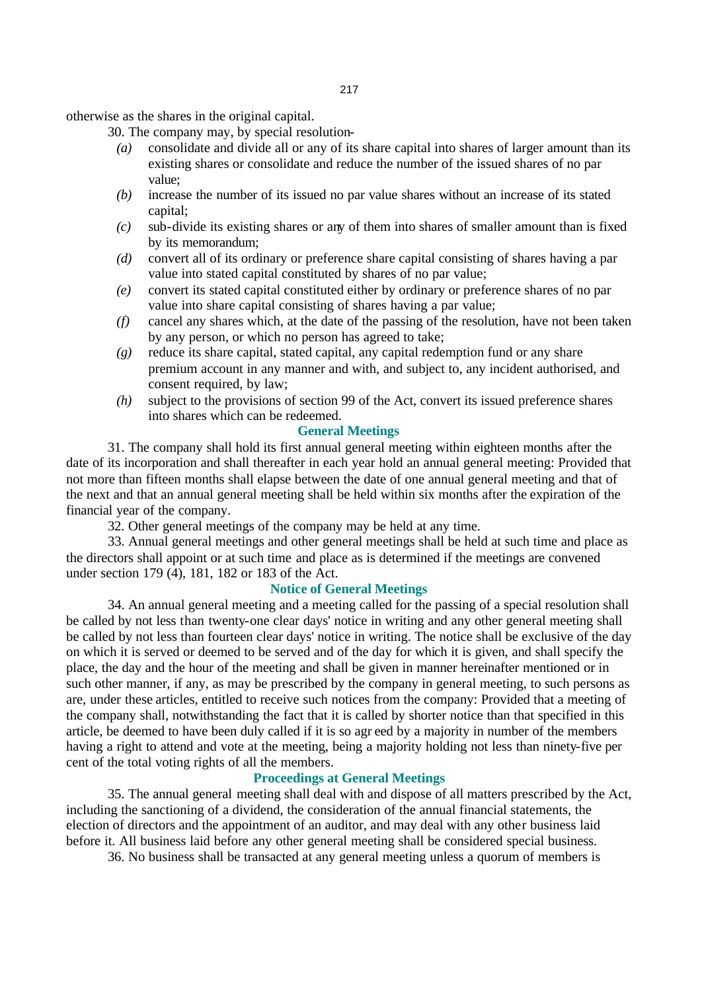otherwise as the shares in the original capital.

30. The company may, by special resolution-

- *(a)* consolidate and divide all or any of its share capital into shares of larger amount than its existing shares or consolidate and reduce the number of the issued shares of no par value;
- *(b)* increase the number of its issued no par value shares without an increase of its stated capital;
- *(c)* sub-divide its existing shares or any of them into shares of smaller amount than is fixed by its memorandum;
- *(d)* convert all of its ordinary or preference share capital consisting of shares having a par value into stated capital constituted by shares of no par value;
- *(e)* convert its stated capital constituted either by ordinary or preference shares of no par value into share capital consisting of shares having a par value;
- *(f)* cancel any shares which, at the date of the passing of the resolution, have not been taken by any person, or which no person has agreed to take;
- *(g)* reduce its share capital, stated capital, any capital redemption fund or any share premium account in any manner and with, and subject to, any incident authorised, and consent required, by law;
- *(h)* subject to the provisions of section 99 of the Act, convert its issued preference shares into shares which can be redeemed.

#### **General Meetings**

31. The company shall hold its first annual general meeting within eighteen months after the date of its incorporation and shall thereafter in each year hold an annual general meeting: Provided that not more than fifteen months shall elapse between the date of one annual general meeting and that of the next and that an annual general meeting shall be held within six months after the expiration of the financial year of the company.

32. Other general meetings of the company may be held at any time.

33. Annual general meetings and other general meetings shall be held at such time and place as the directors shall appoint or at such time and place as is determined if the meetings are convened under section 179 (4), 181, 182 or 183 of the Act.

#### **Notice of General Meetings**

34. An annual general meeting and a meeting called for the passing of a special resolution shall be called by not less than twenty-one clear days' notice in writing and any other general meeting shall be called by not less than fourteen clear days' notice in writing. The notice shall be exclusive of the day on which it is served or deemed to be served and of the day for which it is given, and shall specify the place, the day and the hour of the meeting and shall be given in manner hereinafter mentioned or in such other manner, if any, as may be prescribed by the company in general meeting, to such persons as are, under these articles, entitled to receive such notices from the company: Provided that a meeting of the company shall, notwithstanding the fact that it is called by shorter notice than that specified in this article, be deemed to have been duly called if it is so agr eed by a majority in number of the members having a right to attend and vote at the meeting, being a majority holding not less than ninety-five per cent of the total voting rights of all the members.

#### **Proceedings at General Meetings**

35. The annual general meeting shall deal with and dispose of all matters prescribed by the Act, including the sanctioning of a dividend, the consideration of the annual financial statements, the election of directors and the appointment of an auditor, and may deal with any other business laid before it. All business laid before any other general meeting shall be considered special business.

36. No business shall be transacted at any general meeting unless a quorum of members is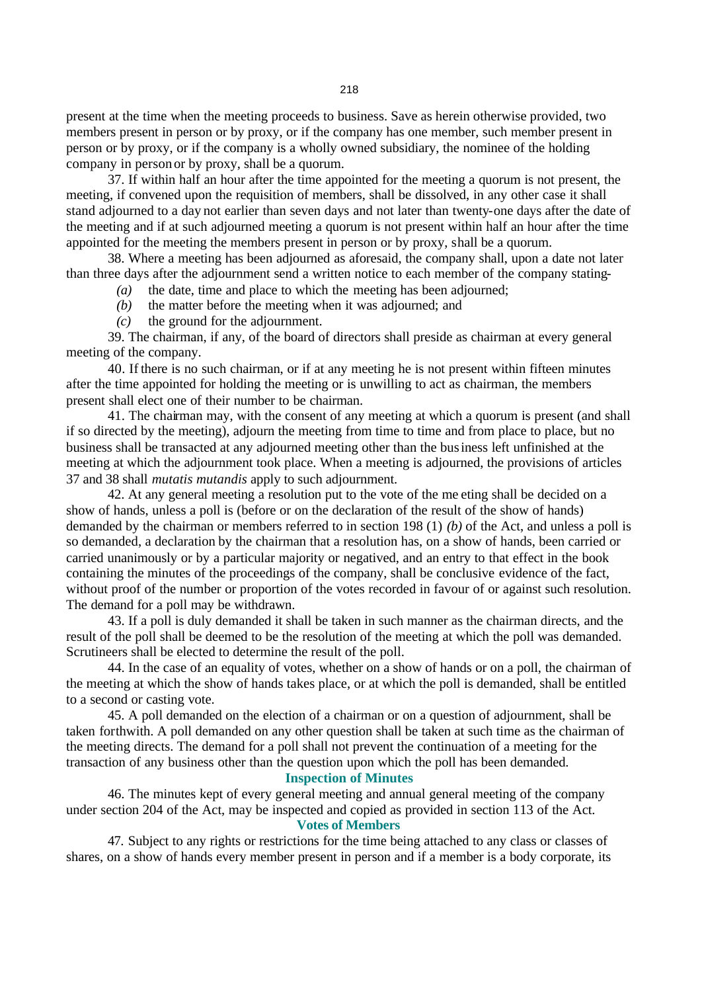present at the time when the meeting proceeds to business. Save as herein otherwise provided, two members present in person or by proxy, or if the company has one member, such member present in person or by proxy, or if the company is a wholly owned subsidiary, the nominee of the holding company in person or by proxy, shall be a quorum.

37. If within half an hour after the time appointed for the meeting a quorum is not present, the meeting, if convened upon the requisition of members, shall be dissolved, in any other case it shall stand adjourned to a day not earlier than seven days and not later than twenty-one days after the date of the meeting and if at such adjourned meeting a quorum is not present within half an hour after the time appointed for the meeting the members present in person or by proxy, shall be a quorum.

38. Where a meeting has been adjourned as aforesaid, the company shall, upon a date not later than three days after the adjournment send a written notice to each member of the company stating-

- *(a)* the date, time and place to which the meeting has been adjourned;
- *(b)* the matter before the meeting when it was adjourned; and
- *(c)* the ground for the adjournment.

39. The chairman, if any, of the board of directors shall preside as chairman at every general meeting of the company.

40. If there is no such chairman, or if at any meeting he is not present within fifteen minutes after the time appointed for holding the meeting or is unwilling to act as chairman, the members present shall elect one of their number to be chairman.

41. The chairman may, with the consent of any meeting at which a quorum is present (and shall if so directed by the meeting), adjourn the meeting from time to time and from place to place, but no business shall be transacted at any adjourned meeting other than the business left unfinished at the meeting at which the adjournment took place. When a meeting is adjourned, the provisions of articles 37 and 38 shall *mutatis mutandis* apply to such adjournment.

42. At any general meeting a resolution put to the vote of the me eting shall be decided on a show of hands, unless a poll is (before or on the declaration of the result of the show of hands) demanded by the chairman or members referred to in section 198 (1) *(b)* of the Act, and unless a poll is so demanded, a declaration by the chairman that a resolution has, on a show of hands, been carried or carried unanimously or by a particular majority or negatived, and an entry to that effect in the book containing the minutes of the proceedings of the company, shall be conclusive evidence of the fact, without proof of the number or proportion of the votes recorded in favour of or against such resolution. The demand for a poll may be withdrawn.

43. If a poll is duly demanded it shall be taken in such manner as the chairman directs, and the result of the poll shall be deemed to be the resolution of the meeting at which the poll was demanded. Scrutineers shall be elected to determine the result of the poll.

44. In the case of an equality of votes, whether on a show of hands or on a poll, the chairman of the meeting at which the show of hands takes place, or at which the poll is demanded, shall be entitled to a second or casting vote.

45. A poll demanded on the election of a chairman or on a question of adjournment, shall be taken forthwith. A poll demanded on any other question shall be taken at such time as the chairman of the meeting directs. The demand for a poll shall not prevent the continuation of a meeting for the transaction of any business other than the question upon which the poll has been demanded.

#### **Inspection of Minutes**

46. The minutes kept of every general meeting and annual general meeting of the company under section 204 of the Act, may be inspected and copied as provided in section 113 of the Act. **Votes of Members**

47. Subject to any rights or restrictions for the time being attached to any class or classes of shares, on a show of hands every member present in person and if a member is a body corporate, its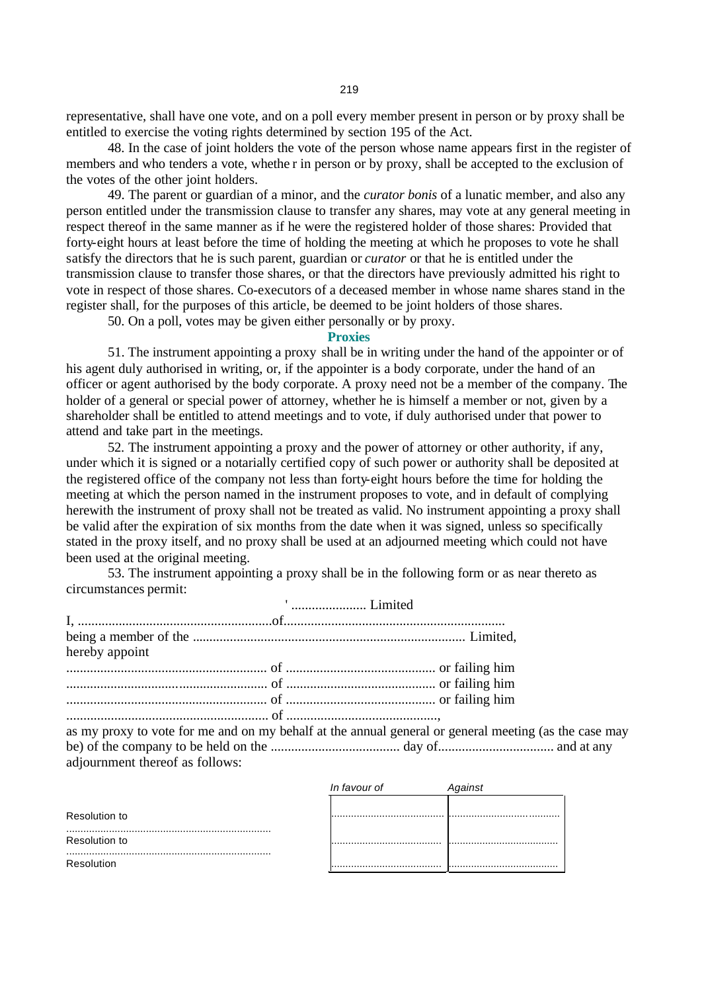representative, shall have one vote, and on a poll every member present in person or by proxy shall be entitled to exercise the voting rights determined by section 195 of the Act.

48. In the case of joint holders the vote of the person whose name appears first in the register of members and who tenders a vote, whethe r in person or by proxy, shall be accepted to the exclusion of the votes of the other joint holders.

49. The parent or guardian of a minor, and the *curator bonis* of a lunatic member, and also any person entitled under the transmission clause to transfer any shares, may vote at any general meeting in respect thereof in the same manner as if he were the registered holder of those shares: Provided that forty-eight hours at least before the time of holding the meeting at which he proposes to vote he shall satisfy the directors that he is such parent, guardian or *curator* or that he is entitled under the transmission clause to transfer those shares, or that the directors have previously admitted his right to vote in respect of those shares. Co-executors of a deceased member in whose name shares stand in the register shall, for the purposes of this article, be deemed to be joint holders of those shares.

50. On a poll, votes may be given either personally or by proxy.

#### **Proxies**

51. The instrument appointing a proxy shall be in writing under the hand of the appointer or of his agent duly authorised in writing, or, if the appointer is a body corporate, under the hand of an officer or agent authorised by the body corporate. A proxy need not be a member of the company. The holder of a general or special power of attorney, whether he is himself a member or not, given by a shareholder shall be entitled to attend meetings and to vote, if duly authorised under that power to attend and take part in the meetings.

52. The instrument appointing a proxy and the power of attorney or other authority, if any, under which it is signed or a notarially certified copy of such power or authority shall be deposited at the registered office of the company not less than forty-eight hours before the time for holding the meeting at which the person named in the instrument proposes to vote, and in default of complying herewith the instrument of proxy shall not be treated as valid. No instrument appointing a proxy shall be valid after the expiration of six months from the date when it was signed, unless so specifically stated in the proxy itself, and no proxy shall be used at an adjourned meeting which could not have been used at the original meeting.

53. The instrument appointing a proxy shall be in the following form or as near thereto as circumstances permit:

|                | <b>Example 2 Continuous</b> <i>Communication Communication Communication Communication</i> |  |  |
|----------------|--------------------------------------------------------------------------------------------|--|--|
|                |                                                                                            |  |  |
|                |                                                                                            |  |  |
| hereby appoint |                                                                                            |  |  |
|                |                                                                                            |  |  |
|                |                                                                                            |  |  |
|                |                                                                                            |  |  |
|                |                                                                                            |  |  |

as my proxy to vote for me and on my behalf at the annual general or general meeting (as the case may be) of the company to be held on the ...................................... day of.................................. and at any adjournment thereof as follows:

| Resolution to |  |
|---------------|--|
|               |  |
| Resolution to |  |
|               |  |
| Resolution    |  |
|               |  |

| In favour of | Against |  |  |
|--------------|---------|--|--|
|              |         |  |  |
|              |         |  |  |
|              |         |  |  |
|              |         |  |  |
|              |         |  |  |
|              |         |  |  |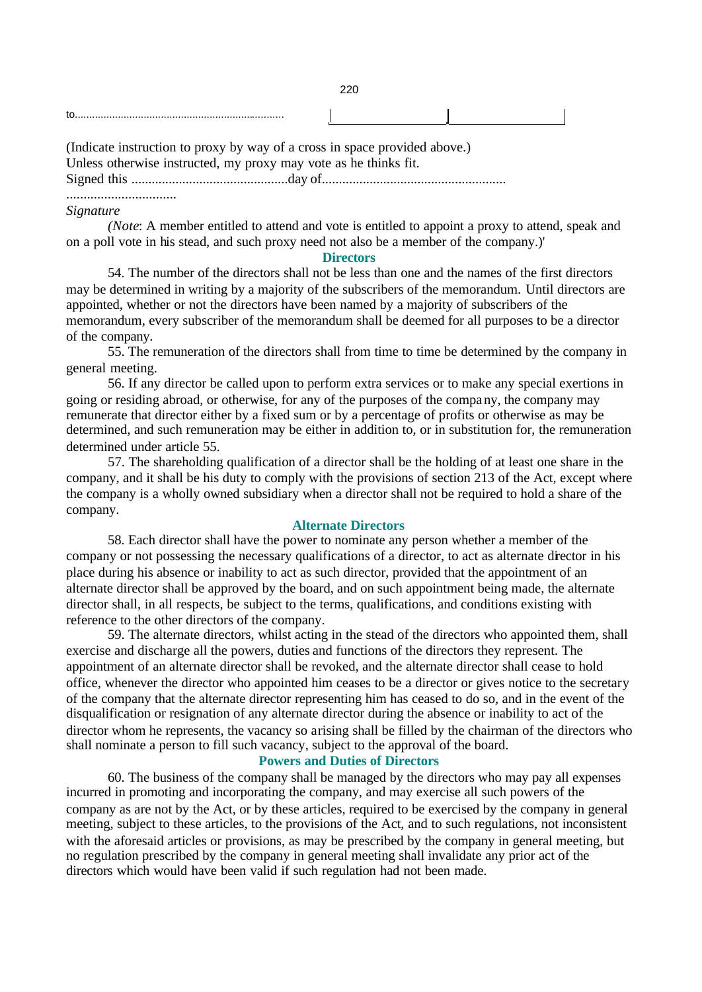(Indicate instruction to proxy by way of a cross in space provided above.) Unless otherwise instructed, my proxy may vote as he thinks fit.

Signed this ..............................................day of......................................................

# ................................

*Signature*

*(Note*: A member entitled to attend and vote is entitled to appoint a proxy to attend, speak and on a poll vote in his stead, and such proxy need not also be a member of the company.)'

#### **Directors**

54. The number of the directors shall not be less than one and the names of the first directors may be determined in writing by a majority of the subscribers of the memorandum. Until directors are appointed, whether or not the directors have been named by a majority of subscribers of the memorandum, every subscriber of the memorandum shall be deemed for all purposes to be a director of the company.

55. The remuneration of the directors shall from time to time be determined by the company in general meeting.

56. If any director be called upon to perform extra services or to make any special exertions in going or residing abroad, or otherwise, for any of the purposes of the compa ny, the company may remunerate that director either by a fixed sum or by a percentage of profits or otherwise as may be determined, and such remuneration may be either in addition to, or in substitution for, the remuneration determined under article 55.

57. The shareholding qualification of a director shall be the holding of at least one share in the company, and it shall be his duty to comply with the provisions of section 213 of the Act, except where the company is a wholly owned subsidiary when a director shall not be required to hold a share of the company.

### **Alternate Directors**

58. Each director shall have the power to nominate any person whether a member of the company or not possessing the necessary qualifications of a director, to act as alternate director in his place during his absence or inability to act as such director, provided that the appointment of an alternate director shall be approved by the board, and on such appointment being made, the alternate director shall, in all respects, be subject to the terms, qualifications, and conditions existing with reference to the other directors of the company.

59. The alternate directors, whilst acting in the stead of the directors who appointed them, shall exercise and discharge all the powers, duties and functions of the directors they represent. The appointment of an alternate director shall be revoked, and the alternate director shall cease to hold office, whenever the director who appointed him ceases to be a director or gives notice to the secretary of the company that the alternate director representing him has ceased to do so, and in the event of the disqualification or resignation of any alternate director during the absence or inability to act of the director whom he represents, the vacancy so arising shall be filled by the chairman of the directors who shall nominate a person to fill such vacancy, subject to the approval of the board.

### **Powers and Duties of Directors**

60. The business of the company shall be managed by the directors who may pay all expenses incurred in promoting and incorporating the company, and may exercise all such powers of the company as are not by the Act, or by these articles, required to be exercised by the company in general meeting, subject to these articles, to the provisions of the Act, and to such regulations, not inconsistent with the aforesaid articles or provisions, as may be prescribed by the company in general meeting, but no regulation prescribed by the company in general meeting shall invalidate any prior act of the directors which would have been valid if such regulation had not been made.

220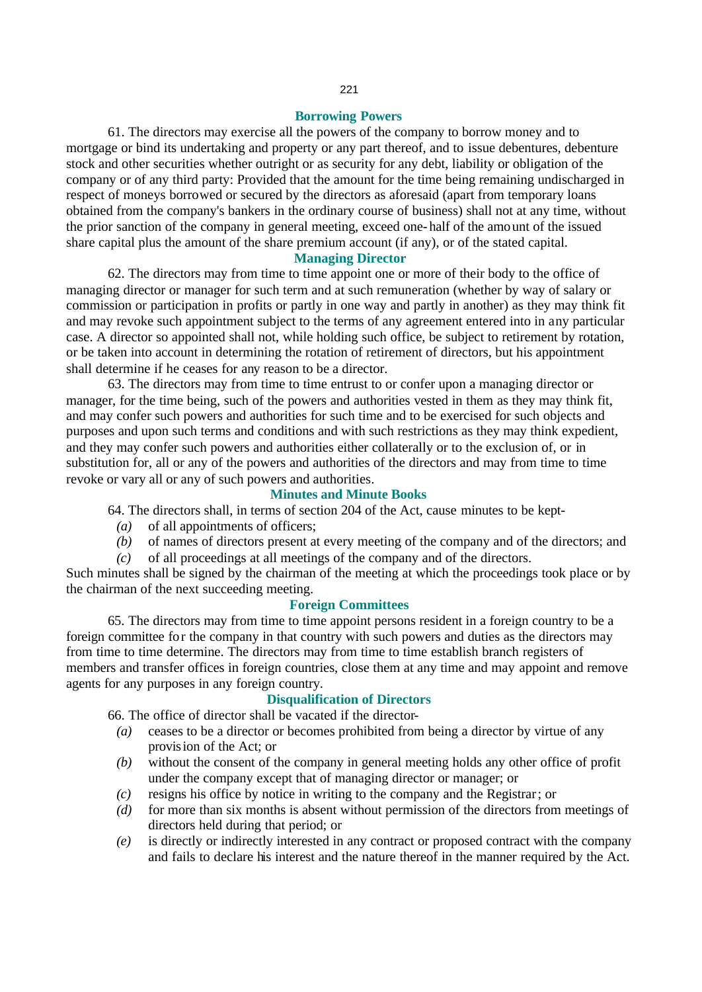#### **Borrowing Powers**

61. The directors may exercise all the powers of the company to borrow money and to mortgage or bind its undertaking and property or any part thereof, and to issue debentures, debenture stock and other securities whether outright or as security for any debt, liability or obligation of the company or of any third party: Provided that the amount for the time being remaining undischarged in respect of moneys borrowed or secured by the directors as aforesaid (apart from temporary loans obtained from the company's bankers in the ordinary course of business) shall not at any time, without the prior sanction of the company in general meeting, exceed one-half of the amount of the issued share capital plus the amount of the share premium account (if any), or of the stated capital.

#### **Managing Director**

62. The directors may from time to time appoint one or more of their body to the office of managing director or manager for such term and at such remuneration (whether by way of salary or commission or participation in profits or partly in one way and partly in another) as they may think fit and may revoke such appointment subject to the terms of any agreement entered into in any particular case. A director so appointed shall not, while holding such office, be subject to retirement by rotation, or be taken into account in determining the rotation of retirement of directors, but his appointment shall determine if he ceases for any reason to be a director.

63. The directors may from time to time entrust to or confer upon a managing director or manager, for the time being, such of the powers and authorities vested in them as they may think fit, and may confer such powers and authorities for such time and to be exercised for such objects and purposes and upon such terms and conditions and with such restrictions as they may think expedient, and they may confer such powers and authorities either collaterally or to the exclusion of, or in substitution for, all or any of the powers and authorities of the directors and may from time to time revoke or vary all or any of such powers and authorities.

#### **Minutes and Minute Books**

64. The directors shall, in terms of section 204 of the Act, cause minutes to be kept-

- *(a)* of all appointments of officers;
- *(b)* of names of directors present at every meeting of the company and of the directors; and
- *(c)* of all proceedings at all meetings of the company and of the directors.

Such minutes shall be signed by the chairman of the meeting at which the proceedings took place or by the chairman of the next succeeding meeting.

#### **Foreign Committees**

65. The directors may from time to time appoint persons resident in a foreign country to be a foreign committee for the company in that country with such powers and duties as the directors may from time to time determine. The directors may from time to time establish branch registers of members and transfer offices in foreign countries, close them at any time and may appoint and remove agents for any purposes in any foreign country.

#### **Disqualification of Directors**

66. The office of director shall be vacated if the director-

- *(a)* ceases to be a director or becomes prohibited from being a director by virtue of any provision of the Act; or
- *(b)* without the consent of the company in general meeting holds any other office of profit under the company except that of managing director or manager; or
- *(c)* resigns his office by notice in writing to the company and the Registrar; or
- *(d)* for more than six months is absent without permission of the directors from meetings of directors held during that period; or
- *(e)* is directly or indirectly interested in any contract or proposed contract with the company and fails to declare his interest and the nature thereof in the manner required by the Act.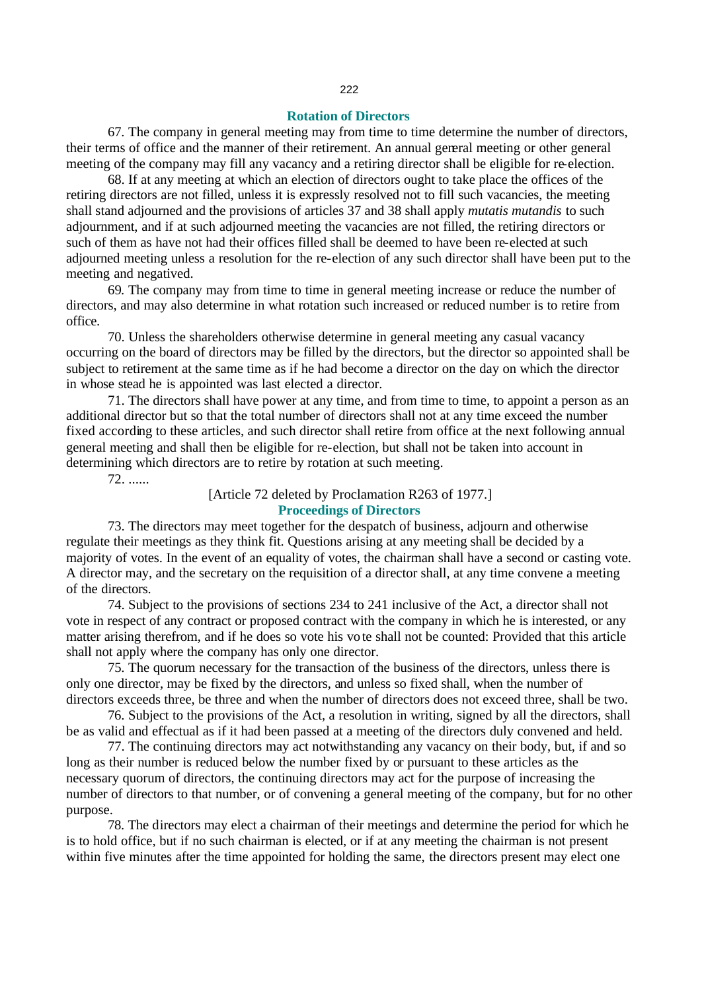#### **Rotation of Directors**

67. The company in general meeting may from time to time determine the number of directors, their terms of office and the manner of their retirement. An annual general meeting or other general meeting of the company may fill any vacancy and a retiring director shall be eligible for re-election.

68. If at any meeting at which an election of directors ought to take place the offices of the retiring directors are not filled, unless it is expressly resolved not to fill such vacancies, the meeting shall stand adjourned and the provisions of articles 37 and 38 shall apply *mutatis mutandis* to such adjournment, and if at such adjourned meeting the vacancies are not filled, the retiring directors or such of them as have not had their offices filled shall be deemed to have been re-elected at such adjourned meeting unless a resolution for the re-election of any such director shall have been put to the meeting and negatived.

69. The company may from time to time in general meeting increase or reduce the number of directors, and may also determine in what rotation such increased or reduced number is to retire from office.

70. Unless the shareholders otherwise determine in general meeting any casual vacancy occurring on the board of directors may be filled by the directors, but the director so appointed shall be subject to retirement at the same time as if he had become a director on the day on which the director in whose stead he is appointed was last elected a director.

71. The directors shall have power at any time, and from time to time, to appoint a person as an additional director but so that the total number of directors shall not at any time exceed the number fixed according to these articles, and such director shall retire from office at the next following annual general meeting and shall then be eligible for re-election, but shall not be taken into account in determining which directors are to retire by rotation at such meeting.

72. ......

[Article 72 deleted by Proclamation R263 of 1977.] **Proceedings of Directors**

73. The directors may meet together for the despatch of business, adjourn and otherwise regulate their meetings as they think fit. Questions arising at any meeting shall be decided by a majority of votes. In the event of an equality of votes, the chairman shall have a second or casting vote. A director may, and the secretary on the requisition of a director shall, at any time convene a meeting of the directors.

74. Subject to the provisions of sections 234 to 241 inclusive of the Act, a director shall not vote in respect of any contract or proposed contract with the company in which he is interested, or any matter arising therefrom, and if he does so vote his vote shall not be counted: Provided that this article shall not apply where the company has only one director.

75. The quorum necessary for the transaction of the business of the directors, unless there is only one director, may be fixed by the directors, and unless so fixed shall, when the number of directors exceeds three, be three and when the number of directors does not exceed three, shall be two.

76. Subject to the provisions of the Act, a resolution in writing, signed by all the directors, shall be as valid and effectual as if it had been passed at a meeting of the directors duly convened and held.

77. The continuing directors may act notwithstanding any vacancy on their body, but, if and so long as their number is reduced below the number fixed by or pursuant to these articles as the necessary quorum of directors, the continuing directors may act for the purpose of increasing the number of directors to that number, or of convening a general meeting of the company, but for no other purpose.

78. The directors may elect a chairman of their meetings and determine the period for which he is to hold office, but if no such chairman is elected, or if at any meeting the chairman is not present within five minutes after the time appointed for holding the same, the directors present may elect one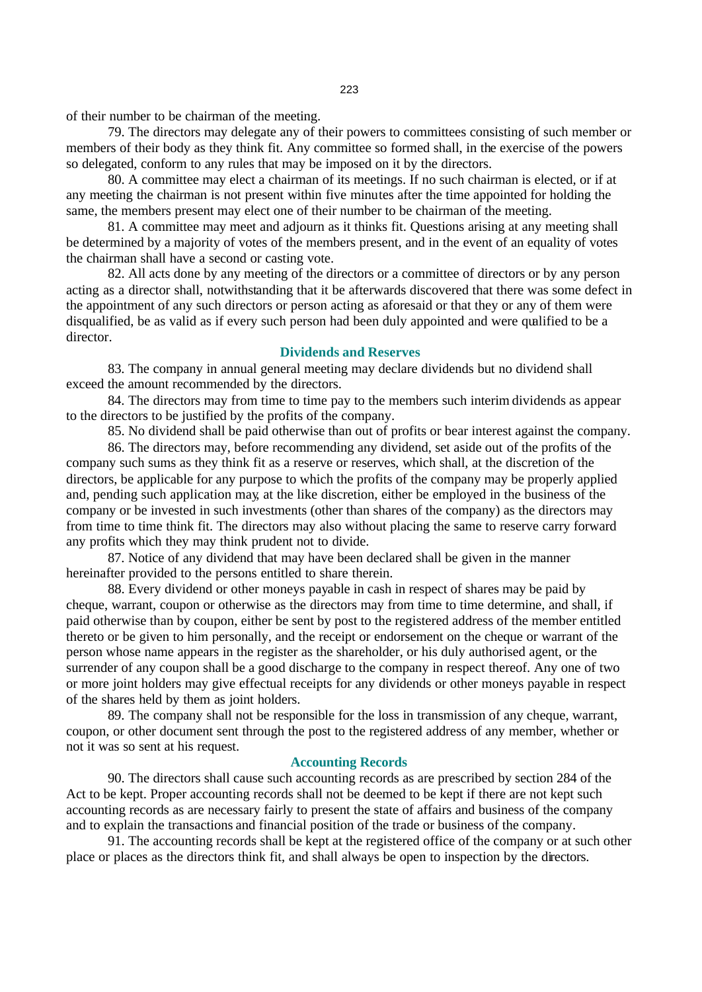of their number to be chairman of the meeting.

79. The directors may delegate any of their powers to committees consisting of such member or members of their body as they think fit. Any committee so formed shall, in the exercise of the powers so delegated, conform to any rules that may be imposed on it by the directors.

80. A committee may elect a chairman of its meetings. If no such chairman is elected, or if at any meeting the chairman is not present within five minutes after the time appointed for holding the same, the members present may elect one of their number to be chairman of the meeting.

81. A committee may meet and adjourn as it thinks fit. Questions arising at any meeting shall be determined by a majority of votes of the members present, and in the event of an equality of votes the chairman shall have a second or casting vote.

82. All acts done by any meeting of the directors or a committee of directors or by any person acting as a director shall, notwithstanding that it be afterwards discovered that there was some defect in the appointment of any such directors or person acting as aforesaid or that they or any of them were disqualified, be as valid as if every such person had been duly appointed and were qualified to be a director.

#### **Dividends and Reserves**

83. The company in annual general meeting may declare dividends but no dividend shall exceed the amount recommended by the directors.

84. The directors may from time to time pay to the members such interim dividends as appear to the directors to be justified by the profits of the company.

85. No dividend shall be paid otherwise than out of profits or bear interest against the company.

86. The directors may, before recommending any dividend, set aside out of the profits of the company such sums as they think fit as a reserve or reserves, which shall, at the discretion of the directors, be applicable for any purpose to which the profits of the company may be properly applied and, pending such application may, at the like discretion, either be employed in the business of the company or be invested in such investments (other than shares of the company) as the directors may from time to time think fit. The directors may also without placing the same to reserve carry forward any profits which they may think prudent not to divide.

87. Notice of any dividend that may have been declared shall be given in the manner hereinafter provided to the persons entitled to share therein.

88. Every dividend or other moneys payable in cash in respect of shares may be paid by cheque, warrant, coupon or otherwise as the directors may from time to time determine, and shall, if paid otherwise than by coupon, either be sent by post to the registered address of the member entitled thereto or be given to him personally, and the receipt or endorsement on the cheque or warrant of the person whose name appears in the register as the shareholder, or his duly authorised agent, or the surrender of any coupon shall be a good discharge to the company in respect thereof. Any one of two or more joint holders may give effectual receipts for any dividends or other moneys payable in respect of the shares held by them as joint holders.

89. The company shall not be responsible for the loss in transmission of any cheque, warrant, coupon, or other document sent through the post to the registered address of any member, whether or not it was so sent at his request.

#### **Accounting Records**

90. The directors shall cause such accounting records as are prescribed by section 284 of the Act to be kept. Proper accounting records shall not be deemed to be kept if there are not kept such accounting records as are necessary fairly to present the state of affairs and business of the company and to explain the transactions and financial position of the trade or business of the company.

91. The accounting records shall be kept at the registered office of the company or at such other place or places as the directors think fit, and shall always be open to inspection by the directors.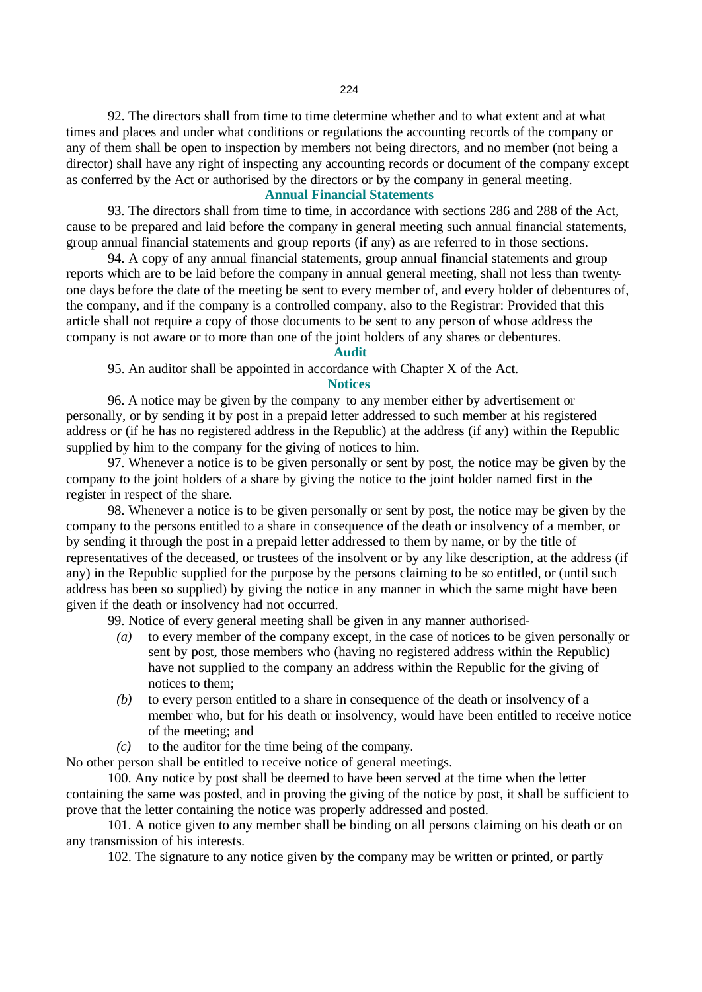92. The directors shall from time to time determine whether and to what extent and at what times and places and under what conditions or regulations the accounting records of the company or any of them shall be open to inspection by members not being directors, and no member (not being a director) shall have any right of inspecting any accounting records or document of the company except as conferred by the Act or authorised by the directors or by the company in general meeting.

### **Annual Financial Statements**

93. The directors shall from time to time, in accordance with sections 286 and 288 of the Act, cause to be prepared and laid before the company in general meeting such annual financial statements, group annual financial statements and group reports (if any) as are referred to in those sections.

94. A copy of any annual financial statements, group annual financial statements and group reports which are to be laid before the company in annual general meeting, shall not less than twentyone days before the date of the meeting be sent to every member of, and every holder of debentures of, the company, and if the company is a controlled company, also to the Registrar: Provided that this article shall not require a copy of those documents to be sent to any person of whose address the company is not aware or to more than one of the joint holders of any shares or debentures.

#### **Audit**

95. An auditor shall be appointed in accordance with Chapter X of the Act.

#### **Notices**

96. A notice may be given by the company to any member either by advertisement or personally, or by sending it by post in a prepaid letter addressed to such member at his registered address or (if he has no registered address in the Republic) at the address (if any) within the Republic supplied by him to the company for the giving of notices to him.

97. Whenever a notice is to be given personally or sent by post, the notice may be given by the company to the joint holders of a share by giving the notice to the joint holder named first in the register in respect of the share.

98. Whenever a notice is to be given personally or sent by post, the notice may be given by the company to the persons entitled to a share in consequence of the death or insolvency of a member, or by sending it through the post in a prepaid letter addressed to them by name, or by the title of representatives of the deceased, or trustees of the insolvent or by any like description, at the address (if any) in the Republic supplied for the purpose by the persons claiming to be so entitled, or (until such address has been so supplied) by giving the notice in any manner in which the same might have been given if the death or insolvency had not occurred.

99. Notice of every general meeting shall be given in any manner authorised-

- *(a)* to every member of the company except, in the case of notices to be given personally or sent by post, those members who (having no registered address within the Republic) have not supplied to the company an address within the Republic for the giving of notices to them;
- *(b)* to every person entitled to a share in consequence of the death or insolvency of a member who, but for his death or insolvency, would have been entitled to receive notice of the meeting; and
- *(c)* to the auditor for the time being of the company.

No other person shall be entitled to receive notice of general meetings.

100. Any notice by post shall be deemed to have been served at the time when the letter containing the same was posted, and in proving the giving of the notice by post, it shall be sufficient to prove that the letter containing the notice was properly addressed and posted.

101. A notice given to any member shall be binding on all persons claiming on his death or on any transmission of his interests.

102. The signature to any notice given by the company may be written or printed, or partly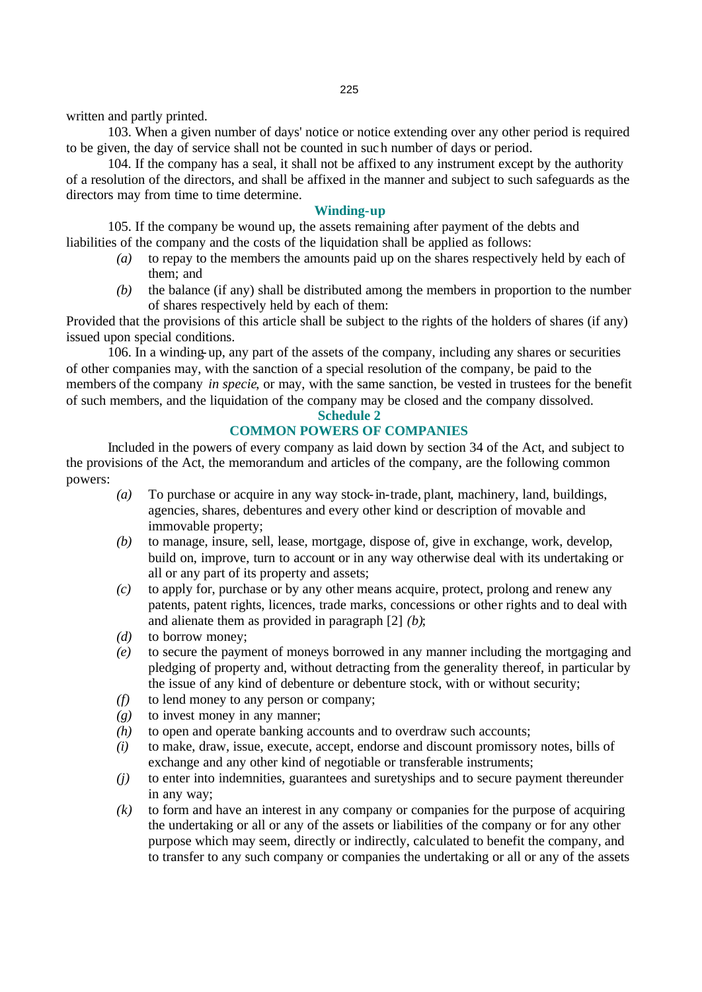written and partly printed.

103. When a given number of days' notice or notice extending over any other period is required to be given, the day of service shall not be counted in such number of days or period.

104. If the company has a seal, it shall not be affixed to any instrument except by the authority of a resolution of the directors, and shall be affixed in the manner and subject to such safeguards as the directors may from time to time determine.

#### **Winding-up**

105. If the company be wound up, the assets remaining after payment of the debts and liabilities of the company and the costs of the liquidation shall be applied as follows:

- *(a)* to repay to the members the amounts paid up on the shares respectively held by each of them; and
- *(b)* the balance (if any) shall be distributed among the members in proportion to the number of shares respectively held by each of them:

Provided that the provisions of this article shall be subject to the rights of the holders of shares (if any) issued upon special conditions.

106. In a winding-up, any part of the assets of the company, including any shares or securities of other companies may, with the sanction of a special resolution of the company, be paid to the members of the company *in specie*, or may, with the same sanction, be vested in trustees for the benefit of such members, and the liquidation of the company may be closed and the company dissolved. **Schedule 2**

# **COMMON POWERS OF COMPANIES**

Included in the powers of every company as laid down by section 34 of the Act, and subject to the provisions of the Act, the memorandum and articles of the company, are the following common powers:

- *(a)* To purchase or acquire in any way stock-in-trade, plant, machinery, land, buildings, agencies, shares, debentures and every other kind or description of movable and immovable property;
- *(b)* to manage, insure, sell, lease, mortgage, dispose of, give in exchange, work, develop, build on, improve, turn to account or in any way otherwise deal with its undertaking or all or any part of its property and assets;
- *(c)* to apply for, purchase or by any other means acquire, protect, prolong and renew any patents, patent rights, licences, trade marks, concessions or other rights and to deal with and alienate them as provided in paragraph [2] *(b)*;
- *(d)* to borrow money;
- *(e)* to secure the payment of moneys borrowed in any manner including the mortgaging and pledging of property and, without detracting from the generality thereof, in particular by the issue of any kind of debenture or debenture stock, with or without security;
- *(f)* to lend money to any person or company;
- *(g)* to invest money in any manner;
- *(h)* to open and operate banking accounts and to overdraw such accounts;
- *(i)* to make, draw, issue, execute, accept, endorse and discount promissory notes, bills of exchange and any other kind of negotiable or transferable instruments;
- *(j)* to enter into indemnities, guarantees and suretyships and to secure payment thereunder in any way;
- *(k)* to form and have an interest in any company or companies for the purpose of acquiring the undertaking or all or any of the assets or liabilities of the company or for any other purpose which may seem, directly or indirectly, calculated to benefit the company, and to transfer to any such company or companies the undertaking or all or any of the assets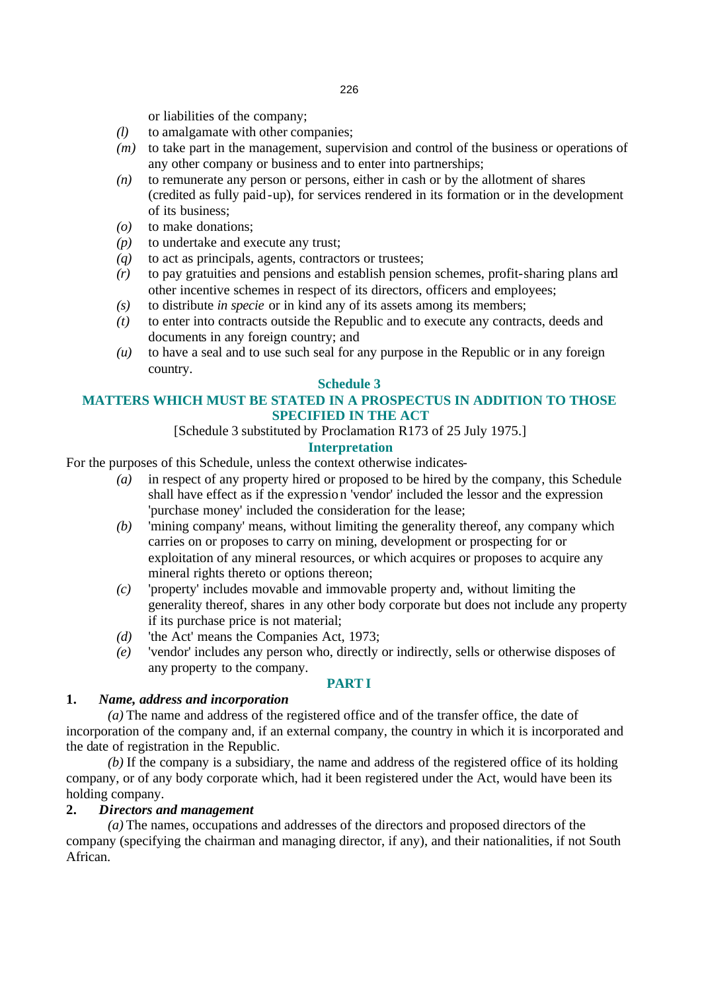or liabilities of the company;

- *(l)* to amalgamate with other companies;
- *(m)* to take part in the management, supervision and control of the business or operations of any other company or business and to enter into partnerships;
- *(n)* to remunerate any person or persons, either in cash or by the allotment of shares (credited as fully paid-up), for services rendered in its formation or in the development of its business;
- *(o)* to make donations;
- *(p)* to undertake and execute any trust;
- *(q)* to act as principals, agents, contractors or trustees;
- *(r)* to pay gratuities and pensions and establish pension schemes, profit-sharing plans and other incentive schemes in respect of its directors, officers and employees;
- *(s)* to distribute *in specie* or in kind any of its assets among its members;
- *(t)* to enter into contracts outside the Republic and to execute any contracts, deeds and documents in any foreign country; and
- *(u)* to have a seal and to use such seal for any purpose in the Republic or in any foreign country.

### **Schedule 3**

# **MATTERS WHICH MUST BE STATED IN A PROSPECTUS IN ADDITION TO THOSE SPECIFIED IN THE ACT**

[Schedule 3 substituted by Proclamation R173 of 25 July 1975.]

### **Interpretation**

For the purposes of this Schedule, unless the context otherwise indicates-

- *(a)* in respect of any property hired or proposed to be hired by the company, this Schedule shall have effect as if the expression 'vendor' included the lessor and the expression 'purchase money' included the consideration for the lease;
- *(b)* 'mining company' means, without limiting the generality thereof, any company which carries on or proposes to carry on mining, development or prospecting for or exploitation of any mineral resources, or which acquires or proposes to acquire any mineral rights thereto or options thereon;
- *(c)* 'property' includes movable and immovable property and, without limiting the generality thereof, shares in any other body corporate but does not include any property if its purchase price is not material;
- *(d)* 'the Act' means the Companies Act, 1973;
- *(e)* 'vendor' includes any person who, directly or indirectly, sells or otherwise disposes of any property to the company.

# **PART I**

# **1.** *Name, address and incorporation*

*(a)* The name and address of the registered office and of the transfer office, the date of incorporation of the company and, if an external company, the country in which it is incorporated and the date of registration in the Republic.

*(b)* If the company is a subsidiary, the name and address of the registered office of its holding company, or of any body corporate which, had it been registered under the Act, would have been its holding company.

# **2.** *Directors and management*

*(a)* The names, occupations and addresses of the directors and proposed directors of the company (specifying the chairman and managing director, if any), and their nationalities, if not South African.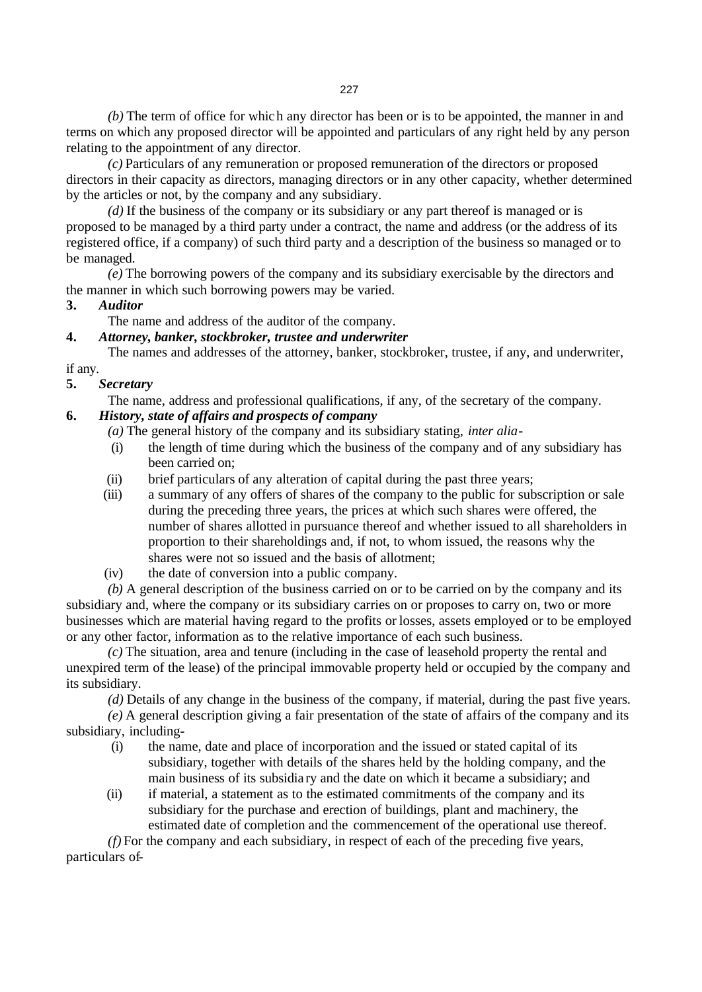*(b)* The term of office for which any director has been or is to be appointed, the manner in and terms on which any proposed director will be appointed and particulars of any right held by any person relating to the appointment of any director.

*(c)* Particulars of any remuneration or proposed remuneration of the directors or proposed directors in their capacity as directors, managing directors or in any other capacity, whether determined by the articles or not, by the company and any subsidiary.

*(d)* If the business of the company or its subsidiary or any part thereof is managed or is proposed to be managed by a third party under a contract, the name and address (or the address of its registered office, if a company) of such third party and a description of the business so managed or to be managed.

*(e)* The borrowing powers of the company and its subsidiary exercisable by the directors and the manner in which such borrowing powers may be varied.

### **3.** *Auditor*

The name and address of the auditor of the company.

### **4.** *Attorney, banker, stockbroker, trustee and underwriter*

The names and addresses of the attorney, banker, stockbroker, trustee, if any, and underwriter,

if any.

**5.** *Secretary*

The name, address and professional qualifications, if any, of the secretary of the company. **6.** *History, state of affairs and prospects of company*

- *(a)* The general history of the company and its subsidiary stating, *inter alia*
	- (i) the length of time during which the business of the company and of any subsidiary has been carried on;
- (ii) brief particulars of any alteration of capital during the past three years;
- (iii) a summary of any offers of shares of the company to the public for subscription or sale during the preceding three years, the prices at which such shares were offered, the number of shares allotted in pursuance thereof and whether issued to all shareholders in proportion to their shareholdings and, if not, to whom issued, the reasons why the shares were not so issued and the basis of allotment;
- (iv) the date of conversion into a public company.

*(b)* A general description of the business carried on or to be carried on by the company and its subsidiary and, where the company or its subsidiary carries on or proposes to carry on, two or more businesses which are material having regard to the profits or losses, assets employed or to be employed or any other factor, information as to the relative importance of each such business.

*(c)* The situation, area and tenure (including in the case of leasehold property the rental and unexpired term of the lease) of the principal immovable property held or occupied by the company and its subsidiary.

*(d)* Details of any change in the business of the company, if material, during the past five years.

*(e)* A general description giving a fair presentation of the state of affairs of the company and its subsidiary, including-

- (i) the name, date and place of incorporation and the issued or stated capital of its subsidiary, together with details of the shares held by the holding company, and the main business of its subsidia ry and the date on which it became a subsidiary; and
- (ii) if material, a statement as to the estimated commitments of the company and its subsidiary for the purchase and erection of buildings, plant and machinery, the estimated date of completion and the commencement of the operational use thereof.

*(f)* For the company and each subsidiary, in respect of each of the preceding five years, particulars of-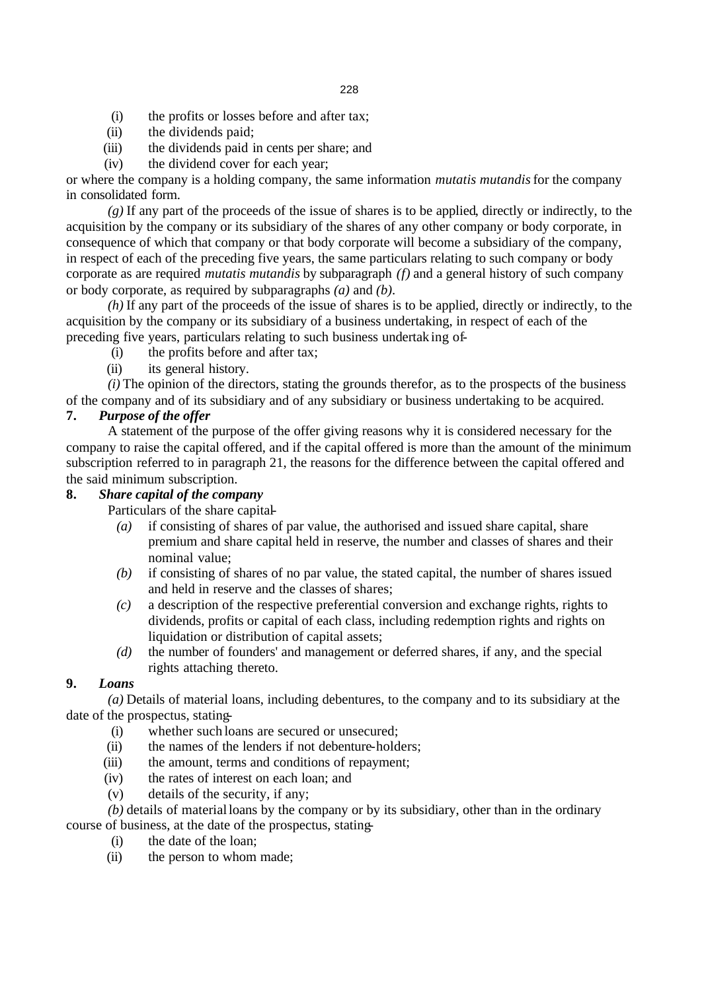- (i) the profits or losses before and after tax;
- (ii) the dividends paid;
- (iii) the dividends paid in cents per share; and
- (iv) the dividend cover for each year;

or where the company is a holding company, the same information *mutatis mutandis* for the company in consolidated form.

*(g)* If any part of the proceeds of the issue of shares is to be applied, directly or indirectly, to the acquisition by the company or its subsidiary of the shares of any other company or body corporate, in consequence of which that company or that body corporate will become a subsidiary of the company, in respect of each of the preceding five years, the same particulars relating to such company or body corporate as are required *mutatis mutandis* by subparagraph *(f)* and a general history of such company or body corporate, as required by subparagraphs *(a)* and *(b)*.

*(h)* If any part of the proceeds of the issue of shares is to be applied, directly or indirectly, to the acquisition by the company or its subsidiary of a business undertaking, in respect of each of the preceding five years, particulars relating to such business undertaking of-

- (i) the profits before and after tax;
- (ii) its general history.

*(i)* The opinion of the directors, stating the grounds therefor, as to the prospects of the business of the company and of its subsidiary and of any subsidiary or business undertaking to be acquired.

# **7.** *Purpose of the offer*

A statement of the purpose of the offer giving reasons why it is considered necessary for the company to raise the capital offered, and if the capital offered is more than the amount of the minimum subscription referred to in paragraph 21, the reasons for the difference between the capital offered and the said minimum subscription.

#### **8.** *Share capital of the company*

- Particulars of the share capital-
	- *(a)* if consisting of shares of par value, the authorised and issued share capital, share premium and share capital held in reserve, the number and classes of shares and their nominal value;
	- *(b)* if consisting of shares of no par value, the stated capital, the number of shares issued and held in reserve and the classes of shares;
	- *(c)* a description of the respective preferential conversion and exchange rights, rights to dividends, profits or capital of each class, including redemption rights and rights on liquidation or distribution of capital assets;
	- *(d)* the number of founders' and management or deferred shares, if any, and the special rights attaching thereto.

### **9.** *Loans*

*(a)* Details of material loans, including debentures, to the company and to its subsidiary at the date of the prospectus, stating-

- (i) whether such loans are secured or unsecured;
- (ii) the names of the lenders if not debenture-holders;
- (iii) the amount, terms and conditions of repayment;
- (iv) the rates of interest on each loan; and
- (v) details of the security, if any;

*(b)* details of material loans by the company or by its subsidiary, other than in the ordinary course of business, at the date of the prospectus, stating-

- (i) the date of the loan;
- (ii) the person to whom made;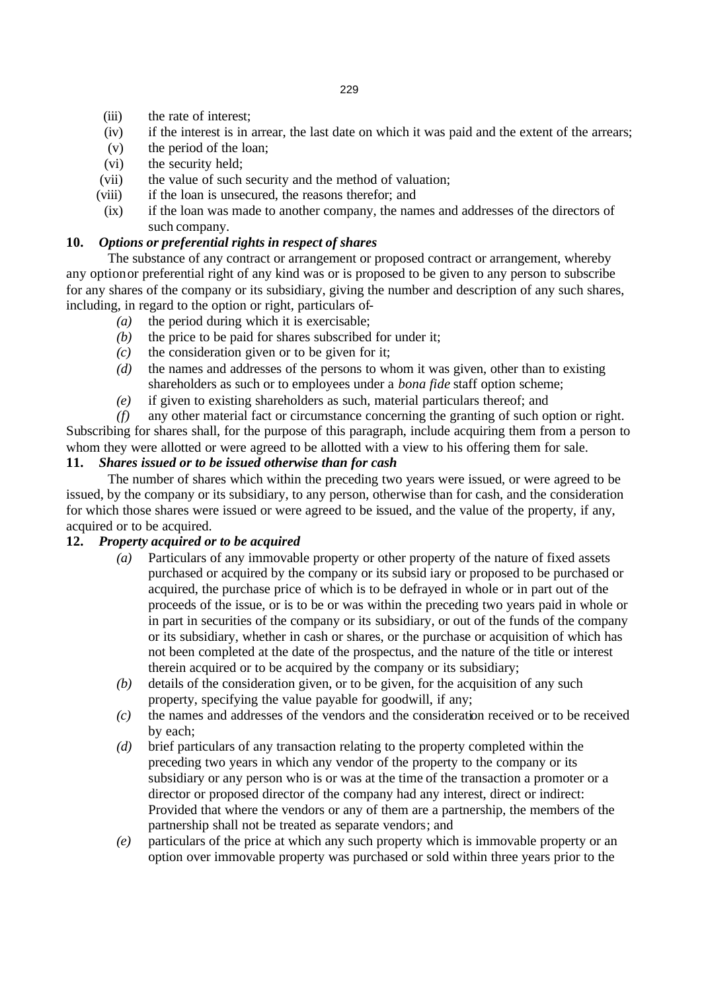- (iii) the rate of interest;
- (iv) if the interest is in arrear, the last date on which it was paid and the extent of the arrears;
- (v) the period of the loan;
- (vi) the security held;
- (vii) the value of such security and the method of valuation;
- (viii) if the loan is unsecured, the reasons therefor; and
	- (ix) if the loan was made to another company, the names and addresses of the directors of such company.

# **10.** *Options or preferential rights in respect of shares*

The substance of any contract or arrangement or proposed contract or arrangement, whereby any option or preferential right of any kind was or is proposed to be given to any person to subscribe for any shares of the company or its subsidiary, giving the number and description of any such shares, including, in regard to the option or right, particulars of-

- *(a)* the period during which it is exercisable;
- *(b)* the price to be paid for shares subscribed for under it;
- *(c)* the consideration given or to be given for it;
- *(d)* the names and addresses of the persons to whom it was given, other than to existing shareholders as such or to employees under a *bona fide* staff option scheme;
- *(e)* if given to existing shareholders as such, material particulars thereof; and

*(f)* any other material fact or circumstance concerning the granting of such option or right. Subscribing for shares shall, for the purpose of this paragraph, include acquiring them from a person to whom they were allotted or were agreed to be allotted with a view to his offering them for sale.

### **11.** *Shares issued or to be issued otherwise than for cash*

The number of shares which within the preceding two years were issued, or were agreed to be issued, by the company or its subsidiary, to any person, otherwise than for cash, and the consideration for which those shares were issued or were agreed to be issued, and the value of the property, if any, acquired or to be acquired.

### **12.** *Property acquired or to be acquired*

- *(a)* Particulars of any immovable property or other property of the nature of fixed assets purchased or acquired by the company or its subsid iary or proposed to be purchased or acquired, the purchase price of which is to be defrayed in whole or in part out of the proceeds of the issue, or is to be or was within the preceding two years paid in whole or in part in securities of the company or its subsidiary, or out of the funds of the company or its subsidiary, whether in cash or shares, or the purchase or acquisition of which has not been completed at the date of the prospectus, and the nature of the title or interest therein acquired or to be acquired by the company or its subsidiary;
- *(b)* details of the consideration given, or to be given, for the acquisition of any such property, specifying the value payable for goodwill, if any;
- *(c)* the names and addresses of the vendors and the consideration received or to be received by each;
- *(d)* brief particulars of any transaction relating to the property completed within the preceding two years in which any vendor of the property to the company or its subsidiary or any person who is or was at the time of the transaction a promoter or a director or proposed director of the company had any interest, direct or indirect: Provided that where the vendors or any of them are a partnership, the members of the partnership shall not be treated as separate vendors; and
- *(e)* particulars of the price at which any such property which is immovable property or an option over immovable property was purchased or sold within three years prior to the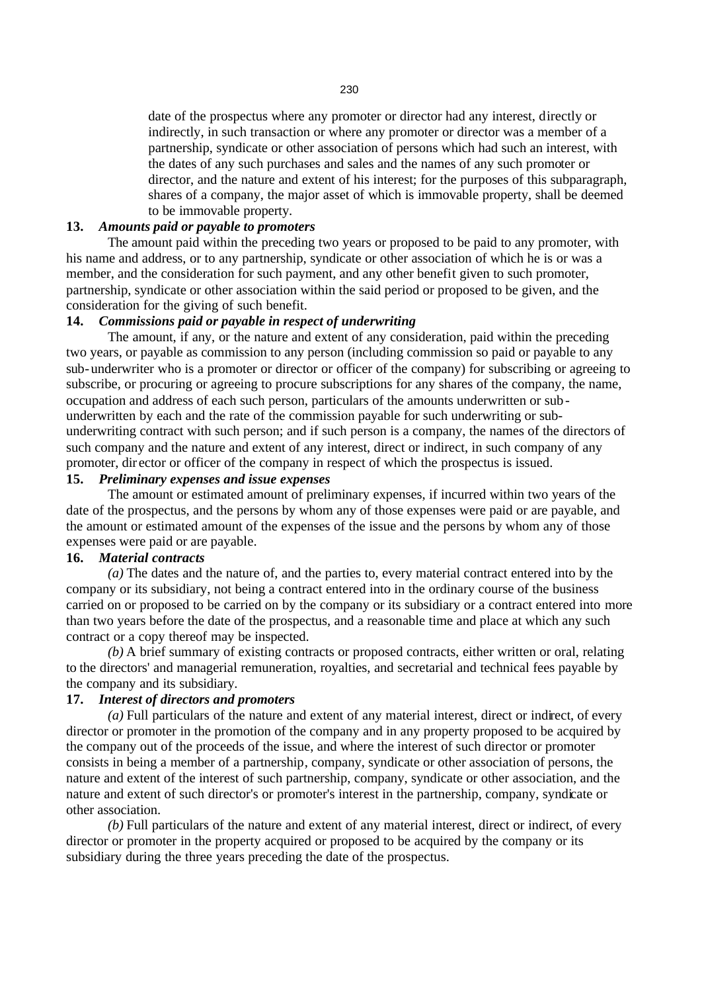date of the prospectus where any promoter or director had any interest, directly or indirectly, in such transaction or where any promoter or director was a member of a partnership, syndicate or other association of persons which had such an interest, with the dates of any such purchases and sales and the names of any such promoter or director, and the nature and extent of his interest; for the purposes of this subparagraph, shares of a company, the major asset of which is immovable property, shall be deemed to be immovable property.

# **13.** *Amounts paid or payable to promoters*

The amount paid within the preceding two years or proposed to be paid to any promoter, with his name and address, or to any partnership, syndicate or other association of which he is or was a member, and the consideration for such payment, and any other benefit given to such promoter, partnership, syndicate or other association within the said period or proposed to be given, and the consideration for the giving of such benefit.

#### **14.** *Commissions paid or payable in respect of underwriting*

The amount, if any, or the nature and extent of any consideration, paid within the preceding two years, or payable as commission to any person (including commission so paid or payable to any sub-underwriter who is a promoter or director or officer of the company) for subscribing or agreeing to subscribe, or procuring or agreeing to procure subscriptions for any shares of the company, the name, occupation and address of each such person, particulars of the amounts underwritten or sub underwritten by each and the rate of the commission payable for such underwriting or subunderwriting contract with such person; and if such person is a company, the names of the directors of such company and the nature and extent of any interest, direct or indirect, in such company of any promoter, dir ector or officer of the company in respect of which the prospectus is issued.

#### **15.** *Preliminary expenses and issue expenses*

The amount or estimated amount of preliminary expenses, if incurred within two years of the date of the prospectus, and the persons by whom any of those expenses were paid or are payable, and the amount or estimated amount of the expenses of the issue and the persons by whom any of those expenses were paid or are payable.

#### **16.** *Material contracts*

*(a)* The dates and the nature of, and the parties to, every material contract entered into by the company or its subsidiary, not being a contract entered into in the ordinary course of the business carried on or proposed to be carried on by the company or its subsidiary or a contract entered into more than two years before the date of the prospectus, and a reasonable time and place at which any such contract or a copy thereof may be inspected.

*(b)* A brief summary of existing contracts or proposed contracts, either written or oral, relating to the directors' and managerial remuneration, royalties, and secretarial and technical fees payable by the company and its subsidiary.

#### **17.** *Interest of directors and promoters*

*(a)* Full particulars of the nature and extent of any material interest, direct or indirect, of every director or promoter in the promotion of the company and in any property proposed to be acquired by the company out of the proceeds of the issue, and where the interest of such director or promoter consists in being a member of a partnership, company, syndicate or other association of persons, the nature and extent of the interest of such partnership, company, syndicate or other association, and the nature and extent of such director's or promoter's interest in the partnership, company, syndicate or other association.

*(b)* Full particulars of the nature and extent of any material interest, direct or indirect, of every director or promoter in the property acquired or proposed to be acquired by the company or its subsidiary during the three years preceding the date of the prospectus.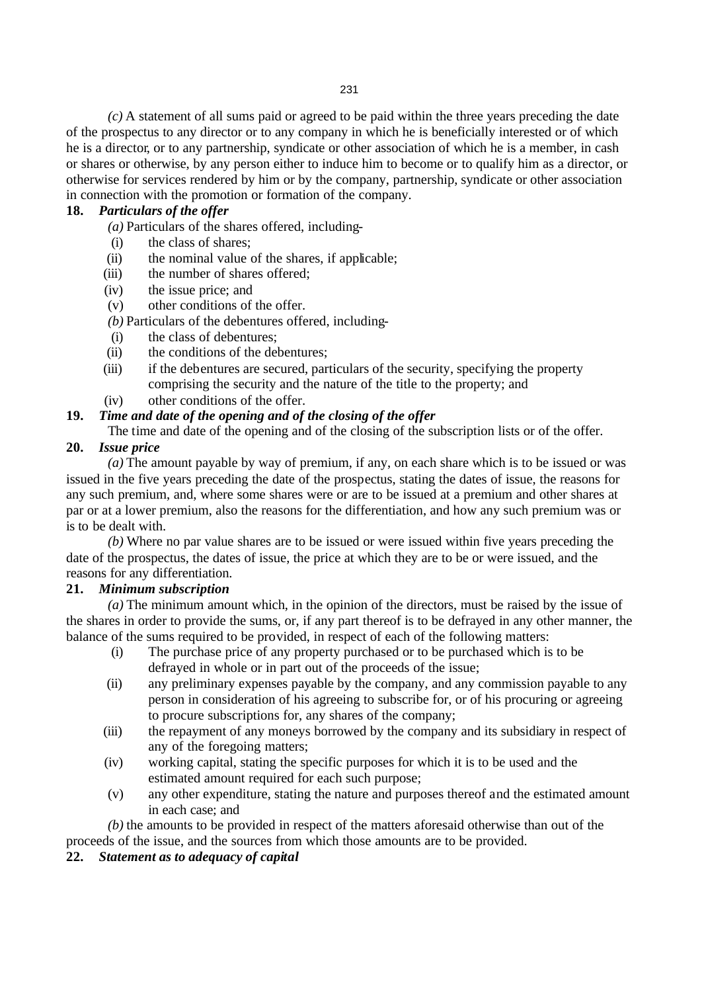231

*(c)* A statement of all sums paid or agreed to be paid within the three years preceding the date of the prospectus to any director or to any company in which he is beneficially interested or of which he is a director, or to any partnership, syndicate or other association of which he is a member, in cash or shares or otherwise, by any person either to induce him to become or to qualify him as a director, or otherwise for services rendered by him or by the company, partnership, syndicate or other association in connection with the promotion or formation of the company.

# **18.** *Particulars of the offer*

*(a)* Particulars of the shares offered, including-

- (i) the class of shares;
- (ii) the nominal value of the shares, if applicable;
- (iii) the number of shares offered;
- (iv) the issue price; and
- (v) other conditions of the offer.
- *(b)* Particulars of the debentures offered, including-
- (i) the class of debentures;
- (ii) the conditions of the debentures;
- (iii) if the debentures are secured, particulars of the security, specifying the property comprising the security and the nature of the title to the property; and
- (iv) other conditions of the offer.

# **19.** *Time and date of the opening and of the closing of the offer*

The time and date of the opening and of the closing of the subscription lists or of the offer.

#### **20.** *Issue price*

*(a)* The amount payable by way of premium, if any, on each share which is to be issued or was issued in the five years preceding the date of the prospectus, stating the dates of issue, the reasons for any such premium, and, where some shares were or are to be issued at a premium and other shares at par or at a lower premium, also the reasons for the differentiation, and how any such premium was or is to be dealt with.

*(b)* Where no par value shares are to be issued or were issued within five years preceding the date of the prospectus, the dates of issue, the price at which they are to be or were issued, and the reasons for any differentiation.

#### **21.** *Minimum subscription*

*(a)* The minimum amount which, in the opinion of the directors, must be raised by the issue of the shares in order to provide the sums, or, if any part thereof is to be defrayed in any other manner, the balance of the sums required to be provided, in respect of each of the following matters:

- (i) The purchase price of any property purchased or to be purchased which is to be defrayed in whole or in part out of the proceeds of the issue;
- (ii) any preliminary expenses payable by the company, and any commission payable to any person in consideration of his agreeing to subscribe for, or of his procuring or agreeing to procure subscriptions for, any shares of the company;
- (iii) the repayment of any moneys borrowed by the company and its subsidiary in respect of any of the foregoing matters;
- (iv) working capital, stating the specific purposes for which it is to be used and the estimated amount required for each such purpose;
- (v) any other expenditure, stating the nature and purposes thereof and the estimated amount in each case; and

*(b)* the amounts to be provided in respect of the matters aforesaid otherwise than out of the proceeds of the issue, and the sources from which those amounts are to be provided.

# **22.** *Statement as to adequacy of capital*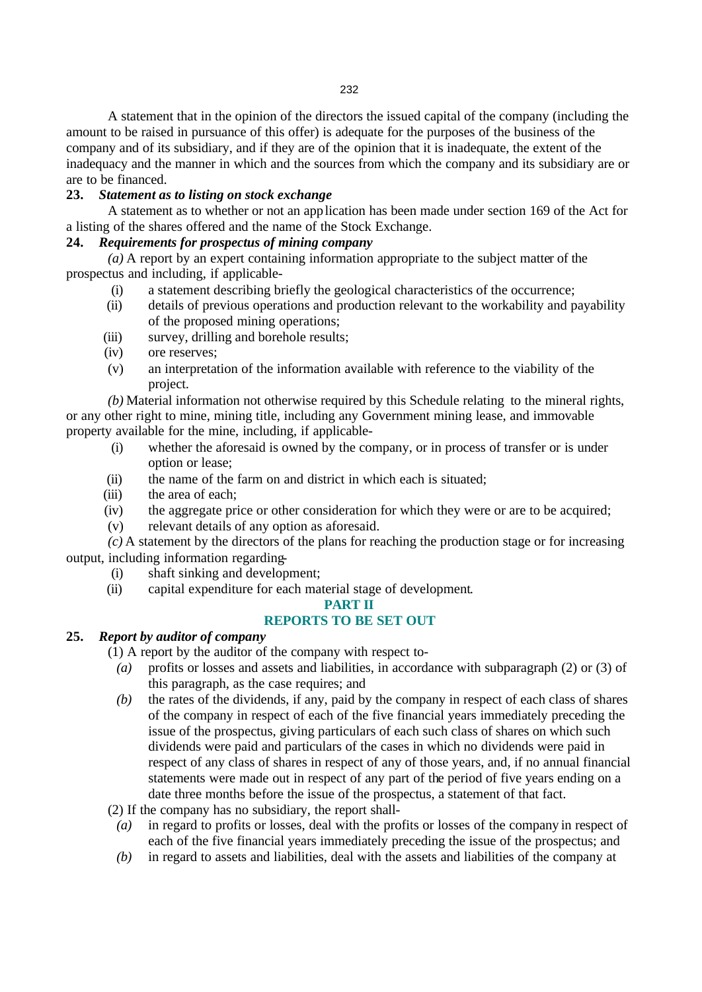A statement that in the opinion of the directors the issued capital of the company (including the amount to be raised in pursuance of this offer) is adequate for the purposes of the business of the company and of its subsidiary, and if they are of the opinion that it is inadequate, the extent of the inadequacy and the manner in which and the sources from which the company and its subsidiary are or are to be financed.

### **23.** *Statement as to listing on stock exchange*

A statement as to whether or not an application has been made under section 169 of the Act for a listing of the shares offered and the name of the Stock Exchange.

# **24.** *Requirements for prospectus of mining company*

*(a)* A report by an expert containing information appropriate to the subject matter of the prospectus and including, if applicable-

- (i) a statement describing briefly the geological characteristics of the occurrence;
- (ii) details of previous operations and production relevant to the workability and payability of the proposed mining operations;
- (iii) survey, drilling and borehole results;
- (iv) ore reserves;
- (v) an interpretation of the information available with reference to the viability of the project.

*(b)* Material information not otherwise required by this Schedule relating to the mineral rights, or any other right to mine, mining title, including any Government mining lease, and immovable property available for the mine, including, if applicable-

- (i) whether the aforesaid is owned by the company, or in process of transfer or is under option or lease;
- (ii) the name of the farm on and district in which each is situated;
- (iii) the area of each;
- (iv) the aggregate price or other consideration for which they were or are to be acquired;
- (v) relevant details of any option as aforesaid.

*(c)* A statement by the directors of the plans for reaching the production stage or for increasing output, including information regarding-

- (i) shaft sinking and development;
- (ii) capital expenditure for each material stage of development.

#### **PART II**

### **REPORTS TO BE SET OUT**

# **25.** *Report by auditor of company*

(1) A report by the auditor of the company with respect to-

- *(a)* profits or losses and assets and liabilities, in accordance with subparagraph (2) or (3) of this paragraph, as the case requires; and
- *(b)* the rates of the dividends, if any, paid by the company in respect of each class of shares of the company in respect of each of the five financial years immediately preceding the issue of the prospectus, giving particulars of each such class of shares on which such dividends were paid and particulars of the cases in which no dividends were paid in respect of any class of shares in respect of any of those years, and, if no annual financial statements were made out in respect of any part of the period of five years ending on a date three months before the issue of the prospectus, a statement of that fact.

(2) If the company has no subsidiary, the report shall-

- *(a)* in regard to profits or losses, deal with the profits or losses of the company in respect of each of the five financial years immediately preceding the issue of the prospectus; and
- *(b)* in regard to assets and liabilities, deal with the assets and liabilities of the company at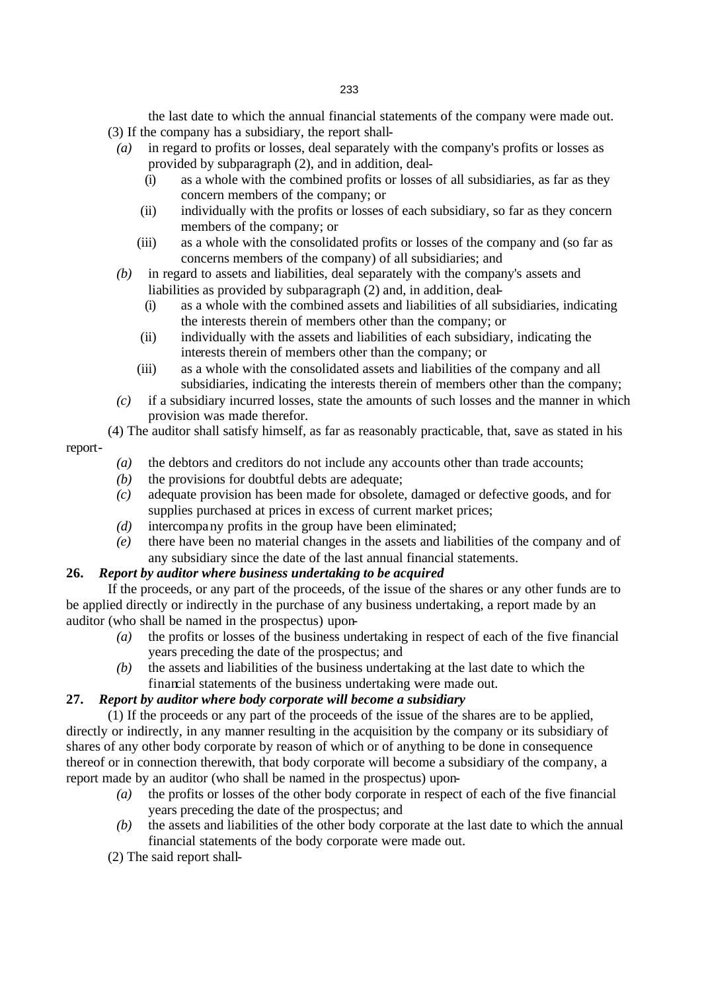the last date to which the annual financial statements of the company were made out. (3) If the company has a subsidiary, the report shall-

- *(a)* in regard to profits or losses, deal separately with the company's profits or losses as provided by subparagraph (2), and in addition, deal-
	- (i) as a whole with the combined profits or losses of all subsidiaries, as far as they concern members of the company; or
	- (ii) individually with the profits or losses of each subsidiary, so far as they concern members of the company; or
	- (iii) as a whole with the consolidated profits or losses of the company and (so far as concerns members of the company) of all subsidiaries; and
- *(b)* in regard to assets and liabilities, deal separately with the company's assets and liabilities as provided by subparagraph (2) and, in addition, deal-
	- (i) as a whole with the combined assets and liabilities of all subsidiaries, indicating the interests therein of members other than the company; or
	- (ii) individually with the assets and liabilities of each subsidiary, indicating the interests therein of members other than the company; or
	- (iii) as a whole with the consolidated assets and liabilities of the company and all subsidiaries, indicating the interests therein of members other than the company;
- *(c)* if a subsidiary incurred losses, state the amounts of such losses and the manner in which provision was made therefor.
- (4) The auditor shall satisfy himself, as far as reasonably practicable, that, save as stated in his report-
	- *(a)* the debtors and creditors do not include any accounts other than trade accounts;
	- *(b)* the provisions for doubtful debts are adequate;
	- *(c)* adequate provision has been made for obsolete, damaged or defective goods, and for supplies purchased at prices in excess of current market prices;
	- *(d)* intercompany profits in the group have been eliminated;
	- *(e)* there have been no material changes in the assets and liabilities of the company and of any subsidiary since the date of the last annual financial statements.

# **26.** *Report by auditor where business undertaking to be acquired*

If the proceeds, or any part of the proceeds, of the issue of the shares or any other funds are to be applied directly or indirectly in the purchase of any business undertaking, a report made by an auditor (who shall be named in the prospectus) upon-

- *(a)* the profits or losses of the business undertaking in respect of each of the five financial years preceding the date of the prospectus; and
- *(b)* the assets and liabilities of the business undertaking at the last date to which the financial statements of the business undertaking were made out.

# **27.** *Report by auditor where body corporate will become a subsidiary*

(1) If the proceeds or any part of the proceeds of the issue of the shares are to be applied, directly or indirectly, in any manner resulting in the acquisition by the company or its subsidiary of shares of any other body corporate by reason of which or of anything to be done in consequence thereof or in connection therewith, that body corporate will become a subsidiary of the company, a report made by an auditor (who shall be named in the prospectus) upon-

- *(a)* the profits or losses of the other body corporate in respect of each of the five financial years preceding the date of the prospectus; and
- *(b)* the assets and liabilities of the other body corporate at the last date to which the annual financial statements of the body corporate were made out.
- (2) The said report shall-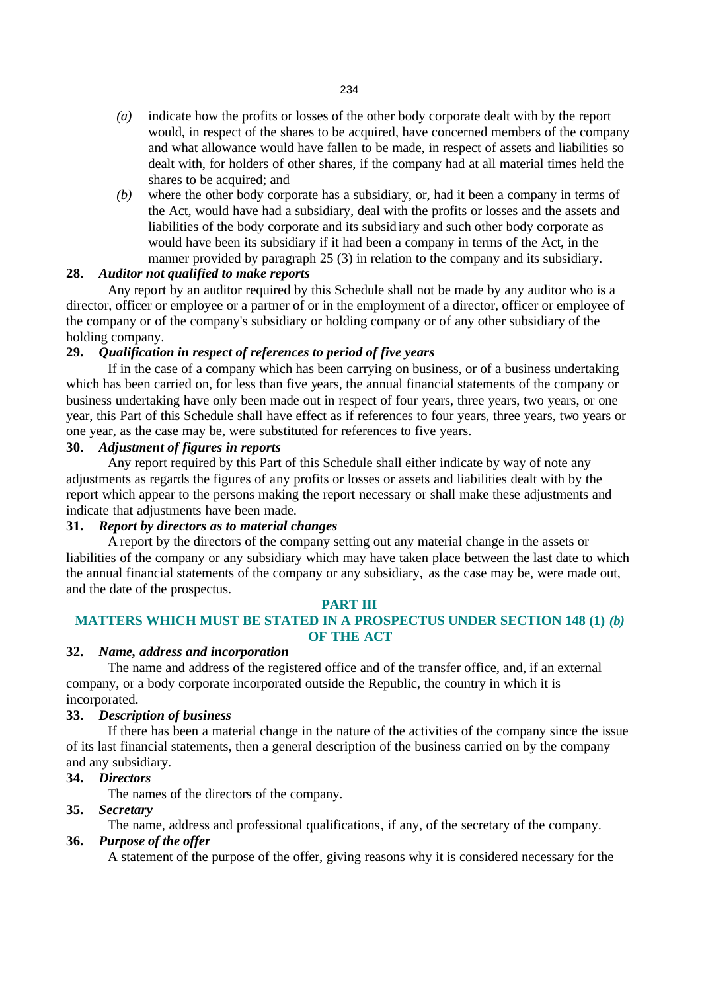- *(a)* indicate how the profits or losses of the other body corporate dealt with by the report would, in respect of the shares to be acquired, have concerned members of the company and what allowance would have fallen to be made, in respect of assets and liabilities so dealt with, for holders of other shares, if the company had at all material times held the shares to be acquired; and
- *(b)* where the other body corporate has a subsidiary, or, had it been a company in terms of the Act, would have had a subsidiary, deal with the profits or losses and the assets and liabilities of the body corporate and its subsidiary and such other body corporate as would have been its subsidiary if it had been a company in terms of the Act, in the manner provided by paragraph 25 (3) in relation to the company and its subsidiary.

### **28.** *Auditor not qualified to make reports*

Any report by an auditor required by this Schedule shall not be made by any auditor who is a director, officer or employee or a partner of or in the employment of a director, officer or employee of the company or of the company's subsidiary or holding company or of any other subsidiary of the holding company.

# **29.** *Qualification in respect of references to period of five years*

If in the case of a company which has been carrying on business, or of a business undertaking which has been carried on, for less than five years, the annual financial statements of the company or business undertaking have only been made out in respect of four years, three years, two years, or one year, this Part of this Schedule shall have effect as if references to four years, three years, two years or one year, as the case may be, were substituted for references to five years.

### **30.** *Adjustment of figures in reports*

Any report required by this Part of this Schedule shall either indicate by way of note any adjustments as regards the figures of any profits or losses or assets and liabilities dealt with by the report which appear to the persons making the report necessary or shall make these adjustments and indicate that adjustments have been made.

# **31.** *Report by directors as to material changes*

A report by the directors of the company setting out any material change in the assets or liabilities of the company or any subsidiary which may have taken place between the last date to which the annual financial statements of the company or any subsidiary, as the case may be, were made out, and the date of the prospectus.

#### **PART III**

# **MATTERS WHICH MUST BE STATED IN A PROSPECTUS UNDER SECTION 148 (1)** *(b)* **OF THE ACT**

#### **32.** *Name, address and incorporation*

The name and address of the registered office and of the transfer office, and, if an external company, or a body corporate incorporated outside the Republic, the country in which it is incorporated.

#### **33.** *Description of business*

If there has been a material change in the nature of the activities of the company since the issue of its last financial statements, then a general description of the business carried on by the company and any subsidiary.

#### **34.** *Directors*

The names of the directors of the company.

#### **35.** *Secretary*

The name, address and professional qualifications, if any, of the secretary of the company.

# **36.** *Purpose of the offer*

A statement of the purpose of the offer, giving reasons why it is considered necessary for the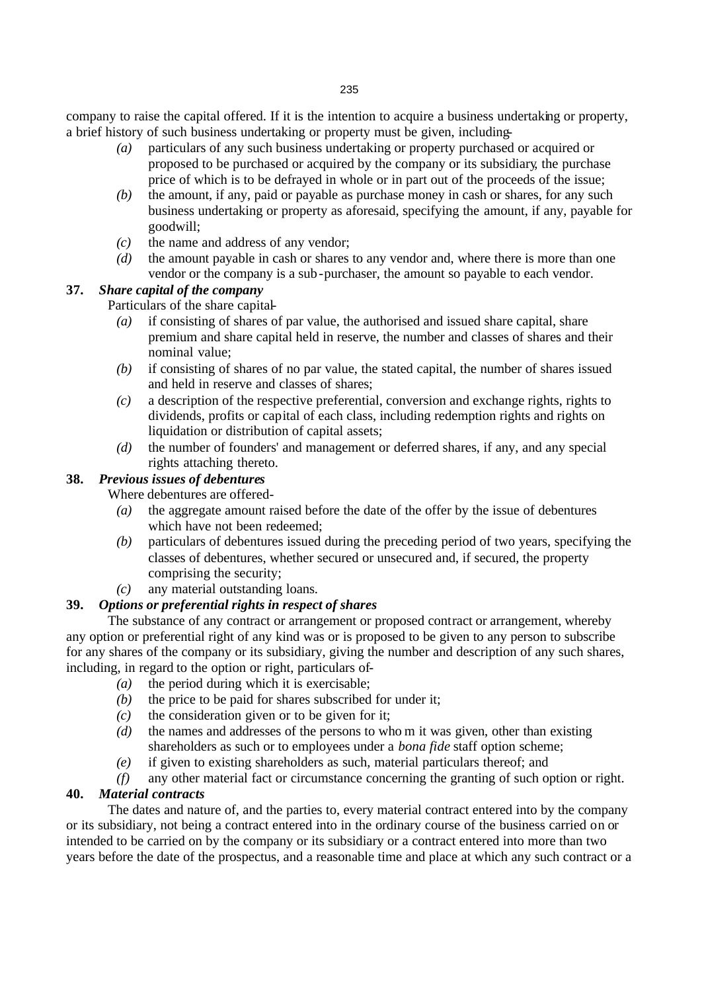company to raise the capital offered. If it is the intention to acquire a business undertaking or property, a brief history of such business undertaking or property must be given, including-

- *(a)* particulars of any such business undertaking or property purchased or acquired or proposed to be purchased or acquired by the company or its subsidiary, the purchase price of which is to be defrayed in whole or in part out of the proceeds of the issue;
- *(b)* the amount, if any, paid or payable as purchase money in cash or shares, for any such business undertaking or property as aforesaid, specifying the amount, if any, payable for goodwill;
- *(c)* the name and address of any vendor;
- *(d)* the amount payable in cash or shares to any vendor and, where there is more than one vendor or the company is a sub-purchaser, the amount so payable to each vendor.

# **37.** *Share capital of the company*

Particulars of the share capital-

- *(a)* if consisting of shares of par value, the authorised and issued share capital, share premium and share capital held in reserve, the number and classes of shares and their nominal value;
- *(b)* if consisting of shares of no par value, the stated capital, the number of shares issued and held in reserve and classes of shares;
- *(c)* a description of the respective preferential, conversion and exchange rights, rights to dividends, profits or capital of each class, including redemption rights and rights on liquidation or distribution of capital assets;
- *(d)* the number of founders' and management or deferred shares, if any, and any special rights attaching thereto.

# **38.** *Previous issues of debentures*

Where debentures are offered-

- *(a)* the aggregate amount raised before the date of the offer by the issue of debentures which have not been redeemed;
- *(b)* particulars of debentures issued during the preceding period of two years, specifying the classes of debentures, whether secured or unsecured and, if secured, the property comprising the security;
- *(c)* any material outstanding loans.

# **39.** *Options or preferential rights in respect of shares*

The substance of any contract or arrangement or proposed contract or arrangement, whereby any option or preferential right of any kind was or is proposed to be given to any person to subscribe for any shares of the company or its subsidiary, giving the number and description of any such shares, including, in regard to the option or right, particulars of-

- *(a)* the period during which it is exercisable;
- *(b)* the price to be paid for shares subscribed for under it;
- *(c)* the consideration given or to be given for it;
- *(d)* the names and addresses of the persons to who m it was given, other than existing shareholders as such or to employees under a *bona fide* staff option scheme;
- *(e)* if given to existing shareholders as such, material particulars thereof; and
- *(f)* any other material fact or circumstance concerning the granting of such option or right.

# **40.** *Material contracts*

The dates and nature of, and the parties to, every material contract entered into by the company or its subsidiary, not being a contract entered into in the ordinary course of the business carried on or intended to be carried on by the company or its subsidiary or a contract entered into more than two years before the date of the prospectus, and a reasonable time and place at which any such contract or a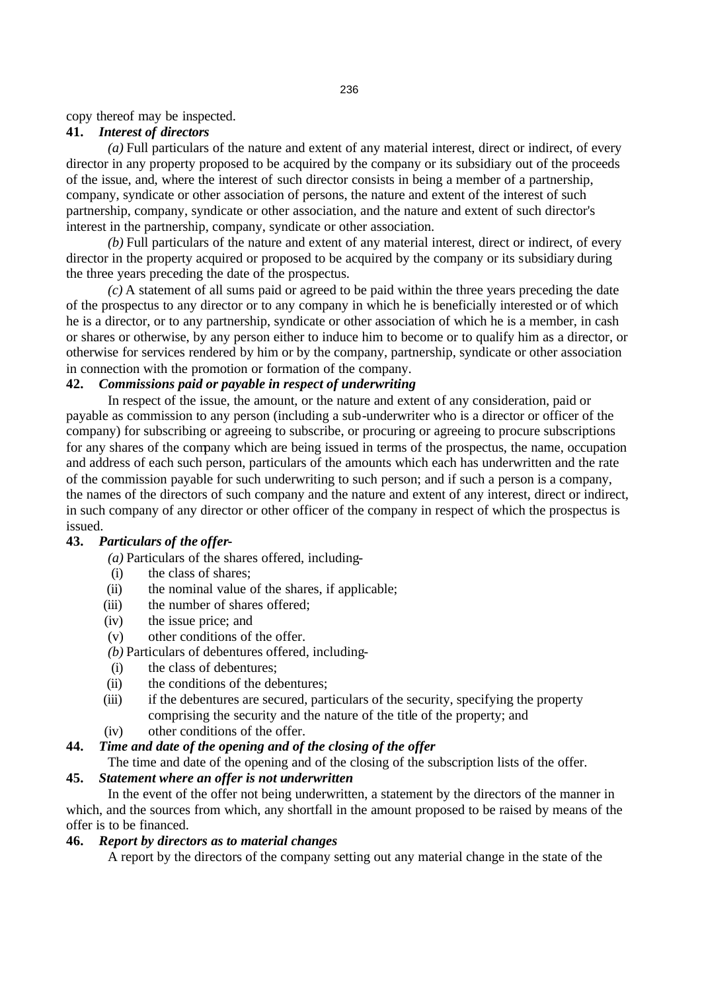copy thereof may be inspected.

### **41.** *Interest of directors*

*(a)* Full particulars of the nature and extent of any material interest, direct or indirect, of every director in any property proposed to be acquired by the company or its subsidiary out of the proceeds of the issue, and, where the interest of such director consists in being a member of a partnership, company, syndicate or other association of persons, the nature and extent of the interest of such partnership, company, syndicate or other association, and the nature and extent of such director's interest in the partnership, company, syndicate or other association.

*(b)* Full particulars of the nature and extent of any material interest, direct or indirect, of every director in the property acquired or proposed to be acquired by the company or its subsidiary during the three years preceding the date of the prospectus.

*(c)* A statement of all sums paid or agreed to be paid within the three years preceding the date of the prospectus to any director or to any company in which he is beneficially interested or of which he is a director, or to any partnership, syndicate or other association of which he is a member, in cash or shares or otherwise, by any person either to induce him to become or to qualify him as a director, or otherwise for services rendered by him or by the company, partnership, syndicate or other association in connection with the promotion or formation of the company.

### **42.** *Commissions paid or payable in respect of underwriting*

In respect of the issue, the amount, or the nature and extent of any consideration, paid or payable as commission to any person (including a sub-underwriter who is a director or officer of the company) for subscribing or agreeing to subscribe, or procuring or agreeing to procure subscriptions for any shares of the company which are being issued in terms of the prospectus, the name, occupation and address of each such person, particulars of the amounts which each has underwritten and the rate of the commission payable for such underwriting to such person; and if such a person is a company, the names of the directors of such company and the nature and extent of any interest, direct or indirect, in such company of any director or other officer of the company in respect of which the prospectus is issued.

# **43.** *Particulars of the offer***-**

*(a)* Particulars of the shares offered, including-

- (i) the class of shares;
- (ii) the nominal value of the shares, if applicable;
- (iii) the number of shares offered:
- (iv) the issue price; and
- (v) other conditions of the offer.
- *(b)* Particulars of debentures offered, including-
- (i) the class of debentures;
- (ii) the conditions of the debentures;
- (iii) if the debentures are secured, particulars of the security, specifying the property comprising the security and the nature of the title of the property; and
- (iv) other conditions of the offer.

# **44.** *Time and date of the opening and of the closing of the offer*

The time and date of the opening and of the closing of the subscription lists of the offer.

# **45.** *Statement where an offer is not underwritten*

In the event of the offer not being underwritten, a statement by the directors of the manner in which, and the sources from which, any shortfall in the amount proposed to be raised by means of the offer is to be financed.

### **46.** *Report by directors as to material changes*

A report by the directors of the company setting out any material change in the state of the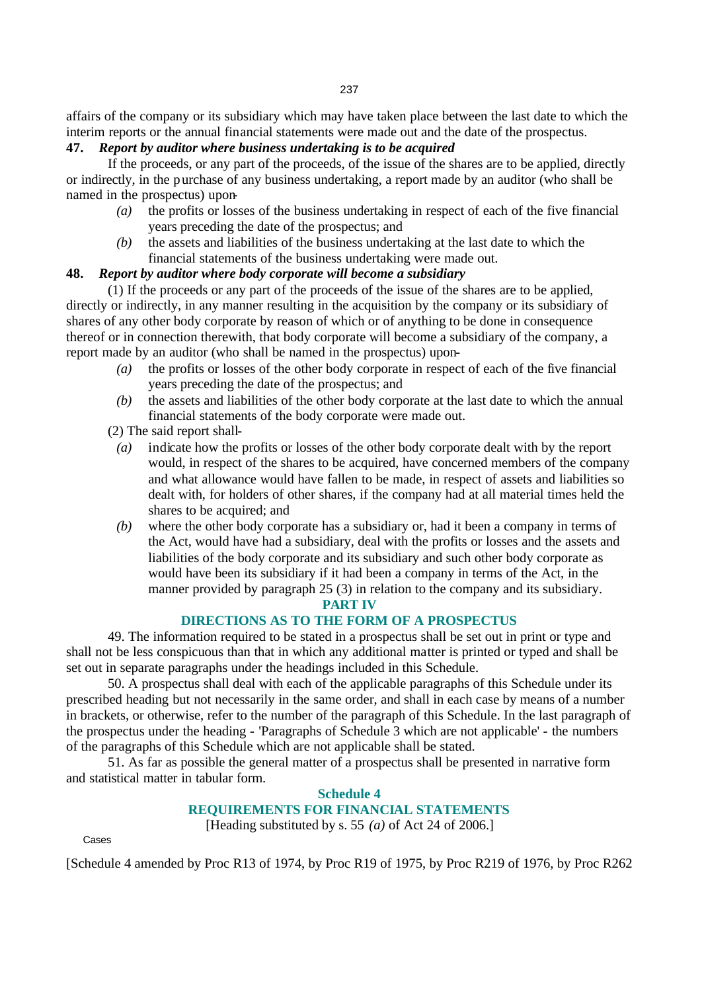affairs of the company or its subsidiary which may have taken place between the last date to which the interim reports or the annual financial statements were made out and the date of the prospectus.

# **47.** *Report by auditor where business undertaking is to be acquired*

If the proceeds, or any part of the proceeds, of the issue of the shares are to be applied, directly or indirectly, in the purchase of any business undertaking, a report made by an auditor (who shall be named in the prospectus) upon-

- *(a)* the profits or losses of the business undertaking in respect of each of the five financial years preceding the date of the prospectus; and
- *(b)* the assets and liabilities of the business undertaking at the last date to which the financial statements of the business undertaking were made out.

### **48.** *Report by auditor where body corporate will become a subsidiary*

(1) If the proceeds or any part of the proceeds of the issue of the shares are to be applied, directly or indirectly, in any manner resulting in the acquisition by the company or its subsidiary of shares of any other body corporate by reason of which or of anything to be done in consequence thereof or in connection therewith, that body corporate will become a subsidiary of the company, a report made by an auditor (who shall be named in the prospectus) upon-

- *(a)* the profits or losses of the other body corporate in respect of each of the five financial years preceding the date of the prospectus; and
- *(b)* the assets and liabilities of the other body corporate at the last date to which the annual financial statements of the body corporate were made out.
- (2) The said report shall-
- *(a)* indicate how the profits or losses of the other body corporate dealt with by the report would, in respect of the shares to be acquired, have concerned members of the company and what allowance would have fallen to be made, in respect of assets and liabilities so dealt with, for holders of other shares, if the company had at all material times held the shares to be acquired; and
- *(b)* where the other body corporate has a subsidiary or, had it been a company in terms of the Act, would have had a subsidiary, deal with the profits or losses and the assets and liabilities of the body corporate and its subsidiary and such other body corporate as would have been its subsidiary if it had been a company in terms of the Act, in the manner provided by paragraph 25 (3) in relation to the company and its subsidiary.

#### **PART IV**

### **DIRECTIONS AS TO THE FORM OF A PROSPECTUS**

49. The information required to be stated in a prospectus shall be set out in print or type and shall not be less conspicuous than that in which any additional matter is printed or typed and shall be set out in separate paragraphs under the headings included in this Schedule.

50. A prospectus shall deal with each of the applicable paragraphs of this Schedule under its prescribed heading but not necessarily in the same order, and shall in each case by means of a number in brackets, or otherwise, refer to the number of the paragraph of this Schedule. In the last paragraph of the prospectus under the heading - 'Paragraphs of Schedule 3 which are not applicable' - the numbers of the paragraphs of this Schedule which are not applicable shall be stated.

51. As far as possible the general matter of a prospectus shall be presented in narrative form and statistical matter in tabular form.

#### **Schedule 4 REQUIREMENTS FOR FINANCIAL STATEMENTS**

[Heading substituted by s. 55 *(a)* of Act 24 of 2006.]

Cases

[Schedule 4 amended by Proc R13 of 1974, by Proc R19 of 1975, by Proc R219 of 1976, by Proc R262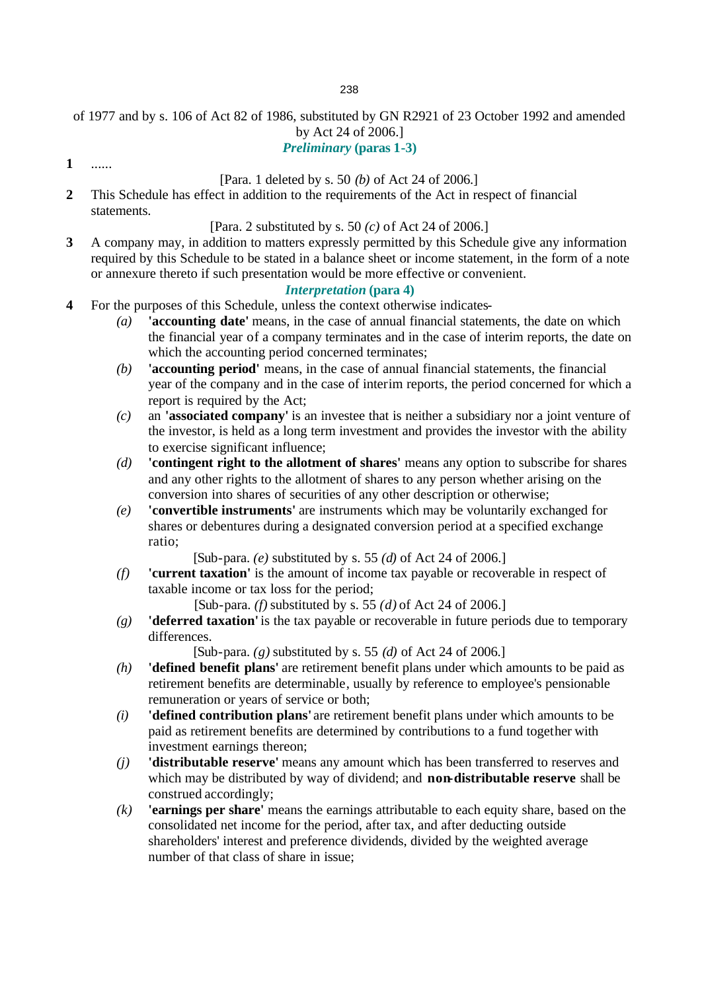#### of 1977 and by s. 106 of Act 82 of 1986, substituted by GN R2921 of 23 October 1992 and amended by Act 24 of 2006.]

*Preliminary* **(paras 1-3)**

**1** ......

[Para. 1 deleted by s. 50 *(b)* of Act 24 of 2006.]

**2** This Schedule has effect in addition to the requirements of the Act in respect of financial statements.

### [Para. 2 substituted by s. 50 *(c)* of Act 24 of 2006.]

**3** A company may, in addition to matters expressly permitted by this Schedule give any information required by this Schedule to be stated in a balance sheet or income statement, in the form of a note or annexure thereto if such presentation would be more effective or convenient.

# *Interpretation* **(para 4)**

- **4** For the purposes of this Schedule, unless the context otherwise indicates-
	- *(a)* **'accounting date'** means, in the case of annual financial statements, the date on which the financial year of a company terminates and in the case of interim reports, the date on which the accounting period concerned terminates;
	- *(b)* **'accounting period'** means, in the case of annual financial statements, the financial year of the company and in the case of interim reports, the period concerned for which a report is required by the Act;
	- *(c)* an **'associated company'** is an investee that is neither a subsidiary nor a joint venture of the investor, is held as a long term investment and provides the investor with the ability to exercise significant influence;
	- *(d)* **'contingent right to the allotment of shares'** means any option to subscribe for shares and any other rights to the allotment of shares to any person whether arising on the conversion into shares of securities of any other description or otherwise;
	- *(e)* **'convertible instruments'** are instruments which may be voluntarily exchanged for shares or debentures during a designated conversion period at a specified exchange ratio;

[Sub-para. *(e)* substituted by s. 55 *(d)* of Act 24 of 2006.]

*(f)* **'current taxation'** is the amount of income tax payable or recoverable in respect of taxable income or tax loss for the period;

[Sub-para. *(f)* substituted by s. 55 *(d)* of Act 24 of 2006.]

*(g)* **'deferred taxation'** is the tax payable or recoverable in future periods due to temporary differences.

[Sub-para. *(g)* substituted by s. 55 *(d)* of Act 24 of 2006.]

- *(h)* **'defined benefit plans'** are retirement benefit plans under which amounts to be paid as retirement benefits are determinable, usually by reference to employee's pensionable remuneration or years of service or both;
- *(i)* **'defined contribution plans'** are retirement benefit plans under which amounts to be paid as retirement benefits are determined by contributions to a fund together with investment earnings thereon;
- *(j)* **'distributable reserve'** means any amount which has been transferred to reserves and which may be distributed by way of dividend; and **non-distributable reserve** shall be construed accordingly;
- *(k)* **'earnings per share'** means the earnings attributable to each equity share, based on the consolidated net income for the period, after tax, and after deducting outside shareholders' interest and preference dividends, divided by the weighted average number of that class of share in issue;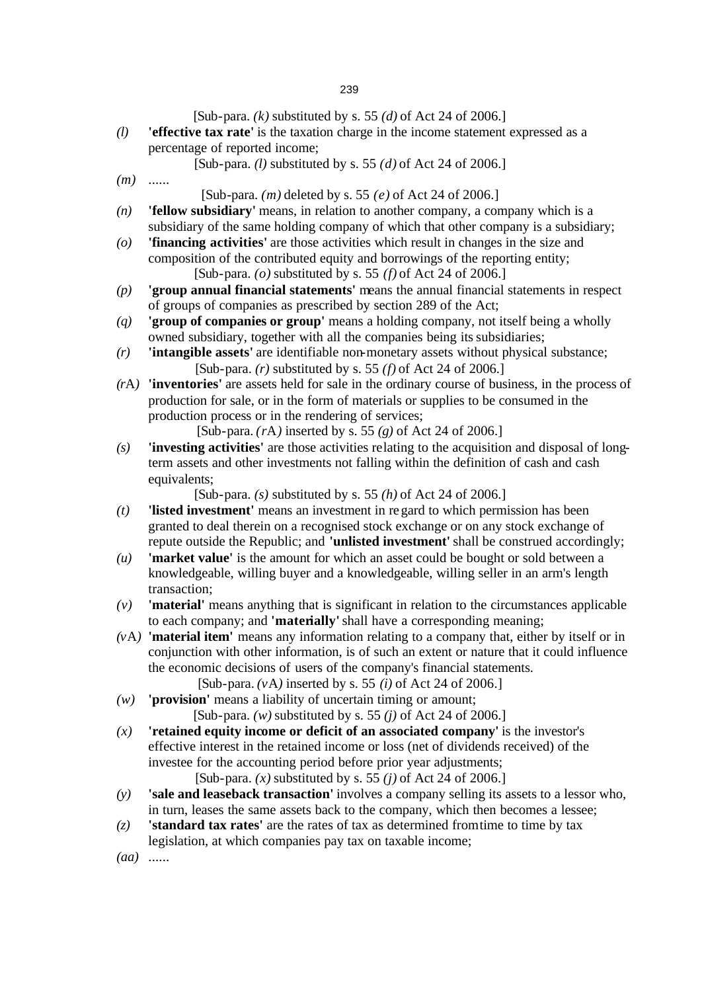[Sub-para. *(k)* substituted by s. 55 *(d)* of Act 24 of 2006.]

- *(l)* **'effective tax rate'** is the taxation charge in the income statement expressed as a percentage of reported income;
	- [Sub-para. *(l)* substituted by s. 55 *(d)* of Act 24 of 2006.]
- *(m)* ......

[Sub-para. *(m)* deleted by s. 55 *(e)* of Act 24 of 2006.]

- *(n)* **'fellow subsidiary'** means, in relation to another company, a company which is a subsidiary of the same holding company of which that other company is a subsidiary;
- *(o)* **'financing activities'** are those activities which result in changes in the size and composition of the contributed equity and borrowings of the reporting entity; [Sub-para. *(o)* substituted by s. 55 *(f)* of Act 24 of 2006.]
- *(p)* **'group annual financial statements'** means the annual financial statements in respect of groups of companies as prescribed by section 289 of the Act;
- *(q)* **'group of companies or group'** means a holding company, not itself being a wholly owned subsidiary, together with all the companies being its subsidiaries;
- *(r)* **'intangible assets'** are identifiable non-monetary assets without physical substance; [Sub-para. *(r)* substituted by s. 55 *(f)* of Act 24 of 2006.]
- *(r*A*)* **'inventories'** are assets held for sale in the ordinary course of business, in the process of production for sale, or in the form of materials or supplies to be consumed in the production process or in the rendering of services;

[Sub-para. *(r*A*)* inserted by s. 55 *(g)* of Act 24 of 2006.]

*(s)* **'investing activities'** are those activities relating to the acquisition and disposal of longterm assets and other investments not falling within the definition of cash and cash equivalents;

[Sub-para. *(s)* substituted by s. 55 *(h)* of Act 24 of 2006.]

- *(t)* **'listed investment'** means an investment in regard to which permission has been granted to deal therein on a recognised stock exchange or on any stock exchange of repute outside the Republic; and **'unlisted investment'** shall be construed accordingly;
- *(u)* **'market value'** is the amount for which an asset could be bought or sold between a knowledgeable, willing buyer and a knowledgeable, willing seller in an arm's length transaction;
- *(v)* **'material'** means anything that is significant in relation to the circumstances applicable to each company; and **'materially'** shall have a corresponding meaning;
- *(v*A*)* **'material item'** means any information relating to a company that, either by itself or in conjunction with other information, is of such an extent or nature that it could influence the economic decisions of users of the company's financial statements.

[Sub-para. *(v*A*)* inserted by s. 55 *(i)* of Act 24 of 2006.]

- *(w)* **'provision'** means a liability of uncertain timing or amount;
	- [Sub-para. *(w)* substituted by s. 55 *(j)* of Act 24 of 2006.]
- *(x)* **'retained equity income or deficit of an associated company'** is the investor's effective interest in the retained income or loss (net of dividends received) of the investee for the accounting period before prior year adjustments;

[Sub-para. *(x)* substituted by s. 55 *(j)* of Act 24 of 2006.]

- *(y)* **'sale and leaseback transaction'** involves a company selling its assets to a lessor who, in turn, leases the same assets back to the company, which then becomes a lessee;
- *(z)* **'standard tax rates'** are the rates of tax as determined from time to time by tax legislation, at which companies pay tax on taxable income;
- *(aa)* ......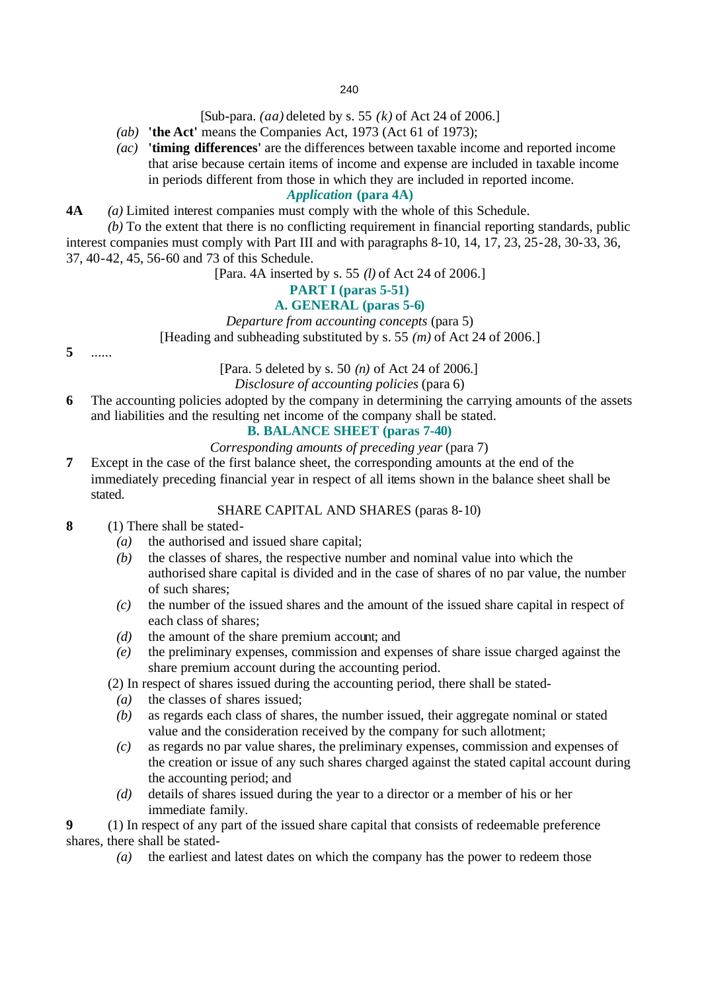[Sub-para. *(aa)* deleted by s. 55 *(k)* of Act 24 of 2006.]

- *(ab)* **'the Act'** means the Companies Act, 1973 (Act 61 of 1973);
- *(ac)* **'timing differences'** are the differences between taxable income and reported income that arise because certain items of income and expense are included in taxable income in periods different from those in which they are included in reported income.

### *Application* **(para 4A)**

**4A** *(a)* Limited interest companies must comply with the whole of this Schedule.

*(b)* To the extent that there is no conflicting requirement in financial reporting standards, public interest companies must comply with Part III and with paragraphs 8-10, 14, 17, 23, 25-28, 30-33, 36, 37, 40-42, 45, 56-60 and 73 of this Schedule.

[Para. 4A inserted by s. 55 *(l)* of Act 24 of 2006.]

# **PART I (paras 5-51)**

# **A. GENERAL (paras 5-6)**

*Departure from accounting concepts* (para 5)

[Heading and subheading substituted by s. 55 *(m)* of Act 24 of 2006.]

**5** ......

[Para. 5 deleted by s. 50 *(n)* of Act 24 of 2006.]

*Disclosure of accounting policies* (para 6)

**6** The accounting policies adopted by the company in determining the carrying amounts of the assets and liabilities and the resulting net income of the company shall be stated.

# **B. BALANCE SHEET (paras 7-40)**

# *Corresponding amounts of preceding year* (para 7)

**7** Except in the case of the first balance sheet, the corresponding amounts at the end of the immediately preceding financial year in respect of all items shown in the balance sheet shall be stated.

### SHARE CAPITAL AND SHARES (paras 8-10)

- **8** (1) There shall be stated-
	- *(a)* the authorised and issued share capital;
	- *(b)* the classes of shares, the respective number and nominal value into which the authorised share capital is divided and in the case of shares of no par value, the number of such shares;
	- *(c)* the number of the issued shares and the amount of the issued share capital in respect of each class of shares;
	- *(d)* the amount of the share premium account; and
	- *(e)* the preliminary expenses, commission and expenses of share issue charged against the share premium account during the accounting period.

(2) In respect of shares issued during the accounting period, there shall be stated-

- *(a)* the classes of shares issued;
- *(b)* as regards each class of shares, the number issued, their aggregate nominal or stated value and the consideration received by the company for such allotment;
- *(c)* as regards no par value shares, the preliminary expenses, commission and expenses of the creation or issue of any such shares charged against the stated capital account during the accounting period; and
- *(d)* details of shares issued during the year to a director or a member of his or her immediate family.

**9** (1) In respect of any part of the issued share capital that consists of redeemable preference shares, there shall be stated-

*(a)* the earliest and latest dates on which the company has the power to redeem those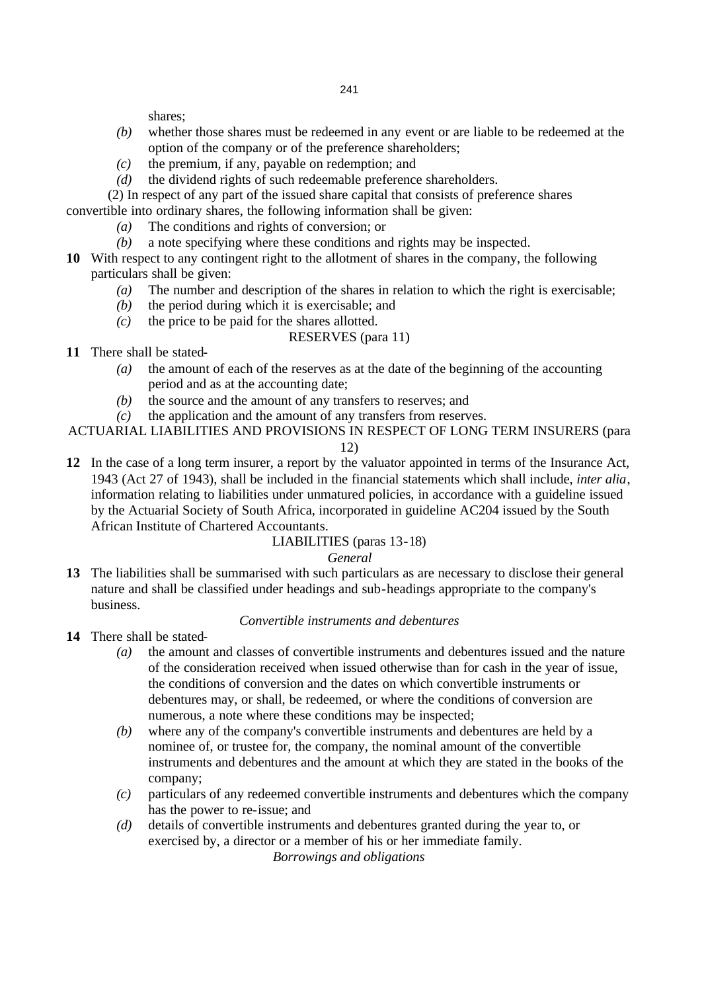shares;

- *(b)* whether those shares must be redeemed in any event or are liable to be redeemed at the option of the company or of the preference shareholders;
- *(c)* the premium, if any, payable on redemption; and
- *(d)* the dividend rights of such redeemable preference shareholders.

(2) In respect of any part of the issued share capital that consists of preference shares convertible into ordinary shares, the following information shall be given:

- *(a)* The conditions and rights of conversion; or
- *(b)* a note specifying where these conditions and rights may be inspected.
- **10** With respect to any contingent right to the allotment of shares in the company, the following particulars shall be given:
	- *(a)* The number and description of the shares in relation to which the right is exercisable;
	- *(b)* the period during which it is exercisable; and
	- *(c)* the price to be paid for the shares allotted.

# RESERVES (para 11)

- **11** There shall be stated-
	- *(a)* the amount of each of the reserves as at the date of the beginning of the accounting period and as at the accounting date;
	- *(b)* the source and the amount of any transfers to reserves; and
	- *(c)* the application and the amount of any transfers from reserves.

ACTUARIAL LIABILITIES AND PROVISIONS IN RESPECT OF LONG TERM INSURERS (para

12)

**12** In the case of a long term insurer, a report by the valuator appointed in terms of the Insurance Act, 1943 (Act 27 of 1943), shall be included in the financial statements which shall include, *inter alia*, information relating to liabilities under unmatured policies, in accordance with a guideline issued by the Actuarial Society of South Africa, incorporated in guideline AC204 issued by the South African Institute of Chartered Accountants.

# LIABILITIES (paras 13-18)

# *General*

**13** The liabilities shall be summarised with such particulars as are necessary to disclose their general nature and shall be classified under headings and sub-headings appropriate to the company's business.

# *Convertible instruments and debentures*

- **14** There shall be stated-
	- *(a)* the amount and classes of convertible instruments and debentures issued and the nature of the consideration received when issued otherwise than for cash in the year of issue, the conditions of conversion and the dates on which convertible instruments or debentures may, or shall, be redeemed, or where the conditions of conversion are numerous, a note where these conditions may be inspected;
	- *(b)* where any of the company's convertible instruments and debentures are held by a nominee of, or trustee for, the company, the nominal amount of the convertible instruments and debentures and the amount at which they are stated in the books of the company;
	- *(c)* particulars of any redeemed convertible instruments and debentures which the company has the power to re-issue; and
	- *(d)* details of convertible instruments and debentures granted during the year to, or exercised by, a director or a member of his or her immediate family. *Borrowings and obligations*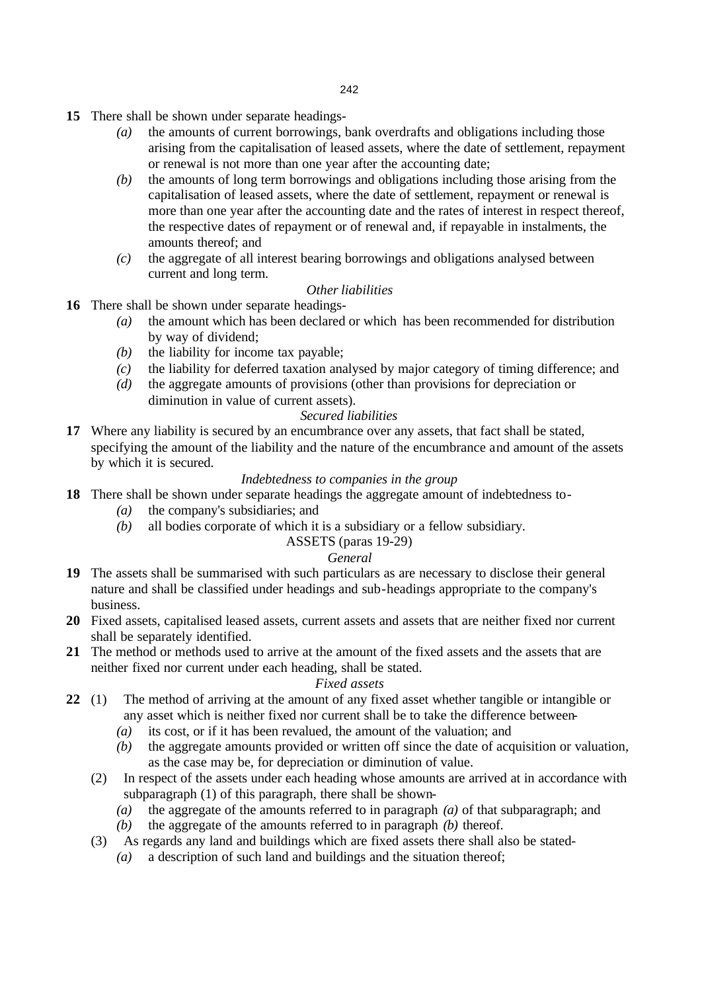- **15** There shall be shown under separate headings-
	- *(a)* the amounts of current borrowings, bank overdrafts and obligations including those arising from the capitalisation of leased assets, where the date of settlement, repayment or renewal is not more than one year after the accounting date;
	- *(b)* the amounts of long term borrowings and obligations including those arising from the capitalisation of leased assets, where the date of settlement, repayment or renewal is more than one year after the accounting date and the rates of interest in respect thereof, the respective dates of repayment or of renewal and, if repayable in instalments, the amounts thereof; and
	- *(c)* the aggregate of all interest bearing borrowings and obligations analysed between current and long term.

# *Other liabilities*

- **16** There shall be shown under separate headings-
	- *(a)* the amount which has been declared or which has been recommended for distribution by way of dividend;
	- *(b)* the liability for income tax payable;
	- *(c)* the liability for deferred taxation analysed by major category of timing difference; and
	- *(d)* the aggregate amounts of provisions (other than provisions for depreciation or diminution in value of current assets).

### *Secured liabilities*

**17** Where any liability is secured by an encumbrance over any assets, that fact shall be stated, specifying the amount of the liability and the nature of the encumbrance and amount of the assets by which it is secured.

### *Indebtedness to companies in the group*

- **18** There shall be shown under separate headings the aggregate amount of indebtedness to-
	- *(a)* the company's subsidiaries; and
	- *(b)* all bodies corporate of which it is a subsidiary or a fellow subsidiary.

#### ASSETS (paras 19-29)

#### *General*

- **19** The assets shall be summarised with such particulars as are necessary to disclose their general nature and shall be classified under headings and sub-headings appropriate to the company's business.
- **20** Fixed assets, capitalised leased assets, current assets and assets that are neither fixed nor current shall be separately identified.
- **21** The method or methods used to arrive at the amount of the fixed assets and the assets that are neither fixed nor current under each heading, shall be stated.

#### *Fixed assets*

- **22** (1) The method of arriving at the amount of any fixed asset whether tangible or intangible or any asset which is neither fixed nor current shall be to take the difference between-
	- *(a)* its cost, or if it has been revalued, the amount of the valuation; and
	- *(b)* the aggregate amounts provided or written off since the date of acquisition or valuation, as the case may be, for depreciation or diminution of value.
	- (2) In respect of the assets under each heading whose amounts are arrived at in accordance with subparagraph (1) of this paragraph, there shall be shown-
		- *(a)* the aggregate of the amounts referred to in paragraph *(a)* of that subparagraph; and
		- *(b)* the aggregate of the amounts referred to in paragraph *(b)* thereof.
	- (3) As regards any land and buildings which are fixed assets there shall also be stated-
		- *(a)* a description of such land and buildings and the situation thereof;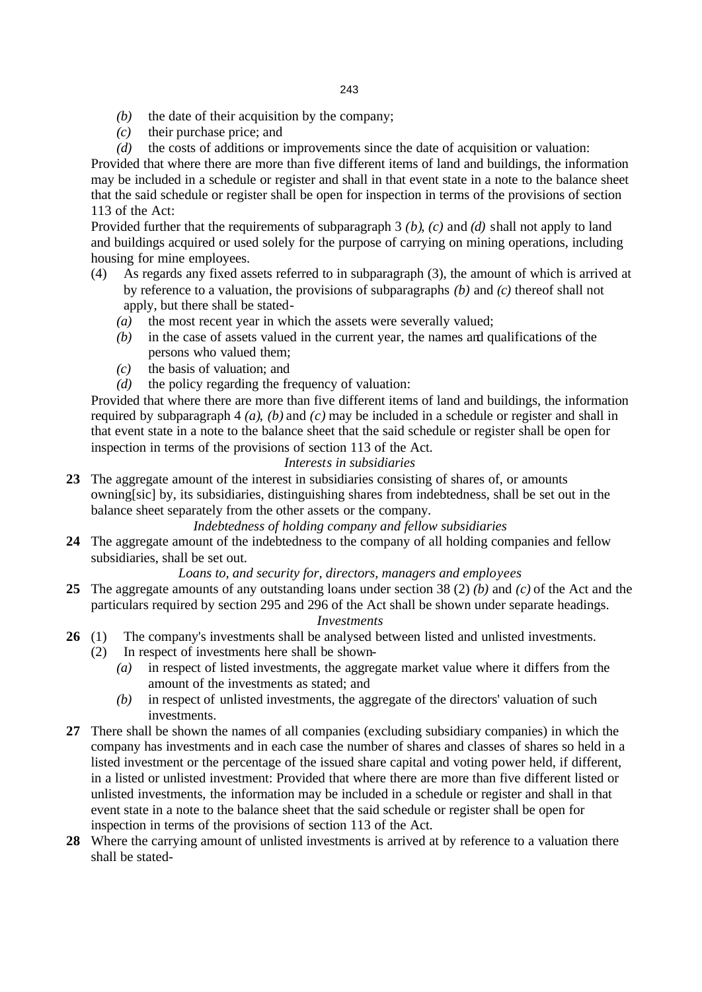- *(b)* the date of their acquisition by the company;
- *(c)* their purchase price; and
- *(d)* the costs of additions or improvements since the date of acquisition or valuation:

Provided that where there are more than five different items of land and buildings, the information may be included in a schedule or register and shall in that event state in a note to the balance sheet that the said schedule or register shall be open for inspection in terms of the provisions of section 113 of the Act:

Provided further that the requirements of subparagraph 3 *(b)*, *(c)* and *(d)* shall not apply to land and buildings acquired or used solely for the purpose of carrying on mining operations, including housing for mine employees.

- (4) As regards any fixed assets referred to in subparagraph (3), the amount of which is arrived at by reference to a valuation, the provisions of subparagraphs *(b)* and *(c)* thereof shall not apply, but there shall be stated-
	- *(a)* the most recent year in which the assets were severally valued;
	- *(b)* in the case of assets valued in the current year, the names and qualifications of the persons who valued them;
	- *(c)* the basis of valuation; and
	- *(d)* the policy regarding the frequency of valuation:

Provided that where there are more than five different items of land and buildings, the information required by subparagraph 4 *(a)*, *(b)* and *(c)* may be included in a schedule or register and shall in that event state in a note to the balance sheet that the said schedule or register shall be open for inspection in terms of the provisions of section 113 of the Act.

# *Interests in subsidiaries*

**23** The aggregate amount of the interest in subsidiaries consisting of shares of, or amounts owning[sic] by, its subsidiaries, distinguishing shares from indebtedness, shall be set out in the balance sheet separately from the other assets or the company.

*Indebtedness of holding company and fellow subsidiaries*

**24** The aggregate amount of the indebtedness to the company of all holding companies and fellow subsidiaries, shall be set out.

# *Loans to, and security for, directors, managers and employees*

**25** The aggregate amounts of any outstanding loans under section 38 (2) *(b)* and *(c)* of the Act and the particulars required by section 295 and 296 of the Act shall be shown under separate headings.

*Investments*

- **26** (1) The company's investments shall be analysed between listed and unlisted investments.
	- (2) In respect of investments here shall be shown-
		- *(a)* in respect of listed investments, the aggregate market value where it differs from the amount of the investments as stated; and
		- *(b)* in respect of unlisted investments, the aggregate of the directors' valuation of such investments.
- **27** There shall be shown the names of all companies (excluding subsidiary companies) in which the company has investments and in each case the number of shares and classes of shares so held in a listed investment or the percentage of the issued share capital and voting power held, if different, in a listed or unlisted investment: Provided that where there are more than five different listed or unlisted investments, the information may be included in a schedule or register and shall in that event state in a note to the balance sheet that the said schedule or register shall be open for inspection in terms of the provisions of section 113 of the Act.
- **28** Where the carrying amount of unlisted investments is arrived at by reference to a valuation there shall be stated-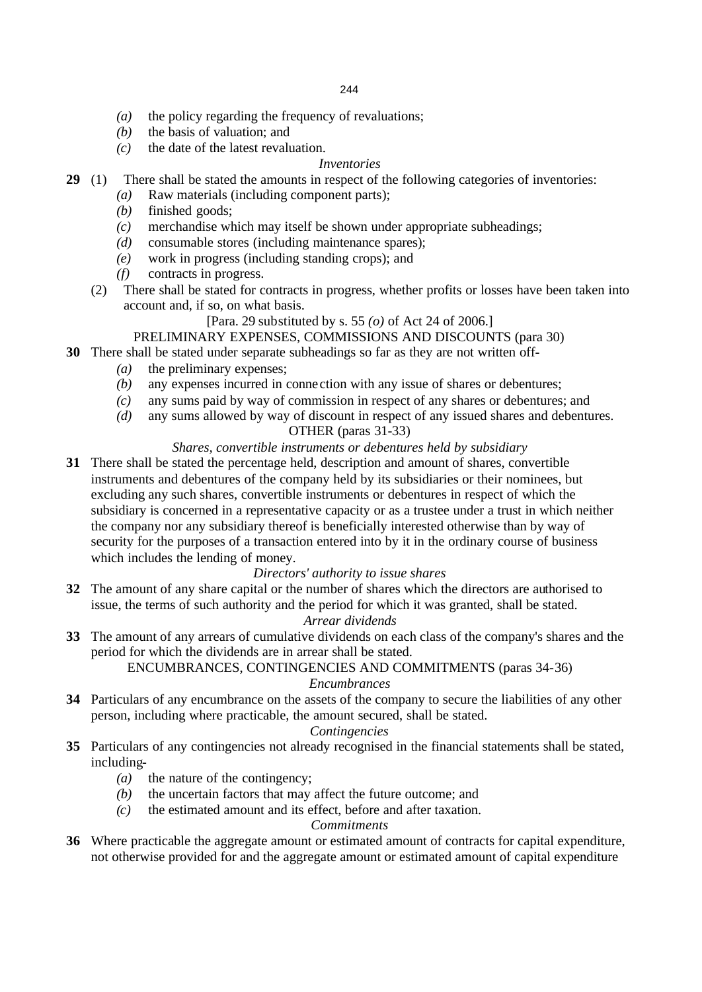- *(a)* the policy regarding the frequency of revaluations;
- *(b)* the basis of valuation; and
- *(c)* the date of the latest revaluation.

#### *Inventories*

- **29** (1) There shall be stated the amounts in respect of the following categories of inventories:
	- *(a)* Raw materials (including component parts);
	- *(b)* finished goods;
	- *(c)* merchandise which may itself be shown under appropriate subheadings;
	- *(d)* consumable stores (including maintenance spares);
	- *(e)* work in progress (including standing crops); and
	- *(f)* contracts in progress.
	- (2) There shall be stated for contracts in progress, whether profits or losses have been taken into account and, if so, on what basis.
		- [Para. 29 substituted by s. 55 *(o)* of Act 24 of 2006.]

#### PRELIMINARY EXPENSES, COMMISSIONS AND DISCOUNTS (para 30)

- **30** There shall be stated under separate subheadings so far as they are not written off-
	- *(a)* the preliminary expenses;
	- *(b)* any expenses incurred in conne ction with any issue of shares or debentures;
	- *(c)* any sums paid by way of commission in respect of any shares or debentures; and
	- *(d)* any sums allowed by way of discount in respect of any issued shares and debentures.

### OTHER (paras 31-33)

#### *Shares, convertible instruments or debentures held by subsidiary*

**31** There shall be stated the percentage held, description and amount of shares, convertible instruments and debentures of the company held by its subsidiaries or their nominees, but excluding any such shares, convertible instruments or debentures in respect of which the subsidiary is concerned in a representative capacity or as a trustee under a trust in which neither the company nor any subsidiary thereof is beneficially interested otherwise than by way of security for the purposes of a transaction entered into by it in the ordinary course of business which includes the lending of money.

#### *Directors' authority to issue shares*

**32** The amount of any share capital or the number of shares which the directors are authorised to issue, the terms of such authority and the period for which it was granted, shall be stated.

#### *Arrear dividends*

**33** The amount of any arrears of cumulative dividends on each class of the company's shares and the period for which the dividends are in arrear shall be stated.

#### ENCUMBRANCES, CONTINGENCIES AND COMMITMENTS (paras 34-36)

#### *Encumbrances*

**34** Particulars of any encumbrance on the assets of the company to secure the liabilities of any other person, including where practicable, the amount secured, shall be stated.

#### *Contingencies*

- **35** Particulars of any contingencies not already recognised in the financial statements shall be stated, including-
	- *(a)* the nature of the contingency;
	- *(b)* the uncertain factors that may affect the future outcome; and
	- *(c)* the estimated amount and its effect, before and after taxation.

#### *Commitments*

**36** Where practicable the aggregate amount or estimated amount of contracts for capital expenditure, not otherwise provided for and the aggregate amount or estimated amount of capital expenditure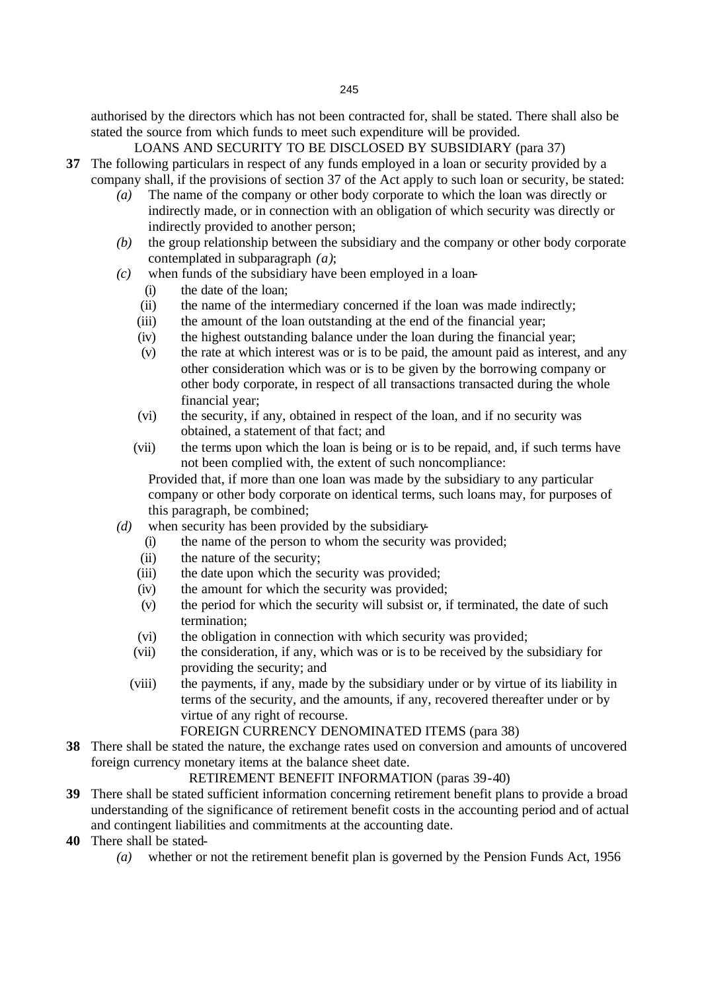authorised by the directors which has not been contracted for, shall be stated. There shall also be stated the source from which funds to meet such expenditure will be provided.

LOANS AND SECURITY TO BE DISCLOSED BY SUBSIDIARY (para 37)

- **37** The following particulars in respect of any funds employed in a loan or security provided by a company shall, if the provisions of section 37 of the Act apply to such loan or security, be stated:
	- *(a)* The name of the company or other body corporate to which the loan was directly or indirectly made, or in connection with an obligation of which security was directly or indirectly provided to another person;
	- *(b)* the group relationship between the subsidiary and the company or other body corporate contemplated in subparagraph *(a)*;
	- *(c)* when funds of the subsidiary have been employed in a loan-
		- (i) the date of the loan;
		- (ii) the name of the intermediary concerned if the loan was made indirectly;
		- (iii) the amount of the loan outstanding at the end of the financial year;
		- (iv) the highest outstanding balance under the loan during the financial year;
		- (v) the rate at which interest was or is to be paid, the amount paid as interest, and any other consideration which was or is to be given by the borrowing company or other body corporate, in respect of all transactions transacted during the whole financial year;
		- (vi) the security, if any, obtained in respect of the loan, and if no security was obtained, a statement of that fact; and
		- (vii) the terms upon which the loan is being or is to be repaid, and, if such terms have not been complied with, the extent of such noncompliance:

Provided that, if more than one loan was made by the subsidiary to any particular company or other body corporate on identical terms, such loans may, for purposes of this paragraph, be combined;

- *(d)* when security has been provided by the subsidiary-
	- (i) the name of the person to whom the security was provided;
	- (ii) the nature of the security;
	- (iii) the date upon which the security was provided;
	- (iv) the amount for which the security was provided;
	- (v) the period for which the security will subsist or, if terminated, the date of such termination;
	- (vi) the obligation in connection with which security was provided;
	- (vii) the consideration, if any, which was or is to be received by the subsidiary for providing the security; and
	- (viii) the payments, if any, made by the subsidiary under or by virtue of its liability in terms of the security, and the amounts, if any, recovered thereafter under or by virtue of any right of recourse.

# FOREIGN CURRENCY DENOMINATED ITEMS (para 38)

**38** There shall be stated the nature, the exchange rates used on conversion and amounts of uncovered foreign currency monetary items at the balance sheet date.

# RETIREMENT BENEFIT INFORMATION (paras 39-40)

- **39** There shall be stated sufficient information concerning retirement benefit plans to provide a broad understanding of the significance of retirement benefit costs in the accounting period and of actual and contingent liabilities and commitments at the accounting date.
- **40** There shall be stated-
	- *(a)* whether or not the retirement benefit plan is governed by the Pension Funds Act, 1956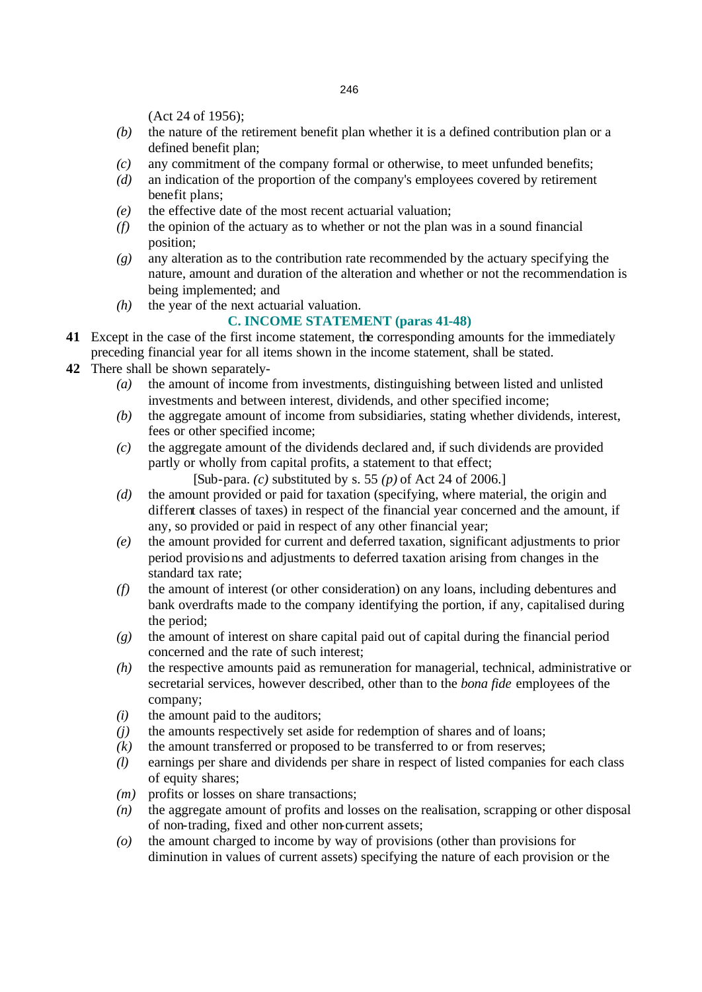(Act 24 of 1956);

- *(b)* the nature of the retirement benefit plan whether it is a defined contribution plan or a defined benefit plan;
- *(c)* any commitment of the company formal or otherwise, to meet unfunded benefits;
- *(d)* an indication of the proportion of the company's employees covered by retirement benefit plans;
- *(e)* the effective date of the most recent actuarial valuation;
- *(f)* the opinion of the actuary as to whether or not the plan was in a sound financial position;
- *(g)* any alteration as to the contribution rate recommended by the actuary specifying the nature, amount and duration of the alteration and whether or not the recommendation is being implemented; and
- *(h)* the year of the next actuarial valuation.

### **C. INCOME STATEMENT (paras 41-48)**

- **41** Except in the case of the first income statement, the corresponding amounts for the immediately preceding financial year for all items shown in the income statement, shall be stated.
- **42** There shall be shown separately-
	- *(a)* the amount of income from investments, distinguishing between listed and unlisted investments and between interest, dividends, and other specified income;
	- *(b)* the aggregate amount of income from subsidiaries, stating whether dividends, interest, fees or other specified income;
	- *(c)* the aggregate amount of the dividends declared and, if such dividends are provided partly or wholly from capital profits, a statement to that effect;

[Sub-para. *(c)* substituted by s. 55 *(p)* of Act 24 of 2006.]

- *(d)* the amount provided or paid for taxation (specifying, where material, the origin and different classes of taxes) in respect of the financial year concerned and the amount, if any, so provided or paid in respect of any other financial year;
- *(e)* the amount provided for current and deferred taxation, significant adjustments to prior period provisions and adjustments to deferred taxation arising from changes in the standard tax rate;
- *(f)* the amount of interest (or other consideration) on any loans, including debentures and bank overdrafts made to the company identifying the portion, if any, capitalised during the period;
- *(g)* the amount of interest on share capital paid out of capital during the financial period concerned and the rate of such interest;
- *(h)* the respective amounts paid as remuneration for managerial, technical, administrative or secretarial services, however described, other than to the *bona fide* employees of the company;
- *(i)* the amount paid to the auditors;
- *(j)* the amounts respectively set aside for redemption of shares and of loans;
- *(k)* the amount transferred or proposed to be transferred to or from reserves;
- *(l)* earnings per share and dividends per share in respect of listed companies for each class of equity shares;
- *(m)* profits or losses on share transactions;
- *(n)* the aggregate amount of profits and losses on the realisation, scrapping or other disposal of non-trading, fixed and other non-current assets;
- *(o)* the amount charged to income by way of provisions (other than provisions for diminution in values of current assets) specifying the nature of each provision or the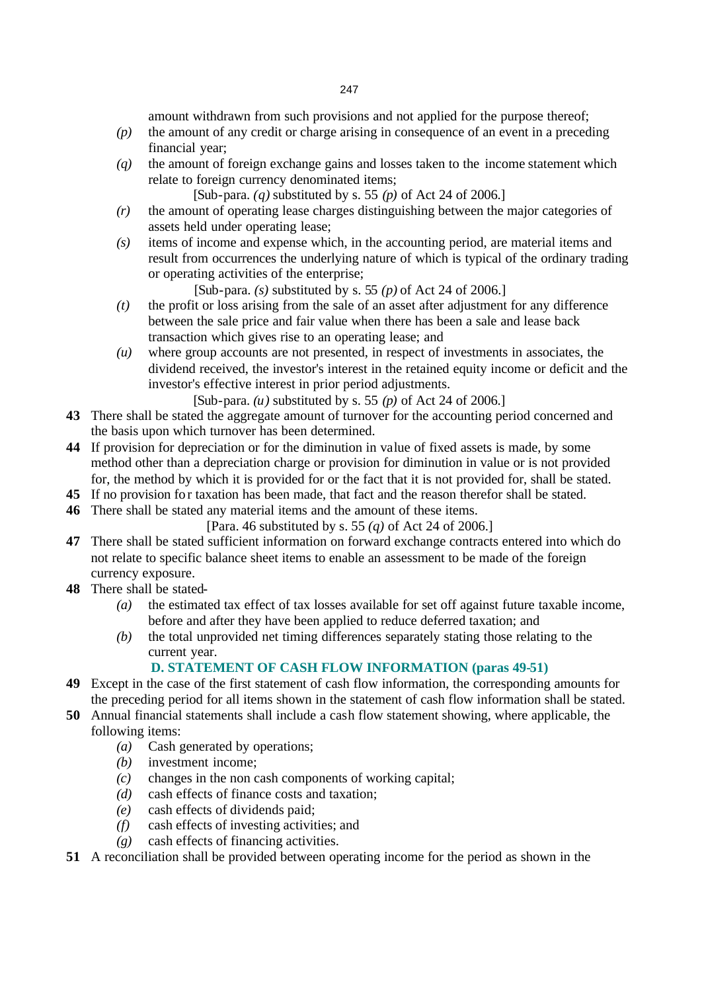amount withdrawn from such provisions and not applied for the purpose thereof;

- *(p)* the amount of any credit or charge arising in consequence of an event in a preceding financial year;
- *(q)* the amount of foreign exchange gains and losses taken to the income statement which relate to foreign currency denominated items;
	- [Sub-para. *(q)* substituted by s. 55 *(p)* of Act 24 of 2006.]
- *(r)* the amount of operating lease charges distinguishing between the major categories of assets held under operating lease;
- *(s)* items of income and expense which, in the accounting period, are material items and result from occurrences the underlying nature of which is typical of the ordinary trading or operating activities of the enterprise;

[Sub-para. *(s)* substituted by s. 55 *(p)* of Act 24 of 2006.]

- *(t)* the profit or loss arising from the sale of an asset after adjustment for any difference between the sale price and fair value when there has been a sale and lease back transaction which gives rise to an operating lease; and
- *(u)* where group accounts are not presented, in respect of investments in associates, the dividend received, the investor's interest in the retained equity income or deficit and the investor's effective interest in prior period adjustments.

[Sub-para. *(u)* substituted by s. 55 *(p)* of Act 24 of 2006.]

- **43** There shall be stated the aggregate amount of turnover for the accounting period concerned and the basis upon which turnover has been determined.
- **44** If provision for depreciation or for the diminution in value of fixed assets is made, by some method other than a depreciation charge or provision for diminution in value or is not provided for, the method by which it is provided for or the fact that it is not provided for, shall be stated.
- **45** If no provision for taxation has been made, that fact and the reason therefor shall be stated.
- **46** There shall be stated any material items and the amount of these items.

[Para. 46 substituted by s. 55 *(q)* of Act 24 of 2006.]

- **47** There shall be stated sufficient information on forward exchange contracts entered into which do not relate to specific balance sheet items to enable an assessment to be made of the foreign currency exposure.
- **48** There shall be stated-
	- *(a)* the estimated tax effect of tax losses available for set off against future taxable income, before and after they have been applied to reduce deferred taxation; and
	- *(b)* the total unprovided net timing differences separately stating those relating to the current year.

# **D. STATEMENT OF CASH FLOW INFORMATION (paras 49-51)**

- **49** Except in the case of the first statement of cash flow information, the corresponding amounts for the preceding period for all items shown in the statement of cash flow information shall be stated.
- **50** Annual financial statements shall include a cash flow statement showing, where applicable, the following items:
	- *(a)* Cash generated by operations;
	- *(b)* investment income;
	- *(c)* changes in the non cash components of working capital;
	- *(d)* cash effects of finance costs and taxation;
	- *(e)* cash effects of dividends paid;
	- *(f)* cash effects of investing activities; and
	- *(g)* cash effects of financing activities.
- **51** A reconciliation shall be provided between operating income for the period as shown in the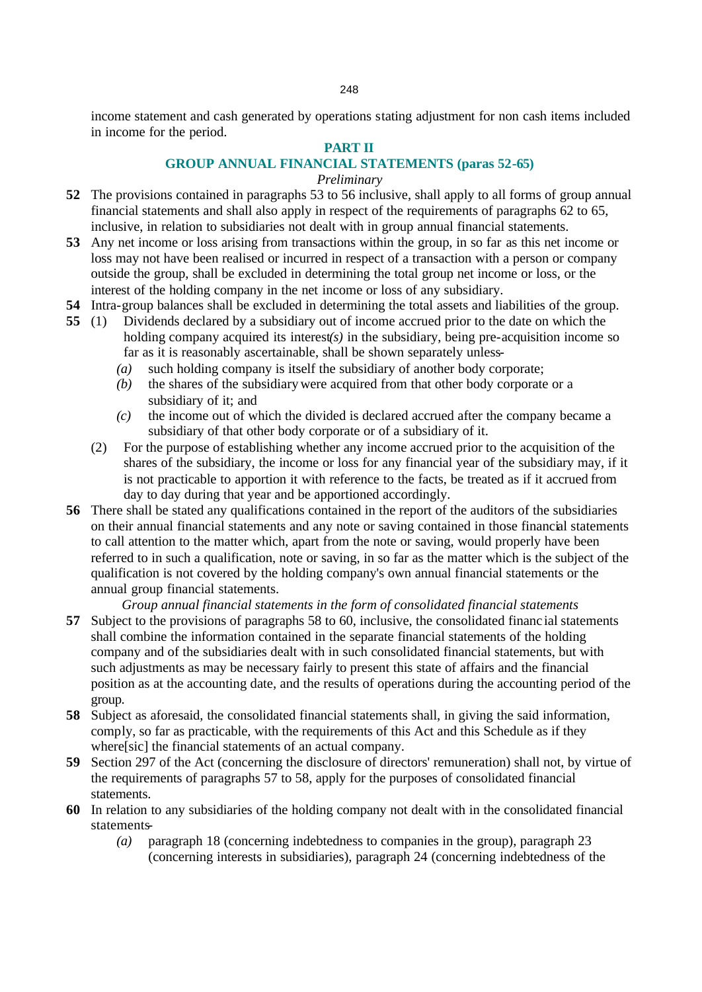income statement and cash generated by operations stating adjustment for non cash items included in income for the period.

# **PART II**

# **GROUP ANNUAL FINANCIAL STATEMENTS (paras 52-65)**

#### *Preliminary*

- **52** The provisions contained in paragraphs 53 to 56 inclusive, shall apply to all forms of group annual financial statements and shall also apply in respect of the requirements of paragraphs 62 to 65, inclusive, in relation to subsidiaries not dealt with in group annual financial statements.
- **53** Any net income or loss arising from transactions within the group, in so far as this net income or loss may not have been realised or incurred in respect of a transaction with a person or company outside the group, shall be excluded in determining the total group net income or loss, or the interest of the holding company in the net income or loss of any subsidiary.
- **54** Intra-group balances shall be excluded in determining the total assets and liabilities of the group.
- **55** (1) Dividends declared by a subsidiary out of income accrued prior to the date on which the holding company acquired its interest*(s)* in the subsidiary, being pre-acquisition income so far as it is reasonably ascertainable, shall be shown separately unless-
	- *(a)* such holding company is itself the subsidiary of another body corporate;
	- *(b)* the shares of the subsidiary were acquired from that other body corporate or a subsidiary of it; and
	- *(c)* the income out of which the divided is declared accrued after the company became a subsidiary of that other body corporate or of a subsidiary of it.
	- (2) For the purpose of establishing whether any income accrued prior to the acquisition of the shares of the subsidiary, the income or loss for any financial year of the subsidiary may, if it is not practicable to apportion it with reference to the facts, be treated as if it accrued from day to day during that year and be apportioned accordingly.
- **56** There shall be stated any qualifications contained in the report of the auditors of the subsidiaries on their annual financial statements and any note or saving contained in those financial statements to call attention to the matter which, apart from the note or saving, would properly have been referred to in such a qualification, note or saving, in so far as the matter which is the subject of the qualification is not covered by the holding company's own annual financial statements or the annual group financial statements.
- *Group annual financial statements in the form of consolidated financial statements* **57** Subject to the provisions of paragraphs 58 to 60, inclusive, the consolidated financ ial statements shall combine the information contained in the separate financial statements of the holding company and of the subsidiaries dealt with in such consolidated financial statements, but with such adjustments as may be necessary fairly to present this state of affairs and the financial position as at the accounting date, and the results of operations during the accounting period of the group.
- **58** Subject as aforesaid, the consolidated financial statements shall, in giving the said information, comply, so far as practicable, with the requirements of this Act and this Schedule as if they where[sic] the financial statements of an actual company.
- **59** Section 297 of the Act (concerning the disclosure of directors' remuneration) shall not, by virtue of the requirements of paragraphs 57 to 58, apply for the purposes of consolidated financial statements.
- **60** In relation to any subsidiaries of the holding company not dealt with in the consolidated financial statements-
	- *(a)* paragraph 18 (concerning indebtedness to companies in the group), paragraph 23 (concerning interests in subsidiaries), paragraph 24 (concerning indebtedness of the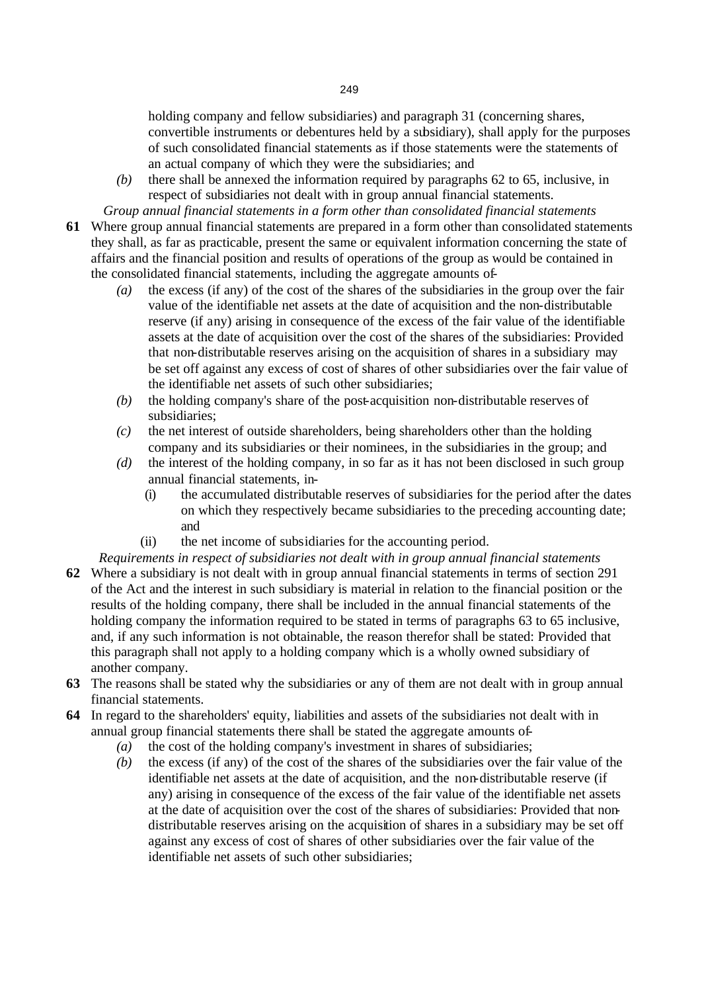holding company and fellow subsidiaries) and paragraph 31 (concerning shares, convertible instruments or debentures held by a subsidiary), shall apply for the purposes of such consolidated financial statements as if those statements were the statements of an actual company of which they were the subsidiaries; and

*(b)* there shall be annexed the information required by paragraphs 62 to 65, inclusive, in respect of subsidiaries not dealt with in group annual financial statements.

*Group annual financial statements in a form other than consolidated financial statements* **61** Where group annual financial statements are prepared in a form other than consolidated statements they shall, as far as practicable, present the same or equivalent information concerning the state of affairs and the financial position and results of operations of the group as would be contained in the consolidated financial statements, including the aggregate amounts of-

- *(a)* the excess (if any) of the cost of the shares of the subsidiaries in the group over the fair value of the identifiable net assets at the date of acquisition and the non-distributable reserve (if any) arising in consequence of the excess of the fair value of the identifiable assets at the date of acquisition over the cost of the shares of the subsidiaries: Provided that non-distributable reserves arising on the acquisition of shares in a subsidiary may be set off against any excess of cost of shares of other subsidiaries over the fair value of the identifiable net assets of such other subsidiaries;
- *(b)* the holding company's share of the post-acquisition non-distributable reserves of subsidiaries;
- *(c)* the net interest of outside shareholders, being shareholders other than the holding company and its subsidiaries or their nominees, in the subsidiaries in the group; and
- *(d)* the interest of the holding company, in so far as it has not been disclosed in such group annual financial statements, in-
	- (i) the accumulated distributable reserves of subsidiaries for the period after the dates on which they respectively became subsidiaries to the preceding accounting date; and
	- (ii) the net income of subsidiaries for the accounting period.

*Requirements in respect of subsidiaries not dealt with in group annual financial statements*

- **62** Where a subsidiary is not dealt with in group annual financial statements in terms of section 291 of the Act and the interest in such subsidiary is material in relation to the financial position or the results of the holding company, there shall be included in the annual financial statements of the holding company the information required to be stated in terms of paragraphs 63 to 65 inclusive, and, if any such information is not obtainable, the reason therefor shall be stated: Provided that this paragraph shall not apply to a holding company which is a wholly owned subsidiary of another company.
- **63** The reasons shall be stated why the subsidiaries or any of them are not dealt with in group annual financial statements.
- **64** In regard to the shareholders' equity, liabilities and assets of the subsidiaries not dealt with in annual group financial statements there shall be stated the aggregate amounts of-
	- *(a)* the cost of the holding company's investment in shares of subsidiaries;
	- *(b)* the excess (if any) of the cost of the shares of the subsidiaries over the fair value of the identifiable net assets at the date of acquisition, and the non-distributable reserve (if any) arising in consequence of the excess of the fair value of the identifiable net assets at the date of acquisition over the cost of the shares of subsidiaries: Provided that nondistributable reserves arising on the acquisition of shares in a subsidiary may be set off against any excess of cost of shares of other subsidiaries over the fair value of the identifiable net assets of such other subsidiaries;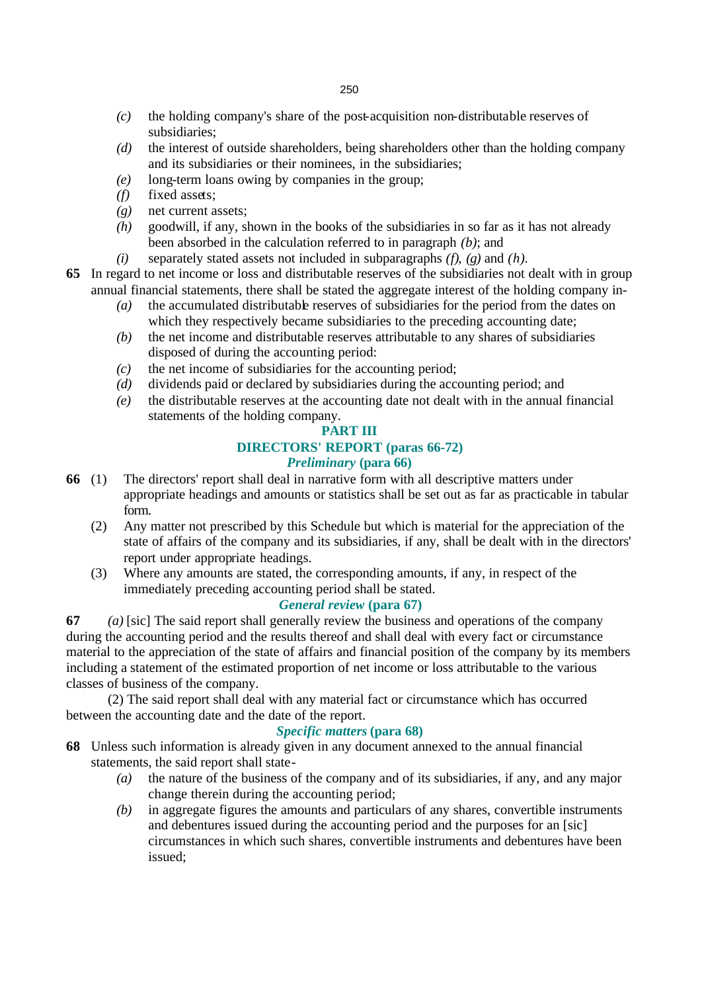- *(c)* the holding company's share of the post-acquisition non-distributable reserves of subsidiaries;
- *(d)* the interest of outside shareholders, being shareholders other than the holding company and its subsidiaries or their nominees, in the subsidiaries;
- *(e)* long-term loans owing by companies in the group;
- *(f)* fixed assets;
- *(g)* net current assets;
- *(h)* goodwill, if any, shown in the books of the subsidiaries in so far as it has not already been absorbed in the calculation referred to in paragraph *(b)*; and
- *(i)* separately stated assets not included in subparagraphs *(f)*, *(g)* and *(h)*.
- **65** In regard to net income or loss and distributable reserves of the subsidiaries not dealt with in group annual financial statements, there shall be stated the aggregate interest of the holding company in-
	- *(a)* the accumulated distributable reserves of subsidiaries for the period from the dates on which they respectively became subsidiaries to the preceding accounting date;
	- *(b)* the net income and distributable reserves attributable to any shares of subsidiaries disposed of during the accounting period:
	- *(c)* the net income of subsidiaries for the accounting period;
	- *(d)* dividends paid or declared by subsidiaries during the accounting period; and
	- *(e)* the distributable reserves at the accounting date not dealt with in the annual financial statements of the holding company.

# **PART III**

# **DIRECTORS' REPORT (paras 66-72)**

# *Preliminary* **(para 66)**

- **66** (1) The directors' report shall deal in narrative form with all descriptive matters under appropriate headings and amounts or statistics shall be set out as far as practicable in tabular form.
	- (2) Any matter not prescribed by this Schedule but which is material for the appreciation of the state of affairs of the company and its subsidiaries, if any, shall be dealt with in the directors' report under appropriate headings.
	- (3) Where any amounts are stated, the corresponding amounts, if any, in respect of the immediately preceding accounting period shall be stated.

# *General review* **(para 67)**

**67** *(a)* [sic] The said report shall generally review the business and operations of the company during the accounting period and the results thereof and shall deal with every fact or circumstance material to the appreciation of the state of affairs and financial position of the company by its members including a statement of the estimated proportion of net income or loss attributable to the various classes of business of the company.

(2) The said report shall deal with any material fact or circumstance which has occurred between the accounting date and the date of the report.

# *Specific matters* **(para 68)**

- **68** Unless such information is already given in any document annexed to the annual financial statements, the said report shall state-
	- *(a)* the nature of the business of the company and of its subsidiaries, if any, and any major change therein during the accounting period;
	- *(b)* in aggregate figures the amounts and particulars of any shares, convertible instruments and debentures issued during the accounting period and the purposes for an [sic] circumstances in which such shares, convertible instruments and debentures have been issued;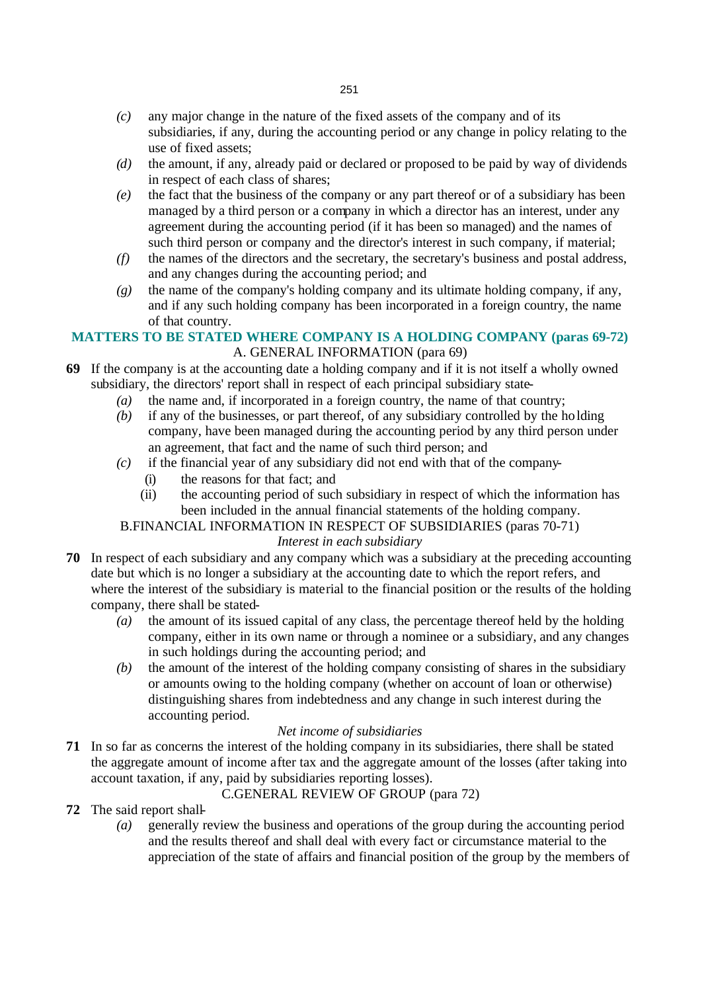- *(c)* any major change in the nature of the fixed assets of the company and of its subsidiaries, if any, during the accounting period or any change in policy relating to the use of fixed assets;
- *(d)* the amount, if any, already paid or declared or proposed to be paid by way of dividends in respect of each class of shares;
- *(e)* the fact that the business of the company or any part thereof or of a subsidiary has been managed by a third person or a company in which a director has an interest, under any agreement during the accounting period (if it has been so managed) and the names of such third person or company and the director's interest in such company, if material;
- *(f)* the names of the directors and the secretary, the secretary's business and postal address, and any changes during the accounting period; and
- *(g)* the name of the company's holding company and its ultimate holding company, if any, and if any such holding company has been incorporated in a foreign country, the name of that country.

### **MATTERS TO BE STATED WHERE COMPANY IS A HOLDING COMPANY (paras 69-72)** A. GENERAL INFORMATION (para 69)

- **69** If the company is at the accounting date a holding company and if it is not itself a wholly owned subsidiary, the directors' report shall in respect of each principal subsidiary state-
	- *(a)* the name and, if incorporated in a foreign country, the name of that country;
	- *(b)* if any of the businesses, or part thereof, of any subsidiary controlled by the holding company, have been managed during the accounting period by any third person under an agreement, that fact and the name of such third person; and
	- *(c)* if the financial year of any subsidiary did not end with that of the company-
		- (i) the reasons for that fact; and
		- (ii) the accounting period of such subsidiary in respect of which the information has been included in the annual financial statements of the holding company.

# B.FINANCIAL INFORMATION IN RESPECT OF SUBSIDIARIES (paras 70-71) *Interest in each subsidiary*

- **70** In respect of each subsidiary and any company which was a subsidiary at the preceding accounting date but which is no longer a subsidiary at the accounting date to which the report refers, and where the interest of the subsidiary is material to the financial position or the results of the holding company, there shall be stated-
	- *(a)* the amount of its issued capital of any class, the percentage thereof held by the holding company, either in its own name or through a nominee or a subsidiary, and any changes in such holdings during the accounting period; and
	- *(b)* the amount of the interest of the holding company consisting of shares in the subsidiary or amounts owing to the holding company (whether on account of loan or otherwise) distinguishing shares from indebtedness and any change in such interest during the accounting period.

# *Net income of subsidiaries*

**71** In so far as concerns the interest of the holding company in its subsidiaries, there shall be stated the aggregate amount of income after tax and the aggregate amount of the losses (after taking into account taxation, if any, paid by subsidiaries reporting losses).

# C.GENERAL REVIEW OF GROUP (para 72)

- **72** The said report shall-
	- *(a)* generally review the business and operations of the group during the accounting period and the results thereof and shall deal with every fact or circumstance material to the appreciation of the state of affairs and financial position of the group by the members of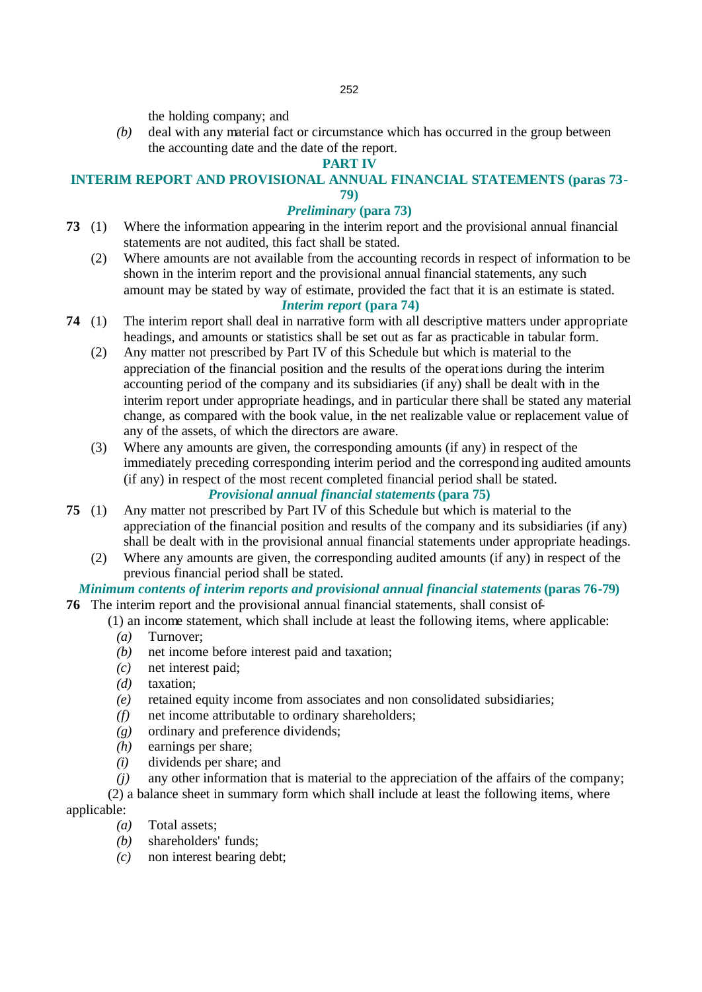the holding company; and

*(b)* deal with any material fact or circumstance which has occurred in the group between the accounting date and the date of the report.

### **PART IV**

#### **INTERIM REPORT AND PROVISIONAL ANNUAL FINANCIAL STATEMENTS (paras 73- 79)**

# *Preliminary* **(para 73)**

- **73** (1) Where the information appearing in the interim report and the provisional annual financial statements are not audited, this fact shall be stated.
	- (2) Where amounts are not available from the accounting records in respect of information to be shown in the interim report and the provisional annual financial statements, any such amount may be stated by way of estimate, provided the fact that it is an estimate is stated.

# *Interim report* **(para 74)**

- **74** (1) The interim report shall deal in narrative form with all descriptive matters under appropriate headings, and amounts or statistics shall be set out as far as practicable in tabular form.
	- (2) Any matter not prescribed by Part IV of this Schedule but which is material to the appreciation of the financial position and the results of the operations during the interim accounting period of the company and its subsidiaries (if any) shall be dealt with in the interim report under appropriate headings, and in particular there shall be stated any material change, as compared with the book value, in the net realizable value or replacement value of any of the assets, of which the directors are aware.
	- (3) Where any amounts are given, the corresponding amounts (if any) in respect of the immediately preceding corresponding interim period and the correspond ing audited amounts (if any) in respect of the most recent completed financial period shall be stated. *Provisional annual financial statements* **(para 75)**
- **75** (1) Any matter not prescribed by Part IV of this Schedule but which is material to the appreciation of the financial position and results of the company and its subsidiaries (if any) shall be dealt with in the provisional annual financial statements under appropriate headings.
	- (2) Where any amounts are given, the corresponding audited amounts (if any) in respect of the previous financial period shall be stated.

# *Minimum contents of interim reports and provisional annual financial statements* **(paras 76-79)**

- **76** The interim report and the provisional annual financial statements, shall consist of-
	- (1) an income statement, which shall include at least the following items, where applicable:
		- *(a)* Turnover;
		- *(b)* net income before interest paid and taxation;
		- *(c)* net interest paid;
		- *(d)* taxation;
		- *(e)* retained equity income from associates and non consolidated subsidiaries;
		- *(f)* net income attributable to ordinary shareholders;
		- *(g)* ordinary and preference dividends;
		- *(h)* earnings per share;
		- *(i)* dividends per share; and
	- *(j)* any other information that is material to the appreciation of the affairs of the company;

(2) a balance sheet in summary form which shall include at least the following items, where applicable:

- *(a)* Total assets;
- *(b)* shareholders' funds;
- *(c)* non interest bearing debt;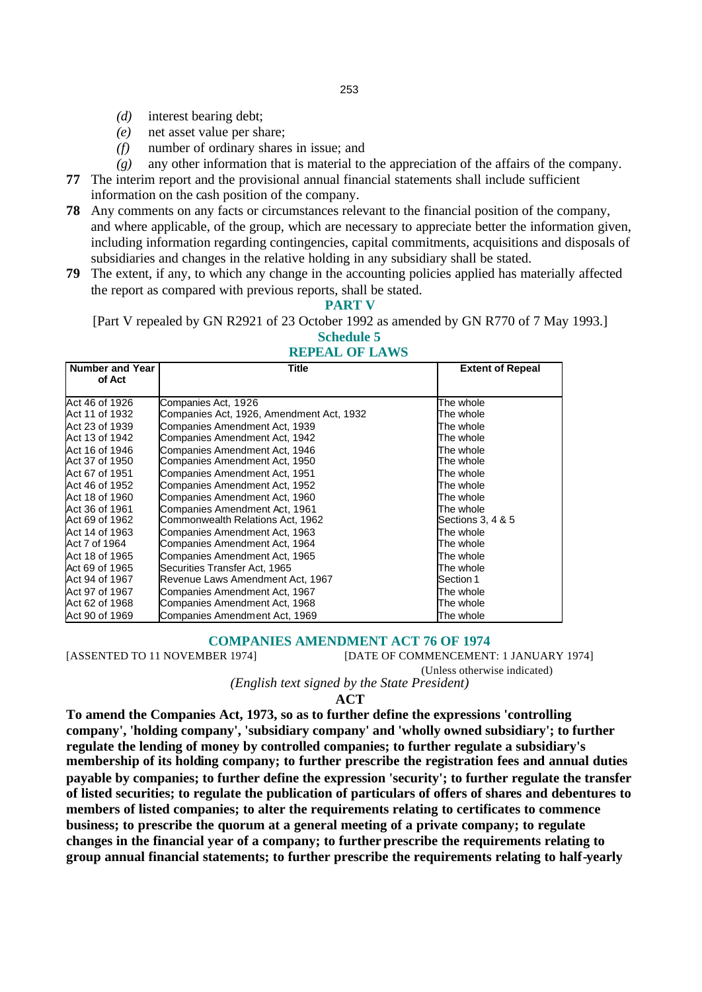- *(d)* interest bearing debt;
- *(e)* net asset value per share;
- *(f)* number of ordinary shares in issue; and
- *(g)* any other information that is material to the appreciation of the affairs of the company.
- **77** The interim report and the provisional annual financial statements shall include sufficient information on the cash position of the company.
- **78** Any comments on any facts or circumstances relevant to the financial position of the company, and where applicable, of the group, which are necessary to appreciate better the information given, including information regarding contingencies, capital commitments, acquisitions and disposals of subsidiaries and changes in the relative holding in any subsidiary shall be stated.
- **79** The extent, if any, to which any change in the accounting policies applied has materially affected the report as compared with previous reports, shall be stated.

#### **PART V**

[Part V repealed by GN R2921 of 23 October 1992 as amended by GN R770 of 7 May 1993.]

# **Schedule 5**

| <b>Number and Year</b> | Title                                    | <b>Extent of Repeal</b> |
|------------------------|------------------------------------------|-------------------------|
| of Act                 |                                          |                         |
|                        |                                          |                         |
| Act 46 of 1926         | Companies Act, 1926                      | The whole               |
| Act 11 of 1932         | Companies Act, 1926, Amendment Act, 1932 | The whole               |
| Act 23 of 1939         | Companies Amendment Act, 1939            | The whole               |
| Act 13 of 1942         | Companies Amendment Act, 1942            | The whole               |
| Act 16 of 1946         | Companies Amendment Act, 1946            | The whole               |
| Act 37 of 1950         | Companies Amendment Act, 1950            | The whole               |
| Act 67 of 1951         | Companies Amendment Act, 1951            | The whole               |
| Act 46 of 1952         | Companies Amendment Act, 1952            | The whole               |
| Act 18 of 1960         | Companies Amendment Act, 1960            | The whole               |
| Act 36 of 1961         | Companies Amendment Act, 1961            | The whole               |
| Act 69 of 1962         | Commonwealth Relations Act, 1962         | Sections 3, 4 & 5       |
| Act 14 of 1963         | Companies Amendment Act, 1963            | The whole               |
| Act 7 of 1964          | Companies Amendment Act, 1964            | The whole               |
| Act 18 of 1965         | Companies Amendment Act, 1965            | The whole               |
| Act 69 of 1965         | Securities Transfer Act, 1965            | The whole               |
| Act 94 of 1967         | Revenue Laws Amendment Act, 1967         | Section 1               |
| Act 97 of 1967         | Companies Amendment Act, 1967            | The whole               |
| Act 62 of 1968         | Companies Amendment Act, 1968            | The whole               |
| Act 90 of 1969         | Companies Amendment Act, 1969            | The whole               |

## **REPEAL OF LAWS**

### **COMPANIES AMENDMENT ACT 76 OF 1974**

[ASSENTED TO 11 NOVEMBER 1974] [DATE OF COMMENCEMENT: 1 JANUARY 1974] (Unless otherwise indicated)

*(English text signed by the State President)*

#### **ACT**

**To amend the Companies Act, 1973, so as to further define the expressions 'controlling company', 'holding company', 'subsidiary company' and 'wholly owned subsidiary'; to further regulate the lending of money by controlled companies; to further regulate a subsidiary's membership of its holding company; to further prescribe the registration fees and annual duties payable by companies; to further define the expression 'security'; to further regulate the transfer of listed securities; to regulate the publication of particulars of offers of shares and debentures to members of listed companies; to alter the requirements relating to certificates to commence business; to prescribe the quorum at a general meeting of a private company; to regulate changes in the financial year of a company; to further prescribe the requirements relating to group annual financial statements; to further prescribe the requirements relating to half-yearly**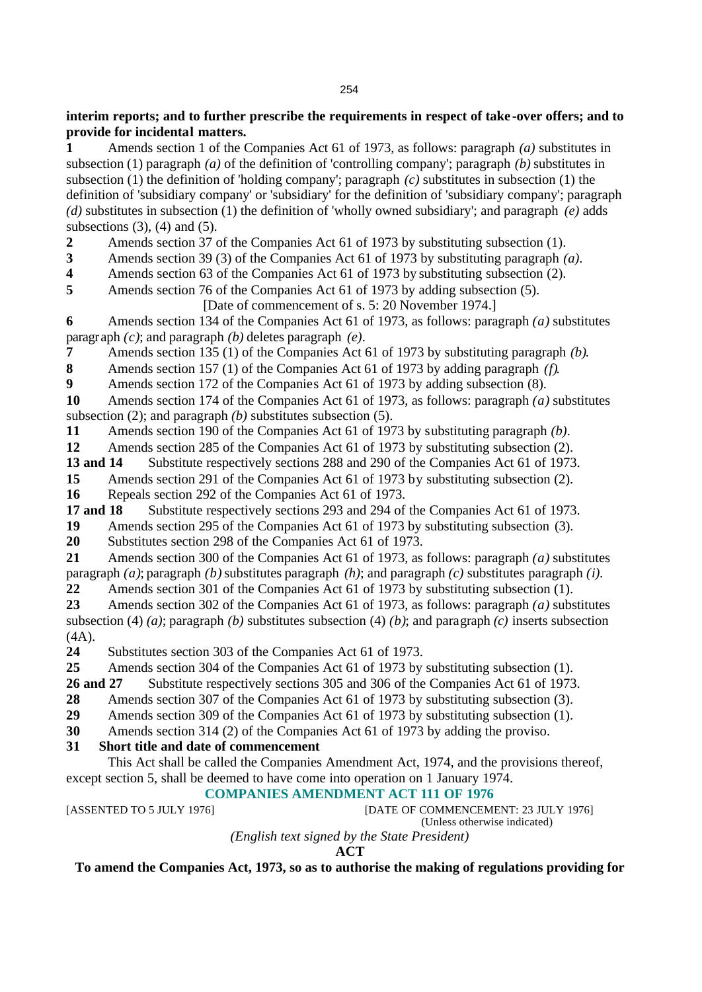## **interim reports; and to further prescribe the requirements in respect of take -over offers; and to provide for incidental matters.**

**1** Amends section 1 of the Companies Act 61 of 1973, as follows: paragraph *(a)* substitutes in subsection (1) paragraph *(a)* of the definition of 'controlling company'; paragraph *(b)* substitutes in subsection (1) the definition of 'holding company'; paragraph *(c)* substitutes in subsection (1) the definition of 'subsidiary company' or 'subsidiary' for the definition of 'subsidiary company'; paragraph *(d)* substitutes in subsection (1) the definition of 'wholly owned subsidiary'; and paragraph *(e)* adds subsections  $(3)$ ,  $(4)$  and  $(5)$ .

**2** Amends section 37 of the Companies Act 61 of 1973 by substituting subsection (1).

**3** Amends section 39 (3) of the Companies Act 61 of 1973 by substituting paragraph *(a)*.

**4** Amends section 63 of the Companies Act 61 of 1973 by substituting subsection (2).

**5** Amends section 76 of the Companies Act 61 of 1973 by adding subsection (5). [Date of commencement of s. 5: 20 November 1974.]

**6** Amends section 134 of the Companies Act 61 of 1973, as follows: paragraph *(a)* substitutes paragraph *(c)*; and paragraph *(b)* deletes paragraph *(e)*.

**7** Amends section 135 (1) of the Companies Act 61 of 1973 by substituting paragraph *(b)*.

**8** Amends section 157 (1) of the Companies Act 61 of 1973 by adding paragraph *(f)*.

**9** Amends section 172 of the Companies Act 61 of 1973 by adding subsection (8).

**10** Amends section 174 of the Companies Act 61 of 1973, as follows: paragraph *(a)* substitutes subsection (2); and paragraph *(b)* substitutes subsection (5).

**11** Amends section 190 of the Companies Act 61 of 1973 by substituting paragraph *(b)*.

**12** Amends section 285 of the Companies Act 61 of 1973 by substituting subsection (2).

**13 and 14** Substitute respectively sections 288 and 290 of the Companies Act 61 of 1973.

**15** Amends section 291 of the Companies Act 61 of 1973 by substituting subsection (2).

**16** Repeals section 292 of the Companies Act 61 of 1973.

**17 and 18** Substitute respectively sections 293 and 294 of the Companies Act 61 of 1973.

**19** Amends section 295 of the Companies Act 61 of 1973 by substituting subsection (3).

**20** Substitutes section 298 of the Companies Act 61 of 1973.

**21** Amends section 300 of the Companies Act 61 of 1973, as follows: paragraph *(a)* substitutes paragraph *(a)*; paragraph *(b)* substitutes paragraph *(h)*; and paragraph *(c)* substitutes paragraph *(i)*.

**22** Amends section 301 of the Companies Act 61 of 1973 by substituting subsection (1).

**23** Amends section 302 of the Companies Act 61 of 1973, as follows: paragraph *(a)* substitutes subsection (4) *(a)*; paragraph *(b)* substitutes subsection (4) *(b)*; and paragraph *(c)* inserts subsection (4A).

**24** Substitutes section 303 of the Companies Act 61 of 1973.

**25** Amends section 304 of the Companies Act 61 of 1973 by substituting subsection (1).

**26 and 27** Substitute respectively sections 305 and 306 of the Companies Act 61 of 1973.

**28** Amends section 307 of the Companies Act 61 of 1973 by substituting subsection (3).

**29** Amends section 309 of the Companies Act 61 of 1973 by substituting subsection (1).

**30** Amends section 314 (2) of the Companies Act 61 of 1973 by adding the proviso.

## **31 Short title and date of commencement**

This Act shall be called the Companies Amendment Act, 1974, and the provisions thereof, except section 5, shall be deemed to have come into operation on 1 January 1974.

## **COMPANIES AMENDMENT ACT 111 OF 1976**

#### [ASSENTED TO 5 JULY 1976] [DATE OF COMMENCEMENT: 23 JULY 1976] (Unless otherwise indicated)

*(English text signed by the State President)*

**ACT**

**To amend the Companies Act, 1973, so as to authorise the making of regulations providing for**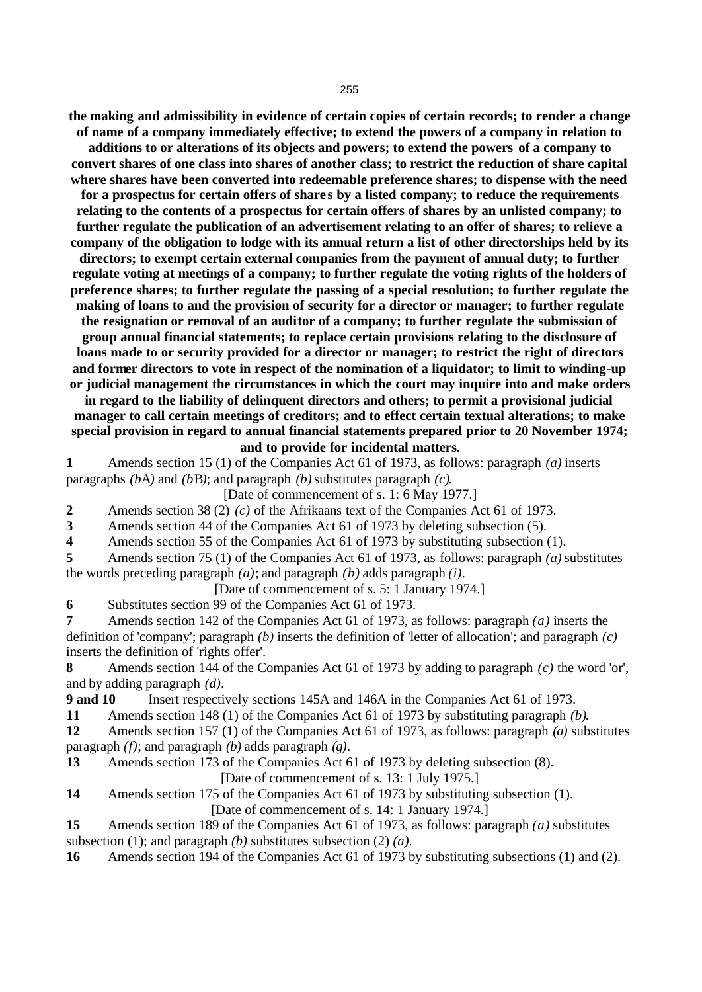**the making and admissibility in evidence of certain copies of certain records; to render a change of name of a company immediately effective; to extend the powers of a company in relation to** 

**additions to or alterations of its objects and powers; to extend the powers of a company to convert shares of one class into shares of another class; to restrict the reduction of share capital where shares have been converted into redeemable preference shares; to dispense with the need** 

for a prospectus for certain offers of shares by a listed company; to reduce the requirements **relating to the contents of a prospectus for certain offers of shares by an unlisted company; to further regulate the publication of an advertisement relating to an offer of shares; to relieve a company of the obligation to lodge with its annual return a list of other directorships held by its directors; to exempt certain external companies from the payment of annual duty; to further regulate voting at meetings of a company; to further regulate the voting rights of the holders of preference shares; to further regulate the passing of a special resolution; to further regulate the** 

**making of loans to and the provision of security for a director or manager; to further regulate the resignation or removal of an auditor of a company; to further regulate the submission of group annual financial statements; to replace certain provisions relating to the disclosure of loans made to or security provided for a director or manager; to restrict the right of directors and former directors to vote in respect of the nomination of a liquidator; to limit to winding-up or judicial management the circumstances in which the court may inquire into and make orders** 

**in regard to the liability of delinquent directors and others; to permit a provisional judicial manager to call certain meetings of creditors; and to effect certain textual alterations; to make special provision in regard to annual financial statements prepared prior to 20 November 1974; and to provide for incidental matters.**

**1** Amends section 15 (1) of the Companies Act 61 of 1973, as follows: paragraph *(a)* inserts paragraphs *(b*A*)* and *(b*B*)*; and paragraph *(b)* substitutes paragraph *(c)*.

[Date of commencement of s. 1: 6 May 1977.]

**2** Amends section 38 (2) *(c)* of the Afrikaans text of the Companies Act 61 of 1973.

**3** Amends section 44 of the Companies Act 61 of 1973 by deleting subsection (5).

**4** Amends section 55 of the Companies Act 61 of 1973 by substituting subsection (1).

**5** Amends section 75 (1) of the Companies Act 61 of 1973, as follows: paragraph *(a)* substitutes the words preceding paragraph *(a)*; and paragraph *(b)* adds paragraph *(i)*.

[Date of commencement of s. 5: 1 January 1974.]

**6** Substitutes section 99 of the Companies Act 61 of 1973.

**7** Amends section 142 of the Companies Act 61 of 1973, as follows: paragraph *(a)* inserts the definition of 'company'; paragraph *(b)* inserts the definition of 'letter of allocation'; and paragraph *(c)* inserts the definition of 'rights offer'.

**8** Amends section 144 of the Companies Act 61 of 1973 by adding to paragraph *(c)* the word 'or', and by adding paragraph *(d)*.

**9 and 10** Insert respectively sections 145A and 146A in the Companies Act 61 of 1973.

**11** Amends section 148 (1) of the Companies Act 61 of 1973 by substituting paragraph *(b)*.

**12** Amends section 157 (1) of the Companies Act 61 of 1973, as follows: paragraph *(a)* substitutes paragraph *(f)*; and paragraph *(b)* adds paragraph *(g)*.

**13** Amends section 173 of the Companies Act 61 of 1973 by deleting subsection (8).

[Date of commencement of s. 13: 1 July 1975.]

**14** Amends section 175 of the Companies Act 61 of 1973 by substituting subsection (1). [Date of commencement of s. 14: 1 January 1974.]

**15** Amends section 189 of the Companies Act 61 of 1973, as follows: paragraph *(a)* substitutes subsection (1); and paragraph *(b)* substitutes subsection (2) *(a)*.

**16** Amends section 194 of the Companies Act 61 of 1973 by substituting subsections (1) and (2).